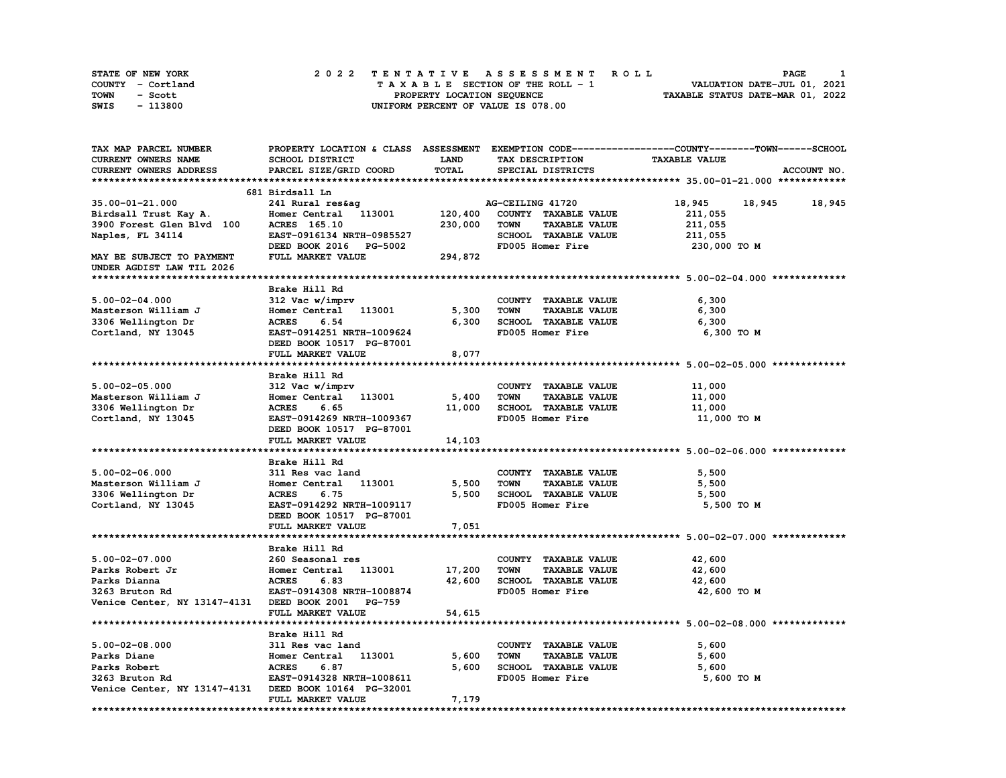| <b>STATE OF NEW YORK</b> | 2022 TENTATIVE ASSESSMENT ROLL          | PAGE                             |
|--------------------------|-----------------------------------------|----------------------------------|
| COUNTY - Cortland        | $T A X A B L E$ SECTION OF THE ROLL - 1 | VALUATION DATE-JUL 01, 2021      |
| TOWN<br>- Scott          | PROPERTY LOCATION SEQUENCE              | TAXABLE STATUS DATE-MAR 01, 2022 |
| - 113800<br>SWIS         | UNIFORM PERCENT OF VALUE IS 078.00      |                                  |

| TAX MAP PARCEL NUMBER                                 |                           |             |                                     | PROPERTY LOCATION & CLASS ASSESSMENT EXEMPTION CODE-----------------COUNTY-------TOWN------SCHOOL |             |
|-------------------------------------------------------|---------------------------|-------------|-------------------------------------|---------------------------------------------------------------------------------------------------|-------------|
| CURRENT OWNERS NAME                                   | SCHOOL DISTRICT           | <b>LAND</b> | TAX DESCRIPTION                     | <b>TAXABLE VALUE</b>                                                                              |             |
| CURRENT OWNERS ADDRESS                                | PARCEL SIZE/GRID COORD    | TOTAL       | SPECIAL DISTRICTS                   |                                                                                                   | ACCOUNT NO. |
|                                                       |                           |             |                                     |                                                                                                   |             |
|                                                       | 681 Birdsall Ln           |             |                                     |                                                                                                   |             |
| $35.00 - 01 - 21.000$                                 | 241 Rural res&ag          |             | AG-CEILING 41720                    | 18,945<br>18,945                                                                                  | 18,945      |
| Birdsall Trust Kay A.                                 | Homer Central 113001      | 120,400     | COUNTY TAXABLE VALUE                | 211,055                                                                                           |             |
| 3900 Forest Glen Blvd 100                             | ACRES 165.10              | 230,000     | <b>TOWN</b><br><b>TAXABLE VALUE</b> | 211,055                                                                                           |             |
| Naples, FL 34114                                      | EAST-0916134 NRTH-0985527 |             | SCHOOL TAXABLE VALUE                | 211,055                                                                                           |             |
|                                                       | DEED BOOK 2016 PG-5002    |             | FD005 Homer Fire                    | 230,000 то м                                                                                      |             |
| MAY BE SUBJECT TO PAYMENT                             | FULL MARKET VALUE         | 294,872     |                                     |                                                                                                   |             |
| UNDER AGDIST LAW TIL 2026                             |                           |             |                                     |                                                                                                   |             |
|                                                       |                           |             |                                     |                                                                                                   |             |
|                                                       | Brake Hill Rd             |             |                                     |                                                                                                   |             |
| $5.00 - 02 - 04.000$                                  |                           |             | COUNTY TAXABLE VALUE                | 6,300                                                                                             |             |
|                                                       | 312 Vac w/imprv           |             |                                     |                                                                                                   |             |
| Masterson William J                                   | Homer Central 113001      | 5,300       | <b>TOWN</b><br><b>TAXABLE VALUE</b> | 6,300                                                                                             |             |
| 3306 Wellington Dr                                    | <b>ACRES</b><br>6.54      | 6,300       | SCHOOL TAXABLE VALUE                | 6,300                                                                                             |             |
| Cortland, NY 13045                                    | EAST-0914251 NRTH-1009624 |             | FD005 Homer Fire                    | 6,300 TO M                                                                                        |             |
|                                                       | DEED BOOK 10517 PG-87001  |             |                                     |                                                                                                   |             |
|                                                       | FULL MARKET VALUE         | 8,077       |                                     |                                                                                                   |             |
|                                                       |                           |             |                                     |                                                                                                   |             |
|                                                       | Brake Hill Rd             |             |                                     |                                                                                                   |             |
| $5.00 - 02 - 05.000$                                  | 312 Vac w/imprv           |             | COUNTY TAXABLE VALUE                | 11,000                                                                                            |             |
| Masterson William J                                   | Homer Central 113001      | 5,400       | <b>TOWN</b><br><b>TAXABLE VALUE</b> | 11,000                                                                                            |             |
| 3306 Wellington Dr                                    | <b>ACRES</b><br>6.65      | 11,000      | SCHOOL TAXABLE VALUE                | 11,000                                                                                            |             |
| Cortland, NY 13045                                    | EAST-0914269 NRTH-1009367 |             | FD005 Homer Fire                    | 11,000 TO M                                                                                       |             |
|                                                       | DEED BOOK 10517 PG-87001  |             |                                     |                                                                                                   |             |
|                                                       | FULL MARKET VALUE         | 14,103      |                                     |                                                                                                   |             |
|                                                       |                           |             |                                     |                                                                                                   |             |
|                                                       | Brake Hill Rd             |             |                                     |                                                                                                   |             |
| $5.00 - 02 - 06.000$                                  | 311 Res vac land          |             | COUNTY TAXABLE VALUE                | 5,500                                                                                             |             |
| Masterson William J                                   | Homer Central 113001      | 5,500       | <b>TOWN</b><br><b>TAXABLE VALUE</b> | 5,500                                                                                             |             |
| 3306 Wellington Dr                                    | <b>ACRES</b><br>6.75      | 5,500       | SCHOOL TAXABLE VALUE                | 5,500                                                                                             |             |
| Cortland, NY 13045                                    | EAST-0914292 NRTH-1009117 |             | FD005 Homer Fire                    | 5,500 TO M                                                                                        |             |
|                                                       | DEED BOOK 10517 PG-87001  |             |                                     |                                                                                                   |             |
|                                                       | FULL MARKET VALUE         | 7,051       |                                     |                                                                                                   |             |
|                                                       |                           |             |                                     |                                                                                                   |             |
|                                                       | Brake Hill Rd             |             |                                     |                                                                                                   |             |
| $5.00 - 02 - 07.000$                                  | 260 Seasonal res          |             | COUNTY TAXABLE VALUE                | 42,600                                                                                            |             |
| Parks Robert Jr                                       | Homer Central 113001      | 17,200      | <b>TOWN</b><br><b>TAXABLE VALUE</b> | 42,600                                                                                            |             |
| Parks Dianna                                          | <b>ACRES</b><br>6.83      | 42,600      | SCHOOL TAXABLE VALUE                | 42,600                                                                                            |             |
| 3263 Bruton Rd                                        | EAST-0914308 NRTH-1008874 |             | FD005 Homer Fire                    | 42,600 TO M                                                                                       |             |
|                                                       |                           |             |                                     |                                                                                                   |             |
| Venice Center, NY 13147-4131 DEED BOOK 2001 PG-759    |                           |             |                                     |                                                                                                   |             |
|                                                       | FULL MARKET VALUE         | 54,615      |                                     |                                                                                                   |             |
|                                                       |                           |             |                                     |                                                                                                   |             |
|                                                       | Brake Hill Rd             |             |                                     |                                                                                                   |             |
| $5.00 - 02 - 08.000$                                  | 311 Res vac land          |             | COUNTY TAXABLE VALUE                | 5,600                                                                                             |             |
| Parks Diane                                           | 113001<br>Homer Central   | 5,600       | <b>TOWN</b><br><b>TAXABLE VALUE</b> | 5,600                                                                                             |             |
| Parks Robert                                          | <b>ACRES</b><br>6.87      | 5,600       | <b>SCHOOL TAXABLE VALUE</b>         | 5,600                                                                                             |             |
| 3263 Bruton Rd                                        | EAST-0914328 NRTH-1008611 |             | FD005 Homer Fire                    | 5,600 TO M                                                                                        |             |
| Venice Center, NY 13147-4131 DEED BOOK 10164 PG-32001 |                           |             |                                     |                                                                                                   |             |
|                                                       | FULL MARKET VALUE         | 7,179       |                                     |                                                                                                   |             |
|                                                       |                           |             |                                     |                                                                                                   |             |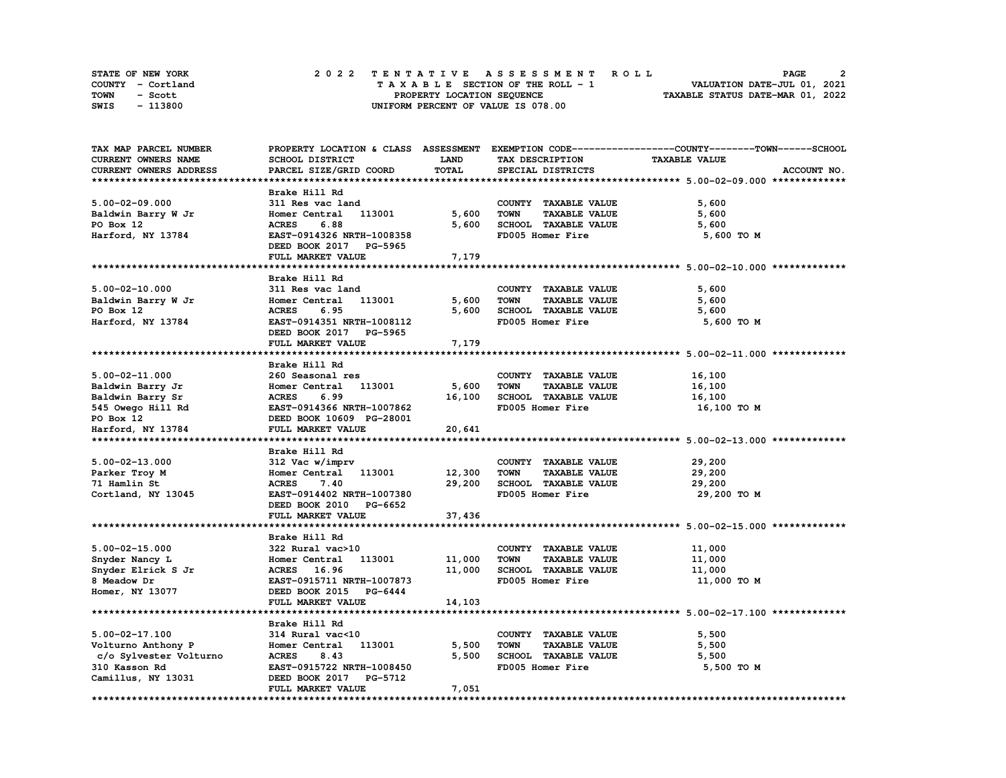| STATE OF NEW YORK |          |  | 2022 TENTATIVE ASSESSMENT ROLL |  |  |  |                                    |  |  |  |  |  |  |                                  | <b>PAGE</b> | $\overline{2}$ |
|-------------------|----------|--|--------------------------------|--|--|--|------------------------------------|--|--|--|--|--|--|----------------------------------|-------------|----------------|
| COUNTY - Cortland |          |  |                                |  |  |  | TAXABLE SECTION OF THE ROLL - 1    |  |  |  |  |  |  | VALUATION DATE-JUL 01, 2021      |             |                |
| TOWN              | - Scott  |  |                                |  |  |  | PROPERTY LOCATION SEQUENCE         |  |  |  |  |  |  | TAXABLE STATUS DATE-MAR 01, 2022 |             |                |
| SWIS              | - 113800 |  |                                |  |  |  | UNIFORM PERCENT OF VALUE IS 078.00 |  |  |  |  |  |  |                                  |             |                |

| TAX MAP PARCEL NUMBER  |                           |             |                                     | PROPERTY LOCATION & CLASS ASSESSMENT EXEMPTION CODE----------------COUNTY-------TOWN------SCHOOL |
|------------------------|---------------------------|-------------|-------------------------------------|--------------------------------------------------------------------------------------------------|
| CURRENT OWNERS NAME    | SCHOOL DISTRICT           | <b>LAND</b> | TAX DESCRIPTION                     | <b>TAXABLE VALUE</b>                                                                             |
| CURRENT OWNERS ADDRESS | PARCEL SIZE/GRID COORD    | TOTAL       | SPECIAL DISTRICTS                   | ACCOUNT NO.                                                                                      |
|                        |                           |             |                                     |                                                                                                  |
|                        | Brake Hill Rd             |             |                                     |                                                                                                  |
| $5.00 - 02 - 09.000$   | 311 Res vac land          |             | COUNTY TAXABLE VALUE                | 5,600                                                                                            |
| Baldwin Barry W Jr     | 113001<br>Homer Central   | 5,600       | <b>TAXABLE VALUE</b><br><b>TOWN</b> | 5,600                                                                                            |
|                        | <b>ACRES</b><br>6.88      |             |                                     |                                                                                                  |
| PO Box 12              |                           | 5,600       | SCHOOL TAXABLE VALUE                | 5,600                                                                                            |
| Harford, NY 13784      | EAST-0914326 NRTH-1008358 |             | FD005 Homer Fire                    | 5,600 TO M                                                                                       |
|                        | DEED BOOK 2017 PG-5965    |             |                                     |                                                                                                  |
|                        | FULL MARKET VALUE         | 7,179       |                                     |                                                                                                  |
|                        |                           |             |                                     |                                                                                                  |
|                        | Brake Hill Rd             |             |                                     |                                                                                                  |
| $5.00 - 02 - 10.000$   | 311 Res vac land          |             | COUNTY TAXABLE VALUE                | 5,600                                                                                            |
| Baldwin Barry W Jr     | Homer Central<br>113001   | 5,600       | <b>TOWN</b><br><b>TAXABLE VALUE</b> | 5,600                                                                                            |
| PO Box 12              | 6.95<br><b>ACRES</b>      | 5,600       | <b>SCHOOL TAXABLE VALUE</b>         | 5,600                                                                                            |
| Harford, NY 13784      | EAST-0914351 NRTH-1008112 |             | FD005 Homer Fire                    | 5,600 TO M                                                                                       |
|                        | DEED BOOK 2017 PG-5965    |             |                                     |                                                                                                  |
|                        | FULL MARKET VALUE         | 7,179       |                                     |                                                                                                  |
|                        |                           |             |                                     |                                                                                                  |
|                        | Brake Hill Rd             |             |                                     |                                                                                                  |
| $5.00 - 02 - 11.000$   | 260 Seasonal res          |             | COUNTY TAXABLE VALUE                | 16,100                                                                                           |
| Baldwin Barry Jr       | Homer Central<br>113001   | 5,600       | <b>TOWN</b><br><b>TAXABLE VALUE</b> | 16,100                                                                                           |
| Baldwin Barry Sr       | <b>ACRES</b><br>6.99      | 16,100      | SCHOOL TAXABLE VALUE                | 16,100                                                                                           |
|                        |                           |             |                                     |                                                                                                  |
| 545 Owego Hill Rd      | EAST-0914366 NRTH-1007862 |             | FD005 Homer Fire                    | 16,100 TO M                                                                                      |
| PO Box 12              | DEED BOOK 10609 PG-28001  |             |                                     |                                                                                                  |
| Harford, NY 13784      | FULL MARKET VALUE         | 20,641      |                                     |                                                                                                  |
|                        |                           |             |                                     |                                                                                                  |
|                        | Brake Hill Rd             |             |                                     |                                                                                                  |
| $5.00 - 02 - 13.000$   | 312 Vac w/imprv           |             | COUNTY TAXABLE VALUE                | 29,200                                                                                           |
| Parker Troy M          | 113001<br>Homer Central   | 12,300      | <b>TOWN</b><br><b>TAXABLE VALUE</b> | 29,200                                                                                           |
| 71 Hamlin St           | 7.40<br><b>ACRES</b>      | 29,200      | SCHOOL TAXABLE VALUE                | 29,200                                                                                           |
| Cortland, NY 13045     | EAST-0914402 NRTH-1007380 |             | FD005 Homer Fire                    | 29,200 TO M                                                                                      |
|                        | DEED BOOK 2010<br>PG-6652 |             |                                     |                                                                                                  |
|                        | FULL MARKET VALUE         | 37,436      |                                     |                                                                                                  |
|                        |                           |             |                                     |                                                                                                  |
|                        | Brake Hill Rd             |             |                                     |                                                                                                  |
| $5.00 - 02 - 15.000$   | 322 Rural vac>10          |             | COUNTY TAXABLE VALUE                | 11,000                                                                                           |
| Snyder Nancy L         | 113001<br>Homer Central   | 11,000      | <b>TOWN</b><br><b>TAXABLE VALUE</b> | 11,000                                                                                           |
| Snyder Elrick S Jr     | ACRES 16.96               | 11,000      | <b>SCHOOL TAXABLE VALUE</b>         | 11,000                                                                                           |
| 8 Meadow Dr            | EAST-0915711 NRTH-1007873 |             | FD005 Homer Fire                    | 11,000 TO M                                                                                      |
| Homer, NY 13077        | DEED BOOK 2015 PG-6444    |             |                                     |                                                                                                  |
|                        |                           |             |                                     |                                                                                                  |
|                        | FULL MARKET VALUE         | 14,103      |                                     |                                                                                                  |
|                        |                           |             |                                     |                                                                                                  |
|                        | Brake Hill Rd             |             |                                     |                                                                                                  |
| $5.00 - 02 - 17.100$   | 314 Rural vac<10          |             | COUNTY TAXABLE VALUE                | 5,500                                                                                            |
| Volturno Anthony P     | Homer Central<br>113001   | 5,500       | <b>TOWN</b><br><b>TAXABLE VALUE</b> | 5,500                                                                                            |
| c/o Sylvester Volturno | <b>ACRES</b><br>8.43      | 5,500       | <b>SCHOOL TAXABLE VALUE</b>         | 5,500                                                                                            |
| 310 Kasson Rd          | EAST-0915722 NRTH-1008450 |             | FD005 Homer Fire                    | 5,500 TO M                                                                                       |
| Camillus, NY 13031     | DEED BOOK 2017 PG-5712    |             |                                     |                                                                                                  |
|                        | FULL MARKET VALUE         | 7,051       |                                     |                                                                                                  |
| ***********            |                           |             |                                     |                                                                                                  |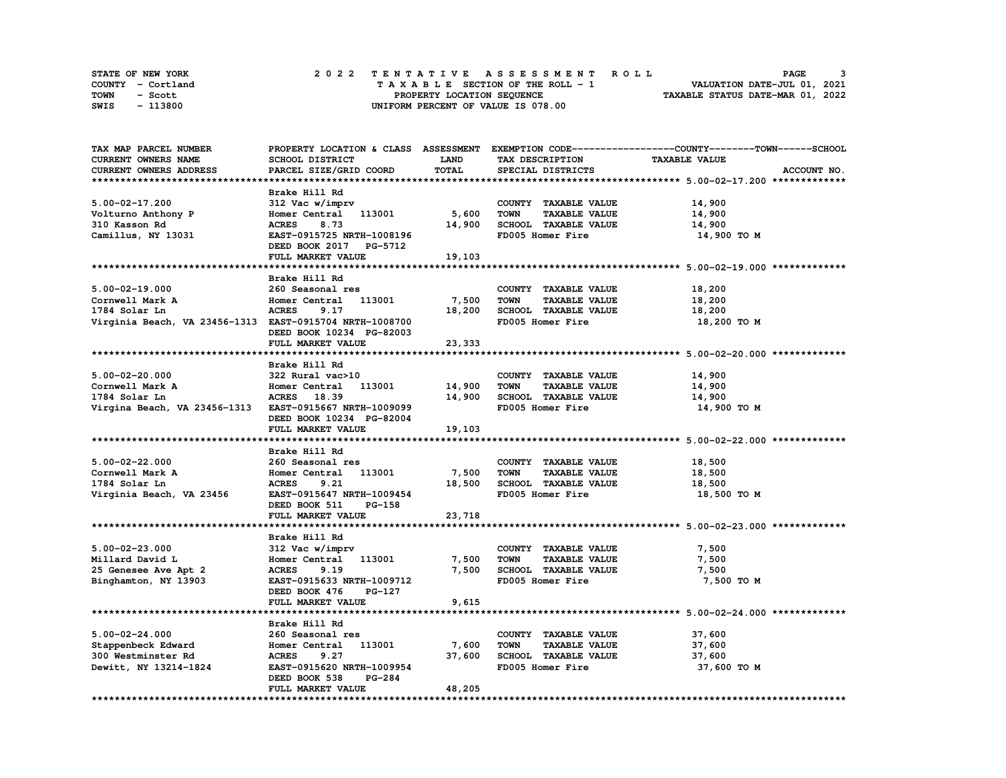| STATE OF NEW YORK | 2022 TENTATIVE ASSESSMENT ROLL     | <b>PAGE</b>                      |
|-------------------|------------------------------------|----------------------------------|
| COUNTY - Cortland | TAXABLE SECTION OF THE ROLL - 1    | VALUATION DATE-JUL 01, 2021      |
| TOWN<br>- Scott   | PROPERTY LOCATION SEQUENCE         | TAXABLE STATUS DATE-MAR 01, 2022 |
| - 113800<br>SWIS  | UNIFORM PERCENT OF VALUE IS 078.00 |                                  |

| TAX MAP PARCEL NUMBER                                   |                                |             |                                     | PROPERTY LOCATION & CLASS ASSESSMENT EXEMPTION CODE-----------------COUNTY-------TOWN-----SCHOOL |
|---------------------------------------------------------|--------------------------------|-------------|-------------------------------------|--------------------------------------------------------------------------------------------------|
| <b>CURRENT OWNERS NAME</b>                              | SCHOOL DISTRICT                | <b>LAND</b> | TAX DESCRIPTION                     | <b>TAXABLE VALUE</b>                                                                             |
| CURRENT OWNERS ADDRESS                                  | PARCEL SIZE/GRID COORD         | TOTAL       | SPECIAL DISTRICTS                   | ACCOUNT NO.                                                                                      |
|                                                         |                                |             |                                     |                                                                                                  |
|                                                         |                                |             |                                     |                                                                                                  |
|                                                         | Brake Hill Rd                  |             |                                     |                                                                                                  |
| $5.00 - 02 - 17.200$                                    | 312 Vac w/imprv                |             | COUNTY TAXABLE VALUE                | 14,900                                                                                           |
| Volturno Anthony P                                      | Homer Central 113001           | 5,600       | <b>TOWN</b><br><b>TAXABLE VALUE</b> | 14,900                                                                                           |
| 310 Kasson Rd                                           | <b>ACRES</b><br>8.73           | 14,900      | SCHOOL TAXABLE VALUE                | 14,900                                                                                           |
| Camillus, NY 13031                                      | EAST-0915725 NRTH-1008196      |             | FD005 Homer Fire                    | 14,900 TO M                                                                                      |
|                                                         | DEED BOOK 2017 PG-5712         |             |                                     |                                                                                                  |
|                                                         | FULL MARKET VALUE              | 19,103      |                                     |                                                                                                  |
|                                                         |                                |             |                                     |                                                                                                  |
|                                                         |                                |             |                                     |                                                                                                  |
|                                                         | Brake Hill Rd                  |             |                                     |                                                                                                  |
| $5.00 - 02 - 19.000$                                    | 260 Seasonal res               |             | COUNTY TAXABLE VALUE                | 18,200                                                                                           |
| Cornwell Mark A                                         | 113001<br>Homer Central        | 7,500       | <b>TOWN</b><br><b>TAXABLE VALUE</b> | 18,200                                                                                           |
| 1784 Solar Ln                                           | <b>ACRES</b><br>9.17           | 18,200      | SCHOOL TAXABLE VALUE                | 18,200                                                                                           |
| Virginia Beach, VA 23456-1313 EAST-0915704 NRTH-1008700 |                                |             | FD005 Homer Fire                    | 18,200 TO M                                                                                      |
|                                                         |                                |             |                                     |                                                                                                  |
|                                                         | DEED BOOK 10234 PG-82003       |             |                                     |                                                                                                  |
|                                                         | FULL MARKET VALUE              | 23,333      |                                     |                                                                                                  |
|                                                         |                                |             |                                     |                                                                                                  |
|                                                         | Brake Hill Rd                  |             |                                     |                                                                                                  |
| $5.00 - 02 - 20.000$                                    | 322 Rural vac>10               |             | COUNTY TAXABLE VALUE                | 14,900                                                                                           |
| Cornwell Mark A                                         | 113001<br>Homer Central        | 14,900      | <b>TOWN</b><br><b>TAXABLE VALUE</b> | 14,900                                                                                           |
| 1784 Solar Ln                                           | ACRES 18.39                    | 14,900      | SCHOOL TAXABLE VALUE                | 14,900                                                                                           |
|                                                         |                                |             |                                     |                                                                                                  |
| Virgina Beach, VA 23456-1313                            | EAST-0915667 NRTH-1009099      |             | FD005 Homer Fire                    | 14,900 TO M                                                                                      |
|                                                         | DEED BOOK 10234 PG-82004       |             |                                     |                                                                                                  |
|                                                         | FULL MARKET VALUE              | 19,103      |                                     |                                                                                                  |
|                                                         |                                |             |                                     |                                                                                                  |
|                                                         | Brake Hill Rd                  |             |                                     |                                                                                                  |
| $5.00 - 02 - 22.000$                                    | 260 Seasonal res               |             | COUNTY TAXABLE VALUE                | 18,500                                                                                           |
| Cornwell Mark A                                         | 113001<br>Homer Central        | 7,500       | <b>TOWN</b><br><b>TAXABLE VALUE</b> | 18,500                                                                                           |
| 1784 Solar Ln                                           | <b>ACRES</b><br>9.21           | 18,500      | SCHOOL TAXABLE VALUE                | 18,500                                                                                           |
|                                                         |                                |             |                                     |                                                                                                  |
| Virginia Beach, VA 23456                                | EAST-0915647 NRTH-1009454      |             | FD005 Homer Fire                    | 18,500 TO M                                                                                      |
|                                                         | DEED BOOK 511<br><b>PG-158</b> |             |                                     |                                                                                                  |
|                                                         | FULL MARKET VALUE              | 23,718      |                                     |                                                                                                  |
|                                                         |                                |             |                                     |                                                                                                  |
|                                                         | Brake Hill Rd                  |             |                                     |                                                                                                  |
| $5.00 - 02 - 23.000$                                    | 312 Vac w/imprv                |             | COUNTY TAXABLE VALUE                | 7,500                                                                                            |
| Millard David L                                         | Homer Central<br>113001        | 7,500       | <b>TOWN</b><br><b>TAXABLE VALUE</b> | 7,500                                                                                            |
|                                                         |                                |             |                                     |                                                                                                  |
| 25 Genesee Ave Apt 2                                    | <b>ACRES</b><br>9.19           | 7,500       | SCHOOL TAXABLE VALUE                | 7,500                                                                                            |
| Binghamton, NY 13903                                    | EAST-0915633 NRTH-1009712      |             | FD005 Homer Fire                    | 7,500 TO M                                                                                       |
|                                                         | DEED BOOK 476<br>PG-127        |             |                                     |                                                                                                  |
|                                                         | FULL MARKET VALUE              | 9,615       |                                     |                                                                                                  |
|                                                         |                                |             |                                     |                                                                                                  |
|                                                         | Brake Hill Rd                  |             |                                     |                                                                                                  |
|                                                         |                                |             |                                     |                                                                                                  |
| $5.00 - 02 - 24.000$                                    | 260 Seasonal res               |             | COUNTY TAXABLE VALUE                | 37,600                                                                                           |
| Stappenbeck Edward                                      | Homer Central<br>113001        | 7,600       | <b>TOWN</b><br><b>TAXABLE VALUE</b> | 37,600                                                                                           |
| 300 Westminster Rd                                      | <b>ACRES</b><br>9.27           | 37,600      | SCHOOL TAXABLE VALUE                | 37,600                                                                                           |
| Dewitt, NY 13214-1824                                   | EAST-0915620 NRTH-1009954      |             | FD005 Homer Fire                    | 37,600 TO M                                                                                      |
|                                                         | PG-284<br>DEED BOOK 538        |             |                                     |                                                                                                  |
|                                                         | FULL MARKET VALUE              | 48,205      |                                     |                                                                                                  |
|                                                         |                                |             |                                     |                                                                                                  |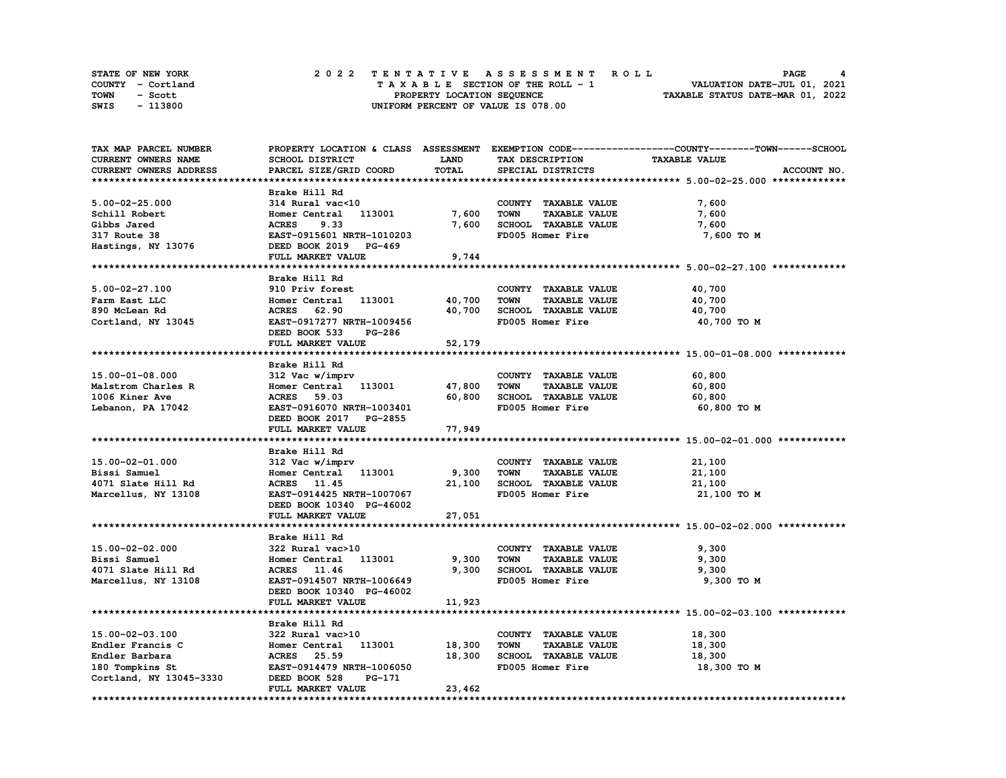| STATE OF NEW YORK | 2022 TENTATIVE ASSESSMENT ROLL     | <b>PAGE</b>                      |
|-------------------|------------------------------------|----------------------------------|
| COUNTY - Cortland | TAXABLE SECTION OF THE ROLL - 1    | VALUATION DATE-JUL 01, 2021      |
| TOWN<br>- Scott   | PROPERTY LOCATION SEQUENCE         | TAXABLE STATUS DATE-MAR 01, 2022 |
| SWIS<br>- 113800  | UNIFORM PERCENT OF VALUE IS 078.00 |                                  |

| TAX MAP PARCEL NUMBER   |                                |             |                                     | PROPERTY LOCATION & CLASS ASSESSMENT EXEMPTION CODE----------------COUNTY-------TOWN------SCHOOL |
|-------------------------|--------------------------------|-------------|-------------------------------------|--------------------------------------------------------------------------------------------------|
| CURRENT OWNERS NAME     | SCHOOL DISTRICT                | <b>LAND</b> | TAX DESCRIPTION                     | <b>TAXABLE VALUE</b>                                                                             |
| CURRENT OWNERS ADDRESS  | PARCEL SIZE/GRID COORD         | TOTAL       | SPECIAL DISTRICTS                   | ACCOUNT NO.                                                                                      |
|                         |                                |             |                                     |                                                                                                  |
|                         |                                |             |                                     |                                                                                                  |
|                         | Brake Hill Rd                  |             |                                     |                                                                                                  |
| $5.00 - 02 - 25.000$    | 314 Rural vac<10               |             | COUNTY TAXABLE VALUE                | 7,600                                                                                            |
| Schill Robert           | 113001<br>Homer Central        | 7,600       | <b>TAXABLE VALUE</b><br><b>TOWN</b> | 7,600                                                                                            |
| Gibbs Jared             | <b>ACRES</b><br>9.33           | 7,600       | SCHOOL TAXABLE VALUE                | 7,600                                                                                            |
| 317 Route 38            | EAST-0915601 NRTH-1010203      |             | FD005 Homer Fire                    | 7,600 TO M                                                                                       |
| Hastings, NY 13076      | DEED BOOK 2019 PG-469          |             |                                     |                                                                                                  |
|                         | FULL MARKET VALUE              | 9,744       |                                     |                                                                                                  |
|                         |                                |             |                                     |                                                                                                  |
|                         |                                |             |                                     |                                                                                                  |
|                         | Brake Hill Rd                  |             |                                     |                                                                                                  |
| $5.00 - 02 - 27.100$    | 910 Priv forest                |             | COUNTY TAXABLE VALUE                | 40,700                                                                                           |
| Farm East LLC           | 113001<br>Homer Central        | 40,700      | <b>TAXABLE VALUE</b><br><b>TOWN</b> | 40,700                                                                                           |
| 890 McLean Rd           | 62.90<br><b>ACRES</b>          | 40,700      | SCHOOL TAXABLE VALUE                | 40,700                                                                                           |
| Cortland, NY 13045      | EAST-0917277 NRTH-1009456      |             | FD005 Homer Fire                    | 40,700 TO M                                                                                      |
|                         |                                |             |                                     |                                                                                                  |
|                         | DEED BOOK 533<br><b>PG-286</b> |             |                                     |                                                                                                  |
|                         | FULL MARKET VALUE              | 52,179      |                                     |                                                                                                  |
|                         |                                |             |                                     |                                                                                                  |
|                         | Brake Hill Rd                  |             |                                     |                                                                                                  |
| 15.00-01-08.000         | 312 Vac w/imprv                |             | COUNTY TAXABLE VALUE                | 60,800                                                                                           |
| Malstrom Charles R      | Homer Central 113001           | 47,800      | <b>TOWN</b><br><b>TAXABLE VALUE</b> | 60,800                                                                                           |
|                         | ACRES 59.03                    | 60,800      | SCHOOL TAXABLE VALUE                | 60,800                                                                                           |
| 1006 Kiner Ave          |                                |             |                                     |                                                                                                  |
| Lebanon, PA 17042       | EAST-0916070 NRTH-1003401      |             | FD005 Homer Fire                    | 60,800 TO M                                                                                      |
|                         | DEED BOOK 2017 PG-2855         |             |                                     |                                                                                                  |
|                         | FULL MARKET VALUE              | 77,949      |                                     |                                                                                                  |
|                         |                                |             |                                     |                                                                                                  |
|                         | Brake Hill Rd                  |             |                                     |                                                                                                  |
| 15.00-02-01.000         | 312 Vac w/imprv                |             | COUNTY TAXABLE VALUE                | 21,100                                                                                           |
|                         |                                |             | <b>TOWN</b>                         |                                                                                                  |
| Bissi Samuel            | Homer Central 113001           | 9,300       | <b>TAXABLE VALUE</b>                | 21,100                                                                                           |
| 4071 Slate Hill Rd      | ACRES 11.45                    | 21,100      | SCHOOL TAXABLE VALUE                | 21,100                                                                                           |
| Marcellus, NY 13108     | EAST-0914425 NRTH-1007067      |             | FD005 Homer Fire                    | 21,100 TO M                                                                                      |
|                         | DEED BOOK 10340 PG-46002       |             |                                     |                                                                                                  |
|                         | FULL MARKET VALUE              | 27,051      |                                     |                                                                                                  |
|                         |                                |             |                                     |                                                                                                  |
|                         | Brake Hill Rd                  |             |                                     |                                                                                                  |
|                         |                                |             |                                     |                                                                                                  |
| 15.00-02-02.000         | 322 Rural vac>10               |             | COUNTY TAXABLE VALUE                | 9,300                                                                                            |
| Bissi Samuel            | 113001<br>Homer Central        | 9,300       | <b>TOWN</b><br><b>TAXABLE VALUE</b> | 9,300                                                                                            |
| 4071 Slate Hill Rd      | ACRES 11.46                    | 9,300       | SCHOOL TAXABLE VALUE                | 9,300                                                                                            |
| Marcellus, NY 13108     | EAST-0914507 NRTH-1006649      |             | FD005 Homer Fire                    | 9,300 TO M                                                                                       |
|                         | DEED BOOK 10340 PG-46002       |             |                                     |                                                                                                  |
|                         | FULL MARKET VALUE              | 11,923      |                                     |                                                                                                  |
|                         |                                |             |                                     |                                                                                                  |
|                         |                                |             |                                     |                                                                                                  |
|                         | Brake Hill Rd                  |             |                                     |                                                                                                  |
| 15.00-02-03.100         | 322 Rural vac>10               |             | COUNTY TAXABLE VALUE                | 18,300                                                                                           |
| Endler Francis C        | Homer Central<br>113001        | 18,300      | <b>TOWN</b><br><b>TAXABLE VALUE</b> | 18,300                                                                                           |
| Endler Barbara          | <b>ACRES</b> 25.59             | 18,300      | <b>SCHOOL TAXABLE VALUE</b>         | 18,300                                                                                           |
| 180 Tompkins St         | EAST-0914479 NRTH-1006050      |             | FD005 Homer Fire                    | 18,300 TO M                                                                                      |
|                         |                                |             |                                     |                                                                                                  |
| Cortland, NY 13045-3330 | DEED BOOK 528<br>PG-171        |             |                                     |                                                                                                  |
|                         | FULL MARKET VALUE              | 23,462      |                                     |                                                                                                  |
| **************          |                                |             |                                     |                                                                                                  |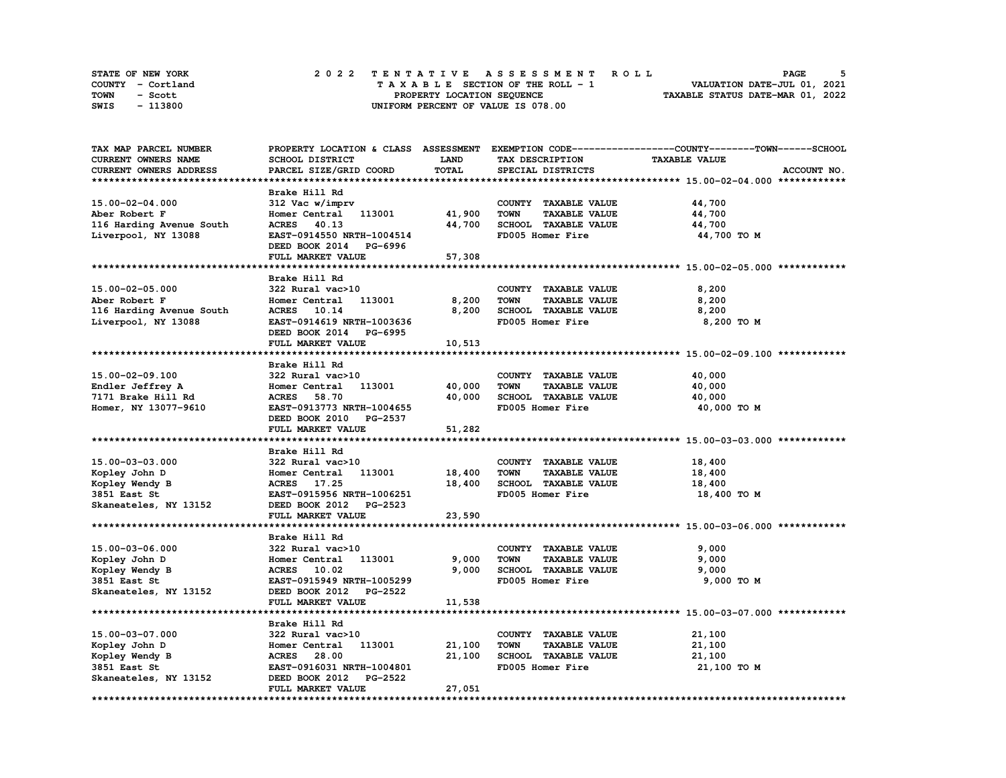| STATE OF NEW YORK | 2022 TENTATIVE ASSESSMENT ROLL     | PAGE                             |
|-------------------|------------------------------------|----------------------------------|
| COUNTY - Cortland | TAXABLE SECTION OF THE ROLL - 1    | VALUATION DATE-JUL 01, 2021      |
| TOWN<br>- Scott   | PROPERTY LOCATION SEQUENCE         | TAXABLE STATUS DATE-MAR 01, 2022 |
| - 113800<br>SWIS  | UNIFORM PERCENT OF VALUE IS 078.00 |                                  |

| TAX MAP PARCEL NUMBER    |                                  |             |                                     | PROPERTY LOCATION & CLASS ASSESSMENT EXEMPTION CODE-----------------COUNTY-------TOWN-----SCHOOL |
|--------------------------|----------------------------------|-------------|-------------------------------------|--------------------------------------------------------------------------------------------------|
| CURRENT OWNERS NAME      | SCHOOL DISTRICT                  | <b>LAND</b> | TAX DESCRIPTION                     | <b>TAXABLE VALUE</b>                                                                             |
| CURRENT OWNERS ADDRESS   | PARCEL SIZE/GRID COORD           | TOTAL       | SPECIAL DISTRICTS                   | ACCOUNT NO.                                                                                      |
|                          |                                  |             |                                     |                                                                                                  |
|                          | Brake Hill Rd                    |             |                                     |                                                                                                  |
| 15.00-02-04.000          | 312 Vac w/imprv                  |             | COUNTY TAXABLE VALUE                | 44,700                                                                                           |
|                          |                                  |             | <b>TOWN</b>                         |                                                                                                  |
| Aber Robert F            | Homer Central<br>113001          | 41,900      | <b>TAXABLE VALUE</b>                | 44,700                                                                                           |
| 116 Harding Avenue South | <b>ACRES</b><br>40.13            | 44,700      | SCHOOL TAXABLE VALUE                | 44,700                                                                                           |
| Liverpool, NY 13088      | EAST-0914550 NRTH-1004514        |             | FD005 Homer Fire                    | 44,700 TO M                                                                                      |
|                          | DEED BOOK 2014<br>PG-6996        |             |                                     |                                                                                                  |
|                          | FULL MARKET VALUE                | 57,308      |                                     |                                                                                                  |
|                          |                                  |             |                                     |                                                                                                  |
|                          | Brake Hill Rd                    |             |                                     |                                                                                                  |
| 15.00-02-05.000          | 322 Rural vac>10                 |             | COUNTY TAXABLE VALUE                | 8,200                                                                                            |
| Aber Robert F            | 113001<br>Homer Central          | 8,200       | <b>TOWN</b><br><b>TAXABLE VALUE</b> | 8,200                                                                                            |
| 116 Harding Avenue South | ACRES 10.14                      | 8,200       | SCHOOL TAXABLE VALUE                | 8,200                                                                                            |
| Liverpool, NY 13088      | EAST-0914619 NRTH-1003636        |             | FD005 Homer Fire                    | 8,200 TO M                                                                                       |
|                          |                                  |             |                                     |                                                                                                  |
|                          | DEED BOOK 2014 PG-6995           |             |                                     |                                                                                                  |
|                          | FULL MARKET VALUE                | 10,513      |                                     |                                                                                                  |
|                          |                                  |             |                                     |                                                                                                  |
|                          | Brake Hill Rd                    |             |                                     |                                                                                                  |
| 15.00-02-09.100          | 322 Rural vac>10                 |             | COUNTY TAXABLE VALUE                | 40,000                                                                                           |
| Endler Jeffrey A         | 113001<br>Homer Central          | 40,000      | <b>TOWN</b><br><b>TAXABLE VALUE</b> | 40,000                                                                                           |
| 7171 Brake Hill Rd       | <b>ACRES</b> 58.70               | 40,000      | SCHOOL TAXABLE VALUE                | 40,000                                                                                           |
| Homer, NY 13077-9610     | EAST-0913773 NRTH-1004655        |             | FD005 Homer Fire                    | 40,000 TO M                                                                                      |
|                          | DEED BOOK 2010 PG-2537           |             |                                     |                                                                                                  |
|                          | FULL MARKET VALUE                | 51,282      |                                     |                                                                                                  |
|                          |                                  |             |                                     |                                                                                                  |
|                          | Brake Hill Rd                    |             |                                     |                                                                                                  |
| 15.00-03-03.000          | 322 Rural vac>10                 |             | COUNTY TAXABLE VALUE                | 18,400                                                                                           |
|                          | 113001                           | 18,400      | <b>TOWN</b><br><b>TAXABLE VALUE</b> |                                                                                                  |
| Kopley John D            | Homer Central                    |             |                                     | 18,400                                                                                           |
| Kopley Wendy B           | ACRES 17.25                      | 18,400      | SCHOOL TAXABLE VALUE                | 18,400                                                                                           |
| 3851 East St             | EAST-0915956 NRTH-1006251        |             | FD005 Homer Fire                    | 18,400 TO M                                                                                      |
| Skaneateles, NY 13152    | DEED BOOK 2012<br>PG-2523        |             |                                     |                                                                                                  |
|                          | FULL MARKET VALUE                | 23,590      |                                     |                                                                                                  |
|                          |                                  |             |                                     |                                                                                                  |
|                          | Brake Hill Rd                    |             |                                     |                                                                                                  |
| 15.00-03-06.000          | 322 Rural vac>10                 |             | COUNTY TAXABLE VALUE                | 9,000                                                                                            |
| Kopley John D            | Homer Central<br>113001          | 9,000       | <b>TOWN</b><br><b>TAXABLE VALUE</b> | 9,000                                                                                            |
| Kopley Wendy B           | ACRES 10.02                      | 9,000       | <b>SCHOOL TAXABLE VALUE</b>         | 9,000                                                                                            |
| 3851 East St             | EAST-0915949 NRTH-1005299        |             | FD005 Homer Fire                    | 9,000 TO M                                                                                       |
| Skaneateles, NY 13152    | DEED BOOK 2012<br><b>PG-2522</b> |             |                                     |                                                                                                  |
|                          | FULL MARKET VALUE                | 11,538      |                                     |                                                                                                  |
|                          |                                  |             |                                     |                                                                                                  |
|                          |                                  |             |                                     |                                                                                                  |
|                          | Brake Hill Rd                    |             |                                     |                                                                                                  |
| 15.00-03-07.000          | 322 Rural vac>10                 |             | COUNTY TAXABLE VALUE                | 21,100                                                                                           |
| Kopley John D            | 113001<br>Homer Central          | 21,100      | <b>TOWN</b><br><b>TAXABLE VALUE</b> | 21,100                                                                                           |
| Kopley Wendy B           | <b>ACRES</b> 28.00               | 21,100      | <b>SCHOOL TAXABLE VALUE</b>         | 21,100                                                                                           |
| 3851 East St             | EAST-0916031 NRTH-1004801        |             | FD005 Homer Fire                    | 21,100 TO M                                                                                      |
| Skaneateles, NY 13152    | DEED BOOK 2012<br><b>PG-2522</b> |             |                                     |                                                                                                  |
|                          | FULL MARKET VALUE                | 27,051      |                                     |                                                                                                  |
| ***********              |                                  |             |                                     |                                                                                                  |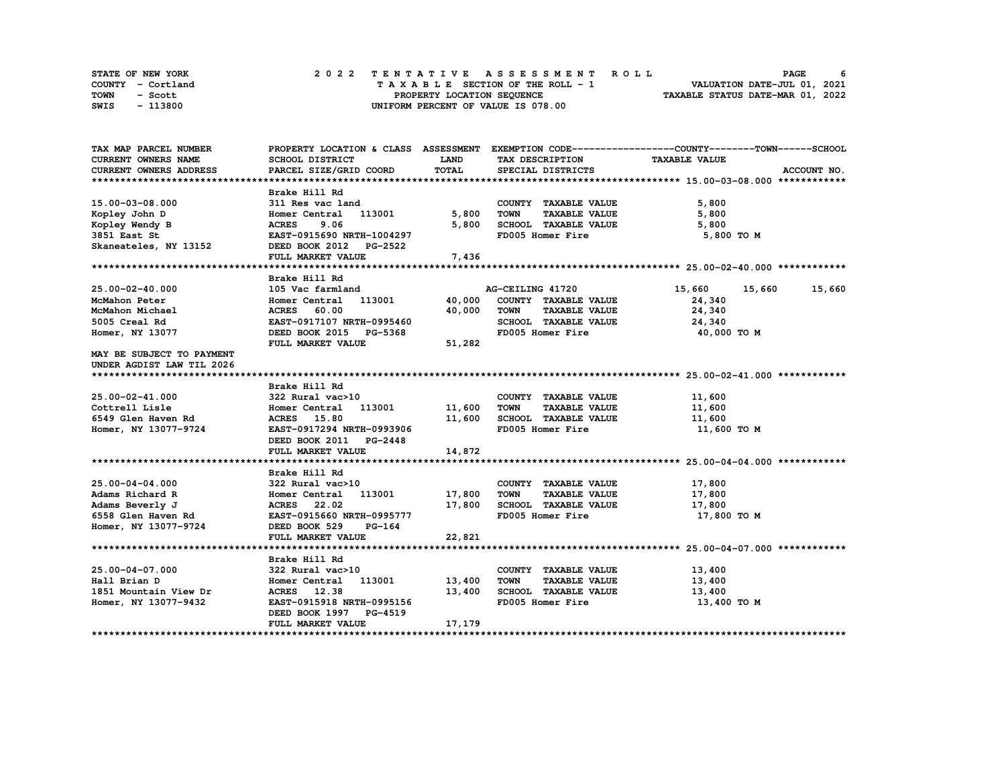| STATE OF NEW YORK | 2022 TENTATIVE ASSESSMENT ROLL     | -6<br><b>PAGE</b>                |
|-------------------|------------------------------------|----------------------------------|
| COUNTY - Cortland | TAXABLE SECTION OF THE ROLL - 1    | VALUATION DATE-JUL 01, 2021      |
| TOWN<br>- Scott   | PROPERTY LOCATION SEQUENCE         | TAXABLE STATUS DATE-MAR 01, 2022 |
| - 113800<br>SWIS  | UNIFORM PERCENT OF VALUE IS 078.00 |                                  |

|                                                                                                         | PROPERTY LOCATION & CLASS ASSESSMENT EXEMPTION CODE----------------COUNTY-------TOWN-----SCHOOL |
|---------------------------------------------------------------------------------------------------------|-------------------------------------------------------------------------------------------------|
| <b>CURRENT OWNERS NAME</b><br><b>LAND</b><br>SCHOOL DISTRICT<br>TAX DESCRIPTION<br><b>TAXABLE VALUE</b> |                                                                                                 |
| TOTAL<br><b>CURRENT OWNERS ADDRESS</b><br>PARCEL SIZE/GRID COORD<br>SPECIAL DISTRICTS                   | ACCOUNT NO.                                                                                     |
|                                                                                                         |                                                                                                 |
| Brake Hill Rd                                                                                           |                                                                                                 |
| 15.00-03-08.000<br>311 Res vac land<br>COUNTY TAXABLE VALUE<br>5,800                                    |                                                                                                 |
| Homer Central 113001<br>5,800<br>TOWN<br><b>TAXABLE VALUE</b><br>Kopley John D<br>5,800                 |                                                                                                 |
| 5,800 SCHOOL TAXABLE VALUE<br>Kopley Wendy B<br><b>ACRES</b><br>9.06<br>5,800                           |                                                                                                 |
| EAST-0915690 NRTH-1004297<br>FD005 Homer Fire<br>3851 East St                                           | 5,800 TO M                                                                                      |
| Skaneateles, NY 13152<br>DEED BOOK 2012 PG-2522                                                         |                                                                                                 |
| FULL MARKET VALUE<br>7,436                                                                              |                                                                                                 |
|                                                                                                         |                                                                                                 |
| Brake Hill Rd                                                                                           |                                                                                                 |
| 105 Vac farmland<br>25.00-02-40.000<br>AG-CEILING 41720<br>15,660                                       | 15,660<br>15,660                                                                                |
| Homer Central 113001 40,000<br>COUNTY TAXABLE VALUE<br>24,340<br>McMahon Peter                          |                                                                                                 |
| 60.00<br><b>ACRES</b><br>40,000<br>TOWN<br><b>TAXABLE VALUE</b><br>24,340<br>McMahon Michael            |                                                                                                 |
| EAST-0917107 NRTH-0995460<br>5005 Creal Rd<br>24,340                                                    |                                                                                                 |
| SCHOOL TAXABLE VALUE<br>FD005 Homer Fire<br>DEED BOOK 2015 PG-5368<br>40,000 TO M<br>Homer, NY 13077    |                                                                                                 |
| FULL MARKET VALUE<br>51,282                                                                             |                                                                                                 |
| MAY BE SUBJECT TO PAYMENT                                                                               |                                                                                                 |
| UNDER AGDIST LAW TIL 2026                                                                               |                                                                                                 |
|                                                                                                         |                                                                                                 |
| Brake Hill Rd                                                                                           |                                                                                                 |
| 322 Rural vac>10<br>25.00-02-41.000<br>COUNTY TAXABLE VALUE<br>11,600                                   |                                                                                                 |
| 11,600<br>TOWN<br>TAXABLE VALUE<br>11,600                                                               |                                                                                                 |
| 11,600 SCHOOL TAXABLE VALUE<br>11,600                                                                   |                                                                                                 |
| Homer, NY 13077-9724 EAST-0917294 NRTH-0993906<br>FD005 Homer Fire<br>11,600 TO M                       |                                                                                                 |
| DEED BOOK 2011 PG-2448                                                                                  |                                                                                                 |
| 14,872<br>FULL MARKET VALUE                                                                             |                                                                                                 |
|                                                                                                         |                                                                                                 |
| Brake Hill Rd                                                                                           |                                                                                                 |
| 25.00-04-04.000<br>322 Rural vac>10<br>COUNTY TAXABLE VALUE<br>17,800                                   |                                                                                                 |
| Homer Central 113001 17,800<br>Adams Richard R<br><b>TOWN</b><br><b>TAXABLE VALUE</b>                   |                                                                                                 |
| 17,800<br>ACRES 22.02<br>17,800<br>SCHOOL TAXABLE VALUE                                                 |                                                                                                 |
| Adams Beverly J<br>17,800<br>6558 Glen Haven Rd EAST-0915660 NRTH-0995777                               |                                                                                                 |
| FD005 Homer Fire                                                                                        | 17,800 TO M                                                                                     |
| Homer, NY 13077-9724<br>DEED BOOK 529<br>PG-164                                                         |                                                                                                 |
| 22,821<br>FULL MARKET VALUE                                                                             |                                                                                                 |
| Brake Hill Rd                                                                                           |                                                                                                 |
| 322 Rural vac>10                                                                                        |                                                                                                 |
| 25.00-04-07.000<br>COUNTY TAXABLE VALUE<br>13,400<br>Hall Brian D<br><b>TOWN</b>                        |                                                                                                 |
| Homer Central 113001 13,400<br><b>TAXABLE VALUE</b><br>13,400                                           |                                                                                                 |
| 13,400 SCHOOL TAXABLE VALUE<br>FD005 Homer Fire<br>1851 Mountain View Dr<br>ACRES 12.38<br>13,400       |                                                                                                 |
| EAST-0915918 NRTH-0995156<br>Homer, NY 13077-9432                                                       | 13,400 TO M                                                                                     |
| DEED BOOK 1997 PG-4519                                                                                  |                                                                                                 |
| 17,179<br>FULL MARKET VALUE                                                                             |                                                                                                 |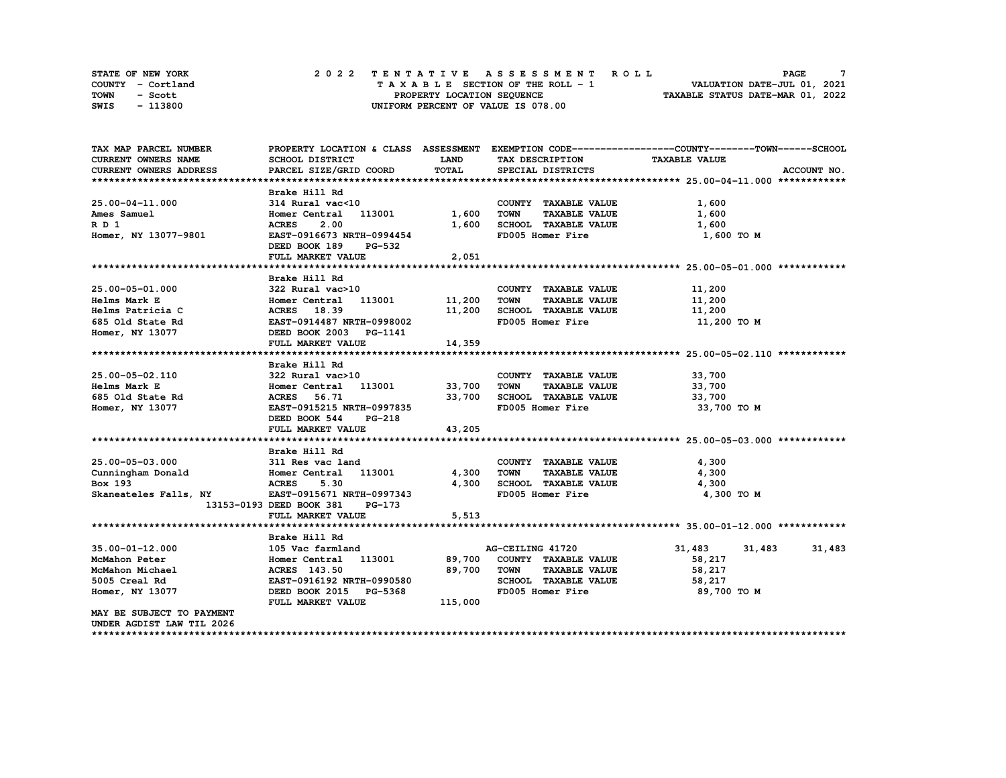| STATE OF NEW YORK | 2022 TENTATIVE ASSESSMENT ROLL     | PAGE                             |
|-------------------|------------------------------------|----------------------------------|
| COUNTY - Cortland | TAXABLE SECTION OF THE ROLL - 1    | VALUATION DATE-JUL 01, 2021      |
| TOWN<br>- Scott   | PROPERTY LOCATION SEOUENCE         | TAXABLE STATUS DATE-MAR 01, 2022 |
| - 113800<br>SWIS  | UNIFORM PERCENT OF VALUE IS 078.00 |                                  |

| TAX MAP PARCEL NUMBER         |                                                                                                |             |                                     | PROPERTY LOCATION & CLASS ASSESSMENT EXEMPTION CODE----------------COUNTY-------TOWN-----SCHOOL |             |
|-------------------------------|------------------------------------------------------------------------------------------------|-------------|-------------------------------------|-------------------------------------------------------------------------------------------------|-------------|
| CURRENT OWNERS NAME           | SCHOOL DISTRICT                                                                                | <b>LAND</b> | TAX DESCRIPTION                     | <b>TAXABLE VALUE</b>                                                                            |             |
| <b>CURRENT OWNERS ADDRESS</b> | PARCEL SIZE/GRID COORD                                                                         | TOTAL       | SPECIAL DISTRICTS                   |                                                                                                 | ACCOUNT NO. |
|                               |                                                                                                |             |                                     |                                                                                                 |             |
|                               | Brake Hill Rd                                                                                  |             |                                     |                                                                                                 |             |
| 25.00-04-11.000               | 314 Rural vac<10                                                                               |             | COUNTY TAXABLE VALUE                | 1,600                                                                                           |             |
| Ames Samuel                   | Homer Central 113001 1,600                                                                     |             | <b>TOWN</b><br><b>TAXABLE VALUE</b> | 1,600                                                                                           |             |
| R D 1                         | <b>ACRES</b><br>2.00                                                                           | 1,600       | SCHOOL TAXABLE VALUE                | 1,600                                                                                           |             |
| Homer, NY 13077-9801          | EAST-0916673 NRTH-0994454                                                                      |             | FD005 Homer Fire                    | 1,600 TO M                                                                                      |             |
|                               | DEED BOOK 189<br><b>PG-532</b>                                                                 |             |                                     |                                                                                                 |             |
|                               | FULL MARKET VALUE                                                                              | 2,051       |                                     |                                                                                                 |             |
|                               |                                                                                                |             |                                     |                                                                                                 |             |
|                               | Brake Hill Rd                                                                                  |             |                                     |                                                                                                 |             |
| 25.00-05-01.000               | 322 Rural vac>10                                                                               |             | COUNTY TAXABLE VALUE                |                                                                                                 |             |
| <b>Helms Mark E</b>           |                                                                                                |             | <b>TOWN</b><br><b>TAXABLE VALUE</b> | 11,200<br>11,200                                                                                |             |
| Helms Patricia C              |                                                                                                | 11,200      | SCHOOL TAXABLE VALUE 11,200         |                                                                                                 |             |
| 685 Old State Rd              | ACRES 18.39<br>EAST-0914487 1<br>EAST-0914487 1<br>DEED BOOK 2003<br>EAST-0914487 NRTH-0998002 |             | FD005 Homer Fire                    | 11,200 TO M                                                                                     |             |
| Homer, NY 13077               | DEED BOOK 2003 PG-1141                                                                         |             |                                     |                                                                                                 |             |
|                               | FULL MARKET VALUE                                                                              | 14,359      |                                     |                                                                                                 |             |
|                               |                                                                                                |             |                                     |                                                                                                 |             |
|                               | Brake Hill Rd                                                                                  |             |                                     |                                                                                                 |             |
| 25.00-05-02.110               | 322 Rural vac>10                                                                               |             | COUNTY TAXABLE VALUE                | 33,700                                                                                          |             |
| <b>Helms Mark E</b>           | Homer Central 113001 33,700                                                                    |             | <b>TOWN</b><br><b>TAXABLE VALUE</b> | 33,700                                                                                          |             |
| 685 Old State Rd              | <b>ACRES</b> 56.71                                                                             | 33,700      | SCHOOL TAXABLE VALUE 33,700         |                                                                                                 |             |
| Homer, NY 13077               | EAST-0915215 NRTH-0997835                                                                      |             | FD005 Homer Fire                    | 33,700 TO M                                                                                     |             |
|                               | DEED BOOK 544<br><b>PG-218</b>                                                                 |             |                                     |                                                                                                 |             |
|                               | FULL MARKET VALUE                                                                              | 43,205      |                                     |                                                                                                 |             |
|                               |                                                                                                |             |                                     |                                                                                                 |             |
|                               | Brake Hill Rd                                                                                  |             |                                     |                                                                                                 |             |
| 25.00-05-03.000               | 311 Res vac land                                                                               |             | COUNTY TAXABLE VALUE 4,300          |                                                                                                 |             |
|                               |                                                                                                | 4,300       | TOWN<br><b>TAXABLE VALUE</b>        | 4,300                                                                                           |             |
|                               |                                                                                                | 4,300       | <b>SCHOOL TAXABLE VALUE</b>         | 4,300                                                                                           |             |
| Skaneateles Falls, NY         | EAST-0915671 NRTH-0997343                                                                      |             | FD005 Homer Fire                    | 4,300 TO M                                                                                      |             |
|                               | 13153-0193 DEED BOOK 381<br><b>PG-173</b>                                                      |             |                                     |                                                                                                 |             |
|                               | FULL MARKET VALUE                                                                              | 5,513       |                                     |                                                                                                 |             |
|                               |                                                                                                |             |                                     |                                                                                                 |             |
|                               | Brake Hill Rd                                                                                  |             |                                     |                                                                                                 |             |
| $35.00 - 01 - 12.000$         | 105 Vac farmland                                                                               |             | AG-CEILING 41720                    | 31,483<br>31,483                                                                                | 31,483      |
| McMahon Peter                 | Homer Central 113001 89,700                                                                    |             | COUNTY TAXABLE VALUE                | 58,217                                                                                          |             |
| McMahon Michael               | ACRES 143.50                                                                                   | 89,700      | TOWN<br><b>TAXABLE VALUE</b>        | 58,217                                                                                          |             |
| 5005 Creal Rd                 | EAST-0916192 NRTH-0990580                                                                      |             | SCHOOL TAXABLE VALUE 58,217         |                                                                                                 |             |
| Homer, NY 13077               | DEED BOOK 2015 PG-5368                                                                         |             | FD005 Homer Fire                    | 89,700 TO M                                                                                     |             |
|                               | FULL MARKET VALUE                                                                              | 115,000     |                                     |                                                                                                 |             |
| MAY BE SUBJECT TO PAYMENT     |                                                                                                |             |                                     |                                                                                                 |             |
| UNDER AGDIST LAW TIL 2026     |                                                                                                |             |                                     |                                                                                                 |             |
|                               |                                                                                                |             |                                     |                                                                                                 |             |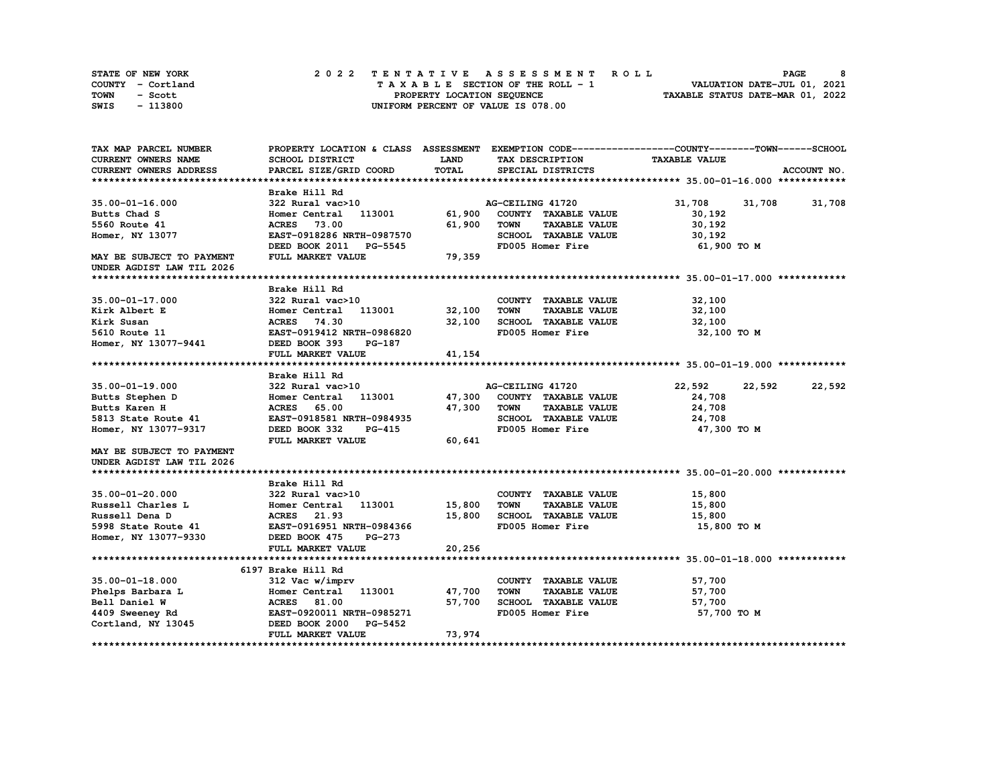| STATE OF NEW YORK | 2022 TENTATIVE ASSESSMENT ROLL     | PAGE                             |
|-------------------|------------------------------------|----------------------------------|
| COUNTY - Cortland | TAXABLE SECTION OF THE ROLL - 1    | VALUATION DATE-JUL 01, 2021      |
| TOWN<br>- Scott   | PROPERTY LOCATION SEOUENCE         | TAXABLE STATUS DATE-MAR 01, 2022 |
| - 113800<br>SWIS  | UNIFORM PERCENT OF VALUE IS 078.00 |                                  |

| TAX MAP PARCEL NUMBER                 | PROPERTY LOCATION & CLASS ASSESSMENT EXEMPTION CODE----------------COUNTY-------TOWN-----SCHOOL |        |                                     |                      |               |
|---------------------------------------|-------------------------------------------------------------------------------------------------|--------|-------------------------------------|----------------------|---------------|
| CURRENT OWNERS NAME                   | SCHOOL DISTRICT                                                                                 | LAND   | TAX DESCRIPTION                     | <b>TAXABLE VALUE</b> |               |
| CURRENT OWNERS ADDRESS                | PARCEL SIZE/GRID COORD                                                                          | TOTAL  | SPECIAL DISTRICTS                   |                      | ACCOUNT NO.   |
|                                       |                                                                                                 |        |                                     |                      |               |
|                                       | Brake Hill Rd                                                                                   |        |                                     |                      |               |
| 35.00-01-16.000                       | 322 Rural vac>10                                                                                |        | AG-CEILING 41720                    | 31,708               | 31,708 31,708 |
| Butts Chad S                          | 113001 61,900<br>Homer Central                                                                  |        | COUNTY TAXABLE VALUE                | 30,192               |               |
| 5560 Route 41                         | <b>ACRES</b> 73.00                                                                              | 61,900 | <b>TOWN</b><br><b>TAXABLE VALUE</b> | 30,192               |               |
| Homer, NY 13077                       | EAST-0918286 NRTH-0987570                                                                       |        | SCHOOL TAXABLE VALUE                | 30,192               |               |
|                                       | DEED BOOK 2011 PG-5545                                                                          |        | FD005 Homer Fire                    | 61,900 то м          |               |
| MAY BE SUBJECT TO PAYMENT             | FULL MARKET VALUE                                                                               | 79,359 |                                     |                      |               |
| UNDER AGDIST LAW TIL 2026             |                                                                                                 |        |                                     |                      |               |
|                                       |                                                                                                 |        |                                     |                      |               |
|                                       | Brake Hill Rd                                                                                   |        |                                     |                      |               |
| $35.00 - 01 - 17.000$                 | 322 Rural vac>10                                                                                |        | COUNTY TAXABLE VALUE                | 32,100               |               |
| Kirk Albert E                         | Homer Central 113001                                                                            | 32,100 | <b>TOWN</b><br><b>TAXABLE VALUE</b> | 32,100               |               |
| Kirk Susan                            | ACRES 74.30                                                                                     | 32,100 | SCHOOL TAXABLE VALUE                | 32,100               |               |
| 5610 Route 11                         | EAST-0919412 NRTH-0986820                                                                       |        | FD005 Homer Fire                    | 32,100 то м          |               |
| Homer, NY 13077-9441                  | DEED BOOK 393<br>PG-187                                                                         |        |                                     |                      |               |
|                                       | FULL MARKET VALUE                                                                               | 41,154 |                                     |                      |               |
|                                       |                                                                                                 |        |                                     |                      |               |
|                                       | Brake Hill Rd                                                                                   |        |                                     |                      |               |
| 35.00-01-19.000                       | 322 Rural vac>10                                                                                |        | AG-CEILING 41720                    | 22,592<br>22,592     | 22,592        |
| Butts Stephen D                       | Homer Central 113001                                                                            | 47,300 | COUNTY TAXABLE VALUE                | 24,708               |               |
| Butts Karen H                         | <b>ACRES</b> 65.00                                                                              | 47,300 | <b>TOWN</b><br><b>TAXABLE VALUE</b> | 24,708               |               |
| 5813 State Route 41                   | EAST-0918581 NRTH-0984935                                                                       |        | SCHOOL TAXABLE VALUE                | 24,708               |               |
| Homer, NY 13077-9317                  | DEED BOOK 332<br>PG-415                                                                         |        | FD005 Homer Fire                    | 47,300 TO M          |               |
|                                       | FULL MARKET VALUE                                                                               | 60,641 |                                     |                      |               |
| MAY BE SUBJECT TO PAYMENT             |                                                                                                 |        |                                     |                      |               |
| UNDER AGDIST LAW TIL 2026             |                                                                                                 |        |                                     |                      |               |
|                                       |                                                                                                 |        |                                     |                      |               |
|                                       | Brake Hill Rd                                                                                   |        |                                     |                      |               |
| 35.00-01-20.000                       | 322 Rural vac>10                                                                                |        | COUNTY TAXABLE VALUE                | 15,800               |               |
| Russell Charles L                     | Homer Central 113001                                                                            | 15,800 | TOWN<br><b>TAXABLE VALUE</b>        | 15,800               |               |
| Russell Dena D                        | ACRES 21.93                                                                                     | 15,800 | SCHOOL TAXABLE VALUE                | 15,800               |               |
| 5998 State Route 41                   | EAST-0916951 NRTH-0984366                                                                       |        | FD005 Homer Fire                    | 15,800 TO M          |               |
| Homer, NY 13077-9330                  | DEED BOOK 475<br>$PG-273$                                                                       |        |                                     |                      |               |
|                                       | FULL MARKET VALUE                                                                               | 20,256 |                                     |                      |               |
|                                       |                                                                                                 |        |                                     |                      |               |
|                                       | 6197 Brake Hill Rd                                                                              |        |                                     |                      |               |
| $35.00 - 01 - 18.000$                 | 312 Vac w/imprv                                                                                 |        | COUNTY TAXABLE VALUE                | 57,700               |               |
| Phelps Barbara L                      | Homer Central 113001                                                                            | 47,700 | <b>TOWN</b><br><b>TAXABLE VALUE</b> | 57,700               |               |
| Bell Daniel W                         |                                                                                                 | 57,700 | SCHOOL TAXABLE VALUE                | 57,700               |               |
|                                       | <b>ACRES 81.00<br/>EAST-0920011 NRTH-0985271</b>                                                |        | FD005 Homer Fire                    | 57,700 TO M          |               |
| 4409 Sweeney Rd<br>Cortland, NY 13045 | DEED BOOK 2000<br><b>PG-5452</b>                                                                |        |                                     |                      |               |
|                                       | FULL MARKET VALUE                                                                               | 73,974 |                                     |                      |               |
|                                       |                                                                                                 |        |                                     |                      |               |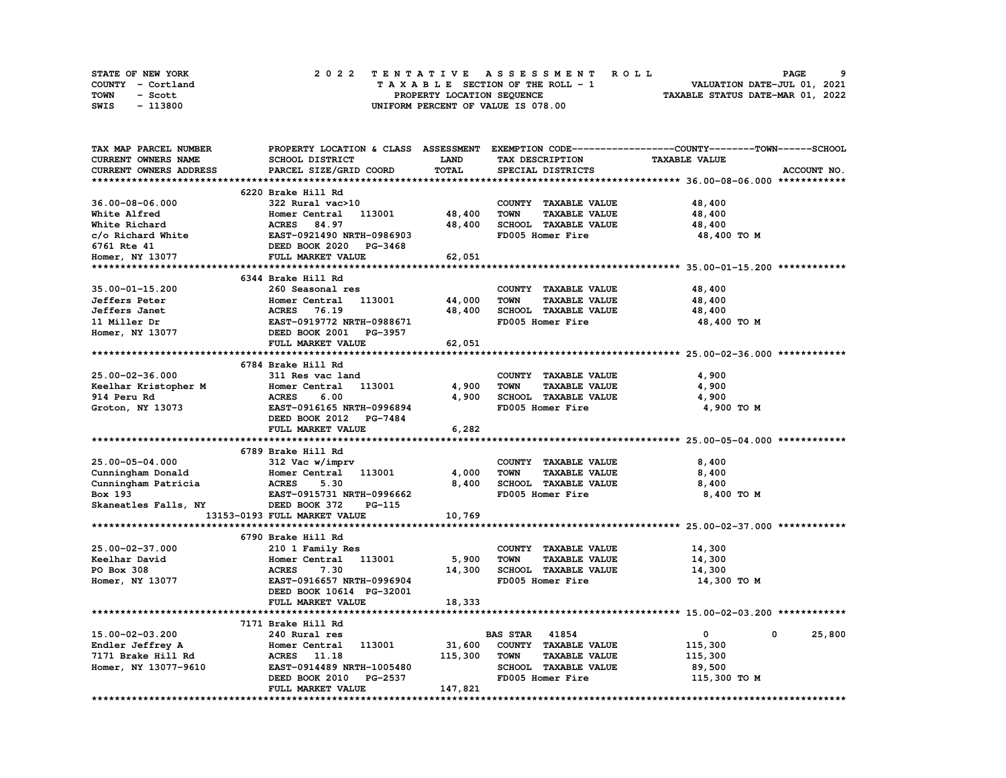| STATE OF NEW YORK | 2022 TENTATIVE ASSESSMENT ROLL     | -9<br><b>PAGE</b>                |
|-------------------|------------------------------------|----------------------------------|
| COUNTY - Cortland | TAXABLE SECTION OF THE ROLL - 1    | VALUATION DATE-JUL 01, 2021      |
| TOWN<br>- Scott   | PROPERTY LOCATION SEQUENCE         | TAXABLE STATUS DATE-MAR 01, 2022 |
| - 113800<br>SWIS  | UNIFORM PERCENT OF VALUE IS 078.00 |                                  |

| TAX MAP PARCEL NUMBER      |                                                                      |             |                                     | PROPERTY LOCATION & CLASS ASSESSMENT EXEMPTION CODE----------------COUNTY-------TOWN-----SCHOOL |
|----------------------------|----------------------------------------------------------------------|-------------|-------------------------------------|-------------------------------------------------------------------------------------------------|
| <b>CURRENT OWNERS NAME</b> | SCHOOL DISTRICT                                                      | <b>LAND</b> | TAX DESCRIPTION                     | <b>TAXABLE VALUE</b>                                                                            |
| CURRENT OWNERS ADDRESS     | PARCEL SIZE/GRID COORD                                               | TOTAL       | SPECIAL DISTRICTS                   | ACCOUNT NO.                                                                                     |
|                            |                                                                      |             |                                     |                                                                                                 |
|                            | 6220 Brake Hill Rd                                                   |             |                                     |                                                                                                 |
| 36.00-08-06.000            | 322 Rural vac>10                                                     |             | COUNTY TAXABLE VALUE                | 48,400                                                                                          |
| White Alfred               | 113001<br>Homer Central                                              | 48,400      | <b>TAXABLE VALUE</b><br><b>TOWN</b> | 48,400                                                                                          |
| White Richard              | <b>ACRES</b><br>84.97                                                | 48,400      | SCHOOL TAXABLE VALUE                | 48,400                                                                                          |
| c/o Richard White          | EAST-0921490 NRTH-0986903                                            |             | FD005 Homer Fire                    | 48,400 TO M                                                                                     |
| 6761 Rte 41                | DEED BOOK 2020 PG-3468                                               |             |                                     |                                                                                                 |
|                            |                                                                      |             |                                     |                                                                                                 |
| Homer, NY 13077            | FULL MARKET VALUE                                                    | 62,051      |                                     |                                                                                                 |
|                            |                                                                      |             |                                     |                                                                                                 |
|                            | 6344 Brake Hill Rd                                                   |             |                                     |                                                                                                 |
| $35.00 - 01 - 15.200$      | 260 Seasonal res                                                     |             | COUNTY TAXABLE VALUE                | 48,400                                                                                          |
| <b>Jeffers Peter</b>       | Homer Central<br>113001                                              | 44,000      | <b>TOWN</b><br><b>TAXABLE VALUE</b> | 48,400                                                                                          |
| <b>Jeffers Janet</b>       | ACRES 76.19<br><b>ACRES     76.19<br/>EAST-0919772  NRTH-0988671</b> | 48,400      | <b>SCHOOL TAXABLE VALUE</b>         | 48,400                                                                                          |
| 11 Miller Dr               |                                                                      |             | FD005 Homer Fire                    | 48,400 TO M                                                                                     |
| Homer, NY 13077            | DEED BOOK 2001 PG-3957                                               |             |                                     |                                                                                                 |
|                            | FULL MARKET VALUE                                                    | 62,051      |                                     |                                                                                                 |
|                            |                                                                      |             |                                     |                                                                                                 |
|                            | 6784 Brake Hill Rd                                                   |             |                                     |                                                                                                 |
| $25.00 - 02 - 36.000$      | 311 Res vac land                                                     |             | COUNTY TAXABLE VALUE                | 4,900                                                                                           |
| Keelhar Kristopher M       | Homer Central<br>113001                                              | 4,900       | <b>TOWN</b><br><b>TAXABLE VALUE</b> | 4,900                                                                                           |
| 914 Peru Rd                | <b>ACRES</b><br>6.00                                                 | 4,900       | SCHOOL TAXABLE VALUE                | 4,900                                                                                           |
| Groton, NY 13073           | EAST-0916165 NRTH-0996894                                            |             | FD005 Homer Fire                    | 4,900 TO M                                                                                      |
|                            | DEED BOOK 2012 PG-7484                                               |             |                                     |                                                                                                 |
|                            | FULL MARKET VALUE                                                    | 6,282       |                                     |                                                                                                 |
|                            |                                                                      |             |                                     |                                                                                                 |
|                            | 6789 Brake Hill Rd                                                   |             |                                     |                                                                                                 |
| 25.00-05-04.000            | 312 Vac w/imprv                                                      |             | COUNTY TAXABLE VALUE                | 8,400                                                                                           |
| Cunningham Donald          | Homer Central 113001                                                 | 4,000       | <b>TOWN</b><br><b>TAXABLE VALUE</b> | 8,400                                                                                           |
| Cunningham Patricia        | <b>ACRES</b><br>5.30                                                 | 8,400       | SCHOOL TAXABLE VALUE                | 8,400                                                                                           |
| Box 193                    | EAST-0915731 NRTH-0996662                                            |             | FD005 Homer Fire                    | 8,400 TO M                                                                                      |
| Skaneatles Falls, NY       | DEED BOOK 372<br><b>PG-115</b>                                       |             |                                     |                                                                                                 |
|                            | 13153-0193 FULL MARKET VALUE                                         | 10,769      |                                     |                                                                                                 |
|                            |                                                                      |             |                                     |                                                                                                 |
|                            | 6790 Brake Hill Rd                                                   |             |                                     |                                                                                                 |
| 25.00-02-37.000            | 210 1 Family Res                                                     |             | COUNTY TAXABLE VALUE                | 14,300                                                                                          |
| Keelhar David              | Homer Central<br>113001                                              | 5,900       | <b>TOWN</b><br><b>TAXABLE VALUE</b> | 14,300                                                                                          |
| PO Box 308                 | <b>ACRES</b><br>7.30                                                 | 14,300      | <b>SCHOOL TAXABLE VALUE</b>         | 14,300                                                                                          |
|                            |                                                                      |             |                                     |                                                                                                 |
| Homer, NY 13077            | EAST-0916657 NRTH-0996904                                            |             | FD005 Homer Fire                    | 14,300 TO M                                                                                     |
|                            | DEED BOOK 10614 PG-32001                                             |             |                                     |                                                                                                 |
|                            | FULL MARKET VALUE                                                    | 18,333      |                                     |                                                                                                 |
|                            |                                                                      |             |                                     |                                                                                                 |
|                            | 7171 Brake Hill Rd                                                   |             |                                     |                                                                                                 |
| 15.00-02-03.200            | 240 Rural res                                                        |             | <b>BAS STAR 41854</b>               | 0<br>0<br>25,800                                                                                |
| Endler Jeffrey A           | 113001<br>Homer Central                                              | 31,600      | COUNTY TAXABLE VALUE                | 115,300                                                                                         |
| 7171 Brake Hill Rd         | ACRES 11.18                                                          | 115,300     | <b>TOWN</b><br><b>TAXABLE VALUE</b> | 115,300                                                                                         |
| Homer, NY 13077-9610       | EAST-0914489 NRTH-1005480                                            |             | <b>SCHOOL TAXABLE VALUE</b>         | 89,500                                                                                          |
|                            | DEED BOOK 2010<br><b>PG-2537</b>                                     |             | FD005 Homer Fire                    | 115,300 то м                                                                                    |
|                            | FULL MARKET VALUE                                                    | 147,821     |                                     |                                                                                                 |
|                            |                                                                      |             |                                     |                                                                                                 |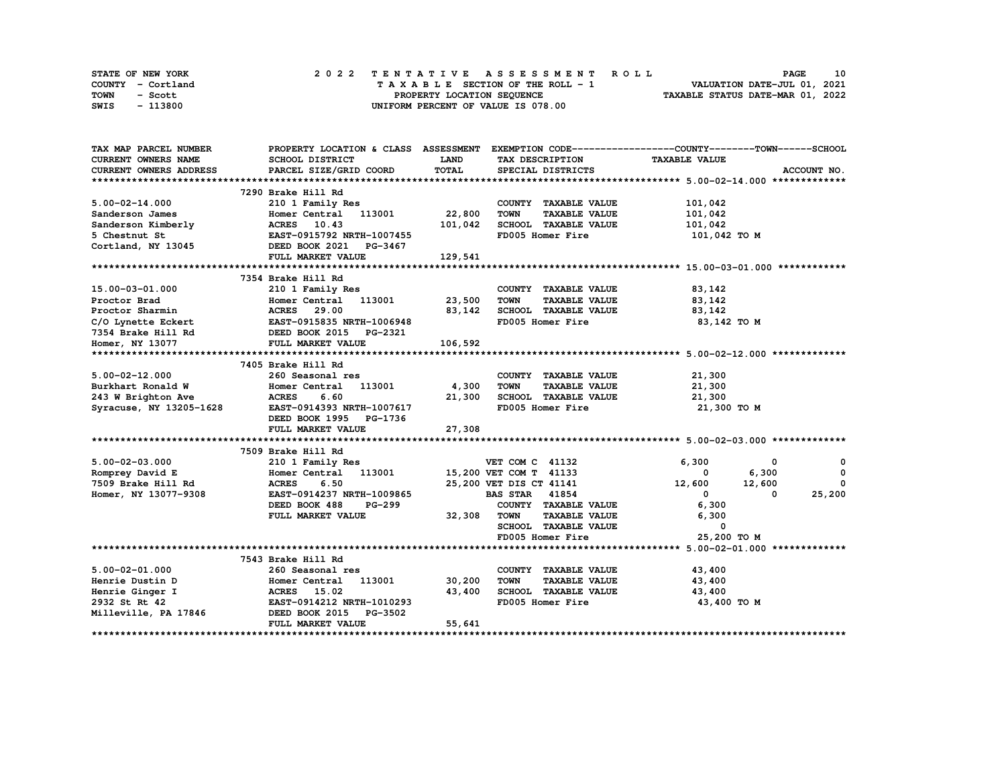| STATE OF NEW YORK | 2022 TENTATIVE ASSESSMENT ROLL          | 10<br><b>PAGE</b>                |
|-------------------|-----------------------------------------|----------------------------------|
| COUNTY - Cortland | $T A X A B L E$ SECTION OF THE ROLL - 1 | VALUATION DATE-JUL 01, 2021      |
| TOWN<br>- Scott   | PROPERTY LOCATION SEQUENCE              | TAXABLE STATUS DATE-MAR 01, 2022 |
| - 113800<br>SWIS  | UNIFORM PERCENT OF VALUE IS 078.00      |                                  |

| TAX MAP PARCEL NUMBER      |                                       |         |                                     | PROPERTY LOCATION & CLASS ASSESSMENT EXEMPTION CODE----------------COUNTY-------TOWN------SCHOOL |
|----------------------------|---------------------------------------|---------|-------------------------------------|--------------------------------------------------------------------------------------------------|
| <b>CURRENT OWNERS NAME</b> | SCHOOL DISTRICT                       | LAND    | TAX DESCRIPTION                     | <b>TAXABLE VALUE</b>                                                                             |
| CURRENT OWNERS ADDRESS     | PARCEL SIZE/GRID COORD                | TOTAL   | SPECIAL DISTRICTS                   | ACCOUNT NO.                                                                                      |
|                            |                                       |         |                                     |                                                                                                  |
|                            | 7290 Brake Hill Rd                    |         |                                     |                                                                                                  |
| $5.00 - 02 - 14.000$       | 210 1 Family Res                      |         | COUNTY TAXABLE VALUE                | 101,042                                                                                          |
| Sanderson James            | Homer Central 113001                  | 22,800  | <b>TOWN</b><br><b>TAXABLE VALUE</b> | 101,042                                                                                          |
| Sanderson Kimberly         | ACRES 10.43                           | 101,042 | SCHOOL TAXABLE VALUE                | 101,042                                                                                          |
| 5 Chestnut St              | <b>EAST-0915792 NRTH-1007455</b>      |         | FD005 Homer Fire                    | 101,042 TO M                                                                                     |
|                            | Cortland, NY 13045 Cortland, NY 13045 |         |                                     |                                                                                                  |
|                            | FULL MARKET VALUE                     | 129,541 |                                     |                                                                                                  |
|                            |                                       |         |                                     |                                                                                                  |
|                            | 7354 Brake Hill Rd                    |         |                                     |                                                                                                  |
| 15.00-03-01.000            | 210 1 Family Res                      |         | COUNTY TAXABLE VALUE                | 83,142                                                                                           |
| Proctor Brad               | Homer Central 113001                  | 23,500  | <b>TOWN</b><br><b>TAXABLE VALUE</b> | 83,142                                                                                           |
|                            |                                       | 83,142  | SCHOOL TAXABLE VALUE                | 83,142                                                                                           |
|                            |                                       |         | FD005 Homer Fire                    | 83,142 TO M                                                                                      |
|                            |                                       |         |                                     |                                                                                                  |
| Homer, NY 13077            | FULL MARKET VALUE                     | 106,592 |                                     |                                                                                                  |
|                            |                                       |         |                                     |                                                                                                  |
|                            | 7405 Brake Hill Rd                    |         |                                     |                                                                                                  |
| $5.00 - 02 - 12.000$       | 260 Seasonal res                      |         | COUNTY TAXABLE VALUE                | 21,300                                                                                           |
| Burkhart Ronald W          | Homer Central 113001                  | 4,300   | <b>TAXABLE VALUE</b><br>TOWN        | 21,300                                                                                           |
| 243 W Brighton Ave         | <b>ACRES</b><br>6.60                  | 21,300  | SCHOOL TAXABLE VALUE                | 21,300                                                                                           |
| Syracuse, NY 13205-1628    | EAST-0914393 NRTH-1007617             |         | FD005 Homer Fire                    | 21,300 TO M                                                                                      |
|                            | DEED BOOK 1995 PG-1736                |         |                                     |                                                                                                  |
|                            | FULL MARKET VALUE                     | 27,308  |                                     |                                                                                                  |
|                            |                                       |         |                                     |                                                                                                  |
|                            | 7509 Brake Hill Rd                    |         |                                     |                                                                                                  |
| $5.00 - 02 - 03.000$       | 210 1 Family Res                      |         | VET COM C 41132                     | 6,300<br>$\mathbf{o}$<br>0                                                                       |
| Romprey David E            | Homer Central 113001                  |         | 15,200 VET COM T 41133              | $\mathbf 0$<br>0<br>6,300                                                                        |
| 7509 Brake Hill Rd         | 6.50<br><b>ACRES</b>                  |         | 25, 200 VET DIS CT 41141            | $\Omega$<br>12,600<br>12,600                                                                     |
| Homer, NY 13077-9308       | EAST-0914237 NRTH-1009865             |         | <b>BAS STAR</b> 41854               | 25,200<br>0<br>$\mathbf{0}$                                                                      |
|                            | DEED BOOK 488<br><b>PG-299</b>        |         | COUNTY TAXABLE VALUE                | 6,300                                                                                            |
|                            | FULL MARKET VALUE                     | 32,308  | <b>TOWN</b><br><b>TAXABLE VALUE</b> | 6,300                                                                                            |
|                            |                                       |         | SCHOOL TAXABLE VALUE                | 0                                                                                                |
|                            |                                       |         | FD005 Homer Fire                    | 25,200 TO M                                                                                      |
|                            |                                       |         |                                     |                                                                                                  |
|                            | 7543 Brake Hill Rd                    |         |                                     |                                                                                                  |
| $5.00 - 02 - 01.000$       | 260 Seasonal res                      |         | COUNTY TAXABLE VALUE                | 43,400                                                                                           |
| Henrie Dustin D            | 113001<br>Homer Central               | 30,200  | <b>TOWN</b><br><b>TAXABLE VALUE</b> | 43,400                                                                                           |
| Henrie Ginger I            | ACRES 15.02                           | 43,400  | SCHOOL TAXABLE VALUE                | 43,400                                                                                           |
| 2932 St Rt 42              | EAST-0914212 NRTH-1010293             |         | FD005 Homer Fire                    | 43,400 TO M                                                                                      |
| Milleville, PA 17846       | DEED BOOK 2015<br><b>PG-3502</b>      |         |                                     |                                                                                                  |
|                            | FULL MARKET VALUE                     | 55,641  |                                     |                                                                                                  |
|                            |                                       |         |                                     |                                                                                                  |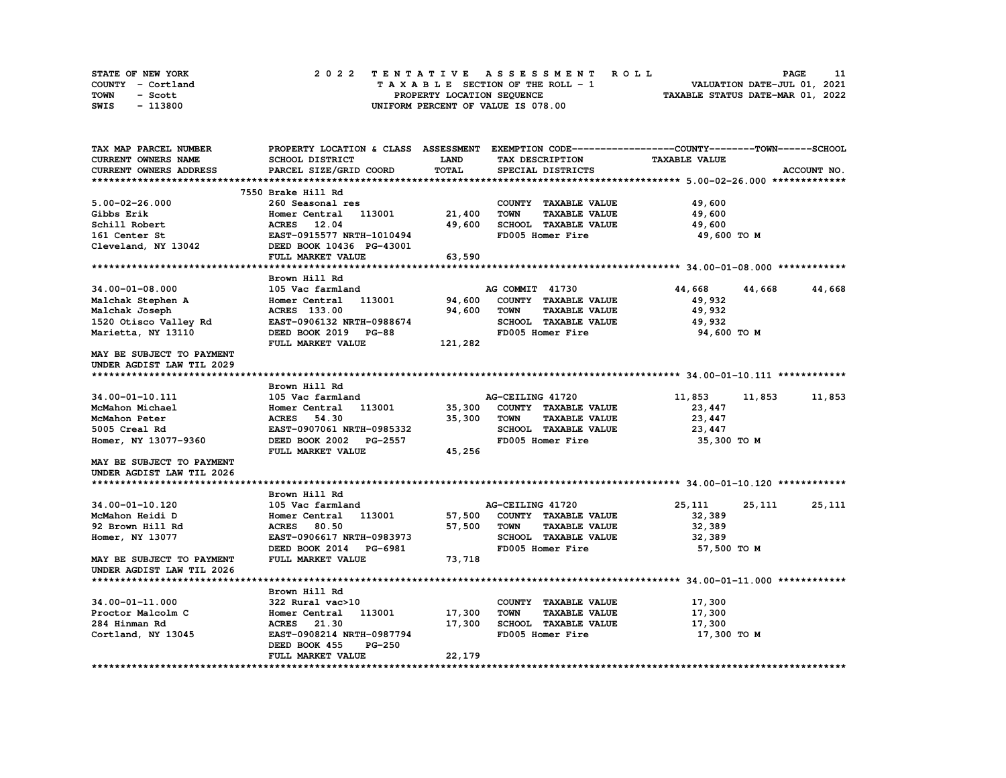| STATE OF NEW YORK | 2022 TENTATIVE ASSESSMENT ROLL     | <b>PAGE</b>                      |
|-------------------|------------------------------------|----------------------------------|
| COUNTY - Cortland | TAXABLE SECTION OF THE ROLL - 1    | VALUATION DATE-JUL 01, 2021      |
| TOWN<br>- Scott   | PROPERTY LOCATION SEQUENCE         | TAXABLE STATUS DATE-MAR 01, 2022 |
| SWIS<br>- 113800  | UNIFORM PERCENT OF VALUE IS 078.00 |                                  |

| <b>CURRENT OWNERS NAME</b><br><b>SCHOOL DISTRICT</b><br><b>LAND</b><br>TAX DESCRIPTION<br><b>TAXABLE VALUE</b><br><b>TOTAL</b><br>CURRENT OWNERS ADDRESS<br>PARCEL SIZE/GRID COORD<br>SPECIAL DISTRICTS<br>ACCOUNT NO.<br>7550 Brake Hill Rd<br>$5.00 - 02 - 26.000$<br>260 Seasonal res<br>COUNTY TAXABLE VALUE<br>49,600<br>Homer Central 113001<br>21,400<br><b>TOWN</b><br><b>TAXABLE VALUE</b><br>49,600<br>Gibbs Erik<br>49,600<br>SCHOOL TAXABLE VALUE<br>Schill Robert<br>ACRES 12.04<br>49,600<br>FD005 Homer Fire<br>161 Center St<br>EAST-0915577 NRTH-1010494<br>49,600 TO M<br>Cleveland, NY 13042<br>DEED BOOK 10436 PG-43001<br>FULL MARKET VALUE<br>63,590<br>Brown Hill Rd<br>44,668<br>AG COMMIT 41730<br>44,668<br>44,668<br>34.00-01-08.000<br>105 Vac farmland<br>Homer Central 113001<br>94,600<br>COUNTY TAXABLE VALUE<br>Malchak Stephen A<br>49,932<br>ACRES 133.00<br>94,600<br><b>TOWN</b><br><b>TAXABLE VALUE</b><br>49,932<br>Malchak Joseph<br>1520 Otisco Valley Rd<br>EAST-0906132 NRTH-0988674<br>SCHOOL TAXABLE VALUE<br>49,932<br>Marietta, NY 13110<br>FD005 Homer Fire<br>94,600 TO M<br>DEED BOOK 2019 PG-88<br>FULL MARKET VALUE<br>121,282<br>MAY BE SUBJECT TO PAYMENT<br>UNDER AGDIST LAW TIL 2029<br>Brown Hill Rd<br>AG-CEILING 41720<br>34.00-01-10.111<br>105 Vac farmland<br>11,853<br>11,853<br>11,853<br>35,300<br>McMahon Michael<br>Homer Central<br>113001<br>COUNTY TAXABLE VALUE<br>23,447<br><b>ACRES</b> 54.30<br>35,300<br>23,447<br>McMahon Peter<br><b>TOWN</b><br><b>TAXABLE VALUE</b><br>EAST-0907061 NRTH-0985332<br>SCHOOL TAXABLE VALUE<br>5005 Creal Rd<br>23,447<br>Homer, NY 13077-9360<br>DEED BOOK 2002 PG-2557<br>FD005 Homer Fire<br>35,300 TO M<br>FULL MARKET VALUE<br>45,256<br>MAY BE SUBJECT TO PAYMENT<br>UNDER AGDIST LAW TIL 2026<br>Brown Hill Rd<br>34.00-01-10.120<br>105 Vac farmland<br>AG-CEILING 41720<br>25,111<br>25,111<br>25,111<br>57,500<br>COUNTY TAXABLE VALUE<br>32,389<br>McMahon Heidi D<br>Homer Central 113001<br>57,500<br>92 Brown Hill Rd<br><b>ACRES</b><br>80.50<br><b>TOWN</b><br><b>TAXABLE VALUE</b><br>32,389<br>EAST-0906617 NRTH-0983973<br>SCHOOL TAXABLE VALUE<br>Homer, NY 13077<br>32,389<br>FD005 Homer Fire<br>DEED BOOK 2014 PG-6981<br>57,500 TO M<br>FULL MARKET VALUE<br>73,718<br>MAY BE SUBJECT TO PAYMENT<br>UNDER AGDIST LAW TIL 2026<br>Brown Hill Rd<br>34.00-01-11.000<br>322 Rural vac>10<br>COUNTY TAXABLE VALUE<br>17,300<br>Proctor Malcolm C<br>113001<br>17,300<br><b>TOWN</b><br><b>TAXABLE VALUE</b><br>Homer Central<br>17,300<br>284 Hinman Rd<br>17,300<br>SCHOOL TAXABLE VALUE<br>ACRES 21.30<br>17,300<br>Cortland, NY 13045<br>EAST-0908214 NRTH-0987794<br>FD005 Homer Fire<br>17,300 то м<br>DEED BOOK 455<br><b>PG-250</b><br>FULL MARKET VALUE<br>22,179 | TAX MAP PARCEL NUMBER | PROPERTY LOCATION & CLASS ASSESSMENT |  | EXEMPTION CODE-----------------COUNTY-------TOWN------SCHOOL |  |
|-----------------------------------------------------------------------------------------------------------------------------------------------------------------------------------------------------------------------------------------------------------------------------------------------------------------------------------------------------------------------------------------------------------------------------------------------------------------------------------------------------------------------------------------------------------------------------------------------------------------------------------------------------------------------------------------------------------------------------------------------------------------------------------------------------------------------------------------------------------------------------------------------------------------------------------------------------------------------------------------------------------------------------------------------------------------------------------------------------------------------------------------------------------------------------------------------------------------------------------------------------------------------------------------------------------------------------------------------------------------------------------------------------------------------------------------------------------------------------------------------------------------------------------------------------------------------------------------------------------------------------------------------------------------------------------------------------------------------------------------------------------------------------------------------------------------------------------------------------------------------------------------------------------------------------------------------------------------------------------------------------------------------------------------------------------------------------------------------------------------------------------------------------------------------------------------------------------------------------------------------------------------------------------------------------------------------------------------------------------------------------------------------------------------------------------------------------------------------------------------------------------------------------------------------------------------------------------------------------------------------------------------------------------------------------------------------------------------------------------------------------------------------------------------------------------|-----------------------|--------------------------------------|--|--------------------------------------------------------------|--|
|                                                                                                                                                                                                                                                                                                                                                                                                                                                                                                                                                                                                                                                                                                                                                                                                                                                                                                                                                                                                                                                                                                                                                                                                                                                                                                                                                                                                                                                                                                                                                                                                                                                                                                                                                                                                                                                                                                                                                                                                                                                                                                                                                                                                                                                                                                                                                                                                                                                                                                                                                                                                                                                                                                                                                                                                           |                       |                                      |  |                                                              |  |
|                                                                                                                                                                                                                                                                                                                                                                                                                                                                                                                                                                                                                                                                                                                                                                                                                                                                                                                                                                                                                                                                                                                                                                                                                                                                                                                                                                                                                                                                                                                                                                                                                                                                                                                                                                                                                                                                                                                                                                                                                                                                                                                                                                                                                                                                                                                                                                                                                                                                                                                                                                                                                                                                                                                                                                                                           |                       |                                      |  |                                                              |  |
|                                                                                                                                                                                                                                                                                                                                                                                                                                                                                                                                                                                                                                                                                                                                                                                                                                                                                                                                                                                                                                                                                                                                                                                                                                                                                                                                                                                                                                                                                                                                                                                                                                                                                                                                                                                                                                                                                                                                                                                                                                                                                                                                                                                                                                                                                                                                                                                                                                                                                                                                                                                                                                                                                                                                                                                                           |                       |                                      |  |                                                              |  |
|                                                                                                                                                                                                                                                                                                                                                                                                                                                                                                                                                                                                                                                                                                                                                                                                                                                                                                                                                                                                                                                                                                                                                                                                                                                                                                                                                                                                                                                                                                                                                                                                                                                                                                                                                                                                                                                                                                                                                                                                                                                                                                                                                                                                                                                                                                                                                                                                                                                                                                                                                                                                                                                                                                                                                                                                           |                       |                                      |  |                                                              |  |
|                                                                                                                                                                                                                                                                                                                                                                                                                                                                                                                                                                                                                                                                                                                                                                                                                                                                                                                                                                                                                                                                                                                                                                                                                                                                                                                                                                                                                                                                                                                                                                                                                                                                                                                                                                                                                                                                                                                                                                                                                                                                                                                                                                                                                                                                                                                                                                                                                                                                                                                                                                                                                                                                                                                                                                                                           |                       |                                      |  |                                                              |  |
|                                                                                                                                                                                                                                                                                                                                                                                                                                                                                                                                                                                                                                                                                                                                                                                                                                                                                                                                                                                                                                                                                                                                                                                                                                                                                                                                                                                                                                                                                                                                                                                                                                                                                                                                                                                                                                                                                                                                                                                                                                                                                                                                                                                                                                                                                                                                                                                                                                                                                                                                                                                                                                                                                                                                                                                                           |                       |                                      |  |                                                              |  |
|                                                                                                                                                                                                                                                                                                                                                                                                                                                                                                                                                                                                                                                                                                                                                                                                                                                                                                                                                                                                                                                                                                                                                                                                                                                                                                                                                                                                                                                                                                                                                                                                                                                                                                                                                                                                                                                                                                                                                                                                                                                                                                                                                                                                                                                                                                                                                                                                                                                                                                                                                                                                                                                                                                                                                                                                           |                       |                                      |  |                                                              |  |
|                                                                                                                                                                                                                                                                                                                                                                                                                                                                                                                                                                                                                                                                                                                                                                                                                                                                                                                                                                                                                                                                                                                                                                                                                                                                                                                                                                                                                                                                                                                                                                                                                                                                                                                                                                                                                                                                                                                                                                                                                                                                                                                                                                                                                                                                                                                                                                                                                                                                                                                                                                                                                                                                                                                                                                                                           |                       |                                      |  |                                                              |  |
|                                                                                                                                                                                                                                                                                                                                                                                                                                                                                                                                                                                                                                                                                                                                                                                                                                                                                                                                                                                                                                                                                                                                                                                                                                                                                                                                                                                                                                                                                                                                                                                                                                                                                                                                                                                                                                                                                                                                                                                                                                                                                                                                                                                                                                                                                                                                                                                                                                                                                                                                                                                                                                                                                                                                                                                                           |                       |                                      |  |                                                              |  |
|                                                                                                                                                                                                                                                                                                                                                                                                                                                                                                                                                                                                                                                                                                                                                                                                                                                                                                                                                                                                                                                                                                                                                                                                                                                                                                                                                                                                                                                                                                                                                                                                                                                                                                                                                                                                                                                                                                                                                                                                                                                                                                                                                                                                                                                                                                                                                                                                                                                                                                                                                                                                                                                                                                                                                                                                           |                       |                                      |  |                                                              |  |
|                                                                                                                                                                                                                                                                                                                                                                                                                                                                                                                                                                                                                                                                                                                                                                                                                                                                                                                                                                                                                                                                                                                                                                                                                                                                                                                                                                                                                                                                                                                                                                                                                                                                                                                                                                                                                                                                                                                                                                                                                                                                                                                                                                                                                                                                                                                                                                                                                                                                                                                                                                                                                                                                                                                                                                                                           |                       |                                      |  |                                                              |  |
|                                                                                                                                                                                                                                                                                                                                                                                                                                                                                                                                                                                                                                                                                                                                                                                                                                                                                                                                                                                                                                                                                                                                                                                                                                                                                                                                                                                                                                                                                                                                                                                                                                                                                                                                                                                                                                                                                                                                                                                                                                                                                                                                                                                                                                                                                                                                                                                                                                                                                                                                                                                                                                                                                                                                                                                                           |                       |                                      |  |                                                              |  |
|                                                                                                                                                                                                                                                                                                                                                                                                                                                                                                                                                                                                                                                                                                                                                                                                                                                                                                                                                                                                                                                                                                                                                                                                                                                                                                                                                                                                                                                                                                                                                                                                                                                                                                                                                                                                                                                                                                                                                                                                                                                                                                                                                                                                                                                                                                                                                                                                                                                                                                                                                                                                                                                                                                                                                                                                           |                       |                                      |  |                                                              |  |
|                                                                                                                                                                                                                                                                                                                                                                                                                                                                                                                                                                                                                                                                                                                                                                                                                                                                                                                                                                                                                                                                                                                                                                                                                                                                                                                                                                                                                                                                                                                                                                                                                                                                                                                                                                                                                                                                                                                                                                                                                                                                                                                                                                                                                                                                                                                                                                                                                                                                                                                                                                                                                                                                                                                                                                                                           |                       |                                      |  |                                                              |  |
|                                                                                                                                                                                                                                                                                                                                                                                                                                                                                                                                                                                                                                                                                                                                                                                                                                                                                                                                                                                                                                                                                                                                                                                                                                                                                                                                                                                                                                                                                                                                                                                                                                                                                                                                                                                                                                                                                                                                                                                                                                                                                                                                                                                                                                                                                                                                                                                                                                                                                                                                                                                                                                                                                                                                                                                                           |                       |                                      |  |                                                              |  |
|                                                                                                                                                                                                                                                                                                                                                                                                                                                                                                                                                                                                                                                                                                                                                                                                                                                                                                                                                                                                                                                                                                                                                                                                                                                                                                                                                                                                                                                                                                                                                                                                                                                                                                                                                                                                                                                                                                                                                                                                                                                                                                                                                                                                                                                                                                                                                                                                                                                                                                                                                                                                                                                                                                                                                                                                           |                       |                                      |  |                                                              |  |
|                                                                                                                                                                                                                                                                                                                                                                                                                                                                                                                                                                                                                                                                                                                                                                                                                                                                                                                                                                                                                                                                                                                                                                                                                                                                                                                                                                                                                                                                                                                                                                                                                                                                                                                                                                                                                                                                                                                                                                                                                                                                                                                                                                                                                                                                                                                                                                                                                                                                                                                                                                                                                                                                                                                                                                                                           |                       |                                      |  |                                                              |  |
|                                                                                                                                                                                                                                                                                                                                                                                                                                                                                                                                                                                                                                                                                                                                                                                                                                                                                                                                                                                                                                                                                                                                                                                                                                                                                                                                                                                                                                                                                                                                                                                                                                                                                                                                                                                                                                                                                                                                                                                                                                                                                                                                                                                                                                                                                                                                                                                                                                                                                                                                                                                                                                                                                                                                                                                                           |                       |                                      |  |                                                              |  |
|                                                                                                                                                                                                                                                                                                                                                                                                                                                                                                                                                                                                                                                                                                                                                                                                                                                                                                                                                                                                                                                                                                                                                                                                                                                                                                                                                                                                                                                                                                                                                                                                                                                                                                                                                                                                                                                                                                                                                                                                                                                                                                                                                                                                                                                                                                                                                                                                                                                                                                                                                                                                                                                                                                                                                                                                           |                       |                                      |  |                                                              |  |
|                                                                                                                                                                                                                                                                                                                                                                                                                                                                                                                                                                                                                                                                                                                                                                                                                                                                                                                                                                                                                                                                                                                                                                                                                                                                                                                                                                                                                                                                                                                                                                                                                                                                                                                                                                                                                                                                                                                                                                                                                                                                                                                                                                                                                                                                                                                                                                                                                                                                                                                                                                                                                                                                                                                                                                                                           |                       |                                      |  |                                                              |  |
|                                                                                                                                                                                                                                                                                                                                                                                                                                                                                                                                                                                                                                                                                                                                                                                                                                                                                                                                                                                                                                                                                                                                                                                                                                                                                                                                                                                                                                                                                                                                                                                                                                                                                                                                                                                                                                                                                                                                                                                                                                                                                                                                                                                                                                                                                                                                                                                                                                                                                                                                                                                                                                                                                                                                                                                                           |                       |                                      |  |                                                              |  |
|                                                                                                                                                                                                                                                                                                                                                                                                                                                                                                                                                                                                                                                                                                                                                                                                                                                                                                                                                                                                                                                                                                                                                                                                                                                                                                                                                                                                                                                                                                                                                                                                                                                                                                                                                                                                                                                                                                                                                                                                                                                                                                                                                                                                                                                                                                                                                                                                                                                                                                                                                                                                                                                                                                                                                                                                           |                       |                                      |  |                                                              |  |
|                                                                                                                                                                                                                                                                                                                                                                                                                                                                                                                                                                                                                                                                                                                                                                                                                                                                                                                                                                                                                                                                                                                                                                                                                                                                                                                                                                                                                                                                                                                                                                                                                                                                                                                                                                                                                                                                                                                                                                                                                                                                                                                                                                                                                                                                                                                                                                                                                                                                                                                                                                                                                                                                                                                                                                                                           |                       |                                      |  |                                                              |  |
|                                                                                                                                                                                                                                                                                                                                                                                                                                                                                                                                                                                                                                                                                                                                                                                                                                                                                                                                                                                                                                                                                                                                                                                                                                                                                                                                                                                                                                                                                                                                                                                                                                                                                                                                                                                                                                                                                                                                                                                                                                                                                                                                                                                                                                                                                                                                                                                                                                                                                                                                                                                                                                                                                                                                                                                                           |                       |                                      |  |                                                              |  |
|                                                                                                                                                                                                                                                                                                                                                                                                                                                                                                                                                                                                                                                                                                                                                                                                                                                                                                                                                                                                                                                                                                                                                                                                                                                                                                                                                                                                                                                                                                                                                                                                                                                                                                                                                                                                                                                                                                                                                                                                                                                                                                                                                                                                                                                                                                                                                                                                                                                                                                                                                                                                                                                                                                                                                                                                           |                       |                                      |  |                                                              |  |
|                                                                                                                                                                                                                                                                                                                                                                                                                                                                                                                                                                                                                                                                                                                                                                                                                                                                                                                                                                                                                                                                                                                                                                                                                                                                                                                                                                                                                                                                                                                                                                                                                                                                                                                                                                                                                                                                                                                                                                                                                                                                                                                                                                                                                                                                                                                                                                                                                                                                                                                                                                                                                                                                                                                                                                                                           |                       |                                      |  |                                                              |  |
|                                                                                                                                                                                                                                                                                                                                                                                                                                                                                                                                                                                                                                                                                                                                                                                                                                                                                                                                                                                                                                                                                                                                                                                                                                                                                                                                                                                                                                                                                                                                                                                                                                                                                                                                                                                                                                                                                                                                                                                                                                                                                                                                                                                                                                                                                                                                                                                                                                                                                                                                                                                                                                                                                                                                                                                                           |                       |                                      |  |                                                              |  |
|                                                                                                                                                                                                                                                                                                                                                                                                                                                                                                                                                                                                                                                                                                                                                                                                                                                                                                                                                                                                                                                                                                                                                                                                                                                                                                                                                                                                                                                                                                                                                                                                                                                                                                                                                                                                                                                                                                                                                                                                                                                                                                                                                                                                                                                                                                                                                                                                                                                                                                                                                                                                                                                                                                                                                                                                           |                       |                                      |  |                                                              |  |
|                                                                                                                                                                                                                                                                                                                                                                                                                                                                                                                                                                                                                                                                                                                                                                                                                                                                                                                                                                                                                                                                                                                                                                                                                                                                                                                                                                                                                                                                                                                                                                                                                                                                                                                                                                                                                                                                                                                                                                                                                                                                                                                                                                                                                                                                                                                                                                                                                                                                                                                                                                                                                                                                                                                                                                                                           |                       |                                      |  |                                                              |  |
|                                                                                                                                                                                                                                                                                                                                                                                                                                                                                                                                                                                                                                                                                                                                                                                                                                                                                                                                                                                                                                                                                                                                                                                                                                                                                                                                                                                                                                                                                                                                                                                                                                                                                                                                                                                                                                                                                                                                                                                                                                                                                                                                                                                                                                                                                                                                                                                                                                                                                                                                                                                                                                                                                                                                                                                                           |                       |                                      |  |                                                              |  |
|                                                                                                                                                                                                                                                                                                                                                                                                                                                                                                                                                                                                                                                                                                                                                                                                                                                                                                                                                                                                                                                                                                                                                                                                                                                                                                                                                                                                                                                                                                                                                                                                                                                                                                                                                                                                                                                                                                                                                                                                                                                                                                                                                                                                                                                                                                                                                                                                                                                                                                                                                                                                                                                                                                                                                                                                           |                       |                                      |  |                                                              |  |
|                                                                                                                                                                                                                                                                                                                                                                                                                                                                                                                                                                                                                                                                                                                                                                                                                                                                                                                                                                                                                                                                                                                                                                                                                                                                                                                                                                                                                                                                                                                                                                                                                                                                                                                                                                                                                                                                                                                                                                                                                                                                                                                                                                                                                                                                                                                                                                                                                                                                                                                                                                                                                                                                                                                                                                                                           |                       |                                      |  |                                                              |  |
|                                                                                                                                                                                                                                                                                                                                                                                                                                                                                                                                                                                                                                                                                                                                                                                                                                                                                                                                                                                                                                                                                                                                                                                                                                                                                                                                                                                                                                                                                                                                                                                                                                                                                                                                                                                                                                                                                                                                                                                                                                                                                                                                                                                                                                                                                                                                                                                                                                                                                                                                                                                                                                                                                                                                                                                                           |                       |                                      |  |                                                              |  |
|                                                                                                                                                                                                                                                                                                                                                                                                                                                                                                                                                                                                                                                                                                                                                                                                                                                                                                                                                                                                                                                                                                                                                                                                                                                                                                                                                                                                                                                                                                                                                                                                                                                                                                                                                                                                                                                                                                                                                                                                                                                                                                                                                                                                                                                                                                                                                                                                                                                                                                                                                                                                                                                                                                                                                                                                           |                       |                                      |  |                                                              |  |
|                                                                                                                                                                                                                                                                                                                                                                                                                                                                                                                                                                                                                                                                                                                                                                                                                                                                                                                                                                                                                                                                                                                                                                                                                                                                                                                                                                                                                                                                                                                                                                                                                                                                                                                                                                                                                                                                                                                                                                                                                                                                                                                                                                                                                                                                                                                                                                                                                                                                                                                                                                                                                                                                                                                                                                                                           |                       |                                      |  |                                                              |  |
|                                                                                                                                                                                                                                                                                                                                                                                                                                                                                                                                                                                                                                                                                                                                                                                                                                                                                                                                                                                                                                                                                                                                                                                                                                                                                                                                                                                                                                                                                                                                                                                                                                                                                                                                                                                                                                                                                                                                                                                                                                                                                                                                                                                                                                                                                                                                                                                                                                                                                                                                                                                                                                                                                                                                                                                                           |                       |                                      |  |                                                              |  |
|                                                                                                                                                                                                                                                                                                                                                                                                                                                                                                                                                                                                                                                                                                                                                                                                                                                                                                                                                                                                                                                                                                                                                                                                                                                                                                                                                                                                                                                                                                                                                                                                                                                                                                                                                                                                                                                                                                                                                                                                                                                                                                                                                                                                                                                                                                                                                                                                                                                                                                                                                                                                                                                                                                                                                                                                           |                       |                                      |  |                                                              |  |
|                                                                                                                                                                                                                                                                                                                                                                                                                                                                                                                                                                                                                                                                                                                                                                                                                                                                                                                                                                                                                                                                                                                                                                                                                                                                                                                                                                                                                                                                                                                                                                                                                                                                                                                                                                                                                                                                                                                                                                                                                                                                                                                                                                                                                                                                                                                                                                                                                                                                                                                                                                                                                                                                                                                                                                                                           |                       |                                      |  |                                                              |  |
|                                                                                                                                                                                                                                                                                                                                                                                                                                                                                                                                                                                                                                                                                                                                                                                                                                                                                                                                                                                                                                                                                                                                                                                                                                                                                                                                                                                                                                                                                                                                                                                                                                                                                                                                                                                                                                                                                                                                                                                                                                                                                                                                                                                                                                                                                                                                                                                                                                                                                                                                                                                                                                                                                                                                                                                                           |                       |                                      |  |                                                              |  |
|                                                                                                                                                                                                                                                                                                                                                                                                                                                                                                                                                                                                                                                                                                                                                                                                                                                                                                                                                                                                                                                                                                                                                                                                                                                                                                                                                                                                                                                                                                                                                                                                                                                                                                                                                                                                                                                                                                                                                                                                                                                                                                                                                                                                                                                                                                                                                                                                                                                                                                                                                                                                                                                                                                                                                                                                           |                       |                                      |  |                                                              |  |
|                                                                                                                                                                                                                                                                                                                                                                                                                                                                                                                                                                                                                                                                                                                                                                                                                                                                                                                                                                                                                                                                                                                                                                                                                                                                                                                                                                                                                                                                                                                                                                                                                                                                                                                                                                                                                                                                                                                                                                                                                                                                                                                                                                                                                                                                                                                                                                                                                                                                                                                                                                                                                                                                                                                                                                                                           |                       |                                      |  |                                                              |  |
|                                                                                                                                                                                                                                                                                                                                                                                                                                                                                                                                                                                                                                                                                                                                                                                                                                                                                                                                                                                                                                                                                                                                                                                                                                                                                                                                                                                                                                                                                                                                                                                                                                                                                                                                                                                                                                                                                                                                                                                                                                                                                                                                                                                                                                                                                                                                                                                                                                                                                                                                                                                                                                                                                                                                                                                                           |                       |                                      |  |                                                              |  |
|                                                                                                                                                                                                                                                                                                                                                                                                                                                                                                                                                                                                                                                                                                                                                                                                                                                                                                                                                                                                                                                                                                                                                                                                                                                                                                                                                                                                                                                                                                                                                                                                                                                                                                                                                                                                                                                                                                                                                                                                                                                                                                                                                                                                                                                                                                                                                                                                                                                                                                                                                                                                                                                                                                                                                                                                           |                       |                                      |  |                                                              |  |
|                                                                                                                                                                                                                                                                                                                                                                                                                                                                                                                                                                                                                                                                                                                                                                                                                                                                                                                                                                                                                                                                                                                                                                                                                                                                                                                                                                                                                                                                                                                                                                                                                                                                                                                                                                                                                                                                                                                                                                                                                                                                                                                                                                                                                                                                                                                                                                                                                                                                                                                                                                                                                                                                                                                                                                                                           |                       |                                      |  |                                                              |  |
|                                                                                                                                                                                                                                                                                                                                                                                                                                                                                                                                                                                                                                                                                                                                                                                                                                                                                                                                                                                                                                                                                                                                                                                                                                                                                                                                                                                                                                                                                                                                                                                                                                                                                                                                                                                                                                                                                                                                                                                                                                                                                                                                                                                                                                                                                                                                                                                                                                                                                                                                                                                                                                                                                                                                                                                                           |                       |                                      |  |                                                              |  |
|                                                                                                                                                                                                                                                                                                                                                                                                                                                                                                                                                                                                                                                                                                                                                                                                                                                                                                                                                                                                                                                                                                                                                                                                                                                                                                                                                                                                                                                                                                                                                                                                                                                                                                                                                                                                                                                                                                                                                                                                                                                                                                                                                                                                                                                                                                                                                                                                                                                                                                                                                                                                                                                                                                                                                                                                           |                       |                                      |  |                                                              |  |
|                                                                                                                                                                                                                                                                                                                                                                                                                                                                                                                                                                                                                                                                                                                                                                                                                                                                                                                                                                                                                                                                                                                                                                                                                                                                                                                                                                                                                                                                                                                                                                                                                                                                                                                                                                                                                                                                                                                                                                                                                                                                                                                                                                                                                                                                                                                                                                                                                                                                                                                                                                                                                                                                                                                                                                                                           |                       |                                      |  |                                                              |  |
|                                                                                                                                                                                                                                                                                                                                                                                                                                                                                                                                                                                                                                                                                                                                                                                                                                                                                                                                                                                                                                                                                                                                                                                                                                                                                                                                                                                                                                                                                                                                                                                                                                                                                                                                                                                                                                                                                                                                                                                                                                                                                                                                                                                                                                                                                                                                                                                                                                                                                                                                                                                                                                                                                                                                                                                                           |                       |                                      |  |                                                              |  |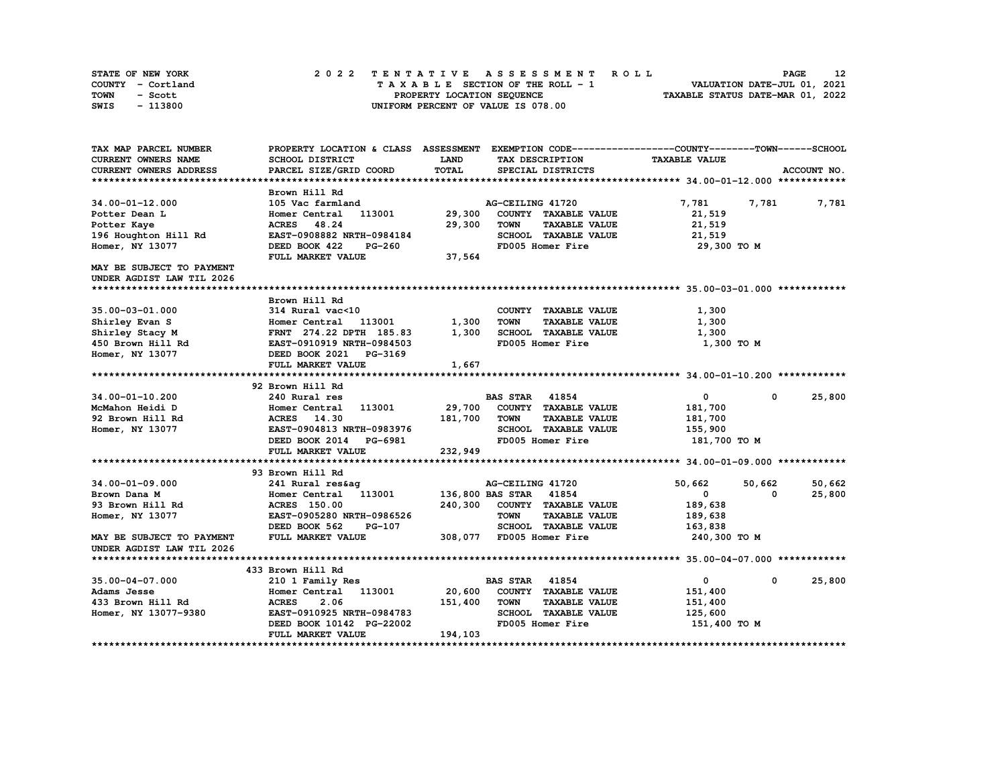| STATE OF NEW YORK | 2022 TENTATIVE ASSESSMENT ROLL     | 12<br><b>PAGE</b>                |
|-------------------|------------------------------------|----------------------------------|
| COUNTY - Cortland | TAXABLE SECTION OF THE ROLL - 1    | VALUATION DATE-JUL 01, 2021      |
| TOWN<br>- Scott   | PROPERTY LOCATION SEQUENCE         | TAXABLE STATUS DATE-MAR 01, 2022 |
| - 113800<br>SWIS  | UNIFORM PERCENT OF VALUE IS 078.00 |                                  |

| TAX MAP PARCEL NUMBER         | PROPERTY LOCATION & CLASS ASSESSMENT EXEMPTION CODE----------------COUNTY-------TOWN-----SCHOOL |         |                                     |                      |                        |
|-------------------------------|-------------------------------------------------------------------------------------------------|---------|-------------------------------------|----------------------|------------------------|
| <b>CURRENT OWNERS NAME</b>    | <b>SCHOOL DISTRICT</b>                                                                          | LAND    | TAX DESCRIPTION                     | <b>TAXABLE VALUE</b> |                        |
| <b>CURRENT OWNERS ADDRESS</b> | PARCEL SIZE/GRID COORD                                                                          | TOTAL   | SPECIAL DISTRICTS                   |                      | ACCOUNT NO.            |
|                               |                                                                                                 |         |                                     |                      |                        |
|                               | Brown Hill Rd                                                                                   |         |                                     |                      |                        |
| 34.00-01-12.000               | 105 Vac farmland                                                                                |         | AG-CEILING 41720                    | 7,781                | 7,781<br>7,781         |
| Potter Dean L                 | 113001<br>Homer Central                                                                         | 29,300  | COUNTY TAXABLE VALUE                | 21,519               |                        |
| Potter Kaye                   | 48.24<br><b>ACRES</b>                                                                           | 29,300  | <b>TOWN</b><br><b>TAXABLE VALUE</b> | 21,519               |                        |
| 196 Houghton Hill Rd          | EAST-0908882 NRTH-0984184                                                                       |         | SCHOOL TAXABLE VALUE                | 21,519               |                        |
| Homer, NY 13077               | DEED BOOK 422<br><b>PG-260</b>                                                                  |         | FD005 Homer Fire                    | 29,300 TO M          |                        |
|                               | FULL MARKET VALUE                                                                               | 37,564  |                                     |                      |                        |
| MAY BE SUBJECT TO PAYMENT     |                                                                                                 |         |                                     |                      |                        |
| UNDER AGDIST LAW TIL 2026     |                                                                                                 |         |                                     |                      |                        |
|                               |                                                                                                 |         |                                     |                      |                        |
|                               | Brown Hill Rd                                                                                   |         |                                     |                      |                        |
| 35.00-03-01.000               | 314 Rural vac<10                                                                                |         | COUNTY TAXABLE VALUE                | 1,300                |                        |
| Shirley Evan S                | Homer Central<br>113001                                                                         | 1,300   | <b>TOWN</b><br><b>TAXABLE VALUE</b> | 1,300                |                        |
| Shirley Stacy M               | FRNT 274.22 DPTH 185.83                                                                         | 1,300   | SCHOOL TAXABLE VALUE                | 1,300                |                        |
| 450 Brown Hill Rd             | EAST-0910919 NRTH-0984503                                                                       |         | FD005 Homer Fire                    | 1,300 TO M           |                        |
| Homer, NY 13077               | DEED BOOK 2021<br>PG-3169                                                                       |         |                                     |                      |                        |
|                               | FULL MARKET VALUE                                                                               | 1,667   |                                     |                      |                        |
|                               |                                                                                                 |         |                                     |                      |                        |
|                               | 92 Brown Hill Rd                                                                                |         |                                     |                      |                        |
| 34.00-01-10.200               | 240 Rural res                                                                                   |         | <b>BAS STAR 41854</b>               | $\mathbf{0}$         | $\mathbf 0$<br>25,800  |
| McMahon Heidi D               | 113001<br>Homer Central                                                                         | 29,700  | COUNTY TAXABLE VALUE                | 181,700              |                        |
| 92 Brown Hill Rd              | ACRES 14.30                                                                                     | 181,700 | <b>TOWN</b><br><b>TAXABLE VALUE</b> | 181,700              |                        |
| Homer, NY 13077               | EAST-0904813 NRTH-0983976                                                                       |         | <b>SCHOOL TAXABLE VALUE</b>         | 155,900              |                        |
|                               | DEED BOOK 2014<br>PG-6981                                                                       |         | FD005 Homer Fire                    | 181,700 TO M         |                        |
|                               | FULL MARKET VALUE                                                                               | 232,949 |                                     |                      |                        |
|                               |                                                                                                 |         |                                     |                      |                        |
|                               | 93 Brown Hill Rd                                                                                |         |                                     |                      |                        |
| 34.00-01-09.000               | 241 Rural res&ag                                                                                |         | AG-CEILING 41720                    | 50,662               | 50,662<br>50,662       |
| Brown Dana M                  | 113001<br>Homer Central                                                                         |         | 136,800 BAS STAR<br>41854           | 0                    | 25,800<br>$^{\circ}$   |
| 93 Brown Hill Rd              | <b>ACRES</b> 150.00                                                                             | 240,300 | COUNTY TAXABLE VALUE                | 189,638              |                        |
| Homer, NY 13077               | EAST-0905280 NRTH-0986526                                                                       |         | <b>TOWN</b><br><b>TAXABLE VALUE</b> | 189,638              |                        |
|                               | DEED BOOK 562<br>PG-107                                                                         |         | <b>SCHOOL TAXABLE VALUE</b>         | 163,838              |                        |
| MAY BE SUBJECT TO PAYMENT     | FULL MARKET VALUE                                                                               | 308,077 | FD005 Homer Fire                    | 240,300 TO M         |                        |
| UNDER AGDIST LAW TIL 2026     |                                                                                                 |         |                                     |                      |                        |
|                               |                                                                                                 |         |                                     |                      |                        |
|                               | 433 Brown Hill Rd                                                                               |         |                                     |                      |                        |
| 35.00-04-07.000               | 210 1 Family Res                                                                                |         | <b>BAS STAR 41854</b>               | $\mathbf 0$          | 25,800<br>$\mathbf{0}$ |
| Adams Jesse                   | Homer Central 113001                                                                            | 20,600  | COUNTY TAXABLE VALUE                | 151,400              |                        |
| 433 Brown Hill Rd             | <b>ACRES</b><br>2.06                                                                            | 151,400 | <b>TOWN</b><br><b>TAXABLE VALUE</b> | 151,400              |                        |
| Homer, NY 13077-9380          | EAST-0910925 NRTH-0984783                                                                       |         | SCHOOL TAXABLE VALUE                | 125,600              |                        |
|                               | DEED BOOK 10142 PG-22002                                                                        |         | FD005 Homer Fire                    | 151,400 TO M         |                        |
|                               | FULL MARKET VALUE                                                                               | 194,103 |                                     |                      |                        |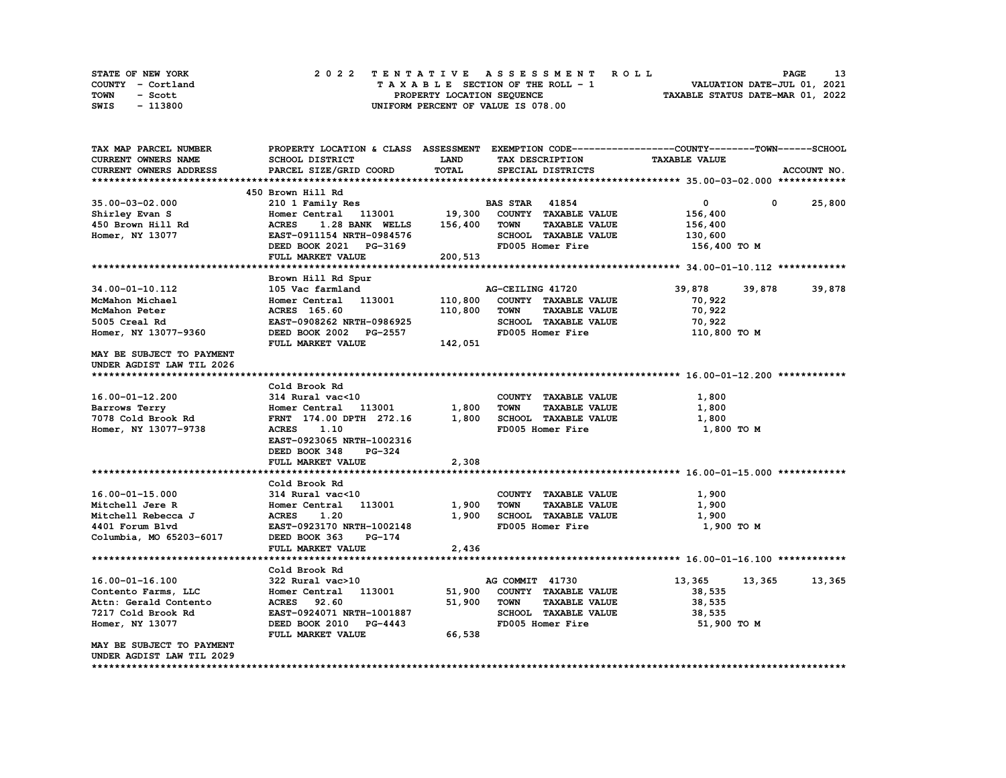| STATE OF NEW YORK | 2022 TENTATIVE ASSESSMENT ROLL     | 13<br><b>PAGE</b>                |
|-------------------|------------------------------------|----------------------------------|
| COUNTY - Cortland | TAXABLE SECTION OF THE ROLL - 1    | VALUATION DATE-JUL 01, 2021      |
| TOWN<br>- Scott   | PROPERTY LOCATION SEQUENCE         | TAXABLE STATUS DATE-MAR 01, 2022 |
| - 113800<br>SWIS  | UNIFORM PERCENT OF VALUE IS 078.00 |                                  |

| TAX MAP PARCEL NUMBER            | PROPERTY LOCATION & CLASS ASSESSMENT EXEMPTION CODE----------------COUNTY-------TOWN-----SCHOOL |              |                                     |                      |             |
|----------------------------------|-------------------------------------------------------------------------------------------------|--------------|-------------------------------------|----------------------|-------------|
| CURRENT OWNERS NAME              | <b>SCHOOL DISTRICT</b>                                                                          | <b>LAND</b>  | TAX DESCRIPTION                     | <b>TAXABLE VALUE</b> |             |
| CURRENT OWNERS ADDRESS           | PARCEL SIZE/GRID COORD                                                                          | <b>TOTAL</b> | SPECIAL DISTRICTS                   |                      | ACCOUNT NO. |
| *************************        |                                                                                                 |              |                                     |                      |             |
|                                  | 450 Brown Hill Rd                                                                               |              |                                     |                      |             |
| 35.00-03-02.000                  | 210 1 Family Res                                                                                |              | <b>BAS STAR 41854</b>               | 0<br>$^{\circ}$      | 25,800      |
| Shirley Evan S                   | 113001<br>Homer Central                                                                         | 19,300       | COUNTY TAXABLE VALUE                | 156,400              |             |
| 450 Brown Hill Rd                | <b>ACRES</b><br>1.28 BANK WELLS                                                                 | 156,400      | <b>TAXABLE VALUE</b><br><b>TOWN</b> | 156,400              |             |
| Homer, NY 13077                  | EAST-0911154 NRTH-0984576                                                                       |              | SCHOOL TAXABLE VALUE                | 130,600              |             |
|                                  | DEED BOOK 2021 PG-3169                                                                          |              | FD005 Homer Fire                    | 156,400 TO M         |             |
|                                  | FULL MARKET VALUE                                                                               | 200,513      |                                     |                      |             |
|                                  |                                                                                                 |              |                                     |                      |             |
|                                  | Brown Hill Rd Spur                                                                              |              |                                     |                      |             |
| 34.00-01-10.112                  | 105 Vac farmland                                                                                |              | AG-CEILING 41720                    | 39,878<br>39,878     | 39,878      |
| McMahon Michael                  | Homer Central 113001                                                                            | 110,800      | COUNTY TAXABLE VALUE                | 70,922               |             |
| McMahon Peter                    | ACRES 165.60                                                                                    | 110,800      | <b>TOWN</b><br><b>TAXABLE VALUE</b> | 70,922               |             |
| 5005 Creal Rd                    | EAST-0908262 NRTH-0986925                                                                       |              | SCHOOL TAXABLE VALUE                | 70,922               |             |
| Homer, NY 13077-9360             | DEED BOOK 2002 PG-2557                                                                          |              | FD005 Homer Fire                    | 110,800 TO M         |             |
|                                  | FULL MARKET VALUE                                                                               | 142,051      |                                     |                      |             |
| MAY BE SUBJECT TO PAYMENT        |                                                                                                 |              |                                     |                      |             |
| UNDER AGDIST LAW TIL 2026        |                                                                                                 |              |                                     |                      |             |
|                                  |                                                                                                 |              |                                     |                      |             |
|                                  | Cold Brook Rd                                                                                   |              |                                     |                      |             |
| 16.00-01-12.200                  | 314 Rural vac<10                                                                                |              | COUNTY TAXABLE VALUE                | 1,800                |             |
| Barrows Terry                    | Homer Central<br>113001                                                                         | 1,800        | <b>TOWN</b><br><b>TAXABLE VALUE</b> | 1,800                |             |
| 7078 Cold Brook Rd               | FRNT 174.00 DPTH 272.16                                                                         | 1,800        | SCHOOL TAXABLE VALUE                | 1,800                |             |
| Homer, NY 13077-9738             | <b>ACRES</b><br>1.10                                                                            |              | FD005 Homer Fire                    | 1,800 TO M           |             |
|                                  | EAST-0923065 NRTH-1002316                                                                       |              |                                     |                      |             |
|                                  | DEED BOOK 348<br><b>PG-324</b>                                                                  |              |                                     |                      |             |
|                                  | FULL MARKET VALUE                                                                               | 2,308        |                                     |                      |             |
|                                  |                                                                                                 |              |                                     |                      |             |
|                                  | Cold Brook Rd                                                                                   |              |                                     |                      |             |
| 16.00-01-15.000                  | 314 Rural vac<10                                                                                |              | COUNTY TAXABLE VALUE                | 1,900                |             |
| Mitchell Jere R                  | Homer Central<br>113001                                                                         | 1,900        | <b>TOWN</b><br><b>TAXABLE VALUE</b> | 1,900                |             |
| Mitchell Rebecca J               | <b>ACRES</b><br>1.20                                                                            | 1,900        | SCHOOL TAXABLE VALUE                | 1,900                |             |
| 4401 Forum Blvd                  | EAST-0923170 NRTH-1002148                                                                       |              | FD005 Homer Fire                    | 1,900 TO M           |             |
| Columbia, MO 65203-6017          | DEED BOOK 363<br><b>PG-174</b>                                                                  |              |                                     |                      |             |
|                                  | FULL MARKET VALUE                                                                               | 2,436        |                                     |                      |             |
|                                  |                                                                                                 |              |                                     |                      |             |
|                                  | Cold Brook Rd                                                                                   |              |                                     |                      |             |
| 16.00-01-16.100                  | 322 Rural vac>10                                                                                |              | AG COMMIT 41730                     | 13,365<br>13,365     | 13,365      |
| Contento Farms, LLC              | 113001<br>Homer Central                                                                         | 51,900       | COUNTY TAXABLE VALUE                | 38,535               |             |
| Attn: Gerald Contento            | 92.60<br><b>ACRES</b>                                                                           | 51,900       | <b>TOWN</b><br><b>TAXABLE VALUE</b> | 38,535               |             |
| 7217 Cold Brook Rd               | EAST-0924071 NRTH-1001887                                                                       |              | SCHOOL TAXABLE VALUE                | 38,535               |             |
| Homer, NY 13077                  | DEED BOOK 2010<br><b>PG-4443</b>                                                                |              | FD005 Homer Fire                    | 51,900 TO M          |             |
|                                  | FULL MARKET VALUE                                                                               | 66,538       |                                     |                      |             |
| <b>MAY BE SUBJECT TO PAYMENT</b> |                                                                                                 |              |                                     |                      |             |
| UNDER AGDIST LAW TIL 2029        |                                                                                                 |              |                                     |                      |             |
|                                  |                                                                                                 |              |                                     |                      |             |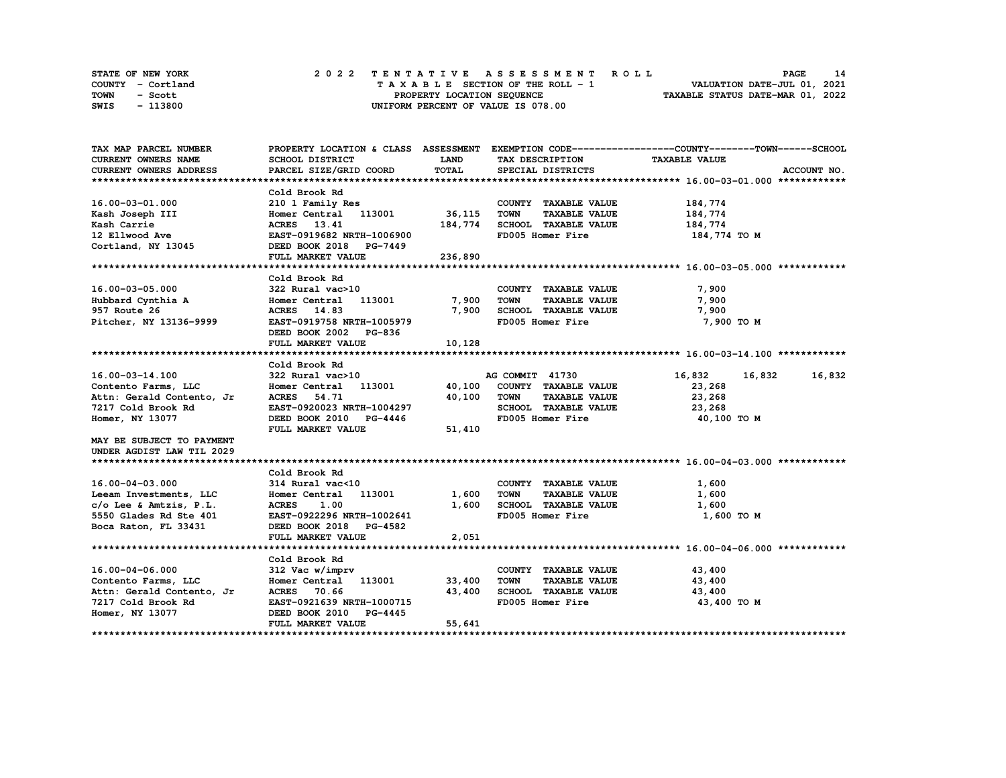| STATE OF NEW YORK |          |  |  |  |  |  | 2022 TENTATIVE ASSESSMENT ROLL     |  |  |  |  |  |  |                                  |                             |  | PAGE | 14 |
|-------------------|----------|--|--|--|--|--|------------------------------------|--|--|--|--|--|--|----------------------------------|-----------------------------|--|------|----|
| COUNTY - Cortland |          |  |  |  |  |  | TAXABLE SECTION OF THE ROLL - 1    |  |  |  |  |  |  |                                  | VALUATION DATE-JUL 01, 2021 |  |      |    |
| TOWN              | - Scott  |  |  |  |  |  | PROPERTY LOCATION SEQUENCE         |  |  |  |  |  |  | TAXABLE STATUS DATE-MAR 01, 2022 |                             |  |      |    |
| SWIS              | - 113800 |  |  |  |  |  | UNIFORM PERCENT OF VALUE IS 078.00 |  |  |  |  |  |  |                                  |                             |  |      |    |

| TAX MAP PARCEL NUMBER     |                               |         |                                     | PROPERTY LOCATION & CLASS ASSESSMENT EXEMPTION CODE----------------COUNTY-------TOWN-----SCHOOL |
|---------------------------|-------------------------------|---------|-------------------------------------|-------------------------------------------------------------------------------------------------|
| CURRENT OWNERS NAME       | <b>SCHOOL DISTRICT</b>        | LAND    | TAX DESCRIPTION                     | <b>TAXABLE VALUE</b>                                                                            |
| CURRENT OWNERS ADDRESS    | PARCEL SIZE/GRID COORD        | TOTAL   | SPECIAL DISTRICTS                   | ACCOUNT NO.                                                                                     |
|                           |                               |         |                                     |                                                                                                 |
|                           | Cold Brook Rd                 |         |                                     |                                                                                                 |
| 16.00-03-01.000           | 210 1 Family Res              |         | COUNTY TAXABLE VALUE                | 184,774                                                                                         |
| Kash Joseph III           | Homer Central 113001 36,115   |         | TOWN<br><b>TAXABLE VALUE</b>        | 184,774                                                                                         |
| Kash Carrie               | ACRES 13.41                   | 184,774 | SCHOOL TAXABLE VALUE                | 184,774                                                                                         |
| 12 Ellwood Ave            | EAST-0919682 NRTH-1006900     |         | FD005 Homer Fire                    | 184,774 TO M                                                                                    |
| Cortland, NY 13045        | DEED BOOK 2018 PG-7449        |         |                                     |                                                                                                 |
|                           | FULL MARKET VALUE             | 236,890 |                                     |                                                                                                 |
|                           |                               |         |                                     |                                                                                                 |
|                           | Cold Brook Rd                 |         |                                     |                                                                                                 |
| 16.00-03-05.000           | 322 Rural vac>10              |         | COUNTY TAXABLE VALUE                | 7,900                                                                                           |
| Hubbard Cynthia A         | Homer Central 113001 7,900    |         | <b>TOWN</b><br><b>TAXABLE VALUE</b> | 7,900                                                                                           |
| 957 Route 26              | ACRES 14.83                   | 7,900   | SCHOOL TAXABLE VALUE                | 7,900                                                                                           |
| Pitcher, NY 13136-9999    | EAST-0919758 NRTH-1005979     |         | FD005 Homer Fire                    | 7,900 TO M                                                                                      |
|                           | DEED BOOK 2002 PG-836         |         |                                     |                                                                                                 |
|                           | FULL MARKET VALUE             | 10,128  |                                     |                                                                                                 |
|                           |                               |         |                                     |                                                                                                 |
|                           | Cold Brook Rd                 |         |                                     |                                                                                                 |
| 16.00-03-14.100           | 322 Rural vac>10              |         | AG COMMIT 41730                     | 16,832 16,832 16,832                                                                            |
| Contento Farms, LLC       | Homer Central 113001 40,100   |         | COUNTY TAXABLE VALUE                | 23,268                                                                                          |
| Attn: Gerald Contento, Jr | ACRES 54.71                   | 40,100  | <b>TOWN</b><br><b>TAXABLE VALUE</b> | 23,268                                                                                          |
| 7217 Cold Brook Rd        | EAST-0920023 NRTH-1004297     |         | SCHOOL TAXABLE VALUE                | 23,268                                                                                          |
| Homer, NY 13077           | DEED BOOK 2010 PG-4446        |         | FD005 Homer Fire                    | 40,100 TO M                                                                                     |
|                           | FULL MARKET VALUE             | 51,410  |                                     |                                                                                                 |
| MAY BE SUBJECT TO PAYMENT |                               |         |                                     |                                                                                                 |
| UNDER AGDIST LAW TIL 2029 |                               |         |                                     |                                                                                                 |
|                           |                               |         |                                     |                                                                                                 |
|                           | Cold Brook Rd                 |         |                                     |                                                                                                 |
| 16.00-04-03.000           | 314 Rural vac<10              |         | COUNTY TAXABLE VALUE                | 1,600                                                                                           |
| Leeam Investments, LLC    | 113001 1,600<br>Homer Central |         | <b>TOWN</b><br><b>TAXABLE VALUE</b> | 1,600                                                                                           |
| c/o Lee & Amtzis, P.L.    | <b>ACRES</b><br>1.00          | 1,600   | SCHOOL TAXABLE VALUE                | 1,600                                                                                           |
| 5550 Glades Rd Ste 401    | EAST-0922296 NRTH-1002641     |         | FD005 Homer Fire                    | 1,600 TO M                                                                                      |
| Boca Raton, FL 33431      | DEED BOOK 2018 PG-4582        |         |                                     |                                                                                                 |
|                           | FULL MARKET VALUE             | 2,051   |                                     |                                                                                                 |
|                           |                               |         |                                     |                                                                                                 |
|                           | Cold Brook Rd                 |         |                                     |                                                                                                 |
| 16.00-04-06.000           | $312$ Vac w/imprv             |         | COUNTY TAXABLE VALUE                | 43,400                                                                                          |
| Contento Farms, LLC       | Homer Central 113001          | 33,400  | <b>TOWN</b><br><b>TAXABLE VALUE</b> | 43,400                                                                                          |
|                           |                               | 43,400  |                                     |                                                                                                 |
| Attn: Gerald Contento, Jr | ACRES 70.66                   |         | <b>SCHOOL TAXABLE VALUE</b>         | 43,400                                                                                          |
| 7217 Cold Brook Rd        | EAST-0921639 NRTH-1000715     |         | FD005 Homer Fire                    | 43,400 TO M                                                                                     |
| Homer, NY 13077           | DEED BOOK 2010 PG-4445        |         |                                     |                                                                                                 |
|                           | FULL MARKET VALUE             | 55,641  |                                     |                                                                                                 |
|                           |                               |         |                                     |                                                                                                 |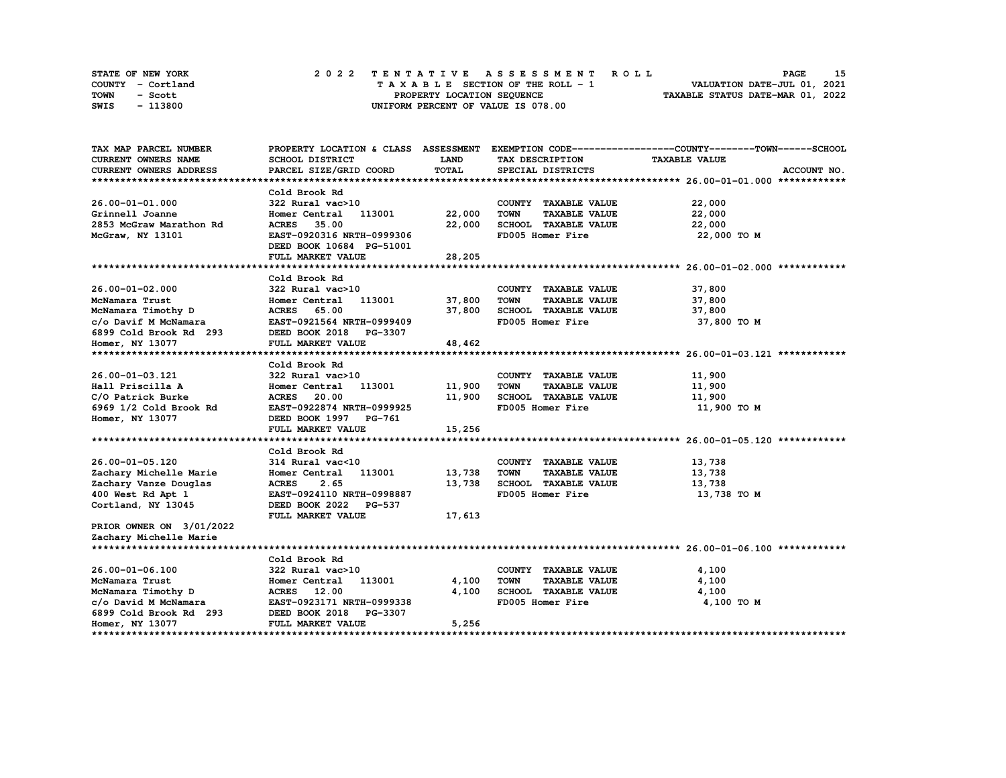| <b>STATE OF NEW YORK</b> | 2022 TENTATIVE ASSESSMENT ROLL     | 15<br><b>PAGE</b>                |
|--------------------------|------------------------------------|----------------------------------|
| COUNTY - Cortland        | TAXABLE SECTION OF THE ROLL - 1    | VALUATION DATE-JUL 01, 2021      |
| TOWN<br>- Scott          | PROPERTY LOCATION SEQUENCE         | TAXABLE STATUS DATE-MAR 01, 2022 |
| - 113800<br>SWIS         | UNIFORM PERCENT OF VALUE IS 078.00 |                                  |

| TAX MAP PARCEL NUMBER                          |                                                               |             |                                     | PROPERTY LOCATION & CLASS ASSESSMENT EXEMPTION CODE----------------COUNTY-------TOWN------SCHOOL |
|------------------------------------------------|---------------------------------------------------------------|-------------|-------------------------------------|--------------------------------------------------------------------------------------------------|
| CURRENT OWNERS NAME                            | SCHOOL DISTRICT                                               | <b>LAND</b> | TAX DESCRIPTION                     | <b>TAXABLE VALUE</b>                                                                             |
| <b>CURRENT OWNERS ADDRESS</b>                  | PARCEL SIZE/GRID COORD                                        | TOTAL       | SPECIAL DISTRICTS                   | ACCOUNT NO.                                                                                      |
|                                                |                                                               |             |                                     |                                                                                                  |
|                                                | Cold Brook Rd                                                 |             |                                     |                                                                                                  |
| 26.00-01-01.000                                | 322 Rural vac>10                                              |             | COUNTY TAXABLE VALUE                | 22,000                                                                                           |
| Grinnell Joanne                                | 113001<br>Homer Central                                       | 22,000      | <b>TOWN</b><br><b>TAXABLE VALUE</b> | 22,000                                                                                           |
| 2853 McGraw Marathon Rd                        | <b>ACRES</b><br>35.00                                         | 22,000      | SCHOOL TAXABLE VALUE                | 22,000                                                                                           |
| McGraw, NY 13101                               | EAST-0920316 NRTH-0999306                                     |             | FD005 Homer Fire                    | 22,000 TO M                                                                                      |
|                                                | DEED BOOK 10684 PG-51001                                      |             |                                     |                                                                                                  |
|                                                | FULL MARKET VALUE                                             | 28,205      |                                     |                                                                                                  |
|                                                |                                                               |             |                                     |                                                                                                  |
|                                                | Cold Brook Rd                                                 |             |                                     |                                                                                                  |
| 26.00-01-02.000                                | 322 Rural vac>10                                              |             | COUNTY TAXABLE VALUE                | 37,800                                                                                           |
| McNamara Trust                                 | Homer Central<br>113001                                       | 37,800      | <b>TOWN</b><br><b>TAXABLE VALUE</b> | 37,800                                                                                           |
| McNamara Timothy D                             | 65.00<br><b>ACRES</b>                                         | 37,800      | SCHOOL TAXABLE VALUE                | 37,800                                                                                           |
| c/o Davif M McNamara                           | EAST-0921564 NRTH-0999409                                     |             | FD005 Homer Fire                    | 37,800 TO M                                                                                      |
| 6899 Cold Brook Rd 293                         | DEED BOOK 2018 PG-3307                                        |             |                                     |                                                                                                  |
| Homer, NY 13077                                | FULL MARKET VALUE                                             | 48,462      |                                     |                                                                                                  |
|                                                |                                                               |             |                                     |                                                                                                  |
|                                                | Cold Brook Rd                                                 |             |                                     |                                                                                                  |
| 26.00-01-03.121                                | 322 Rural vac>10                                              |             | COUNTY TAXABLE VALUE                | 11,900                                                                                           |
| Hall Priscilla A                               | Homer Central 113001                                          | 11,900      | <b>TOWN</b><br><b>TAXABLE VALUE</b> | 11,900                                                                                           |
| C/O Patrick Burke                              | <b>ACRES</b><br>20.00                                         | 11,900      | SCHOOL TAXABLE VALUE                | 11,900                                                                                           |
| 6969 1/2 Cold Brook Rd                         | EAST-0922874 NRTH-0999925                                     |             | FD005 Homer Fire                    | 11,900 TO M                                                                                      |
| Homer, NY 13077                                | DEED BOOK 1997 PG-761                                         |             |                                     |                                                                                                  |
|                                                | FULL MARKET VALUE                                             | 15,256      |                                     |                                                                                                  |
|                                                |                                                               |             |                                     |                                                                                                  |
|                                                | Cold Brook Rd                                                 |             |                                     |                                                                                                  |
| 26.00-01-05.120                                | 314 Rural vac<10                                              |             | COUNTY TAXABLE VALUE                | 13,738                                                                                           |
| Zachary Michelle Marie                         | Homer Central 113001                                          | 13,738      | <b>TOWN</b><br><b>TAXABLE VALUE</b> | 13,738                                                                                           |
| Zachary Vanze Douglas                          | <b>ACRES</b><br>2.65                                          | 13,738      | SCHOOL TAXABLE VALUE                | 13,738                                                                                           |
| 400 West Rd Apt 1                              | EAST-0924110 NRTH-0998887                                     |             | FD005 Homer Fire                    | 13,738 то м                                                                                      |
| Cortland, NY 13045                             | DEED BOOK 2022 PG-537                                         |             |                                     |                                                                                                  |
|                                                | FULL MARKET VALUE                                             | 17,613      |                                     |                                                                                                  |
| PRIOR OWNER ON 3/01/2022                       |                                                               |             |                                     |                                                                                                  |
| Zachary Michelle Marie                         |                                                               |             |                                     |                                                                                                  |
|                                                |                                                               |             |                                     |                                                                                                  |
|                                                | Cold Brook Rd                                                 |             |                                     |                                                                                                  |
| 26.00-01-06.100                                | 322 Rural vac>10                                              |             | COUNTY TAXABLE VALUE                | 4,100                                                                                            |
| McNamara Trust                                 | 113001<br>Homer Central                                       | 4,100       | <b>TAXABLE VALUE</b><br><b>TOWN</b> | 4,100                                                                                            |
| McNamara Timothy D                             | ACRES 12.00                                                   | 4,100       | SCHOOL TAXABLE VALUE                | 4,100                                                                                            |
|                                                |                                                               |             | FD005 Homer Fire                    |                                                                                                  |
| c/o David M McNamara<br>6899 Cold Brook Rd 293 | EAST-0923171 NRTH-0999338<br>DEED BOOK 2018<br><b>PG-3307</b> |             |                                     | 4,100 TO M                                                                                       |
| Homer, NY 13077                                | FULL MARKET VALUE                                             | 5,256       |                                     |                                                                                                  |
|                                                |                                                               |             |                                     |                                                                                                  |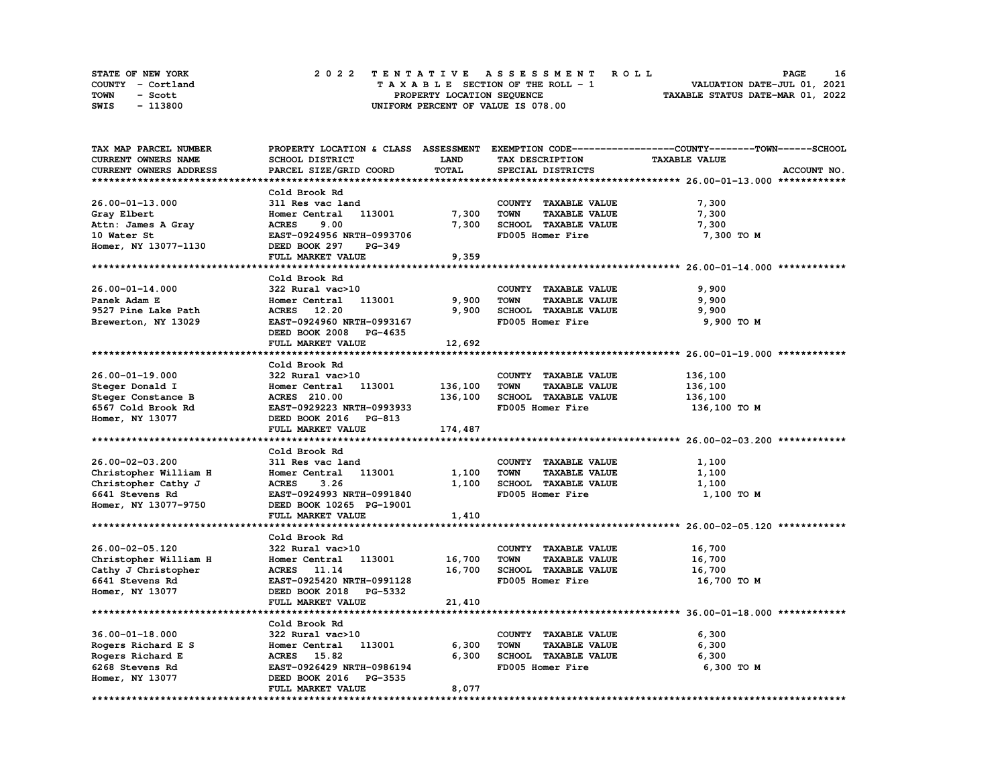| STATE OF NEW YORK | 2022 TENTATIVE ASSESSMENT ROLL     | 16<br><b>PAGE</b>                |
|-------------------|------------------------------------|----------------------------------|
| COUNTY - Cortland | TAXABLE SECTION OF THE ROLL - 1    | VALUATION DATE-JUL 01, 2021      |
| TOWN<br>- Scott   | PROPERTY LOCATION SEQUENCE         | TAXABLE STATUS DATE-MAR 01, 2022 |
| - 113800<br>SWIS  | UNIFORM PERCENT OF VALUE IS 078.00 |                                  |

| TAX MAP PARCEL NUMBER      |                                  |         |                                     | PROPERTY LOCATION & CLASS ASSESSMENT EXEMPTION CODE----------------COUNTY-------TOWN------SCHOOL |
|----------------------------|----------------------------------|---------|-------------------------------------|--------------------------------------------------------------------------------------------------|
| <b>CURRENT OWNERS NAME</b> | SCHOOL DISTRICT                  | LAND    | TAX DESCRIPTION                     | <b>TAXABLE VALUE</b>                                                                             |
| CURRENT OWNERS ADDRESS     | PARCEL SIZE/GRID COORD           | TOTAL   | SPECIAL DISTRICTS                   | ACCOUNT NO.                                                                                      |
|                            |                                  |         |                                     |                                                                                                  |
|                            |                                  |         |                                     |                                                                                                  |
|                            | Cold Brook Rd                    |         |                                     |                                                                                                  |
| 26.00-01-13.000            | 311 Res vac land                 |         | COUNTY TAXABLE VALUE                | 7,300                                                                                            |
| Gray Elbert                | Homer Central<br>113001          | 7,300   | <b>TAXABLE VALUE</b><br><b>TOWN</b> | 7,300                                                                                            |
| Attn: James A Gray         | 9.00<br><b>ACRES</b>             | 7,300   | SCHOOL TAXABLE VALUE                | 7,300                                                                                            |
| 10 Water St                | EAST-0924956 NRTH-0993706        |         | FD005 Homer Fire                    | 7,300 TO M                                                                                       |
| Homer, NY 13077-1130       | DEED BOOK 297<br>PG-349          |         |                                     |                                                                                                  |
|                            | FULL MARKET VALUE                | 9,359   |                                     |                                                                                                  |
|                            |                                  |         |                                     |                                                                                                  |
|                            |                                  |         |                                     |                                                                                                  |
|                            | Cold Brook Rd                    |         |                                     |                                                                                                  |
| 26.00-01-14.000            | 322 Rural vac>10                 |         | COUNTY TAXABLE VALUE                | 9,900                                                                                            |
| Panek Adam E               | 113001<br>Homer Central          | 9,900   | <b>TOWN</b><br><b>TAXABLE VALUE</b> | 9,900                                                                                            |
| 9527 Pine Lake Path        | ACRES 12.20                      | 9,900   | <b>SCHOOL TAXABLE VALUE</b>         | 9,900                                                                                            |
| Brewerton, NY 13029        | EAST-0924960 NRTH-0993167        |         | FD005 Homer Fire                    | 9,900 TO M                                                                                       |
|                            | DEED BOOK 2008 PG-4635           |         |                                     |                                                                                                  |
|                            | FULL MARKET VALUE                | 12,692  |                                     |                                                                                                  |
|                            |                                  |         |                                     |                                                                                                  |
|                            |                                  |         |                                     |                                                                                                  |
|                            | Cold Brook Rd                    |         |                                     |                                                                                                  |
| 26.00-01-19.000            | 322 Rural vac>10                 |         | COUNTY TAXABLE VALUE                | 136,100                                                                                          |
| Steger Donald I            | 113001<br>Homer Central          | 136,100 | <b>TOWN</b><br><b>TAXABLE VALUE</b> | 136,100                                                                                          |
| Steger Constance B         | ACRES 210.00                     | 136,100 | SCHOOL TAXABLE VALUE                | 136,100                                                                                          |
| 6567 Cold Brook Rd         | EAST-0929223 NRTH-0993933        |         | FD005 Homer Fire                    | 136,100 то м                                                                                     |
| Homer, NY 13077            | DEED BOOK 2016 PG-813            |         |                                     |                                                                                                  |
|                            | FULL MARKET VALUE                | 174,487 |                                     |                                                                                                  |
|                            |                                  |         |                                     |                                                                                                  |
|                            |                                  |         |                                     |                                                                                                  |
|                            | Cold Brook Rd                    |         |                                     |                                                                                                  |
| 26.00-02-03.200            | 311 Res vac land                 |         | COUNTY TAXABLE VALUE                | 1,100                                                                                            |
| Christopher William H      | Homer Central<br>113001          | 1,100   | <b>TOWN</b><br><b>TAXABLE VALUE</b> | 1,100                                                                                            |
| Christopher Cathy J        | <b>ACRES</b><br>3.26             | 1,100   | <b>SCHOOL TAXABLE VALUE</b>         | 1,100                                                                                            |
| 6641 Stevens Rd            | EAST-0924993 NRTH-0991840        |         | FD005 Homer Fire                    | 1,100 TO M                                                                                       |
| Homer, NY 13077-9750       | DEED BOOK 10265 PG-19001         |         |                                     |                                                                                                  |
|                            | FULL MARKET VALUE                | 1,410   |                                     |                                                                                                  |
|                            |                                  |         |                                     |                                                                                                  |
|                            |                                  |         |                                     |                                                                                                  |
|                            | Cold Brook Rd                    |         |                                     |                                                                                                  |
| 26.00-02-05.120            | 322 Rural vac>10                 |         | COUNTY TAXABLE VALUE                | 16,700                                                                                           |
| Christopher William H      | 113001<br>Homer Central          | 16,700  | <b>TOWN</b><br><b>TAXABLE VALUE</b> | 16,700                                                                                           |
| Cathy J Christopher        | ACRES 11.14                      | 16,700  | SCHOOL TAXABLE VALUE                | 16,700                                                                                           |
| 6641 Stevens Rd            | EAST-0925420 NRTH-0991128        |         | FD005 Homer Fire                    | 16,700 TO M                                                                                      |
| Homer, NY 13077            | DEED BOOK 2018<br><b>PG-5332</b> |         |                                     |                                                                                                  |
|                            |                                  |         |                                     |                                                                                                  |
|                            | FULL MARKET VALUE                | 21,410  |                                     |                                                                                                  |
|                            |                                  |         |                                     |                                                                                                  |
|                            | Cold Brook Rd                    |         |                                     |                                                                                                  |
| $36.00 - 01 - 18.000$      | 322 Rural vac>10                 |         | COUNTY TAXABLE VALUE                | 6,300                                                                                            |
| Rogers Richard E S         | Homer Central<br>113001          | 6,300   | <b>TOWN</b><br><b>TAXABLE VALUE</b> | 6,300                                                                                            |
| Rogers Richard E           | ACRES 15.82                      | 6,300   | <b>SCHOOL TAXABLE VALUE</b>         | 6,300                                                                                            |
| 6268 Stevens Rd            | EAST-0926429 NRTH-0986194        |         | FD005 Homer Fire                    | 6,300 то м                                                                                       |
|                            |                                  |         |                                     |                                                                                                  |
| Homer, NY 13077            | DEED BOOK 2016<br><b>PG-3535</b> |         |                                     |                                                                                                  |
|                            | FULL MARKET VALUE                | 8,077   |                                     |                                                                                                  |
|                            |                                  |         |                                     |                                                                                                  |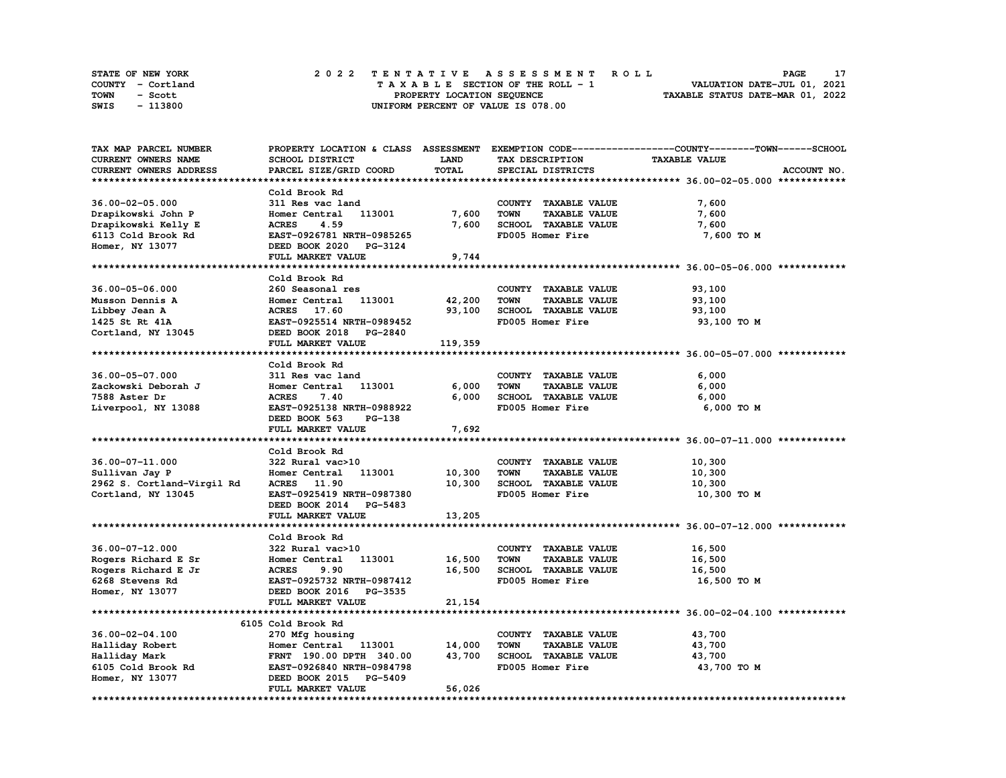| STATE OF NEW YORK |                   |  | 2022 TENTATIVE ASSESSMENT ROLL                                 | PAGE |  |
|-------------------|-------------------|--|----------------------------------------------------------------|------|--|
|                   | COUNTY - Cortland |  | VALUATION DATE-JUL 01, 2021<br>TAXABLE SECTION OF THE ROLL - 1 |      |  |
| TOWN              | - Scott           |  | TAXABLE STATUS DATE-MAR 01, 2022<br>PROPERTY LOCATION SEQUENCE |      |  |
| SWIS              | - 113800          |  | UNIFORM PERCENT OF VALUE IS 078.00                             |      |  |

| TAX MAP PARCEL NUMBER      |                                  |                |                                     | PROPERTY LOCATION & CLASS ASSESSMENT EXEMPTION CODE----------------COUNTY-------TOWN------SCHOOL |
|----------------------------|----------------------------------|----------------|-------------------------------------|--------------------------------------------------------------------------------------------------|
| CURRENT OWNERS NAME        | SCHOOL DISTRICT                  | <b>LAND</b>    | TAX DESCRIPTION                     | <b>TAXABLE VALUE</b>                                                                             |
| CURRENT OWNERS ADDRESS     | PARCEL SIZE/GRID COORD           | TOTAL          | SPECIAL DISTRICTS                   | ACCOUNT NO.                                                                                      |
|                            |                                  |                |                                     |                                                                                                  |
|                            | Cold Brook Rd                    |                |                                     |                                                                                                  |
|                            |                                  |                |                                     |                                                                                                  |
| $36.00 - 02 - 05.000$      | 311 Res vac land                 |                | COUNTY TAXABLE VALUE                | 7,600                                                                                            |
| Drapikowski John P         | Homer Central<br>113001          | 7,600          | <b>TAXABLE VALUE</b><br><b>TOWN</b> | 7,600                                                                                            |
| Drapikowski Kelly E        | 4.59<br>ACRES                    | 7,600          | SCHOOL TAXABLE VALUE                | 7,600                                                                                            |
| 6113 Cold Brook Rd         | EAST-0926781 NRTH-0985265        |                | FD005 Homer Fire                    | 7,600 TO M                                                                                       |
| Homer, NY 13077            | DEED BOOK 2020<br><b>PG-3124</b> |                |                                     |                                                                                                  |
|                            | FULL MARKET VALUE                | 9,744          |                                     |                                                                                                  |
|                            |                                  |                |                                     |                                                                                                  |
|                            | Cold Brook Rd                    |                |                                     |                                                                                                  |
| 36.00-05-06.000            | 260 Seasonal res                 |                | COUNTY TAXABLE VALUE                | 93,100                                                                                           |
| Musson Dennis A            | 113001<br>Homer Central          | 42,200         | <b>TOWN</b><br><b>TAXABLE VALUE</b> | 93,100                                                                                           |
|                            |                                  |                |                                     |                                                                                                  |
| Libbey Jean A              | ACRES 17.60                      | 93,100         | SCHOOL TAXABLE VALUE                | 93,100                                                                                           |
| 1425 St Rt 41A             | EAST-0925514 NRTH-0989452        |                | FD005 Homer Fire                    | 93,100 TO M                                                                                      |
| Cortland, NY 13045         | DEED BOOK 2018 PG-2840           |                |                                     |                                                                                                  |
|                            | FULL MARKET VALUE                | 119,359        |                                     |                                                                                                  |
|                            |                                  |                |                                     |                                                                                                  |
|                            | Cold Brook Rd                    |                |                                     |                                                                                                  |
| 36.00-05-07.000            | 311 Res vac land                 |                | COUNTY TAXABLE VALUE                | 6,000                                                                                            |
| Zackowski Deborah J        | 113001<br>Homer Central          | 6,000          | <b>TOWN</b><br><b>TAXABLE VALUE</b> | 6,000                                                                                            |
| 7588 Aster Dr              | <b>ACRES</b><br>7.40             | 6,000          | <b>SCHOOL TAXABLE VALUE</b>         | 6,000                                                                                            |
|                            |                                  |                | FD005 Homer Fire                    |                                                                                                  |
| Liverpool, NY 13088        | EAST-0925138 NRTH-0988922        |                |                                     | 6,000 TO M                                                                                       |
|                            | DEED BOOK 563<br>$PG-138$        |                |                                     |                                                                                                  |
|                            | FULL MARKET VALUE                | 7,692          |                                     |                                                                                                  |
|                            |                                  |                |                                     |                                                                                                  |
|                            | Cold Brook Rd                    |                |                                     |                                                                                                  |
| 36.00-07-11.000            | 322 Rural vac>10                 |                | COUNTY TAXABLE VALUE                | 10,300                                                                                           |
| Sullivan Jay P             | 113001<br>Homer Central          | 10,300         | TOWN<br><b>TAXABLE VALUE</b>        | 10,300                                                                                           |
| 2962 S. Cortland-Virgil Rd | ACRES 11.90                      | 10,300         | SCHOOL TAXABLE VALUE                | 10,300                                                                                           |
| Cortland, NY 13045         | EAST-0925419 NRTH-0987380        |                | FD005 Homer Fire                    | 10,300 TO M                                                                                      |
|                            | DEED BOOK 2014<br>PG-5483        |                |                                     |                                                                                                  |
|                            | FULL MARKET VALUE                | 13,205         |                                     |                                                                                                  |
|                            |                                  |                |                                     |                                                                                                  |
|                            |                                  |                |                                     |                                                                                                  |
|                            | Cold Brook Rd                    |                |                                     |                                                                                                  |
| $36.00 - 07 - 12.000$      | 322 Rural vac>10                 |                | COUNTY TAXABLE VALUE                | 16,500                                                                                           |
| Rogers Richard E Sr        | 113001<br>Homer Central          | 16,500         | <b>TOWN</b><br><b>TAXABLE VALUE</b> | 16,500                                                                                           |
| Rogers Richard E Jr        | <b>ACRES</b><br>9.90             | 16,500         | SCHOOL TAXABLE VALUE                | 16,500                                                                                           |
| 6268 Stevens Rd            | EAST-0925732 NRTH-0987412        |                | FD005 Homer Fire                    | 16,500 TO M                                                                                      |
| Homer, NY 13077            | DEED BOOK 2016 PG-3535           |                |                                     |                                                                                                  |
|                            | FULL MARKET VALUE                | 21,154         |                                     |                                                                                                  |
|                            |                                  |                |                                     |                                                                                                  |
|                            | 6105 Cold Brook Rd               |                |                                     |                                                                                                  |
| 36.00-02-04.100            | 270 Mfg housing                  |                | COUNTY TAXABLE VALUE                | 43,700                                                                                           |
|                            |                                  | 14,000         | TOWN                                |                                                                                                  |
| Halliday Robert            | Homer Central 113001             |                | <b>TAXABLE VALUE</b>                | 43,700                                                                                           |
| Halliday Mark              | FRNT 190.00 DPTH 340.00          | 43,700         | SCHOOL TAXABLE VALUE                | 43,700                                                                                           |
| 6105 Cold Brook Rd         | EAST-0926840 NRTH-0984798        |                | FD005 Homer Fire                    | 43,700 TO M                                                                                      |
| Homer, NY 13077            | DEED BOOK 2015 PG-5409           |                |                                     |                                                                                                  |
|                            | FULL MARKET VALUE                | 56,026         |                                     |                                                                                                  |
|                            |                                  | ************** |                                     |                                                                                                  |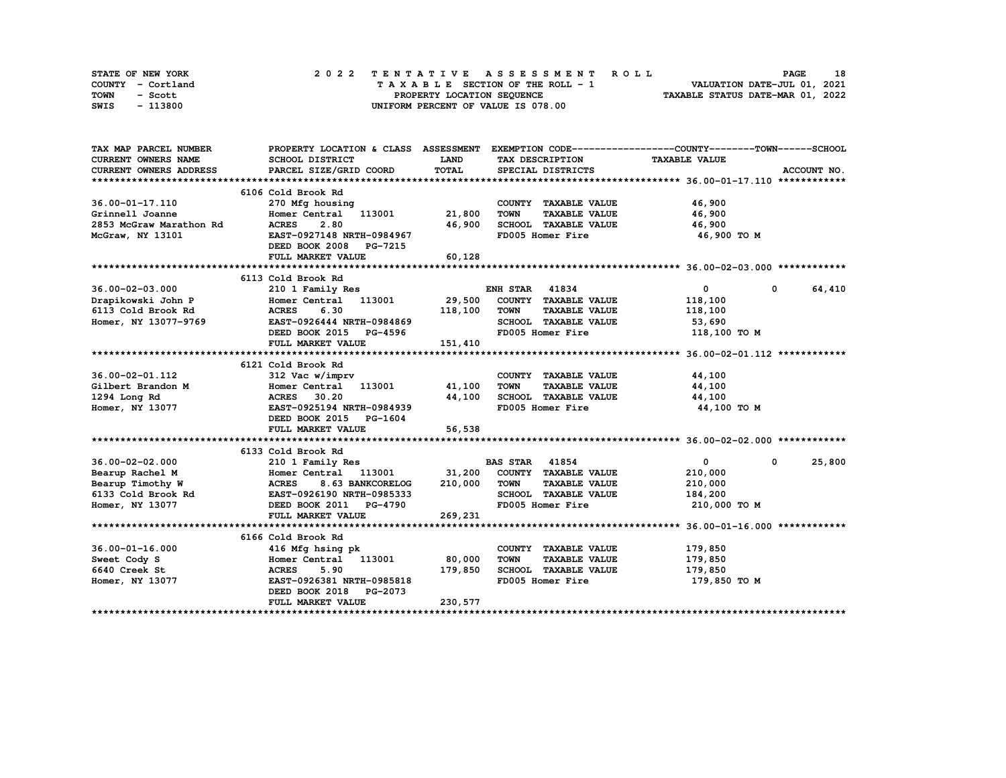| STATE OF NEW YORK |  |  |                                    |  |                                 | 2022 TENTATIVE ASSESSMENT ROLL |                                  | <b>PAGE</b> | 18 |
|-------------------|--|--|------------------------------------|--|---------------------------------|--------------------------------|----------------------------------|-------------|----|
| COUNTY - Cortland |  |  |                                    |  | TAXABLE SECTION OF THE ROLL - 1 |                                | VALUATION DATE-JUL 01, 2021      |             |    |
| TOWN<br>- Scott   |  |  | PROPERTY LOCATION SEQUENCE         |  |                                 |                                | TAXABLE STATUS DATE-MAR 01, 2022 |             |    |
| - 113800<br>SWIS  |  |  | UNIFORM PERCENT OF VALUE IS 078.00 |  |                                 |                                |                                  |             |    |

| TAX MAP PARCEL NUMBER                                                   | PROPERTY LOCATION & CLASS ASSESSMENT EXEMPTION CODE----------------COUNTY-------TOWN------SCHOOL |              |                                     |                                 |              |             |
|-------------------------------------------------------------------------|--------------------------------------------------------------------------------------------------|--------------|-------------------------------------|---------------------------------|--------------|-------------|
| <b>CURRENT OWNERS NAME</b>                                              | SCHOOL DISTRICT                                                                                  | LAND         | TAX DESCRIPTION                     | <b>TAXABLE VALUE</b>            |              |             |
| <b>CURRENT OWNERS ADDRESS</b>                                           | PARCEL SIZE/GRID COORD                                                                           | TOTAL        | SPECIAL DISTRICTS                   |                                 |              | ACCOUNT NO. |
|                                                                         |                                                                                                  |              |                                     |                                 |              |             |
|                                                                         | 6106 Cold Brook Rd                                                                               |              |                                     |                                 |              |             |
| 36.00-01-17.110                                                         | 270 Mfg housing                                                                                  |              | COUNTY TAXABLE VALUE                | 46,900                          |              |             |
| Grinnell Joanne                                                         | Homer Central 113001 21,800                                                                      |              | <b>TOWN</b><br><b>TAXABLE VALUE</b> | 46,900                          |              |             |
| 2853 McGraw Marathon Rd                                                 | <b>ACRES</b><br>2.80                                                                             | 46,900       | SCHOOL TAXABLE VALUE                | 46,900                          |              |             |
| McGraw, NY 13101                                                        | EAST-0927148 NRTH-0984967                                                                        |              | FD005 Homer Fire                    | 46,900 TO M                     |              |             |
|                                                                         | DEED BOOK 2008 PG-7215                                                                           |              |                                     |                                 |              |             |
|                                                                         | FULL MARKET VALUE                                                                                | 60,128       |                                     |                                 |              |             |
|                                                                         |                                                                                                  |              |                                     |                                 |              |             |
|                                                                         | 6113 Cold Brook Rd                                                                               |              |                                     |                                 |              |             |
| $36.00 - 02 - 03.000$                                                   | 210 1 Family Res                                                                                 |              | <b>ENH STAR 41834</b>               | $\mathbf{0}$                    | $\mathbf{0}$ | 64,410      |
| Drapikowski John P and Homer Central 113001 29,500 COUNTY TAXABLE VALUE |                                                                                                  |              |                                     | 118,100                         |              |             |
| 6113 Cold Brook Rd                                                      | 6.30<br><b>ACRES</b>                                                                             | 118,100 TOWN |                                     | <b>TAXABLE VALUE</b><br>118,100 |              |             |
| Homer, NY 13077-9769                                                    | EAST-0926444 NRTH-0984869                                                                        |              | SCHOOL TAXABLE VALUE                | 53,690                          |              |             |
|                                                                         | DEED BOOK 2015 PG-4596                                                                           |              | FD005 Homer Fire                    | 118,100 TO M                    |              |             |
|                                                                         | FULL MARKET VALUE                                                                                | 151,410      |                                     |                                 |              |             |
|                                                                         |                                                                                                  |              |                                     |                                 |              |             |
|                                                                         | 6121 Cold Brook Rd                                                                               |              |                                     |                                 |              |             |
| 36.00-02-01.112                                                         | 312 Vac w/imprv                                                                                  |              | COUNTY TAXABLE VALUE                | 44,100                          |              |             |
| Gilbert Brandon M                                                       | Homer Central 113001 41,100                                                                      |              | <b>TOWN</b>                         | 44,100<br><b>TAXABLE VALUE</b>  |              |             |
| 1294 Long Rd                                                            |                                                                                                  |              | 44,100 SCHOOL TAXABLE VALUE         | 44,100                          |              |             |
| Homer, NY 13077                                                         | <b>ACRES</b> 30.20<br>EAST-0925194 I<br>EAST-0925194 NRTH-0984939                                |              | FD005 Homer Fire                    | 44,100 TO M                     |              |             |
|                                                                         | DEED BOOK 2015 PG-1604                                                                           |              |                                     |                                 |              |             |
|                                                                         | FULL MARKET VALUE                                                                                | 56,538       |                                     |                                 |              |             |
|                                                                         |                                                                                                  |              |                                     |                                 |              |             |
|                                                                         | 6133 Cold Brook Rd                                                                               |              |                                     |                                 |              |             |
| 36.00-02-02.000                                                         | 210 1 Family Res                                                                                 |              | <b>BAS STAR</b> 41854               | $\mathbf{0}$                    | $^{\circ}$   | 25,800      |
| Bearup Rachel M                                                         | 113001 31,200<br>Homer Central                                                                   |              | COUNTY TAXABLE VALUE                | 210,000                         |              |             |
|                                                                         | 8.63 BANKCORELOG 210,000 TOWN                                                                    |              |                                     | <b>TAXABLE VALUE</b><br>210,000 |              |             |
|                                                                         |                                                                                                  |              | SCHOOL TAXABLE VALUE                | 184,200                         |              |             |
| Homer, NY 13077                                                         | DEED BOOK 2011 PG-4790                                                                           |              | FD005 Homer Fire                    | 210,000 TO M                    |              |             |
|                                                                         | FULL MARKET VALUE                                                                                | 269,231      |                                     |                                 |              |             |
|                                                                         |                                                                                                  |              |                                     |                                 |              |             |
|                                                                         | 6166 Cold Brook Rd                                                                               |              |                                     |                                 |              |             |
| 36.00-01-16.000                                                         | 416 Mfg hsing pk                                                                                 |              | COUNTY TAXABLE VALUE                | 179,850                         |              |             |
| Sweet Cody S                                                            | Homer Central 113001                                                                             | 80,000       | <b>TOWN</b>                         | <b>TAXABLE VALUE</b><br>179,850 |              |             |
| 6640 Creek St                                                           | <b>ACRES</b><br>5.90                                                                             | 179,850      | SCHOOL TAXABLE VALUE                | 179,850                         |              |             |
| Homer, NY 13077                                                         | EAST-0926381 NRTH-0985818                                                                        |              | FD005 Homer Fire                    | 179,850 то м                    |              |             |
|                                                                         | DEED BOOK 2018 PG-2073                                                                           |              |                                     |                                 |              |             |
|                                                                         | FULL MARKET VALUE                                                                                | 230,577      |                                     |                                 |              |             |
|                                                                         |                                                                                                  |              |                                     |                                 |              |             |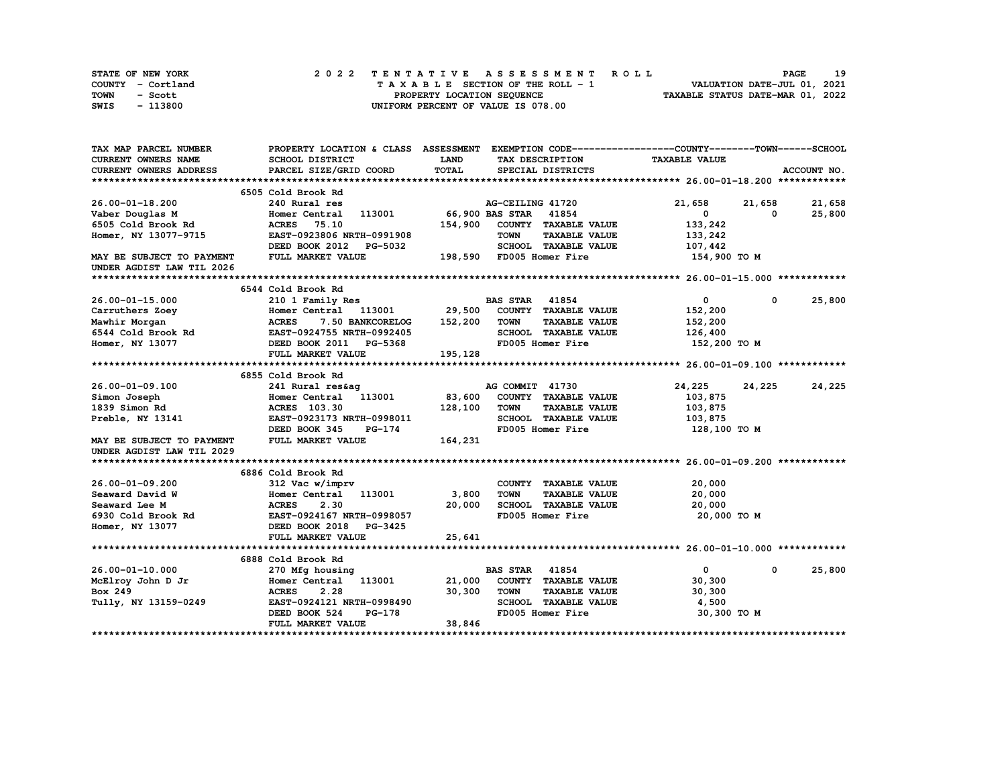| STATE OF NEW YORK | 2022 TENTATIVE ASSESSMENT ROLL     | 19<br><b>PAGE</b>                |
|-------------------|------------------------------------|----------------------------------|
| COUNTY - Cortland | TAXABLE SECTION OF THE ROLL - 1    | VALUATION DATE-JUL 01, 2021      |
| TOWN<br>- Scott   | PROPERTY LOCATION SEQUENCE         | TAXABLE STATUS DATE-MAR 01, 2022 |
| - 113800<br>SWIS  | UNIFORM PERCENT OF VALUE IS 078.00 |                                  |

| TAX MAP PARCEL NUMBER                        | PROPERTY LOCATION & CLASS ASSESSMENT EXEMPTION CODE----------------COUNTY-------TOWN-----SCHOOL |          |                                     |                      |                       |
|----------------------------------------------|-------------------------------------------------------------------------------------------------|----------|-------------------------------------|----------------------|-----------------------|
| CURRENT OWNERS NAME                          | SCHOOL DISTRICT                                                                                 | LAND     | TAX DESCRIPTION                     | <b>TAXABLE VALUE</b> |                       |
| CURRENT OWNERS ADDRESS                       | PARCEL SIZE/GRID COORD                                                                          | TOTAL    | SPECIAL DISTRICTS                   |                      | ACCOUNT NO.           |
|                                              |                                                                                                 |          |                                     |                      |                       |
|                                              | 6505 Cold Brook Rd                                                                              |          |                                     |                      |                       |
| 26.00-01-18.200                              | 240 Rural res                                                                                   |          | AG-CEILING 41720                    | 21,658               | 21,658 21,658         |
| Vaber Douglas M                              | Homer Central                                                                                   |          | 113001 66,900 BAS STAR 41854        | $\mathbf{0}$         | 25,800<br>0           |
| 6505 Cold Brook Rd                           | <b>ACRES</b> 75.10                                                                              | 154,900  | COUNTY TAXABLE VALUE                | 133,242              |                       |
| Homer, NY 13077-9715                         | EAST-0923806 NRTH-0991908                                                                       |          | <b>TOWN</b><br><b>TAXABLE VALUE</b> | 133,242              |                       |
|                                              | DEED BOOK 2012 PG-5032                                                                          |          | SCHOOL TAXABLE VALUE                | 107,442              |                       |
| MAY BE SUBJECT TO PAYMENT                    | FULL MARKET VALUE                                                                               |          | 198,590 FD005 Homer Fire            | 154,900 TO M         |                       |
| UNDER AGDIST LAW TIL 2026                    |                                                                                                 |          |                                     |                      |                       |
|                                              |                                                                                                 |          |                                     |                      |                       |
|                                              | 6544 Cold Brook Rd                                                                              |          |                                     |                      |                       |
| 26.00-01-15.000                              | 210 1 Family Res                                                                                |          | <b>BAS STAR</b> 41854               | $\mathbf{0}$         | 25,800<br>$\mathbf 0$ |
| Carruthers Zoey                              | Homer Central 113001 29,500                                                                     |          | COUNTY TAXABLE VALUE                | 152,200              |                       |
| Mawhir Morgan                                | <b>ACRES</b><br>7.50 BANKCORELOG                                                                | 152,200  | <b>TOWN</b><br><b>TAXABLE VALUE</b> | 152,200              |                       |
| 6544 Cold Brook Rd EAST-0924755 NRTH-0992405 |                                                                                                 |          | SCHOOL TAXABLE VALUE                | 126,400              |                       |
|                                              |                                                                                                 |          | FD005 Homer Fire                    |                      |                       |
| Homer, NY 13077                              | DEED BOOK 2011 PG-5368                                                                          |          |                                     | 152,200 то м         |                       |
|                                              | FULL MARKET VALUE                                                                               | 195,128  |                                     |                      |                       |
|                                              |                                                                                                 |          |                                     |                      |                       |
|                                              | 6855 Cold Brook Rd                                                                              |          |                                     |                      |                       |
| 26.00-01-09.100                              | 241 Rural res&ag<br>Homer Central 113001 83,600                                                 |          | AG COMMIT 41730                     | 24,225               | 24,225<br>24,225      |
| Simon Joseph                                 |                                                                                                 |          | COUNTY TAXABLE VALUE                | 103,875              |                       |
| 1839 Simon Rd                                | ACRES 103.30                                                                                    | 128,100  | <b>TOWN</b><br><b>TAXABLE VALUE</b> | 103,875              |                       |
| Preble, NY 13141                             | EAST-0923173 NRTH-0998011                                                                       |          | SCHOOL TAXABLE VALUE                | 103,875              |                       |
|                                              | DEED BOOK 345<br><b>PG-174</b>                                                                  |          | FD005 Homer Fire                    | 128,100 TO M         |                       |
| MAY BE SUBJECT TO PAYMENT                    | FULL MARKET VALUE                                                                               | 164, 231 |                                     |                      |                       |
| UNDER AGDIST LAW TIL 2029                    |                                                                                                 |          |                                     |                      |                       |
|                                              |                                                                                                 |          |                                     |                      |                       |
|                                              | 6886 Cold Brook Rd                                                                              |          |                                     |                      |                       |
| 26.00-01-09.200                              | 312 Vac w/imprv                                                                                 |          | COUNTY TAXABLE VALUE                | 20,000               |                       |
| Seaward David W                              | Homer Central 113001 3,800                                                                      |          | <b>TOWN</b><br><b>TAXABLE VALUE</b> | 20,000               |                       |
| Seaward Lee M                                | <b>ACRES</b><br>2.30                                                                            | 20,000   | SCHOOL TAXABLE VALUE                | 20,000               |                       |
| 6930 Cold Brook Rd                           | EAST-0924167 NRTH-0998057                                                                       |          | FD005 Homer Fire                    | 20,000 TO M          |                       |
| Homer, NY 13077                              | DEED BOOK 2018<br><b>PG-3425</b>                                                                |          |                                     |                      |                       |
|                                              | FULL MARKET VALUE                                                                               | 25,641   |                                     |                      |                       |
|                                              |                                                                                                 |          |                                     |                      |                       |
|                                              | 6888 Cold Brook Rd                                                                              |          |                                     |                      |                       |
| 26.00-01-10.000                              | 270 Mfg housing                                                                                 |          | <b>BAS STAR</b> 41854               | $\mathbf{0}$         | 25,800<br>$^{\circ}$  |
| McElroy John D Jr                            | 113001<br>Homer Central                                                                         | 21,000   | COUNTY TAXABLE VALUE                | 30,300               |                       |
| Box 249                                      | ACRES<br>2.28                                                                                   | 30,300   | TOWN<br><b>TAXABLE VALUE</b>        | 30,300               |                       |
| Tully, NY 13159-0249                         | EAST-0924121 NRTH-0998490                                                                       |          | SCHOOL TAXABLE VALUE                | 4,500                |                       |
|                                              | <b>PG-178</b><br>DEED BOOK 524                                                                  |          | FD005 Homer Fire                    | 30,300 TO M          |                       |
|                                              | FULL MARKET VALUE                                                                               | 38,846   |                                     |                      |                       |
|                                              |                                                                                                 |          |                                     |                      |                       |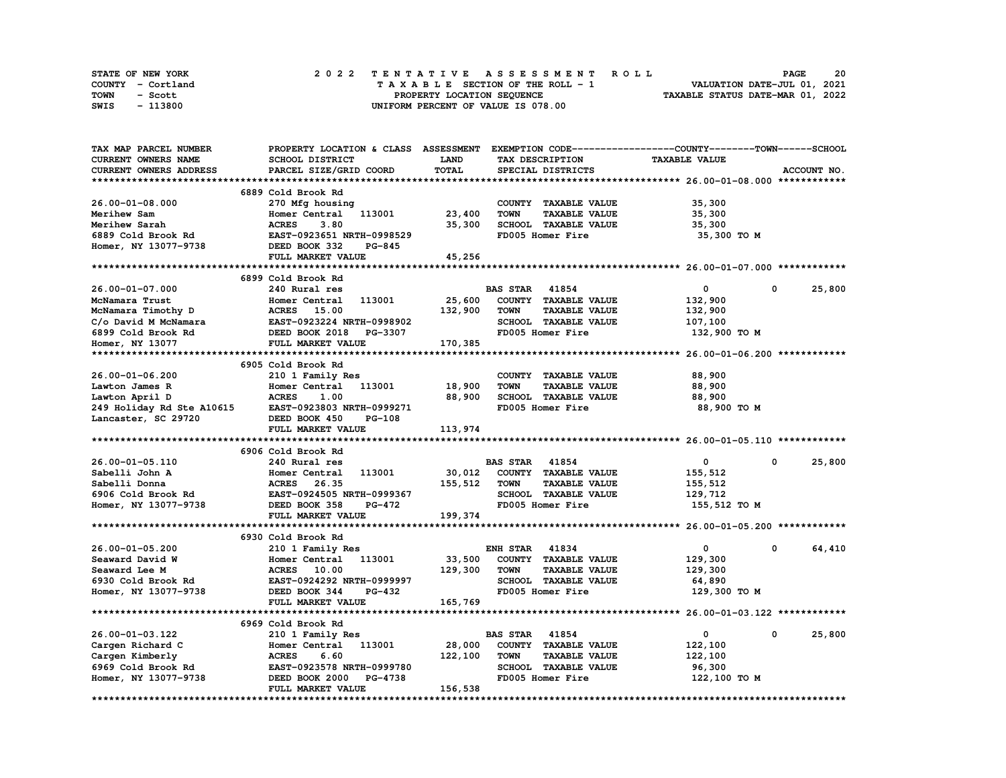| STATE OF NEW YORK | 2022 TENTATIVE ASSESSMENT ROLL     | 20<br><b>PAGE</b>                |
|-------------------|------------------------------------|----------------------------------|
| COUNTY - Cortland | TAXABLE SECTION OF THE ROLL - 1    | VALUATION DATE-JUL 01, 2021      |
| TOWN<br>- Scott   | PROPERTY LOCATION SEQUENCE         | TAXABLE STATUS DATE-MAR 01, 2022 |
| - 113800<br>SWIS  | UNIFORM PERCENT OF VALUE IS 078.00 |                                  |

| TAX MAP PARCEL NUMBER     |                                |              | PROPERTY LOCATION & CLASS ASSESSMENT EXEMPTION CODE-----------------COUNTY-------TOWN------SCHOOL |                      |            |             |
|---------------------------|--------------------------------|--------------|---------------------------------------------------------------------------------------------------|----------------------|------------|-------------|
| CURRENT OWNERS NAME       | SCHOOL DISTRICT                | LAND         | TAX DESCRIPTION                                                                                   | <b>TAXABLE VALUE</b> |            |             |
| CURRENT OWNERS ADDRESS    | PARCEL SIZE/GRID COORD         | <b>TOTAL</b> | SPECIAL DISTRICTS                                                                                 |                      |            | ACCOUNT NO. |
|                           |                                |              |                                                                                                   |                      |            |             |
|                           | 6889 Cold Brook Rd             |              |                                                                                                   |                      |            |             |
| 26.00-01-08.000           | 270 Mfg housing                |              | COUNTY TAXABLE VALUE                                                                              | 35,300               |            |             |
| Merihew Sam               | Homer Central<br>113001        | 23,400       | <b>TAXABLE VALUE</b><br><b>TOWN</b>                                                               | 35,300               |            |             |
| Merihew Sarah             | <b>ACRES</b><br>3.80           | 35,300       | SCHOOL TAXABLE VALUE                                                                              | 35,300               |            |             |
| 6889 Cold Brook Rd        | EAST-0923651 NRTH-0998529      |              | FD005 Homer Fire                                                                                  |                      |            |             |
|                           |                                |              |                                                                                                   | 35,300 TO M          |            |             |
| Homer, NY 13077-9738      | DEED BOOK 332<br>PG-845        |              |                                                                                                   |                      |            |             |
|                           | FULL MARKET VALUE              | 45,256       |                                                                                                   |                      |            |             |
|                           |                                |              |                                                                                                   |                      |            |             |
|                           | 6899 Cold Brook Rd             |              |                                                                                                   |                      |            |             |
| $26.00 - 01 - 07.000$     | 240 Rural res                  |              | <b>BAS STAR</b><br>41854                                                                          | 0                    | 0          | 25,800      |
| McNamara Trust            | 113001<br>Homer Central        | 25,600       | COUNTY TAXABLE VALUE                                                                              | 132,900              |            |             |
| McNamara Timothy D        | <b>ACRES</b> 15.00             | 132,900      | <b>TOWN</b><br><b>TAXABLE VALUE</b>                                                               | 132,900              |            |             |
| C/o David M McNamara      | EAST-0923224 NRTH-0998902      |              | <b>SCHOOL TAXABLE VALUE</b>                                                                       | 107,100              |            |             |
| 6899 Cold Brook Rd        | DEED BOOK 2018 PG-3307         |              | FD005 Homer Fire                                                                                  | 132,900 TO M         |            |             |
| Homer, NY 13077           | FULL MARKET VALUE              | 170,385      |                                                                                                   |                      |            |             |
|                           |                                |              |                                                                                                   |                      |            |             |
|                           | 6905 Cold Brook Rd             |              |                                                                                                   |                      |            |             |
| 26.00-01-06.200           | 210 1 Family Res               |              | COUNTY TAXABLE VALUE                                                                              | 88,900               |            |             |
| Lawton James R            | Homer Central<br>113001        | 18,900       | <b>TOWN</b><br><b>TAXABLE VALUE</b>                                                               | 88,900               |            |             |
| Lawton April D            | <b>ACRES</b><br>1.00           | 88,900       | <b>SCHOOL TAXABLE VALUE</b>                                                                       | 88,900               |            |             |
| 249 Holiday Rd Ste A10615 | EAST-0923803 NRTH-0999271      |              | FD005 Homer Fire                                                                                  | 88,900 TO M          |            |             |
| Lancaster, SC 29720       | DEED BOOK 450<br><b>PG-108</b> |              |                                                                                                   |                      |            |             |
|                           | FULL MARKET VALUE              | 113,974      |                                                                                                   |                      |            |             |
|                           |                                |              |                                                                                                   |                      |            |             |
|                           | 6906 Cold Brook Rd             |              |                                                                                                   |                      |            |             |
| 26.00-01-05.110           | 240 Rural res                  |              | <b>BAS STAR 41854</b>                                                                             | $\mathbf{0}$         | $^{\circ}$ | 25,800      |
|                           |                                |              | COUNTY TAXABLE VALUE                                                                              |                      |            |             |
| Sabelli John A            | 113001<br>Homer Central        | 30,012       |                                                                                                   | 155,512              |            |             |
| Sabelli Donna             | <b>ACRES</b><br>26.35          | 155,512      | <b>TAXABLE VALUE</b><br>TOWN                                                                      | 155,512              |            |             |
| 6906 Cold Brook Rd        | EAST-0924505 NRTH-0999367      |              | SCHOOL TAXABLE VALUE                                                                              | 129,712              |            |             |
| Homer, NY 13077-9738      | DEED BOOK 358<br>PG-472        |              | FD005 Homer Fire                                                                                  | 155,512 TO M         |            |             |
|                           | FULL MARKET VALUE              | 199,374      |                                                                                                   |                      |            |             |
|                           |                                |              |                                                                                                   |                      |            |             |
|                           | 6930 Cold Brook Rd             |              |                                                                                                   |                      |            |             |
| 26.00-01-05.200           | 210 1 Family Res               |              | <b>ENH STAR</b><br>41834                                                                          | 0                    | 0          | 64,410      |
| Seaward David W           | 113001<br>Homer Central        | 33,500       | COUNTY TAXABLE VALUE                                                                              | 129,300              |            |             |
| Seaward Lee M             | <b>ACRES</b> 10.00             | 129,300      | <b>TAXABLE VALUE</b><br><b>TOWN</b>                                                               | 129,300              |            |             |
| 6930 Cold Brook Rd        | EAST-0924292 NRTH-0999997      |              | <b>SCHOOL TAXABLE VALUE</b>                                                                       | 64,890               |            |             |
| Homer, NY 13077-9738      | DEED BOOK 344<br>PG-432        |              | FD005 Homer Fire                                                                                  | 129,300 TO M         |            |             |
|                           | FULL MARKET VALUE              | 165,769      |                                                                                                   |                      |            |             |
|                           |                                |              |                                                                                                   |                      |            |             |
|                           | 6969 Cold Brook Rd             |              |                                                                                                   |                      |            |             |
| 26.00-01-03.122           | 210 1 Family Res               |              | <b>BAS STAR</b><br>41854                                                                          | $\mathbf 0$          | 0          | 25,800      |
| Cargen Richard C          | Homer Central<br>113001        | 28,000       | COUNTY TAXABLE VALUE                                                                              | 122,100              |            |             |
| Cargen Kimberly           | <b>ACRES</b><br>6.60           | 122,100      | <b>TOWN</b><br><b>TAXABLE VALUE</b>                                                               | 122,100              |            |             |
| 6969 Cold Brook Rd        | EAST-0923578 NRTH-0999780      |              | <b>SCHOOL TAXABLE VALUE</b>                                                                       | 96,300               |            |             |
| Homer, NY 13077-9738      | DEED BOOK 2000<br>PG-4738      |              | FD005 Homer Fire                                                                                  | 122,100 TO M         |            |             |
|                           | FULL MARKET VALUE              | 156,538      |                                                                                                   |                      |            |             |
|                           |                                |              |                                                                                                   |                      |            |             |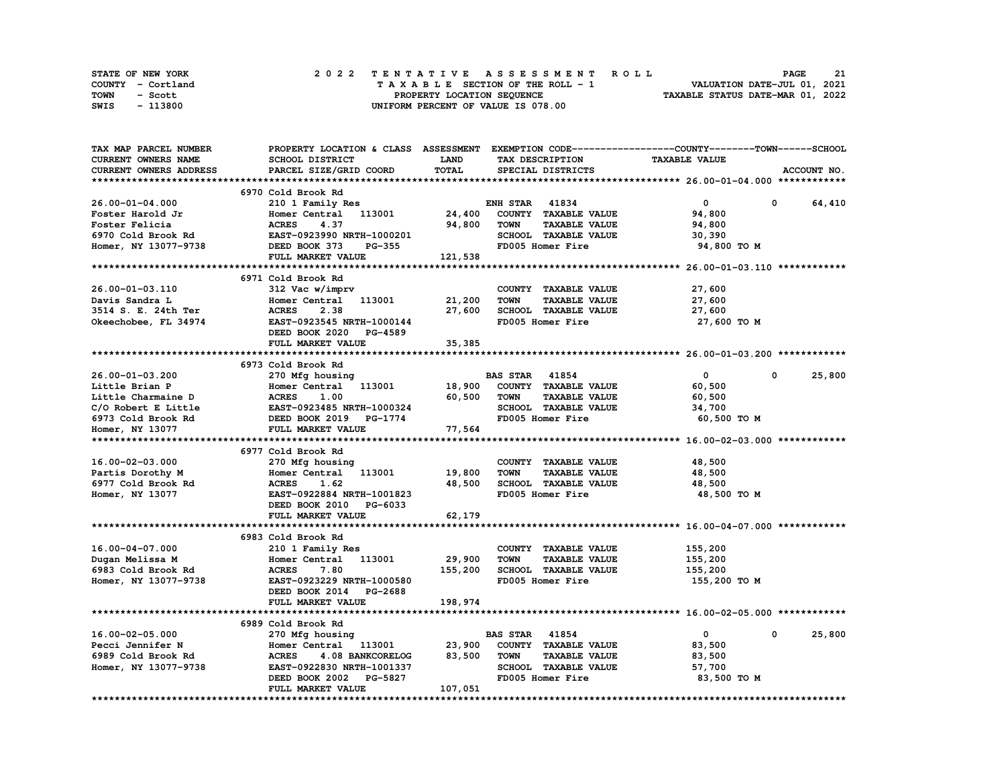| STATE OF NEW YORK | 2022 TENTATIVE ASSESSMENT ROLL                                 | 21<br><b>PAGE</b>           |  |  |  |  |  |  |  |
|-------------------|----------------------------------------------------------------|-----------------------------|--|--|--|--|--|--|--|
| COUNTY - Cortland | TAXABLE SECTION OF THE ROLL - 1                                | VALUATION DATE-JUL 01, 2021 |  |  |  |  |  |  |  |
| TOWN<br>- Scott   | TAXABLE STATUS DATE-MAR 01, 2022<br>PROPERTY LOCATION SEQUENCE |                             |  |  |  |  |  |  |  |
| - 113800<br>SWIS  | UNIFORM PERCENT OF VALUE IS 078.00                             |                             |  |  |  |  |  |  |  |

| TAX MAP PARCEL NUMBER  |                                  |             |                                     | PROPERTY LOCATION & CLASS ASSESSMENT EXEMPTION CODE----------------COUNTY-------TOWN------SCHOOL |             |
|------------------------|----------------------------------|-------------|-------------------------------------|--------------------------------------------------------------------------------------------------|-------------|
| CURRENT OWNERS NAME    | SCHOOL DISTRICT                  | <b>LAND</b> | TAX DESCRIPTION                     | <b>TAXABLE VALUE</b>                                                                             |             |
| CURRENT OWNERS ADDRESS | PARCEL SIZE/GRID COORD           | TOTAL       | SPECIAL DISTRICTS                   |                                                                                                  | ACCOUNT NO. |
|                        |                                  |             |                                     |                                                                                                  |             |
|                        | 6970 Cold Brook Rd               |             |                                     |                                                                                                  |             |
| $26.00 - 01 - 04.000$  | 210 1 Family Res                 |             | <b>ENH STAR 41834</b>               | $\mathbf{0}$<br>0                                                                                | 64,410      |
| Foster Harold Jr       | Homer Central 113001             | 24,400      | COUNTY TAXABLE VALUE                | 94,800                                                                                           |             |
| Foster Felicia         | 4.37<br><b>ACRES</b>             | 94,800      | <b>TAXABLE VALUE</b><br><b>TOWN</b> | 94,800                                                                                           |             |
| 6970 Cold Brook Rd     | EAST-0923990 NRTH-1000201        |             | SCHOOL TAXABLE VALUE                | 30,390                                                                                           |             |
| Homer, NY 13077-9738   | DEED BOOK 373<br><b>PG-355</b>   |             | FD005 Homer Fire                    | 94,800 TO M                                                                                      |             |
|                        | FULL MARKET VALUE                |             |                                     |                                                                                                  |             |
|                        |                                  | 121,538     |                                     |                                                                                                  |             |
|                        |                                  |             |                                     |                                                                                                  |             |
|                        | 6971 Cold Brook Rd               |             |                                     |                                                                                                  |             |
| 26.00-01-03.110        | 312 Vac w/imprv                  |             | COUNTY TAXABLE VALUE                | 27,600                                                                                           |             |
| Davis Sandra L         | Homer Central 113001             | 21,200      | <b>TOWN</b><br><b>TAXABLE VALUE</b> | 27,600                                                                                           |             |
| 3514 S. E. 24th Ter    | <b>ACRES</b><br>2.38             | 27,600      | SCHOOL TAXABLE VALUE                | 27,600                                                                                           |             |
| Okeechobee, FL 34974   | EAST-0923545 NRTH-1000144        |             | FD005 Homer Fire                    | 27,600 TO M                                                                                      |             |
|                        | DEED BOOK 2020 PG-4589           |             |                                     |                                                                                                  |             |
|                        | FULL MARKET VALUE                | 35,385      |                                     |                                                                                                  |             |
|                        |                                  |             |                                     |                                                                                                  |             |
|                        | 6973 Cold Brook Rd               |             |                                     |                                                                                                  |             |
| 26.00-01-03.200        | 270 Mfg housing                  |             | <b>BAS STAR 41854</b>               | $\overline{0}$<br>$\mathbf{0}$                                                                   | 25,800      |
| Little Brian P         | Homer Central<br>113001          | 18,900      | COUNTY TAXABLE VALUE                | 60,500                                                                                           |             |
| Little Charmaine D     | <b>ACRES</b><br>1.00             | 60,500      | <b>TAXABLE VALUE</b><br><b>TOWN</b> | 60,500                                                                                           |             |
| C/O Robert E Little    | EAST-0923485 NRTH-1000324        |             | SCHOOL TAXABLE VALUE                | 34,700                                                                                           |             |
| 6973 Cold Brook Rd     | DEED BOOK 2019 PG-1774           |             | FD005 Homer Fire                    | 60,500 TO M                                                                                      |             |
| Homer, NY 13077        | FULL MARKET VALUE                | 77,564      |                                     |                                                                                                  |             |
|                        |                                  |             |                                     |                                                                                                  |             |
|                        | 6977 Cold Brook Rd               |             |                                     |                                                                                                  |             |
| 16.00-02-03.000        | 270 Mfg housing                  |             | COUNTY TAXABLE VALUE                | 48,500                                                                                           |             |
| Partis Dorothy M       | Homer Central 113001             | 19,800      | <b>TOWN</b><br><b>TAXABLE VALUE</b> | 48,500                                                                                           |             |
| 6977 Cold Brook Rd     | 1.62<br><b>ACRES</b>             | 48,500      | SCHOOL TAXABLE VALUE                | 48,500                                                                                           |             |
|                        | EAST-0922884 NRTH-1001823        |             | FD005 Homer Fire                    |                                                                                                  |             |
| Homer, NY 13077        |                                  |             |                                     | 48,500 TO M                                                                                      |             |
|                        | DEED BOOK 2010 PG-6033           |             |                                     |                                                                                                  |             |
|                        | FULL MARKET VALUE                | 62,179      |                                     |                                                                                                  |             |
|                        |                                  |             |                                     |                                                                                                  |             |
|                        | 6983 Cold Brook Rd               |             |                                     |                                                                                                  |             |
| 16.00-04-07.000        | 210 1 Family Res                 |             | COUNTY TAXABLE VALUE                | 155,200                                                                                          |             |
| Dugan Melissa M        | Homer Central 113001             | 29,900      | <b>TOWN</b><br><b>TAXABLE VALUE</b> | 155,200                                                                                          |             |
| 6983 Cold Brook Rd     | <b>ACRES</b><br>7.80             | 155,200     | SCHOOL TAXABLE VALUE                | 155,200                                                                                          |             |
| Homer, NY 13077-9738   | EAST-0923229 NRTH-1000580        |             | FD005 Homer Fire                    | 155,200 TO M                                                                                     |             |
|                        | DEED BOOK 2014 PG-2688           |             |                                     |                                                                                                  |             |
|                        | FULL MARKET VALUE                | 198,974     |                                     |                                                                                                  |             |
|                        |                                  |             |                                     |                                                                                                  |             |
|                        | 6989 Cold Brook Rd               |             |                                     |                                                                                                  |             |
| 16.00-02-05.000        | 270 Mfg housing                  |             | <b>BAS STAR 41854</b>               | $\mathbf{0}$<br>$^{\circ}$                                                                       | 25,800      |
| Pecci Jennifer N       | Homer Central 113001             | 23,900      | COUNTY TAXABLE VALUE                | 83,500                                                                                           |             |
| 6989 Cold Brook Rd     | <b>ACRES</b><br>4.08 BANKCORELOG | 83,500      | <b>TOWN</b><br><b>TAXABLE VALUE</b> | 83,500                                                                                           |             |
| Homer, NY 13077-9738   | EAST-0922830 NRTH-1001337        |             | SCHOOL TAXABLE VALUE                | 57,700                                                                                           |             |
|                        | DEED BOOK 2002 PG-5827           |             | FD005 Homer Fire                    | 83,500 TO M                                                                                      |             |
|                        | FULL MARKET VALUE                | 107,051     |                                     |                                                                                                  |             |
|                        |                                  |             |                                     |                                                                                                  |             |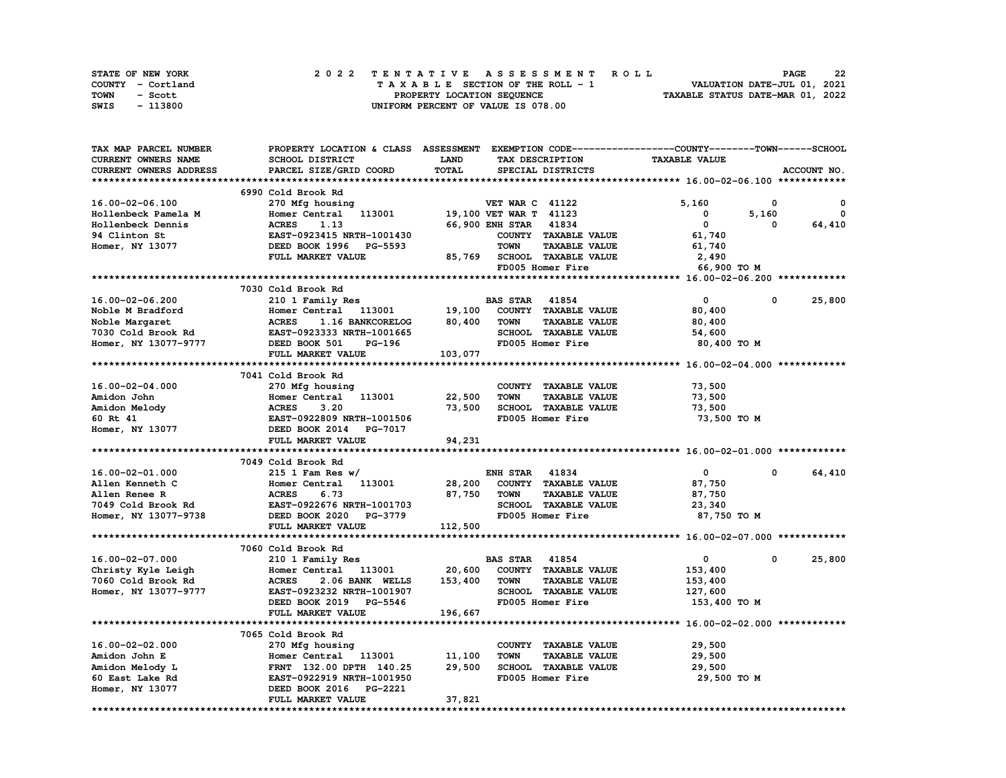| STATE OF NEW YORK | 2022 TENTATIVE ASSESSMENT ROLL          | -22<br><b>PAGE</b>               |
|-------------------|-----------------------------------------|----------------------------------|
| COUNTY - Cortland | $T A X A B L E$ SECTION OF THE ROLL - 1 | VALUATION DATE-JUL 01, 2021      |
| TOWN<br>- Scott   | PROPERTY LOCATION SEQUENCE              | TAXABLE STATUS DATE-MAR 01, 2022 |
| - 113800<br>SWIS  | UNIFORM PERCENT OF VALUE IS 078.00      |                                  |

| TAX MAP PARCEL NUMBER  | PROPERTY LOCATION & CLASS ASSESSMENT EXEMPTION CODE-----------------COUNTY-------TOWN-----SCHOOL |              |                        |                             |                      |            |             |
|------------------------|--------------------------------------------------------------------------------------------------|--------------|------------------------|-----------------------------|----------------------|------------|-------------|
| CURRENT OWNERS NAME    | SCHOOL DISTRICT                                                                                  | <b>LAND</b>  |                        | TAX DESCRIPTION             | <b>TAXABLE VALUE</b> |            |             |
| CURRENT OWNERS ADDRESS | PARCEL SIZE/GRID COORD                                                                           | <b>TOTAL</b> |                        | SPECIAL DISTRICTS           |                      |            | ACCOUNT NO. |
|                        |                                                                                                  |              |                        |                             |                      |            |             |
|                        | 6990 Cold Brook Rd                                                                               |              |                        |                             |                      |            |             |
| 16.00-02-06.100        | 270 Mfg housing                                                                                  |              | <b>VET WAR C 41122</b> |                             | 5,160                | 0          | 0           |
| Hollenbeck Pamela M    | Homer Central<br>113001                                                                          |              | 19,100 VET WAR T 41123 |                             | 0                    | 5,160      | $\mathbf 0$ |
| Hollenbeck Dennis      | 1.13<br><b>ACRES</b>                                                                             |              | 66,900 ENH STAR        | 41834                       | $\mathbf{o}$         | 0          | 64,410      |
| 94 Clinton St          | EAST-0923415 NRTH-1001430                                                                        |              |                        | COUNTY TAXABLE VALUE        | 61,740               |            |             |
| Homer, NY 13077        | DEED BOOK 1996<br><b>PG-5593</b>                                                                 |              | <b>TOWN</b>            | <b>TAXABLE VALUE</b>        | 61,740               |            |             |
|                        | FULL MARKET VALUE                                                                                | 85,769       |                        | <b>SCHOOL TAXABLE VALUE</b> | 2,490                |            |             |
|                        |                                                                                                  |              |                        | FD005 Homer Fire            | 66,900 TO M          |            |             |
|                        |                                                                                                  |              |                        |                             |                      |            |             |
|                        | 7030 Cold Brook Rd                                                                               |              |                        |                             |                      |            |             |
| 16.00-02-06.200        | 210 1 Family Res                                                                                 |              | <b>BAS STAR</b>        | 41854                       | $\mathbf 0$          | $^{\circ}$ | 25,800      |
| Noble M Bradford       | Homer Central<br>113001                                                                          | 19,100       |                        | COUNTY TAXABLE VALUE        | 80,400               |            |             |
| Noble Margaret         | <b>ACRES</b><br>1.16 BANKCORELOG                                                                 | 80,400       | <b>TOWN</b>            | <b>TAXABLE VALUE</b>        | 80,400               |            |             |
| 7030 Cold Brook Rd     | EAST-0923333 NRTH-1001665                                                                        |              |                        | SCHOOL TAXABLE VALUE        | 54,600               |            |             |
| Homer, NY 13077-9777   | DEED BOOK 501<br>PG-196                                                                          |              |                        | FD005 Homer Fire            | 80,400 TO M          |            |             |
|                        | FULL MARKET VALUE                                                                                | 103,077      |                        |                             |                      |            |             |
|                        |                                                                                                  |              |                        |                             |                      |            |             |
|                        | 7041 Cold Brook Rd                                                                               |              |                        |                             |                      |            |             |
| 16.00-02-04.000        | 270 Mfg housing                                                                                  |              |                        | COUNTY TAXABLE VALUE        | 73,500               |            |             |
| Amidon John            | Homer Central 113001                                                                             | 22,500       | TOWN                   | <b>TAXABLE VALUE</b>        | 73,500               |            |             |
| Amidon Melody          | <b>ACRES</b><br>3.20                                                                             | 73,500       |                        | SCHOOL TAXABLE VALUE        | 73,500               |            |             |
| 60 Rt 41               | EAST-0922809 NRTH-1001506                                                                        |              |                        | FD005 Homer Fire            | 73,500 TO M          |            |             |
| Homer, NY 13077        | DEED BOOK 2014<br>PG-7017                                                                        |              |                        |                             |                      |            |             |
|                        | FULL MARKET VALUE                                                                                | 94,231       |                        |                             |                      |            |             |
|                        | 7049 Cold Brook Rd                                                                               |              |                        |                             |                      |            |             |
| 16.00-02-01.000        | $215$ 1 Fam Res w/                                                                               |              | <b>ENH STAR</b>        | 41834                       | $\mathbf 0$          | 0          | 64,410      |
| Allen Kenneth C        | 113001<br>Homer Central                                                                          | 28,200       |                        | COUNTY TAXABLE VALUE        | 87,750               |            |             |
| Allen Renee R          | <b>ACRES</b><br>6.73                                                                             | 87,750       | <b>TOWN</b>            | <b>TAXABLE VALUE</b>        | 87,750               |            |             |
| 7049 Cold Brook Rd     | EAST-0922676 NRTH-1001703                                                                        |              |                        | <b>SCHOOL TAXABLE VALUE</b> | 23,340               |            |             |
| Homer, NY 13077-9738   | DEED BOOK 2020 PG-3779                                                                           |              |                        | FD005 Homer Fire            | 87,750 TO M          |            |             |
|                        | FULL MARKET VALUE                                                                                | 112,500      |                        |                             |                      |            |             |
|                        |                                                                                                  |              |                        |                             |                      |            |             |
|                        | 7060 Cold Brook Rd                                                                               |              |                        |                             |                      |            |             |
| 16.00-02-07.000        | 210 1 Family Res                                                                                 |              | <b>BAS STAR 41854</b>  |                             | $\mathbf{0}$         | 0          | 25,800      |
| Christy Kyle Leigh     | Homer Central<br>113001                                                                          | 20,600       |                        | COUNTY TAXABLE VALUE        | 153,400              |            |             |
| 7060 Cold Brook Rd     | 2.06 BANK WELLS<br><b>ACRES</b>                                                                  | 153,400      | <b>TOWN</b>            | <b>TAXABLE VALUE</b>        | 153,400              |            |             |
| Homer, NY 13077-9777   | EAST-0923232 NRTH-1001907                                                                        |              |                        | <b>SCHOOL TAXABLE VALUE</b> | 127,600              |            |             |
|                        | DEED BOOK 2019<br><b>PG-5546</b>                                                                 |              |                        | FD005 Homer Fire            | 153,400 TO M         |            |             |
|                        | FULL MARKET VALUE                                                                                | 196,667      |                        |                             |                      |            |             |
|                        |                                                                                                  |              |                        |                             |                      |            |             |
|                        | 7065 Cold Brook Rd                                                                               |              |                        |                             |                      |            |             |
| 16.00-02-02.000        | 270 Mfg housing                                                                                  |              |                        | COUNTY TAXABLE VALUE        | 29,500               |            |             |
| Amidon John E          | 113001<br>Homer Central                                                                          | 11,100       | <b>TOWN</b>            | <b>TAXABLE VALUE</b>        | 29,500               |            |             |
| Amidon Melody L        | FRNT 132.00 DPTH 140.25                                                                          | 29,500       |                        | SCHOOL TAXABLE VALUE        | 29,500               |            |             |
| 60 East Lake Rd        | EAST-0922919 NRTH-1001950                                                                        |              |                        | FD005 Homer Fire            | 29,500 TO M          |            |             |
| Homer, NY 13077        | DEED BOOK 2016 PG-2221                                                                           |              |                        |                             |                      |            |             |
|                        | FULL MARKET VALUE                                                                                | 37,821       |                        |                             |                      |            |             |
|                        |                                                                                                  |              |                        |                             |                      |            |             |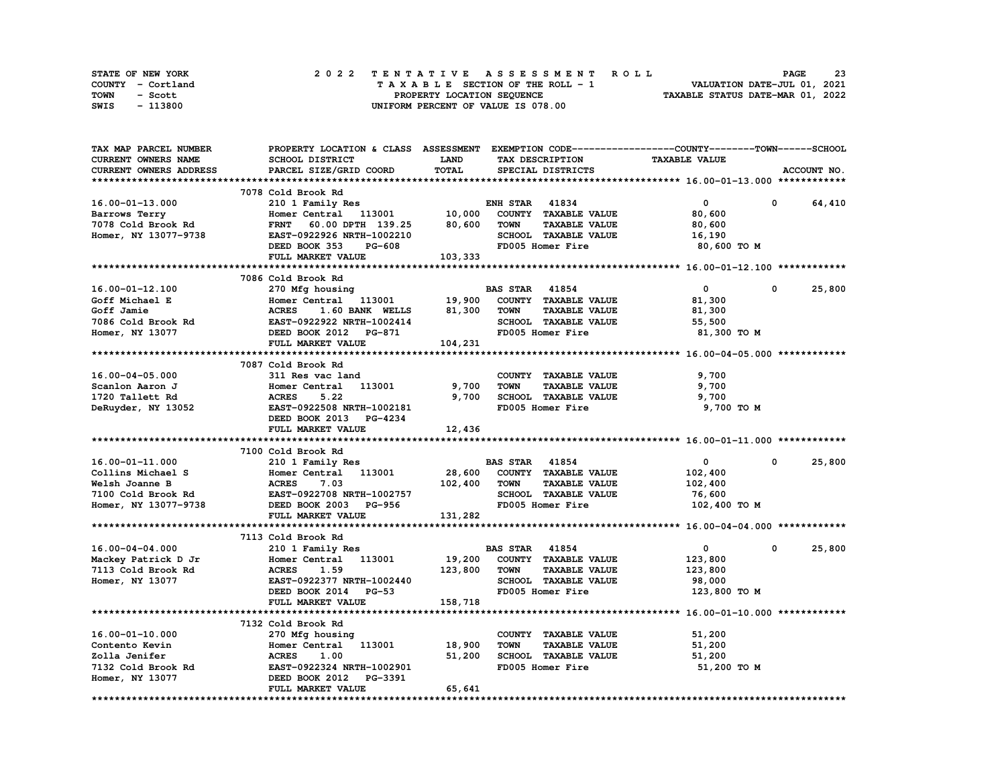| STATE OF NEW YORK |          |                            |  | 2022 TENTATIVE ASSESSMENT ROLL |  |  |  |  |  |  |                                    |  |  |  |  |  |  |  |                             | <b>PAGE</b> | 23 |
|-------------------|----------|----------------------------|--|--------------------------------|--|--|--|--|--|--|------------------------------------|--|--|--|--|--|--|--|-----------------------------|-------------|----|
| COUNTY - Cortland |          |                            |  |                                |  |  |  |  |  |  | TAXABLE SECTION OF THE ROLL - 1    |  |  |  |  |  |  |  | VALUATION DATE-JUL 01, 2021 |             |    |
| TOWN              | - Scott  | PROPERTY LOCATION SEQUENCE |  |                                |  |  |  |  |  |  | TAXABLE STATUS DATE-MAR 01, 2022   |  |  |  |  |  |  |  |                             |             |    |
| SWIS              | - 113800 |                            |  |                                |  |  |  |  |  |  | UNIFORM PERCENT OF VALUE IS 078.00 |  |  |  |  |  |  |  |                             |             |    |

| TAX MAP PARCEL NUMBER      | PROPERTY LOCATION & CLASS ASSESSMENT EXEMPTION CODE----------------COUNTY-------TOWN-----SCHOOL |             |                       |                             |                      |             |             |
|----------------------------|-------------------------------------------------------------------------------------------------|-------------|-----------------------|-----------------------------|----------------------|-------------|-------------|
| <b>CURRENT OWNERS NAME</b> | SCHOOL DISTRICT                                                                                 | <b>LAND</b> |                       | TAX DESCRIPTION             | <b>TAXABLE VALUE</b> |             |             |
| CURRENT OWNERS ADDRESS     | PARCEL SIZE/GRID COORD                                                                          | TOTAL       |                       | SPECIAL DISTRICTS           |                      |             | ACCOUNT NO. |
|                            |                                                                                                 |             |                       |                             |                      |             |             |
|                            | 7078 Cold Brook Rd                                                                              |             |                       |                             |                      |             |             |
| 16.00-01-13.000            | 210 1 Family Res                                                                                |             | <b>ENH STAR 41834</b> |                             | $\mathbf{0}$         | 0           | 64,410      |
| Barrows Terry              | Homer Central 113001                                                                            | 10,000      |                       | COUNTY TAXABLE VALUE        | 80,600               |             |             |
|                            |                                                                                                 |             |                       |                             |                      |             |             |
| 7078 Cold Brook Rd         | 60.00 DPTH 139.25<br><b>FRNT</b>                                                                | 80,600      | <b>TOWN</b>           | <b>TAXABLE VALUE</b>        | 80,600               |             |             |
| Homer, NY 13077-9738       | EAST-0922926 NRTH-1002210                                                                       |             |                       | <b>SCHOOL TAXABLE VALUE</b> | 16,190               |             |             |
|                            | DEED BOOK 353<br><b>PG-608</b>                                                                  |             |                       | FD005 Homer Fire            | 80,600 TO M          |             |             |
|                            | FULL MARKET VALUE                                                                               | 103,333     |                       |                             |                      |             |             |
|                            |                                                                                                 |             |                       |                             |                      |             |             |
|                            | 7086 Cold Brook Rd                                                                              |             |                       |                             |                      |             |             |
| 16.00-01-12.100            | 270 Mfg housing                                                                                 |             | <b>BAS STAR 41854</b> |                             | $\mathbf{0}$         | 0           | 25,800      |
| Goff Michael E             | Homer Central 113001                                                                            | 19,900      |                       | COUNTY TAXABLE VALUE        | 81,300               |             |             |
| Goff Jamie                 | 1.60 BANK WELLS 81,300<br><b>ACRES</b>                                                          |             | <b>TOWN</b>           | TAXABLE VALUE               | 81,300               |             |             |
| 7086 Cold Brook Rd         | EAST-0922922 NRTH-1002414                                                                       |             |                       | <b>SCHOOL TAXABLE VALUE</b> | 55,500               |             |             |
| Homer, NY 13077            | DEED BOOK 2012 PG-871                                                                           |             |                       | FD005 Homer Fire            | 81,300 TO M          |             |             |
|                            | FULL MARKET VALUE                                                                               | 104,231     |                       |                             |                      |             |             |
|                            |                                                                                                 |             |                       |                             |                      |             |             |
|                            | 7087 Cold Brook Rd                                                                              |             |                       |                             |                      |             |             |
|                            |                                                                                                 |             |                       |                             |                      |             |             |
| 16.00-04-05.000            | 311 Res vac land                                                                                |             |                       | COUNTY TAXABLE VALUE        | 9,700                |             |             |
| Scanlon Aaron J            | 113001<br>Homer Central                                                                         | 9,700       | <b>TOWN</b>           | <b>TAXABLE VALUE</b>        | 9,700                |             |             |
| 1720 Tallett Rd            | <b>ACRES</b><br>5.22                                                                            | 9,700       |                       | SCHOOL TAXABLE VALUE        | 9,700                |             |             |
| DeRuyder, NY 13052         | EAST-0922508 NRTH-1002181                                                                       |             |                       | FD005 Homer Fire            | 9,700 TO M           |             |             |
|                            | DEED BOOK 2013 PG-4234                                                                          |             |                       |                             |                      |             |             |
|                            | FULL MARKET VALUE                                                                               | 12,436      |                       |                             |                      |             |             |
|                            |                                                                                                 |             |                       |                             |                      |             |             |
|                            | 7100 Cold Brook Rd                                                                              |             |                       |                             |                      |             |             |
| 16.00-01-11.000            | 210 1 Family Res                                                                                |             | <b>BAS STAR 41854</b> |                             | $\overline{0}$       | $\mathbf 0$ | 25,800      |
| Collins Michael S          | 113001<br>Homer Central                                                                         | 28,600      |                       | COUNTY TAXABLE VALUE        | 102,400              |             |             |
| Welsh Joanne B             | 7.03<br><b>ACRES</b>                                                                            | 102,400     | TOWN                  | <b>TAXABLE VALUE</b>        | 102,400              |             |             |
| 7100 Cold Brook Rd         | EAST-0922708 NRTH-1002757                                                                       |             |                       | SCHOOL TAXABLE VALUE        | 76,600               |             |             |
| Homer, NY 13077-9738       | DEED BOOK 2003 PG-956                                                                           |             |                       | FD005 Homer Fire            | 102,400 TO M         |             |             |
|                            | FULL MARKET VALUE                                                                               | 131,282     |                       |                             |                      |             |             |
|                            |                                                                                                 |             |                       |                             |                      |             |             |
|                            |                                                                                                 |             |                       |                             |                      |             |             |
|                            | 7113 Cold Brook Rd                                                                              |             |                       |                             |                      |             |             |
| 16.00-04-04.000            | 210 1 Family Res                                                                                |             | <b>BAS STAR 41854</b> |                             | 0                    | 0           | 25,800      |
| Mackey Patrick D Jr        | Homer Central 113001                                                                            | 19,200      |                       | COUNTY TAXABLE VALUE        | 123,800              |             |             |
| 7113 Cold Brook Rd         | <b>ACRES</b><br>1.59                                                                            | 123,800     | <b>TOWN</b>           | <b>TAXABLE VALUE</b>        | 123,800              |             |             |
| Homer, NY 13077            | EAST-0922377 NRTH-1002440                                                                       |             |                       | <b>SCHOOL TAXABLE VALUE</b> | 98,000               |             |             |
|                            | DEED BOOK 2014<br><b>PG-53</b>                                                                  |             |                       | FD005 Homer Fire            | 123,800 TO M         |             |             |
|                            | FULL MARKET VALUE                                                                               | 158,718     |                       |                             |                      |             |             |
|                            |                                                                                                 |             |                       |                             |                      |             |             |
|                            | 7132 Cold Brook Rd                                                                              |             |                       |                             |                      |             |             |
| 16.00-01-10.000            | 270 Mfg housing                                                                                 |             |                       | COUNTY TAXABLE VALUE        | 51,200               |             |             |
| Contento Kevin             | 113001<br>Homer Central                                                                         | 18,900      | <b>TOWN</b>           | <b>TAXABLE VALUE</b>        | 51,200               |             |             |
| Zolla Jenifer              | <b>ACRES</b><br>1.00                                                                            | 51,200      |                       | SCHOOL TAXABLE VALUE        | 51,200               |             |             |
|                            |                                                                                                 |             |                       | FD005 Homer Fire            |                      |             |             |
| 7132 Cold Brook Rd         | EAST-0922324 NRTH-1002901                                                                       |             |                       |                             | 51,200 TO M          |             |             |
| Homer, NY 13077            | DEED BOOK 2012<br><b>PG-3391</b>                                                                |             |                       |                             |                      |             |             |
|                            | FULL MARKET VALUE                                                                               | 65,641      |                       |                             |                      |             |             |
|                            |                                                                                                 |             |                       |                             |                      |             |             |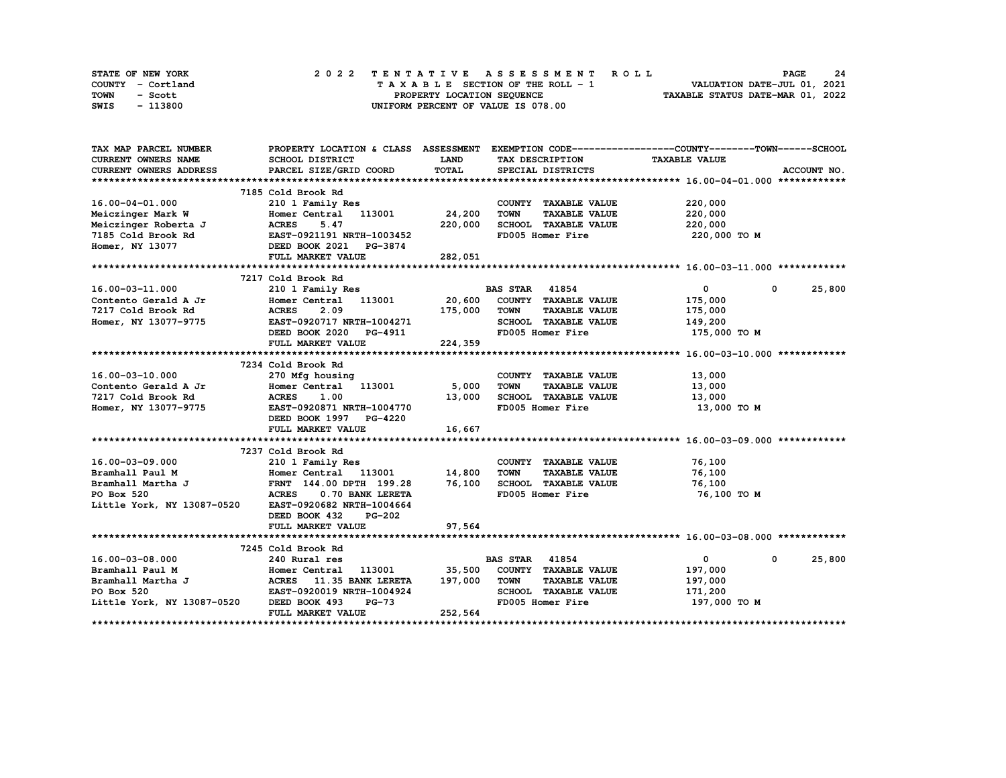| STATE OF NEW YORK | 2022 TENTATIVE ASSESSMENT ROLL                                 | -24<br><b>PAGE</b>          |  |  |  |  |  |  |  |
|-------------------|----------------------------------------------------------------|-----------------------------|--|--|--|--|--|--|--|
| COUNTY - Cortland | TAXABLE SECTION OF THE ROLL - 1                                | VALUATION DATE-JUL 01, 2021 |  |  |  |  |  |  |  |
| TOWN<br>- Scott   | TAXABLE STATUS DATE-MAR 01, 2022<br>PROPERTY LOCATION SEQUENCE |                             |  |  |  |  |  |  |  |
| - 113800<br>SWIS  | UNIFORM PERCENT OF VALUE IS 078.00                             |                             |  |  |  |  |  |  |  |

| TAX MAP PARCEL NUMBER                                                                                                                                          |                                                     |             |                                     | PROPERTY LOCATION & CLASS ASSESSMENT EXEMPTION CODE----------------COUNTY-------TOWN------SCHOOL |             |
|----------------------------------------------------------------------------------------------------------------------------------------------------------------|-----------------------------------------------------|-------------|-------------------------------------|--------------------------------------------------------------------------------------------------|-------------|
| <b>CURRENT OWNERS NAME</b>                                                                                                                                     | <b>SCHOOL DISTRICT</b>                              | <b>LAND</b> | TAX DESCRIPTION                     | <b>TAXABLE VALUE</b>                                                                             |             |
| <b>CURRENT OWNERS ADDRESS</b>                                                                                                                                  | PARCEL SIZE/GRID COORD                              | TOTAL       | SPECIAL DISTRICTS                   |                                                                                                  | ACCOUNT NO. |
|                                                                                                                                                                |                                                     |             |                                     |                                                                                                  |             |
|                                                                                                                                                                | 7185 Cold Brook Rd                                  |             |                                     |                                                                                                  |             |
|                                                                                                                                                                |                                                     |             | COUNTY TAXABLE VALUE                | 220,000                                                                                          |             |
|                                                                                                                                                                |                                                     |             | TOWN<br><b>TAXABLE VALUE</b>        | 220,000                                                                                          |             |
|                                                                                                                                                                |                                                     | 220,000     | SCHOOL TAXABLE VALUE 220,000        |                                                                                                  |             |
|                                                                                                                                                                |                                                     |             | FD005 Homer Fire                    | 220,000 TO M                                                                                     |             |
| Meiczinger Roberta J<br>Ties S.47<br>7185 Cold Brook Rd<br>EAST-0921191 NRTH-1003452<br>Homer, NY 13077<br>DEED BOOK 2021 PG-3874                              |                                                     |             |                                     |                                                                                                  |             |
|                                                                                                                                                                | <b>FULL MARKET VALUE</b>                            | 282,051     |                                     |                                                                                                  |             |
|                                                                                                                                                                |                                                     |             |                                     |                                                                                                  |             |
|                                                                                                                                                                | 7217 Cold Brook Rd                                  |             |                                     |                                                                                                  |             |
| 16.00-03-11.000                                                                                                                                                | 210 1 Family Res                                    |             | <b>BAS STAR</b> 41854               | $\mathbf{0}$<br>$\mathbf{0}$                                                                     | 25,800      |
|                                                                                                                                                                | Homer Central 113001 20,600 COUNTY TAXABLE VALUE    |             |                                     | 175,000                                                                                          |             |
|                                                                                                                                                                |                                                     |             | <b>TAXABLE VALUE</b>                | 175,000                                                                                          |             |
| Contento Gerald A Jr Momer Central 113001 20,600 COUNTY<br>7217 Cold Brook Rd ACRES 2.09 175,000 TOWN<br>Homer, NY 13077-9775 EAST-0920717 NRTH-1004271 SCHOOL |                                                     |             | SCHOOL TAXABLE VALUE 149,200        |                                                                                                  |             |
|                                                                                                                                                                |                                                     |             | FD005 Homer Fire                    | 175,000 TO M                                                                                     |             |
|                                                                                                                                                                | DEED BOOK 2020 PG-4911<br>FULL MARKET VALUE 224,359 |             |                                     |                                                                                                  |             |
|                                                                                                                                                                |                                                     |             |                                     |                                                                                                  |             |
|                                                                                                                                                                | 7234 Cold Brook Rd                                  |             |                                     |                                                                                                  |             |
| 16.00-03-10.000                                                                                                                                                | 270 Mfg housing                                     |             | COUNTY TAXABLE VALUE                | 13,000                                                                                           |             |
|                                                                                                                                                                |                                                     |             | TAXABLE VALUE<br><b>TOWN</b>        | 13,000                                                                                           |             |
|                                                                                                                                                                | 1.00                                                | 13,000      | SCHOOL TAXABLE VALUE 13,000         |                                                                                                  |             |
| Contento Gerald A Jr<br>7217 Cold Brook Rd<br>Homer, NY 13077-9775<br>DEED P                                                                                   | EAST-0920871 NRTH-1004770                           |             | FD005 Homer Fire                    | 13,000 TO M                                                                                      |             |
|                                                                                                                                                                | DEED BOOK 1997 PG-4220                              |             |                                     |                                                                                                  |             |
|                                                                                                                                                                | FULL MARKET VALUE                                   | 16,667      |                                     |                                                                                                  |             |
|                                                                                                                                                                |                                                     |             |                                     |                                                                                                  |             |
|                                                                                                                                                                | 7237 Cold Brook Rd                                  |             |                                     |                                                                                                  |             |
| 16.00-03-09.000                                                                                                                                                | 210 1 Family Res                                    |             | COUNTY TAXABLE VALUE                | 76,100                                                                                           |             |
|                                                                                                                                                                |                                                     |             | <b>TOWN</b><br><b>TAXABLE VALUE</b> | 76,100                                                                                           |             |
|                                                                                                                                                                |                                                     |             | SCHOOL TAXABLE VALUE                | 76,100                                                                                           |             |
|                                                                                                                                                                |                                                     |             | FD005 Homer Fire                    | 76,100 то м                                                                                      |             |
| Little York, NY 13087-0520                                                                                                                                     | EAST-0920682 NRTH-1004664                           |             |                                     |                                                                                                  |             |
|                                                                                                                                                                | DEED BOOK 432<br><b>PG-202</b>                      |             |                                     |                                                                                                  |             |
|                                                                                                                                                                | FULL MARKET VALUE                                   | 97,564      |                                     |                                                                                                  |             |
|                                                                                                                                                                |                                                     |             |                                     |                                                                                                  |             |
|                                                                                                                                                                | 7245 Cold Brook Rd                                  |             |                                     |                                                                                                  |             |
| 16.00-03-08.000                                                                                                                                                | 240 Rural res                                       |             | <b>BAS STAR</b> 41854               | $\mathbf{0}$<br>$\mathbf 0$                                                                      | 25,800      |
|                                                                                                                                                                |                                                     |             | COUNTY TAXABLE VALUE                | 197,000                                                                                          |             |
|                                                                                                                                                                |                                                     |             | <b>TAXABLE VALUE</b>                | 197,000                                                                                          |             |
|                                                                                                                                                                |                                                     |             | SCHOOL TAXABLE VALUE 171,200        |                                                                                                  |             |
| Little York, NY 13087-0520                                                                                                                                     | DEED BOOK 493<br><b>PG-73</b>                       |             | FD005 Homer Fire 197,000 TO M       |                                                                                                  |             |
|                                                                                                                                                                | FULL MARKET VALUE                                   | 252,564     |                                     |                                                                                                  |             |
|                                                                                                                                                                |                                                     |             |                                     |                                                                                                  |             |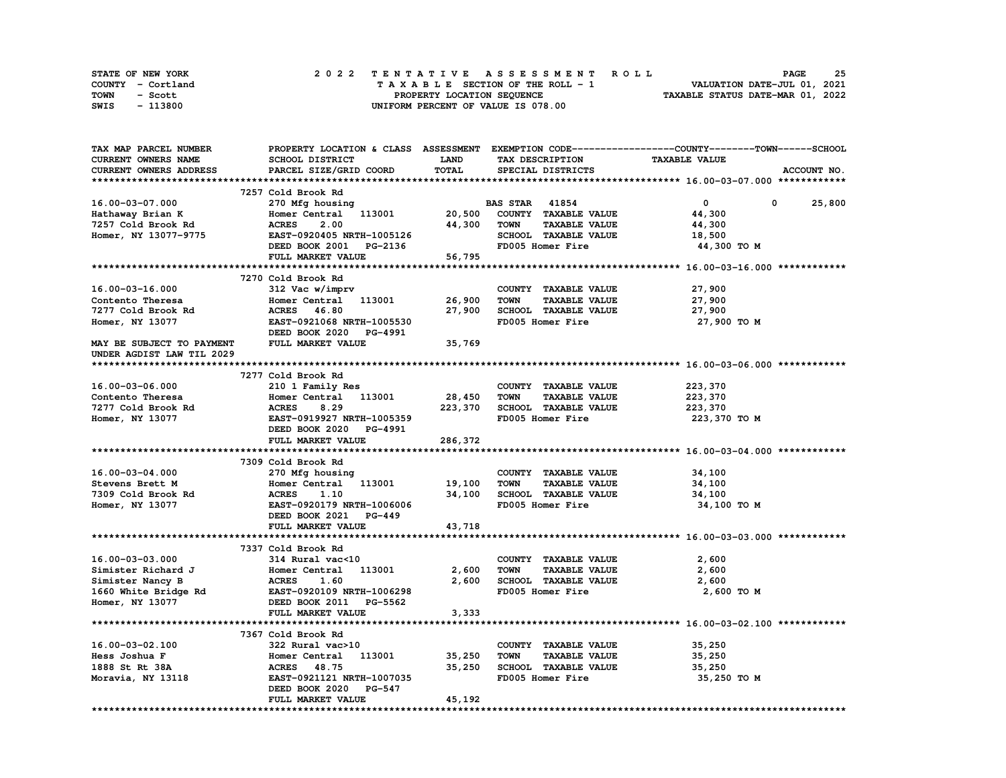| STATE OF NEW YORK | 2022 TENTATIVE ASSESSMENT ROLL     | 25<br><b>PAGE</b>                |
|-------------------|------------------------------------|----------------------------------|
| COUNTY - Cortland | TAXABLE SECTION OF THE ROLL - 1    | VALUATION DATE-JUL 01, 2021      |
| TOWN<br>- Scott   | PROPERTY LOCATION SEQUENCE         | TAXABLE STATUS DATE-MAR 01, 2022 |
| - 113800<br>SWIS  | UNIFORM PERCENT OF VALUE IS 078.00 |                                  |

| TAX MAP PARCEL NUMBER                                      |                           |             |                                     | PROPERTY LOCATION & CLASS ASSESSMENT EXEMPTION CODE-----------------COUNTY-------TOWN-----SCHOOL |
|------------------------------------------------------------|---------------------------|-------------|-------------------------------------|--------------------------------------------------------------------------------------------------|
| CURRENT OWNERS NAME                                        | SCHOOL DISTRICT           | <b>LAND</b> | TAX DESCRIPTION                     | <b>TAXABLE VALUE</b>                                                                             |
| CURRENT OWNERS ADDRESS                                     | PARCEL SIZE/GRID COORD    | TOTAL       | SPECIAL DISTRICTS                   | ACCOUNT NO.                                                                                      |
|                                                            |                           |             |                                     |                                                                                                  |
|                                                            | 7257 Cold Brook Rd        |             |                                     |                                                                                                  |
| 16.00-03-07.000                                            | 270 Mfg housing           |             | <b>BAS STAR 41854</b>               | $\mathbf{0}$<br>25,800<br>$^{\circ}$                                                             |
| Hathaway Brian K                                           | Homer Central 113001      | 20,500      | COUNTY TAXABLE VALUE                | 44,300                                                                                           |
| 7257 Cold Brook Rd                                         | 2.00<br><b>ACRES</b>      | 44,300      | <b>TOWN</b><br><b>TAXABLE VALUE</b> | 44,300                                                                                           |
| Homer, NY 13077-9775                                       | EAST-0920405 NRTH-1005126 |             | SCHOOL TAXABLE VALUE                | 18,500                                                                                           |
|                                                            | DEED BOOK 2001 PG-2136    |             | FD005 Homer Fire                    | 44,300 TO M                                                                                      |
|                                                            | FULL MARKET VALUE         | 56,795      |                                     |                                                                                                  |
|                                                            |                           |             |                                     |                                                                                                  |
|                                                            | 7270 Cold Brook Rd        |             |                                     |                                                                                                  |
| 16.00-03-16.000                                            | 312 Vac w/imprv           |             | COUNTY TAXABLE VALUE                | 27,900                                                                                           |
| Contento Theresa                                           | Homer Central 113001      | 26,900      | <b>TOWN</b><br><b>TAXABLE VALUE</b> |                                                                                                  |
|                                                            |                           | 27,900      | SCHOOL TAXABLE VALUE                | 27,900                                                                                           |
| 7277 Cold Brook Rd                                         | <b>ACRES</b> 46.80        |             |                                     | 27,900                                                                                           |
| Homer, NY 13077                                            | EAST-0921068 NRTH-1005530 |             | FD005 Homer Fire                    | 27,900 TO M                                                                                      |
|                                                            | DEED BOOK 2020 PG-4991    |             |                                     |                                                                                                  |
| <b>MAY BE SUBJECT TO PAYMENT</b>                           | FULL MARKET VALUE         | 35,769      |                                     |                                                                                                  |
| UNDER AGDIST LAW TIL 2029                                  |                           |             |                                     |                                                                                                  |
|                                                            |                           |             |                                     |                                                                                                  |
|                                                            | 7277 Cold Brook Rd        |             |                                     |                                                                                                  |
| 16.00-03-06.000                                            | 210 1 Family Res          |             | COUNTY TAXABLE VALUE                | 223,370                                                                                          |
| Contento Theresa                                           | Homer Central 113001      | 28,450      | <b>TOWN</b><br><b>TAXABLE VALUE</b> | 223,370                                                                                          |
| 7277 Cold Brook Rd                                         | <b>ACRES</b><br>8.29      | 223,370     | SCHOOL TAXABLE VALUE                | 223,370                                                                                          |
| Homer, NY 13077                                            | EAST-0919927 NRTH-1005359 |             | FD005 Homer Fire                    | 223,370 то м                                                                                     |
|                                                            | DEED BOOK 2020 PG-4991    |             |                                     |                                                                                                  |
|                                                            | FULL MARKET VALUE         | 286,372     |                                     |                                                                                                  |
|                                                            |                           |             |                                     |                                                                                                  |
|                                                            | 7309 Cold Brook Rd        |             |                                     |                                                                                                  |
| 16.00-03-04.000                                            | 270 Mfg housing           |             | COUNTY TAXABLE VALUE                | 34,100                                                                                           |
| Stevens Brett M                                            | Homer Central 113001      | 19,100      | <b>TAXABLE VALUE</b><br><b>TOWN</b> | 34,100                                                                                           |
| 7309 Cold Brook Rd                                         | <b>ACRES</b><br>1.10      | 34,100      | SCHOOL TAXABLE VALUE                | 34,100                                                                                           |
| Homer, NY 13077                                            | EAST-0920179 NRTH-1006006 |             | FD005 Homer Fire                    | 34,100 TO M                                                                                      |
|                                                            | DEED BOOK 2021 PG-449     |             |                                     |                                                                                                  |
|                                                            | FULL MARKET VALUE         | 43,718      |                                     |                                                                                                  |
|                                                            |                           |             |                                     |                                                                                                  |
|                                                            | 7337 Cold Brook Rd        |             |                                     |                                                                                                  |
| 16.00-03-03.000                                            | 314 Rural vac<10          |             | COUNTY TAXABLE VALUE                | 2,600                                                                                            |
| Simister Richard J                                         | Homer Central 113001      | 2,600       | <b>TOWN</b><br><b>TAXABLE VALUE</b> | 2,600                                                                                            |
| Simister Nancy B                                           | 1.60<br><b>ACRES</b>      | 2,600       | SCHOOL TAXABLE VALUE                | 2,600                                                                                            |
|                                                            | EAST-0920109 NRTH-1006298 |             | FD005 Homer Fire                    | 2,600 то м                                                                                       |
| 1660 White Bridge Rd<br>Homer. NY 13077<br>Homer, NY 13077 | DEED BOOK 2011 PG-5562    |             |                                     |                                                                                                  |
|                                                            | FULL MARKET VALUE         | 3,333       |                                     |                                                                                                  |
|                                                            |                           |             |                                     |                                                                                                  |
|                                                            | 7367 Cold Brook Rd        |             |                                     |                                                                                                  |
| 16.00-03-02.100                                            | 322 Rural vac>10          |             | COUNTY TAXABLE VALUE                | 35,250                                                                                           |
| Hess Joshua F                                              | 113001<br>Homer Central   | 35,250      | <b>TAXABLE VALUE</b><br>TOWN        | 35,250                                                                                           |
| 1888 St Rt 38A                                             | ACRES 48.75               | 35,250      | SCHOOL TAXABLE VALUE                | 35,250                                                                                           |
|                                                            | EAST-0921121 NRTH-1007035 |             | FD005 Homer Fire                    |                                                                                                  |
| Moravia, NY 13118                                          |                           |             |                                     | 35,250 TO M                                                                                      |
|                                                            | DEED BOOK 2020 PG-547     |             |                                     |                                                                                                  |
|                                                            | FULL MARKET VALUE         | 45,192      |                                     |                                                                                                  |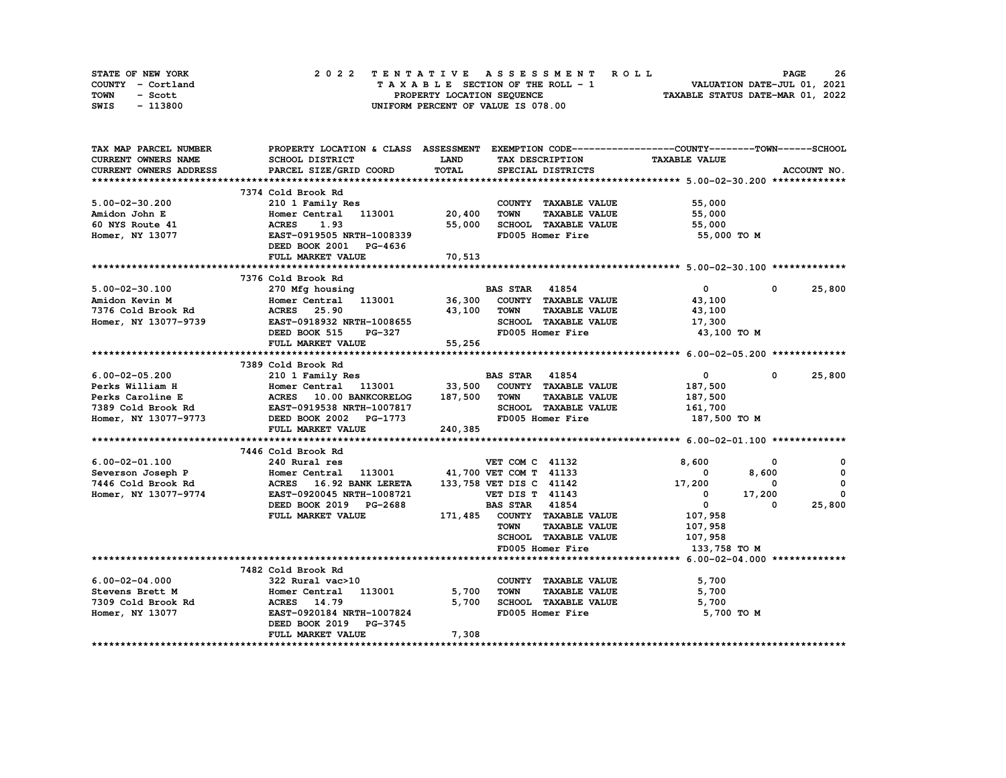|      | STATE OF NEW YORK |  | 2022 TENTATIVE ASSESSMENT ROLL |  |  |  |                                    |  |  |  |  |  |  |                                  |  | <b>PAGE</b>                 | 26 |
|------|-------------------|--|--------------------------------|--|--|--|------------------------------------|--|--|--|--|--|--|----------------------------------|--|-----------------------------|----|
|      | COUNTY - Cortland |  |                                |  |  |  | TAXABLE SECTION OF THE ROLL - 1    |  |  |  |  |  |  |                                  |  | VALUATION DATE-JUL 01, 2021 |    |
| TOWN | - Scott           |  |                                |  |  |  | PROPERTY LOCATION SEQUENCE         |  |  |  |  |  |  | TAXABLE STATUS DATE-MAR 01, 2022 |  |                             |    |
| SWIS | - 113800          |  |                                |  |  |  | UNIFORM PERCENT OF VALUE IS 078.00 |  |  |  |  |  |  |                                  |  |                             |    |

| TAX MAP PARCEL NUMBER                                                                                                                                                                                                                            | PROPERTY LOCATION & CLASS ASSESSMENT EXEMPTION CODE----------------COUNTY-------TOWN-----SCHOOL |             |                               |                         |                                                   |                    |              |
|--------------------------------------------------------------------------------------------------------------------------------------------------------------------------------------------------------------------------------------------------|-------------------------------------------------------------------------------------------------|-------------|-------------------------------|-------------------------|---------------------------------------------------|--------------------|--------------|
| CURRENT OWNERS NAME                                                                                                                                                                                                                              | SCHOOL DISTRICT                                                                                 | <b>LAND</b> | TAX DESCRIPTION               |                         | <b>TAXABLE VALUE</b>                              |                    |              |
| <b>CURRENT OWNERS ADDRESS</b>                                                                                                                                                                                                                    | PARCEL SIZE/GRID COORD                                                                          | TOTAL       | SPECIAL DISTRICTS             |                         |                                                   |                    | ACCOUNT NO.  |
|                                                                                                                                                                                                                                                  |                                                                                                 |             |                               |                         |                                                   |                    |              |
|                                                                                                                                                                                                                                                  | 7374 Cold Brook Rd                                                                              |             |                               |                         |                                                   |                    |              |
| 5.00-02-30.200                                                                                                                                                                                                                                   | 210 1 Family Res                                                                                |             |                               | COUNTY TAXABLE VALUE    | 55,000                                            |                    |              |
| Amidon John E                                                                                                                                                                                                                                    | Homer Central 113001 20,400                                                                     |             | <b>TOWN</b>                   | <b>TAXABLE VALUE</b>    | 55,000                                            |                    |              |
| 60 NYS Route 41                                                                                                                                                                                                                                  | 1.93<br><b>ACRES</b>                                                                            | 55,000      |                               | SCHOOL TAXABLE VALUE    | 55,000                                            |                    |              |
| Homer, NY 13077                                                                                                                                                                                                                                  | EAST-0919505 NRTH-1008339                                                                       |             | FD005 Homer Fire              |                         | 55,000 TO M                                       |                    |              |
|                                                                                                                                                                                                                                                  | DEED BOOK 2001 PG-4636                                                                          |             |                               |                         |                                                   |                    |              |
|                                                                                                                                                                                                                                                  | FULL MARKET VALUE                                                                               | 70,513      |                               |                         |                                                   |                    |              |
|                                                                                                                                                                                                                                                  |                                                                                                 |             |                               |                         |                                                   |                    |              |
|                                                                                                                                                                                                                                                  | 7376 Cold Brook Rd                                                                              |             |                               |                         |                                                   |                    |              |
| 5.00-02-30.100                                                                                                                                                                                                                                   | 270 Mfg housing                                                                                 |             | <b>BAS STAR 41854</b>         |                         | $\mathbf{0}$                                      | $^{\circ}$         | 25,800       |
|                                                                                                                                                                                                                                                  |                                                                                                 |             |                               |                         | 43,100                                            |                    |              |
|                                                                                                                                                                                                                                                  |                                                                                                 |             |                               |                         | 43,100                                            |                    |              |
| Homer, NY 13077-9739 EAST-0918932 NRTH-1008655                                                                                                                                                                                                   |                                                                                                 |             |                               | SCHOOL TAXABLE VALUE    | 17,300                                            |                    |              |
|                                                                                                                                                                                                                                                  | DEED BOOK 515<br>PG-327                                                                         |             | FD005 Homer Fire              |                         | 43,100 TO M                                       |                    |              |
|                                                                                                                                                                                                                                                  | FULL MARKET VALUE                                                                               | 55,256      |                               |                         |                                                   |                    |              |
|                                                                                                                                                                                                                                                  |                                                                                                 |             |                               |                         |                                                   |                    |              |
|                                                                                                                                                                                                                                                  | 7389 Cold Brook Rd                                                                              |             |                               |                         |                                                   |                    |              |
| $6.00 - 02 - 05.200$                                                                                                                                                                                                                             | 210 1 Family Res                                                                                |             | <b>BAS STAR 41854</b>         |                         | $\bullet$                                         | $^{\circ}$         | 25,800       |
| 8.00-02-03.200<br>Perks William H<br>Perks Caroline E<br>Perks Carol Brook Rd<br>Tass Cold Brook Rd<br>EXST-0919538 NRTH-1007817<br>Homer. NY 13077-9773<br>DEED BOOK 2002 PG-1773<br>The Carol Brook 2002 PG-1773<br>Person Caroline Corporatio | Homer Central 113001 33,500 COUNTY TAXABLE VALUE                                                |             |                               |                         | 187,500                                           |                    |              |
|                                                                                                                                                                                                                                                  |                                                                                                 |             | TOWN                          | <b>TAXABLE VALUE</b>    | 187,500                                           |                    |              |
|                                                                                                                                                                                                                                                  |                                                                                                 |             |                               | SCHOOL TAXABLE VALUE    | 161,700                                           |                    |              |
|                                                                                                                                                                                                                                                  |                                                                                                 |             | FD005 Homer Fire              |                         | 187,500 TO M                                      |                    |              |
|                                                                                                                                                                                                                                                  | FULL MARKET VALUE                                                                               | 240,385     |                               |                         |                                                   |                    |              |
|                                                                                                                                                                                                                                                  |                                                                                                 |             |                               |                         |                                                   |                    |              |
|                                                                                                                                                                                                                                                  | 7446 Cold Brook Rd                                                                              |             |                               |                         |                                                   |                    |              |
| $6.00 - 02 - 01.100$                                                                                                                                                                                                                             | 240 Rural res                                                                                   |             | VET COM C 41132               |                         | 8,600                                             | 0                  | 0            |
|                                                                                                                                                                                                                                                  |                                                                                                 |             |                               |                         | $\mathbf 0$                                       | 8,600              | 0            |
|                                                                                                                                                                                                                                                  |                                                                                                 |             |                               | 133,758 VET DIS C 41142 |                                                   | $\mathbf 0$        | $\mathbf{0}$ |
|                                                                                                                                                                                                                                                  |                                                                                                 |             |                               |                         | $\begin{smallmatrix} 17,200\ 0 \end{smallmatrix}$ |                    | $\mathbf{0}$ |
| Homer, NY 13077-9774                                                                                                                                                                                                                             | EAST-0920045 NRTH-1008721                                                                       |             | <b>VET DIS T 41143</b>        |                         |                                                   | 17,200<br>$\Omega$ |              |
|                                                                                                                                                                                                                                                  | DEED BOOK 2019 PG-2688                                                                          |             | <b>BAS STAR</b> 41854         |                         | $\overline{\mathbf{0}}$                           |                    | 25,800       |
|                                                                                                                                                                                                                                                  | FULL MARKET VALUE                                                                               |             | 171, 485 COUNTY TAXABLE VALUE |                         | 107,958                                           |                    |              |
|                                                                                                                                                                                                                                                  |                                                                                                 |             | <b>TOWN</b>                   | <b>TAXABLE VALUE</b>    | 107,958                                           |                    |              |
|                                                                                                                                                                                                                                                  |                                                                                                 |             |                               | SCHOOL TAXABLE VALUE    | 107,958                                           |                    |              |
|                                                                                                                                                                                                                                                  |                                                                                                 |             | FD005 Homer Fire              |                         | 133,758 то м                                      |                    |              |
|                                                                                                                                                                                                                                                  |                                                                                                 |             |                               |                         |                                                   |                    |              |
|                                                                                                                                                                                                                                                  | 7482 Cold Brook Rd                                                                              |             |                               |                         |                                                   |                    |              |
| $6.00 - 02 - 04.000$                                                                                                                                                                                                                             | 322 Rural vac>10                                                                                |             |                               | COUNTY TAXABLE VALUE    | 5,700                                             |                    |              |
| Stevens Brett M                                                                                                                                                                                                                                  | Homer Central 113001                                                                            | 5,700       | <b>TOWN</b>                   | <b>TAXABLE VALUE</b>    | 5,700                                             |                    |              |
|                                                                                                                                                                                                                                                  |                                                                                                 | 5,700       |                               | SCHOOL TAXABLE VALUE    | 5,700                                             |                    |              |
|                                                                                                                                                                                                                                                  |                                                                                                 |             | FD005 Homer Fire              |                         | 5,700 TO M                                        |                    |              |
|                                                                                                                                                                                                                                                  | DEED BOOK 2019 PG-3745                                                                          |             |                               |                         |                                                   |                    |              |
|                                                                                                                                                                                                                                                  | FULL MARKET VALUE                                                                               | 7,308       |                               |                         |                                                   |                    |              |
|                                                                                                                                                                                                                                                  |                                                                                                 |             |                               |                         |                                                   |                    |              |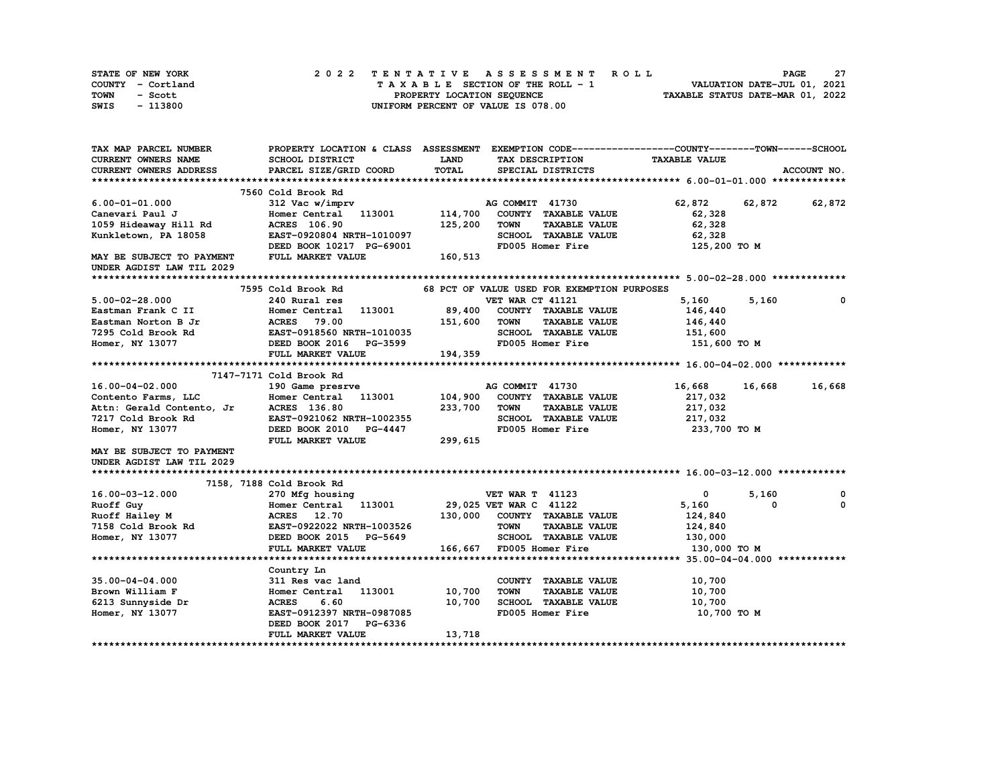| STATE OF NEW YORK | 2022 TENTATIVE ASSESSMENT ROLL     | 27<br><b>PAGE</b>                |
|-------------------|------------------------------------|----------------------------------|
| COUNTY - Cortland | TAXABLE SECTION OF THE ROLL - 1    | VALUATION DATE-JUL 01, 2021      |
| TOWN<br>- Scott   | PROPERTY LOCATION SEQUENCE         | TAXABLE STATUS DATE-MAR 01, 2022 |
| - 113800<br>SWIS  | UNIFORM PERCENT OF VALUE IS 078.00 |                                  |

| TAX MAP PARCEL NUMBER      | PROPERTY LOCATION & CLASS ASSESSMENT EXEMPTION CODE----------------COUNTY-------TOWN-----SCHOOL |         |                                             |                      |                      |
|----------------------------|-------------------------------------------------------------------------------------------------|---------|---------------------------------------------|----------------------|----------------------|
| <b>CURRENT OWNERS NAME</b> | <b>SCHOOL DISTRICT</b>                                                                          | LAND    | TAX DESCRIPTION                             | <b>TAXABLE VALUE</b> |                      |
| CURRENT OWNERS ADDRESS     | PARCEL SIZE/GRID COORD                                                                          | TOTAL   | SPECIAL DISTRICTS                           |                      | ACCOUNT NO.          |
|                            |                                                                                                 |         |                                             |                      |                      |
|                            | 7560 Cold Brook Rd                                                                              |         |                                             |                      |                      |
| $6.00 - 01 - 01.000$       | 312 Vac w/imprv                                                                                 |         | AG COMMIT 41730                             | 62,872               | 62,872 62,872        |
| Canevari Paul J            | 113001<br>Homer Central                                                                         | 114,700 | COUNTY TAXABLE VALUE                        | 62,328               |                      |
| 1059 Hideaway Hill Rd      | ACRES 106.90                                                                                    | 125,200 | <b>TOWN</b><br><b>TAXABLE VALUE</b>         | 62,328               |                      |
| Kunkletown, PA 18058       | EAST-0920804 NRTH-1010097                                                                       |         | SCHOOL TAXABLE VALUE                        | 62,328               |                      |
|                            | DEED BOOK 10217 PG-69001                                                                        |         | FD005 Homer Fire                            | 125,200 TO M         |                      |
| MAY BE SUBJECT TO PAYMENT  | FULL MARKET VALUE                                                                               | 160,513 |                                             |                      |                      |
| UNDER AGDIST LAW TIL 2029  |                                                                                                 |         |                                             |                      |                      |
|                            |                                                                                                 |         |                                             |                      |                      |
|                            | 7595 Cold Brook Rd                                                                              |         | 68 PCT OF VALUE USED FOR EXEMPTION PURPOSES |                      |                      |
| $5.00 - 02 - 28.000$       | 240 Rural res                                                                                   |         | VET WAR CT 41121                            | 5,160                | 5,160<br>0           |
| Eastman Frank C II         | Homer Central 113001                                                                            | 89,400  | COUNTY TAXABLE VALUE                        | 146,440              |                      |
| Eastman Norton B Jr        | 79.00<br><b>ACRES</b>                                                                           | 151,600 | <b>TAXABLE VALUE</b><br>TOWN                | 146,440              |                      |
| 7295 Cold Brook Rd         | EAST-0918560 NRTH-1010035                                                                       |         | SCHOOL TAXABLE VALUE                        | 151,600              |                      |
| Homer, NY 13077            | EAST-0918300 MARALL<br>DEED BOOK 2016 PG-3599<br>Communistie                                    |         | FD005 Homer Fire                            | 151,600 то м         |                      |
|                            |                                                                                                 | 194,359 |                                             |                      |                      |
|                            | FULL MARKET VALUE                                                                               |         |                                             |                      |                      |
|                            |                                                                                                 |         |                                             |                      |                      |
|                            | 7147-7171 Cold Brook Rd                                                                         |         |                                             |                      |                      |
| $16.00 - 04 - 02.000$      | 190 Game presrve                                                                                |         | AG COMMIT 41730                             | 16,668               | 16,668<br>16,668     |
| Contento Farms, LLC        | Homer Central 113001                                                                            | 104,900 | COUNTY TAXABLE VALUE                        | 217,032              |                      |
| Attn: Gerald Contento, Jr  | ACRES 136.80                                                                                    | 233,700 | <b>TOWN</b><br><b>TAXABLE VALUE</b>         | 217,032              |                      |
| 7217 Cold Brook Rd         | EAST-0921062 NRTH-1002355                                                                       |         | SCHOOL TAXABLE VALUE                        | 217,032              |                      |
| Homer, NY 13077            | DEED BOOK 2010 PG-4447                                                                          |         | FD005 Homer Fire                            | 233,700 то м         |                      |
|                            | FULL MARKET VALUE                                                                               | 299,615 |                                             |                      |                      |
| MAY BE SUBJECT TO PAYMENT  |                                                                                                 |         |                                             |                      |                      |
| UNDER AGDIST LAW TIL 2029  |                                                                                                 |         |                                             |                      |                      |
|                            |                                                                                                 |         |                                             |                      |                      |
|                            | 7158, 7188 Cold Brook Rd                                                                        |         |                                             |                      |                      |
| 16.00-03-12.000            | 270 Mfg housing                                                                                 |         | <b>VET WAR T 41123</b>                      | 0                    | 5,160<br>0           |
| Ruoff Guy                  | Homer Central 113001                                                                            |         | 29,025 VET WAR C 41122                      | 5,160                | $\Omega$<br>$\Omega$ |
| Ruoff Hailey M             | ACRES 12.70                                                                                     | 130,000 | COUNTY TAXABLE VALUE                        | 124,840              |                      |
| 7158 Cold Brook Rd         | EAST-0922022 NRTH-1003526                                                                       |         | <b>TAXABLE VALUE</b><br><b>TOWN</b>         | 124,840              |                      |
| Homer, NY 13077            | DEED BOOK 2015 PG-5649                                                                          |         | SCHOOL TAXABLE VALUE                        | 130,000              |                      |
|                            | FULL MARKET VALUE                                                                               | 166,667 | FD005 Homer Fire                            | 130,000 TO M         |                      |
|                            |                                                                                                 |         |                                             |                      |                      |
|                            | Country Ln                                                                                      |         |                                             |                      |                      |
| 35.00-04-04.000            | 311 Res vac land                                                                                |         | COUNTY TAXABLE VALUE                        | 10,700               |                      |
| Brown William F            | 113001<br>Homer Central                                                                         | 10,700  | <b>TAXABLE VALUE</b><br><b>TOWN</b>         | 10,700               |                      |
| 6213 Sunnyside Dr          | <b>ACRES</b><br>6.60                                                                            | 10,700  | SCHOOL TAXABLE VALUE                        | 10,700               |                      |
| Homer, NY 13077            | EAST-0912397 NRTH-0987085                                                                       |         | FD005 Homer Fire                            | 10,700 TO M          |                      |
|                            | DEED BOOK 2017 PG-6336                                                                          |         |                                             |                      |                      |
|                            | FULL MARKET VALUE                                                                               | 13,718  |                                             |                      |                      |
|                            |                                                                                                 |         |                                             |                      |                      |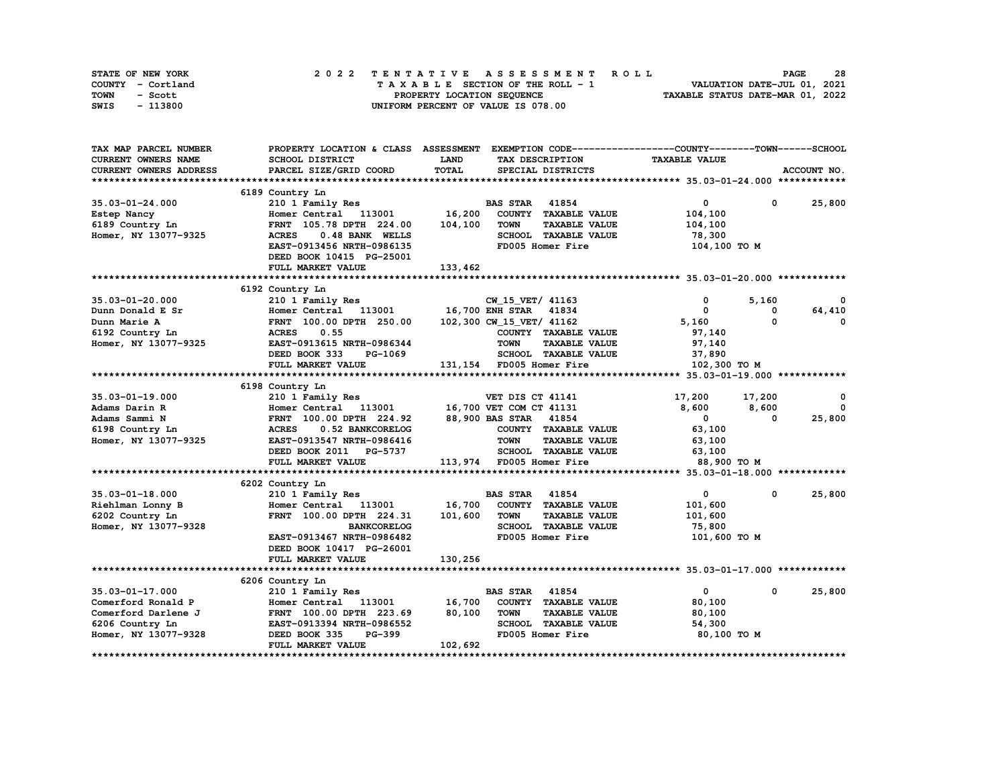| STATE OF NEW YORK | 2022 TENTATIVE ASSESSMENT ROLL          | 28<br><b>PAGE</b>                |
|-------------------|-----------------------------------------|----------------------------------|
| COUNTY - Cortland | $T A X A B L E$ SECTION OF THE ROLL - 1 | VALUATION DATE-JUL 01, 2021      |
| TOWN<br>- Scott   | PROPERTY LOCATION SEQUENCE              | TAXABLE STATUS DATE-MAR 01, 2022 |
| - 113800<br>SWIS  | UNIFORM PERCENT OF VALUE IS 078.00      |                                  |

| TAX MAP PARCEL NUMBER      | PROPERTY LOCATION & CLASS ASSESSMENT |                                                | EXEMPTION CODE-----------------COUNTY-------TOWN------SCHOOL |
|----------------------------|--------------------------------------|------------------------------------------------|--------------------------------------------------------------|
| <b>CURRENT OWNERS NAME</b> | SCHOOL DISTRICT                      | <b>LAND</b><br>TAX DESCRIPTION                 | <b>TAXABLE VALUE</b>                                         |
| CURRENT OWNERS ADDRESS     | PARCEL SIZE/GRID COORD               | TOTAL<br>SPECIAL DISTRICTS                     | ACCOUNT NO.                                                  |
|                            |                                      |                                                |                                                              |
|                            | 6189 Country Ln                      |                                                |                                                              |
| 35.03-01-24.000            | 210 1 Family Res                     | <b>BAS STAR</b><br>41854                       | 25,800<br>0<br>0                                             |
| Estep Nancy                | Homer Central 113001                 | 16,200<br>COUNTY TAXABLE VALUE                 | 104,100                                                      |
| 6189 Country Ln            | FRNT 105.78 DPTH 224.00              | 104,100<br><b>TOWN</b><br><b>TAXABLE VALUE</b> | 104,100                                                      |
| Homer, NY 13077-9325       | <b>ACRES</b><br>0.48 BANK WELLS      | SCHOOL TAXABLE VALUE                           | 78,300                                                       |
|                            | EAST-0913456 NRTH-0986135            | FD005 Homer Fire                               | 104,100 TO M                                                 |
|                            | DEED BOOK 10415 PG-25001             |                                                |                                                              |
|                            | FULL MARKET VALUE                    | 133,462                                        |                                                              |
|                            |                                      |                                                |                                                              |
|                            |                                      |                                                |                                                              |
|                            | 6192 Country Ln                      |                                                |                                                              |
| 35.03-01-20.000            | 210 1 Family Res                     | CW 15 VET/ 41163                               | 5,160<br>$^{\circ}$<br>0                                     |
| Dunn Donald E Sr           | Homer Central 113001                 | 16,700 ENH STAR 41834                          | $\mathbf 0$<br>64,410<br>0                                   |
| Dunn Marie A               | FRNT 100.00 DPTH 250.00              | 102,300 CW_15_VET/ 41162                       | 5,160<br>0<br>0                                              |
| 6192 Country Ln            | <b>ACRES</b><br>0.55                 | COUNTY TAXABLE VALUE                           | 97,140                                                       |
| Homer, NY 13077-9325       | EAST-0913615 NRTH-0986344            | <b>TOWN</b><br><b>TAXABLE VALUE</b>            | 97,140                                                       |
|                            | DEED BOOK 333<br>PG-1069             | SCHOOL TAXABLE VALUE                           | 37,890                                                       |
|                            | FULL MARKET VALUE                    | 131,154 FD005 Homer Fire                       | 102,300 TO M                                                 |
|                            |                                      |                                                |                                                              |
|                            | 6198 Country Ln                      |                                                |                                                              |
| 35.03-01-19.000            | 210 1 Family Res                     | VET DIS CT 41141                               | 17,200<br>17,200<br>0                                        |
| Adams Darin R              |                                      | Homer Central 113001 16,700 VET COM CT 41131   | 8,600<br>8,600<br>$\Omega$                                   |
| Adams Sammi N              | FRNT 100.00 DPTH 224.92              | 88,900 BAS STAR 41854                          | 25,800<br>$\mathbf 0$<br>0                                   |
| 6198 Country Ln            | 0.52 BANKCORELOG<br><b>ACRES</b>     | COUNTY TAXABLE VALUE                           | 63,100                                                       |
| Homer, NY 13077-9325       | EAST-0913547 NRTH-0986416            | <b>TAXABLE VALUE</b><br><b>TOWN</b>            | 63,100                                                       |
|                            | DEED BOOK 2011 PG-5737               | SCHOOL TAXABLE VALUE                           | 63,100                                                       |
|                            | FULL MARKET VALUE                    | 113,974 FD005 Homer Fire                       | 88,900 TO M                                                  |
|                            |                                      |                                                |                                                              |
|                            | 6202 Country Ln                      |                                                |                                                              |
| $35.03 - 01 - 18.000$      | 210 1 Family Res                     | <b>BAS STAR</b> 41854                          | $\mathbf 0$<br>25,800<br>$^{\circ}$                          |
|                            |                                      | COUNTY TAXABLE VALUE                           |                                                              |
| Riehlman Lonny B           | Homer Central 113001                 | 16,700                                         | 101,600                                                      |
| 6202 Country Ln            | FRNT 100.00 DPTH 224.31              | 101,600<br><b>TOWN</b><br><b>TAXABLE VALUE</b> | 101,600                                                      |
| Homer, NY 13077-9328       | <b>BANKCORELOG</b>                   | SCHOOL TAXABLE VALUE                           | 75,800                                                       |
|                            | EAST-0913467 NRTH-0986482            | FD005 Homer Fire                               | 101,600 TO M                                                 |
|                            | DEED BOOK 10417 PG-26001             |                                                |                                                              |
|                            | FULL MARKET VALUE                    | 130,256                                        |                                                              |
|                            |                                      |                                                |                                                              |
|                            | 6206 Country Ln                      |                                                |                                                              |
| 35.03-01-17.000            | 210 1 Family Res                     | <b>BAS STAR</b><br>41854                       | $\mathbf 0$<br>25,800<br>0                                   |
| Comerford Ronald P         | Homer Central 113001                 | 16,700<br>COUNTY TAXABLE VALUE                 | 80,100                                                       |
| Comerford Darlene J        | FRNT 100.00 DPTH 223.69              | 80,100<br><b>TAXABLE VALUE</b><br><b>TOWN</b>  | 80,100                                                       |
| 6206 Country Ln            | EAST-0913394 NRTH-0986552            | SCHOOL TAXABLE VALUE                           | 54,300                                                       |
| Homer, NY 13077-9328       | PG-399<br>DEED BOOK 335              | FD005 Homer Fire                               | 80,100 TO M                                                  |
|                            | FULL MARKET VALUE                    | 102,692                                        |                                                              |
|                            |                                      |                                                |                                                              |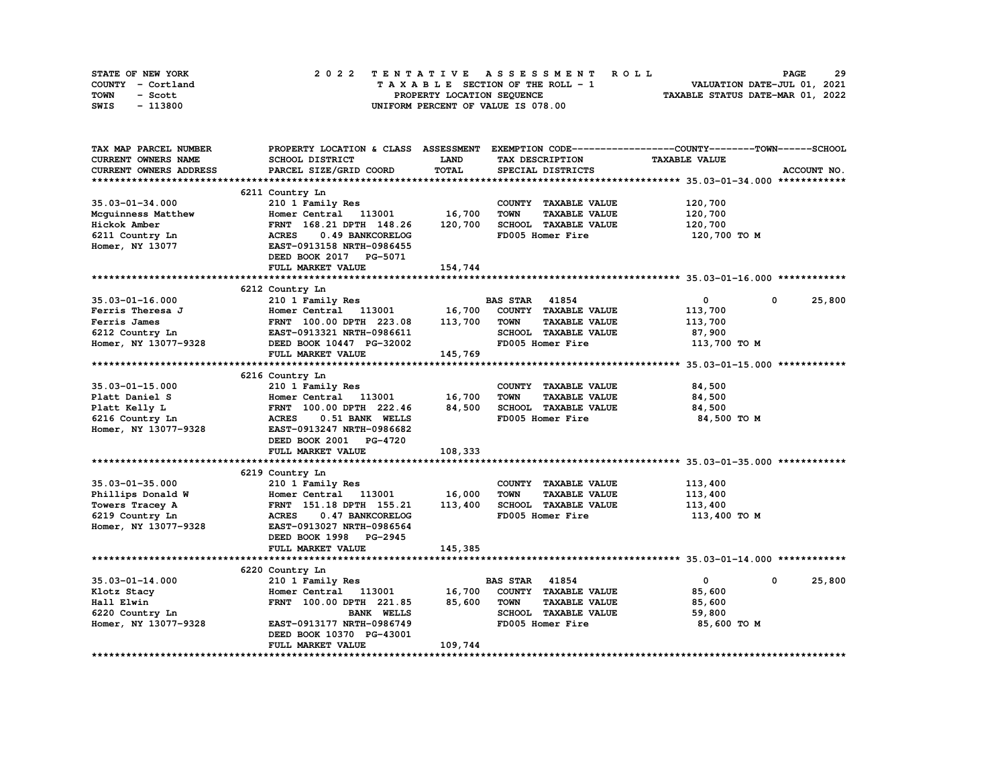| <b>STATE OF NEW YORK</b> | 2022 TENTATIVE ASSESSMENT ROLL          | 29<br><b>PAGE</b>                |
|--------------------------|-----------------------------------------|----------------------------------|
| COUNTY - Cortland        | $T A X A B L E$ SECTION OF THE ROLL - 1 | VALUATION DATE-JUL 01, 2021      |
| TOWN<br>- Scott          | PROPERTY LOCATION SEQUENCE              | TAXABLE STATUS DATE-MAR 01, 2022 |
| - 113800<br>SWIS         | UNIFORM PERCENT OF VALUE IS 078.00      |                                  |

| TAX MAP PARCEL NUMBER      | PROPERTY LOCATION & CLASS ASSESSMENT |             |                                     | EXEMPTION CODE-----------------COUNTY-------TOWN------SCHOOL |
|----------------------------|--------------------------------------|-------------|-------------------------------------|--------------------------------------------------------------|
| <b>CURRENT OWNERS NAME</b> | SCHOOL DISTRICT                      | <b>LAND</b> | TAX DESCRIPTION                     | <b>TAXABLE VALUE</b>                                         |
| CURRENT OWNERS ADDRESS     | PARCEL SIZE/GRID COORD               | TOTAL       | SPECIAL DISTRICTS                   | ACCOUNT NO.                                                  |
|                            |                                      |             |                                     |                                                              |
|                            | 6211 Country Ln                      |             |                                     |                                                              |
| $35.03 - 01 - 34.000$      | 210 1 Family Res                     |             | COUNTY TAXABLE VALUE                | 120,700                                                      |
| Mcquinness Matthew         | Homer Central 113001                 | 16,700      | <b>TOWN</b><br><b>TAXABLE VALUE</b> | 120,700                                                      |
| Hickok Amber               | FRNT 168.21 DPTH 148.26              | 120,700     | SCHOOL TAXABLE VALUE                | 120,700                                                      |
| 6211 Country Ln            | <b>ACRES</b><br>0.49 BANKCORELOG     |             | FD005 Homer Fire                    | 120,700 то м                                                 |
| Homer, NY 13077            | EAST-0913158 NRTH-0986455            |             |                                     |                                                              |
|                            | DEED BOOK 2017 PG-5071               |             |                                     |                                                              |
|                            | FULL MARKET VALUE                    | 154,744     |                                     |                                                              |
|                            |                                      |             |                                     |                                                              |
|                            |                                      |             |                                     |                                                              |
|                            | 6212 Country Ln                      |             |                                     |                                                              |
| 35.03-01-16.000            | 210 1 Family Res                     |             | <b>BAS STAR 41854</b>               | 25,800<br>$\bullet$<br>$\mathbf{0}$                          |
| Ferris Theresa J           | Homer Central 113001 16,700          |             | COUNTY TAXABLE VALUE                | 113,700                                                      |
| Ferris James               | FRNT 100.00 DPTH 223.08              | 113,700     | <b>TOWN</b><br><b>TAXABLE VALUE</b> | 113,700                                                      |
| 6212 Country Ln            | EAST-0913321 NRTH-0986611            |             | SCHOOL TAXABLE VALUE                | 87,900                                                       |
| Homer, NY 13077-9328       | DEED BOOK 10447 PG-32002             |             | FD005 Homer Fire                    | 113,700 TO M                                                 |
|                            | FULL MARKET VALUE                    | 145,769     |                                     |                                                              |
|                            |                                      |             |                                     |                                                              |
|                            | 6216 Country Ln                      |             |                                     |                                                              |
| $35.03 - 01 - 15.000$      | 210 1 Family Res                     |             | COUNTY TAXABLE VALUE                | 84,500                                                       |
| Platt Daniel S             | Homer Central 113001                 | 16,700      | <b>TOWN</b><br><b>TAXABLE VALUE</b> | 84,500                                                       |
| Platt Kelly L              | FRNT 100.00 DPTH 222.46              | 84,500      | SCHOOL TAXABLE VALUE                | 84,500                                                       |
| 6216 Country Ln            | <b>ACRES</b><br>0.51 BANK WELLS      |             | FD005 Homer Fire                    | 84,500 TO M                                                  |
| Homer, NY 13077-9328       | EAST-0913247 NRTH-0986682            |             |                                     |                                                              |
|                            | DEED BOOK 2001 PG-4720               |             |                                     |                                                              |
|                            | FULL MARKET VALUE                    | 108,333     |                                     |                                                              |
|                            |                                      |             |                                     |                                                              |
|                            | 6219 Country Ln                      |             |                                     |                                                              |
| $35.03 - 01 - 35.000$      | 210 1 Family Res                     |             | COUNTY TAXABLE VALUE                | 113,400                                                      |
| Phillips Donald W          | Homer Central 113001                 | 16,000      | <b>TOWN</b><br><b>TAXABLE VALUE</b> | 113,400                                                      |
|                            |                                      | 113,400     | SCHOOL TAXABLE VALUE                |                                                              |
| Towers Tracey A            | FRNT 151.18 DPTH 155.21              |             |                                     | 113,400                                                      |
| 6219 Country Ln            | <b>ACRES</b><br>0.47 BANKCORELOG     |             | FD005 Homer Fire                    | 113,400 TO M                                                 |
| Homer, NY 13077-9328       | EAST-0913027 NRTH-0986564            |             |                                     |                                                              |
|                            | DEED BOOK 1998 PG-2945               |             |                                     |                                                              |
|                            | FULL MARKET VALUE                    | 145,385     |                                     |                                                              |
|                            |                                      |             |                                     |                                                              |
|                            | 6220 Country Ln                      |             |                                     |                                                              |
| 35.03-01-14.000            | 210 1 Family Res                     |             | <b>BAS STAR 41854</b>               | 25,800<br>$\mathbf{0}$<br>$^{\circ}$                         |
| Klotz Stacy                | Homer Central 113001 16,700          |             | COUNTY TAXABLE VALUE                | 85,600                                                       |
| Hall Elwin                 | FRNT 100.00 DPTH 221.85              | 85,600      | <b>TOWN</b><br><b>TAXABLE VALUE</b> | 85,600                                                       |
| 6220 Country Ln            | <b>BANK WELLS</b>                    |             | SCHOOL TAXABLE VALUE                | 59,800                                                       |
| Homer, NY 13077-9328       | EAST-0913177 NRTH-0986749            |             | FD005 Homer Fire                    | 85,600 то м                                                  |
|                            | DEED BOOK 10370 PG-43001             |             |                                     |                                                              |
|                            | FULL MARKET VALUE                    | 109,744     |                                     |                                                              |
|                            |                                      |             |                                     |                                                              |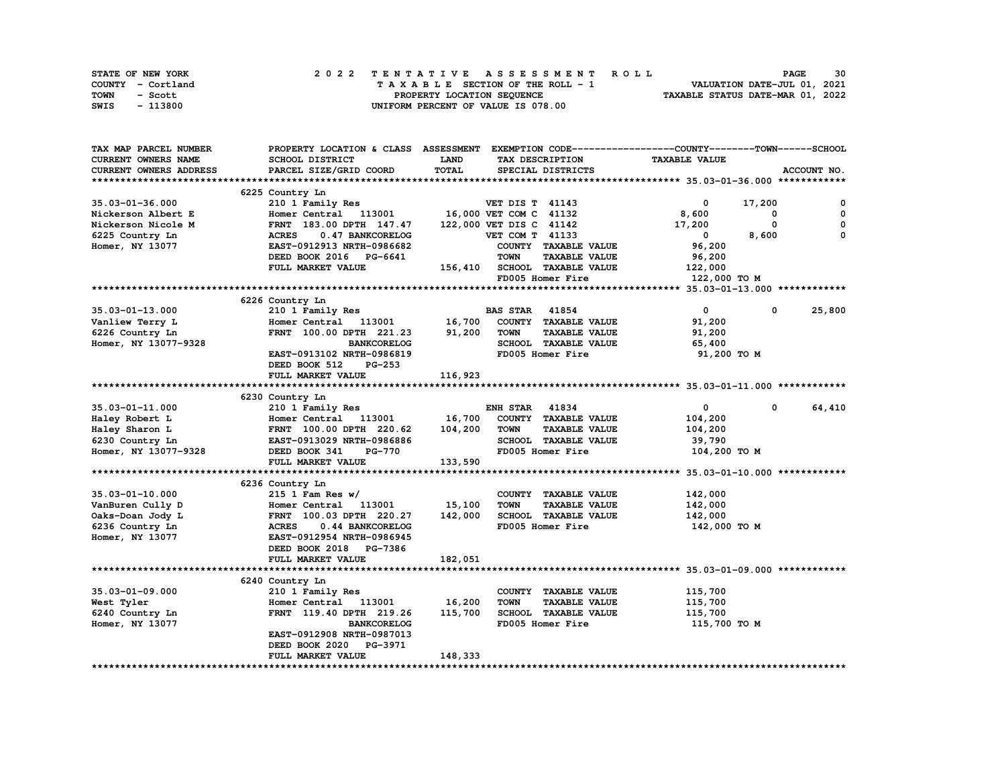| STATE OF NEW YORK | 2022 TENTATIVE ASSESSMENT ROLL     | 30<br><b>PAGE</b>                |
|-------------------|------------------------------------|----------------------------------|
| COUNTY - Cortland | TAXABLE SECTION OF THE ROLL - 1    | VALUATION DATE-JUL 01, 2021      |
| TOWN<br>- Scott   | PROPERTY LOCATION SEQUENCE         | TAXABLE STATUS DATE-MAR 01, 2022 |
| - 113800<br>SWIS  | UNIFORM PERCENT OF VALUE IS 078.00 |                                  |

| TAX MAP PARCEL NUMBER                   | PROPERTY LOCATION & CLASS ASSESSMENT                                         |              |                        |                                          | EXEMPTION CODE-----------------COUNTY-------TOWN------SCHOOL |             |             |
|-----------------------------------------|------------------------------------------------------------------------------|--------------|------------------------|------------------------------------------|--------------------------------------------------------------|-------------|-------------|
| CURRENT OWNERS NAME                     | SCHOOL DISTRICT                                                              | <b>LAND</b>  |                        | TAX DESCRIPTION                          | <b>TAXABLE VALUE</b>                                         |             |             |
| <b>CURRENT OWNERS ADDRESS</b>           | PARCEL SIZE/GRID COORD                                                       | <b>TOTAL</b> |                        | SPECIAL DISTRICTS                        |                                                              |             | ACCOUNT NO. |
|                                         |                                                                              |              |                        |                                          |                                                              |             |             |
|                                         | 6225 Country Ln                                                              |              |                        |                                          |                                                              |             |             |
| $35.03 - 01 - 36.000$                   | 210 1 Family Res                                                             |              | <b>VET DIS T 41143</b> |                                          | 0                                                            | 17,200      | 0           |
| Nickerson Albert E                      | Homer Central 113001                                                         |              | 16,000 VET COM C 41132 |                                          | 8,600                                                        | 0           | 0           |
| Nickerson Nicole M                      | FRNT 183.00 DPTH 147.47                                                      |              |                        | 122,000 VET DIS C 41142                  | 17,200                                                       | 0           | 0           |
| 6225 Country Ln                         | <b>ACRES</b><br>0.47 BANKCORELOG                                             |              | VET COM T 41133        |                                          | $\overline{\mathbf{0}}$                                      | 8,600       | 0           |
| Homer, NY 13077                         | EAST-0912913 NRTH-0986682                                                    |              |                        | COUNTY TAXABLE VALUE                     | 96,200                                                       |             |             |
|                                         | DEED BOOK 2016 PG-6641                                                       |              | <b>TOWN</b>            | <b>TAXABLE VALUE</b>                     | 96,200                                                       |             |             |
|                                         | FULL MARKET VALUE                                                            |              |                        | 156,410 SCHOOL TAXABLE VALUE             | 122,000                                                      |             |             |
|                                         |                                                                              |              |                        | FD005 Homer Fire                         | 122,000 TO M                                                 |             |             |
|                                         |                                                                              |              |                        |                                          |                                                              |             |             |
|                                         | 6226 Country Ln                                                              |              |                        |                                          |                                                              |             |             |
| $35.03 - 01 - 13.000$                   | 210 1 Family Res                                                             |              | <b>BAS STAR</b> 41854  |                                          | $\mathbf{0}$                                                 | $\mathbf 0$ | 25,800      |
| Vanliew Terry L                         | Homer Central 113001 16,700                                                  |              |                        | COUNTY TAXABLE VALUE                     | 91,200                                                       |             |             |
| 6226 Country Ln                         | FRNT 100.00 DPTH 221.23                                                      | 91,200       | <b>TOWN</b>            | <b>TAXABLE VALUE</b>                     | 91,200                                                       |             |             |
| Homer, NY 13077-9328                    | <b>BANKCORELOG</b>                                                           |              |                        | SCHOOL TAXABLE VALUE                     | 65,400                                                       |             |             |
|                                         | EAST-0913102 NRTH-0986819                                                    |              |                        | FD005 Homer Fire                         | 91,200 TO M                                                  |             |             |
|                                         | DEED BOOK 512<br>$PG-253$                                                    |              |                        |                                          |                                                              |             |             |
|                                         | FULL MARKET VALUE                                                            | 116,923      |                        |                                          |                                                              |             |             |
|                                         |                                                                              |              |                        |                                          |                                                              |             |             |
|                                         | 6230 Country Ln                                                              |              |                        |                                          |                                                              |             |             |
| 35.03-01-11.000                         | 210 1 Family Res                                                             |              | <b>ENH STAR 41834</b>  |                                          | $\mathbf{0}$                                                 | 0           | 64,410      |
| Haley Robert L                          | Homer Central 113001 16,700                                                  |              |                        | COUNTY TAXABLE VALUE                     | 104,200                                                      |             |             |
| Haley Sharon L                          | Homer Central 113001<br>FRNT 100.00 DPTH 220.62<br>EAST-0913029 NRTH-0986886 | 104,200      | <b>TOWN</b>            | <b>TAXABLE VALUE</b>                     | 104,200                                                      |             |             |
|                                         |                                                                              |              |                        | SCHOOL TAXABLE VALUE                     | 39,790                                                       |             |             |
| 6230 Country Ln<br>Homer, NY 13077-9328 | DEED BOOK 341<br><b>PG-770</b>                                               |              |                        | FD005 Homer Fire                         | 104,200 TO M                                                 |             |             |
|                                         | FULL MARKET VALUE                                                            | 133,590      |                        |                                          |                                                              |             |             |
|                                         |                                                                              |              |                        |                                          |                                                              |             |             |
|                                         | 6236 Country Ln                                                              |              |                        |                                          |                                                              |             |             |
| 35.03-01-10.000                         | 215 1 Fam Res w/                                                             |              |                        | COUNTY TAXABLE VALUE                     | 142,000                                                      |             |             |
| VanBuren Cully D                        | Homer Central 113001                                                         | 15,100       | <b>TOWN</b>            | <b>TAXABLE VALUE</b>                     | 142,000                                                      |             |             |
| Oaks-Doan Jody L                        | FRNT 100.03 DPTH 220.27                                                      | 142,000      |                        | SCHOOL TAXABLE VALUE                     | 142,000                                                      |             |             |
| 6236 Country Ln                         | <b>ACRES</b><br>0.44 BANKCORELOG                                             |              |                        | FD005 Homer Fire                         | 142,000 TO M                                                 |             |             |
| Homer, NY 13077                         | EAST-0912954 NRTH-0986945                                                    |              |                        |                                          |                                                              |             |             |
|                                         | DEED BOOK 2018 PG-7386                                                       |              |                        |                                          |                                                              |             |             |
|                                         | FULL MARKET VALUE                                                            | 182,051      |                        |                                          |                                                              |             |             |
|                                         |                                                                              |              |                        |                                          |                                                              |             |             |
|                                         | 6240 Country Ln                                                              |              |                        |                                          |                                                              |             |             |
| $35.03 - 01 - 09.000$                   | 210 1 Family Res                                                             |              |                        | COUNTY TAXABLE VALUE                     | 115,700                                                      |             |             |
| West Tyler                              | Homer Central 113001                                                         | 16,200       | <b>TOWN</b>            | <b>TAXABLE VALUE</b>                     | 115,700                                                      |             |             |
| 6240 Country Ln                         | FRNT 119.40 DPTH 219.26<br><b>BANKCORELOG</b>                                | 115,700      |                        | SCHOOL TAXABLE VALUE<br>FD005 Homer Fire | 115,700                                                      |             |             |
| Homer, NY 13077                         | EAST-0912908 NRTH-0987013                                                    |              |                        |                                          | 115,700 TO M                                                 |             |             |
|                                         |                                                                              |              |                        |                                          |                                                              |             |             |
|                                         | DEED BOOK 2020 PG-3971<br>FULL MARKET VALUE                                  | 148,333      |                        |                                          |                                                              |             |             |
|                                         |                                                                              |              |                        |                                          |                                                              |             |             |
|                                         |                                                                              |              |                        |                                          |                                                              |             |             |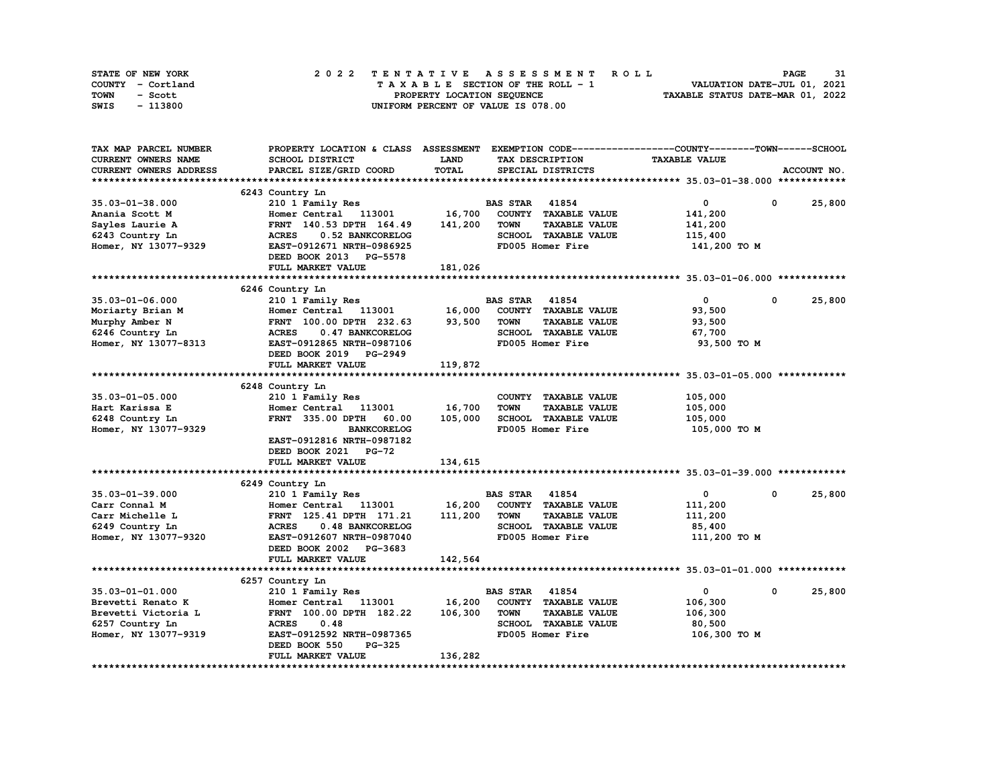| STATE OF NEW YORK | 2022 TENTATIVE ASSESSMENT ROLL     | 31<br><b>PAGE</b>                |
|-------------------|------------------------------------|----------------------------------|
| COUNTY - Cortland | TAXABLE SECTION OF THE ROLL - 1    | VALUATION DATE-JUL 01, 2021      |
| TOWN<br>- Scott   | PROPERTY LOCATION SEQUENCE         | TAXABLE STATUS DATE-MAR 01, 2022 |
| - 113800<br>SWIS  | UNIFORM PERCENT OF VALUE IS 078.00 |                                  |

| TAX MAP PARCEL NUMBER  | PROPERTY LOCATION & CLASS ASSESSMENT |              | EXEMPTION CODE-----------------COUNTY-------TOWN-----SCHOOL |                      |                        |
|------------------------|--------------------------------------|--------------|-------------------------------------------------------------|----------------------|------------------------|
| CURRENT OWNERS NAME    | <b>SCHOOL DISTRICT</b>               | <b>LAND</b>  | TAX DESCRIPTION                                             | <b>TAXABLE VALUE</b> |                        |
| CURRENT OWNERS ADDRESS | PARCEL SIZE/GRID COORD               | <b>TOTAL</b> | SPECIAL DISTRICTS                                           |                      | ACCOUNT NO.            |
|                        |                                      |              |                                                             |                      |                        |
|                        | 6243 Country Ln                      |              |                                                             |                      |                        |
| 35.03-01-38.000        | 210 1 Family Res                     |              | <b>BAS STAR</b><br>41854                                    | 0                    | 25,800<br>0            |
| Anania Scott M         | Homer Central 113001                 | 16,700       | COUNTY TAXABLE VALUE                                        | 141,200              |                        |
| Sayles Laurie A        | FRNT 140.53 DPTH 164.49              | 141,200      | <b>TOWN</b><br><b>TAXABLE VALUE</b>                         | 141,200              |                        |
| 6243 Country Ln        | <b>ACRES</b><br>0.52 BANKCORELOG     |              | SCHOOL TAXABLE VALUE                                        | 115,400              |                        |
| Homer, NY 13077-9329   | EAST-0912671 NRTH-0986925            |              | FD005 Homer Fire                                            | 141,200 TO M         |                        |
|                        | DEED BOOK 2013 PG-5578               |              |                                                             |                      |                        |
|                        | FULL MARKET VALUE                    | 181,026      |                                                             |                      |                        |
|                        |                                      |              |                                                             |                      |                        |
|                        | 6246 Country Ln                      |              |                                                             |                      |                        |
| $35.03 - 01 - 06.000$  | 210 1 Family Res                     |              | <b>BAS STAR</b> 41854                                       | $\mathbf{0}$         | 0<br>25,800            |
| Moriarty Brian M       | Homer Central 113001                 | 16,000       | COUNTY TAXABLE VALUE                                        | 93,500               |                        |
| Murphy Amber N         | FRNT 100.00 DPTH 232.63              | 93,500       | <b>TOWN</b><br><b>TAXABLE VALUE</b>                         | 93,500               |                        |
| 6246 Country Ln        | 0.47 BANKCORELOG<br><b>ACRES</b>     |              | SCHOOL TAXABLE VALUE                                        | 67,700               |                        |
| Homer, NY 13077-8313   | EAST-0912865 NRTH-0987106            |              | FD005 Homer Fire                                            | 93,500 TO M          |                        |
|                        | DEED BOOK 2019 PG-2949               |              |                                                             |                      |                        |
|                        | FULL MARKET VALUE                    | 119,872      |                                                             |                      |                        |
|                        |                                      |              |                                                             |                      |                        |
|                        |                                      |              |                                                             |                      |                        |
|                        | 6248 Country Ln                      |              |                                                             |                      |                        |
| $35.03 - 01 - 05.000$  | 210 1 Family Res                     |              | COUNTY TAXABLE VALUE<br><b>TOWN</b>                         | 105,000              |                        |
| Hart Karissa E         | Homer Central 113001                 | 16,700       | <b>TAXABLE VALUE</b>                                        | 105,000              |                        |
| 6248 Country Ln        | <b>FRNT 335.00 DPTH</b><br>60.00     | 105,000      | SCHOOL TAXABLE VALUE                                        | 105,000              |                        |
| Homer, NY 13077-9329   | <b>BANKCORELOG</b>                   |              | FD005 Homer Fire                                            | 105,000 TO M         |                        |
|                        | EAST-0912816 NRTH-0987182            |              |                                                             |                      |                        |
|                        | DEED BOOK 2021 PG-72                 |              |                                                             |                      |                        |
|                        | FULL MARKET VALUE                    | 134,615      |                                                             |                      |                        |
|                        |                                      |              |                                                             |                      |                        |
|                        | 6249 Country Ln                      |              |                                                             |                      |                        |
| 35.03-01-39.000        | 210 1 Family Res                     |              | <b>BAS STAR 41854</b>                                       | 0                    | $\mathbf{0}$<br>25,800 |
| Carr Connal M          | Homer Central 113001                 | 16,200       | COUNTY TAXABLE VALUE                                        | 111,200              |                        |
| Carr Michelle L        | FRNT 125.41 DPTH 171.21              | 111,200      | <b>TOWN</b><br><b>TAXABLE VALUE</b>                         | 111,200              |                        |
| 6249 Country Ln        | <b>ACRES</b><br>0.48 BANKCORELOG     |              | <b>SCHOOL TAXABLE VALUE</b>                                 | 85,400               |                        |
| Homer, NY 13077-9320   | EAST-0912607 NRTH-0987040            |              | FD005 Homer Fire                                            | 111,200 TO M         |                        |
|                        | DEED BOOK 2002 PG-3683               |              |                                                             |                      |                        |
|                        | FULL MARKET VALUE                    | 142,564      |                                                             |                      |                        |
|                        |                                      |              |                                                             |                      |                        |
|                        | 6257 Country Ln                      |              |                                                             |                      |                        |
| 35.03-01-01.000        | 210 1 Family Res                     |              | <b>BAS STAR 41854</b>                                       | $\mathbf 0$          | $\mathbf{0}$<br>25,800 |
| Brevetti Renato K      | Homer Central 113001                 | 16,200       | COUNTY TAXABLE VALUE                                        | 106,300              |                        |
| Brevetti Victoria L    | FRNT 100.00 DPTH 182.22              | 106,300      | <b>TOWN</b><br><b>TAXABLE VALUE</b>                         | 106,300              |                        |
| 6257 Country Ln        | <b>ACRES</b><br>0.48                 |              | <b>SCHOOL TAXABLE VALUE</b>                                 | 80,500               |                        |
| Homer, NY 13077-9319   | EAST-0912592 NRTH-0987365            |              | FD005 Homer Fire                                            | 106,300 то м         |                        |
|                        | DEED BOOK 550<br><b>PG-325</b>       |              |                                                             |                      |                        |
|                        | <b>FULL MARKET VALUE</b>             | 136,282      |                                                             |                      |                        |
|                        |                                      |              |                                                             |                      |                        |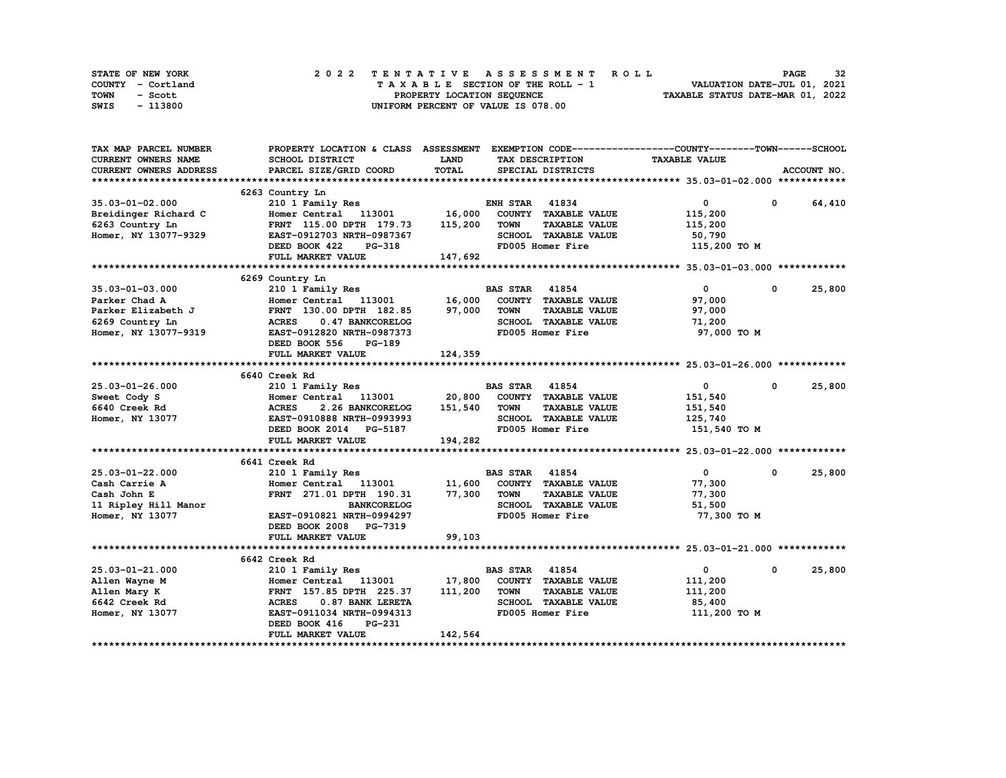| STATE OF NEW YORK | 2022 TENTATIVE ASSESSMENT ROLL     | 32<br><b>PAGE</b>                |
|-------------------|------------------------------------|----------------------------------|
| COUNTY - Cortland | TAXABLE SECTION OF THE ROLL - 1    | VALUATION DATE-JUL 01, 2021      |
| TOWN<br>- Scott   | PROPERTY LOCATION SEQUENCE         | TAXABLE STATUS DATE-MAR 01, 2022 |
| - 113800<br>SWIS  | UNIFORM PERCENT OF VALUE IS 078.00 |                                  |

| TAX MAP PARCEL NUMBER                   | PROPERTY LOCATION & CLASS ASSESSMENT EXEMPTION CODE----------------COUNTY-------TOWN-----SCHOOL |         |                       |                      |                      |              |             |
|-----------------------------------------|-------------------------------------------------------------------------------------------------|---------|-----------------------|----------------------|----------------------|--------------|-------------|
| CURRENT OWNERS NAME                     | SCHOOL DISTRICT                                                                                 | LAND    |                       | TAX DESCRIPTION      | <b>TAXABLE VALUE</b> |              |             |
| CURRENT OWNERS ADDRESS                  | PARCEL SIZE/GRID COORD                                                                          | TOTAL   |                       | SPECIAL DISTRICTS    |                      |              | ACCOUNT NO. |
|                                         |                                                                                                 |         |                       |                      |                      |              |             |
|                                         | 6263 Country Ln                                                                                 |         |                       |                      |                      |              |             |
| $35.03 - 01 - 02.000$                   | 210 1 Family Res                                                                                |         | <b>ENH STAR 41834</b> |                      | $\mathbf{0}$         | $\mathbf{0}$ | 64,410      |
| Breidinger Richard C                    | Homer Central 113001 16,000                                                                     |         |                       | COUNTY TAXABLE VALUE | 115,200              |              |             |
| 6263 Country Ln                         | FRNT 115.00 DPTH 179.73 115,200                                                                 |         | <b>TOWN</b>           | <b>TAXABLE VALUE</b> | 115,200              |              |             |
| Homer, NY 13077-9329                    | EAST-0912703 NRTH-0987367                                                                       |         |                       | SCHOOL TAXABLE VALUE | 50,790               |              |             |
|                                         | DEED BOOK 422<br>PG-318                                                                         |         |                       | FD005 Homer Fire     | 115,200 TO M         |              |             |
|                                         | FULL MARKET VALUE                                                                               | 147,692 |                       |                      |                      |              |             |
|                                         |                                                                                                 |         |                       |                      |                      |              |             |
|                                         | 6269 Country Ln                                                                                 |         |                       |                      |                      |              |             |
| 35.03-01-03.000                         | 210 1 Family Res                                                                                |         | <b>BAS STAR 41854</b> |                      | $\mathbf{0}$         | $^{\circ}$   | 25,800      |
| Parker Chad A                           | Homer Central 113001 16,000<br>FRNT 130.00 DPTH 182.85 97,000                                   |         |                       | COUNTY TAXABLE VALUE | 97,000               |              |             |
| Parker Elizabeth J                      |                                                                                                 |         | <b>TOWN</b>           | <b>TAXABLE VALUE</b> | 97,000               |              |             |
| 6269 Country Ln                         | 0.47 BANKCORELOG<br><b>ACRES</b>                                                                |         |                       | SCHOOL TAXABLE VALUE | 71,200               |              |             |
| Homer, NY 13077-9319                    | EAST-0912820 NRTH-0987373                                                                       |         |                       | FD005 Homer Fire     | 97,000 TO M          |              |             |
|                                         | DEED BOOK 556<br><b>PG-189</b>                                                                  |         |                       |                      |                      |              |             |
|                                         | FULL MARKET VALUE                                                                               | 124,359 |                       |                      |                      |              |             |
|                                         |                                                                                                 |         |                       |                      |                      |              |             |
|                                         | 6640 Creek Rd                                                                                   |         |                       |                      |                      |              |             |
| 25.03-01-26.000                         | 210 1 Family Res                                                                                |         | <b>BAS STAR 41854</b> |                      | $\mathbf{0}$         | $\mathbf 0$  | 25,800      |
| Sweet Cody S                            | Homer Central 113001 20,800                                                                     |         |                       | COUNTY TAXABLE VALUE | 151,540              |              |             |
| 6640 Creek Rd                           | 2.26 BANKCORELOG<br><b>ACRES</b>                                                                | 151,540 | <b>TOWN</b>           | <b>TAXABLE VALUE</b> | 151,540              |              |             |
| Homer, NY 13077                         | EAST-0910888 NRTH-0993993                                                                       |         |                       | SCHOOL TAXABLE VALUE | 125,740              |              |             |
|                                         | DEED BOOK 2014 PG-5187                                                                          |         |                       | FD005 Homer Fire     | 151,540 TO M         |              |             |
|                                         | FULL MARKET VALUE                                                                               | 194,282 |                       |                      |                      |              |             |
|                                         |                                                                                                 |         |                       |                      |                      |              |             |
|                                         | 6641 Creek Rd                                                                                   |         |                       |                      |                      |              |             |
| 25.03-01-22.000                         | 210 1 Family Res                                                                                |         | <b>BAS STAR 41854</b> |                      | $\overline{0}$       | $\mathbf 0$  | 25,800      |
| Cash Carrie A                           | Homer Central 113001 11,600                                                                     |         |                       | COUNTY TAXABLE VALUE | 77,300               |              |             |
| Cash John E                             | FRNT 271.01 DPTH 190.31 77,300                                                                  |         | <b>TOWN</b>           | <b>TAXABLE VALUE</b> | 77,300               |              |             |
|                                         | <b>BANKCORELOG</b>                                                                              |         |                       | SCHOOL TAXABLE VALUE | 51,500               |              |             |
| 11 Ripley Hill Manor<br>Homer, NY 13077 | EAST-0910821 NRTH-0994297                                                                       |         |                       | FD005 Homer Fire     | 77,300 TO M          |              |             |
|                                         | DEED BOOK 2008 PG-7319                                                                          |         |                       |                      |                      |              |             |
|                                         | FULL MARKET VALUE                                                                               | 99,103  |                       |                      |                      |              |             |
|                                         |                                                                                                 |         |                       |                      |                      |              |             |
|                                         | 6642 Creek Rd                                                                                   |         |                       |                      |                      |              |             |
| 25.03-01-21.000                         | 210 1 Family Res                                                                                |         | <b>BAS STAR 41854</b> |                      | $\mathbf{0}$         | $^{\circ}$   | 25,800      |
| Allen Wayne M                           | Homer Central 113001 17,800                                                                     |         |                       | COUNTY TAXABLE VALUE | 111,200              |              |             |
| Allen Mary K                            | FRNT 157.85 DPTH 225.37                                                                         | 111,200 | <b>TOWN</b>           | <b>TAXABLE VALUE</b> | 111,200              |              |             |
| 6642 Creek Rd                           | 0.87 BANK LERETA<br><b>ACRES</b>                                                                |         |                       | SCHOOL TAXABLE VALUE | 85,400               |              |             |
| Homer, NY 13077                         | EAST-0911034 NRTH-0994313                                                                       |         |                       | FD005 Homer Fire     | 111,200 TO M         |              |             |
|                                         | <b>PG-231</b><br>DEED BOOK 416                                                                  |         |                       |                      |                      |              |             |
|                                         | FULL MARKET VALUE                                                                               | 142,564 |                       |                      |                      |              |             |
|                                         |                                                                                                 |         |                       |                      |                      |              |             |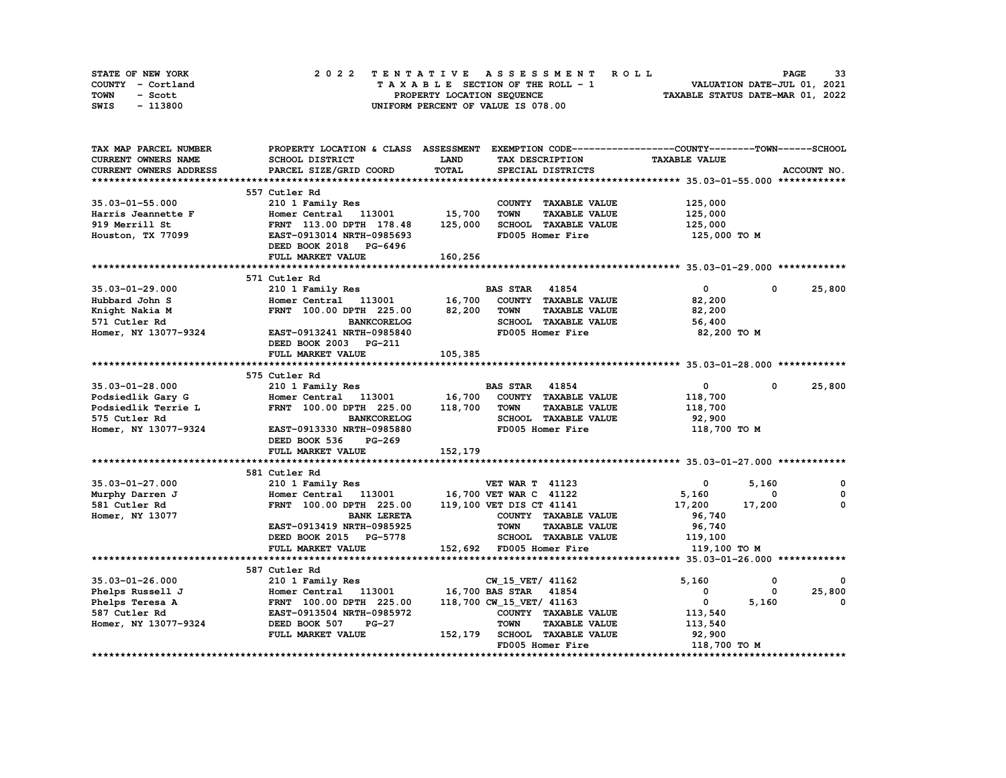| STATE OF NEW YORK | 2022 TENTATIVE ASSESSMENT ROLL     | 33<br><b>PAGE</b>                |
|-------------------|------------------------------------|----------------------------------|
| COUNTY - Cortland | TAXABLE SECTION OF THE ROLL - 1    | VALUATION DATE-JUL 01, 2021      |
| TOWN<br>- Scott   | PROPERTY LOCATION SEQUENCE         | TAXABLE STATUS DATE-MAR 01, 2022 |
| - 113800<br>SWIS  | UNIFORM PERCENT OF VALUE IS 078.00 |                                  |

| TAX MAP PARCEL NUMBER  | PROPERTY LOCATION & CLASS ASSESSMENT |              |                             |                      | EXEMPTION CODE-----------------COUNTY-------TOWN------SCHOOL |             |             |
|------------------------|--------------------------------------|--------------|-----------------------------|----------------------|--------------------------------------------------------------|-------------|-------------|
| CURRENT OWNERS NAME    | SCHOOL DISTRICT                      | LAND         | TAX DESCRIPTION             |                      | <b>TAXABLE VALUE</b>                                         |             |             |
| CURRENT OWNERS ADDRESS | PARCEL SIZE/GRID COORD               | <b>TOTAL</b> | SPECIAL DISTRICTS           |                      |                                                              |             | ACCOUNT NO. |
|                        |                                      |              |                             |                      |                                                              |             |             |
|                        | 557 Cutler Rd                        |              |                             |                      |                                                              |             |             |
| $35.03 - 01 - 55.000$  | 210 1 Family Res                     |              | COUNTY TAXABLE VALUE        |                      | 125,000                                                      |             |             |
| Harris Jeannette F     | Homer Central 113001                 | 15,700       | <b>TOWN</b>                 | <b>TAXABLE VALUE</b> | 125,000                                                      |             |             |
| 919 Merrill St         | FRNT 113.00 DPTH 178.48              | 125,000      | SCHOOL TAXABLE VALUE        |                      | 125,000                                                      |             |             |
| Houston, TX 77099      | EAST-0913014 NRTH-0985693            |              | FD005 Homer Fire            |                      | 125,000 TO M                                                 |             |             |
|                        | DEED BOOK 2018 PG-6496               |              |                             |                      |                                                              |             |             |
|                        | FULL MARKET VALUE                    | 160,256      |                             |                      |                                                              |             |             |
|                        |                                      |              |                             |                      |                                                              |             |             |
|                        | 571 Cutler Rd                        |              |                             |                      |                                                              |             |             |
| $35.03 - 01 - 29.000$  | 210 1 Family Res                     |              | <b>BAS STAR 41854</b>       |                      | $\mathbf{0}$                                                 | $\mathbf 0$ | 25,800      |
| Hubbard John S         | Homer Central 113001                 | 16,700       | COUNTY TAXABLE VALUE        |                      | 82,200                                                       |             |             |
| Knight Nakia M         | FRNT 100.00 DPTH 225.00              | 82,200       | <b>TOWN</b>                 | <b>TAXABLE VALUE</b> | 82,200                                                       |             |             |
|                        | <b>BANKCORELOG</b>                   |              | SCHOOL TAXABLE VALUE        |                      | 56,400                                                       |             |             |
| 571 Cutler Rd          | EAST-0913241 NRTH-0985840            |              | FD005 Homer Fire            |                      |                                                              |             |             |
| Homer, NY 13077-9324   |                                      |              |                             |                      | 82,200 TO M                                                  |             |             |
|                        | DEED BOOK 2003 PG-211                |              |                             |                      |                                                              |             |             |
|                        | FULL MARKET VALUE                    | 105,385      |                             |                      |                                                              |             |             |
|                        |                                      |              |                             |                      |                                                              |             |             |
|                        | 575 Cutler Rd                        |              |                             |                      |                                                              |             |             |
| $35.03 - 01 - 28.000$  | 210 1 Family Res                     |              | <b>BAS STAR</b>             | 41854                | $\mathbf{0}$                                                 | 0           | 25,800      |
| Podsiedlik Gary G      | Homer Central 113001                 | 16,700       | COUNTY TAXABLE VALUE        |                      | 118,700                                                      |             |             |
| Podsiedlik Terrie L    | FRNT 100.00 DPTH 225.00              | 118,700      | <b>TOWN</b>                 | <b>TAXABLE VALUE</b> | 118,700                                                      |             |             |
| 575 Cutler Rd          | <b>BANKCORELOG</b>                   |              | <b>SCHOOL TAXABLE VALUE</b> |                      | 92,900                                                       |             |             |
| Homer, NY 13077-9324   | EAST-0913330 NRTH-0985880            |              | FD005 Homer Fire            |                      | 118,700 TO M                                                 |             |             |
|                        | DEED BOOK 536<br><b>PG-269</b>       |              |                             |                      |                                                              |             |             |
|                        | FULL MARKET VALUE                    | 152,179      |                             |                      |                                                              |             |             |
|                        |                                      |              |                             |                      |                                                              |             |             |
|                        | 581 Cutler Rd                        |              |                             |                      |                                                              |             |             |
| 35.03-01-27.000        | 210 1 Family Res                     |              | <b>VET WAR T 41123</b>      |                      | 0                                                            | 5,160       | 0           |
| Murphy Darren J        | Homer Central 113001                 |              | 16,700 VET WAR C 41122      |                      | 5.160                                                        | 0           | 0           |
| 581 Cutler Rd          | FRNT 100.00 DPTH 225.00              |              | 119,100 VET DIS CT 41141    |                      | 17,200                                                       | 17,200      | 0           |
| Homer, NY 13077        | <b>BANK LERETA</b>                   |              | COUNTY TAXABLE VALUE        |                      | 96,740                                                       |             |             |
|                        | EAST-0913419 NRTH-0985925            |              | <b>TOWN</b>                 | <b>TAXABLE VALUE</b> | 96,740                                                       |             |             |
|                        | DEED BOOK 2015 PG-5778               |              | SCHOOL TAXABLE VALUE        |                      | 119,100                                                      |             |             |
|                        | FULL MARKET VALUE                    |              | 152,692 FD005 Homer Fire    |                      | 119,100 TO M                                                 |             |             |
|                        |                                      |              |                             |                      |                                                              |             |             |
|                        | 587 Cutler Rd                        |              |                             |                      |                                                              |             |             |
| $35.03 - 01 - 26.000$  | 210 1 Family Res                     |              | CW 15 VET/ 41162            |                      | 5,160                                                        | 0           | 0           |
| Phelps Russell J       | Homer Central 113001                 |              | 16,700 BAS STAR 41854       |                      | 0                                                            | 0           | 25,800      |
| Phelps Teresa A        | FRNT 100.00 DPTH 225.00              |              | 118,700 CW_15_VET/ 41163    |                      | 0                                                            | 5,160       | 0           |
| 587 Cutler Rd          | EAST-0913504 NRTH-0985972            |              | COUNTY TAXABLE VALUE        |                      | 113,540                                                      |             |             |
| Homer, NY 13077-9324   | DEED BOOK 507<br><b>PG-27</b>        |              | <b>TOWN</b>                 | <b>TAXABLE VALUE</b> | 113,540                                                      |             |             |
|                        | FULL MARKET VALUE                    | 152,179      | <b>SCHOOL TAXABLE VALUE</b> |                      | 92,900                                                       |             |             |
|                        |                                      |              | FD005 Homer Fire            |                      | 118,700 TO M                                                 |             |             |
|                        |                                      |              |                             |                      |                                                              |             |             |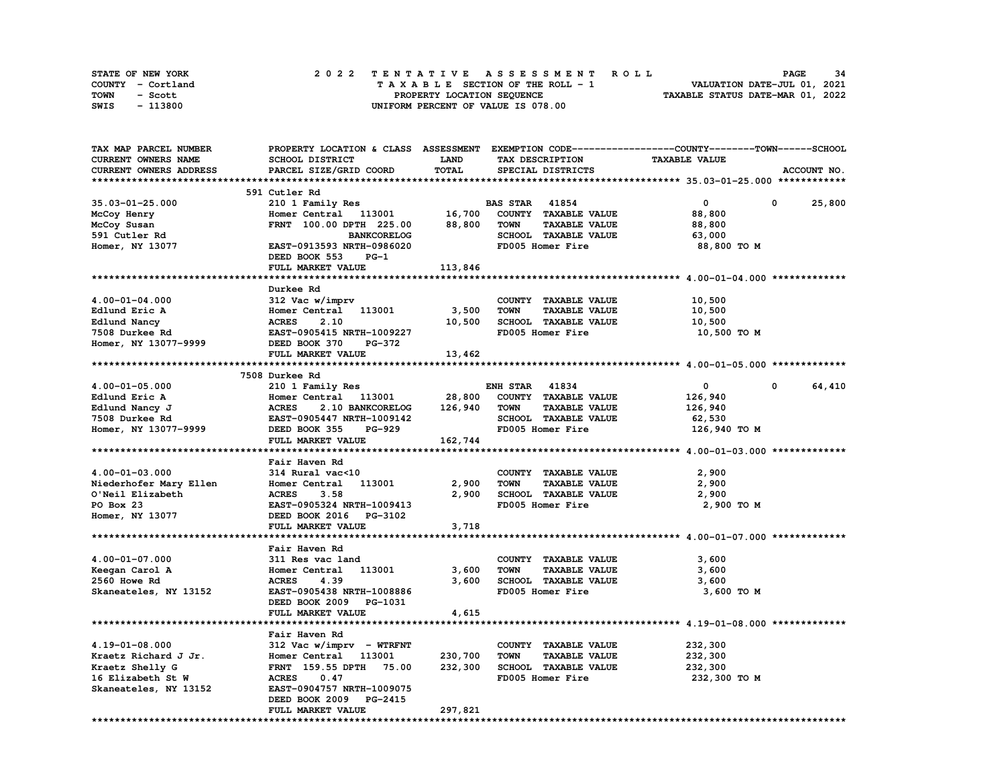| STATE OF NEW YORK | 2022 TENTATIVE ASSESSMENT ROLL     | 34<br><b>PAGE</b>                |
|-------------------|------------------------------------|----------------------------------|
| COUNTY - Cortland | TAXABLE SECTION OF THE ROLL - 1    | VALUATION DATE-JUL 01, 2021      |
| TOWN<br>- Scott   | PROPERTY LOCATION SEQUENCE         | TAXABLE STATUS DATE-MAR 01, 2022 |
| - 113800<br>SWIS  | UNIFORM PERCENT OF VALUE IS 078.00 |                                  |

| TAX MAP PARCEL NUMBER  |                                  |             |                                     | PROPERTY LOCATION & CLASS ASSESSMENT EXEMPTION CODE----------------COUNTY-------TOWN-----SCHOOL |             |
|------------------------|----------------------------------|-------------|-------------------------------------|-------------------------------------------------------------------------------------------------|-------------|
| CURRENT OWNERS NAME    | SCHOOL DISTRICT                  | <b>LAND</b> | TAX DESCRIPTION                     | <b>TAXABLE VALUE</b>                                                                            |             |
| CURRENT OWNERS ADDRESS | PARCEL SIZE/GRID COORD           | TOTAL       | SPECIAL DISTRICTS                   |                                                                                                 | ACCOUNT NO. |
|                        |                                  |             |                                     |                                                                                                 |             |
|                        | 591 Cutler Rd                    |             |                                     |                                                                                                 |             |
| $35.03 - 01 - 25.000$  | 210 1 Family Res                 |             | <b>BAS STAR</b> 41854               | $\mathbf{0}$                                                                                    | 0<br>25,800 |
| McCoy Henry            | Homer Central 113001             | 16,700      | COUNTY TAXABLE VALUE                | 88,800                                                                                          |             |
| McCoy Susan            | FRNT 100.00 DPTH 225.00          | 88,800      | <b>TOWN</b><br><b>TAXABLE VALUE</b> | 88,800                                                                                          |             |
| 591 Cutler Rd          | <b>BANKCORELOG</b>               |             | SCHOOL TAXABLE VALUE                | 63,000                                                                                          |             |
| Homer, NY 13077        | EAST-0913593 NRTH-0986020        |             | FD005 Homer Fire                    | 88,800 TO M                                                                                     |             |
|                        | DEED BOOK 553<br>$PG-1$          |             |                                     |                                                                                                 |             |
|                        | FULL MARKET VALUE                | 113,846     |                                     |                                                                                                 |             |
|                        |                                  |             |                                     |                                                                                                 |             |
|                        | Durkee Rd                        |             |                                     |                                                                                                 |             |
| $4.00 - 01 - 04.000$   | 312 Vac w/imprv                  |             | COUNTY TAXABLE VALUE                | 10,500                                                                                          |             |
| Edlund Eric A          | Homer Central 113001             | 3,500       | <b>TOWN</b><br><b>TAXABLE VALUE</b> | 10,500                                                                                          |             |
| Edlund Nancy           | <b>ACRES</b><br>2.10             | 10,500      | SCHOOL TAXABLE VALUE                | 10,500                                                                                          |             |
| 7508 Durkee Rd         | EAST-0905415 NRTH-1009227        |             | FD005 Homer Fire                    | 10,500 TO M                                                                                     |             |
| Homer, NY 13077-9999   | DEED BOOK 370<br><b>PG-372</b>   |             |                                     |                                                                                                 |             |
|                        | FULL MARKET VALUE                | 13,462      |                                     |                                                                                                 |             |
|                        |                                  |             |                                     |                                                                                                 |             |
|                        | 7508 Durkee Rd                   |             |                                     |                                                                                                 |             |
| $4.00 - 01 - 05.000$   | 210 1 Family Res                 |             | <b>ENH STAR 41834</b>               | $\mathbf{0}$                                                                                    | 0<br>64,410 |
| Edlund Eric A          | Homer Central 113001             | 28,800      | COUNTY TAXABLE VALUE                | 126,940                                                                                         |             |
| Edlund Nancy J         | <b>ACRES</b><br>2.10 BANKCORELOG | 126,940     | <b>TAXABLE VALUE</b><br>TOWN        | 126,940                                                                                         |             |
| 7508 Durkee Rd         | EAST-0905447 NRTH-1009142        |             | SCHOOL TAXABLE VALUE                | 62,530                                                                                          |             |
| Homer, NY 13077-9999   | DEED BOOK 355 PG-929             |             | FD005 Homer Fire                    | 126,940 TO M                                                                                    |             |
|                        | FULL MARKET VALUE                | 162,744     |                                     |                                                                                                 |             |
|                        |                                  |             |                                     |                                                                                                 |             |
|                        | Fair Haven Rd                    |             |                                     |                                                                                                 |             |
| $4.00 - 01 - 03.000$   | 314 Rural vac<10                 |             | COUNTY TAXABLE VALUE                | 2,900                                                                                           |             |
| Niederhofer Mary Ellen | Homer Central 113001             | 2,900       | <b>TOWN</b><br><b>TAXABLE VALUE</b> | 2,900                                                                                           |             |
| O'Neil Elizabeth       | <b>ACRES</b><br>3.58             | 2,900       | SCHOOL TAXABLE VALUE                | 2,900                                                                                           |             |
| PO Box 23              | EAST-0905324 NRTH-1009413        |             | FD005 Homer Fire                    | 2,900 TO M                                                                                      |             |
| Homer, NY 13077        | DEED BOOK 2016 PG-3102           |             |                                     |                                                                                                 |             |
|                        | FULL MARKET VALUE                | 3,718       |                                     |                                                                                                 |             |
|                        |                                  |             |                                     |                                                                                                 |             |
|                        | Fair Haven Rd                    |             |                                     |                                                                                                 |             |
| $4.00 - 01 - 07.000$   | 311 Res vac land                 |             | COUNTY TAXABLE VALUE                | 3,600                                                                                           |             |
| Keegan Carol A         | Homer Central 113001             | 3,600       | <b>TAXABLE VALUE</b><br><b>TOWN</b> | 3,600                                                                                           |             |
| 2560 Howe Rd           | <b>ACRES</b><br>4.39             | 3,600       | SCHOOL TAXABLE VALUE                | 3,600                                                                                           |             |
| Skaneateles, NY 13152  | EAST-0905438 NRTH-1008886        |             | FD005 Homer Fire                    | 3,600 TO M                                                                                      |             |
|                        | DEED BOOK 2009 PG-1031           |             |                                     |                                                                                                 |             |
|                        | FULL MARKET VALUE                | 4,615       |                                     |                                                                                                 |             |
|                        |                                  |             |                                     |                                                                                                 |             |
|                        | Fair Haven Rd                    |             |                                     |                                                                                                 |             |
| $4.19 - 01 - 08.000$   | 312 Vac $w/imprv$ - WTRFNT       |             | COUNTY TAXABLE VALUE                | 232,300                                                                                         |             |
| Kraetz Richard J Jr.   | Homer Central 113001             | 230,700     | <b>TOWN</b><br><b>TAXABLE VALUE</b> | 232,300                                                                                         |             |
| Kraetz Shelly G        | FRNT 159.55 DPTH 75.00           | 232,300     | SCHOOL TAXABLE VALUE                | 232,300                                                                                         |             |
| 16 Elizabeth St W      | <b>ACRES</b><br>0.47             |             | FD005 Homer Fire                    | 232,300 то м                                                                                    |             |
| Skaneateles, NY 13152  | EAST-0904757 NRTH-1009075        |             |                                     |                                                                                                 |             |
|                        | DEED BOOK 2009 PG-2415           |             |                                     |                                                                                                 |             |
|                        | FULL MARKET VALUE                | 297,821     |                                     |                                                                                                 |             |
|                        |                                  |             |                                     |                                                                                                 |             |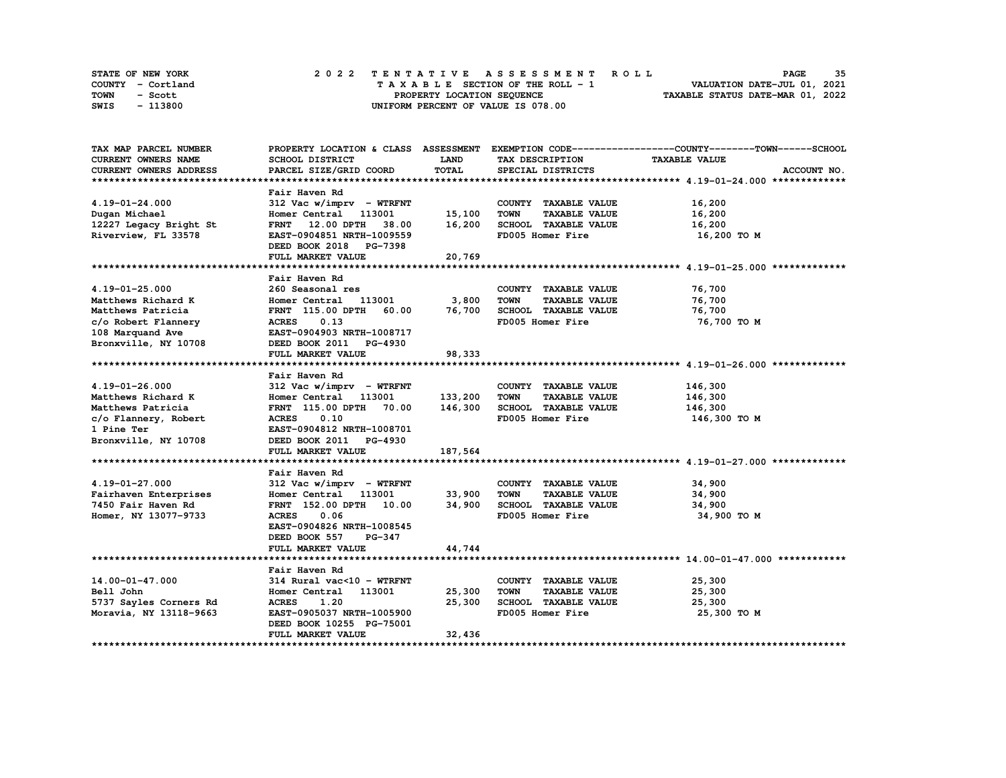| STATE OF NEW YORK | 2022 TENTATIVE ASSESSMENT ROLL     | 35<br><b>PAGE</b>                |
|-------------------|------------------------------------|----------------------------------|
| COUNTY - Cortland | TAXABLE SECTION OF THE ROLL - 1    | VALUATION DATE-JUL 01, 2021      |
| TOWN<br>- Scott   | PROPERTY LOCATION SEQUENCE         | TAXABLE STATUS DATE-MAR 01, 2022 |
| - 113800<br>SWIS  | UNIFORM PERCENT OF VALUE IS 078.00 |                                  |

| TAX MAP PARCEL NUMBER  |                                |                    |                                     | PROPERTY LOCATION & CLASS ASSESSMENT EXEMPTION CODE----------------COUNTY-------TOWN-----SCHOOL |
|------------------------|--------------------------------|--------------------|-------------------------------------|-------------------------------------------------------------------------------------------------|
| CURRENT OWNERS NAME    | SCHOOL DISTRICT                | LAND               | TAX DESCRIPTION                     | <b>TAXABLE VALUE</b>                                                                            |
| CURRENT OWNERS ADDRESS | PARCEL SIZE/GRID COORD         | TOTAL              | SPECIAL DISTRICTS                   | ACCOUNT NO.                                                                                     |
|                        |                                |                    |                                     |                                                                                                 |
|                        | Fair Haven Rd                  |                    |                                     |                                                                                                 |
| $4.19 - 01 - 24.000$   | 312 Vac w/imprv - WTRFNT       |                    | COUNTY TAXABLE VALUE                | 16,200                                                                                          |
| Dugan Michael          | Homer Central 113001           | 15,100             | <b>TOWN</b><br><b>TAXABLE VALUE</b> | 16,200                                                                                          |
| 12227 Legacy Bright St | FRNT 12.00 DPTH 38.00          | 16,200             | SCHOOL TAXABLE VALUE                | 16,200                                                                                          |
| Riverview, FL 33578    | EAST-0904851 NRTH-1009559      |                    | FD005 Homer Fire                    | 16,200 TO M                                                                                     |
|                        | DEED BOOK 2018 PG-7398         |                    |                                     |                                                                                                 |
|                        | FULL MARKET VALUE              | 20,769             |                                     |                                                                                                 |
|                        |                                |                    |                                     |                                                                                                 |
|                        | Fair Haven Rd                  |                    |                                     |                                                                                                 |
| $4.19 - 01 - 25.000$   | 260 Seasonal res               |                    |                                     |                                                                                                 |
|                        |                                |                    | COUNTY TAXABLE VALUE                | 76,700                                                                                          |
| Matthews Richard K     | Homer Central 113001           | 3,800              | <b>TOWN</b><br><b>TAXABLE VALUE</b> | 76,700                                                                                          |
| Matthews Patricia      | FRNT 115.00 DPTH 60.00         | 76,700             | SCHOOL TAXABLE VALUE                | 76,700                                                                                          |
| c/o Robert Flannery    | <b>ACRES</b><br>0.13           |                    | FD005 Homer Fire                    | 76,700 TO M                                                                                     |
| 108 Marquand Ave       | EAST-0904903 NRTH-1008717      |                    |                                     |                                                                                                 |
| Bronxville, NY 10708   | DEED BOOK 2011 PG-4930         |                    |                                     |                                                                                                 |
|                        | FULL MARKET VALUE              | 98,333             |                                     |                                                                                                 |
|                        |                                |                    |                                     |                                                                                                 |
|                        | Fair Haven Rd                  |                    |                                     |                                                                                                 |
| $4.19 - 01 - 26.000$   | 312 Vac w/imprv - WTRFNT       |                    | COUNTY TAXABLE VALUE                | 146,300                                                                                         |
| Matthews Richard K     | Homer Central 113001           | 133,200            | <b>TOWN</b><br><b>TAXABLE VALUE</b> | 146,300                                                                                         |
| Matthews Patricia      | FRNT 115.00 DPTH 70.00         | 146,300            | SCHOOL TAXABLE VALUE                | 146,300                                                                                         |
| c/o Flannery, Robert   | <b>ACRES</b><br>0.10           |                    | FD005 Homer Fire                    | 146,300 то м                                                                                    |
| 1 Pine Ter             | EAST-0904812 NRTH-1008701      |                    |                                     |                                                                                                 |
| Bronxville, NY 10708   | DEED BOOK 2011 PG-4930         |                    |                                     |                                                                                                 |
|                        | FULL MARKET VALUE              | 187,564            |                                     |                                                                                                 |
|                        |                                |                    |                                     |                                                                                                 |
|                        | Fair Haven Rd                  |                    |                                     |                                                                                                 |
| $4.19 - 01 - 27.000$   | 312 Vac $w/imprv$ - WTRFNT     |                    | COUNTY TAXABLE VALUE                | 34,900                                                                                          |
| Fairhaven Enterprises  | Homer Central 113001           | 33, 900<br>34, 900 | <b>TOWN</b><br><b>TAXABLE VALUE</b> | 34,900                                                                                          |
| 7450 Fair Haven Rd     | FRNT 152.00 DPTH 10.00         |                    | SCHOOL TAXABLE VALUE                | 34,900                                                                                          |
| Homer, NY 13077-9733   | <b>ACRES</b><br>0.06           |                    | FD005 Homer Fire                    | 34,900 TO M                                                                                     |
|                        | EAST-0904826 NRTH-1008545      |                    |                                     |                                                                                                 |
|                        | DEED BOOK 557<br><b>PG-347</b> |                    |                                     |                                                                                                 |
|                        | FULL MARKET VALUE              | 44,744             |                                     |                                                                                                 |
|                        |                                |                    |                                     |                                                                                                 |
|                        | Fair Haven Rd                  |                    |                                     |                                                                                                 |
| 14.00-01-47.000        | 314 Rural vac<10 - WTRFNT      |                    | COUNTY TAXABLE VALUE                | 25,300                                                                                          |
| Bell John              | 113001<br>Homer Central        | 25,300             | <b>TOWN</b><br><b>TAXABLE VALUE</b> | 25,300                                                                                          |
| 5737 Sayles Corners Rd | <b>ACRES</b><br>1.20           | 25,300             | SCHOOL TAXABLE VALUE                | 25,300                                                                                          |
| Moravia, NY 13118-9663 | EAST-0905037 NRTH-1005900      |                    | FD005 Homer Fire                    | 25,300 TO M                                                                                     |
|                        | DEED BOOK 10255 PG-75001       |                    |                                     |                                                                                                 |
|                        | FULL MARKET VALUE              | 32,436             |                                     |                                                                                                 |
|                        |                                |                    |                                     |                                                                                                 |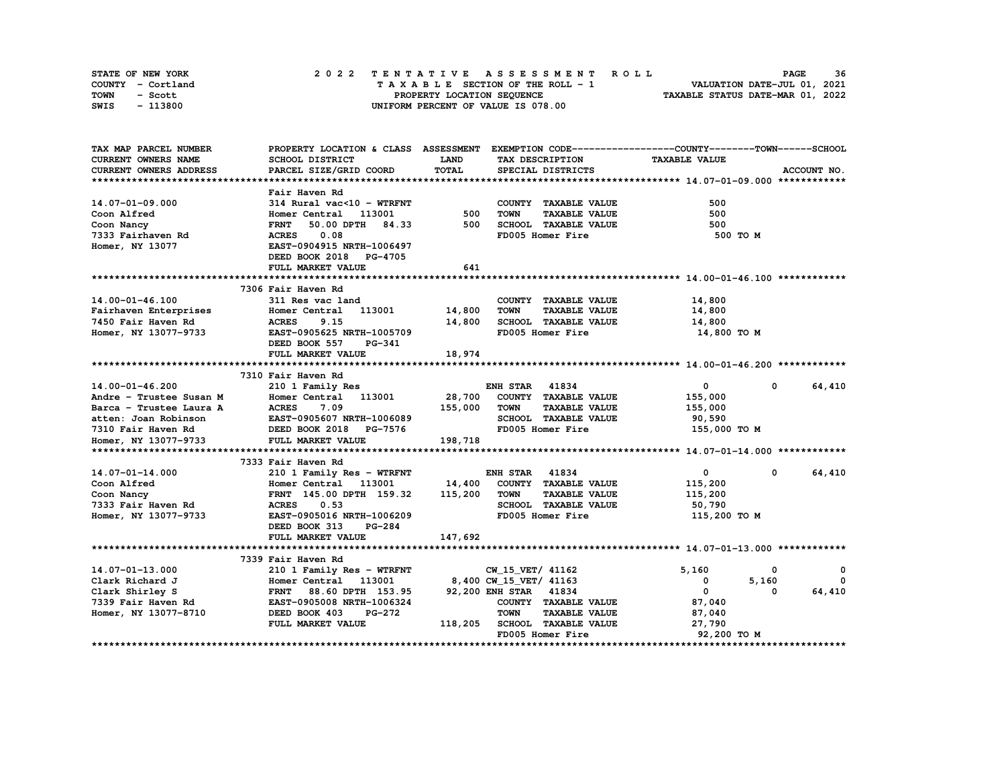| STATE OF NEW YORK | 2022 TENTATIVE ASSESSMENT ROLL     | 36<br><b>PAGE</b>                |
|-------------------|------------------------------------|----------------------------------|
| COUNTY - Cortland | TAXABLE SECTION OF THE ROLL - 1    | VALUATION DATE-JUL 01, 2021      |
| TOWN<br>- Scott   | PROPERTY LOCATION SEQUENCE         | TAXABLE STATUS DATE-MAR 01, 2022 |
| - 113800<br>SWIS  | UNIFORM PERCENT OF VALUE IS 078.00 |                                  |

| TAX MAP PARCEL NUMBER      |                                                 |             |                                     | PROPERTY LOCATION & CLASS ASSESSMENT EXEMPTION CODE----------------COUNTY-------TOWN-----SCHOOL |                       |
|----------------------------|-------------------------------------------------|-------------|-------------------------------------|-------------------------------------------------------------------------------------------------|-----------------------|
| <b>CURRENT OWNERS NAME</b> | <b>SCHOOL DISTRICT</b>                          | <b>LAND</b> | TAX DESCRIPTION                     | <b>TAXABLE VALUE</b>                                                                            |                       |
| CURRENT OWNERS ADDRESS     | PARCEL SIZE/GRID COORD                          | TOTAL       | SPECIAL DISTRICTS                   |                                                                                                 | ACCOUNT NO.           |
|                            |                                                 |             |                                     |                                                                                                 |                       |
|                            | Fair Haven Rd                                   |             |                                     |                                                                                                 |                       |
| 14.07-01-09.000            | 314 Rural vac<10 - WTRFNT                       |             | COUNTY TAXABLE VALUE                | 500                                                                                             |                       |
| Coon Alfred                | Homer Central<br>113001                         | 500         | <b>TOWN</b><br><b>TAXABLE VALUE</b> | 500                                                                                             |                       |
| Coon Nancy                 | 50.00 DPTH 84.33<br><b>FRNT</b>                 | 500         | SCHOOL TAXABLE VALUE                | 500                                                                                             |                       |
| 7333 Fairhaven Rd          | 0.08<br><b>ACRES</b>                            |             | FD005 Homer Fire                    | 500 TO M                                                                                        |                       |
| Homer, NY 13077            | EAST-0904915 NRTH-1006497                       |             |                                     |                                                                                                 |                       |
|                            | DEED BOOK 2018 PG-4705                          |             |                                     |                                                                                                 |                       |
|                            | FULL MARKET VALUE                               | 641         |                                     |                                                                                                 |                       |
|                            |                                                 |             |                                     |                                                                                                 |                       |
|                            | 7306 Fair Haven Rd                              |             |                                     |                                                                                                 |                       |
| 14.00-01-46.100            | 311 Res vac land                                |             | COUNTY TAXABLE VALUE                | 14,800                                                                                          |                       |
| Fairhaven Enterprises      | 113001<br>Homer Central                         | 14,800      | <b>TOWN</b><br><b>TAXABLE VALUE</b> | 14,800                                                                                          |                       |
| 7450 Fair Haven Rd         | 9.15<br><b>ACRES</b>                            | 14,800      | SCHOOL TAXABLE VALUE                | 14,800                                                                                          |                       |
| Homer, NY 13077-9733       | EAST-0905625 NRTH-1005709                       |             | FD005 Homer Fire                    | 14,800 TO M                                                                                     |                       |
|                            | DEED BOOK 557<br>PG-341                         |             |                                     |                                                                                                 |                       |
|                            | FULL MARKET VALUE                               | 18,974      |                                     |                                                                                                 |                       |
|                            |                                                 |             |                                     |                                                                                                 |                       |
|                            | 7310 Fair Haven Rd                              |             |                                     |                                                                                                 |                       |
| 14.00-01-46.200            | 210 1 Family Res                                |             | <b>ENH STAR 41834</b>               | $\mathbf{0}$                                                                                    | 64,410<br>$\mathbf 0$ |
| Andre - Trustee Susan M    | Homer Central 113001                            | 28,700      | COUNTY TAXABLE VALUE                | 155,000                                                                                         |                       |
| Barca - Trustee Laura A    | <b>ACRES</b><br>7.09                            | 155,000     | <b>TOWN</b><br><b>TAXABLE VALUE</b> | 155,000                                                                                         |                       |
| atten: Joan Robinson       | EAST-0905607 NRTH-1006089                       |             | SCHOOL TAXABLE VALUE                | 90,590                                                                                          |                       |
| 7310 Fair Haven Rd         | DEED BOOK 2018 PG-7576                          |             | FD005 Homer Fire                    | 155,000 TO M                                                                                    |                       |
| Homer, NY 13077-9733       | FULL MARKET VALUE                               | 198,718     |                                     |                                                                                                 |                       |
|                            |                                                 |             |                                     |                                                                                                 |                       |
|                            | 7333 Fair Haven Rd                              |             |                                     |                                                                                                 |                       |
| 14.07-01-14.000            | 210 1 Family Res - WTRFNT                       |             | <b>ENH STAR 41834</b>               | $\mathbf{0}$                                                                                    | 64,410<br>$^{\circ}$  |
| Coon Alfred                | Homer Central 113001                            | 14,400      | COUNTY TAXABLE VALUE                | 115,200                                                                                         |                       |
| Coon Nancy                 | FRNT 145.00 DPTH 159.32                         | 115,200     | TOWN<br><b>TAXABLE VALUE</b>        | 115,200                                                                                         |                       |
| 7333 Fair Haven Rd         | <b>ACRES</b><br>0.53                            |             | SCHOOL TAXABLE VALUE                | 50,790                                                                                          |                       |
|                            | EAST-0905016 NRTH-1006209                       |             | FD005 Homer Fire                    | 115,200 TO M                                                                                    |                       |
| Homer, NY 13077-9733       | DEED BOOK 313<br>PG-284                         |             |                                     |                                                                                                 |                       |
|                            |                                                 | 147,692     |                                     |                                                                                                 |                       |
|                            | FULL MARKET VALUE                               |             |                                     |                                                                                                 |                       |
|                            |                                                 |             |                                     |                                                                                                 |                       |
| 14.07-01-13.000            | 7339 Fair Haven Rd<br>210 1 Family Res - WTRFNT |             | CW 15 VET/ 41162                    | 5,160                                                                                           | 0<br>0                |
| Clark Richard J            | Homer Central 113001                            |             | 8,400 CW_15_VET/ 41163              | 5,160<br>$\mathbf 0$                                                                            | $^{\circ}$            |
| Clark Shirley S            | FRNT 88.60 DPTH 153.95                          |             | 92,200 ENH STAR 41834               | $\mathbf 0$                                                                                     | 64,410<br>0           |
| 7339 Fair Haven Rd         | EAST-0905008 NRTH-1006324                       |             | COUNTY TAXABLE VALUE                |                                                                                                 |                       |
|                            | DEED BOOK 403<br><b>PG-272</b>                  |             | <b>TOWN</b><br><b>TAXABLE VALUE</b> | 87,040                                                                                          |                       |
| Homer, NY 13077-8710       | FULL MARKET VALUE                               |             | SCHOOL TAXABLE VALUE                | 87,040                                                                                          |                       |
|                            |                                                 | 118,205     |                                     | 27,790                                                                                          |                       |
|                            |                                                 |             | FD005 Homer Fire                    | 92,200 TO M                                                                                     |                       |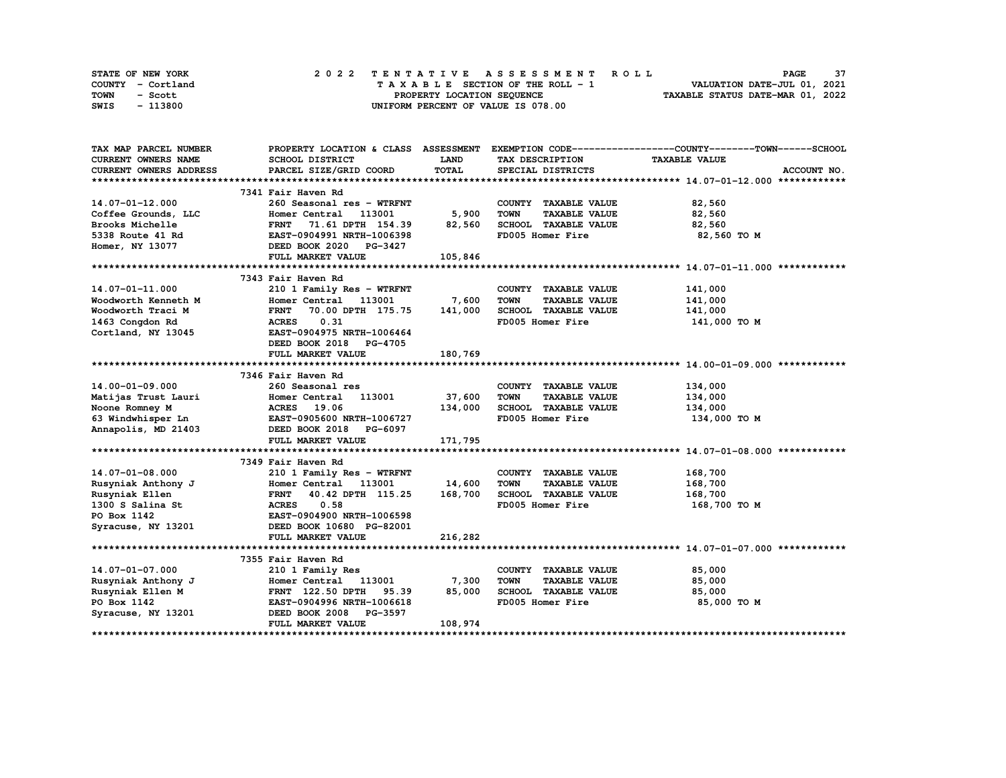|      | STATE OF NEW YORK |  | 2022 TENTATIVE ASSESSMENT ROLL |  |  |  |                                    |  |  |  |  |  |  |  |  | <b>PAGE</b>                      | 37 |
|------|-------------------|--|--------------------------------|--|--|--|------------------------------------|--|--|--|--|--|--|--|--|----------------------------------|----|
|      | COUNTY - Cortland |  |                                |  |  |  | TAXABLE SECTION OF THE ROLL - 1    |  |  |  |  |  |  |  |  | VALUATION DATE-JUL 01, 2021      |    |
| TOWN | - Scott           |  |                                |  |  |  | PROPERTY LOCATION SEQUENCE         |  |  |  |  |  |  |  |  | TAXABLE STATUS DATE-MAR 01, 2022 |    |
| SWIS | - 113800          |  |                                |  |  |  | UNIFORM PERCENT OF VALUE IS 078.00 |  |  |  |  |  |  |  |  |                                  |    |

| TAX MAP PARCEL NUMBER                         | PROPERTY LOCATION & CLASS ASSESSMENT                 |         |                                     | EXEMPTION CODE-----------------COUNTY-------TOWN------SCHOOL |
|-----------------------------------------------|------------------------------------------------------|---------|-------------------------------------|--------------------------------------------------------------|
| <b>CURRENT OWNERS NAME</b>                    | SCHOOL DISTRICT                                      | LAND    | TAX DESCRIPTION                     | <b>TAXABLE VALUE</b>                                         |
| <b>CURRENT OWNERS ADDRESS</b>                 | PARCEL SIZE/GRID COORD                               | TOTAL   | SPECIAL DISTRICTS                   | ACCOUNT NO.                                                  |
|                                               |                                                      |         |                                     |                                                              |
|                                               | 7341 Fair Haven Rd                                   |         |                                     |                                                              |
| 14.07-01-12.000                               | 260 Seasonal res - WTRFNT                            |         | COUNTY TAXABLE VALUE                | 82,560                                                       |
| Coffee Grounds, LLC                           | Homer Central<br>113001                              | 5,900   | <b>TOWN</b><br><b>TAXABLE VALUE</b> | 82,560                                                       |
| Brooks Michelle                               | FRNT 71.61 DPTH 154.39                               | 82,560  | SCHOOL TAXABLE VALUE                | 82,560                                                       |
| 5338 Route 41 Rd                              | FRNT 71.61 DPTH 154.39<br>EAST-0904991 NRTH-1006398  |         | FD005 Homer Fire                    | 82,560 то м                                                  |
| Homer, NY 13077                               | DEED BOOK 2020 PG-3427                               |         |                                     |                                                              |
|                                               | FULL MARKET VALUE                                    | 105,846 |                                     |                                                              |
|                                               |                                                      |         |                                     |                                                              |
|                                               | 7343 Fair Haven Rd                                   |         |                                     |                                                              |
| 14.07-01-11.000                               | 210 1 Family Res - WTRFNT                            |         | COUNTY TAXABLE VALUE                | 141,000                                                      |
| Woodworth Kenneth M                           | Homer Central 113001                                 | 7,600   | <b>TOWN</b><br><b>TAXABLE VALUE</b> | 141,000                                                      |
| Woodworth Traci M                             | <b>FRNT</b><br>70.00 DPTH 175.75                     | 141,000 | SCHOOL TAXABLE VALUE                | 141,000                                                      |
| 1463 Congdon Rd                               | <b>ACRES</b><br>0.31                                 |         | FD005 Homer Fire                    | 141,000 TO M                                                 |
| Cortland, NY 13045                            | EAST-0904975 NRTH-1006464                            |         |                                     |                                                              |
|                                               | DEED BOOK 2018<br><b>PG-4705</b>                     |         |                                     |                                                              |
|                                               | FULL MARKET VALUE                                    | 180,769 |                                     |                                                              |
|                                               |                                                      |         |                                     |                                                              |
|                                               | 7346 Fair Haven Rd                                   |         |                                     |                                                              |
| 14.00-01-09.000                               | 260 Seasonal res                                     |         | COUNTY TAXABLE VALUE                | 134,000                                                      |
| Matijas Trust Lauri                           | 113001 37,600<br>Homer Central                       |         | <b>TOWN</b><br><b>TAXABLE VALUE</b> | 134,000                                                      |
| Noone Romney M                                |                                                      | 134,000 | SCHOOL TAXABLE VALUE                | 134,000                                                      |
| 63 Windwhisper Ln                             | <b>ACRES     19.06<br/>EAST-0905600 NRTH-1006727</b> |         | FD005 Homer Fire                    | 134,000 TO M                                                 |
| Annapolis, MD 21403 DEED BOOK 2018 PG-6097    |                                                      |         |                                     |                                                              |
|                                               | FULL MARKET VALUE                                    | 171,795 |                                     |                                                              |
|                                               |                                                      |         |                                     |                                                              |
|                                               | 7349 Fair Haven Rd                                   |         |                                     |                                                              |
|                                               | 210 1 Family Res - WTRFNT                            |         | COUNTY TAXABLE VALUE                | 168,700                                                      |
| Rusyniak Anthony J<br>Rusyniak Anthony J      | Homer Central 113001                                 | 14,600  | <b>TOWN</b><br><b>TAXABLE VALUE</b> | 168,700                                                      |
| Rusyniak Ellen                                | 40.42 DPTH 115.25<br><b>FRNT</b>                     | 168,700 | SCHOOL TAXABLE VALUE                | 168,700                                                      |
| 1300 S Salina St<br>PO Box 1142               | <b>ACRES</b><br>0.58                                 |         | FD005 Homer Fire                    | 168,700 то м                                                 |
|                                               | EAST-0904900 NRTH-1006598                            |         |                                     |                                                              |
| Syracuse, NY 13201                            | DEED BOOK 10680 PG-82001                             |         |                                     |                                                              |
|                                               | FULL MARKET VALUE                                    | 216,282 |                                     |                                                              |
|                                               |                                                      |         |                                     |                                                              |
|                                               | 7355 Fair Haven Rd                                   |         |                                     |                                                              |
| 14.07-01-07.000                               | 210 1 Family Res                                     |         | COUNTY TAXABLE VALUE                | 85,000                                                       |
| Rusyniak Anthony J Homer Central 113001 7,300 |                                                      |         | <b>TOWN</b><br><b>TAXABLE VALUE</b> | 85,000                                                       |
|                                               |                                                      | 85,000  | SCHOOL TAXABLE VALUE                | 85,000                                                       |
|                                               |                                                      |         | FD005 Homer Fire                    | 85,000 TO M                                                  |
| Syracuse, NY 13201                            | DEED BOOK 2008 PG-3597                               |         |                                     |                                                              |
|                                               | FULL MARKET VALUE                                    | 108,974 |                                     |                                                              |
|                                               |                                                      |         |                                     |                                                              |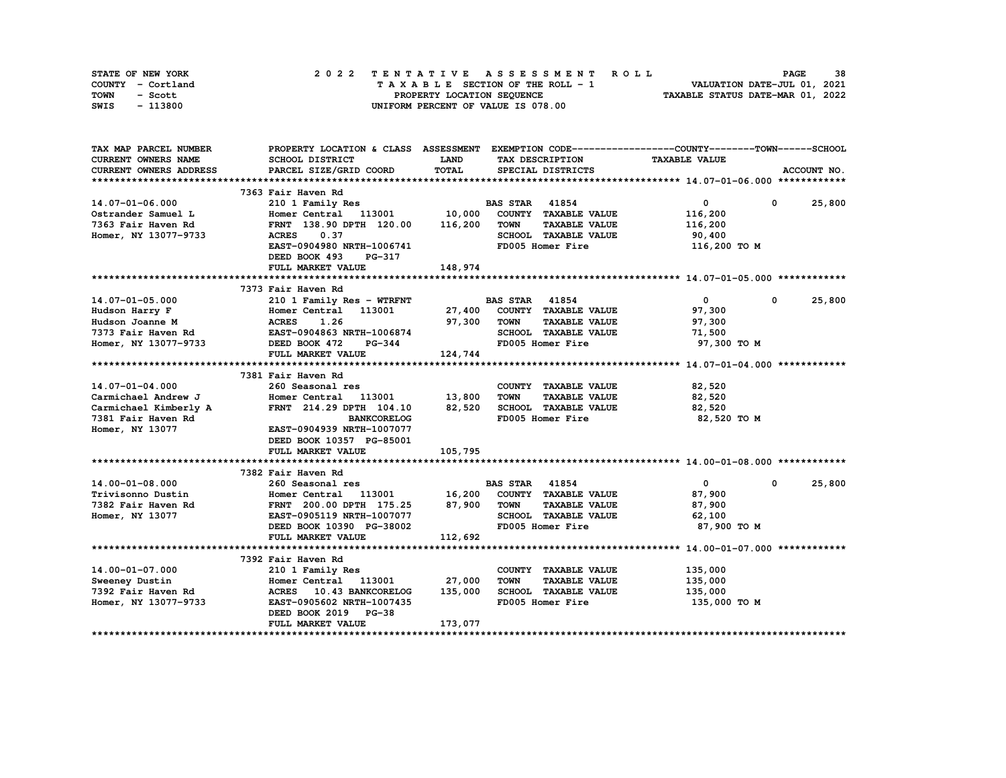| STATE OF NEW YORK | 2022 TENTATIVE ASSESSMENT ROLL     | 38<br><b>PAGE</b>                |
|-------------------|------------------------------------|----------------------------------|
| COUNTY - Cortland | TAXABLE SECTION OF THE ROLL - 1    | VALUATION DATE-JUL 01, 2021      |
| TOWN<br>- Scott   | PROPERTY LOCATION SEQUENCE         | TAXABLE STATUS DATE-MAR 01, 2022 |
| - 113800<br>SWIS  | UNIFORM PERCENT OF VALUE IS 078.00 |                                  |

| TAX MAP PARCEL NUMBER                 |                                                     |             |                                     | PROPERTY LOCATION & CLASS ASSESSMENT EXEMPTION CODE----------------COUNTY-------TOWN------SCHOOL |                        |
|---------------------------------------|-----------------------------------------------------|-------------|-------------------------------------|--------------------------------------------------------------------------------------------------|------------------------|
| CURRENT OWNERS NAME                   | SCHOOL DISTRICT                                     | <b>LAND</b> | TAX DESCRIPTION                     | <b>TAXABLE VALUE</b>                                                                             |                        |
| <b>CURRENT OWNERS ADDRESS</b>         | PARCEL SIZE/GRID COORD                              | TOTAL       | SPECIAL DISTRICTS                   |                                                                                                  | ACCOUNT NO.            |
|                                       |                                                     |             |                                     |                                                                                                  |                        |
|                                       | 7363 Fair Haven Rd                                  |             |                                     |                                                                                                  |                        |
| 14.07-01-06.000                       | 210 1 Family Res                                    |             | <b>BAS STAR</b> 41854               | $\overline{0}$                                                                                   | $0 \t 25,800$          |
| Ostrander Samuel L                    | Homer Central 113001 10,000                         |             | COUNTY TAXABLE VALUE                | 116,200                                                                                          |                        |
| 7363 Fair Haven Rd                    | FRNT 138.90 DPTH 120.00 116,200                     |             | <b>TAXABLE VALUE</b><br>TOWN        | 116,200                                                                                          |                        |
| Homer, NY 13077-9733                  | ACRES 0.37                                          |             | SCHOOL TAXABLE VALUE                | 90,400                                                                                           |                        |
|                                       | EAST-0904980 NRTH-1006741                           |             | FD005 Homer Fire                    | 116,200 TO M                                                                                     |                        |
|                                       | DEED BOOK 493<br>PG-317                             |             |                                     |                                                                                                  |                        |
|                                       | FULL MARKET VALUE                                   | 148,974     |                                     |                                                                                                  |                        |
|                                       |                                                     |             |                                     |                                                                                                  |                        |
|                                       | 7373 Fair Haven Rd                                  |             |                                     |                                                                                                  |                        |
| 14.07-01-05.000                       | 210 1 Family Res - WTRFNT                           |             | <b>BAS STAR</b> 41854               | $\mathbf{0}$                                                                                     | 0<br>25,800            |
|                                       |                                                     | 27,400      |                                     | COUNTY TAXABLE VALUE                                                                             |                        |
|                                       |                                                     |             |                                     | 97,300                                                                                           |                        |
|                                       |                                                     | 97,300      | <b>TAXABLE VALUE</b><br><b>TOWN</b> | 97,300                                                                                           |                        |
|                                       |                                                     |             | SCHOOL TAXABLE VALUE                | 71,500                                                                                           |                        |
| Homer, NY 13077-9733                  | DEED BOOK 472<br>PG-344                             |             | FD005 Homer Fire                    | 97,300 TO M                                                                                      |                        |
|                                       | FULL MARKET VALUE                                   | 124,744     |                                     |                                                                                                  |                        |
|                                       |                                                     |             |                                     |                                                                                                  |                        |
|                                       | 7381 Fair Haven Rd                                  |             |                                     |                                                                                                  |                        |
| 14.07-01-04.000                       | 260 Seasonal res                                    |             | COUNTY TAXABLE VALUE                | 82,520                                                                                           |                        |
|                                       | Carmichael Andrew J Momer Central 113001 13,800     |             | <b>TOWN</b><br><b>TAXABLE VALUE</b> | 82,520                                                                                           |                        |
| Carmichael Kimberly A                 | FRNT 214.29 DPTH 104.10 82,520 SCHOOL TAXABLE VALUE |             |                                     | 82,520                                                                                           |                        |
| 7381 Fair Haven Rd<br>Homer, NY 13077 | <b>BANKCORELOG</b>                                  |             | FD005 Homer Fire                    | 82,520 то м                                                                                      |                        |
|                                       | EAST-0904939 NRTH-1007077                           |             |                                     |                                                                                                  |                        |
|                                       | DEED BOOK 10357 PG-85001                            |             |                                     |                                                                                                  |                        |
|                                       | FULL MARKET VALUE                                   | 105,795     |                                     |                                                                                                  |                        |
|                                       |                                                     |             |                                     |                                                                                                  |                        |
|                                       | 7382 Fair Haven Rd                                  |             |                                     |                                                                                                  |                        |
| 14.00-01-08.000                       | 260 Seasonal res                                    |             | <b>BAS STAR 41854</b>               | $\mathbf{0}$                                                                                     | 25,800<br>$\mathbf{0}$ |
| Trivisonno Dustin                     | Homer Central 113001 16,200                         |             | COUNTY TAXABLE VALUE                | 87,900                                                                                           |                        |
| 7382 Fair Haven Rd                    | FRNT 200.00 DPTH 175.25 87,900                      |             | <b>TOWN</b><br><b>TAXABLE VALUE</b> | 87,900                                                                                           |                        |
| Homer, NY 13077                       | EAST-0905119 NRTH-1007077                           |             | SCHOOL TAXABLE VALUE                | 62,100                                                                                           |                        |
|                                       | DEED BOOK 10390 PG-38002                            |             | FD005 Homer Fire                    | 87,900 TO M                                                                                      |                        |
|                                       | FULL MARKET VALUE                                   | 112,692     |                                     |                                                                                                  |                        |
|                                       |                                                     |             |                                     |                                                                                                  |                        |
|                                       | 7392 Fair Haven Rd                                  |             |                                     |                                                                                                  |                        |
| 14.00-01-07.000                       | 210 1 Family Res                                    |             | COUNTY TAXABLE VALUE                | 135,000                                                                                          |                        |
| Sweeney Dustin                        | 113001 27,000<br>Homer Central                      |             | <b>TOWN</b><br><b>TAXABLE VALUE</b> | 135,000                                                                                          |                        |
| 7392 Fair Haven Rd                    | ACRES 10.43 BANKCORELOG                             | 135,000     | SCHOOL TAXABLE VALUE                | 135,000                                                                                          |                        |
| Homer, NY 13077-9733                  | EAST-0905602 NRTH-1007435                           |             | FD005 Homer Fire                    | 135,000 TO M                                                                                     |                        |
|                                       | DEED BOOK 2019 PG-38                                |             |                                     |                                                                                                  |                        |
|                                       | FULL MARKET VALUE                                   | 173,077     |                                     |                                                                                                  |                        |
|                                       |                                                     |             |                                     |                                                                                                  |                        |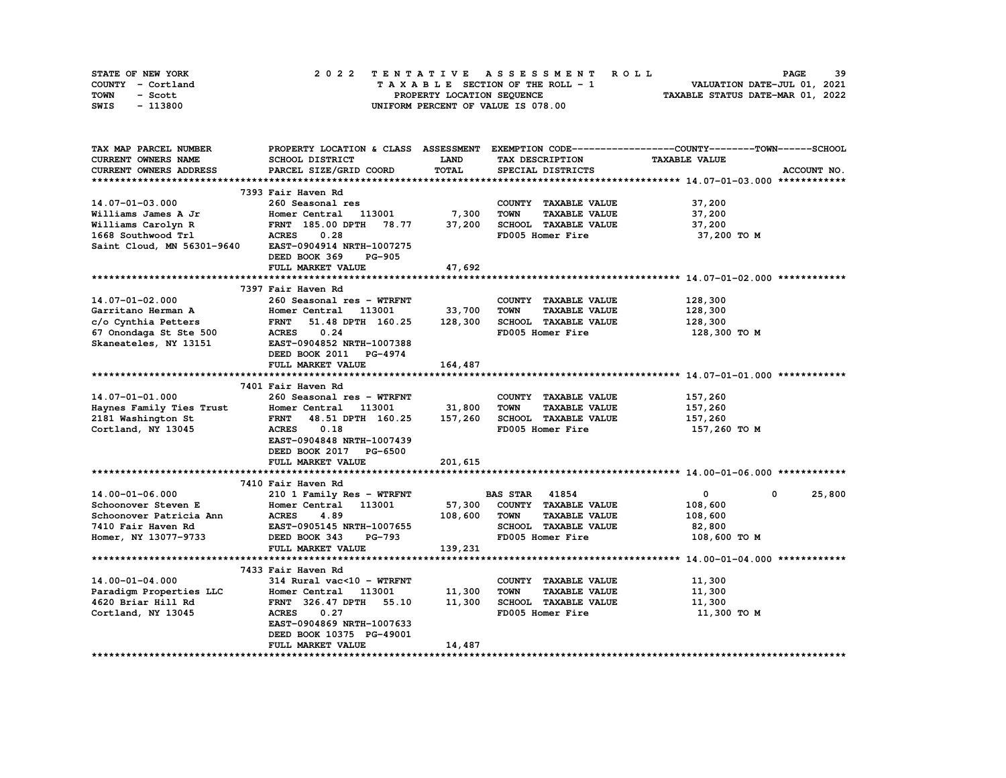|      | STATE OF NEW YORK | 2022 TENTATIVE ASSESSMENT ROLL     | -39<br><b>PAGE</b>               |
|------|-------------------|------------------------------------|----------------------------------|
|      | COUNTY - Cortland | TAXABLE SECTION OF THE ROLL - 1    | VALUATION DATE-JUL 01, 2021      |
| TOWN | - Scott           | PROPERTY LOCATION SEQUENCE         | TAXABLE STATUS DATE-MAR 01, 2022 |
| SWIS | - 113800          | UNIFORM PERCENT OF VALUE IS 078.00 |                                  |

| TAX MAP PARCEL NUMBER      | PROPERTY LOCATION & CLASS ASSESSMENT |              |                                     | EXEMPTION CODE-----------------COUNTY-------TOWN------SCHOOL |
|----------------------------|--------------------------------------|--------------|-------------------------------------|--------------------------------------------------------------|
| CURRENT OWNERS NAME        | SCHOOL DISTRICT                      | <b>LAND</b>  | TAX DESCRIPTION                     | <b>TAXABLE VALUE</b>                                         |
| CURRENT OWNERS ADDRESS     | PARCEL SIZE/GRID COORD               | <b>TOTAL</b> | SPECIAL DISTRICTS                   | ACCOUNT NO.                                                  |
|                            |                                      |              |                                     |                                                              |
|                            | 7393 Fair Haven Rd                   |              |                                     |                                                              |
| 14.07-01-03.000            | 260 Seasonal res                     |              | COUNTY TAXABLE VALUE                | 37,200                                                       |
| Williams James A Jr        | Homer Central 113001                 | 7,300        | <b>TOWN</b><br><b>TAXABLE VALUE</b> | 37,200                                                       |
| Williams Carolyn R         | FRNT 185.00 DPTH 78.77               | 37,200       | SCHOOL TAXABLE VALUE                | 37,200                                                       |
| 1668 Southwood Trl         | <b>ACRES</b><br>0.28                 |              | FD005 Homer Fire                    | 37,200 TO M                                                  |
| Saint Cloud, MN 56301-9640 | EAST-0904914 NRTH-1007275            |              |                                     |                                                              |
|                            | DEED BOOK 369<br>PG-905              |              |                                     |                                                              |
|                            | FULL MARKET VALUE                    | 47,692       |                                     |                                                              |
|                            |                                      |              |                                     |                                                              |
|                            |                                      |              |                                     |                                                              |
|                            | 7397 Fair Haven Rd                   |              |                                     |                                                              |
| 14.07-01-02.000            | 260 Seasonal res - WTRFNT            |              | COUNTY TAXABLE VALUE                | 128,300                                                      |
| Garritano Herman A         | Homer Central 113001                 | 33,700       | <b>TOWN</b><br><b>TAXABLE VALUE</b> | 128,300                                                      |
| c/o Cynthia Petters        | <b>FRNT</b><br>51.48 DPTH 160.25     | 128,300      | SCHOOL TAXABLE VALUE                | 128,300                                                      |
| 67 Onondaga St Ste 500     | 0.24<br><b>ACRES</b>                 |              | FD005 Homer Fire                    | 128,300 то м                                                 |
| Skaneateles, NY 13151      | EAST-0904852 NRTH-1007388            |              |                                     |                                                              |
|                            | DEED BOOK 2011 PG-4974               |              |                                     |                                                              |
|                            | FULL MARKET VALUE                    | 164,487      |                                     |                                                              |
|                            |                                      |              |                                     |                                                              |
|                            | 7401 Fair Haven Rd                   |              |                                     |                                                              |
| 14.07-01-01.000            | 260 Seasonal res - WTRFNT            |              | COUNTY TAXABLE VALUE                | 157,260                                                      |
| Haynes Family Ties Trust   | Homer Central<br>113001              | 31,800       | <b>TOWN</b><br><b>TAXABLE VALUE</b> | 157,260                                                      |
| 2181 Washington St         | FRNT 48.51 DPTH 160.25 157,260       |              | SCHOOL TAXABLE VALUE                | 157,260                                                      |
| Cortland, NY 13045         | <b>ACRES</b><br>0.18                 |              | FD005 Homer Fire                    | 157,260 то м                                                 |
|                            | EAST-0904848 NRTH-1007439            |              |                                     |                                                              |
|                            | DEED BOOK 2017 PG-6500               |              |                                     |                                                              |
|                            | FULL MARKET VALUE                    | 201,615      |                                     |                                                              |
|                            |                                      |              |                                     |                                                              |
|                            | 7410 Fair Haven Rd                   |              |                                     |                                                              |
|                            |                                      |              |                                     | $\mathbf{0}$                                                 |
| 14.00-01-06.000            | 210 1 Family Res - WTRFNT            |              | <b>BAS STAR 41854</b>               | 25,800<br>$\mathbf{0}$                                       |
| Schoonover Steven E        | Homer Central 113001                 | 57,300       | COUNTY TAXABLE VALUE                | 108,600                                                      |
| Schoonover Patricia Ann    | <b>ACRES</b><br>4.89                 | 108,600      | <b>TOWN</b><br><b>TAXABLE VALUE</b> | 108,600                                                      |
| 7410 Fair Haven Rd         | EAST-0905145 NRTH-1007655            |              | SCHOOL TAXABLE VALUE                | 82,800                                                       |
| Homer, NY 13077-9733       | DEED BOOK 343<br>PG-793              |              | FD005 Homer Fire                    | 108,600 то м                                                 |
|                            | FULL MARKET VALUE                    | 139,231      |                                     |                                                              |
|                            |                                      |              |                                     |                                                              |
|                            | 7433 Fair Haven Rd                   |              |                                     |                                                              |
| 14.00-01-04.000            | 314 Rural vac<10 - WTRFNT            |              | COUNTY TAXABLE VALUE                | 11,300                                                       |
| Paradigm Properties LLC    | Homer Central 113001                 | 11,300       | <b>TAXABLE VALUE</b><br><b>TOWN</b> | 11,300                                                       |
| 4620 Briar Hill Rd         | FRNT 326.47 DPTH 55.10               | 11,300       | SCHOOL TAXABLE VALUE                | 11,300                                                       |
| Cortland, NY 13045         | <b>ACRES</b><br>0.27                 |              | FD005 Homer Fire                    | 11,300 то м                                                  |
|                            | EAST-0904869 NRTH-1007633            |              |                                     |                                                              |
|                            | DEED BOOK 10375 PG-49001             |              |                                     |                                                              |
|                            | FULL MARKET VALUE                    | 14,487       |                                     |                                                              |
|                            |                                      |              |                                     |                                                              |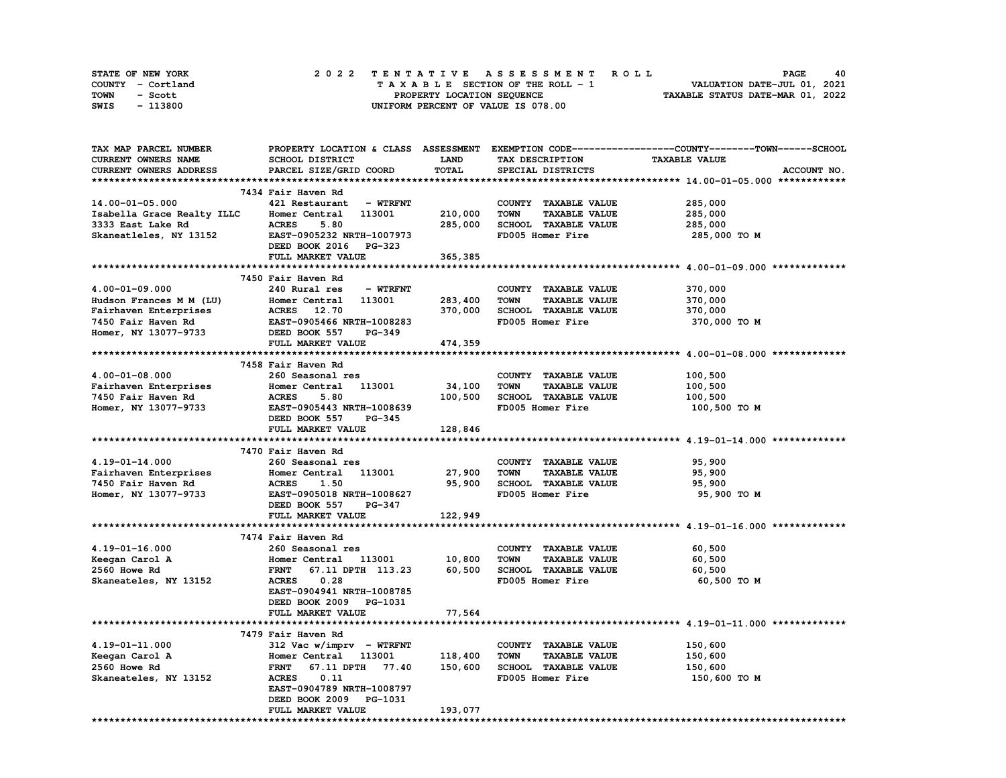| STATE OF NEW YORK | 2022 TENTATIVE ASSESSMENT ROLL     | 40<br><b>PAGE</b>                |
|-------------------|------------------------------------|----------------------------------|
| COUNTY - Cortland | TAXABLE SECTION OF THE ROLL - 1    | VALUATION DATE-JUL 01, 2021      |
| TOWN<br>- Scott   | PROPERTY LOCATION SEQUENCE         | TAXABLE STATUS DATE-MAR 01, 2022 |
| - 113800<br>SWIS  | UNIFORM PERCENT OF VALUE IS 078.00 |                                  |

| TAX MAP PARCEL NUMBER      |                                             |             |                                     | PROPERTY LOCATION & CLASS ASSESSMENT EXEMPTION CODE-----------------COUNTY-------TOWN------SCHOOL |
|----------------------------|---------------------------------------------|-------------|-------------------------------------|---------------------------------------------------------------------------------------------------|
| CURRENT OWNERS NAME        | <b>SCHOOL DISTRICT</b>                      | <b>LAND</b> | TAX DESCRIPTION                     | <b>TAXABLE VALUE</b>                                                                              |
| CURRENT OWNERS ADDRESS     | PARCEL SIZE/GRID COORD                      | TOTAL       | SPECIAL DISTRICTS                   | ACCOUNT NO.                                                                                       |
|                            |                                             |             |                                     |                                                                                                   |
|                            |                                             |             |                                     |                                                                                                   |
|                            | 7434 Fair Haven Rd                          |             |                                     |                                                                                                   |
| 14.00-01-05.000            | 421 Restaurant - WTRFNT                     |             | COUNTY TAXABLE VALUE                | 285,000                                                                                           |
| Isabella Grace Realty ILLC | Homer Central<br>113001                     | 210,000     | <b>TOWN</b><br><b>TAXABLE VALUE</b> | 285,000                                                                                           |
| 3333 East Lake Rd          | <b>ACRES</b><br>5.80                        | 285,000     | <b>SCHOOL TAXABLE VALUE</b>         | 285,000                                                                                           |
| Skaneatleles, NY 13152     | EAST-0905232 NRTH-1007973                   |             | FD005 Homer Fire                    | 285,000 TO M                                                                                      |
|                            | DEED BOOK 2016 PG-323                       |             |                                     |                                                                                                   |
|                            | FULL MARKET VALUE                           | 365,385     |                                     |                                                                                                   |
|                            |                                             |             |                                     |                                                                                                   |
|                            |                                             |             |                                     |                                                                                                   |
|                            | 7450 Fair Haven Rd                          |             |                                     |                                                                                                   |
| $4.00 - 01 - 09.000$       | 240 Rural res<br>- WTRFNT                   |             | COUNTY TAXABLE VALUE                | 370,000                                                                                           |
| Hudson Frances M M (LU)    | Homer Central<br>113001                     | 283,400     | <b>TOWN</b><br><b>TAXABLE VALUE</b> | 370,000                                                                                           |
| Fairhaven Enterprises      | ACRES 12.70                                 | 370,000     | SCHOOL TAXABLE VALUE                | 370,000                                                                                           |
| 7450 Fair Haven Rd         | <b>EAST-0905466 NRTH-1008283</b>            |             | FD005 Homer Fire                    | 370,000 TO M                                                                                      |
| Homer, NY 13077-9733       | DEED BOOK 557<br>PG-349                     |             |                                     |                                                                                                   |
|                            | FULL MARKET VALUE                           | 474,359     |                                     |                                                                                                   |
|                            |                                             |             |                                     |                                                                                                   |
|                            |                                             |             |                                     |                                                                                                   |
|                            | 7458 Fair Haven Rd                          |             |                                     |                                                                                                   |
| $4.00 - 01 - 08.000$       | 260 Seasonal res                            |             | COUNTY TAXABLE VALUE                | 100,500                                                                                           |
| Fairhaven Enterprises      | Homer Central 113001                        | 34,100      | <b>TOWN</b><br><b>TAXABLE VALUE</b> | 100,500                                                                                           |
| 7450 Fair Haven Rd         | <b>ACRES</b><br>5.80                        | 100,500     | SCHOOL TAXABLE VALUE                | 100,500                                                                                           |
| Homer, NY 13077-9733       | EAST-0905443 NRTH-1008639                   |             | FD005 Homer Fire                    | 100,500 TO M                                                                                      |
|                            | DEED BOOK 557<br><b>PG-345</b>              |             |                                     |                                                                                                   |
|                            |                                             |             |                                     |                                                                                                   |
|                            |                                             |             |                                     |                                                                                                   |
|                            | FULL MARKET VALUE                           | 128,846     |                                     |                                                                                                   |
|                            |                                             |             |                                     |                                                                                                   |
|                            | 7470 Fair Haven Rd                          |             |                                     |                                                                                                   |
| $4.19 - 01 - 14.000$       | 260 Seasonal res                            |             | COUNTY TAXABLE VALUE                | 95,900                                                                                            |
| Fairhaven Enterprises      | 113001<br>Homer Central                     | 27,900      | <b>TOWN</b><br><b>TAXABLE VALUE</b> | 95,900                                                                                            |
| 7450 Fair Haven Rd         | <b>ACRES</b><br>1.50                        | 95,900      | SCHOOL TAXABLE VALUE                | 95,900                                                                                            |
| Homer, NY 13077-9733       | EAST-0905018 NRTH-1008627                   |             | FD005 Homer Fire                    | 95,900 TO M                                                                                       |
|                            | DEED BOOK 557<br>PG-347                     |             |                                     |                                                                                                   |
|                            |                                             |             |                                     |                                                                                                   |
|                            | FULL MARKET VALUE                           | 122,949     |                                     |                                                                                                   |
|                            |                                             |             |                                     |                                                                                                   |
|                            | 7474 Fair Haven Rd                          |             |                                     |                                                                                                   |
| $4.19 - 01 - 16.000$       | 260 Seasonal res                            |             | COUNTY TAXABLE VALUE                | 60,500                                                                                            |
| Keegan Carol A             | Homer Central 113001                        | 10,800      | <b>TOWN</b><br><b>TAXABLE VALUE</b> | 60,500                                                                                            |
| 2560 Howe Rd               | 67.11 DPTH 113.23<br><b>FRNT</b>            | 60,500      | SCHOOL TAXABLE VALUE                | 60,500                                                                                            |
| Skaneateles, NY 13152      | <b>ACRES</b><br>0.28                        |             | FD005 Homer Fire                    | 60,500 TO M                                                                                       |
|                            | EAST-0904941 NRTH-1008785                   |             |                                     |                                                                                                   |
|                            | DEED BOOK 2009 PG-1031                      |             |                                     |                                                                                                   |
|                            |                                             |             |                                     |                                                                                                   |
|                            | FULL MARKET VALUE                           | 77,564      |                                     |                                                                                                   |
|                            |                                             |             |                                     |                                                                                                   |
|                            | 7479 Fair Haven Rd                          |             |                                     |                                                                                                   |
| 4.19-01-11.000             | 312 Vac $w/imprv$ - WTRFNT                  |             | COUNTY TAXABLE VALUE                | 150,600                                                                                           |
| Keegan Carol A             | Homer Central 113001                        | 118,400     | <b>TOWN</b><br><b>TAXABLE VALUE</b> | 150,600                                                                                           |
| 2560 Howe Rd               | 67.11 DPTH 77.40<br><b>FRNT</b>             | 150,600     | SCHOOL TAXABLE VALUE                | 150,600                                                                                           |
| Skaneateles, NY 13152      | <b>ACRES</b><br>0.11                        |             | FD005 Homer Fire                    | 150,600 то м                                                                                      |
|                            | EAST-0904789 NRTH-1008797                   |             |                                     |                                                                                                   |
|                            |                                             |             |                                     |                                                                                                   |
|                            | DEED BOOK 2009 PG-1031<br>FULL MARKET VALUE | 193,077     |                                     |                                                                                                   |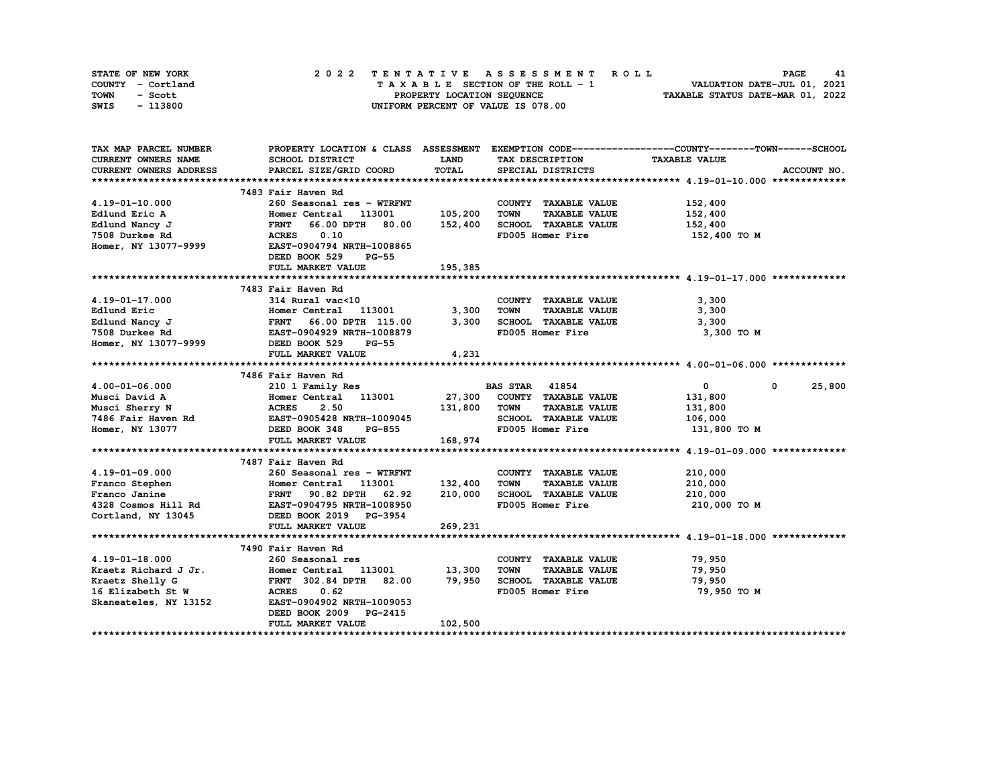|      | STATE OF NEW YORK |  | 2022 TENTATIVE ASSESSMENT ROLL |  |  |  |                                    |  |  |  |  |  |  |                                  | <b>PAGE</b> | 41 |
|------|-------------------|--|--------------------------------|--|--|--|------------------------------------|--|--|--|--|--|--|----------------------------------|-------------|----|
|      | COUNTY - Cortland |  |                                |  |  |  | TAXABLE SECTION OF THE ROLL - 1    |  |  |  |  |  |  | VALUATION DATE-JUL 01, 2021      |             |    |
| TOWN | - Scott           |  |                                |  |  |  | PROPERTY LOCATION SEQUENCE         |  |  |  |  |  |  | TAXABLE STATUS DATE-MAR 01, 2022 |             |    |
| SWIS | - 113800          |  |                                |  |  |  | UNIFORM PERCENT OF VALUE IS 078.00 |  |  |  |  |  |  |                                  |             |    |

| TAX MAP PARCEL NUMBER                      |                                                                                                                                                                                                                                                                                                                      |              |                                          | PROPERTY LOCATION & CLASS ASSESSMENT EXEMPTION CODE----------------COUNTY-------TOWN------SCHOOL |                        |
|--------------------------------------------|----------------------------------------------------------------------------------------------------------------------------------------------------------------------------------------------------------------------------------------------------------------------------------------------------------------------|--------------|------------------------------------------|--------------------------------------------------------------------------------------------------|------------------------|
| CURRENT OWNERS NAME                        | SCHOOL DISTRICT                                                                                                                                                                                                                                                                                                      | <b>LAND</b>  | TAX DESCRIPTION                          | <b>TAXABLE VALUE</b>                                                                             |                        |
| CURRENT OWNERS ADDRESS                     | PARCEL SIZE/GRID COORD                                                                                                                                                                                                                                                                                               | TOTAL        | SPECIAL DISTRICTS                        |                                                                                                  | ACCOUNT NO.            |
|                                            |                                                                                                                                                                                                                                                                                                                      |              |                                          |                                                                                                  |                        |
|                                            | 7483 Fair Haven Rd                                                                                                                                                                                                                                                                                                   |              |                                          |                                                                                                  |                        |
| 4.19-01-10.000                             | 260 Seasonal res - WTRFNT                                                                                                                                                                                                                                                                                            |              | COUNTY TAXABLE VALUE                     | 152,400                                                                                          |                        |
| Edlund Eric A                              | Homer Central 113001                                                                                                                                                                                                                                                                                                 | 105,200      | <b>TAXABLE VALUE</b><br><b>TOWN</b>      | 152,400                                                                                          |                        |
| Edlund Nancy J                             | 66.00 DPTH 80.00 152,400<br><b>FRNT</b>                                                                                                                                                                                                                                                                              |              | SCHOOL TAXABLE VALUE 152,400             |                                                                                                  |                        |
| 7508 Durkee Rd                             | ACRES 0.10                                                                                                                                                                                                                                                                                                           |              | FD005 Homer Fire                         | 152,400 TO M                                                                                     |                        |
| Homer, NY 13077-9999                       | EAST-0904794 NRTH-1008865                                                                                                                                                                                                                                                                                            |              |                                          |                                                                                                  |                        |
|                                            | DEED BOOK 529<br>$PG-55$                                                                                                                                                                                                                                                                                             |              |                                          |                                                                                                  |                        |
|                                            | FULL MARKET VALUE                                                                                                                                                                                                                                                                                                    | 195,385      |                                          |                                                                                                  |                        |
|                                            |                                                                                                                                                                                                                                                                                                                      |              |                                          |                                                                                                  |                        |
|                                            | 7483 Fair Haven Rd                                                                                                                                                                                                                                                                                                   |              |                                          |                                                                                                  |                        |
| 4.19-01-17.000                             | 314 Rural vac<10                                                                                                                                                                                                                                                                                                     |              | COUNTY TAXABLE VALUE                     | 3,300                                                                                            |                        |
|                                            | Edlund Eric<br>Edlund Exic<br>Edlund Nancy J<br>TERNT 66.00 DPTH 115.00<br>T508 Durkee Rd<br>EAST-0904929 NRTH-1008879<br>Homer, NY 13077-9999<br>DEED BOOK 529<br>PG-55                                                                                                                                             | 3,300        | TAXABLE VALUE<br><b>TOWN</b>             | 3,300                                                                                            |                        |
|                                            |                                                                                                                                                                                                                                                                                                                      | 3,300        | SCHOOL TAXABLE VALUE                     | 3,300                                                                                            |                        |
|                                            |                                                                                                                                                                                                                                                                                                                      |              | FD005 Homer Fire                         | 3,300 TO M                                                                                       |                        |
|                                            |                                                                                                                                                                                                                                                                                                                      |              |                                          |                                                                                                  |                        |
|                                            | FULL MARKET VALUE                                                                                                                                                                                                                                                                                                    | 4,231        |                                          |                                                                                                  |                        |
|                                            |                                                                                                                                                                                                                                                                                                                      |              |                                          |                                                                                                  |                        |
|                                            | 7486 Fair Haven Rd                                                                                                                                                                                                                                                                                                   |              |                                          |                                                                                                  |                        |
|                                            | Fair Haven Rd<br>210 1 Family Res                                                                                                                                                                                                                                                                                    |              |                                          | $\mathbf{0}$                                                                                     | $\mathbf{0}$<br>25,800 |
|                                            |                                                                                                                                                                                                                                                                                                                      |              |                                          | 131,800                                                                                          |                        |
|                                            |                                                                                                                                                                                                                                                                                                                      |              | <b>TAXABLE VALUE</b>                     | 131,800                                                                                          |                        |
|                                            |                                                                                                                                                                                                                                                                                                                      |              | SCHOOL TAXABLE VALUE<br>FD005 Homer Fire | 106,000                                                                                          |                        |
|                                            |                                                                                                                                                                                                                                                                                                                      |              |                                          | 131,800 TO M                                                                                     |                        |
|                                            | <b>FULL MARKET VALUE</b>                                                                                                                                                                                                                                                                                             | 168,974      |                                          |                                                                                                  |                        |
|                                            |                                                                                                                                                                                                                                                                                                                      |              |                                          |                                                                                                  |                        |
|                                            | 7487 Fair Haven Rd                                                                                                                                                                                                                                                                                                   |              |                                          |                                                                                                  |                        |
|                                            |                                                                                                                                                                                                                                                                                                                      |              | COUNTY TAXABLE VALUE                     | 210,000                                                                                          |                        |
|                                            |                                                                                                                                                                                                                                                                                                                      | 132,400      | <b>TOWN</b><br><b>TAXABLE VALUE</b>      | 210,000                                                                                          |                        |
|                                            |                                                                                                                                                                                                                                                                                                                      | 210,000      | SCHOOL TAXABLE VALUE 210,000             |                                                                                                  |                        |
|                                            | $\begin{tabular}{l l l l} 4.19-01-09.000 & 260 Seasonal res - WTRENT \\ \texttt{France} & Homer Central & 113001 \\ \texttt{France} & Anne & FRNT & 90.82 DPTH & 62.92 \\ \texttt{4328} & Cosmos Hill Rd & EAST-0904795 NRTH-1008950 \\ \texttt{Cortland, NY} & 13045 & DEED BOOK & 2019 & PG-3954 \\ \end{tabular}$ |              | FD005 Homer Fire                         | 210,000 TO M                                                                                     |                        |
|                                            |                                                                                                                                                                                                                                                                                                                      |              |                                          |                                                                                                  |                        |
|                                            | FULL MARKET VALUE                                                                                                                                                                                                                                                                                                    | 269,231      |                                          |                                                                                                  |                        |
|                                            |                                                                                                                                                                                                                                                                                                                      |              |                                          |                                                                                                  |                        |
|                                            | 7490 Fair Haven Rd                                                                                                                                                                                                                                                                                                   |              |                                          |                                                                                                  |                        |
| $4.19 - 01 - 18.000$                       | 260 Seasonal res                                                                                                                                                                                                                                                                                                     |              | COUNTY TAXABLE VALUE                     | 79,950                                                                                           |                        |
| Kraetz Richard J Jr.                       | Homer Central 113001 13,300                                                                                                                                                                                                                                                                                          |              | <b>TAXABLE VALUE</b><br><b>TOWN</b>      | 79,950                                                                                           |                        |
| Kraetz Shelly G                            | FRNT 302.84 DPTH                                                                                                                                                                                                                                                                                                     | 82.00 79,950 | SCHOOL TAXABLE VALUE                     | 79,950                                                                                           |                        |
| 16 Elizabeth St W<br>Skaneateles, NY 13152 | <b>ACRES</b><br>0.62                                                                                                                                                                                                                                                                                                 |              | FD005 Homer Fire                         | 79,950 TO M                                                                                      |                        |
|                                            | EAST-0904902 NRTH-1009053                                                                                                                                                                                                                                                                                            |              |                                          |                                                                                                  |                        |
|                                            | DEED BOOK 2009 PG-2415                                                                                                                                                                                                                                                                                               |              |                                          |                                                                                                  |                        |
|                                            | FULL MARKET VALUE                                                                                                                                                                                                                                                                                                    | 102,500      |                                          |                                                                                                  |                        |
|                                            |                                                                                                                                                                                                                                                                                                                      |              |                                          |                                                                                                  |                        |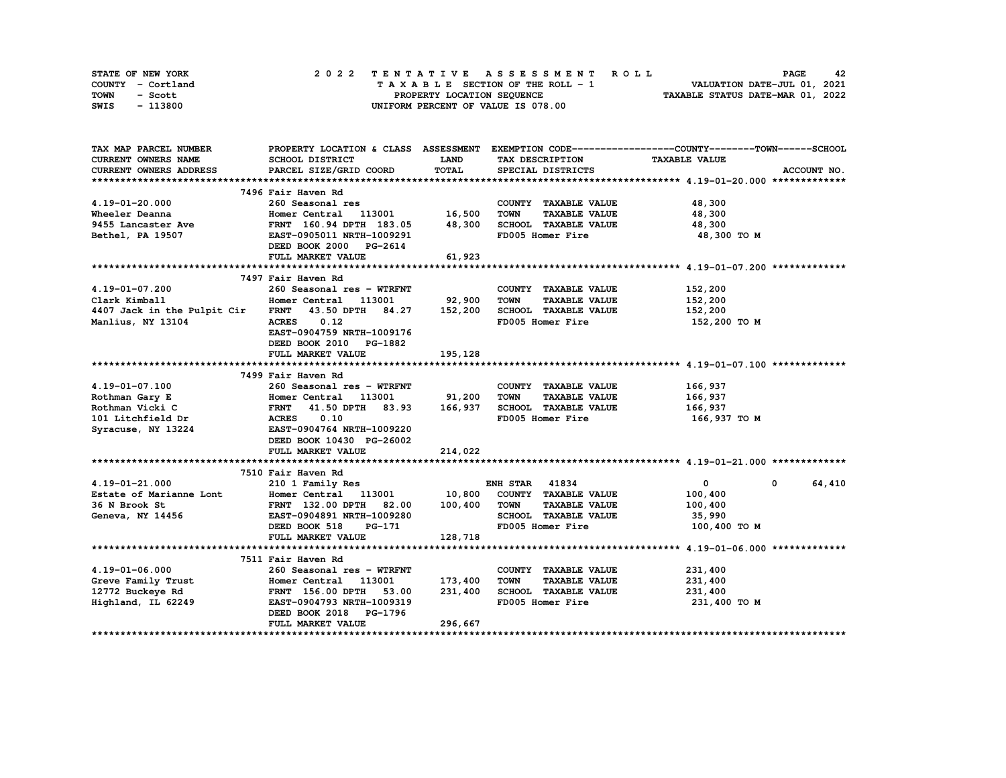| STATE OF NEW YORK | 2022 TENTATIVE ASSESSMENT ROLL     | 42<br><b>PAGE</b>                |
|-------------------|------------------------------------|----------------------------------|
| COUNTY - Cortland | TAXABLE SECTION OF THE ROLL - 1    | VALUATION DATE-JUL 01, 2021      |
| TOWN<br>- Scott   | PROPERTY LOCATION SEQUENCE         | TAXABLE STATUS DATE-MAR 01, 2022 |
| - 113800<br>SWIS  | UNIFORM PERCENT OF VALUE IS 078.00 |                                  |

| TAX MAP PARCEL NUMBER                                                                       |                                                     |         |                                     | PROPERTY LOCATION & CLASS ASSESSMENT EXEMPTION CODE----------------COUNTY-------TOWN-----SCHOOL |
|---------------------------------------------------------------------------------------------|-----------------------------------------------------|---------|-------------------------------------|-------------------------------------------------------------------------------------------------|
| <b>CURRENT OWNERS NAME</b>                                                                  | SCHOOL DISTRICT                                     | LAND    | TAX DESCRIPTION                     | <b>TAXABLE VALUE</b>                                                                            |
| CURRENT OWNERS ADDRESS                                                                      | PARCEL SIZE/GRID COORD                              | TOTAL   | SPECIAL DISTRICTS                   | ACCOUNT NO.                                                                                     |
|                                                                                             |                                                     |         |                                     |                                                                                                 |
|                                                                                             | 7496 Fair Haven Rd                                  |         |                                     |                                                                                                 |
| 4.19-01-20.000                                                                              | 260 Seasonal res                                    |         | COUNTY TAXABLE VALUE                | 48,300                                                                                          |
|                                                                                             | Homer Central 113001 16,500                         |         | TOWN<br><b>TAXABLE VALUE</b>        | 48,300                                                                                          |
|                                                                                             | FRNT 160.94 DPTH 183.05 48,300 SCHOOL TAXABLE VALUE |         |                                     | 48,300                                                                                          |
| Wheeler Deanna<br>9455 Lancaster Ave FRNT 160.94 Drin 100.0291<br>EAST-0905011 NRTH-1009291 |                                                     |         | FD005 Homer Fire                    | 48,300 TO M                                                                                     |
|                                                                                             | DEED BOOK 2000 PG-2614                              |         |                                     |                                                                                                 |
|                                                                                             | FULL MARKET VALUE                                   | 61,923  |                                     |                                                                                                 |
|                                                                                             |                                                     |         |                                     |                                                                                                 |
|                                                                                             | 7497 Fair Haven Rd                                  |         |                                     |                                                                                                 |
| $4.19 - 01 - 07.200$                                                                        | 260 Seasonal res - WTRFNT                           |         | COUNTY TAXABLE VALUE                | 152,200                                                                                         |
| Clark Kimball                                                                               | 200 Seasonai 1es - mini<br>Homer Central 113001     | 92,900  | TOWN<br><b>TAXABLE VALUE</b>        | 152,200                                                                                         |
| 4407 Jack in the Pulpit Cir FRNT 43.50 DPTH 84.27 152,200                                   |                                                     |         | SCHOOL TAXABLE VALUE                | 152,200                                                                                         |
| Manlius, NY 13104                                                                           | ACRES 0.12                                          |         | FD005 Homer Fire                    | 152,200 TO M                                                                                    |
|                                                                                             | EAST-0904759 NRTH-1009176                           |         |                                     |                                                                                                 |
|                                                                                             | DEED BOOK 2010 PG-1882                              |         |                                     |                                                                                                 |
|                                                                                             | FULL MARKET VALUE                                   | 195,128 |                                     |                                                                                                 |
|                                                                                             |                                                     |         |                                     |                                                                                                 |
|                                                                                             | 7499 Fair Haven Rd                                  |         |                                     |                                                                                                 |
| 4.19-01-07.100                                                                              | 260 Seasonal res - WTRFNT                           |         | COUNTY TAXABLE VALUE                | 166,937                                                                                         |
|                                                                                             |                                                     |         |                                     | 166,937                                                                                         |
|                                                                                             |                                                     |         |                                     | 166,937                                                                                         |
|                                                                                             |                                                     |         |                                     | 166,937 то м                                                                                    |
| Syracuse, NY 13224 EAST-0904764 NRTH-1009220                                                |                                                     |         |                                     |                                                                                                 |
|                                                                                             | DEED BOOK 10430 PG-26002                            |         |                                     |                                                                                                 |
|                                                                                             | FULL MARKET VALUE                                   | 214,022 |                                     |                                                                                                 |
|                                                                                             |                                                     |         |                                     |                                                                                                 |
|                                                                                             | 7510 Fair Haven Rd                                  |         |                                     |                                                                                                 |
| 4.19-01-21.000                                                                              | 210 1 Family Res                                    |         | <b>ENH STAR 41834</b>               | $\mathbf{0}$<br>64,410<br>$^{\circ}$                                                            |
| Estate of Marianne Lont Homer Central 113001 10,800 COUNTY TAXABLE VALUE                    |                                                     |         |                                     | 100,400                                                                                         |
| 36 N Brook St                                                                               | FRNT 132.00 DPTH 82.00 100,400                      |         | TOWN<br><b>TAXABLE VALUE</b>        | 100,400                                                                                         |
| Geneva, NY 14456                                                                            | EAST-0904891 NRTH-1009280                           |         | SCHOOL TAXABLE VALUE                | 35,990                                                                                          |
|                                                                                             | DEED BOOK 518<br><b>PG-171</b>                      |         | FD005 Homer Fire                    | 100,400 TO M                                                                                    |
|                                                                                             | FULL MARKET VALUE                                   | 128,718 |                                     |                                                                                                 |
|                                                                                             |                                                     |         |                                     |                                                                                                 |
|                                                                                             | 7511 Fair Haven Rd                                  |         |                                     |                                                                                                 |
| $4.19 - 01 - 06.000$                                                                        | 260 Seasonal res - WTRFNT                           |         | COUNTY TAXABLE VALUE                | 231,400                                                                                         |
|                                                                                             |                                                     | 173,400 | <b>TOWN</b><br><b>TAXABLE VALUE</b> | 231,400                                                                                         |
| Greve Family Trust Form and Homer Central 113001<br>12772 Buckeye Rd FRNT 156.00 DPTH 53    | FRNT 156.00 DPTH 53.00                              | 231,400 | SCHOOL TAXABLE VALUE                | 231,400                                                                                         |
| Highland, IL 62249                                                                          | EAST-0904793 NRTH-1009319                           |         | FD005 Homer Fire                    | 231,400 TO M                                                                                    |
|                                                                                             | DEED BOOK 2018 PG-1796                              |         |                                     |                                                                                                 |
|                                                                                             | FULL MARKET VALUE                                   | 296,667 |                                     |                                                                                                 |
|                                                                                             |                                                     |         |                                     |                                                                                                 |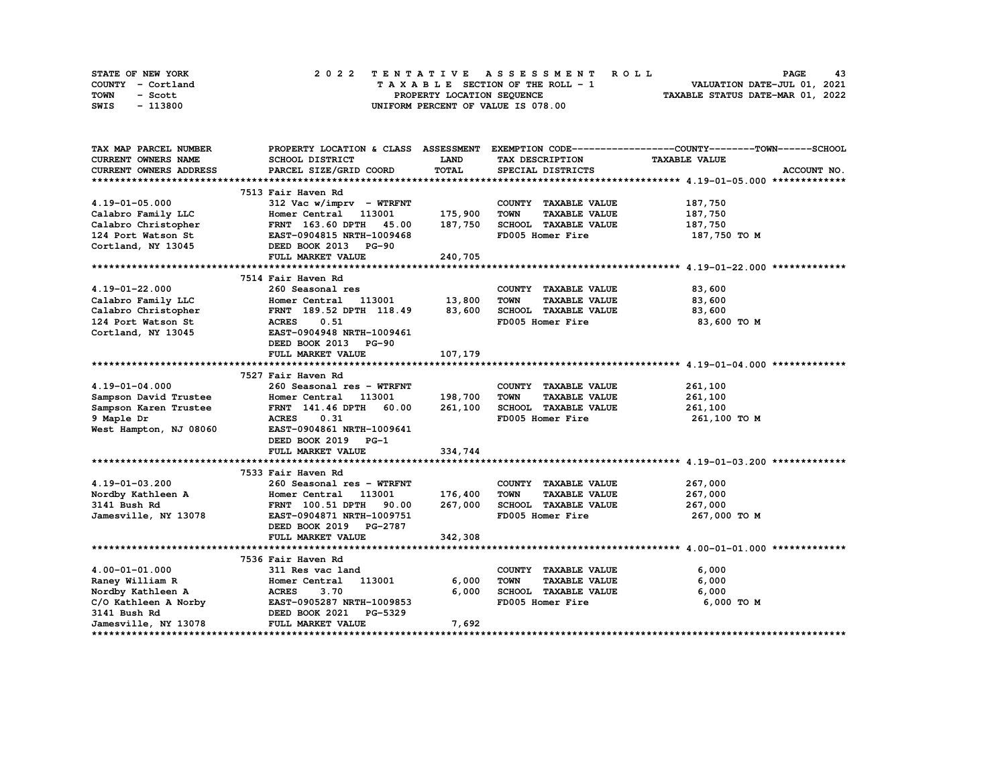| STATE OF NEW YORK |          |  |  |  |  |  | 2022 TENTATIVE ASSESSMENT ROLL     |  |  |  |  |  |  |                                  |  | <b>PAGE</b>                 | 43 |
|-------------------|----------|--|--|--|--|--|------------------------------------|--|--|--|--|--|--|----------------------------------|--|-----------------------------|----|
| COUNTY - Cortland |          |  |  |  |  |  | TAXABLE SECTION OF THE ROLL - 1    |  |  |  |  |  |  |                                  |  | VALUATION DATE-JUL 01, 2021 |    |
| TOWN              | - Scott  |  |  |  |  |  | PROPERTY LOCATION SEQUENCE         |  |  |  |  |  |  | TAXABLE STATUS DATE-MAR 01, 2022 |  |                             |    |
| SWIS              | - 113800 |  |  |  |  |  | UNIFORM PERCENT OF VALUE IS 078.00 |  |  |  |  |  |  |                                  |  |                             |    |

| TAX MAP PARCEL NUMBER  |                                                                                                                                        |             |                                     | PROPERTY LOCATION & CLASS ASSESSMENT EXEMPTION CODE-----------------COUNTY-------TOWN------SCHOOL |
|------------------------|----------------------------------------------------------------------------------------------------------------------------------------|-------------|-------------------------------------|---------------------------------------------------------------------------------------------------|
| CURRENT OWNERS NAME    | SCHOOL DISTRICT                                                                                                                        | <b>LAND</b> | TAX DESCRIPTION                     | <b>TAXABLE VALUE</b>                                                                              |
| CURRENT OWNERS ADDRESS | PARCEL SIZE/GRID COORD                                                                                                                 | TOTAL       | SPECIAL DISTRICTS                   | ACCOUNT NO.                                                                                       |
|                        |                                                                                                                                        |             |                                     |                                                                                                   |
|                        | 7513 Fair Haven Rd                                                                                                                     |             |                                     |                                                                                                   |
| $4.19 - 01 - 05.000$   | 312 Vac w/imprv - WTRFNT                                                                                                               |             | COUNTY TAXABLE VALUE                | 187,750                                                                                           |
| Calabro Family LLC     | Homer Central 113001                                                                                                                   | 175,900     | <b>TOWN</b><br><b>TAXABLE VALUE</b> | 187,750                                                                                           |
| Calabro Christopher    | FRNT 163.60 DPTH 45.00                                                                                                                 | 187,750     | SCHOOL TAXABLE VALUE                | 187,750                                                                                           |
| 124 Port Watson St     | EAST-0904815 NRTH-1009468                                                                                                              |             | FD005 Homer Fire                    | 187,750 TO M                                                                                      |
| Cortland, NY 13045     | DEED BOOK 2013 PG-90                                                                                                                   |             |                                     |                                                                                                   |
|                        | FULL MARKET VALUE                                                                                                                      | 240,705     |                                     |                                                                                                   |
|                        |                                                                                                                                        |             |                                     |                                                                                                   |
|                        | 7514 Fair Haven Rd                                                                                                                     |             |                                     |                                                                                                   |
| $4.19 - 01 - 22.000$   | 260 Seasonal res                                                                                                                       |             | COUNTY TAXABLE VALUE                | 83,600                                                                                            |
| Calabro Family LLC     | Homer Central 113001 13,800                                                                                                            |             | <b>TOWN</b><br><b>TAXABLE VALUE</b> | 83,600                                                                                            |
| Calabro Christopher    | FRNT 189.52 DPTH 118.49                                                                                                                | 83,600      | SCHOOL TAXABLE VALUE                | 83,600                                                                                            |
| 124 Port Watson St     | 0.51<br><b>ACRES</b>                                                                                                                   |             | FD005 Homer Fire                    | 83,600 то м                                                                                       |
| Cortland, NY 13045     | EAST-0904948 NRTH-1009461                                                                                                              |             |                                     |                                                                                                   |
|                        | DEED BOOK 2013 PG-90                                                                                                                   |             |                                     |                                                                                                   |
|                        | FULL MARKET VALUE                                                                                                                      | 107,179     |                                     |                                                                                                   |
|                        |                                                                                                                                        |             |                                     |                                                                                                   |
|                        | 7527 Fair Haven Rd                                                                                                                     |             |                                     |                                                                                                   |
| $4.19 - 01 - 04.000$   | 260 Seasonal res - WTRFNT                                                                                                              |             | COUNTY TAXABLE VALUE                | 261,100                                                                                           |
| Sampson David Trustee  | Homer Central<br>113001                                                                                                                | 198,700     | <b>TOWN</b><br><b>TAXABLE VALUE</b> | 261,100                                                                                           |
| Sampson Karen Trustee  | FRNT 141.46 DPTH 60.00                                                                                                                 | 261,100     | SCHOOL TAXABLE VALUE                | 261,100                                                                                           |
| 9 Maple Dr             | <b>ACRES</b><br>0.31                                                                                                                   |             | FD005 Homer Fire                    | 261,100 то м                                                                                      |
| West Hampton, NJ 08060 | EAST-0904861 NRTH-1009641                                                                                                              |             |                                     |                                                                                                   |
|                        | DEED BOOK 2019 PG-1                                                                                                                    |             |                                     |                                                                                                   |
|                        |                                                                                                                                        |             |                                     |                                                                                                   |
|                        | FULL MARKET VALUE                                                                                                                      | 334,744     |                                     |                                                                                                   |
|                        |                                                                                                                                        |             |                                     |                                                                                                   |
|                        | 7533 Fair Haven Rd                                                                                                                     |             |                                     |                                                                                                   |
| $4.19 - 01 - 03.200$   | 260 Seasonal res - WTRFNT                                                                                                              |             | COUNTY TAXABLE VALUE                | 267,000                                                                                           |
| Nordby Kathleen A      | Homer Central 113001                                                                                                                   | 176,400     | <b>TOWN</b><br><b>TAXABLE VALUE</b> | 267,000                                                                                           |
| 3141 Bush Rd           | FRNT 100.51 DPTH 90.00                                                                                                                 | 267,000     | SCHOOL TAXABLE VALUE                | 267,000                                                                                           |
| Jamesville, NY 13078   | EAST-0904871 NRTH-1009751                                                                                                              |             | FD005 Homer Fire                    | 267,000 то м                                                                                      |
|                        | DEED BOOK 2019 PG-2787                                                                                                                 |             |                                     |                                                                                                   |
|                        | FULL MARKET VALUE                                                                                                                      | 342,308     |                                     |                                                                                                   |
|                        |                                                                                                                                        |             |                                     |                                                                                                   |
|                        | 7536 Fair Haven Rd                                                                                                                     |             |                                     |                                                                                                   |
| $4.00 - 01 - 01.000$   | 311 Res vac land                                                                                                                       |             | COUNTY TAXABLE VALUE                | 6,000                                                                                             |
| Raney William R        | 113001<br>Homer Central                                                                                                                | 6,000       | <b>TOWN</b><br><b>TAXABLE VALUE</b> | 6,000                                                                                             |
| Nordby Kathleen A      | <b>ACRES</b><br>3.70                                                                                                                   | 6,000       | SCHOOL TAXABLE VALUE                | 6,000                                                                                             |
|                        |                                                                                                                                        |             | FD005 Homer Fire                    | 6,000 TO M                                                                                        |
|                        | Nordby Kathleen A Morby<br>C/O Kathleen A Norby<br>EAST-0905287 NRTH-1009853<br>3141 Bush Rd<br>Tamasville. NY 13078 FULL MARKET VALUE |             |                                     |                                                                                                   |
|                        |                                                                                                                                        | 7,692       |                                     |                                                                                                   |
|                        |                                                                                                                                        |             |                                     |                                                                                                   |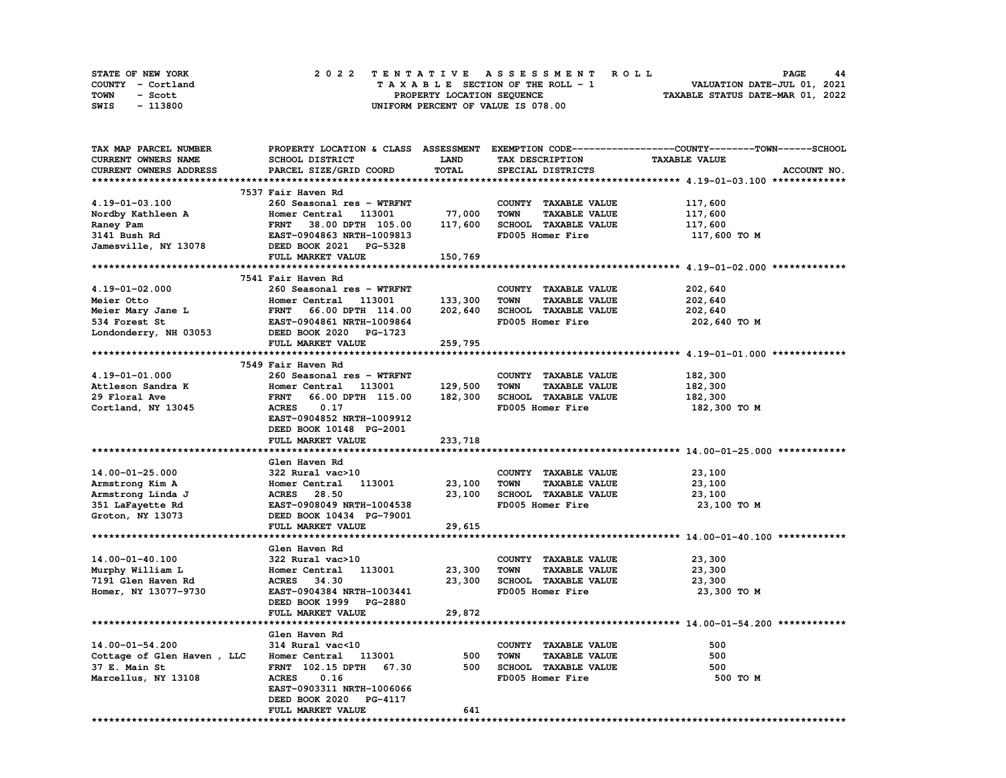| STATE OF NEW YORK | 2022 TENTATIVE ASSESSMENT ROLL     | <b>PAGE</b><br>44                |
|-------------------|------------------------------------|----------------------------------|
| COUNTY - Cortland | TAXABLE SECTION OF THE ROLL - 1    | VALUATION DATE-JUL 01, 2021      |
| TOWN<br>- Scott   | PROPERTY LOCATION SEQUENCE         | TAXABLE STATUS DATE-MAR 01, 2022 |
| SWIS<br>- 113800  | UNIFORM PERCENT OF VALUE IS 078.00 |                                  |

| <b>TAX MAP PARCEL NUMBER</b> | PROPERTY LOCATION & CLASS ASSESSMENT |             |                                     | EXEMPTION CODE-----------------COUNTY-------TOWN-----SCHOOL |
|------------------------------|--------------------------------------|-------------|-------------------------------------|-------------------------------------------------------------|
| CURRENT OWNERS NAME          | SCHOOL DISTRICT                      | <b>LAND</b> | TAX DESCRIPTION                     | <b>TAXABLE VALUE</b>                                        |
| CURRENT OWNERS ADDRESS       | PARCEL SIZE/GRID COORD               | TOTAL       | SPECIAL DISTRICTS                   | ACCOUNT NO.                                                 |
|                              |                                      |             |                                     |                                                             |
|                              | 7537 Fair Haven Rd                   |             |                                     |                                                             |
| 4.19-01-03.100               | 260 Seasonal res - WTRFNT            |             | COUNTY TAXABLE VALUE                | 117,600                                                     |
| Nordby Kathleen A            | Homer Central 113001                 | 77,000      | <b>TOWN</b><br><b>TAXABLE VALUE</b> | 117,600                                                     |
|                              |                                      |             |                                     |                                                             |
| Raney Pam                    | <b>FRNT</b><br>38.00 DPTH 105.00     | 117,600     | SCHOOL TAXABLE VALUE                | 117,600                                                     |
| 3141 Bush Rd                 | EAST-0904863 NRTH-1009813            |             | FD005 Homer Fire                    | 117,600 TO M                                                |
| Jamesville, NY 13078         | DEED BOOK 2021 PG-5328               |             |                                     |                                                             |
|                              | FULL MARKET VALUE                    | 150,769     |                                     |                                                             |
|                              |                                      |             |                                     |                                                             |
|                              | 7541 Fair Haven Rd                   |             |                                     |                                                             |
| $4.19 - 01 - 02.000$         | 260 Seasonal res - WTRFNT            |             | COUNTY TAXABLE VALUE                | 202,640                                                     |
| Meier Otto                   | Homer Central 113001                 | 133,300     | TOWN<br><b>TAXABLE VALUE</b>        | 202,640                                                     |
| Meier Mary Jane L            | FRNT 66.00 DPTH 114.00               | 202,640     | SCHOOL TAXABLE VALUE                | 202,640                                                     |
| 534 Forest St                | EAST-0904861 NRTH-1009864            |             | FD005 Homer Fire                    | 202,640 ТО М                                                |
| Londonderry, NH 03053        | DEED BOOK 2020 PG-1723               |             |                                     |                                                             |
|                              | FULL MARKET VALUE                    | 259,795     |                                     |                                                             |
|                              |                                      |             |                                     |                                                             |
|                              | 7549 Fair Haven Rd                   |             |                                     |                                                             |
| $4.19 - 01 - 01.000$         | 260 Seasonal res - WTRFNT            |             | COUNTY TAXABLE VALUE                | 182,300                                                     |
| Attleson Sandra K            | Homer Central 113001                 | 129,500     | <b>TAXABLE VALUE</b><br><b>TOWN</b> | 182,300                                                     |
| 29 Floral Ave                | <b>FRNT</b>                          | 182,300     | SCHOOL TAXABLE VALUE                |                                                             |
|                              | 66.00 DPTH 115.00                    |             |                                     | 182,300                                                     |
| Cortland, NY 13045           | <b>ACRES</b><br>0.17                 |             | FD005 Homer Fire                    | 182,300 то м                                                |
|                              | EAST-0904852 NRTH-1009912            |             |                                     |                                                             |
|                              | DEED BOOK 10148 PG-2001              |             |                                     |                                                             |
|                              | FULL MARKET VALUE                    | 233,718     |                                     |                                                             |
|                              |                                      |             |                                     |                                                             |
|                              | Glen Haven Rd                        |             |                                     |                                                             |
| 14.00-01-25.000              | 322 Rural vac>10                     |             | COUNTY TAXABLE VALUE                | 23,100                                                      |
| Armstrong Kim A              | 113001<br>Homer Central              | 23,100      | <b>TOWN</b><br><b>TAXABLE VALUE</b> | 23,100                                                      |
| Armstrong Linda J            | <b>ACRES</b> 28.50                   | 23,100      | <b>SCHOOL TAXABLE VALUE</b>         | 23,100                                                      |
| 351 LaFayette Rd             | EAST-0908049 NRTH-1004538            |             | FD005 Homer Fire                    | 23,100 TO M                                                 |
| Groton, NY 13073             | DEED BOOK 10434 PG-79001             |             |                                     |                                                             |
|                              | FULL MARKET VALUE                    | 29,615      |                                     |                                                             |
|                              |                                      |             |                                     |                                                             |
|                              | Glen Haven Rd                        |             |                                     |                                                             |
| 14.00-01-40.100              | 322 Rural vac>10                     |             | COUNTY TAXABLE VALUE                | 23,300                                                      |
| Murphy William L             | 113001<br>Homer Central              | 23,300      | <b>TOWN</b><br><b>TAXABLE VALUE</b> | 23,300                                                      |
| 7191 Glen Haven Rd           | <b>ACRES</b><br>34.30                | 23,300      | SCHOOL TAXABLE VALUE                | 23,300                                                      |
| Homer, NY 13077-9730         | EAST-0904384 NRTH-1003441            |             | FD005 Homer Fire                    | 23,300 TO M                                                 |
|                              |                                      |             |                                     |                                                             |
|                              | DEED BOOK 1999 PG-2880               |             |                                     |                                                             |
|                              | FULL MARKET VALUE                    | 29,872      |                                     |                                                             |
|                              |                                      |             |                                     |                                                             |
|                              | Glen Haven Rd                        |             |                                     |                                                             |
| 14.00-01-54.200              | 314 Rural vac<10                     |             | COUNTY TAXABLE VALUE                | 500                                                         |
| Cottage of Glen Haven, LLC   | Homer Central<br>113001              | 500         | <b>TOWN</b><br><b>TAXABLE VALUE</b> | 500                                                         |
| 37 E. Main St                | <b>FRNT</b> 102.15 DPTH<br>67.30     | 500         | SCHOOL TAXABLE VALUE                | 500                                                         |
| Marcellus, NY 13108          |                                      |             | FD005 Homer Fire                    | 500 TO M                                                    |
|                              | <b>ACRES</b><br>0.16                 |             |                                     |                                                             |
|                              | EAST-0903311 NRTH-1006066            |             |                                     |                                                             |
|                              | DEED BOOK 2020<br><b>PG-4117</b>     |             |                                     |                                                             |
|                              | FULL MARKET VALUE                    | 641         |                                     |                                                             |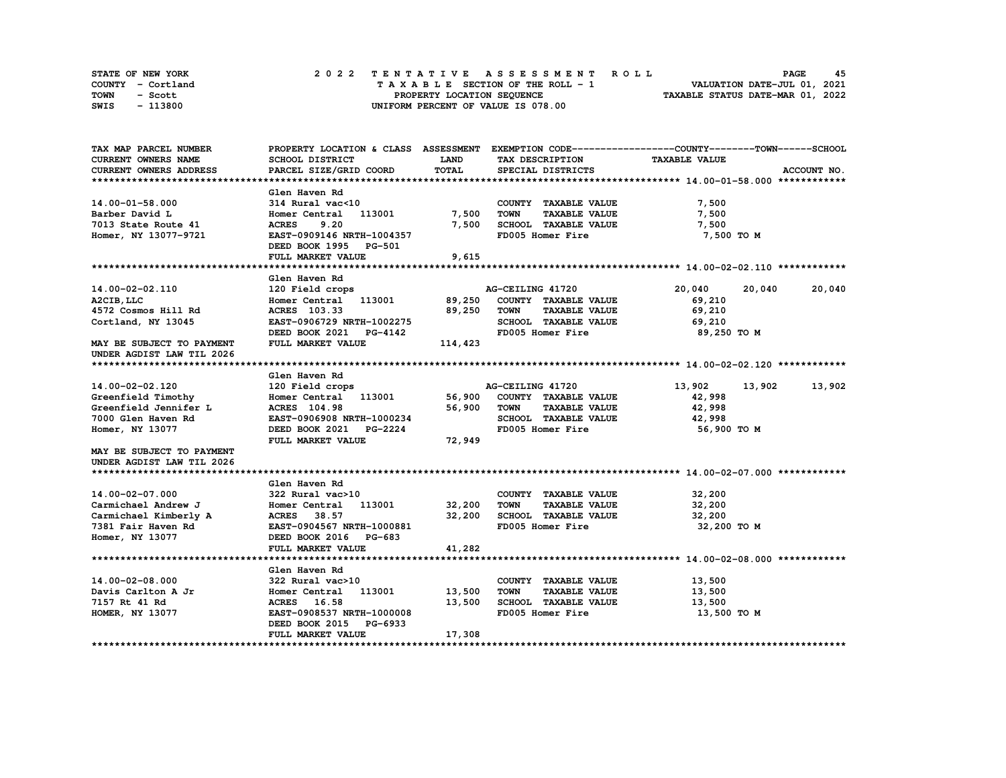| <b>STATE OF NEW YORK</b> | 2022 TENTATIVE ASSESSMENT ROLL     | 45<br>PAGE                       |
|--------------------------|------------------------------------|----------------------------------|
| COUNTY - Cortland        | TAXABLE SECTION OF THE ROLL - 1    | VALUATION DATE-JUL 01, 2021      |
| TOWN<br>- Scott          | PROPERTY LOCATION SEQUENCE         | TAXABLE STATUS DATE-MAR 01, 2022 |
| - 113800<br>SWIS         | UNIFORM PERCENT OF VALUE IS 078.00 |                                  |

| TAX MAP PARCEL NUMBER                                                                                       |                                                                                                                                        |             |                                     | PROPERTY LOCATION & CLASS ASSESSMENT EXEMPTION CODE----------------COUNTY-------TOWN-----SCHOOL |             |
|-------------------------------------------------------------------------------------------------------------|----------------------------------------------------------------------------------------------------------------------------------------|-------------|-------------------------------------|-------------------------------------------------------------------------------------------------|-------------|
| CURRENT OWNERS NAME                                                                                         | SCHOOL DISTRICT                                                                                                                        | <b>LAND</b> | TAX DESCRIPTION                     | <b>TAXABLE VALUE</b>                                                                            |             |
| CURRENT OWNERS ADDRESS                                                                                      | PARCEL SIZE/GRID COORD                                                                                                                 | TOTAL       | SPECIAL DISTRICTS                   |                                                                                                 | ACCOUNT NO. |
|                                                                                                             |                                                                                                                                        |             |                                     |                                                                                                 |             |
|                                                                                                             | Glen Haven Rd                                                                                                                          |             |                                     |                                                                                                 |             |
| 14.00-01-58.000                                                                                             | 314 Rural vac<10                                                                                                                       |             | COUNTY TAXABLE VALUE                | 7,500                                                                                           |             |
|                                                                                                             | 113001 7,500<br>Homer Central                                                                                                          |             | <b>TOWN</b><br><b>TAXABLE VALUE</b> | 7,500                                                                                           |             |
| Barber David L<br>7013 State Route 41<br>Homer, NY 13077-9721                                               | <b>ACRES</b><br>9.20                                                                                                                   |             | 7,500 SCHOOL TAXABLE VALUE          | 7,500                                                                                           |             |
|                                                                                                             | AUNED 9.20<br>EAST-0909146 NRTH-1004357<br>---- -                                                                                      |             | FD005 Homer Fire                    | 7,500 TO M                                                                                      |             |
|                                                                                                             | DEED BOOK 1995 PG-501                                                                                                                  |             |                                     |                                                                                                 |             |
|                                                                                                             | FULL MARKET VALUE                                                                                                                      | 9,615       |                                     |                                                                                                 |             |
|                                                                                                             |                                                                                                                                        |             |                                     |                                                                                                 |             |
|                                                                                                             | Glen Haven Rd                                                                                                                          |             |                                     |                                                                                                 |             |
| 14.00-02-02.110                                                                                             | 120 Field crops                                                                                                                        |             | AG-CEILING 41720                    | 20,040<br>20,040                                                                                | 20,040      |
| A2CIB, LLC                                                                                                  | Homer Central 113001 89,250                                                                                                            |             | COUNTY TAXABLE VALUE                | 69,210                                                                                          |             |
| 4572 Cosmos Hill Rd                                                                                         | ACRES 103.33                                                                                                                           | 89,250      | TOWN<br><b>TAXABLE VALUE</b>        | 69,210                                                                                          |             |
| Cortland, NY 13045                                                                                          | EAST-0906729 NRTH-1002275                                                                                                              |             | SCHOOL TAXABLE VALUE                | 69,210                                                                                          |             |
|                                                                                                             |                                                                                                                                        |             | FD005 Homer Fire                    | 89,250 то м                                                                                     |             |
| MAY BE SUBJECT TO PAYMENT                                                                                   | DEED BOOK 2021 $PG-4142$<br>FULL MARKET VALUE 114,423                                                                                  |             |                                     |                                                                                                 |             |
| UNDER AGDIST LAW TIL 2026                                                                                   |                                                                                                                                        |             |                                     |                                                                                                 |             |
|                                                                                                             |                                                                                                                                        |             |                                     |                                                                                                 |             |
|                                                                                                             | Glen Haven Rd                                                                                                                          |             |                                     |                                                                                                 |             |
| 14.00-02-02.120                                                                                             |                                                                                                                                        |             |                                     | 13,902<br>13,902                                                                                | 13,902      |
| Greenfield Timothy                                                                                          | 120 Field crops                                 AG-CEILING 41720<br>Homer Central   113001             56,900   COUNTY   TAXABLE VALUE |             |                                     | 42,998                                                                                          |             |
| Greenfield Jennifer L                                                                                       | <b>ACRES</b> 104.98                                                                                                                    | 56,900      | <b>TOWN</b><br><b>TAXABLE VALUE</b> | 42,998                                                                                          |             |
| 7000 Glen Haven Rd                                                                                          | EAST-0906908 NRTH-1000234                                                                                                              |             | SCHOOL TAXABLE VALUE                | 42,998                                                                                          |             |
| Homer, NY 13077                                                                                             | DEED BOOK 2021 PG-2224                                                                                                                 |             | FD005 Homer Fire                    | 56,900 то м                                                                                     |             |
|                                                                                                             | FULL MARKET VALUE                                                                                                                      | 72,949      |                                     |                                                                                                 |             |
| MAY BE SUBJECT TO PAYMENT                                                                                   |                                                                                                                                        |             |                                     |                                                                                                 |             |
| UNDER AGDIST LAW TIL 2026                                                                                   |                                                                                                                                        |             |                                     |                                                                                                 |             |
|                                                                                                             |                                                                                                                                        |             |                                     |                                                                                                 |             |
|                                                                                                             | Glen Haven Rd                                                                                                                          |             |                                     |                                                                                                 |             |
| 14.00-02-07.000                                                                                             | 322 Rural vac>10                                                                                                                       |             | COUNTY TAXABLE VALUE                | 32,200                                                                                          |             |
| Carmichael Andrew J                                                                                         | Homer Central 113001 32,200 TOWN                                                                                                       |             | <b>TAXABLE VALUE</b>                | 32,200                                                                                          |             |
|                                                                                                             |                                                                                                                                        | 32,200      | SCHOOL TAXABLE VALUE 32,200         |                                                                                                 |             |
| Carmichael Kimberly A<br>Tair Haven Rd<br>Tair Haven Rd<br>EAST-0904567 1<br>Homer, NY 13077 DEED BOOK 2010 | EAST-0904567 NRTH-1000881                                                                                                              |             | FD005 Homer Fire                    | 32,200 TO M                                                                                     |             |
|                                                                                                             | DEED BOOK 2016 PG-683                                                                                                                  |             |                                     |                                                                                                 |             |
|                                                                                                             | FULL MARKET VALUE                                                                                                                      | 41,282      |                                     |                                                                                                 |             |
|                                                                                                             |                                                                                                                                        |             |                                     |                                                                                                 |             |
|                                                                                                             | Glen Haven Rd                                                                                                                          |             |                                     |                                                                                                 |             |
| 14.00-02-08.000                                                                                             | 322 Rural vac>10                                                                                                                       |             | COUNTY TAXABLE VALUE                | 13,500                                                                                          |             |
| Davis Carlton A Jr                                                                                          |                                                                                                                                        |             | <b>TOWN</b><br><b>TAXABLE VALUE</b> | 13,500                                                                                          |             |
| 7157 Rt 41 Rd                                                                                               | ACRES 16.58                                                                                                                            | 13,500      | SCHOOL TAXABLE VALUE 13,500         |                                                                                                 |             |
| <b>HOMER, NY 13077</b>                                                                                      | EAST-0908537 NRTH-1000008                                                                                                              |             | FD005 Homer Fire                    | 13,500 TO M                                                                                     |             |
|                                                                                                             | DEED BOOK 2015 PG-6933                                                                                                                 |             |                                     |                                                                                                 |             |
|                                                                                                             | FULL MARKET VALUE                                                                                                                      | 17,308      |                                     |                                                                                                 |             |
|                                                                                                             |                                                                                                                                        |             |                                     |                                                                                                 |             |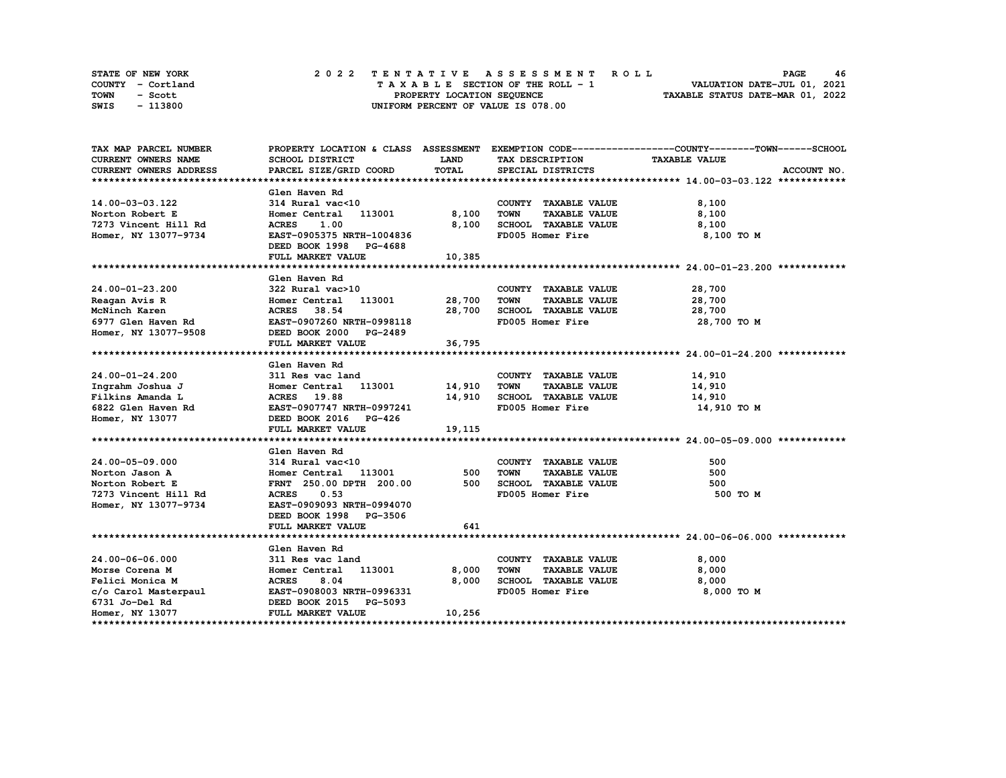| STATE OF NEW YORK | 2022 TENTATIVE ASSESSMENT ROLL     | 46<br><b>PAGE</b>                |
|-------------------|------------------------------------|----------------------------------|
| COUNTY - Cortland | TAXABLE SECTION OF THE ROLL - 1    | VALUATION DATE-JUL 01, 2021      |
| TOWN<br>- Scott   | PROPERTY LOCATION SEQUENCE         | TAXABLE STATUS DATE-MAR 01, 2022 |
| - 113800<br>SWIS  | UNIFORM PERCENT OF VALUE IS 078.00 |                                  |

| TAX MAP PARCEL NUMBER                                                                                                                       |                                                 |             |                                     | PROPERTY LOCATION & CLASS ASSESSMENT EXEMPTION CODE----------------COUNTY-------TOWN-----SCHOOL |
|---------------------------------------------------------------------------------------------------------------------------------------------|-------------------------------------------------|-------------|-------------------------------------|-------------------------------------------------------------------------------------------------|
| <b>CURRENT OWNERS NAME</b>                                                                                                                  | SCHOOL DISTRICT                                 | <b>LAND</b> | TAX DESCRIPTION TAXABLE VALUE       |                                                                                                 |
| <b>CURRENT OWNERS ADDRESS</b>                                                                                                               | PARCEL SIZE/GRID COORD                          | TOTAL       | SPECIAL DISTRICTS                   | ACCOUNT NO.                                                                                     |
|                                                                                                                                             |                                                 |             |                                     |                                                                                                 |
|                                                                                                                                             | Glen Haven Rd                                   |             |                                     |                                                                                                 |
| 14.00-03-03.122                                                                                                                             | 314 Rural vac<10                                |             | COUNTY TAXABLE VALUE                | 8,100                                                                                           |
| Norton Robert E                                                                                                                             | Homer Central 113001                            |             | 8,100 TOWN<br><b>TAXABLE VALUE</b>  | 8,100                                                                                           |
| 7273 Vincent Hill Rd                                                                                                                        | 1.00<br><b>ACRES</b>                            |             | 8,100 SCHOOL TAXABLE VALUE          | 8,100                                                                                           |
| Homer, NY 13077-9734                                                                                                                        | EAST-0905375 NRTH-1004836                       |             | FD005 Homer Fire                    | 8,100 TO M                                                                                      |
|                                                                                                                                             | DEED BOOK 1998 PG-4688                          |             |                                     |                                                                                                 |
|                                                                                                                                             | FULL MARKET VALUE                               | 10,385      |                                     |                                                                                                 |
|                                                                                                                                             |                                                 |             |                                     |                                                                                                 |
|                                                                                                                                             | Glen Haven Rd                                   |             |                                     |                                                                                                 |
| 24.00-01-23.200                                                                                                                             | 322 Rural vac>10                                |             | COUNTY TAXABLE VALUE                | 28,700                                                                                          |
| Reagan Avis R                                                                                                                               | Homer Central 113001 28,700                     |             | TOWN<br><b>TAXABLE VALUE</b>        | 28,700                                                                                          |
|                                                                                                                                             |                                                 |             |                                     | 28,700                                                                                          |
|                                                                                                                                             |                                                 |             |                                     | 28,700 TO M                                                                                     |
| Homer, NY 13077-9508 DEED BOOK 2000 PG-2489                                                                                                 |                                                 |             |                                     |                                                                                                 |
|                                                                                                                                             | FULL MARKET VALUE 36,795                        |             |                                     |                                                                                                 |
|                                                                                                                                             |                                                 |             |                                     |                                                                                                 |
|                                                                                                                                             | Glen Haven Rd                                   |             |                                     |                                                                                                 |
| 24.00-01-24.200                                                                                                                             | 311 Res vac land<br>Homer Central 113001 14,910 |             | COUNTY TAXABLE VALUE                | 14,910                                                                                          |
| Ingrahm Joshua J                                                                                                                            |                                                 |             | <b>TAXABLE VALUE</b><br>TOWN        | 14,910                                                                                          |
| Filkins Amanda L                                                                                                                            | ACRES 19.88                                     |             | 14,910 SCHOOL TAXABLE VALUE 14,910  |                                                                                                 |
| 6822 Glen Haven Rd<br>"---- NV 13077                                                                                                        | EAST-0907747 NRTH-0997241                       |             | FD005 Homer Fire                    | 14,910 TO M                                                                                     |
| Homer, NY 13077                                                                                                                             | DEED BOOK 2016 PG-426                           |             |                                     |                                                                                                 |
|                                                                                                                                             | FULL MARKET VALUE                               | 19,115      |                                     |                                                                                                 |
|                                                                                                                                             |                                                 |             |                                     |                                                                                                 |
|                                                                                                                                             | Glen Haven Rd                                   |             |                                     |                                                                                                 |
| 24.00-05-09.000                                                                                                                             | 314 Rural vac<10                                |             | COUNTY TAXABLE VALUE                | 500                                                                                             |
| Norton Jason A                                                                                                                              | Homer Central 113001                            | 500<br>500  | <b>TOWN</b><br><b>TAXABLE VALUE</b> | 500                                                                                             |
| Norton Robert E                                                                                                                             | FRNT 250.00 DPTH 200.00                         |             | SCHOOL TAXABLE VALUE                | 500                                                                                             |
| 7273 Vincent Hill Rd                                                                                                                        | ACRES 0.53                                      |             | FD005 Homer Fire                    | 500 TO M                                                                                        |
| Homer, NY 13077-9734                                                                                                                        | EAST-0909093 NRTH-0994070                       |             |                                     |                                                                                                 |
|                                                                                                                                             | DEED BOOK 1998 PG-3506                          |             |                                     |                                                                                                 |
|                                                                                                                                             | FULL MARKET VALUE                               | 641         |                                     |                                                                                                 |
|                                                                                                                                             |                                                 |             |                                     |                                                                                                 |
|                                                                                                                                             | Glen Haven Rd                                   |             |                                     |                                                                                                 |
| 24.00-06-06.000                                                                                                                             | 311 Res vac land                                |             | COUNTY TAXABLE VALUE                | 8,000                                                                                           |
| Morse Corena M                                                                                                                              | Homer Central 113001<br>ACRES 8.04              | 8,000       | <b>TOWN</b><br>TAXABLE VALUE        | 8,000                                                                                           |
| Felici Monica M                                                                                                                             |                                                 | 8,000       | SCHOOL TAXABLE VALUE                | 8,000                                                                                           |
|                                                                                                                                             |                                                 |             | FD005 Homer Fire                    | 8,000 TO M                                                                                      |
| c/o Carol Masterpaul<br>C/o Carol Masterpaul<br>EAST-0908003 NRTH-0996331<br>FOLD BOOK 2015 PG-5093<br>Homer, NY 13077<br>FULL MARKET VALUE |                                                 |             |                                     |                                                                                                 |
|                                                                                                                                             |                                                 | 10,256      |                                     |                                                                                                 |
|                                                                                                                                             |                                                 |             |                                     |                                                                                                 |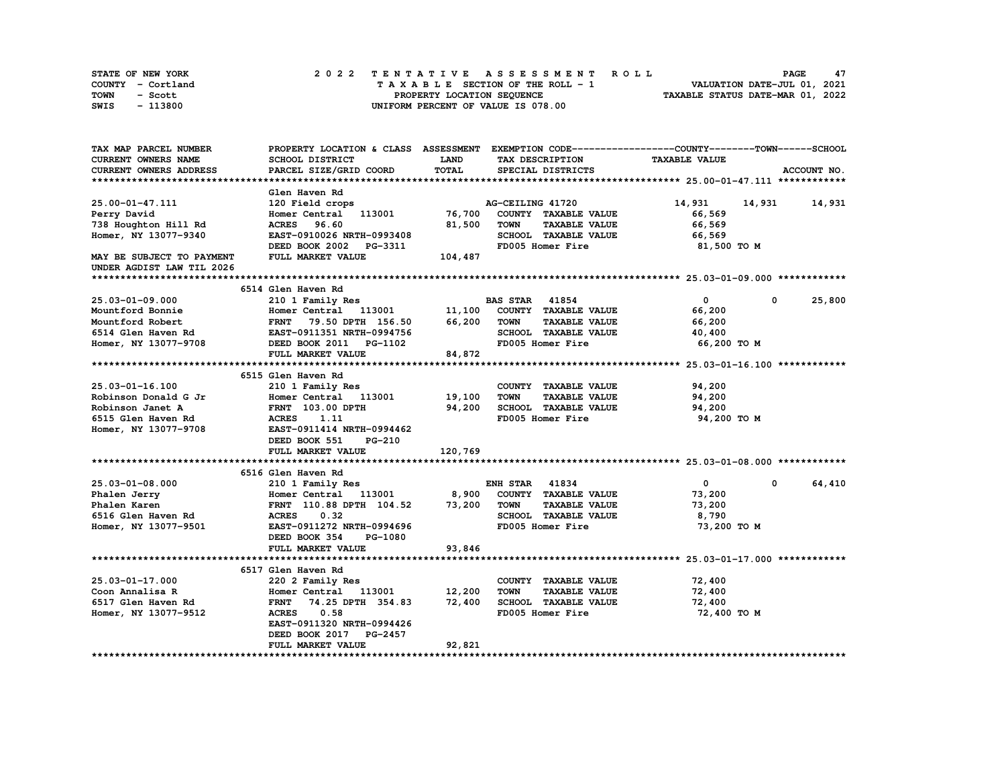| STATE OF NEW YORK | 2022 TENTATIVE ASSESSMENT ROLL     | 47<br><b>PAGE</b>                |
|-------------------|------------------------------------|----------------------------------|
| COUNTY - Cortland | TAXABLE SECTION OF THE ROLL - 1    | VALUATION DATE-JUL 01, 2021      |
| TOWN<br>- Scott   | PROPERTY LOCATION SEQUENCE         | TAXABLE STATUS DATE-MAR 01, 2022 |
| - 113800<br>SWIS  | UNIFORM PERCENT OF VALUE IS 078.00 |                                  |

| TAX MAP PARCEL NUMBER                        | PROPERTY LOCATION & CLASS ASSESSMENT EXEMPTION CODE-----------------COUNTY-------TOWN------SCHOOL |             |                                     |                      |                        |
|----------------------------------------------|---------------------------------------------------------------------------------------------------|-------------|-------------------------------------|----------------------|------------------------|
| <b>CURRENT OWNERS NAME</b>                   | SCHOOL DISTRICT                                                                                   | <b>LAND</b> | TAX DESCRIPTION                     | <b>TAXABLE VALUE</b> |                        |
| CURRENT OWNERS ADDRESS                       | PARCEL SIZE/GRID COORD                                                                            | TOTAL       | SPECIAL DISTRICTS                   |                      | ACCOUNT NO.            |
|                                              |                                                                                                   |             |                                     |                      |                        |
|                                              | Glen Haven Rd                                                                                     |             |                                     |                      |                        |
| 25.00-01-47.111                              | 120 Field crops                                                                                   |             | AG-CEILING 41720                    | 14,931               | 14,931<br>14,931       |
| Perry David                                  | Homer Central 113001                                                                              |             | 76,700 COUNTY TAXABLE VALUE         | 66,569               |                        |
| 738 Houghton Hill Rd                         | 96.60<br><b>ACRES</b>                                                                             | 81,500      | <b>TOWN</b><br><b>TAXABLE VALUE</b> | 66,569               |                        |
| Homer, NY 13077-9340                         | EAST-0910026 NRTH-0993408                                                                         |             | SCHOOL TAXABLE VALUE                | 66,569               |                        |
|                                              | DEED BOOK 2002 PG-3311                                                                            |             | FD005 Homer Fire                    | 81,500 TO M          |                        |
| MAY BE SUBJECT TO PAYMENT                    | FULL MARKET VALUE                                                                                 | 104,487     |                                     |                      |                        |
| UNDER AGDIST LAW TIL 2026                    |                                                                                                   |             |                                     |                      |                        |
|                                              |                                                                                                   |             |                                     |                      |                        |
|                                              |                                                                                                   |             |                                     |                      |                        |
|                                              | 6514 Glen Haven Rd                                                                                |             |                                     |                      | $^{\circ}$             |
| 25.03-01-09.000                              | 210 1 Family Res                                                                                  |             | <b>BAS STAR 41854</b>               | $\bullet$            | 25,800                 |
| Mountford Bonnie                             | Homer Central 113001 11,100 COUNTY TAXABLE VALUE                                                  |             |                                     | 66,200               |                        |
| Mountford Robert                             | FRNT 79.50 DPTH 156.50                                                                            | 66,200      | <b>TOWN</b><br><b>TAXABLE VALUE</b> | 66,200               |                        |
| 6514 Glen Haven Rd EAST-0911351 NRTH-0994756 |                                                                                                   |             | SCHOOL TAXABLE VALUE                | 40,400               |                        |
| Homer, NY 13077-9708                         | DEED BOOK 2011 PG-1102                                                                            |             | FD005 Homer Fire                    | 66,200 то м          |                        |
|                                              | FULL MARKET VALUE                                                                                 | 84,872      |                                     |                      |                        |
|                                              |                                                                                                   |             |                                     |                      |                        |
|                                              | 6515 Glen Haven Rd                                                                                |             |                                     |                      |                        |
| $25.03 - 01 - 16.100$                        | 210 1 Family Res                                                                                  |             | COUNTY TAXABLE VALUE                | 94,200               |                        |
| Robinson Donald G Jr                         | Homer Central 113001 19,100                                                                       |             | <b>TAXABLE VALUE</b><br><b>TOWN</b> | 94,200               |                        |
| Robinson Janet A                             | FRNT 103.00 DPTH                                                                                  | 94,200      | SCHOOL TAXABLE VALUE                | 94,200               |                        |
| 6515 Glen Haven Rd                           | <b>ACRES</b><br>1.11                                                                              |             | FD005 Homer Fire                    | 94,200 TO M          |                        |
| Homer, NY 13077-9708                         | EAST-0911414 NRTH-0994462                                                                         |             |                                     |                      |                        |
|                                              | DEED BOOK 551<br><b>PG-210</b>                                                                    |             |                                     |                      |                        |
|                                              | FULL MARKET VALUE                                                                                 | 120,769     |                                     |                      |                        |
|                                              |                                                                                                   |             |                                     |                      |                        |
|                                              | 6516 Glen Haven Rd                                                                                |             |                                     |                      |                        |
| 25.03-01-08.000                              | 210 1 Family Res                                                                                  |             | <b>ENH STAR 41834</b>               | $\mathbf{0}$         | 64,410<br>$\mathbf{0}$ |
| Phalen Jerry                                 | Homer Central 113001                                                                              |             | 8,900 COUNTY TAXABLE VALUE          | 73,200               |                        |
| Phalen Karen                                 | FRNT 110.88 DPTH 104.52 73,200                                                                    |             | <b>TOWN</b><br><b>TAXABLE VALUE</b> | 73,200               |                        |
| 6516 Glen Haven Rd                           | ACRES 0.32                                                                                        |             | SCHOOL TAXABLE VALUE                | 8,790                |                        |
| Homer, NY 13077-9501                         | EAST-0911272 NRTH-0994696                                                                         |             | FD005 Homer Fire                    | 73,200 TO M          |                        |
|                                              | DEED BOOK 354<br>PG-1080                                                                          |             |                                     |                      |                        |
|                                              | FULL MARKET VALUE                                                                                 | 93,846      |                                     |                      |                        |
|                                              |                                                                                                   |             |                                     |                      |                        |
|                                              |                                                                                                   |             |                                     |                      |                        |
|                                              | 6517 Glen Haven Rd                                                                                |             |                                     |                      |                        |
| 25.03-01-17.000                              | 220 2 Family Res                                                                                  |             | COUNTY TAXABLE VALUE                | 72,400               |                        |
| Coon Annalisa R                              | Homer Central 113001 12,200                                                                       |             | <b>TOWN</b><br><b>TAXABLE VALUE</b> | 72,400               |                        |
| 6517 Glen Haven Rd                           | FRNT 74.25 DPTH 354.83 72,400                                                                     |             | SCHOOL TAXABLE VALUE                | 72,400               |                        |
| Homer, NY 13077-9512                         | ACRES 0.58                                                                                        |             | FD005 Homer Fire                    | 72,400 TO M          |                        |
|                                              | EAST-0911320 NRTH-0994426                                                                         |             |                                     |                      |                        |
|                                              | DEED BOOK 2017 PG-2457                                                                            |             |                                     |                      |                        |
|                                              | FULL MARKET VALUE                                                                                 | 92,821      |                                     |                      |                        |
|                                              |                                                                                                   |             |                                     |                      |                        |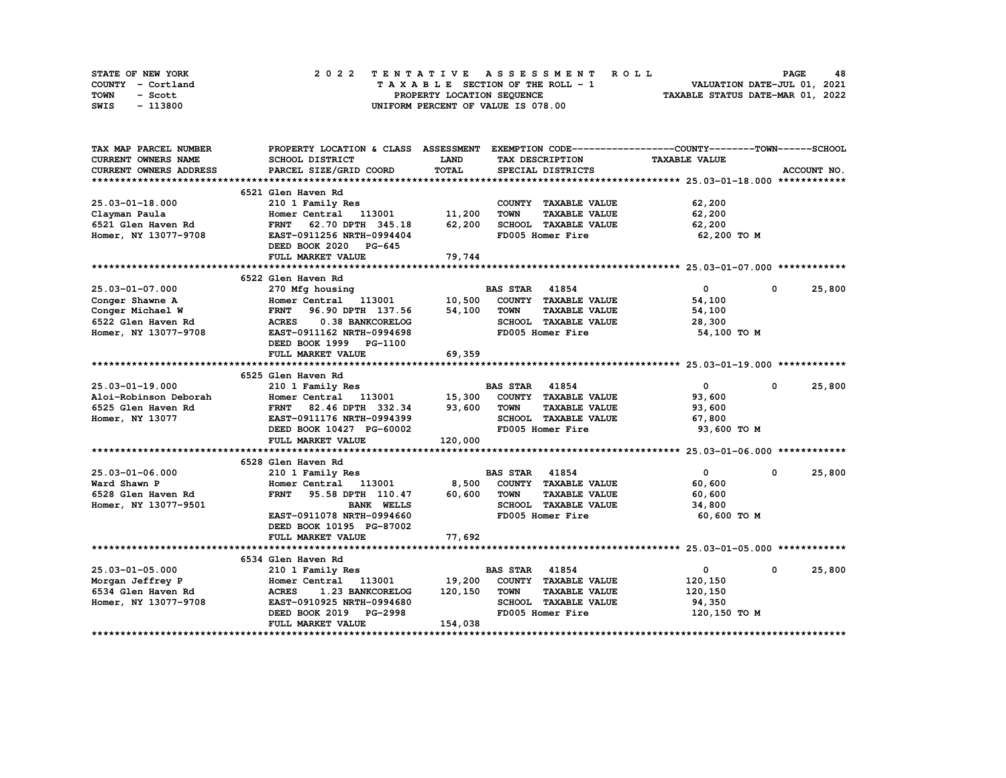| STATE OF NEW YORK | 2022 TENTATIVE ASSESSMENT ROLL     | 48<br><b>PAGE</b>                |
|-------------------|------------------------------------|----------------------------------|
| COUNTY - Cortland | TAXABLE SECTION OF THE ROLL - 1    | VALUATION DATE-JUL 01, 2021      |
| TOWN<br>- Scott   | PROPERTY LOCATION SEQUENCE         | TAXABLE STATUS DATE-MAR 01, 2022 |
| - 113800<br>SWIS  | UNIFORM PERCENT OF VALUE IS 078.00 |                                  |

| TAX MAP PARCEL NUMBER      | PROPERTY LOCATION & CLASS ASSESSMENT |         | EXEMPTION CODE-----------------COUNTY-------TOWN-----SCHOOL |                      |                        |
|----------------------------|--------------------------------------|---------|-------------------------------------------------------------|----------------------|------------------------|
| <b>CURRENT OWNERS NAME</b> | SCHOOL DISTRICT                      | LAND    | TAX DESCRIPTION                                             | <b>TAXABLE VALUE</b> |                        |
| CURRENT OWNERS ADDRESS     | PARCEL SIZE/GRID COORD               | TOTAL   | SPECIAL DISTRICTS                                           |                      | ACCOUNT NO.            |
|                            |                                      |         |                                                             |                      |                        |
|                            | 6521 Glen Haven Rd                   |         |                                                             |                      |                        |
| 25.03-01-18.000            | 210 1 Family Res                     |         | COUNTY TAXABLE VALUE                                        | 62,200               |                        |
| Clayman Paula              | Homer Central<br>113001              | 11,200  | <b>TOWN</b><br><b>TAXABLE VALUE</b>                         | 62,200               |                        |
| 6521 Glen Haven Rd         | FRNT 62.70 DPTH 345.18               | 62,200  | SCHOOL TAXABLE VALUE                                        | 62,200               |                        |
| Homer, NY 13077-9708       | EAST-0911256 NRTH-0994404            |         | FD005 Homer Fire                                            | 62,200 то м          |                        |
|                            | DEED BOOK 2020 PG-645                |         |                                                             |                      |                        |
|                            | FULL MARKET VALUE                    | 79,744  |                                                             |                      |                        |
|                            |                                      |         |                                                             |                      |                        |
|                            | 6522 Glen Haven Rd                   |         |                                                             |                      |                        |
| $25.03 - 01 - 07.000$      | 270 Mfg housing                      |         | <b>BAS STAR</b> 41854                                       | $\mathbf 0$          | 25,800<br>$\mathbf 0$  |
| Conger Shawne A            | Homer Central 113001                 | 10,500  | COUNTY TAXABLE VALUE                                        | 54,100               |                        |
| Conger Michael W           | <b>FRNT</b><br>96.90 DPTH 137.56     | 54,100  | <b>TOWN</b><br><b>TAXABLE VALUE</b>                         | 54,100               |                        |
| 6522 Glen Haven Rd         | <b>ACRES</b><br>0.38 BANKCORELOG     |         | SCHOOL TAXABLE VALUE                                        | 28,300               |                        |
| Homer, NY 13077-9708       | EAST-0911162 NRTH-0994698            |         | FD005 Homer Fire                                            | 54,100 TO M          |                        |
|                            | DEED BOOK 1999 PG-1100               |         |                                                             |                      |                        |
|                            | FULL MARKET VALUE                    | 69,359  |                                                             |                      |                        |
|                            |                                      |         |                                                             |                      |                        |
|                            | 6525 Glen Haven Rd                   |         |                                                             |                      |                        |
| 25.03-01-19.000            | 210 1 Family Res                     |         | BAS STAR 41854                                              | $\overline{0}$       | 25,800<br>$\mathbf{0}$ |
| Aloi-Robinson Deborah      | Homer Central 113001                 | 15,300  | COUNTY TAXABLE VALUE                                        | 93,600               |                        |
| 6525 Glen Haven Rd         | FRNT 82.46 DPTH 332.34               | 93,600  | <b>TOWN</b><br><b>TAXABLE VALUE</b>                         | 93,600               |                        |
| Homer, NY 13077            | EAST-0911176 NRTH-0994399            |         | SCHOOL TAXABLE VALUE                                        | 67,800               |                        |
|                            | DEED BOOK 10427 PG-60002             |         | FD005 Homer Fire                                            | 93,600 TO M          |                        |
|                            | FULL MARKET VALUE                    | 120,000 |                                                             |                      |                        |
|                            |                                      |         |                                                             |                      |                        |
|                            | 6528 Glen Haven Rd                   |         |                                                             |                      |                        |
| 25.03-01-06.000            | 210 1 Family Res                     |         | <b>BAS STAR</b> 41854                                       | $^{\circ}$           | 25,800<br>$^{\circ}$   |
| Ward Shawn P               | Homer Central 113001                 | 8,500   | COUNTY TAXABLE VALUE                                        | 60,600               |                        |
| 6528 Glen Haven Rd         | <b>FRNT</b><br>95.58 DPTH 110.47     | 60,600  | <b>TOWN</b><br><b>TAXABLE VALUE</b>                         | 60,600               |                        |
| Homer, NY 13077-9501       | <b>BANK WELLS</b>                    |         | SCHOOL TAXABLE VALUE                                        | 34,800               |                        |
|                            | EAST-0911078 NRTH-0994660            |         | FD005 Homer Fire                                            | 60,600 TO M          |                        |
|                            | DEED BOOK 10195 PG-87002             |         |                                                             |                      |                        |
|                            | FULL MARKET VALUE                    | 77,692  |                                                             |                      |                        |
|                            |                                      |         |                                                             |                      |                        |
|                            | 6534 Glen Haven Rd                   |         |                                                             |                      |                        |
| 25.03-01-05.000            | 210 1 Family Res                     |         | <b>BAS STAR 41854</b>                                       | $\mathbf{0}$         | 25,800<br>0            |
| Morgan Jeffrey P           | Homer Central<br>113001              | 19,200  | COUNTY TAXABLE VALUE                                        | 120,150              |                        |
| 6534 Glen Haven Rd         | 1.23 BANKCORELOG<br>ACRES            | 120,150 | <b>TOWN</b><br><b>TAXABLE VALUE</b>                         | 120,150              |                        |
| Homer, NY 13077-9708       | EAST-0910925 NRTH-0994680            |         | SCHOOL TAXABLE VALUE                                        | 94,350               |                        |
|                            | DEED BOOK 2019 PG-2998               |         | FD005 Homer Fire                                            | 120,150 TO M         |                        |
|                            | FULL MARKET VALUE                    | 154,038 |                                                             |                      |                        |
|                            |                                      |         |                                                             |                      |                        |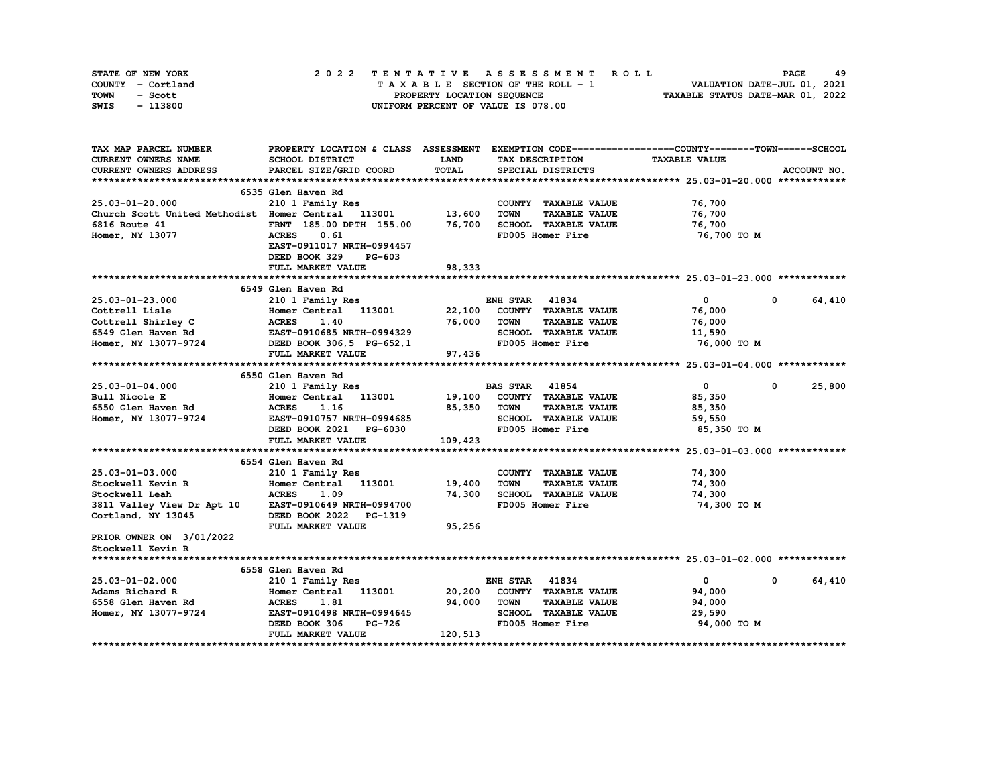| STATE OF NEW YORK |                   |  |  |  |  | 2022 TENTATIVE ASSESSMENT ROLL     |  |  |  |  |  |  |                                  | <b>PAGE</b> | 49 |
|-------------------|-------------------|--|--|--|--|------------------------------------|--|--|--|--|--|--|----------------------------------|-------------|----|
|                   | COUNTY - Cortland |  |  |  |  | TAXABLE SECTION OF THE ROLL - 1    |  |  |  |  |  |  | VALUATION DATE-JUL 01, 2021      |             |    |
| TOWN              | - Scott           |  |  |  |  | PROPERTY LOCATION SEQUENCE         |  |  |  |  |  |  | TAXABLE STATUS DATE-MAR 01, 2022 |             |    |
| SWIS              | - 113800          |  |  |  |  | UNIFORM PERCENT OF VALUE IS 078.00 |  |  |  |  |  |  |                                  |             |    |

| TAX MAP PARCEL NUMBER                                                  | PROPERTY LOCATION & CLASS ASSESSMENT EXEMPTION CODE----------------COUNTY-------TOWN-----SCHOOL |             |                                     |                      |                       |
|------------------------------------------------------------------------|-------------------------------------------------------------------------------------------------|-------------|-------------------------------------|----------------------|-----------------------|
| <b>CURRENT OWNERS NAME</b>                                             | SCHOOL DISTRICT                                                                                 | <b>LAND</b> | TAX DESCRIPTION                     | <b>TAXABLE VALUE</b> |                       |
| CURRENT OWNERS ADDRESS                                                 | PARCEL SIZE/GRID COORD                                                                          | TOTAL       | SPECIAL DISTRICTS                   |                      | ACCOUNT NO.           |
|                                                                        |                                                                                                 |             |                                     |                      |                       |
|                                                                        | 6535 Glen Haven Rd                                                                              |             |                                     |                      |                       |
| 25.03-01-20.000                                                        | 210 1 Family Res                                                                                |             | COUNTY TAXABLE VALUE                | 76,700               |                       |
| Church Scott United Methodist Homer Central 113001 13,600              |                                                                                                 |             | <b>TOWN</b><br><b>TAXABLE VALUE</b> | 76,700               |                       |
| 6816 Route 41                                                          | FRNT 185.00 DPTH 155.00 76,700                                                                  |             | SCHOOL TAXABLE VALUE                | 76,700               |                       |
| Homer, NY 13077                                                        | <b>ACRES</b><br>0.61                                                                            |             | FD005 Homer Fire                    | 76,700 TO M          |                       |
|                                                                        | EAST-0911017 NRTH-0994457                                                                       |             |                                     |                      |                       |
|                                                                        | DEED BOOK 329<br><b>PG-603</b>                                                                  |             |                                     |                      |                       |
|                                                                        | FULL MARKET VALUE                                                                               | 98,333      |                                     |                      |                       |
|                                                                        |                                                                                                 |             |                                     |                      |                       |
|                                                                        | 6549 Glen Haven Rd                                                                              |             |                                     |                      |                       |
| 25.03-01-23.000                                                        | 210 1 Family Res                                                                                |             | <b>ENH STAR 41834</b>               | $\mathbf{0}$         | 64,410<br>$\mathbf 0$ |
| Cottrell Lisle                                                         | Homer Central 113001 22,100                                                                     |             | COUNTY TAXABLE VALUE                | 76,000               |                       |
| <b>ACRES</b><br>Cottrell Shirley C                                     | 1.40                                                                                            | 76,000      | <b>TOWN</b><br><b>TAXABLE VALUE</b> | 76,000               |                       |
|                                                                        |                                                                                                 |             | SCHOOL TAXABLE VALUE                | 11,590               |                       |
| 6549 Glen Haven Rd<br>Homer, NY 13077-9724<br>DEED BOOK 306,5 PG-652,1 |                                                                                                 |             | FD005 Homer Fire                    | 76,000 то м          |                       |
|                                                                        | FULL MARKET VALUE                                                                               | 97,436      |                                     |                      |                       |
|                                                                        |                                                                                                 |             |                                     |                      |                       |
|                                                                        | 6550 Glen Haven Rd                                                                              |             |                                     |                      |                       |
| 25.03-01-04.000                                                        | 210 1 Family Res                                                                                |             | <b>BAS STAR 41854</b>               | $\mathbf{0}$         | 25,800<br>0           |
| <b>Bull Nicole E</b>                                                   | Homer Central 113001                                                                            | 19,100      | COUNTY TAXABLE VALUE                | 85,350               |                       |
| 6550 Glen Haven Rd                                                     | <b>ACRES</b><br>1.16                                                                            | 85,350      | <b>TOWN</b><br><b>TAXABLE VALUE</b> | 85,350               |                       |
| Homer, NY 13077-9724                                                   | EAST-0910757 NRTH-0994685                                                                       |             | SCHOOL TAXABLE VALUE                | 59,550               |                       |
|                                                                        | DEED BOOK 2021 PG-6030                                                                          |             | FD005 Homer Fire                    | 85,350 TO M          |                       |
|                                                                        | FULL MARKET VALUE                                                                               | 109,423     |                                     |                      |                       |
|                                                                        |                                                                                                 |             |                                     |                      |                       |
|                                                                        | 6554 Glen Haven Rd                                                                              |             |                                     |                      |                       |
| 25.03-01-03.000                                                        | 210 1 Family Res                                                                                |             | COUNTY TAXABLE VALUE                | 74,300               |                       |
| Stockwell Kevin R Momer Central 113001                                 |                                                                                                 | 19,400      | <b>TOWN</b><br><b>TAXABLE VALUE</b> | 74,300               |                       |
| Stockwell Leah                                                         | <b>ACRES</b><br>1.09                                                                            | 74,300      | SCHOOL TAXABLE VALUE                | 74,300               |                       |
| 3811 Valley View Dr Apt 10                                             | EAST-0910649 NRTH-0994700                                                                       |             | FD005 Homer Fire                    | 74,300 TO M          |                       |
| Cortland, NY 13045                                                     | DEED BOOK 2022 PG-1319                                                                          |             |                                     |                      |                       |
|                                                                        | FULL MARKET VALUE                                                                               | 95,256      |                                     |                      |                       |
| PRIOR OWNER ON 3/01/2022                                               |                                                                                                 |             |                                     |                      |                       |
| Stockwell Kevin R                                                      |                                                                                                 |             |                                     |                      |                       |
|                                                                        |                                                                                                 |             |                                     |                      |                       |
|                                                                        | 6558 Glen Haven Rd                                                                              |             |                                     |                      |                       |
| 25.03-01-02.000                                                        | 210 1 Family Res                                                                                |             | <b>ENH STAR 41834</b>               | $\mathbf{0}$         | 64,410<br>$^{\circ}$  |
| Adams Richard R                                                        | Homer Central 113001                                                                            | 20,200      | COUNTY TAXABLE VALUE                | 94,000               |                       |
| 6558 Glen Haven Rd                                                     | <b>ACRES</b><br>1.81                                                                            | 94,000      | <b>TOWN</b><br><b>TAXABLE VALUE</b> | 94,000               |                       |
| Homer, NY 13077-9724                                                   | EAST-0910498 NRTH-0994645                                                                       |             | SCHOOL TAXABLE VALUE                | 29,590               |                       |
|                                                                        | <b>PG-726</b><br>DEED BOOK 306                                                                  |             | FD005 Homer Fire                    | 94,000 TO M          |                       |
|                                                                        |                                                                                                 |             |                                     |                      |                       |
|                                                                        | FULL MARKET VALUE                                                                               | 120,513     |                                     |                      |                       |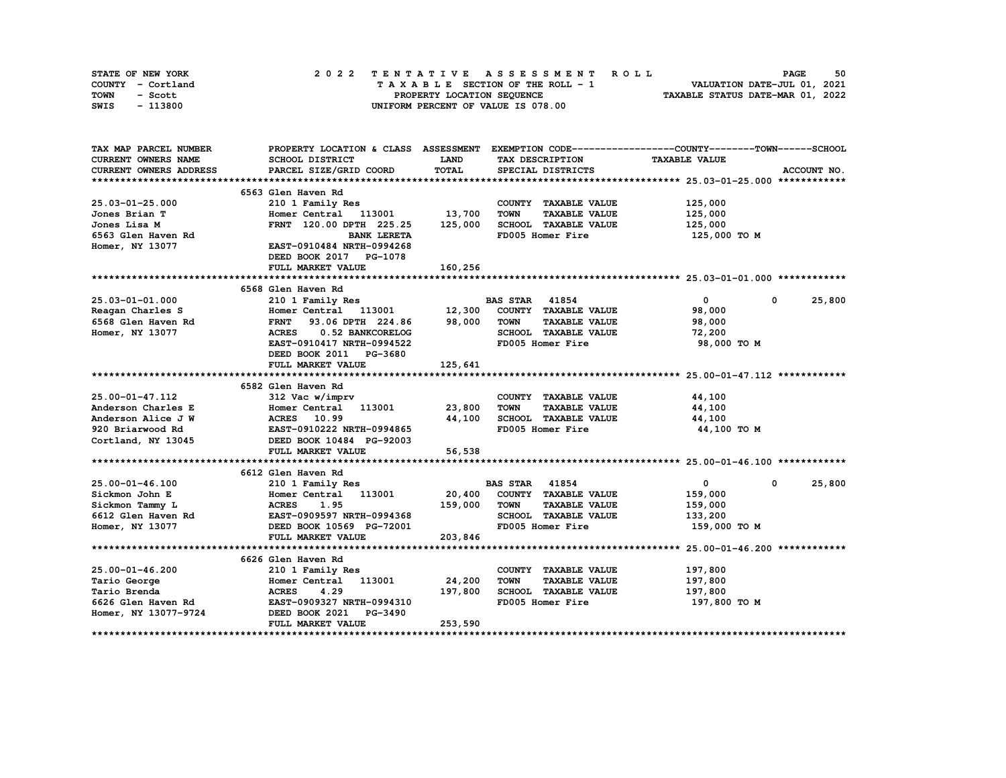| STATE OF NEW YORK | 2022 TENTATIVE ASSESSMENT ROLL     | 50<br><b>PAGE</b>                |
|-------------------|------------------------------------|----------------------------------|
| COUNTY - Cortland | TAXABLE SECTION OF THE ROLL - 1    | VALUATION DATE-JUL 01, 2021      |
| TOWN<br>- Scott   | PROPERTY LOCATION SEQUENCE         | TAXABLE STATUS DATE-MAR 01, 2022 |
| - 113800<br>SWIS  | UNIFORM PERCENT OF VALUE IS 078.00 |                                  |

| TAX MAP PARCEL NUMBER  |                                  |         |                                     | PROPERTY LOCATION & CLASS ASSESSMENT EXEMPTION CODE----------------COUNTY-------TOWN------SCHOOL |  |
|------------------------|----------------------------------|---------|-------------------------------------|--------------------------------------------------------------------------------------------------|--|
| CURRENT OWNERS NAME    | SCHOOL DISTRICT                  | LAND    | TAX DESCRIPTION                     | <b>TAXABLE VALUE</b>                                                                             |  |
| CURRENT OWNERS ADDRESS | PARCEL SIZE/GRID COORD           | TOTAL   | SPECIAL DISTRICTS                   | ACCOUNT NO.                                                                                      |  |
|                        |                                  |         |                                     |                                                                                                  |  |
|                        | 6563 Glen Haven Rd               |         |                                     |                                                                                                  |  |
| 25.03-01-25.000        | 210 1 Family Res                 |         | COUNTY TAXABLE VALUE                | 125,000                                                                                          |  |
| Jones Brian T          | Homer Central 113001             | 13,700  | <b>TOWN</b><br><b>TAXABLE VALUE</b> | 125,000                                                                                          |  |
| Jones Lisa M           | FRNT 120.00 DPTH 225.25          | 125,000 | <b>SCHOOL TAXABLE VALUE</b>         | 125,000                                                                                          |  |
| 6563 Glen Haven Rd     | <b>BANK LERETA</b>               |         | FD005 Homer Fire                    | 125,000 TO M                                                                                     |  |
| Homer, NY 13077        | EAST-0910484 NRTH-0994268        |         |                                     |                                                                                                  |  |
|                        | DEED BOOK 2017 PG-1078           |         |                                     |                                                                                                  |  |
|                        | FULL MARKET VALUE                | 160,256 |                                     |                                                                                                  |  |
|                        |                                  |         |                                     |                                                                                                  |  |
|                        | 6568 Glen Haven Rd               |         |                                     |                                                                                                  |  |
| 25.03-01-01.000        | 210 1 Family Res                 |         | <b>BAS STAR 41854</b>               | $\mathbf{0}$<br>$^{\circ}$<br>25,800                                                             |  |
| Reagan Charles S       | Homer Central 113001 12,300      |         | COUNTY TAXABLE VALUE                | 98,000                                                                                           |  |
| 6568 Glen Haven Rd     | 93.06 DPTH 224.86<br><b>FRNT</b> | 98,000  | <b>TOWN</b><br><b>TAXABLE VALUE</b> | 98,000                                                                                           |  |
| Homer, NY 13077        | <b>ACRES</b><br>0.52 BANKCORELOG |         | SCHOOL TAXABLE VALUE                | 72,200                                                                                           |  |
|                        | EAST-0910417 NRTH-0994522        |         | FD005 Homer Fire                    | 98,000 TO M                                                                                      |  |
|                        | DEED BOOK 2011 PG-3680           |         |                                     |                                                                                                  |  |
|                        | FULL MARKET VALUE                | 125,641 |                                     |                                                                                                  |  |
|                        |                                  |         |                                     |                                                                                                  |  |
|                        | 6582 Glen Haven Rd               |         |                                     |                                                                                                  |  |
| 25.00-01-47.112        | 312 Vac w/imprv                  |         | COUNTY TAXABLE VALUE                | 44,100                                                                                           |  |
| Anderson Charles E     | Homer Central 113001             | 23,800  | <b>TOWN</b><br><b>TAXABLE VALUE</b> | 44,100                                                                                           |  |
| Anderson Alice J W     | ACRES 10.99                      | 44,100  | SCHOOL TAXABLE VALUE                | 44,100                                                                                           |  |
| 920 Briarwood Rd       | EAST-0910222 NRTH-0994865        |         | FD005 Homer Fire                    | 44,100 TO M                                                                                      |  |
| Cortland, NY 13045     | DEED BOOK 10484 PG-92003         |         |                                     |                                                                                                  |  |
|                        | FULL MARKET VALUE                | 56,538  |                                     |                                                                                                  |  |
|                        |                                  |         |                                     |                                                                                                  |  |
|                        | 6612 Glen Haven Rd               |         |                                     |                                                                                                  |  |
| 25.00-01-46.100        | 210 1 Family Res                 |         | <b>BAS STAR</b> 41854               | 25,800<br>$\mathbf{0}$<br>$\mathbf 0$                                                            |  |
| Sickmon John E         | Homer Central 113001             | 20,400  | COUNTY TAXABLE VALUE                | 159,000                                                                                          |  |
| Sickmon Tammy L        | <b>ACRES</b><br>1.95             | 159,000 | <b>TOWN</b><br><b>TAXABLE VALUE</b> | 159,000                                                                                          |  |
| 6612 Glen Haven Rd     | EAST-0909597 NRTH-0994368        |         | SCHOOL TAXABLE VALUE                | 133,200                                                                                          |  |
| Homer, NY 13077        | DEED BOOK 10569 PG-72001         |         | FD005 Homer Fire                    | 159,000 то м                                                                                     |  |
|                        | FULL MARKET VALUE                | 203,846 |                                     |                                                                                                  |  |
|                        |                                  |         |                                     |                                                                                                  |  |
|                        | 6626 Glen Haven Rd               |         |                                     |                                                                                                  |  |
| 25.00-01-46.200        | 210 1 Family Res                 |         | COUNTY TAXABLE VALUE                | 197,800                                                                                          |  |
| Tario George           | 113001<br>Homer Central          | 24,200  | <b>TOWN</b><br><b>TAXABLE VALUE</b> | 197,800                                                                                          |  |
| Tario Brenda           | <b>ACRES</b><br>4.29             | 197,800 | SCHOOL TAXABLE VALUE                | 197,800                                                                                          |  |
| 6626 Glen Haven Rd     | EAST-0909327 NRTH-0994310        |         | FD005 Homer Fire                    | 197,800 то м                                                                                     |  |
| Homer, NY 13077-9724   | DEED BOOK 2021<br><b>PG-3490</b> |         |                                     |                                                                                                  |  |
|                        | FULL MARKET VALUE                | 253,590 |                                     |                                                                                                  |  |
|                        |                                  |         |                                     |                                                                                                  |  |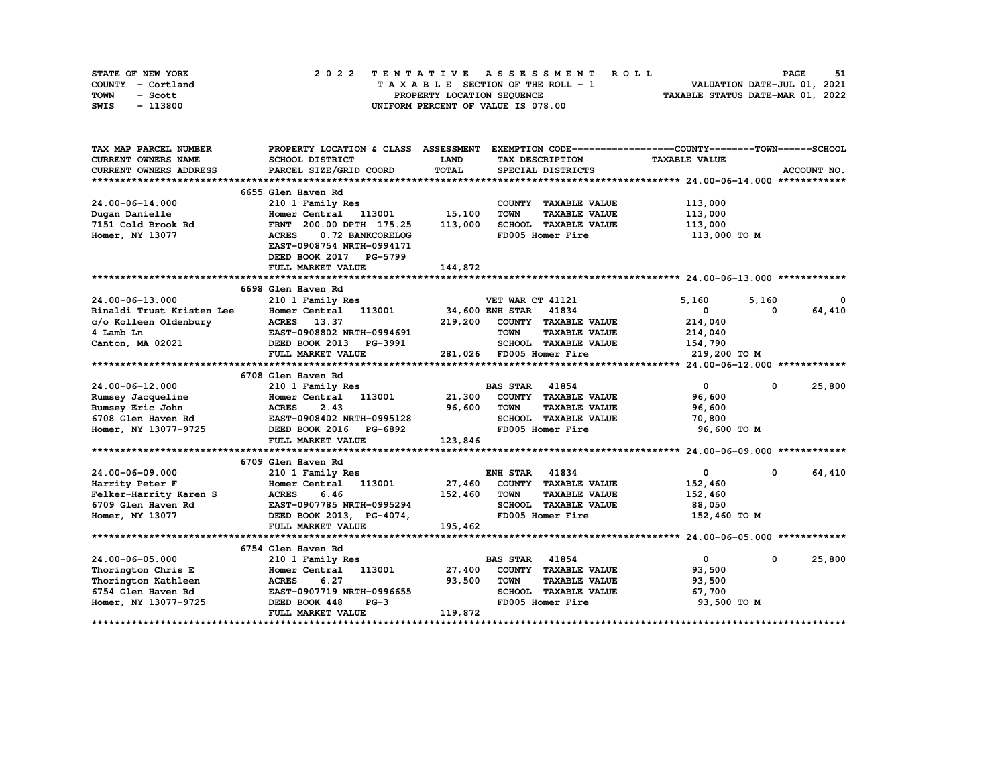| STATE OF NEW YORK | 2022 TENTATIVE ASSESSMENT ROLL     | 51<br><b>PAGE</b>                |
|-------------------|------------------------------------|----------------------------------|
| COUNTY - Cortland | TAXABLE SECTION OF THE ROLL - 1    | VALUATION DATE-JUL 01, 2021      |
| TOWN<br>- Scott   | PROPERTY LOCATION SEOUENCE         | TAXABLE STATUS DATE-MAR 01, 2022 |
| - 113800<br>SWIS  | UNIFORM PERCENT OF VALUE IS 078.00 |                                  |

| TAX MAP PARCEL NUMBER      | PROPERTY LOCATION & CLASS ASSESSMENT |             | EXEMPTION CODE------------------COUNTY-------TOWN------SCHOOL |                      |       |             |
|----------------------------|--------------------------------------|-------------|---------------------------------------------------------------|----------------------|-------|-------------|
| <b>CURRENT OWNERS NAME</b> | SCHOOL DISTRICT                      | <b>LAND</b> | TAX DESCRIPTION                                               | <b>TAXABLE VALUE</b> |       |             |
| CURRENT OWNERS ADDRESS     | PARCEL SIZE/GRID COORD               | TOTAL       | SPECIAL DISTRICTS                                             |                      |       | ACCOUNT NO. |
|                            |                                      |             |                                                               |                      |       |             |
|                            | 6655 Glen Haven Rd                   |             |                                                               |                      |       |             |
| 24.00-06-14.000            | 210 1 Family Res                     |             | COUNTY TAXABLE VALUE                                          | 113,000              |       |             |
| Dugan Danielle             | Homer Central 113001                 | 15,100      | <b>TAXABLE VALUE</b><br><b>TOWN</b>                           | 113,000              |       |             |
| 7151 Cold Brook Rd         | FRNT 200.00 DPTH 175.25              | 113,000     | SCHOOL TAXABLE VALUE                                          | 113,000              |       |             |
| Homer, NY 13077            | <b>ACRES</b><br>0.72 BANKCORELOG     |             | FD005 Homer Fire                                              | 113,000 то м         |       |             |
|                            | EAST-0908754 NRTH-0994171            |             |                                                               |                      |       |             |
|                            | DEED BOOK 2017<br><b>PG-5799</b>     |             |                                                               |                      |       |             |
|                            | FULL MARKET VALUE                    | 144,872     |                                                               |                      |       |             |
|                            |                                      |             |                                                               |                      |       |             |
|                            | 6698 Glen Haven Rd                   |             |                                                               |                      |       |             |
| 24.00-06-13.000            | 210 1 Family Res                     |             | VET WAR CT 41121                                              | 5,160                | 5,160 | 0           |
| Rinaldi Trust Kristen Lee  | Homer Central 113001                 |             | 34,600 ENH STAR 41834                                         | 0                    | 0     | 64,410      |
| c/o Kolleen Oldenbury      | ACRES 13.37                          | 219,200     | COUNTY TAXABLE VALUE                                          | 214,040              |       |             |
| 4 Lamb Ln                  | EAST-0908802 NRTH-0994691            |             | <b>TOWN</b><br><b>TAXABLE VALUE</b>                           | 214,040              |       |             |
| Canton, MA 02021           | DEED BOOK 2013 PG-3991               |             | SCHOOL TAXABLE VALUE                                          | 154,790              |       |             |
|                            | FULL MARKET VALUE                    |             | 281,026 FD005 Homer Fire                                      | 219,200 то м         |       |             |
|                            |                                      |             |                                                               |                      |       |             |
|                            | 6708 Glen Haven Rd                   |             |                                                               |                      |       |             |
| 24.00-06-12.000            | 210 1 Family Res                     |             | <b>BAS STAR</b> 41854                                         | $\mathbf{0}$         | 0     | 25,800      |
| Rumsey Jacqueline          | Homer Central 113001 21,300          |             | COUNTY TAXABLE VALUE                                          | 96,600               |       |             |
| Rumsey Eric John           | <b>ACRES</b><br>2.43                 | 96,600      | <b>TAXABLE VALUE</b><br><b>TOWN</b>                           | 96,600               |       |             |
| 6708 Glen Haven Rd         | EAST-0908402 NRTH-0995128            |             | SCHOOL TAXABLE VALUE                                          | 70,800               |       |             |
| Homer, NY 13077-9725       | DEED BOOK 2016<br>PG-6892            |             | FD005 Homer Fire                                              | 96,600 TO M          |       |             |
|                            | FULL MARKET VALUE                    | 123,846     |                                                               |                      |       |             |
|                            |                                      |             |                                                               |                      |       |             |
|                            | 6709 Glen Haven Rd                   |             |                                                               |                      |       |             |
| 24.00-06-09.000            | 210 1 Family Res                     |             | <b>ENH STAR 41834</b>                                         | $\mathbf{0}$         | 0     | 64,410      |
| Harrity Peter F            | Homer Central 113001                 | 27,460      | COUNTY TAXABLE VALUE                                          | 152,460              |       |             |
| Felker-Harrity Karen S     | <b>ACRES</b><br>6.46                 | 152,460     | <b>TOWN</b><br><b>TAXABLE VALUE</b>                           | 152,460              |       |             |
| 6709 Glen Haven Rd         | EAST-0907785 NRTH-0995294            |             | SCHOOL TAXABLE VALUE                                          | 88,050               |       |             |
| Homer, NY 13077            | DEED BOOK 2013, PG-4074,             |             | FD005 Homer Fire                                              | 152,460 TO M         |       |             |
|                            | FULL MARKET VALUE                    | 195,462     |                                                               |                      |       |             |
|                            |                                      |             |                                                               |                      |       |             |
|                            | 6754 Glen Haven Rd                   |             |                                                               |                      |       |             |
| 24.00-06-05.000            | 210 1 Family Res                     |             | <b>BAS STAR</b><br>41854                                      | $\mathbf{0}$         | 0     | 25,800      |
| Thorington Chris E         | Homer Central<br>113001              | 27,400      | COUNTY TAXABLE VALUE                                          | 93,500               |       |             |
| Thorington Kathleen        | <b>ACRES</b><br>6.27                 | 93,500      | <b>TOWN</b><br><b>TAXABLE VALUE</b>                           | 93,500               |       |             |
| 6754 Glen Haven Rd         | EAST-0907719 NRTH-0996655            |             | SCHOOL TAXABLE VALUE                                          | 67,700               |       |             |
| Homer, NY 13077-9725       | $PG-3$<br>DEED BOOK 448              |             | FD005 Homer Fire                                              | 93,500 TO M          |       |             |
|                            | FULL MARKET VALUE                    | 119,872     |                                                               |                      |       |             |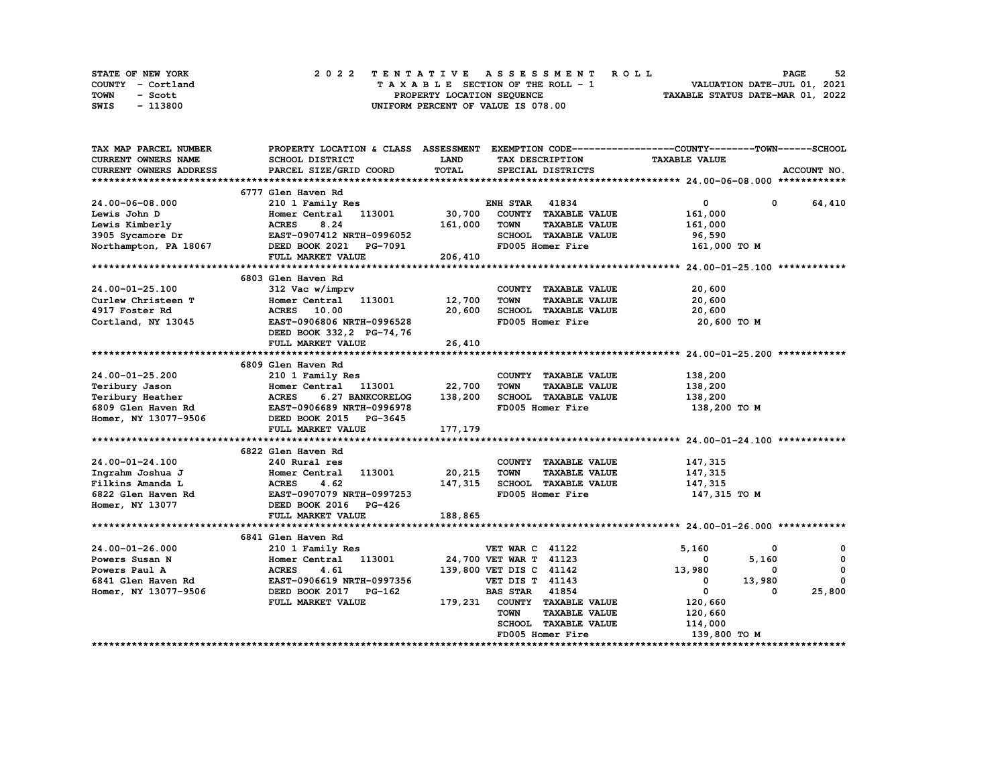| STATE OF NEW YORK | 2022 TENTATIVE ASSESSMENT ROLL     | 52<br><b>PAGE</b>                |
|-------------------|------------------------------------|----------------------------------|
| COUNTY - Cortland | TAXABLE SECTION OF THE ROLL - 1    | VALUATION DATE-JUL 01, 2021      |
| TOWN<br>- Scott   | PROPERTY LOCATION SEQUENCE         | TAXABLE STATUS DATE-MAR 01, 2022 |
| - 113800<br>SWIS  | UNIFORM PERCENT OF VALUE IS 078.00 |                                  |

| TAX MAP PARCEL NUMBER                      | PROPERTY LOCATION & CLASS ASSESSMENT EXEMPTION CODE-----------------COUNTY-------TOWN------SCHOOL |              |                                              |                      |                        |
|--------------------------------------------|---------------------------------------------------------------------------------------------------|--------------|----------------------------------------------|----------------------|------------------------|
| <b>CURRENT OWNERS NAME</b>                 | SCHOOL DISTRICT                                                                                   | <b>LAND</b>  | TAX DESCRIPTION                              | <b>TAXABLE VALUE</b> |                        |
| CURRENT OWNERS ADDRESS                     | PARCEL SIZE/GRID COORD                                                                            | <b>TOTAL</b> | SPECIAL DISTRICTS                            |                      | ACCOUNT NO.            |
|                                            |                                                                                                   |              |                                              |                      |                        |
|                                            | 6777 Glen Haven Rd                                                                                |              |                                              |                      |                        |
| 24.00-06-08.000                            | 210 1 Family Res                                                                                  |              | <b>ENH STAR 41834</b>                        | $\mathbf{0}$         | 64,410<br>$^{\circ}$   |
| Lewis John D                               | Homer Central 113001                                                                              | 30,700       | COUNTY TAXABLE VALUE                         | 161,000              |                        |
| Lewis Kimberly                             | <b>ACRES</b><br>8.24                                                                              | 161,000      | TOWN<br><b>TAXABLE VALUE</b>                 | 161,000              |                        |
| 3905 Sycamore Dr                           | EAST-0907412 NRTH-0996052                                                                         |              | SCHOOL TAXABLE VALUE                         | 96,590               |                        |
| Northampton, PA 18067                      | DEED BOOK 2021 PG-7091                                                                            |              | FD005 Homer Fire                             | 161,000 TO M         |                        |
|                                            | FULL MARKET VALUE                                                                                 | 206,410      |                                              |                      |                        |
|                                            |                                                                                                   |              |                                              |                      |                        |
|                                            | 6803 Glen Haven Rd                                                                                |              |                                              |                      |                        |
| 24.00-01-25.100                            | 312 Vac w/imprv                                                                                   |              | COUNTY TAXABLE VALUE                         | 20,600               |                        |
| Curlew Christeen T                         | Homer Central 113001                                                                              | 12,700       | <b>TOWN</b><br><b>TAXABLE VALUE</b>          | 20,600               |                        |
| 4917 Foster Rd                             | <b>ACRES</b> 10.00                                                                                | 20,600       | SCHOOL TAXABLE VALUE                         | 20,600               |                        |
| Cortland, NY 13045                         | EAST-0906806 NRTH-0996528                                                                         |              | FD005 Homer Fire                             | 20,600 TO M          |                        |
|                                            | DEED BOOK 332, 2 PG-74, 76                                                                        |              |                                              |                      |                        |
|                                            | FULL MARKET VALUE                                                                                 | 26,410       |                                              |                      |                        |
|                                            |                                                                                                   |              |                                              |                      |                        |
|                                            | 6809 Glen Haven Rd                                                                                |              |                                              |                      |                        |
| 24.00-01-25.200                            | 210 1 Family Res                                                                                  |              | COUNTY TAXABLE VALUE                         | 138,200              |                        |
| Teribury Jason                             | Homer Central 113001                                                                              | 22,700       | <b>TOWN</b><br><b>TAXABLE VALUE</b>          | 138,200              |                        |
| Teribury Heather                           | <b>ACRES</b><br>6.27 BANKCORELOG                                                                  | 138,200      | SCHOOL TAXABLE VALUE                         | 138,200              |                        |
|                                            | EAST-0906689 NRTH-0996978                                                                         |              | FD005 Homer Fire                             | 138,200 то м         |                        |
| 6809 Glen Haven Rd<br>Homer, NY 13077-9506 | DEED BOOK 2015 PG-3645                                                                            |              |                                              |                      |                        |
|                                            | FULL MARKET VALUE                                                                                 | 177,179      |                                              |                      |                        |
|                                            |                                                                                                   |              |                                              |                      |                        |
|                                            |                                                                                                   |              |                                              |                      |                        |
| 24.00-01-24.100                            | 6822 Glen Haven Rd                                                                                |              | COUNTY TAXABLE VALUE                         |                      |                        |
|                                            | 240 Rural res                                                                                     | 20,215       | TOWN                                         | 147,315              |                        |
| Ingrahm Joshua J<br>Filkins Amanda L       | Homer Central 113001<br><b>ACRES</b><br>4.62                                                      | 147,315      | <b>TAXABLE VALUE</b><br>SCHOOL TAXABLE VALUE | 147,315              |                        |
|                                            |                                                                                                   |              | FD005 Homer Fire                             | 147,315              |                        |
| 6822 Glen Haven Rd                         | EAST-0907079 NRTH-0997253<br>DEED BOOK 2016 PG-426                                                |              |                                              | 147,315 TO M         |                        |
| Homer, NY 13077                            |                                                                                                   |              |                                              |                      |                        |
|                                            | FULL MARKET VALUE                                                                                 | 188,865      |                                              |                      |                        |
|                                            |                                                                                                   |              |                                              |                      |                        |
|                                            | 6841 Glen Haven Rd                                                                                |              |                                              |                      | 0                      |
| 24.00-01-26.000                            | 210 1 Family Res                                                                                  |              | <b>VET WAR C 41122</b>                       | 5,160                | 0                      |
| Powers Susan N                             | Homer Central 113001                                                                              |              | 24,700 VET WAR T 41123                       | $\mathbf 0$          | 5,160<br>$^{\circ}$    |
| Powers Paul A                              | <b>ACRES</b><br>4.61                                                                              |              | 139,800 VET DIS C 41142                      | 13,980               | 0<br>0                 |
| 6841 Glen Haven Rd                         | EAST-0906619 NRTH-0997356                                                                         |              | <b>VET DIS T 41143</b>                       | 0                    | $\mathbf{0}$<br>13,980 |
| Homer, NY 13077-9506                       | DEED BOOK 2017 PG-162                                                                             |              | <b>BAS STAR 41854</b>                        | $\mathbf{0}$         | 25,800<br><sup>0</sup> |
|                                            | FULL MARKET VALUE                                                                                 |              | 179,231 COUNTY TAXABLE VALUE                 | 120,660              |                        |
|                                            |                                                                                                   |              | <b>TOWN</b><br><b>TAXABLE VALUE</b>          | 120,660              |                        |
|                                            |                                                                                                   |              | SCHOOL TAXABLE VALUE                         | 114,000              |                        |
|                                            |                                                                                                   |              | FD005 Homer Fire                             | 139,800 TO M         |                        |
|                                            |                                                                                                   |              |                                              |                      |                        |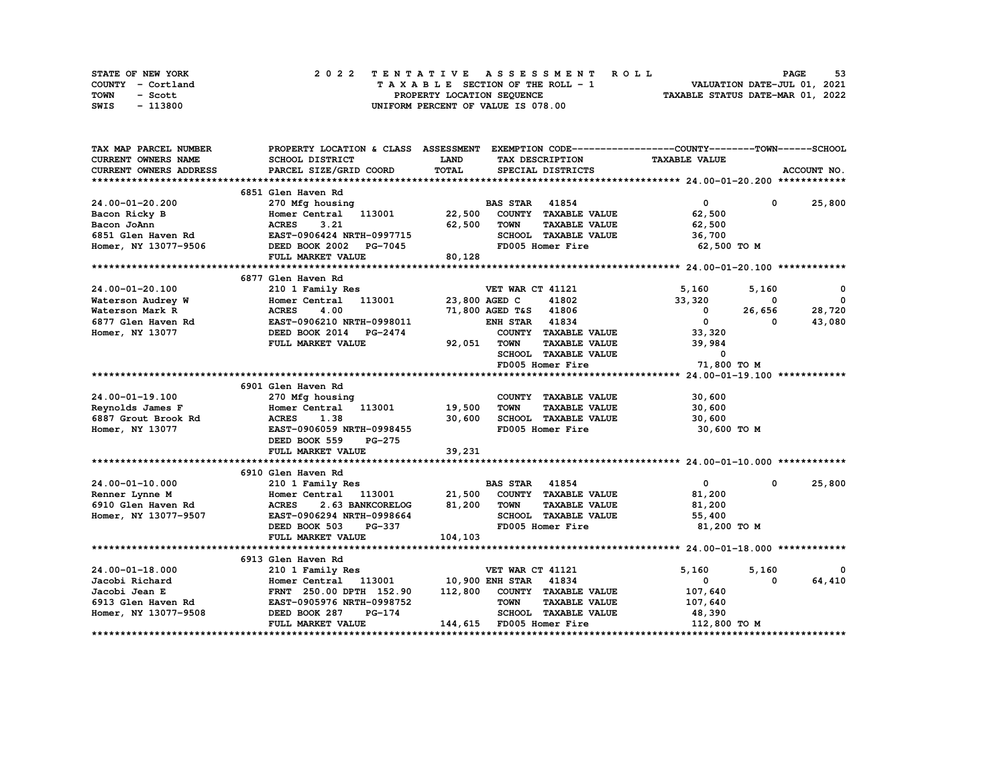| STATE OF NEW YORK |  | 2022 TENTATIVE ASSESSMENT ROLL     |  | <b>PAGE</b>                      | 53 |
|-------------------|--|------------------------------------|--|----------------------------------|----|
| COUNTY - Cortland |  | TAXABLE SECTION OF THE ROLL - 1    |  | VALUATION DATE-JUL 01, 2021      |    |
| TOWN<br>- Scott   |  | PROPERTY LOCATION SEQUENCE         |  | TAXABLE STATUS DATE-MAR 01, 2022 |    |
| - 113800<br>SWIS  |  | UNIFORM PERCENT OF VALUE IS 078.00 |  |                                  |    |

| TAX MAP PARCEL NUMBER                   | PROPERTY LOCATION & CLASS ASSESSMENT  |         | EXEMPTION CODE-----------------COUNTY-------TOWN-----SCHOOL |                      |                        |
|-----------------------------------------|---------------------------------------|---------|-------------------------------------------------------------|----------------------|------------------------|
| <b>CURRENT OWNERS NAME</b>              | SCHOOL DISTRICT                       | LAND    | TAX DESCRIPTION                                             | <b>TAXABLE VALUE</b> |                        |
| CURRENT OWNERS ADDRESS                  | PARCEL SIZE/GRID COORD                | TOTAL   | SPECIAL DISTRICTS                                           |                      | ACCOUNT NO.            |
|                                         |                                       |         |                                                             |                      |                        |
|                                         | 6851 Glen Haven Rd                    |         |                                                             |                      |                        |
| 24.00-01-20.200                         | 270 Mfg housing                       |         | <b>BAS STAR</b><br>41854                                    | $\mathbf{0}$         | 25,800<br>$^{\circ}$   |
| Bacon Ricky B                           | Homer Central<br>113001               | 22,500  | COUNTY TAXABLE VALUE                                        | 62,500               |                        |
| Bacon JoAnn                             | <b>ACRES</b><br>3.21                  | 62,500  | <b>TOWN</b><br><b>TAXABLE VALUE</b>                         | 62,500               |                        |
| 6851 Glen Haven Rd                      | EAST-0906424 NRTH-0997715             |         | SCHOOL TAXABLE VALUE                                        | 36,700               |                        |
| Homer, NY 13077-9506                    | DEED BOOK 2002<br><b>PG-7045</b>      |         | FD005 Homer Fire                                            | 62,500 TO M          |                        |
|                                         | FULL MARKET VALUE                     | 80,128  |                                                             |                      |                        |
|                                         |                                       |         |                                                             |                      |                        |
|                                         | 6877 Glen Haven Rd                    |         |                                                             |                      |                        |
| 24.00-01-20.100                         | 210 1 Family Res                      |         | VET WAR CT 41121                                            | 5,160                | 5,160<br>0             |
| Waterson Audrey W                       | Homer Central<br>113001               |         | 23,800 AGED C<br>41802                                      | 33,320               | $^{\circ}$<br>0        |
| Waterson Mark R                         | 4.00<br><b>ACRES</b>                  |         | 41806<br>71,800 AGED T&S                                    | 0                    | 28,720<br>26,656       |
| 6877 Glen Haven Rd                      | EAST-0906210 NRTH-0998011             |         | 41834<br><b>ENH STAR</b>                                    | $\mathbf 0$          | 43,080<br>$\Omega$     |
| Homer, NY 13077                         | DEED BOOK 2014<br>PG-2474             |         | COUNTY TAXABLE VALUE                                        | 33,320               |                        |
|                                         | FULL MARKET VALUE                     | 92,051  | <b>TOWN</b><br><b>TAXABLE VALUE</b>                         | 39,984               |                        |
|                                         |                                       |         | SCHOOL TAXABLE VALUE                                        | $\Omega$             |                        |
|                                         |                                       |         | FD005 Homer Fire                                            | 71,800 TO M          |                        |
|                                         |                                       |         |                                                             |                      |                        |
|                                         | 6901 Glen Haven Rd                    |         |                                                             |                      |                        |
| 24.00-01-19.100                         | 270 Mfg housing                       |         | COUNTY TAXABLE VALUE                                        | 30,600               |                        |
|                                         | 113001                                | 19,500  | <b>TOWN</b>                                                 | 30,600               |                        |
| Reynolds James F<br>6887 Grout Brook Rd | Homer Central<br><b>ACRES</b><br>1.38 |         | <b>TAXABLE VALUE</b><br>SCHOOL TAXABLE VALUE                |                      |                        |
|                                         |                                       | 30,600  |                                                             | 30,600               |                        |
| Homer, NY 13077                         | EAST-0906059 NRTH-0998455             |         | FD005 Homer Fire                                            | 30,600 TO M          |                        |
|                                         | DEED BOOK 559<br>PG-275               |         |                                                             |                      |                        |
|                                         | FULL MARKET VALUE                     | 39,231  |                                                             |                      |                        |
|                                         | 6910 Glen Haven Rd                    |         |                                                             |                      |                        |
| $24.00 - 01 - 10.000$                   | 210 1 Family Res                      |         | <b>BAS STAR</b><br>41854                                    | $\mathbf{0}$         | 25,800<br>$\mathbf{0}$ |
|                                         |                                       | 21,500  |                                                             |                      |                        |
| Renner Lynne M                          | 113001<br>Homer Central               |         | COUNTY TAXABLE VALUE                                        | 81,200               |                        |
| 6910 Glen Haven Rd                      | <b>ACRES</b><br>2.63 BANKCORELOG      | 81,200  | <b>TAXABLE VALUE</b><br><b>TOWN</b>                         | 81,200               |                        |
| Homer, NY 13077-9507                    | EAST-0906294 NRTH-0998664             |         | <b>SCHOOL TAXABLE VALUE</b>                                 | 55,400               |                        |
|                                         | DEED BOOK 503<br><b>PG-337</b>        |         | FD005 Homer Fire                                            | 81,200 TO M          |                        |
|                                         | FULL MARKET VALUE                     | 104,103 |                                                             |                      |                        |
|                                         |                                       |         |                                                             |                      |                        |
|                                         | 6913 Glen Haven Rd                    |         |                                                             |                      |                        |
| 24.00-01-18.000                         | 210 1 Family Res                      |         | VET WAR CT 41121                                            | 5,160                | 5,160                  |
| Jacobi Richard                          | Homer Central<br>113001               |         | 41834<br>10,900 ENH STAR                                    | 0                    | 64,410<br>0            |
| Jacobi Jean E                           | FRNT 250.00 DPTH 152.90               | 112,800 | COUNTY TAXABLE VALUE                                        | 107,640              |                        |
| 6913 Glen Haven Rd                      | EAST-0905976 NRTH-0998752             |         | <b>TOWN</b><br><b>TAXABLE VALUE</b>                         | 107,640              |                        |
| Homer, NY 13077-9508                    | DEED BOOK 287<br>PG-174               |         | SCHOOL TAXABLE VALUE                                        | 48,390               |                        |
|                                         | FULL MARKET VALUE                     |         | 144,615 FD005 Homer Fire                                    | 112,800 TO M         |                        |
|                                         |                                       |         |                                                             |                      |                        |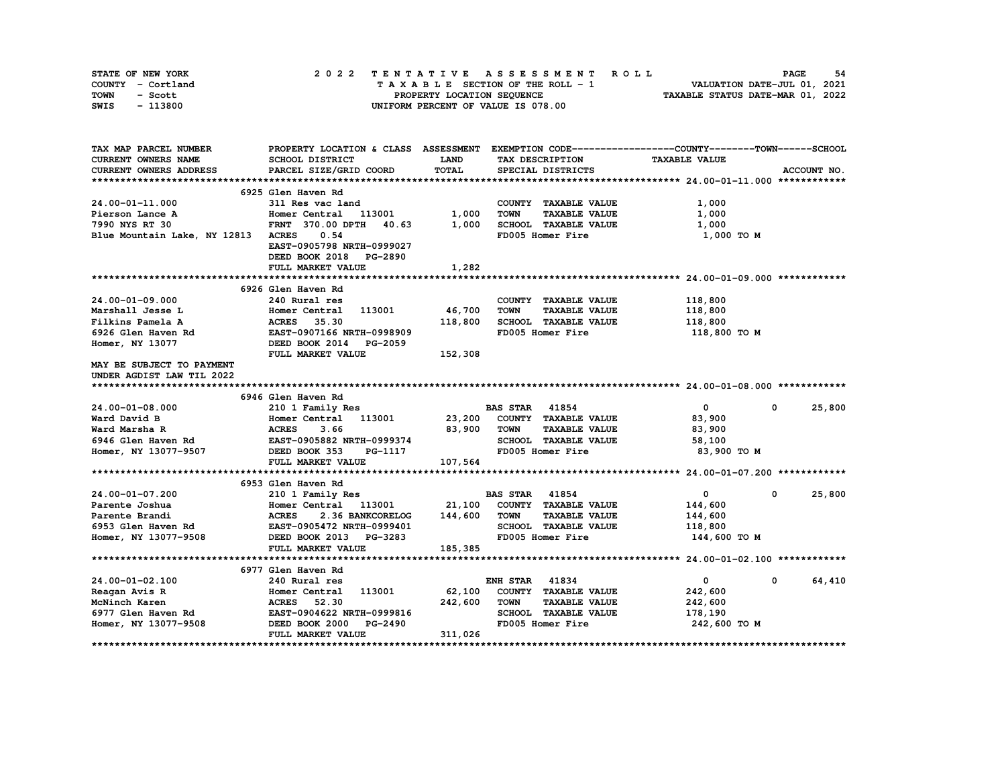| STATE OF NEW YORK | 2022 TENTATIVE ASSESSMENT ROLL     | 54<br><b>PAGE</b>                |
|-------------------|------------------------------------|----------------------------------|
| COUNTY - Cortland | TAXABLE SECTION OF THE ROLL - 1    | VALUATION DATE-JUL 01, 2021      |
| TOWN<br>- Scott   | PROPERTY LOCATION SEQUENCE         | TAXABLE STATUS DATE-MAR 01, 2022 |
| - 113800<br>SWIS  | UNIFORM PERCENT OF VALUE IS 078.00 |                                  |

| TAX MAP PARCEL NUMBER                                                                                                                                      | PROPERTY LOCATION & CLASS ASSESSMENT EXEMPTION CODE----------------COUNTY-------TOWN-----SCHOOL |             |                                     |                             |             |
|------------------------------------------------------------------------------------------------------------------------------------------------------------|-------------------------------------------------------------------------------------------------|-------------|-------------------------------------|-----------------------------|-------------|
| CURRENT OWNERS NAME                                                                                                                                        | SCHOOL DISTRICT                                                                                 | <b>LAND</b> | TAX DESCRIPTION                     | <b>TAXABLE VALUE</b>        |             |
| CURRENT OWNERS ADDRESS                                                                                                                                     | PARCEL SIZE/GRID COORD                                                                          | TOTAL       | SPECIAL DISTRICTS                   |                             | ACCOUNT NO. |
|                                                                                                                                                            |                                                                                                 |             |                                     |                             |             |
|                                                                                                                                                            | 6925 Glen Haven Rd                                                                              |             |                                     |                             |             |
| 24.00-01-11.000                                                                                                                                            | 311 Res vac land                                                                                |             | COUNTY TAXABLE VALUE                | 1,000                       |             |
| Pierson Lance A                                                                                                                                            | Homer Central 113001                                                                            | 1,000       | <b>TOWN</b><br><b>TAXABLE VALUE</b> | 1,000                       |             |
| 7990 NYS RT 30                                                                                                                                             | FRNT 370.00 DPTH 40.63                                                                          | 1,000       | SCHOOL TAXABLE VALUE                | 1,000                       |             |
| Blue Mountain Lake, NY 12813 ACRES                                                                                                                         | 0.54                                                                                            |             | FD005 Homer Fire                    | 1,000 TO M                  |             |
|                                                                                                                                                            | EAST-0905798 NRTH-0999027                                                                       |             |                                     |                             |             |
|                                                                                                                                                            | DEED BOOK 2018 PG-2890                                                                          |             |                                     |                             |             |
|                                                                                                                                                            | FULL MARKET VALUE                                                                               | 1,282       |                                     |                             |             |
|                                                                                                                                                            |                                                                                                 |             |                                     |                             |             |
|                                                                                                                                                            | 6926 Glen Haven Rd                                                                              |             |                                     |                             |             |
| 24.00-01-09.000                                                                                                                                            | 240 Rural res                                                                                   |             | COUNTY TAXABLE VALUE                | 118,800                     |             |
|                                                                                                                                                            |                                                                                                 | 46,700      | <b>TAXABLE VALUE</b><br><b>TOWN</b> | 118,800                     |             |
|                                                                                                                                                            |                                                                                                 | 118,800     | SCHOOL TAXABLE VALUE                | 118,800                     |             |
| Marshall Jesse L<br>Filkins Pamela A<br>6926 Glen Haven Rd<br>Homer, NY 13077<br>ERST-0907166 NRTH-0998909<br>Homer, NY 13077<br>DEED BOOK 2014<br>PG-2059 |                                                                                                 |             | FD005 Homer Fire                    | 118,800 TO M                |             |
|                                                                                                                                                            |                                                                                                 |             |                                     |                             |             |
|                                                                                                                                                            | FULL MARKET VALUE                                                                               | 152,308     |                                     |                             |             |
| MAY BE SUBJECT TO PAYMENT                                                                                                                                  |                                                                                                 |             |                                     |                             |             |
| UNDER AGDIST LAW TIL 2022                                                                                                                                  |                                                                                                 |             |                                     |                             |             |
|                                                                                                                                                            |                                                                                                 |             |                                     |                             |             |
|                                                                                                                                                            | 6946 Glen Haven Rd                                                                              |             |                                     |                             |             |
| 24.00-01-08.000                                                                                                                                            | 210 1 Family Res                                                                                |             | <b>BAS STAR 41854</b>               | $\mathbf{0}$<br>0           | 25,800      |
| Ward David B                                                                                                                                               | Homer Central 113001 23,200 COUNTY TAXABLE VALUE                                                |             |                                     | 83,900                      |             |
| Ward Marsha R                                                                                                                                              | <b>ACRES</b><br>3.66                                                                            | 83,900      | TOWN<br><b>TAXABLE VALUE</b>        | 83,900                      |             |
| 6946 Glen Haven Rd EAST-0905882 NRTH-0999374                                                                                                               |                                                                                                 |             | SCHOOL TAXABLE VALUE                | 58,100                      |             |
| Homer, NY 13077-9507                                                                                                                                       | DEED BOOK 353<br>PG-1117                                                                        |             | FD005 Homer Fire                    | 83,900 то м                 |             |
|                                                                                                                                                            | FULL MARKET VALUE                                                                               | 107,564     |                                     |                             |             |
|                                                                                                                                                            |                                                                                                 |             |                                     |                             |             |
|                                                                                                                                                            | 6953 Glen Haven Rd                                                                              |             |                                     |                             |             |
| 24.00-01-07.200                                                                                                                                            | 210 1 Family Res                                                                                |             | <b>BAS STAR 41854</b>               | $\mathbf{0}$<br>$^{\circ}$  | 25,800      |
| Parente Joshua                                                                                                                                             | Homer Central 113001 21,100 COUNTY TAXABLE VALUE                                                |             |                                     | 144,600                     |             |
| Parente Brandi                                                                                                                                             | 2.36 BANKCORELOG 144,600                                                                        |             | TOWN<br><b>TAXABLE VALUE</b>        | 144,600                     |             |
| 6953 Glen Haven Rd<br>Homer, NY 13077-9508                                                                                                                 | EAST-0905472 NRTH-0999401                                                                       |             | SCHOOL TAXABLE VALUE                | 118,800                     |             |
|                                                                                                                                                            | DEED BOOK 2013 PG-3283                                                                          |             | FD005 Homer Fire                    | 144,600 TO M                |             |
| *<br>695<br>21<br>Homer<br>ACRES<br>EAST-<br>DEF<br>F<br>T                                                                                                 | FULL MARKET VALUE                                                                               | 185,385     |                                     |                             |             |
|                                                                                                                                                            |                                                                                                 |             |                                     |                             |             |
| 24.00-01-02.100                                                                                                                                            | 6977 Glen Haven Rd<br>240 Rural res                                                             |             | <b>ENH STAR 41834</b>               | $\mathbf{0}$<br>$\mathbf 0$ | 64,410      |
|                                                                                                                                                            | Homer Central 113001 62,100                                                                     |             | COUNTY TAXABLE VALUE                | 242,600                     |             |
| Reagan Avis R<br>McNinch Karen                                                                                                                             |                                                                                                 | 242,600     | <b>TOWN</b><br><b>TAXABLE VALUE</b> |                             |             |
| 6977 Glen Haven Rd                                                                                                                                         |                                                                                                 |             | SCHOOL TAXABLE VALUE                | 242,600<br>178,190          |             |
| Homer, NY 13077-9508                                                                                                                                       | ACRES 52.30 242,60<br>EAST-0904622 NRTH-0999816 242,60<br>DEED BOOK 2000 PG-2490                |             | FD005 Homer Fire                    | 242,600 TO M                |             |
|                                                                                                                                                            | FULL MARKET VALUE                                                                               | 311,026     |                                     |                             |             |
|                                                                                                                                                            |                                                                                                 |             |                                     |                             |             |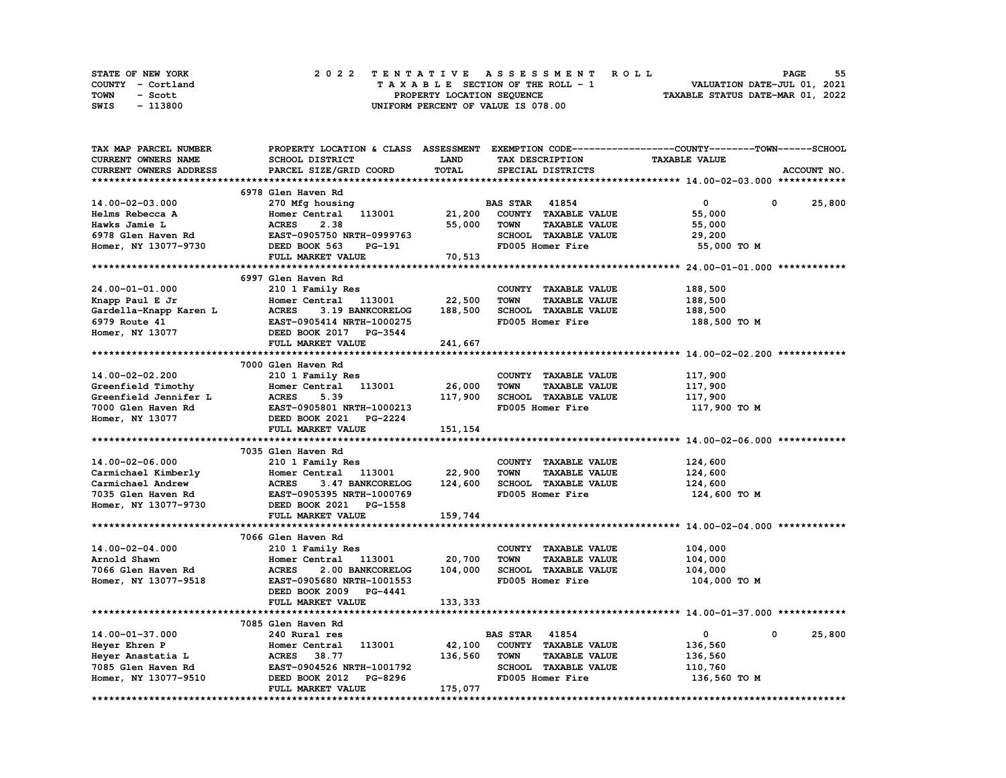| STATE OF NEW YORK | 2022 TENTATIVE ASSESSMENT ROLL     | 55<br><b>PAGE</b>                |
|-------------------|------------------------------------|----------------------------------|
| COUNTY - Cortland | TAXABLE SECTION OF THE ROLL - 1    | VALUATION DATE-JUL 01, 2021      |
| TOWN<br>- Scott   | PROPERTY LOCATION SEQUENCE         | TAXABLE STATUS DATE-MAR 01, 2022 |
| - 113800<br>SWIS  | UNIFORM PERCENT OF VALUE IS 078.00 |                                  |

| TAX MAP PARCEL NUMBER      | PROPERTY LOCATION & CLASS ASSESSMENT EXEMPTION CODE----------------COUNTY-------TOWN------SCHOOL |                   |                       |                             |                      |              |             |
|----------------------------|--------------------------------------------------------------------------------------------------|-------------------|-----------------------|-----------------------------|----------------------|--------------|-------------|
| <b>CURRENT OWNERS NAME</b> | SCHOOL DISTRICT                                                                                  | LAND              |                       | TAX DESCRIPTION             | <b>TAXABLE VALUE</b> |              |             |
| CURRENT OWNERS ADDRESS     | PARCEL SIZE/GRID COORD                                                                           | TOTAL             |                       | SPECIAL DISTRICTS           |                      |              | ACCOUNT NO. |
|                            |                                                                                                  |                   |                       |                             |                      |              |             |
|                            | 6978 Glen Haven Rd                                                                               |                   |                       |                             |                      |              |             |
| 14.00-02-03.000            | 270 Mfg housing                                                                                  |                   | <b>BAS STAR 41854</b> |                             | $\mathbf{0}$         | 0            | 25,800      |
| Helms Rebecca A            | Homer Central 113001                                                                             | 21,200            |                       | COUNTY TAXABLE VALUE        | 55,000               |              |             |
| Hawks Jamie L              | <b>ACRES</b><br>2.38                                                                             | 55,000            | <b>TOWN</b>           | <b>TAXABLE VALUE</b>        | 55,000               |              |             |
| 6978 Glen Haven Rd         | EAST-0905750 NRTH-0999763                                                                        |                   |                       | SCHOOL TAXABLE VALUE        | 29,200               |              |             |
| Homer, NY 13077-9730       | DEED BOOK 563<br>PG-191                                                                          |                   |                       | FD005 Homer Fire            | 55,000 TO M          |              |             |
|                            | FULL MARKET VALUE                                                                                | 70,513            |                       |                             |                      |              |             |
|                            |                                                                                                  |                   |                       |                             |                      |              |             |
|                            | 6997 Glen Haven Rd                                                                               |                   |                       |                             |                      |              |             |
| 24.00-01-01.000            | 210 1 Family Res                                                                                 |                   |                       | COUNTY TAXABLE VALUE        | 188,500              |              |             |
| Knapp Paul E Jr            | Homer Central<br>113001                                                                          | 22,500            | <b>TOWN</b>           | <b>TAXABLE VALUE</b>        | 188,500              |              |             |
| Gardella-Knapp Karen L     | <b>ACRES</b><br>3.19 BANKCORELOG                                                                 | 188,500           |                       | SCHOOL TAXABLE VALUE        | 188,500              |              |             |
| 6979 Route 41              | EAST-0905414 NRTH-1000275                                                                        |                   |                       | FD005 Homer Fire            | 188,500 то м         |              |             |
| Homer, NY 13077            | DEED BOOK 2017 PG-3544                                                                           |                   |                       |                             |                      |              |             |
|                            | FULL MARKET VALUE                                                                                | 241,667           |                       |                             |                      |              |             |
|                            |                                                                                                  |                   |                       |                             |                      |              |             |
|                            | 7000 Glen Haven Rd                                                                               |                   |                       |                             |                      |              |             |
|                            |                                                                                                  |                   |                       |                             |                      |              |             |
| 14.00-02-02.200            | 210 1 Family Res                                                                                 |                   |                       | COUNTY TAXABLE VALUE        | 117,900              |              |             |
| Greenfield Timothy         | Homer Central<br>113001<br>5.39                                                                  | 26,000<br>117,900 | TOWN                  | <b>TAXABLE VALUE</b>        | 117,900              |              |             |
| Greenfield Jennifer L      | <b>ACRES</b>                                                                                     |                   |                       | SCHOOL TAXABLE VALUE        | 117,900              |              |             |
| 7000 Glen Haven Rd         | EAST-0905801 NRTH-1000213                                                                        |                   |                       | FD005 Homer Fire            | 117,900 TO M         |              |             |
| Homer, NY 13077            | DEED BOOK 2021 PG-2224                                                                           |                   |                       |                             |                      |              |             |
|                            | FULL MARKET VALUE                                                                                | 151,154           |                       |                             |                      |              |             |
|                            |                                                                                                  |                   |                       |                             |                      |              |             |
|                            | 7035 Glen Haven Rd                                                                               |                   |                       |                             |                      |              |             |
| 14.00-02-06.000            | 210 1 Family Res                                                                                 |                   |                       | COUNTY TAXABLE VALUE        | 124,600              |              |             |
| Carmichael Kimberly        | 113001<br>Homer Central                                                                          | 22,900            | <b>TOWN</b>           | <b>TAXABLE VALUE</b>        | 124,600              |              |             |
| Carmichael Andrew          | <b>ACRES</b><br>3.47 BANKCORELOG                                                                 | 124,600           |                       | SCHOOL TAXABLE VALUE        | 124,600              |              |             |
| 7035 Glen Haven Rd         | EAST-0905395 NRTH-1000769                                                                        |                   |                       | FD005 Homer Fire            | 124,600 TO M         |              |             |
| Homer, NY 13077-9730       | DEED BOOK 2021 PG-1558                                                                           |                   |                       |                             |                      |              |             |
|                            | FULL MARKET VALUE                                                                                | 159,744           |                       |                             |                      |              |             |
|                            |                                                                                                  |                   |                       |                             |                      |              |             |
|                            | 7066 Glen Haven Rd                                                                               |                   |                       |                             |                      |              |             |
| 14.00-02-04.000            | 210 1 Family Res                                                                                 |                   |                       | COUNTY TAXABLE VALUE        | 104,000              |              |             |
| Arnold Shawn               | Homer Central 113001                                                                             | 20,700            | <b>TOWN</b>           | <b>TAXABLE VALUE</b>        | 104,000              |              |             |
| 7066 Glen Haven Rd         | <b>ACRES</b><br>2.00 BANKCORELOG                                                                 | 104,000           |                       | SCHOOL TAXABLE VALUE        | 104,000              |              |             |
| Homer, NY 13077-9518       | EAST-0905680 NRTH-1001553                                                                        |                   |                       | FD005 Homer Fire            | 104,000 TO M         |              |             |
|                            | DEED BOOK 2009 PG-4441                                                                           |                   |                       |                             |                      |              |             |
|                            | FULL MARKET VALUE                                                                                | 133,333           |                       |                             |                      |              |             |
|                            |                                                                                                  |                   |                       |                             |                      |              |             |
|                            | 7085 Glen Haven Rd                                                                               |                   |                       |                             |                      |              |             |
| 14.00-01-37.000            | 240 Rural res                                                                                    |                   | <b>BAS STAR 41854</b> |                             | $\mathbf 0$          | $\mathbf{0}$ | 25,800      |
| Heyer Ehren P              | 113001<br>Homer Central                                                                          | 42,100            |                       | COUNTY TAXABLE VALUE        | 136,560              |              |             |
| Heyer Anastatia L          | ACRES 38.77                                                                                      | 136,560           | <b>TOWN</b>           | <b>TAXABLE VALUE</b>        | 136,560              |              |             |
| 7085 Glen Haven Rd         | EAST-0904526 NRTH-1001792                                                                        |                   |                       | <b>SCHOOL TAXABLE VALUE</b> | 110,760              |              |             |
| Homer, NY 13077-9510       | DEED BOOK 2012<br>PG-8296                                                                        |                   |                       | FD005 Homer Fire            | 136,560 TO M         |              |             |
|                            | FULL MARKET VALUE                                                                                | 175,077           |                       |                             |                      |              |             |
|                            |                                                                                                  |                   |                       |                             |                      |              |             |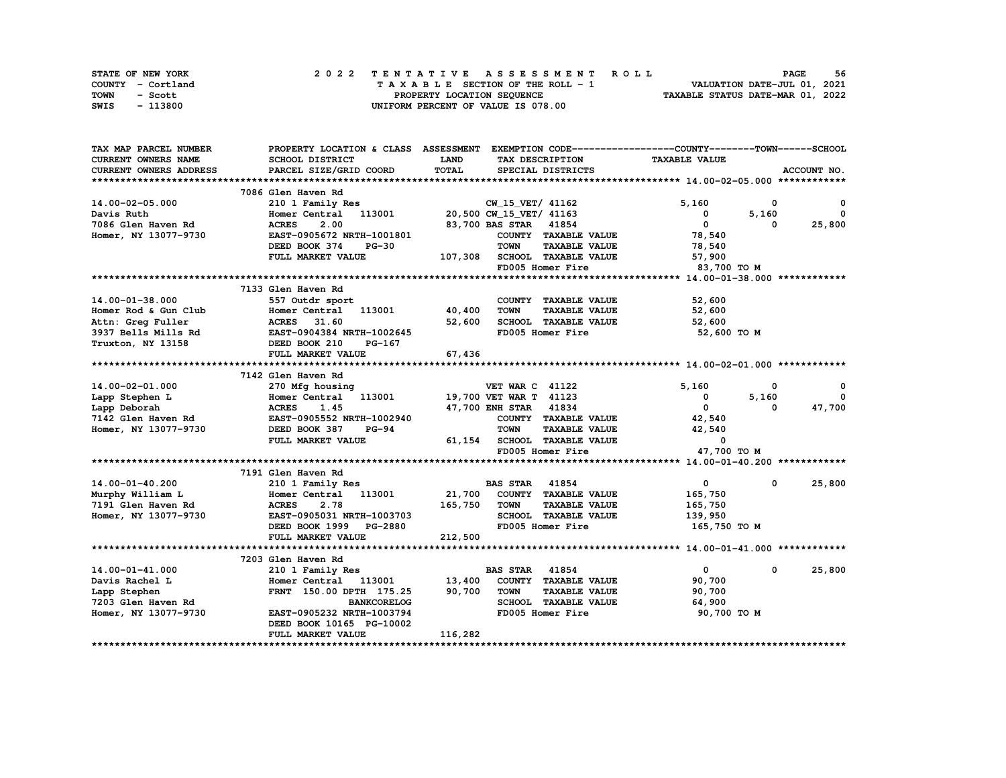| STATE OF NEW YORK | 2022 TENTATIVE ASSESSMENT ROLL     | 56<br><b>PAGE</b>                |
|-------------------|------------------------------------|----------------------------------|
| COUNTY - Cortland | TAXABLE SECTION OF THE ROLL - 1    | VALUATION DATE-JUL 01, 2021      |
| TOWN<br>- Scott   | PROPERTY LOCATION SEQUENCE         | TAXABLE STATUS DATE-MAR 01, 2022 |
| - 113800<br>SWIS  | UNIFORM PERCENT OF VALUE IS 078.00 |                                  |

| TAX MAP PARCEL NUMBER         | PROPERTY LOCATION & CLASS ASSESSMENT |              | EXEMPTION CODE-----------------COUNTY-------TOWN------SCHOOL |                      |                      |              |
|-------------------------------|--------------------------------------|--------------|--------------------------------------------------------------|----------------------|----------------------|--------------|
| <b>CURRENT OWNERS NAME</b>    | SCHOOL DISTRICT                      | LAND         | TAX DESCRIPTION                                              | <b>TAXABLE VALUE</b> |                      |              |
| <b>CURRENT OWNERS ADDRESS</b> | PARCEL SIZE/GRID COORD               | <b>TOTAL</b> | SPECIAL DISTRICTS                                            |                      | ACCOUNT NO.          |              |
|                               |                                      |              |                                                              |                      |                      |              |
|                               | 7086 Glen Haven Rd                   |              |                                                              |                      |                      |              |
| 14.00-02-05.000               | 210 1 Family Res                     |              | CW 15 VET/ 41162                                             | 5,160                | 0                    | 0            |
| Davis Ruth                    | 113001<br>Homer Central              |              | 20,500 CW_15_VET/ 41163                                      | 0                    | 5,160                | 0            |
| 7086 Glen Haven Rd            | <b>ACRES</b><br>2.00                 |              | 83,700 BAS STAR 41854                                        | $^{\circ}$           | 25,800<br>$\Omega$   |              |
| Homer, NY 13077-9730          | EAST-0905672 NRTH-1001801            |              | COUNTY TAXABLE VALUE                                         | 78,540               |                      |              |
|                               | DEED BOOK 374<br>$PG-30$             |              | <b>TOWN</b><br><b>TAXABLE VALUE</b>                          | 78,540               |                      |              |
|                               | FULL MARKET VALUE                    | 107,308      | SCHOOL TAXABLE VALUE                                         | 57,900               |                      |              |
|                               |                                      |              | FD005 Homer Fire                                             | 83,700 TO M          |                      |              |
|                               |                                      |              |                                                              |                      |                      |              |
|                               |                                      |              |                                                              |                      |                      |              |
|                               | 7133 Glen Haven Rd                   |              |                                                              |                      |                      |              |
| 14.00-01-38.000               | 557 Outdr sport                      |              | COUNTY TAXABLE VALUE                                         | 52,600               |                      |              |
| Homer Rod & Gun Club          | Homer Central<br>113001              | 40,400       | <b>TOWN</b><br><b>TAXABLE VALUE</b>                          | 52,600               |                      |              |
| Attn: Greg Fuller             | 31.60<br><b>ACRES</b>                | 52,600       | SCHOOL TAXABLE VALUE                                         | 52,600               |                      |              |
| 3937 Bells Mills Rd           | EAST-0904384 NRTH-1002645            |              | FD005 Homer Fire                                             | 52,600 TO M          |                      |              |
| Truxton, NY 13158             | DEED BOOK 210<br>PG-167              |              |                                                              |                      |                      |              |
|                               | FULL MARKET VALUE                    | 67,436       |                                                              |                      |                      |              |
|                               |                                      |              |                                                              |                      |                      |              |
|                               | 7142 Glen Haven Rd                   |              |                                                              |                      |                      |              |
| 14.00-02-01.000               | 270 Mfg housing                      |              | <b>VET WAR C 41122</b>                                       | 5,160                | 0                    | 0            |
| Lapp Stephen L                | Homer Central 113001                 |              | 19,700 VET WAR T 41123                                       | 0                    | 5,160                | $\mathbf{0}$ |
| Lapp Deborah                  | <b>ACRES</b><br>1.45                 |              | 47,700 ENH STAR 41834                                        | $\mathbf{o}$         | 47,700<br>0          |              |
| 7142 Glen Haven Rd            | EAST-0905552 NRTH-1002940            |              | COUNTY TAXABLE VALUE                                         | 42,540               |                      |              |
| Homer, NY 13077-9730          | DEED BOOK 387<br>$PG-94$             |              | <b>TOWN</b><br><b>TAXABLE VALUE</b>                          | 42,540               |                      |              |
|                               | FULL MARKET VALUE                    | 61,154       | <b>SCHOOL TAXABLE VALUE</b>                                  | 0                    |                      |              |
|                               |                                      |              | FD005 Homer Fire                                             | 47,700 TO M          |                      |              |
|                               |                                      |              |                                                              |                      |                      |              |
|                               | 7191 Glen Haven Rd                   |              |                                                              |                      |                      |              |
| 14.00-01-40.200               | 210 1 Family Res                     |              | 41854<br><b>BAS STAR</b>                                     | $\mathbf{0}$         | 25,800<br>$^{\circ}$ |              |
| Murphy William L              | 113001<br>Homer Central              | 21,700       | COUNTY TAXABLE VALUE                                         | 165,750              |                      |              |
| 7191 Glen Haven Rd            | <b>ACRES</b><br>2.78                 | 165,750      | <b>TOWN</b><br><b>TAXABLE VALUE</b>                          |                      |                      |              |
|                               |                                      |              |                                                              | 165,750              |                      |              |
| Homer, NY 13077-9730          | EAST-0905031 NRTH-1003703            |              | SCHOOL TAXABLE VALUE                                         | 139,950              |                      |              |
|                               | DEED BOOK 1999 PG-2880               |              | FD005 Homer Fire                                             | 165,750 TO M         |                      |              |
|                               | FULL MARKET VALUE                    | 212,500      |                                                              |                      |                      |              |
|                               |                                      |              |                                                              |                      |                      |              |
|                               | 7203 Glen Haven Rd                   |              |                                                              |                      |                      |              |
| 14.00-01-41.000               | 210 1 Family Res                     |              | <b>BAS STAR</b><br>41854                                     | $\mathbf{0}$         | 25,800<br>0          |              |
| Davis Rachel L                | Homer Central 113001                 | 13,400       | COUNTY TAXABLE VALUE                                         | 90,700               |                      |              |
| Lapp Stephen                  | FRNT 150.00 DPTH 175.25              | 90,700       | <b>TOWN</b><br><b>TAXABLE VALUE</b>                          | 90,700               |                      |              |
| 7203 Glen Haven Rd            | <b>BANKCORELOG</b>                   |              | <b>SCHOOL TAXABLE VALUE</b>                                  | 64,900               |                      |              |
| Homer, NY 13077-9730          | EAST-0905232 NRTH-1003794            |              | FD005 Homer Fire                                             | 90,700 TO M          |                      |              |
|                               | DEED BOOK 10165 PG-10002             |              |                                                              |                      |                      |              |
|                               | FULL MARKET VALUE                    | 116,282      |                                                              |                      |                      |              |
|                               |                                      |              |                                                              |                      |                      |              |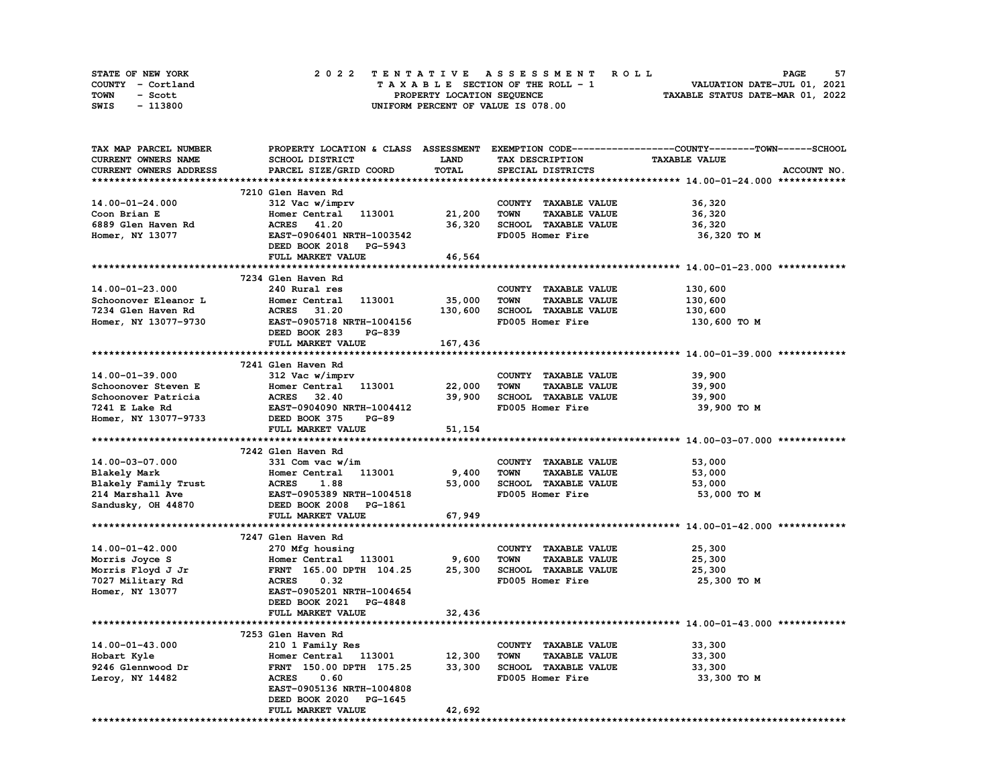| STATE OF NEW YORK | 2022 TENTATIVE ASSESSMENT ROLL     | 57<br><b>PAGE</b>                |
|-------------------|------------------------------------|----------------------------------|
| COUNTY - Cortland | TAXABLE SECTION OF THE ROLL - 1    | VALUATION DATE-JUL 01, 2021      |
| TOWN<br>- Scott   | PROPERTY LOCATION SEQUENCE         | TAXABLE STATUS DATE-MAR 01, 2022 |
| - 113800<br>SWIS  | UNIFORM PERCENT OF VALUE IS 078.00 |                                  |

| TAX MAP PARCEL NUMBER                                                                                            |                                                               |             |                                     | PROPERTY LOCATION & CLASS ASSESSMENT EXEMPTION CODE----------------COUNTY-------TOWN------SCHOOL |
|------------------------------------------------------------------------------------------------------------------|---------------------------------------------------------------|-------------|-------------------------------------|--------------------------------------------------------------------------------------------------|
| CURRENT OWNERS NAME                                                                                              | <b>SCHOOL DISTRICT</b>                                        | <b>LAND</b> | TAX DESCRIPTION                     | <b>TAXABLE VALUE</b>                                                                             |
| CURRENT OWNERS ADDRESS                                                                                           | PARCEL SIZE/GRID COORD                                        | TOTAL       | SPECIAL DISTRICTS                   | ACCOUNT NO.                                                                                      |
|                                                                                                                  |                                                               |             |                                     |                                                                                                  |
|                                                                                                                  | 7210 Glen Haven Rd                                            |             |                                     |                                                                                                  |
| 14.00-01-24.000                                                                                                  | 312 Vac w/imprv                                               |             | COUNTY TAXABLE VALUE                | 36,320                                                                                           |
|                                                                                                                  |                                                               |             |                                     |                                                                                                  |
| Coon Brian E                                                                                                     | Homer Central 113001                                          | 21,200      | <b>TOWN</b><br><b>TAXABLE VALUE</b> | 36,320                                                                                           |
| 6889 Glen Haven Rd                                                                                               | ACRES 41.20                                                   | 36,320      | SCHOOL TAXABLE VALUE                | 36,320                                                                                           |
| Homer, NY 13077                                                                                                  | EAST-0906401 NRTH-1003542                                     |             | FD005 Homer Fire                    | 36,320 то м                                                                                      |
|                                                                                                                  | DEED BOOK 2018 PG-5943                                        |             |                                     |                                                                                                  |
|                                                                                                                  | FULL MARKET VALUE                                             | 46,564      |                                     |                                                                                                  |
|                                                                                                                  |                                                               |             |                                     |                                                                                                  |
|                                                                                                                  | 7234 Glen Haven Rd                                            |             |                                     |                                                                                                  |
| 14.00-01-23.000                                                                                                  | 240 Rural res                                                 |             | COUNTY TAXABLE VALUE                | 130,600                                                                                          |
| Schoonover Eleanor L                                                                                             | Homer Central<br>113001                                       | 35,000      | <b>TOWN</b><br><b>TAXABLE VALUE</b> | 130,600                                                                                          |
| 7234 Glen Haven Rd                                                                                               | ACRES 31.20                                                   | 130,600     | SCHOOL TAXABLE VALUE                | 130,600                                                                                          |
| Homer, NY 13077-9730                                                                                             | EAST-0905718 NRTH-1004156                                     |             | FD005 Homer Fire                    | 130,600 то м                                                                                     |
|                                                                                                                  | DEED BOOK 283<br>PG-839                                       |             |                                     |                                                                                                  |
|                                                                                                                  |                                                               |             |                                     |                                                                                                  |
|                                                                                                                  | FULL MARKET VALUE                                             | 167,436     |                                     |                                                                                                  |
|                                                                                                                  |                                                               |             |                                     |                                                                                                  |
|                                                                                                                  | 7241 Glen Haven Rd                                            |             |                                     |                                                                                                  |
| 14.00-01-39.000                                                                                                  | 312 Vac w/imprv                                               |             | COUNTY TAXABLE VALUE                | 39,900                                                                                           |
| Schoonover Steven E                                                                                              | Homer Central 113001                                          | 22,000      | <b>TOWN</b><br><b>TAXABLE VALUE</b> | 39,900                                                                                           |
|                                                                                                                  |                                                               | 39,900      | SCHOOL TAXABLE VALUE                | 39,900                                                                                           |
| Schoonover Patricia (1992)<br>1991 E Lake Rd (1992)<br>1997 EAST-0904090 NRTH-1004412<br>1992 EED BOOK 375 PG-89 |                                                               |             | FD005 Homer Fire                    | 39,900 TO M                                                                                      |
|                                                                                                                  |                                                               |             |                                     |                                                                                                  |
|                                                                                                                  | FULL MARKET VALUE                                             | 51,154      |                                     |                                                                                                  |
|                                                                                                                  |                                                               |             |                                     |                                                                                                  |
|                                                                                                                  | 7242 Glen Haven Rd                                            |             |                                     |                                                                                                  |
| 14.00-03-07.000                                                                                                  | 331 Com vac w/im                                              |             | COUNTY TAXABLE VALUE                | 53,000                                                                                           |
| Blakely Mark                                                                                                     | 113001<br>Homer Central                                       | 9,400       | <b>TOWN</b><br><b>TAXABLE VALUE</b> | 53,000                                                                                           |
|                                                                                                                  | <b>ACRES</b><br>1.88                                          | 53,000      | SCHOOL TAXABLE VALUE                | 53,000                                                                                           |
| Blakely Family Trust<br>214 Marshall Ave                                                                         |                                                               |             | FD005 Homer Fire                    | 53,000 TO M                                                                                      |
|                                                                                                                  | ------<br>EAST-0905389 NRTH-1004518<br>DEED BOOK 2008 PG-1861 |             |                                     |                                                                                                  |
| Sandusky, OH 44870                                                                                               |                                                               |             |                                     |                                                                                                  |
|                                                                                                                  | FULL MARKET VALUE                                             | 67,949      |                                     |                                                                                                  |
|                                                                                                                  |                                                               |             |                                     |                                                                                                  |
|                                                                                                                  | 7247 Glen Haven Rd                                            |             |                                     |                                                                                                  |
| 14.00-01-42.000                                                                                                  | 270 Mfg housing                                               |             | COUNTY TAXABLE VALUE                | 25,300                                                                                           |
| Morris Joyce S                                                                                                   | Homer Central 113001                                          | 9,600       | <b>TOWN</b><br><b>TAXABLE VALUE</b> | 25,300                                                                                           |
|                                                                                                                  | FRNT 165.00 DPTH 104.25                                       | 25,300      | SCHOOL TAXABLE VALUE                | 25,300                                                                                           |
| Morris Floyd J Jr<br>7027 Military Rd                                                                            | <b>ACRES</b><br>0.32                                          |             | FD005 Homer Fire                    | 25,300 то м                                                                                      |
| Homer, NY 13077                                                                                                  | EAST-0905201 NRTH-1004654                                     |             |                                     |                                                                                                  |
|                                                                                                                  | DEED BOOK 2021 PG-4848                                        |             |                                     |                                                                                                  |
|                                                                                                                  | FULL MARKET VALUE                                             | 32,436      |                                     |                                                                                                  |
|                                                                                                                  |                                                               |             |                                     |                                                                                                  |
|                                                                                                                  | 7253 Glen Haven Rd                                            |             |                                     |                                                                                                  |
| 14.00-01-43.000                                                                                                  | 210 1 Family Res                                              |             | COUNTY TAXABLE VALUE                | 33,300                                                                                           |
|                                                                                                                  | Homer Central                                                 |             | <b>TOWN</b><br><b>TAXABLE VALUE</b> | 33,300                                                                                           |
| Hobart Kyle                                                                                                      | 113001 12,300                                                 |             |                                     |                                                                                                  |
| 9246 Glennwood Dr                                                                                                | FRNT 150.00 DPTH 175.25                                       | 33,300      | SCHOOL TAXABLE VALUE                | 33,300                                                                                           |
| Leroy, NY 14482                                                                                                  | <b>ACRES</b><br>0.60                                          |             | FD005 Homer Fire                    | 33,300 TO M                                                                                      |
|                                                                                                                  | EAST-0905136 NRTH-1004808                                     |             |                                     |                                                                                                  |
|                                                                                                                  | DEED BOOK 2020 PG-1645                                        |             |                                     |                                                                                                  |
|                                                                                                                  | FULL MARKET VALUE                                             | 42,692      |                                     |                                                                                                  |
|                                                                                                                  |                                                               |             |                                     |                                                                                                  |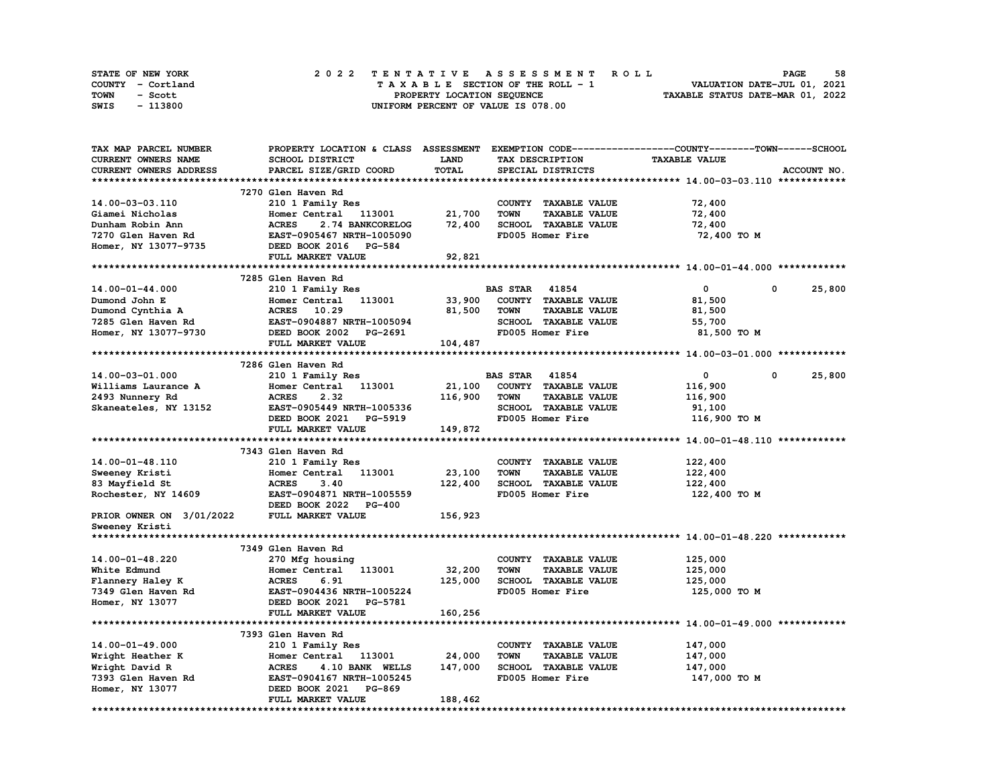| STATE OF NEW YORK | 2022 TENTATIVE ASSESSMENT ROLL     | 58<br><b>PAGE</b>                |
|-------------------|------------------------------------|----------------------------------|
| COUNTY - Cortland | TAXABLE SECTION OF THE ROLL - 1    | VALUATION DATE-JUL 01, 2021      |
| TOWN<br>- Scott   | PROPERTY LOCATION SEQUENCE         | TAXABLE STATUS DATE-MAR 01, 2022 |
| - 113800<br>SWIS  | UNIFORM PERCENT OF VALUE IS 078.00 |                                  |

| TAX MAP PARCEL NUMBER    | PROPERTY LOCATION & CLASS ASSESSMENT EXEMPTION CODE----------------COUNTY-------TOWN------SCHOOL |         |                                     |                           |             |
|--------------------------|--------------------------------------------------------------------------------------------------|---------|-------------------------------------|---------------------------|-------------|
| CURRENT OWNERS NAME      | <b>SCHOOL DISTRICT</b>                                                                           | LAND    | TAX DESCRIPTION                     | <b>TAXABLE VALUE</b>      |             |
| CURRENT OWNERS ADDRESS   | PARCEL SIZE/GRID COORD                                                                           | TOTAL   | SPECIAL DISTRICTS                   |                           | ACCOUNT NO. |
|                          |                                                                                                  |         |                                     |                           |             |
|                          | 7270 Glen Haven Rd                                                                               |         |                                     |                           |             |
| 14.00-03-03.110          | 210 1 Family Res                                                                                 |         | COUNTY TAXABLE VALUE                | 72,400                    |             |
| Giamei Nicholas          | Homer Central<br>113001                                                                          | 21,700  | <b>TOWN</b><br><b>TAXABLE VALUE</b> | 72,400                    |             |
| Dunham Robin Ann         | <b>ACRES</b><br>2.74 BANKCORELOG                                                                 | 72,400  | <b>SCHOOL TAXABLE VALUE</b>         | 72,400                    |             |
| 7270 Glen Haven Rd       | EAST-0905467 NRTH-1005090                                                                        |         | FD005 Homer Fire                    | 72,400 TO M               |             |
| Homer, NY 13077-9735     | DEED BOOK 2016 PG-584                                                                            |         |                                     |                           |             |
|                          | FULL MARKET VALUE                                                                                | 92,821  |                                     |                           |             |
|                          |                                                                                                  |         |                                     |                           |             |
|                          | 7285 Glen Haven Rd                                                                               |         |                                     |                           |             |
| 14.00-01-44.000          | 210 1 Family Res                                                                                 |         | <b>BAS STAR</b><br>41854            | $\mathbf 0$<br>$^{\circ}$ | 25,800      |
| Dumond John E            | Homer Central<br>113001                                                                          | 33,900  | COUNTY TAXABLE VALUE                | 81,500                    |             |
| Dumond Cynthia A         | ACRES 10.29                                                                                      | 81,500  | <b>TOWN</b><br><b>TAXABLE VALUE</b> | 81,500                    |             |
| 7285 Glen Haven Rd       | EAST-0904887 NRTH-1005094                                                                        |         | <b>SCHOOL TAXABLE VALUE</b>         | 55,700                    |             |
| Homer, NY 13077-9730     | DEED BOOK 2002 PG-2691                                                                           |         | FD005 Homer Fire                    | 81,500 TO M               |             |
|                          | FULL MARKET VALUE                                                                                | 104,487 |                                     |                           |             |
|                          |                                                                                                  |         |                                     |                           |             |
|                          | 7286 Glen Haven Rd                                                                               |         |                                     |                           |             |
| 14.00-03-01.000          | 210 1 Family Res                                                                                 |         | 41854<br><b>BAS STAR</b>            | 0<br>0                    | 25,800      |
| Williams Laurance A      | Homer Central<br>113001                                                                          | 21,100  | COUNTY TAXABLE VALUE                | 116,900                   |             |
| 2493 Nunnery Rd          | <b>ACRES</b><br>2.32                                                                             | 116,900 | <b>TOWN</b><br><b>TAXABLE VALUE</b> | 116,900                   |             |
| Skaneateles, NY 13152    | EAST-0905449 NRTH-1005336                                                                        |         | SCHOOL TAXABLE VALUE                | 91,100                    |             |
|                          | DEED BOOK 2021<br>PG-5919                                                                        |         | FD005 Homer Fire                    | 116,900 TO M              |             |
|                          | FULL MARKET VALUE                                                                                | 149,872 |                                     |                           |             |
|                          |                                                                                                  |         |                                     |                           |             |
|                          | 7343 Glen Haven Rd                                                                               |         |                                     |                           |             |
| 14.00-01-48.110          | 210 1 Family Res                                                                                 |         | COUNTY TAXABLE VALUE                | 122,400                   |             |
| Sweeney Kristi           | Homer Central<br>113001                                                                          | 23,100  | <b>TAXABLE VALUE</b><br><b>TOWN</b> | 122,400                   |             |
| 83 Mayfield St           | <b>ACRES</b><br>3.40                                                                             | 122,400 | <b>SCHOOL TAXABLE VALUE</b>         | 122,400                   |             |
| Rochester, NY 14609      | EAST-0904871 NRTH-1005559                                                                        |         | FD005 Homer Fire                    | 122,400 TO M              |             |
|                          | DEED BOOK 2022<br>$PG-400$                                                                       |         |                                     |                           |             |
| PRIOR OWNER ON 3/01/2022 | FULL MARKET VALUE                                                                                | 156,923 |                                     |                           |             |
| Sweeney Kristi           |                                                                                                  |         |                                     |                           |             |
|                          |                                                                                                  |         |                                     |                           |             |
|                          | 7349 Glen Haven Rd                                                                               |         |                                     |                           |             |
| 14.00-01-48.220          | 270 Mfg housing                                                                                  |         | COUNTY TAXABLE VALUE                | 125,000                   |             |
| White Edmund             | 113001                                                                                           | 32,200  | <b>TOWN</b><br><b>TAXABLE VALUE</b> |                           |             |
|                          | Homer Central                                                                                    | 125,000 | SCHOOL TAXABLE VALUE                | 125,000                   |             |
| Flannery Haley K         | <b>ACRES</b><br>6.91<br>EAST-0904436 NRTH-1005224                                                |         | FD005 Homer Fire                    | 125,000                   |             |
| 7349 Glen Haven Rd       |                                                                                                  |         |                                     | 125,000 TO M              |             |
| Homer, NY 13077          | DEED BOOK 2021<br>PG-5781                                                                        |         |                                     |                           |             |
|                          | FULL MARKET VALUE                                                                                | 160,256 |                                     |                           |             |
|                          |                                                                                                  |         |                                     |                           |             |
|                          | 7393 Glen Haven Rd                                                                               |         |                                     |                           |             |
| 14.00-01-49.000          | 210 1 Family Res                                                                                 |         | COUNTY TAXABLE VALUE                | 147,000                   |             |
| Wright Heather K         | 113001<br>Homer Central                                                                          | 24,000  | <b>TAXABLE VALUE</b><br>TOWN        | 147,000                   |             |
| Wright David R           | <b>ACRES</b><br>4.10 BANK WELLS                                                                  | 147,000 | SCHOOL TAXABLE VALUE                | 147,000                   |             |
| 7393 Glen Haven Rd       | EAST-0904167 NRTH-1005245                                                                        |         | FD005 Homer Fire                    | 147,000 TO M              |             |
| Homer, NY 13077          | DEED BOOK 2021<br><b>PG-869</b>                                                                  |         |                                     |                           |             |
|                          | FULL MARKET VALUE                                                                                | 188,462 |                                     |                           |             |
|                          |                                                                                                  |         |                                     |                           |             |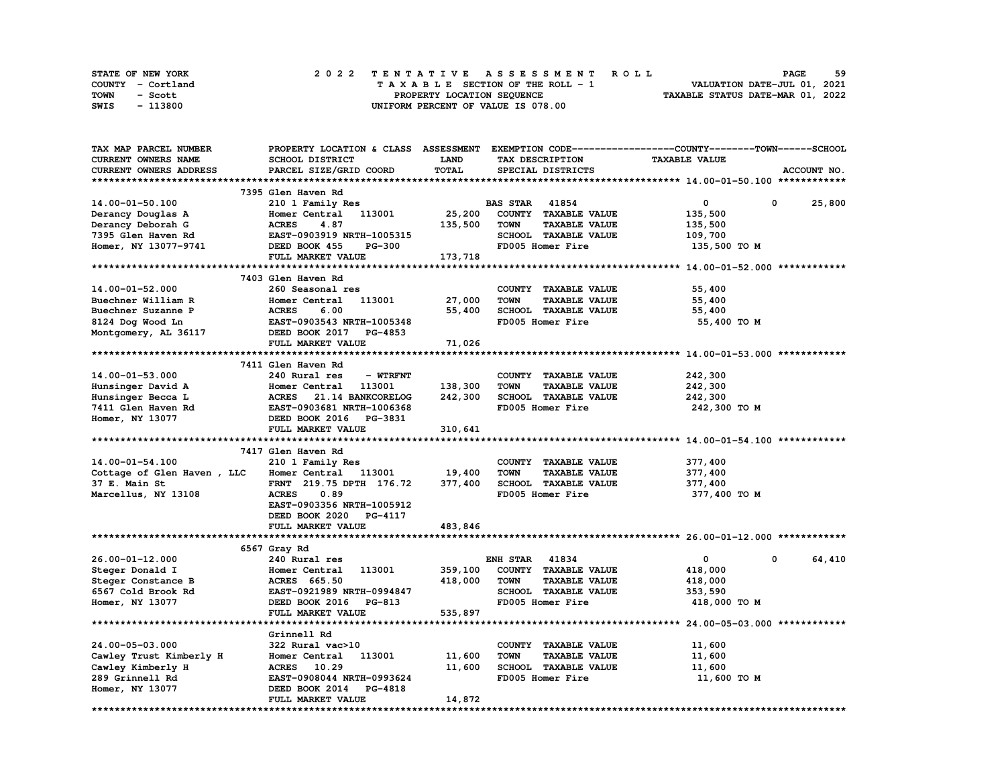| STATE OF NEW YORK | 2022 TENTATIVE ASSESSMENT ROLL     | 59<br><b>PAGE</b>                |
|-------------------|------------------------------------|----------------------------------|
| COUNTY - Cortland | TAXABLE SECTION OF THE ROLL - 1    | VALUATION DATE-JUL 01, 2021      |
| TOWN<br>- Scott   | PROPERTY LOCATION SEQUENCE         | TAXABLE STATUS DATE-MAR 01, 2022 |
| - 113800<br>SWIS  | UNIFORM PERCENT OF VALUE IS 078.00 |                                  |

| TAX MAP PARCEL NUMBER      | PROPERTY LOCATION & CLASS ASSESSMENT EXEMPTION CODE-----------------COUNTY-------TOWN------SCHOOL |              |                       |                      |                      |   |             |
|----------------------------|---------------------------------------------------------------------------------------------------|--------------|-----------------------|----------------------|----------------------|---|-------------|
| CURRENT OWNERS NAME        | SCHOOL DISTRICT                                                                                   | LAND         | TAX DESCRIPTION       |                      | <b>TAXABLE VALUE</b> |   |             |
| CURRENT OWNERS ADDRESS     | PARCEL SIZE/GRID COORD                                                                            | <b>TOTAL</b> |                       | SPECIAL DISTRICTS    |                      |   | ACCOUNT NO. |
|                            |                                                                                                   |              |                       |                      |                      |   |             |
|                            | 7395 Glen Haven Rd                                                                                |              |                       |                      |                      |   |             |
| 14.00-01-50.100            | 210 1 Family Res                                                                                  |              | <b>BAS STAR 41854</b> |                      | 0                    | 0 | 25,800      |
| Derancy Douglas A          | Homer Central<br>113001                                                                           | 25,200       |                       | COUNTY TAXABLE VALUE | 135,500              |   |             |
|                            | <b>ACRES</b><br>4.87                                                                              |              | <b>TOWN</b>           | <b>TAXABLE VALUE</b> |                      |   |             |
| Derancy Deborah G          |                                                                                                   | 135,500      |                       |                      | 135,500              |   |             |
| 7395 Glen Haven Rd         | EAST-0903919 NRTH-1005315                                                                         |              |                       | SCHOOL TAXABLE VALUE | 109,700              |   |             |
| Homer, NY 13077-9741       | DEED BOOK 455<br>PG-300                                                                           |              |                       | FD005 Homer Fire     | 135,500 TO M         |   |             |
|                            | FULL MARKET VALUE                                                                                 | 173,718      |                       |                      |                      |   |             |
|                            |                                                                                                   |              |                       |                      |                      |   |             |
|                            | 7403 Glen Haven Rd                                                                                |              |                       |                      |                      |   |             |
| 14.00-01-52.000            | 260 Seasonal res                                                                                  |              |                       | COUNTY TAXABLE VALUE | 55,400               |   |             |
| Buechner William R         | Homer Central<br>113001                                                                           | 27,000       | <b>TOWN</b>           | <b>TAXABLE VALUE</b> | 55,400               |   |             |
| Buechner Suzanne P         | <b>ACRES</b><br>6.00                                                                              | 55,400       |                       | SCHOOL TAXABLE VALUE | 55,400               |   |             |
| 8124 Dog Wood Ln           | EAST-0903543 NRTH-1005348                                                                         |              |                       | FD005 Homer Fire     | 55,400 TO M          |   |             |
| Montgomery, AL 36117       | DEED BOOK 2017 PG-4853                                                                            |              |                       |                      |                      |   |             |
|                            | FULL MARKET VALUE                                                                                 | 71,026       |                       |                      |                      |   |             |
|                            |                                                                                                   |              |                       |                      |                      |   |             |
|                            | 7411 Glen Haven Rd                                                                                |              |                       |                      |                      |   |             |
| 14.00-01-53.000            | 240 Rural res<br>- WTRFNT                                                                         |              |                       | COUNTY TAXABLE VALUE | 242,300              |   |             |
| Hunsinger David A          | Homer Central<br>113001                                                                           | 138,300      | <b>TOWN</b>           | <b>TAXABLE VALUE</b> | 242,300              |   |             |
| Hunsinger Becca L          | <b>ACRES</b><br>21.14 BANKCORELOG                                                                 | 242,300      |                       | SCHOOL TAXABLE VALUE | 242,300              |   |             |
| 7411 Glen Haven Rd         | EAST-0903681 NRTH-1006368                                                                         |              |                       | FD005 Homer Fire     | 242,300 TO M         |   |             |
| Homer, NY 13077            | DEED BOOK 2016 PG-3831                                                                            |              |                       |                      |                      |   |             |
|                            | FULL MARKET VALUE                                                                                 | 310,641      |                       |                      |                      |   |             |
|                            |                                                                                                   |              |                       |                      |                      |   |             |
|                            |                                                                                                   |              |                       |                      |                      |   |             |
|                            | 7417 Glen Haven Rd                                                                                |              |                       |                      |                      |   |             |
| 14.00-01-54.100            | 210 1 Family Res                                                                                  |              |                       | COUNTY TAXABLE VALUE | 377,400              |   |             |
| Cottage of Glen Haven, LLC | Homer Central<br>113001                                                                           | 19,400       | <b>TOWN</b>           | <b>TAXABLE VALUE</b> | 377,400              |   |             |
| 37 E. Main St              | FRNT 219.75 DPTH 176.72                                                                           | 377,400      |                       | SCHOOL TAXABLE VALUE | 377,400              |   |             |
| Marcellus, NY 13108        | <b>ACRES</b><br>0.89                                                                              |              |                       | FD005 Homer Fire     | 377,400 TO M         |   |             |
|                            | EAST-0903356 NRTH-1005912                                                                         |              |                       |                      |                      |   |             |
|                            | DEED BOOK 2020<br>PG-4117                                                                         |              |                       |                      |                      |   |             |
|                            | FULL MARKET VALUE                                                                                 | 483,846      |                       |                      |                      |   |             |
|                            |                                                                                                   |              |                       |                      |                      |   |             |
|                            | 6567 Gray Rd                                                                                      |              |                       |                      |                      |   |             |
| $26.00 - 01 - 12.000$      | 240 Rural res                                                                                     |              | <b>ENH STAR 41834</b> |                      | 0                    | 0 | 64,410      |
| Steger Donald I            | 113001<br>Homer Central                                                                           | 359,100      |                       | COUNTY TAXABLE VALUE | 418,000              |   |             |
| Steger Constance B         | ACRES 665.50                                                                                      | 418,000      | <b>TOWN</b>           | <b>TAXABLE VALUE</b> | 418,000              |   |             |
| 6567 Cold Brook Rd         | EAST-0921989 NRTH-0994847                                                                         |              |                       | SCHOOL TAXABLE VALUE | 353,590              |   |             |
| Homer, NY 13077            | DEED BOOK 2016<br><b>PG-813</b>                                                                   |              |                       | FD005 Homer Fire     | 418,000 TO M         |   |             |
|                            | FULL MARKET VALUE                                                                                 | 535,897      |                       |                      |                      |   |             |
|                            |                                                                                                   |              |                       |                      |                      |   |             |
|                            | Grinnell Rd                                                                                       |              |                       |                      |                      |   |             |
| 24.00-05-03.000            | 322 Rural vac>10                                                                                  |              |                       | COUNTY TAXABLE VALUE | 11,600               |   |             |
|                            | 113001                                                                                            |              |                       | <b>TAXABLE VALUE</b> |                      |   |             |
| Cawley Trust Kimberly H    | Homer Central                                                                                     | 11,600       | <b>TOWN</b>           | SCHOOL TAXABLE VALUE | 11,600               |   |             |
| Cawley Kimberly H          | ACRES 10.29                                                                                       | 11,600       |                       |                      | 11,600               |   |             |
| 289 Grinnell Rd            | EAST-0908044 NRTH-0993624                                                                         |              |                       | FD005 Homer Fire     | 11,600 TO M          |   |             |
| Homer, NY 13077            | DEED BOOK 2014<br>PG-4818                                                                         |              |                       |                      |                      |   |             |
|                            | FULL MARKET VALUE                                                                                 | 14,872       |                       |                      |                      |   |             |
|                            |                                                                                                   |              |                       |                      |                      |   |             |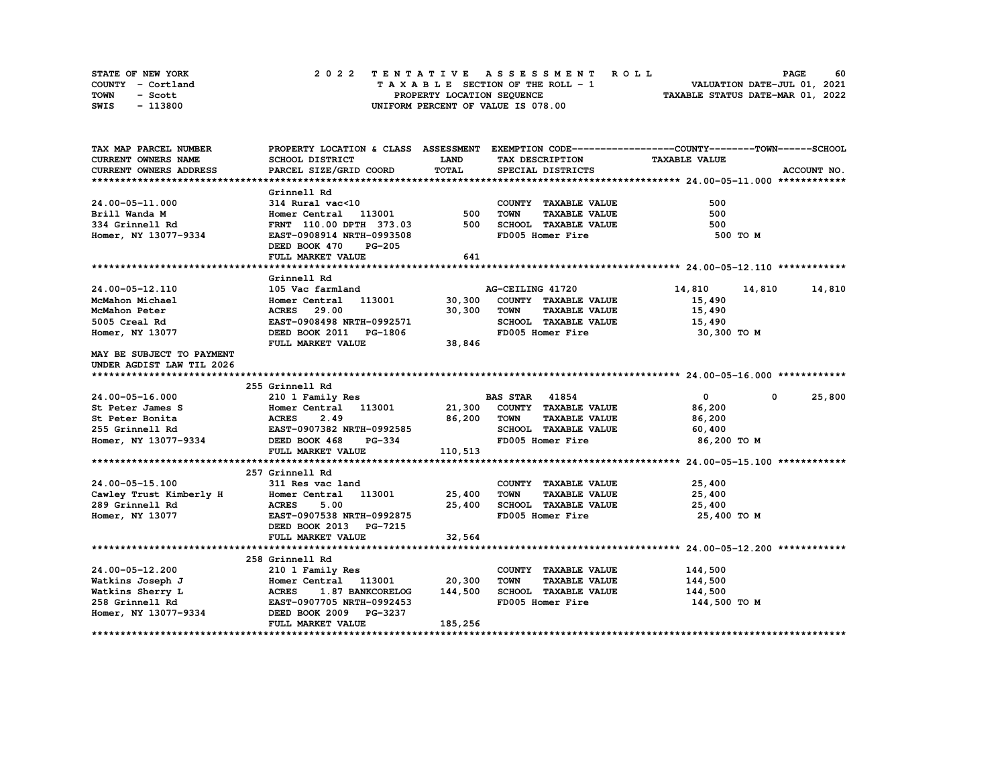| STATE OF NEW YORK | 2022 TENTATIVE ASSESSMENT ROLL     | 60<br><b>PAGE</b>                |
|-------------------|------------------------------------|----------------------------------|
| COUNTY - Cortland | TAXABLE SECTION OF THE ROLL - 1    | VALUATION DATE-JUL 01, 2021      |
| TOWN<br>- Scott   | PROPERTY LOCATION SEQUENCE         | TAXABLE STATUS DATE-MAR 01, 2022 |
| - 113800<br>SWIS  | UNIFORM PERCENT OF VALUE IS 078.00 |                                  |

| TAX MAP PARCEL NUMBER                               | PROPERTY LOCATION & CLASS ASSESSMENT EXEMPTION CODE----------------COUNTY-------TOWN------SCHOOL |             |                                     |                               |                        |
|-----------------------------------------------------|--------------------------------------------------------------------------------------------------|-------------|-------------------------------------|-------------------------------|------------------------|
| CURRENT OWNERS NAME                                 | SCHOOL DISTRICT                                                                                  | <b>LAND</b> |                                     | TAX DESCRIPTION TAXABLE VALUE |                        |
| <b>CURRENT OWNERS ADDRESS</b>                       | PARCEL SIZE/GRID COORD                                                                           | TOTAL       | SPECIAL DISTRICTS                   |                               | ACCOUNT NO.            |
|                                                     |                                                                                                  |             |                                     |                               |                        |
|                                                     | Grinnell Rd                                                                                      |             |                                     |                               |                        |
| 24.00-05-11.000                                     | 314 Rural vac<10                                                                                 |             | COUNTY TAXABLE VALUE                | 500                           |                        |
| Brill Wanda M                                       | Homer Central 113001 500                                                                         |             | <b>TOWN</b><br><b>TAXABLE VALUE</b> | 500                           |                        |
| 334 Grinnell Rd                                     | FRNT 110.00 DPTH 373.03 500                                                                      |             | SCHOOL TAXABLE VALUE                | 500                           |                        |
| Homer, NY 13077-9334                                | EAST-0908914 NRTH-0993508                                                                        |             | FD005 Homer Fire                    | 500 TO M                      |                        |
|                                                     | DEED BOOK 470<br><b>PG-205</b>                                                                   |             |                                     |                               |                        |
|                                                     | FULL MARKET VALUE                                                                                | 641         |                                     |                               |                        |
|                                                     |                                                                                                  |             |                                     |                               |                        |
|                                                     | Grinnell Rd                                                                                      |             |                                     |                               |                        |
| 24.00-05-12.110                                     |                                                                                                  |             |                                     | 14,810 14,810                 | 14,810                 |
| McMahon Michael                                     |                                                                                                  |             |                                     | 15,490                        |                        |
| McMahon Peter                                       | <b>ACRES</b> 29.00                                                                               | 30,300      | <b>TOWN</b><br><b>TAXABLE VALUE</b> | 15,490                        |                        |
| 5005 Creal Rd                                       | EAST-0908498 NRTH-0992571                                                                        |             | SCHOOL TAXABLE VALUE                | 15,490                        |                        |
| Homer, NY 13077                                     | DEED BOOK 2011 PG-1806                                                                           |             | FD005 Homer Fire                    | 30,300 TO M                   |                        |
|                                                     | FULL MARKET VALUE                                                                                | 38,846      |                                     |                               |                        |
| MAY BE SUBJECT TO PAYMENT                           |                                                                                                  |             |                                     |                               |                        |
| UNDER AGDIST LAW TIL 2026                           |                                                                                                  |             |                                     |                               |                        |
|                                                     |                                                                                                  |             |                                     |                               |                        |
|                                                     | 255 Grinnell Rd                                                                                  |             |                                     |                               |                        |
| 24.00-05-16.000                                     | 210 1 Family Res BAS STAR 41854                                                                  |             |                                     | $\overline{\mathbf{0}}$       | 25,800<br>$\mathbf{0}$ |
| St Peter James S                                    | Homer Central 113001 21,300 COUNTY TAXABLE VALUE                                                 |             |                                     | 86,200                        |                        |
| St Peter Bonita                                     |                                                                                                  | 86,200 TOWN | <b>TAXABLE VALUE</b>                | 86,200                        |                        |
| 255 Grinnell Rd                                     |                                                                                                  |             |                                     | SCHOOL TAXABLE VALUE 60,400   |                        |
| Homer, NY 13077-9334 DEED BOOK 468                  | ACRES 2.49 86, 200<br>EAST-0907382 NRTH-0992585<br>2334 DEED BOOK 468 PG-334                     |             | FD005 Homer Fire                    | 86,200 то м                   |                        |
|                                                     | FULL MARKET VALUE                                                                                | 110,513     |                                     |                               |                        |
|                                                     |                                                                                                  |             |                                     |                               |                        |
|                                                     | 257 Grinnell Rd                                                                                  |             |                                     |                               |                        |
| 24.00-05-15.100                                     | 311 Res vac land                                                                                 |             | COUNTY TAXABLE VALUE                | 25,400                        |                        |
| Cawley Trust Kimberly H Homer Central 113001 25,400 |                                                                                                  |             | <b>TOWN</b>                         | TAXABLE VALUE<br>25,400       |                        |
| 289 Grinnell Rd                                     |                                                                                                  | 25,400      | SCHOOL TAXABLE VALUE                | 25,400                        |                        |
| Homer, NY 13077                                     |                                                                                                  |             | FD005 Homer Fire                    | 25,400 TO M                   |                        |
|                                                     | DEED BOOK 2013 PG-7215                                                                           |             |                                     |                               |                        |
|                                                     | FULL MARKET VALUE                                                                                | 32,564      |                                     |                               |                        |
|                                                     |                                                                                                  |             |                                     |                               |                        |
|                                                     | 258 Grinnell Rd                                                                                  |             |                                     |                               |                        |
| 24.00-05-12.200                                     | 210 1 Family Res                                                                                 |             | COUNTY TAXABLE VALUE                | 144,500                       |                        |
| Watkins Joseph J                                    | Homer Central 113001 20,300                                                                      |             | <b>TOWN</b><br><b>TAXABLE VALUE</b> | 144,500                       |                        |
| Watkins Sherry L                                    |                                                                                                  |             |                                     | SCHOOL TAXABLE VALUE 144,500  |                        |
| 258 Grinnell Rd                                     | <b>ACRES</b> 1.87 BANKCORELOG 144,500<br>EAST-0907705 NRTH-0992453                               |             | FD005 Homer Fire                    | 144,500 TO M                  |                        |
| Homer, NY 13077-9334 DEED BOOK 2009 PG-3237         |                                                                                                  |             |                                     |                               |                        |
|                                                     | FULL MARKET VALUE                                                                                | 185,256     |                                     |                               |                        |
|                                                     |                                                                                                  |             |                                     |                               |                        |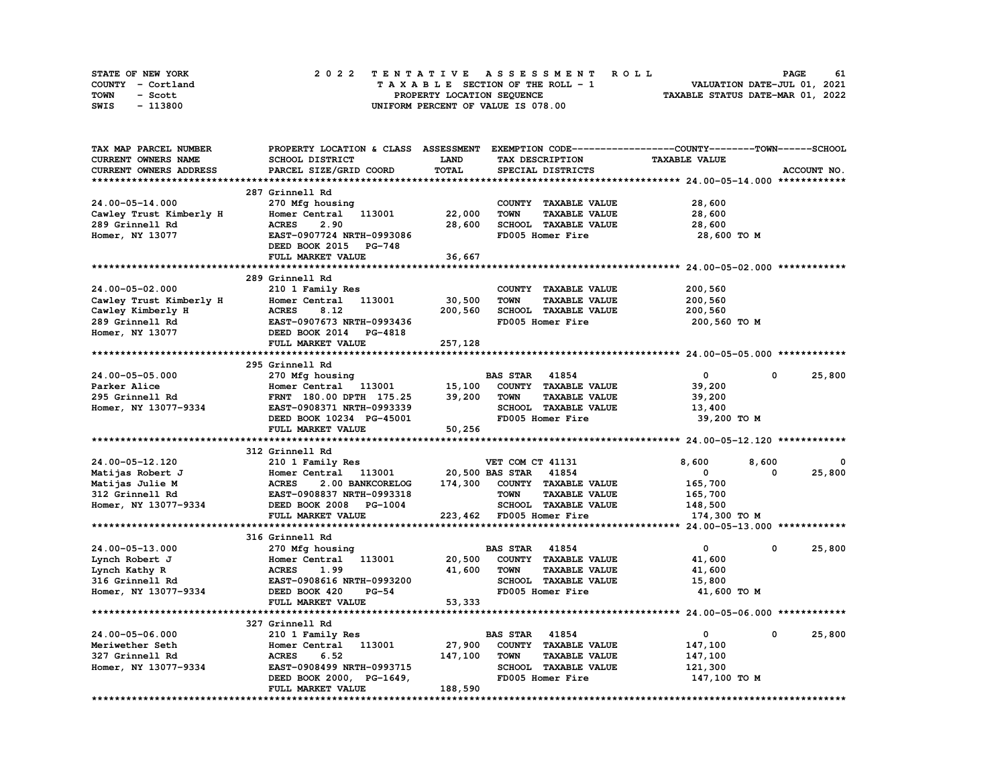| STATE OF NEW YORK | 2022 TENTATIVE ASSESSMENT ROLL          | 61<br><b>PAGE</b>                |
|-------------------|-----------------------------------------|----------------------------------|
| COUNTY - Cortland | $T A X A B L E$ SECTION OF THE ROLL - 1 | VALUATION DATE-JUL 01, 2021      |
| TOWN<br>- Scott   | PROPERTY LOCATION SEQUENCE              | TAXABLE STATUS DATE-MAR 01, 2022 |
| - 113800<br>SWIS  | UNIFORM PERCENT OF VALUE IS 078.00      |                                  |

| TAX MAP PARCEL NUMBER      | PROPERTY LOCATION & CLASS ASSESSMENT EXEMPTION CODE-----------------COUNTY-------TOWN------SCHOOL |             |                                     |                      |              |             |
|----------------------------|---------------------------------------------------------------------------------------------------|-------------|-------------------------------------|----------------------|--------------|-------------|
| <b>CURRENT OWNERS NAME</b> | SCHOOL DISTRICT                                                                                   | <b>LAND</b> | TAX DESCRIPTION                     | <b>TAXABLE VALUE</b> |              |             |
| CURRENT OWNERS ADDRESS     | PARCEL SIZE/GRID COORD                                                                            | TOTAL       | SPECIAL DISTRICTS                   |                      |              | ACCOUNT NO. |
|                            |                                                                                                   |             |                                     |                      |              |             |
|                            | 287 Grinnell Rd                                                                                   |             |                                     |                      |              |             |
| 24.00-05-14.000            | 270 Mfg housing                                                                                   |             | COUNTY TAXABLE VALUE                | 28,600               |              |             |
| Cawley Trust Kimberly H    | Homer Central<br>113001                                                                           | 22,000      | <b>TOWN</b><br><b>TAXABLE VALUE</b> | 28,600               |              |             |
| 289 Grinnell Rd            | 2.90<br><b>ACRES</b>                                                                              | 28,600      | <b>SCHOOL TAXABLE VALUE</b>         | 28,600               |              |             |
| Homer, NY 13077            | EAST-0907724 NRTH-0993086                                                                         |             | FD005 Homer Fire                    |                      |              |             |
|                            |                                                                                                   |             |                                     | 28,600 TO M          |              |             |
|                            | DEED BOOK 2015 PG-748                                                                             |             |                                     |                      |              |             |
|                            | FULL MARKET VALUE                                                                                 | 36,667      |                                     |                      |              |             |
|                            |                                                                                                   |             |                                     |                      |              |             |
|                            | 289 Grinnell Rd                                                                                   |             |                                     |                      |              |             |
| 24.00-05-02.000            | 210 1 Family Res                                                                                  |             | COUNTY TAXABLE VALUE                | 200,560              |              |             |
| Cawley Trust Kimberly H    | Homer Central<br>113001                                                                           | 30,500      | <b>TOWN</b><br><b>TAXABLE VALUE</b> | 200,560              |              |             |
| Cawley Kimberly H          | <b>ACRES</b><br>8.12                                                                              | 200,560     | SCHOOL TAXABLE VALUE                | 200,560              |              |             |
| 289 Grinnell Rd            | EAST-0907673 NRTH-0993436                                                                         |             | FD005 Homer Fire                    | 200,560 TO M         |              |             |
| Homer, NY 13077            | DEED BOOK 2014 PG-4818                                                                            |             |                                     |                      |              |             |
|                            | FULL MARKET VALUE                                                                                 | 257,128     |                                     |                      |              |             |
|                            |                                                                                                   |             |                                     |                      |              |             |
|                            | 295 Grinnell Rd                                                                                   |             |                                     |                      |              |             |
| 24.00-05-05.000            | 270 Mfg housing                                                                                   |             | <b>BAS STAR 41854</b>               | $\mathbf 0$          | $^{\circ}$   | 25,800      |
| Parker Alice               | Homer Central 113001                                                                              | 15,100      | COUNTY TAXABLE VALUE                | 39,200               |              |             |
| 295 Grinnell Rd            | FRNT 180.00 DPTH 175.25                                                                           | 39,200      | <b>TAXABLE VALUE</b><br><b>TOWN</b> | 39,200               |              |             |
| Homer, NY 13077-9334       | EAST-0908371 NRTH-0993339                                                                         |             | SCHOOL TAXABLE VALUE                | 13,400               |              |             |
|                            | DEED BOOK 10234 PG-45001                                                                          |             | FD005 Homer Fire                    | 39,200 TO M          |              |             |
|                            | FULL MARKET VALUE                                                                                 | 50,256      |                                     |                      |              |             |
|                            |                                                                                                   |             |                                     |                      |              |             |
|                            |                                                                                                   |             |                                     |                      |              |             |
|                            | 312 Grinnell Rd                                                                                   |             |                                     |                      |              |             |
| 24.00-05-12.120            | 210 1 Family Res                                                                                  |             | VET COM CT 41131                    | 8,600                | 8,600        | 0           |
| Matijas Robert J           | Homer Central<br>113001                                                                           |             | 20,500 BAS STAR 41854               | 0                    | 0            | 25,800      |
| Matijas Julie M            | <b>ACRES</b><br>2.00 BANKCORELOG                                                                  | 174,300     | COUNTY TAXABLE VALUE                | 165,700              |              |             |
| 312 Grinnell Rd            | EAST-0908837 NRTH-0993318                                                                         |             | <b>TOWN</b><br><b>TAXABLE VALUE</b> | 165,700              |              |             |
| Homer, NY 13077-9334       | DEED BOOK 2008 PG-1004                                                                            |             | SCHOOL TAXABLE VALUE                | 148,500              |              |             |
|                            | FULL MARKET VALUE                                                                                 |             | 223,462 FD005 Homer Fire            | 174,300 TO M         |              |             |
|                            |                                                                                                   |             |                                     |                      |              |             |
|                            | 316 Grinnell Rd                                                                                   |             |                                     |                      |              |             |
| 24.00-05-13.000            | 270 Mfg housing                                                                                   |             | <b>BAS STAR</b><br>41854            | 0                    | 0            | 25,800      |
| Lynch Robert J             | 113001<br>Homer Central                                                                           | 20,500      | COUNTY TAXABLE VALUE                | 41,600               |              |             |
| Lynch Kathy R              | <b>ACRES</b><br>1.99                                                                              | 41,600      | <b>TAXABLE VALUE</b><br><b>TOWN</b> | 41,600               |              |             |
| 316 Grinnell Rd            | EAST-0908616 NRTH-0993200                                                                         |             | SCHOOL TAXABLE VALUE                | 15,800               |              |             |
| Homer, NY 13077-9334       | DEED BOOK 420<br>$PG-54$                                                                          |             | FD005 Homer Fire                    | 41,600 TO M          |              |             |
|                            | FULL MARKET VALUE                                                                                 | 53,333      |                                     |                      |              |             |
|                            |                                                                                                   |             |                                     |                      |              |             |
|                            | 327 Grinnell Rd                                                                                   |             |                                     |                      |              |             |
| 24.00-05-06.000            | 210 1 Family Res                                                                                  |             | <b>BAS STAR 41854</b>               | $\mathbf{o}$         | $\mathbf{0}$ | 25,800      |
| Meriwether Seth            | Homer Central<br>113001                                                                           | 27,900      | COUNTY TAXABLE VALUE                | 147,100              |              |             |
| 327 Grinnell Rd            | <b>ACRES</b><br>6.52                                                                              | 147,100     | <b>TOWN</b><br><b>TAXABLE VALUE</b> | 147,100              |              |             |
| Homer, NY 13077-9334       | EAST-0908499 NRTH-0993715                                                                         |             | SCHOOL TAXABLE VALUE                | 121,300              |              |             |
|                            | DEED BOOK 2000, PG-1649,                                                                          |             | FD005 Homer Fire                    | 147,100 TO M         |              |             |
|                            | FULL MARKET VALUE                                                                                 | 188,590     |                                     |                      |              |             |
|                            |                                                                                                   |             |                                     |                      |              |             |
|                            |                                                                                                   |             |                                     |                      |              |             |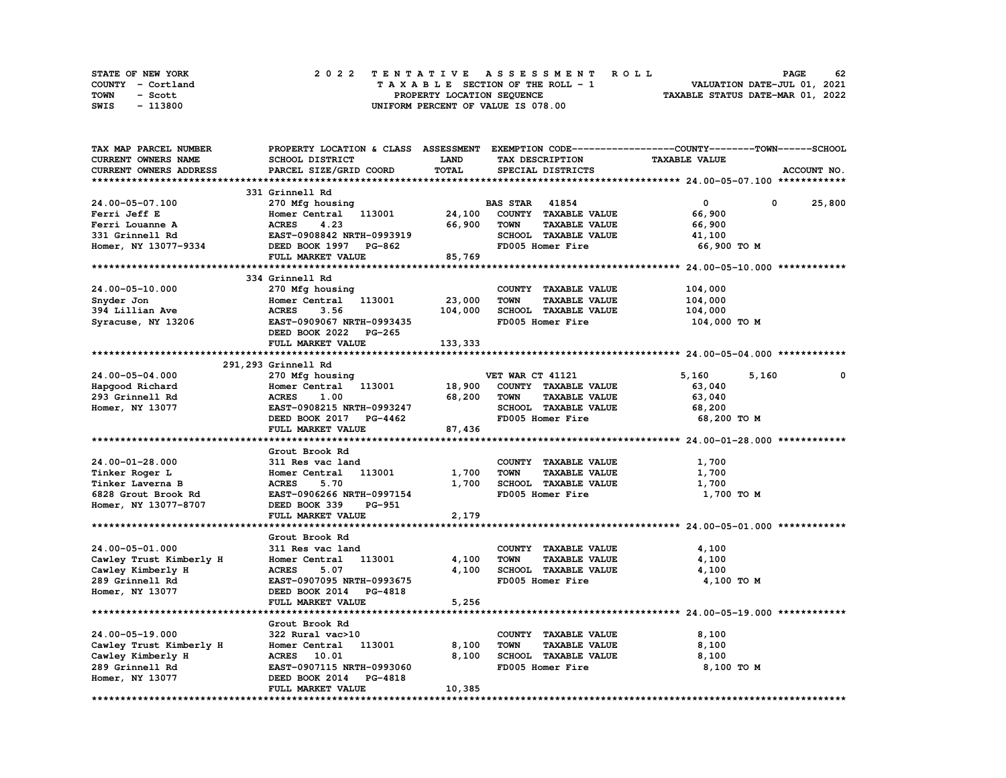|      | STATE OF NEW YORK |  | 2022 TENTATIVE ASSESSMENT ROLL |  |  |  |                                    |  |  |  |  |  |  |                                  | <b>PAGE</b>                 | 62 |
|------|-------------------|--|--------------------------------|--|--|--|------------------------------------|--|--|--|--|--|--|----------------------------------|-----------------------------|----|
|      | COUNTY - Cortland |  |                                |  |  |  | TAXABLE SECTION OF THE ROLL - 1    |  |  |  |  |  |  |                                  | VALUATION DATE-JUL 01, 2021 |    |
| TOWN | - Scott           |  |                                |  |  |  | PROPERTY LOCATION SEQUENCE         |  |  |  |  |  |  | TAXABLE STATUS DATE-MAR 01, 2022 |                             |    |
| SWIS | - 113800          |  |                                |  |  |  | UNIFORM PERCENT OF VALUE IS 078.00 |  |  |  |  |  |  |                                  |                             |    |

| TAX MAP PARCEL NUMBER      | PROPERTY LOCATION & CLASS ASSESSMENT EXEMPTION CODE----------------COUNTY-------TOWN------SCHOOL |         |                                     |                      |             |
|----------------------------|--------------------------------------------------------------------------------------------------|---------|-------------------------------------|----------------------|-------------|
| <b>CURRENT OWNERS NAME</b> | SCHOOL DISTRICT                                                                                  | LAND    | TAX DESCRIPTION                     | <b>TAXABLE VALUE</b> |             |
| CURRENT OWNERS ADDRESS     | PARCEL SIZE/GRID COORD                                                                           | TOTAL   | SPECIAL DISTRICTS                   |                      | ACCOUNT NO. |
|                            |                                                                                                  |         |                                     |                      |             |
|                            | 331 Grinnell Rd                                                                                  |         |                                     |                      |             |
| 24.00-05-07.100            |                                                                                                  |         | <b>BAS STAR 41854</b>               | 0<br>0               |             |
|                            | 270 Mfg housing                                                                                  |         |                                     |                      | 25,800      |
| Ferri Jeff E               | 113001<br>Homer Central                                                                          | 24,100  | COUNTY TAXABLE VALUE                | 66,900               |             |
| Ferri Louanne A            | 4.23<br><b>ACRES</b>                                                                             | 66,900  | <b>TOWN</b><br><b>TAXABLE VALUE</b> | 66,900               |             |
| 331 Grinnell Rd            | EAST-0908842 NRTH-0993919                                                                        |         | SCHOOL TAXABLE VALUE                | 41,100               |             |
| Homer, NY 13077-9334       | DEED BOOK 1997 PG-862                                                                            |         | FD005 Homer Fire                    | 66,900 то м          |             |
|                            | FULL MARKET VALUE                                                                                | 85,769  |                                     |                      |             |
|                            |                                                                                                  |         |                                     |                      |             |
|                            | 334 Grinnell Rd                                                                                  |         |                                     |                      |             |
| 24.00-05-10.000            | 270 Mfg housing                                                                                  |         | COUNTY TAXABLE VALUE                | 104,000              |             |
| Snyder Jon                 | Homer Central<br>113001                                                                          | 23,000  | <b>TOWN</b><br><b>TAXABLE VALUE</b> | 104,000              |             |
| 394 Lillian Ave            | <b>ACRES</b><br>3.56                                                                             | 104,000 | SCHOOL TAXABLE VALUE                | 104,000              |             |
| Syracuse, NY 13206         | EAST-0909067 NRTH-0993435                                                                        |         | FD005 Homer Fire                    | 104,000 TO M         |             |
|                            | DEED BOOK 2022<br><b>PG-265</b>                                                                  |         |                                     |                      |             |
|                            | FULL MARKET VALUE                                                                                | 133,333 |                                     |                      |             |
|                            |                                                                                                  |         |                                     |                      |             |
|                            |                                                                                                  |         |                                     |                      |             |
|                            | 291,293 Grinnell Rd                                                                              |         |                                     |                      |             |
| 24.00-05-04.000            | 270 Mfg housing                                                                                  |         | VET WAR CT 41121                    | 5,160<br>5,160       | 0           |
| Hapgood Richard            | Homer Central<br>113001                                                                          | 18,900  | COUNTY TAXABLE VALUE                | 63,040               |             |
| 293 Grinnell Rd            | <b>ACRES</b><br>1.00                                                                             | 68,200  | <b>TOWN</b><br><b>TAXABLE VALUE</b> | 63,040               |             |
| Homer, NY 13077            | EAST-0908215 NRTH-0993247                                                                        |         | SCHOOL TAXABLE VALUE                | 68,200               |             |
|                            | DEED BOOK 2017 PG-4462                                                                           |         | FD005 Homer Fire                    | 68,200 TO M          |             |
|                            | FULL MARKET VALUE                                                                                | 87,436  |                                     |                      |             |
|                            |                                                                                                  |         |                                     |                      |             |
|                            | Grout Brook Rd                                                                                   |         |                                     |                      |             |
| $24.00 - 01 - 28.000$      | 311 Res vac land                                                                                 |         | COUNTY TAXABLE VALUE                | 1,700                |             |
| Tinker Roger L             | 113001<br>Homer Central                                                                          | 1,700   | <b>TOWN</b><br><b>TAXABLE VALUE</b> | 1,700                |             |
| Tinker Laverna B           | 5.70<br><b>ACRES</b>                                                                             | 1,700   | SCHOOL TAXABLE VALUE                | 1,700                |             |
| 6828 Grout Brook Rd        | EAST-0906266 NRTH-0997154                                                                        |         | FD005 Homer Fire                    | 1,700 TO M           |             |
| Homer, NY 13077-8707       | DEED BOOK 339<br><b>PG-951</b>                                                                   |         |                                     |                      |             |
|                            | FULL MARKET VALUE                                                                                |         |                                     |                      |             |
|                            |                                                                                                  | 2,179   |                                     |                      |             |
|                            |                                                                                                  |         |                                     |                      |             |
|                            | Grout Brook Rd                                                                                   |         |                                     |                      |             |
| 24.00-05-01.000            | 311 Res vac land                                                                                 |         | COUNTY TAXABLE VALUE                | 4,100                |             |
| Cawley Trust Kimberly H    | 113001<br>Homer Central                                                                          | 4,100   | <b>TOWN</b><br><b>TAXABLE VALUE</b> | 4,100                |             |
| Cawley Kimberly H          | <b>ACRES</b><br>5.07                                                                             | 4,100   | SCHOOL TAXABLE VALUE                | 4,100                |             |
| 289 Grinnell Rd            | EAST-0907095 NRTH-0993675                                                                        |         | FD005 Homer Fire                    | 4,100 TO M           |             |
| Homer, NY 13077            | DEED BOOK 2014<br>PG-4818                                                                        |         |                                     |                      |             |
|                            | FULL MARKET VALUE                                                                                | 5,256   |                                     |                      |             |
|                            |                                                                                                  |         |                                     |                      |             |
|                            | Grout Brook Rd                                                                                   |         |                                     |                      |             |
| 24.00-05-19.000            | 322 Rural vac>10                                                                                 |         | COUNTY TAXABLE VALUE                | 8,100                |             |
| Cawley Trust Kimberly H    | Homer Central<br>113001                                                                          | 8,100   | <b>TOWN</b><br><b>TAXABLE VALUE</b> | 8,100                |             |
| Cawley Kimberly H          | ACRES 10.01                                                                                      | 8,100   | SCHOOL TAXABLE VALUE                | 8,100                |             |
| 289 Grinnell Rd            | EAST-0907115 NRTH-0993060                                                                        |         | FD005 Homer Fire                    | 8,100 TO M           |             |
|                            |                                                                                                  |         |                                     |                      |             |
| Homer, NY 13077            | DEED BOOK 2014<br>PG-4818                                                                        |         |                                     |                      |             |
| *************************  | FULL MARKET VALUE                                                                                | 10,385  |                                     |                      |             |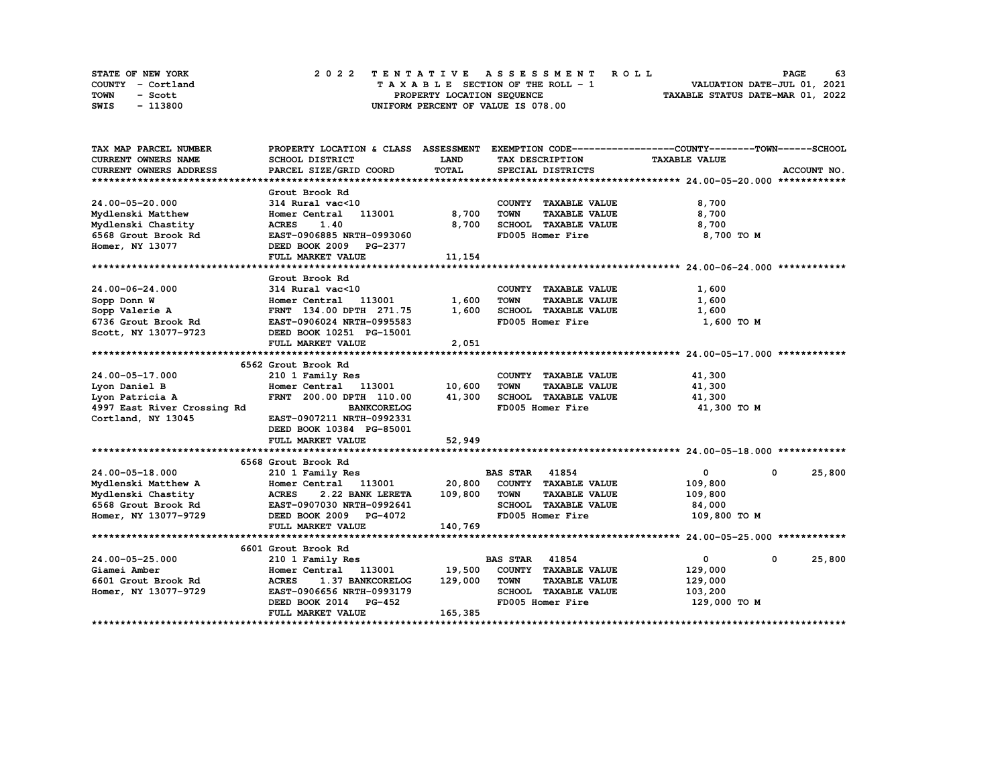|      | STATE OF NEW YORK |  |  |  |  |  | 2022 TENTATIVE ASSESSMENT ROLL     |  |  |  |  |  |  |                                  | <b>PAGE</b> | 63 |
|------|-------------------|--|--|--|--|--|------------------------------------|--|--|--|--|--|--|----------------------------------|-------------|----|
|      | COUNTY - Cortland |  |  |  |  |  | TAXABLE SECTION OF THE ROLL - 1    |  |  |  |  |  |  | VALUATION DATE-JUL 01, 2021      |             |    |
| TOWN | - Scott           |  |  |  |  |  | PROPERTY LOCATION SEQUENCE         |  |  |  |  |  |  | TAXABLE STATUS DATE-MAR 01, 2022 |             |    |
| SWIS | - 113800          |  |  |  |  |  | UNIFORM PERCENT OF VALUE IS 078.00 |  |  |  |  |  |  |                                  |             |    |

| TAX MAP PARCEL NUMBER       |                                         |             |                                         | PROPERTY LOCATION & CLASS ASSESSMENT EXEMPTION CODE-----------------COUNTY-------TOWN------SCHOOL |             |
|-----------------------------|-----------------------------------------|-------------|-----------------------------------------|---------------------------------------------------------------------------------------------------|-------------|
| <b>CURRENT OWNERS NAME</b>  | <b>SCHOOL DISTRICT</b>                  | <b>LAND</b> | TAX DESCRIPTION                         | <b>TAXABLE VALUE</b>                                                                              |             |
| CURRENT OWNERS ADDRESS      | PARCEL SIZE/GRID COORD                  | TOTAL       | SPECIAL DISTRICTS                       |                                                                                                   | ACCOUNT NO. |
|                             |                                         |             |                                         |                                                                                                   |             |
|                             | Grout Brook Rd                          |             |                                         |                                                                                                   |             |
| 24.00-05-20.000             | 314 Rural vac<10                        |             | COUNTY TAXABLE VALUE                    | 8,700                                                                                             |             |
| Mydlenski Matthew           | 113001<br>Homer Central                 | 8,700       | <b>TOWN</b><br><b>TAXABLE VALUE</b>     | 8,700                                                                                             |             |
| Mydlenski Chastity          | 1.40<br><b>ACRES</b>                    | 8,700       | SCHOOL TAXABLE VALUE                    | 8,700                                                                                             |             |
| 6568 Grout Brook Rd         | EAST-0906885 NRTH-0993060               |             | FD005 Homer Fire                        | 8,700 TO M                                                                                        |             |
| Homer, NY 13077             | DEED BOOK 2009 PG-2377                  |             |                                         |                                                                                                   |             |
|                             | FULL MARKET VALUE                       | 11,154      |                                         |                                                                                                   |             |
|                             |                                         |             |                                         |                                                                                                   |             |
|                             | Grout Brook Rd                          |             |                                         |                                                                                                   |             |
| 24.00-06-24.000             | 314 Rural vac<10                        |             | COUNTY TAXABLE VALUE                    | 1,600                                                                                             |             |
| Sopp Donn W                 | Homer Central<br>113001                 | 1,600       | <b>TOWN</b><br><b>TAXABLE VALUE</b>     | 1,600                                                                                             |             |
| Sopp Valerie A              | FRNT 134.00 DPTH 271.75                 | 1,600       | TOWN<br>SCHOOL TAXABLE VALUE<br>- - - - | 1,600                                                                                             |             |
| 6736 Grout Brook Rd         | EAST-0906024 NRTH-0995583               |             | FD005 Homer Fire                        | 1,600 TO M                                                                                        |             |
| Scott, NY 13077-9723        | DEED BOOK 10251 PG-15001                |             |                                         |                                                                                                   |             |
|                             | FULL MARKET VALUE                       | 2,051       |                                         |                                                                                                   |             |
|                             |                                         |             |                                         |                                                                                                   |             |
|                             | 6562 Grout Brook Rd                     |             |                                         |                                                                                                   |             |
| 24.00-05-17.000             | 210 1 Family Res                        |             | COUNTY TAXABLE VALUE                    | 41,300                                                                                            |             |
| Lyon Daniel B               | Homer Central 113001                    | 10,600      | <b>TOWN</b><br><b>TAXABLE VALUE</b>     | 41,300                                                                                            |             |
| Lyon Patricia A             | FRNT 200.00 DPTH 110.00                 | 41,300      | SCHOOL TAXABLE VALUE                    | 41,300                                                                                            |             |
| 4997 East River Crossing Rd | <b>BANKCORELOG</b>                      |             | FD005 Homer Fire                        | 41,300 TO M                                                                                       |             |
| Cortland, NY 13045          | EAST-0907211 NRTH-0992331               |             |                                         |                                                                                                   |             |
|                             | DEED BOOK 10384 PG-85001                |             |                                         |                                                                                                   |             |
|                             | FULL MARKET VALUE                       | 52,949      |                                         |                                                                                                   |             |
|                             |                                         |             |                                         |                                                                                                   |             |
|                             | 6568 Grout Brook Rd                     |             |                                         |                                                                                                   |             |
| 24.00-05-18.000             | 210 1 Family Res                        |             | <b>BAS STAR 41854</b>                   | $\mathbf{0}$<br>$^{\circ}$                                                                        | 25,800      |
| Mydlenski Matthew A         | Homer Central 113001                    | 20,800      | COUNTY TAXABLE VALUE                    | 109,800                                                                                           |             |
| Mydlenski Chastity          | 2.22 BANK LERETA<br><b>ACRES</b>        | 109,800     | <b>TAXABLE VALUE</b><br>TOWN            | 109,800                                                                                           |             |
| 6568 Grout Brook Rd         | EAST-0907030 NRTH-0992641               |             | SCHOOL TAXABLE VALUE                    | 84,000                                                                                            |             |
| Homer, NY 13077-9729        | DEED BOOK 2009 PG-4072                  |             | FD005 Homer Fire                        | 109,800 TO M                                                                                      |             |
|                             | FULL MARKET VALUE                       | 140,769     |                                         |                                                                                                   |             |
|                             |                                         |             |                                         |                                                                                                   |             |
|                             | 6601 Grout Brook Rd                     |             |                                         |                                                                                                   |             |
| 24.00-05-25.000             | 210 1 Family Res                        |             | 41854<br><b>BAS STAR</b>                | $\mathbf{0}$<br>$^{\circ}$                                                                        | 25,800      |
| Giamei Amber                | Homer Central<br>113001                 | 19,500      | COUNTY TAXABLE VALUE                    | 129,000                                                                                           |             |
| 6601 Grout Brook Rd         | <b>ACRES</b><br><b>1.37 BANKCORELOG</b> | 129,000     | <b>TOWN</b><br><b>TAXABLE VALUE</b>     | 129,000                                                                                           |             |
| Homer, NY 13077-9729        | EAST-0906656 NRTH-0993179               |             | SCHOOL TAXABLE VALUE                    | 103,200                                                                                           |             |
|                             | DEED BOOK 2014 PG-452                   |             | FD005 Homer Fire                        | 129,000 то м                                                                                      |             |
|                             | FULL MARKET VALUE                       | 165,385     |                                         |                                                                                                   |             |
|                             |                                         |             |                                         |                                                                                                   |             |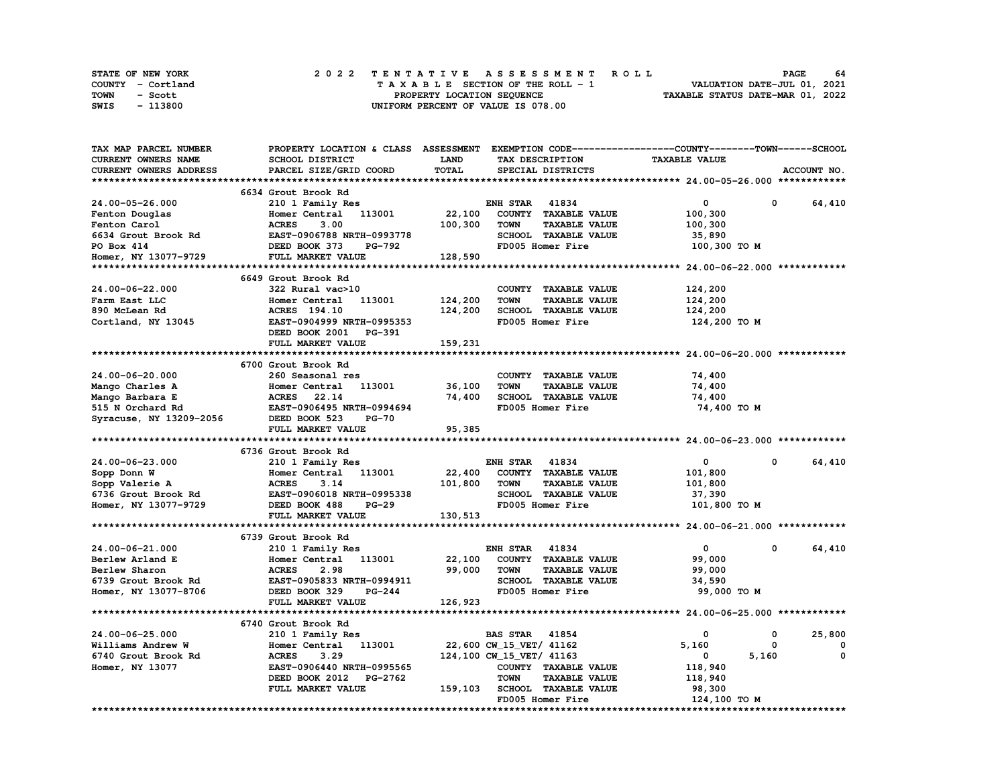| STATE OF NEW YORK | 2022 TENTATIVE ASSESSMENT ROLL          | 64<br>PAGE                       |
|-------------------|-----------------------------------------|----------------------------------|
| COUNTY - Cortland | $T A X A B L E$ SECTION OF THE ROLL - 1 | VALUATION DATE-JUL 01, 2021      |
| TOWN<br>- Scott   | PROPERTY LOCATION SEQUENCE              | TAXABLE STATUS DATE-MAR 01, 2022 |
| - 113800<br>SWIS  | UNIFORM PERCENT OF VALUE IS 078.00      |                                  |

| <b>TAX MAP PARCEL NUMBER</b> | PROPERTY LOCATION & CLASS ASSESSMENT EXEMPTION CODE----------------COUNTY-------TOWN------SCHOOL |             |                          |                              |                      |       |             |
|------------------------------|--------------------------------------------------------------------------------------------------|-------------|--------------------------|------------------------------|----------------------|-------|-------------|
| CURRENT OWNERS NAME          | SCHOOL DISTRICT                                                                                  | <b>LAND</b> | TAX DESCRIPTION          |                              | <b>TAXABLE VALUE</b> |       |             |
| CURRENT OWNERS ADDRESS       | PARCEL SIZE/GRID COORD                                                                           | TOTAL       |                          | SPECIAL DISTRICTS            |                      |       | ACCOUNT NO. |
|                              |                                                                                                  |             |                          |                              |                      |       |             |
|                              | 6634 Grout Brook Rd                                                                              |             |                          |                              |                      |       |             |
| 24.00-05-26.000              | 210 1 Family Res                                                                                 |             | <b>ENH STAR 41834</b>    |                              | 0                    | 0     | 64,410      |
| Fenton Douglas               | 113001<br>Homer Central                                                                          | 22,100      |                          | COUNTY TAXABLE VALUE         | 100,300              |       |             |
| Fenton Carol                 | <b>ACRES</b><br>3.00                                                                             | 100,300     | <b>TOWN</b>              | <b>TAXABLE VALUE</b>         | 100,300              |       |             |
| 6634 Grout Brook Rd          | EAST-0906788 NRTH-0993778                                                                        |             |                          | SCHOOL TAXABLE VALUE         | 35,890               |       |             |
| PO Box 414                   | DEED BOOK 373<br>PG-792                                                                          |             | FD005 Homer Fire         |                              | 100,300 TO M         |       |             |
| Homer, NY 13077-9729         | FULL MARKET VALUE                                                                                | 128,590     |                          |                              |                      |       |             |
|                              |                                                                                                  |             |                          |                              |                      |       |             |
|                              | 6649 Grout Brook Rd                                                                              |             |                          |                              |                      |       |             |
| 24.00-06-22.000              | 322 Rural vac>10                                                                                 |             |                          | COUNTY TAXABLE VALUE         | 124,200              |       |             |
| Farm East LLC                | 113001<br>Homer Central                                                                          | 124,200     | <b>TOWN</b>              | <b>TAXABLE VALUE</b>         | 124,200              |       |             |
| 890 McLean Rd                | <b>ACRES</b> 194.10                                                                              | 124,200     |                          | <b>SCHOOL TAXABLE VALUE</b>  | 124,200              |       |             |
| Cortland, NY 13045           | EAST-0904999 NRTH-0995353                                                                        |             |                          | FD005 Homer Fire             | 124,200 то м         |       |             |
|                              | DEED BOOK 2001 PG-391                                                                            |             |                          |                              |                      |       |             |
|                              | FULL MARKET VALUE                                                                                | 159,231     |                          |                              |                      |       |             |
|                              |                                                                                                  |             |                          |                              |                      |       |             |
|                              | 6700 Grout Brook Rd                                                                              |             |                          |                              |                      |       |             |
| 24.00-06-20.000              | 260 Seasonal res                                                                                 |             |                          | COUNTY TAXABLE VALUE         | 74,400               |       |             |
| Mango Charles A              | Homer Central 113001                                                                             | 36,100      | <b>TOWN</b>              | <b>TAXABLE VALUE</b>         | 74,400               |       |             |
| Mango Barbara E              | ACRES 22.14                                                                                      | 74,400      |                          | <b>SCHOOL TAXABLE VALUE</b>  | 74,400               |       |             |
| 515 N Orchard Rd             | EAST-0906495 NRTH-0994694                                                                        |             |                          | FD005 Homer Fire             | 74,400 TO M          |       |             |
| Syracuse, NY 13209-2056      | DEED BOOK 523<br><b>PG-70</b>                                                                    |             |                          |                              |                      |       |             |
|                              | FULL MARKET VALUE                                                                                | 95,385      |                          |                              |                      |       |             |
|                              |                                                                                                  |             |                          |                              |                      |       |             |
|                              | 6736 Grout Brook Rd                                                                              |             |                          |                              |                      |       |             |
| 24.00-06-23.000              |                                                                                                  |             | <b>ENH STAR 41834</b>    |                              | $\mathbf 0$          | 0     | 64,410      |
| Sopp Donn W                  | 210 1 Family Res<br>Homer Central 113001                                                         | 22,400      |                          | COUNTY TAXABLE VALUE         | 101,800              |       |             |
|                              | <b>ACRES</b><br>3.14                                                                             | 101,800     | <b>TOWN</b>              | <b>TAXABLE VALUE</b>         |                      |       |             |
| Sopp Valerie A               |                                                                                                  |             |                          |                              | 101,800              |       |             |
| 6736 Grout Brook Rd          | EAST-0906018 NRTH-0995338                                                                        |             |                          | SCHOOL TAXABLE VALUE         | 37,390               |       |             |
| Homer, NY 13077-9729         | DEED BOOK 488<br>$PG-29$                                                                         |             |                          | FD005 Homer Fire             | 101,800 TO M         |       |             |
|                              | FULL MARKET VALUE                                                                                | 130,513     |                          |                              |                      |       |             |
|                              |                                                                                                  |             |                          |                              |                      |       |             |
|                              | 6739 Grout Brook Rd                                                                              |             |                          |                              |                      |       |             |
| 24.00-06-21.000              | 210 1 Family Res                                                                                 |             | <b>ENH STAR 41834</b>    |                              | $\mathbf{0}$         | 0     | 64,410      |
| Berlew Arland E              | Homer Central<br>113001                                                                          | 22,100      |                          | COUNTY TAXABLE VALUE         | 99,000               |       |             |
| Berlew Sharon                | 2.98<br><b>ACRES</b>                                                                             | 99,000      | <b>TOWN</b>              | <b>TAXABLE VALUE</b>         | 99,000               |       |             |
| 6739 Grout Brook Rd          | EAST-0905833 NRTH-0994911                                                                        |             |                          | SCHOOL TAXABLE VALUE         | 34,590               |       |             |
| Homer, NY 13077-8706         | DEED BOOK 329<br>PG-244                                                                          |             | FD005 Homer Fire         |                              | 99,000 TO M          |       |             |
|                              | FULL MARKET VALUE                                                                                | 126,923     |                          |                              |                      |       |             |
|                              |                                                                                                  |             |                          |                              |                      |       |             |
|                              | 6740 Grout Brook Rd                                                                              |             |                          |                              |                      |       |             |
| 24.00-06-25.000              | 210 1 Family Res                                                                                 |             | <b>BAS STAR 41854</b>    |                              | $\mathbf 0$          | 0     | 25,800      |
| Williams Andrew W            | 113001<br>Homer Central                                                                          |             | 22,600 CW_15_VET/ 41162  |                              | 5,160                | 0     | $^{\circ}$  |
| 6740 Grout Brook Rd          | <b>ACRES</b><br>3.29                                                                             |             | 124,100 CW_15_VET/ 41163 |                              | $\mathbf{0}$         | 5,160 | 0           |
| Homer, NY 13077              | EAST-0906440 NRTH-0995565                                                                        |             |                          | COUNTY TAXABLE VALUE         | 118,940              |       |             |
|                              | DEED BOOK 2012 PG-2762                                                                           |             | <b>TOWN</b>              | <b>TAXABLE VALUE</b>         | 118,940              |       |             |
|                              | FULL MARKET VALUE                                                                                |             |                          | 159,103 SCHOOL TAXABLE VALUE | 98,300               |       |             |
|                              |                                                                                                  |             | FD005 Homer Fire         |                              | 124,100 TO M         |       |             |
|                              |                                                                                                  |             |                          |                              |                      |       |             |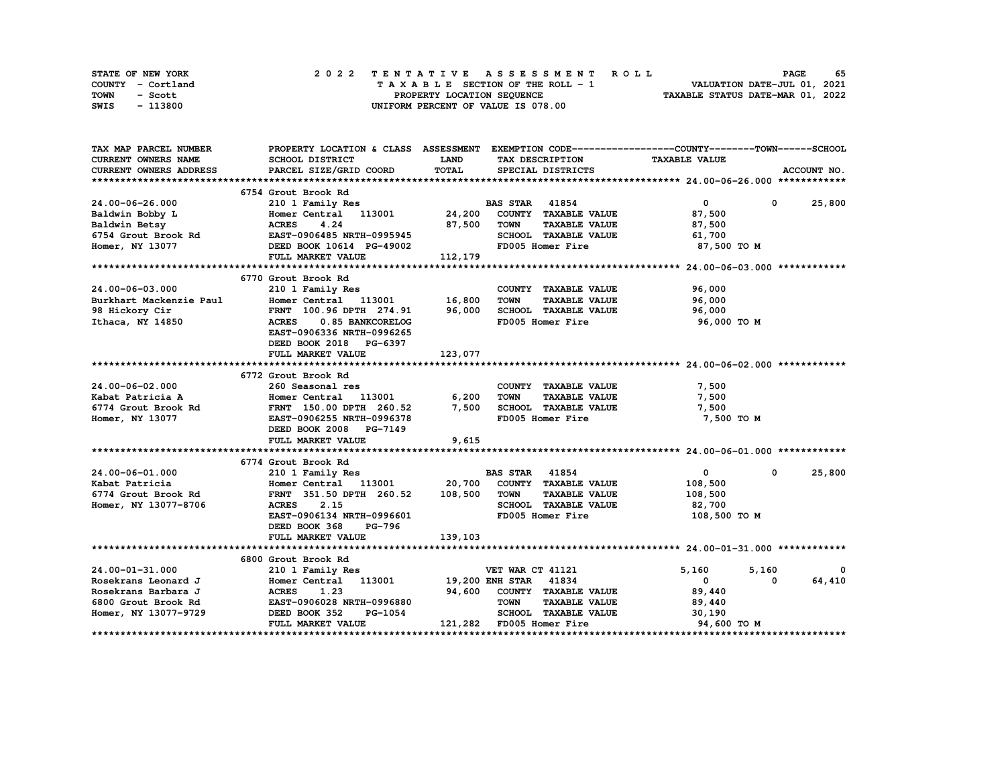| STATE OF NEW YORK | 2022 TENTATIVE ASSESSMENT ROLL     | 65<br><b>PAGE</b>                |
|-------------------|------------------------------------|----------------------------------|
| COUNTY - Cortland | TAXABLE SECTION OF THE ROLL - 1    | VALUATION DATE-JUL 01, 2021      |
| TOWN<br>- Scott   | PROPERTY LOCATION SEQUENCE         | TAXABLE STATUS DATE-MAR 01, 2022 |
| - 113800<br>SWIS  | UNIFORM PERCENT OF VALUE IS 078.00 |                                  |

| TAX MAP PARCEL NUMBER                                                                          | PROPERTY LOCATION & CLASS ASSESSMENT EXEMPTION CODE----------------COUNTY-------TOWN-----SCHOOL |             |                                     |                            |               |
|------------------------------------------------------------------------------------------------|-------------------------------------------------------------------------------------------------|-------------|-------------------------------------|----------------------------|---------------|
| CURRENT OWNERS NAME                                                                            | <b>SCHOOL DISTRICT</b>                                                                          | <b>LAND</b> | TAX DESCRIPTION                     | <b>TAXABLE VALUE</b>       |               |
| <b>CURRENT OWNERS ADDRESS</b>                                                                  | PARCEL SIZE/GRID COORD                                                                          | TOTAL       | SPECIAL DISTRICTS                   |                            | ACCOUNT NO.   |
|                                                                                                |                                                                                                 |             |                                     |                            |               |
|                                                                                                | 6754 Grout Brook Rd                                                                             |             |                                     |                            |               |
| 24.00-06-26.000                                                                                | 210 1 Family Res                                                                                |             | <b>BAS STAR</b> 41854               | $\mathbf{0}$               | $0 \t 25,800$ |
| Baldwin Bobby L                                                                                | Homer Central 113001 24,200 COUNTY TAXABLE VALUE                                                |             |                                     | 87,500                     |               |
|                                                                                                |                                                                                                 |             | <b>TOWN</b><br><b>TAXABLE VALUE</b> | 87,500                     |               |
|                                                                                                |                                                                                                 |             | SCHOOL TAXABLE VALUE                | 61,700                     |               |
|                                                                                                |                                                                                                 |             | FD005 Homer Fire                    | 87,500 TO M                |               |
|                                                                                                | FULL MARKET VALUE                                                                               | 112,179     |                                     |                            |               |
|                                                                                                |                                                                                                 |             |                                     |                            |               |
|                                                                                                | 6770 Grout Brook Rd                                                                             |             |                                     |                            |               |
|                                                                                                |                                                                                                 |             | COUNTY TAXABLE VALUE                | 96,000                     |               |
|                                                                                                |                                                                                                 |             | <b>TOWN</b><br><b>TAXABLE VALUE</b> | 96,000                     |               |
|                                                                                                |                                                                                                 |             | SCHOOL TAXABLE VALUE 96,000         |                            |               |
|                                                                                                |                                                                                                 |             | FD005 Homer Fire                    | 96,000 TO M                |               |
|                                                                                                | EAST-0906336 NRTH-0996265                                                                       |             |                                     |                            |               |
|                                                                                                |                                                                                                 |             |                                     |                            |               |
|                                                                                                | DEED BOOK 2018 PG-6397                                                                          |             |                                     |                            |               |
|                                                                                                | FULL MARKET VALUE                                                                               | 123,077     |                                     |                            |               |
|                                                                                                |                                                                                                 |             |                                     |                            |               |
|                                                                                                | 6772 Grout Brook Rd                                                                             |             |                                     |                            |               |
| 24.00-06-02.000                                                                                | 260 Seasonal res                                                                                |             | COUNTY TAXABLE VALUE                | 7,500                      |               |
| Kabat Patricia A                                                                               | Homer Central 113001                                                                            | 6,200       | <b>TOWN</b><br><b>TAXABLE VALUE</b> | 7,500                      |               |
| 6774 Grout Brook Rd FRNT 150.00 DPTH 260.52 7,500<br>Homer, NY 13077 EAST-0906255 NRTH-0996378 |                                                                                                 |             | SCHOOL TAXABLE VALUE                | 7,500                      |               |
| Homer, NY 13077                                                                                |                                                                                                 |             | FD005 Homer Fire                    | 7,500 TO M                 |               |
|                                                                                                | DEED BOOK 2008 PG-7149                                                                          |             |                                     |                            |               |
|                                                                                                | FULL MARKET VALUE                                                                               | 9,615       |                                     |                            |               |
|                                                                                                |                                                                                                 |             |                                     |                            |               |
|                                                                                                | 6774 Grout Brook Rd                                                                             |             |                                     |                            |               |
| 24.00-06-01.000                                                                                |                                                                                                 |             |                                     | $\mathbf{0}$<br>$^{\circ}$ | 25,800        |
| Kabat Patricia                                                                                 |                                                                                                 |             |                                     | 108,500                    |               |
| 6774 Grout Brook Rd                                                                            | FRNT 351.50 DPTH 260.52 108,500                                                                 |             | <b>TOWN</b><br><b>TAXABLE VALUE</b> | 108,500                    |               |
| Homer, NY 13077-8706                                                                           | <b>ACRES</b><br>2.15                                                                            |             | SCHOOL TAXABLE VALUE                | 82,700                     |               |
|                                                                                                | EAST-0906134 NRTH-0996601                                                                       |             | FD005 Homer Fire                    | 108,500 TO M               |               |
|                                                                                                | DEED BOOK 368<br><b>PG-796</b>                                                                  |             |                                     |                            |               |
|                                                                                                | FULL MARKET VALUE                                                                               | 139,103     |                                     |                            |               |
|                                                                                                |                                                                                                 |             |                                     |                            |               |
|                                                                                                | 6800 Grout Brook Rd                                                                             |             |                                     |                            |               |
| 24.00-01-31.000                                                                                | 210 1 Family Res                                                                                |             | VET WAR CT 41121                    | 5,160<br>5,160             | 0             |
| Rosekrans Leonard J                                                                            | Homer Central 113001 19,200 ENH STAR 41834                                                      |             |                                     | $\mathbf{0}$<br>0          | 64,410        |
| Rosekrans Barbara J                                                                            | 1.23<br><b>ACRES</b>                                                                            |             | 94,600 COUNTY TAXABLE VALUE         | 89,440                     |               |
| 6800 Grout Brook Rd                                                                            | <b>EAST-0906028 NRTH-0996880</b>                                                                |             | <b>TOWN</b><br><b>TAXABLE VALUE</b> | 89,440                     |               |
| Homer, NY 13077-9729                                                                           | DEED BOOK 352<br><b>PG-1054</b>                                                                 |             | SCHOOL TAXABLE VALUE 30,190         |                            |               |
|                                                                                                | FULL MARKET VALUE                                                                               |             | 121,282 FD005 Homer Fire            | 94,600 TO M                |               |
|                                                                                                |                                                                                                 |             |                                     |                            |               |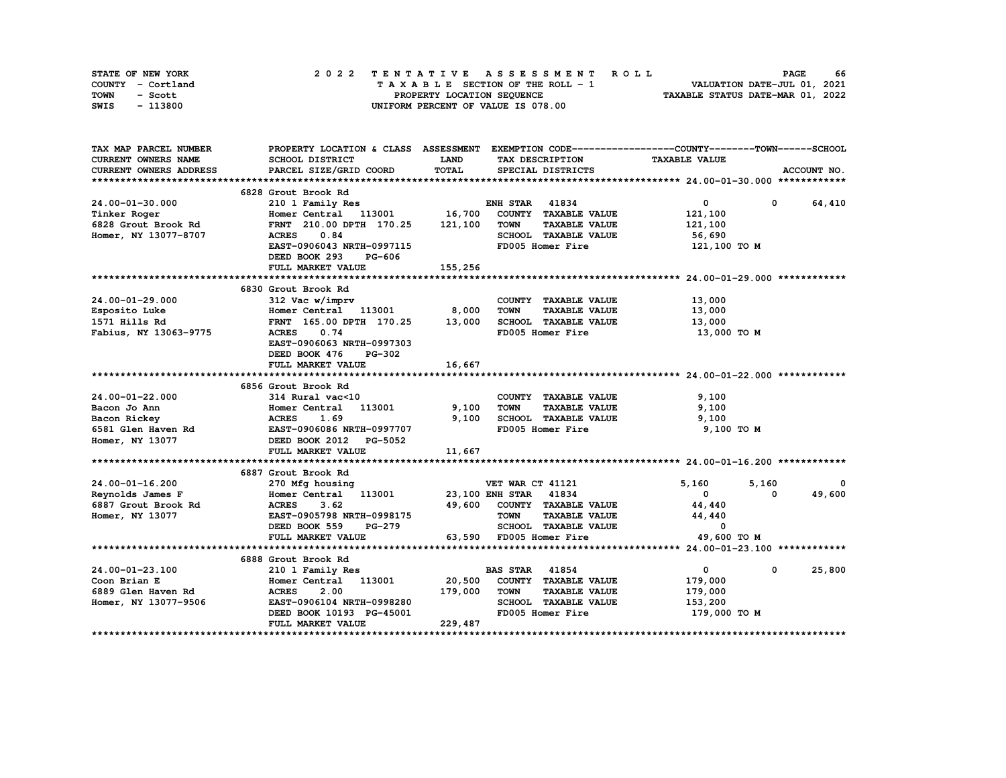| STATE OF NEW YORK | 2022 TENTATIVE ASSESSMENT ROLL     | 66<br><b>PAGE</b>                |
|-------------------|------------------------------------|----------------------------------|
| COUNTY - Cortland | TAXABLE SECTION OF THE ROLL - 1    | VALUATION DATE-JUL 01, 2021      |
| TOWN<br>- Scott   | PROPERTY LOCATION SEQUENCE         | TAXABLE STATUS DATE-MAR 01, 2022 |
| - 113800<br>SWIS  | UNIFORM PERCENT OF VALUE IS 078.00 |                                  |

| TAX MAP PARCEL NUMBER         |                                                                                                                                                                                                                                    |             |                                                | PROPERTY LOCATION & CLASS ASSESSMENT EXEMPTION CODE-----------------COUNTY-------TOWN------SCHOOL |             |
|-------------------------------|------------------------------------------------------------------------------------------------------------------------------------------------------------------------------------------------------------------------------------|-------------|------------------------------------------------|---------------------------------------------------------------------------------------------------|-------------|
| <b>CURRENT OWNERS NAME</b>    | SCHOOL DISTRICT                                                                                                                                                                                                                    | <b>LAND</b> | TAX DESCRIPTION                                | <b>TAXABLE VALUE</b>                                                                              |             |
| <b>CURRENT OWNERS ADDRESS</b> | PARCEL SIZE/GRID COORD                                                                                                                                                                                                             | TOTAL       | SPECIAL DISTRICTS                              |                                                                                                   | ACCOUNT NO. |
|                               |                                                                                                                                                                                                                                    |             |                                                |                                                                                                   |             |
|                               | 6828 Grout Brook Rd                                                                                                                                                                                                                |             |                                                |                                                                                                   |             |
| 24.00-01-30.000               | 210 1 Family Res                                                                                                                                                                                                                   |             | <b>ENH STAR 41834</b>                          | $\mathbf{0}$                                                                                      | 0 64,410    |
| Tinker Roger                  | Homer Central 113001 16,700                                                                                                                                                                                                        |             | COUNTY TAXABLE VALUE                           | 121,100                                                                                           |             |
| 6828 Grout Brook Rd           | FRNT 210.00 DPTH 170.25 121,100                                                                                                                                                                                                    |             | TOWN<br><b>TAXABLE VALUE</b>                   | 121,100                                                                                           |             |
| Homer, NY 13077-8707          | <b>ACRES</b><br>0.84                                                                                                                                                                                                               |             | SCHOOL TAXABLE VALUE                           | 56,690                                                                                            |             |
|                               | EAST-0906043 NRTH-0997115                                                                                                                                                                                                          |             | FD005 Homer Fire                               | 121,100 TO M                                                                                      |             |
|                               | DEED BOOK 293<br><b>PG-606</b>                                                                                                                                                                                                     |             |                                                |                                                                                                   |             |
|                               | FULL MARKET VALUE                                                                                                                                                                                                                  | 155,256     |                                                |                                                                                                   |             |
|                               |                                                                                                                                                                                                                                    |             |                                                |                                                                                                   |             |
|                               |                                                                                                                                                                                                                                    |             |                                                |                                                                                                   |             |
|                               | 6830 Grout Brook Rd                                                                                                                                                                                                                |             |                                                |                                                                                                   |             |
| 24.00-01-29.000               | 312 Vac w/imprv                                                                                                                                                                                                                    |             | COUNTY TAXABLE VALUE                           | 13,000                                                                                            |             |
| Esposito Luke                 | Homer Central 113001 8,000                                                                                                                                                                                                         |             | <b>TAXABLE VALUE</b><br><b>TOWN</b>            | 13,000                                                                                            |             |
| 1571 Hills Rd                 | FRNT 165.00 DPTH 170.25 13,000                                                                                                                                                                                                     |             | SCHOOL TAXABLE VALUE                           | 13,000                                                                                            |             |
| Fabius, NY 13063-9775         | <b>ACRES</b><br>0.74                                                                                                                                                                                                               |             | FD005 Homer Fire                               | 13,000 то м                                                                                       |             |
|                               | EAST-0906063 NRTH-0997303                                                                                                                                                                                                          |             |                                                |                                                                                                   |             |
|                               | DEED BOOK 476<br>PG-302                                                                                                                                                                                                            |             |                                                |                                                                                                   |             |
|                               | FULL MARKET VALUE                                                                                                                                                                                                                  | 16,667      |                                                |                                                                                                   |             |
|                               |                                                                                                                                                                                                                                    |             |                                                |                                                                                                   |             |
|                               | 6856 Grout Brook Rd                                                                                                                                                                                                                |             |                                                |                                                                                                   |             |
| 24.00-01-22.000               | 314 Rural vac<10                                                                                                                                                                                                                   |             | COUNTY TAXABLE VALUE                           | 9,100                                                                                             |             |
| Bacon Jo Ann                  | Homer Central 113001                                                                                                                                                                                                               | 9,100       | <b>TOWN</b><br><b>TAXABLE VALUE</b>            | 9,100                                                                                             |             |
|                               | Bacon Jo Ann<br>Bacon Rickey<br>6581 Glen Haven Rd 881 Clen Haven Rd 881 Clen Haven Rd 881 Clen Haven Rd 881 Clen Haven Rd 881 Clen Haven Rd 881 Clen Haven Rd 881 Clen Haven Rd 881 Clen Haven Rd 881 Clen Haven Rd 881 Clen Have |             |                                                | 9,100                                                                                             |             |
|                               |                                                                                                                                                                                                                                    |             | 9,100 SCHOOL TAXABLE VALUE<br>FD005 Homer Fire | 9,100 TO M                                                                                        |             |
| Homer, NY 13077               | DEED BOOK 2012 PG-5052                                                                                                                                                                                                             |             |                                                |                                                                                                   |             |
|                               | FULL MARKET VALUE                                                                                                                                                                                                                  | 11,667      |                                                |                                                                                                   |             |
|                               |                                                                                                                                                                                                                                    |             |                                                |                                                                                                   |             |
|                               | 6887 Grout Brook Rd                                                                                                                                                                                                                |             |                                                |                                                                                                   |             |
|                               |                                                                                                                                                                                                                                    |             |                                                |                                                                                                   |             |
| 24.00-01-16.200               | 270 Mfg housing                                                                                                                                                                                                                    |             | VET WAR CT 41121                               | 5,160<br>5,160                                                                                    | 0           |
| Reynolds James F              | Homer Central 113001 23,100 ENH STAR 41834                                                                                                                                                                                         |             |                                                | $^{\circ}$<br>$\overline{\mathbf{0}}$                                                             | 49,600      |
| 6887 Grout Brook Rd           |                                                                                                                                                                                                                                    |             | 49,600 COUNTY TAXABLE VALUE                    | 44,440                                                                                            |             |
| Homer, NY 13077               |                                                                                                                                                                                                                                    |             | <b>TOWN</b><br><b>TAXABLE VALUE</b>            | 44,440                                                                                            |             |
|                               | DEED BOOK 559<br>PG-279                                                                                                                                                                                                            |             | SCHOOL TAXABLE VALUE                           | $^{\circ}$                                                                                        |             |
|                               | FULL MARKET VALUE                                                                                                                                                                                                                  |             | 63,590 FD005 Homer Fire                        | 49,600 TO M                                                                                       |             |
|                               |                                                                                                                                                                                                                                    |             |                                                |                                                                                                   |             |
|                               | 6888 Grout Brook Rd                                                                                                                                                                                                                |             |                                                |                                                                                                   |             |
| 24.00-01-23.100               | 210 1 Family Res                                                                                                                                                                                                                   |             | <b>BAS STAR 41854</b>                          | $\mathbf{0}$<br>$\mathbf{0}$                                                                      | 25,800      |
| Coon Brian E                  | Homer Central 113001 20,500                                                                                                                                                                                                        |             | COUNTY TAXABLE VALUE                           | 179,000                                                                                           |             |
| 6889 Glen Haven Rd            | <b>ACRES</b><br>2.00                                                                                                                                                                                                               | 179,000     | TOWN<br><b>TAXABLE VALUE</b>                   | 179,000                                                                                           |             |
| Homer, NY 13077-9506          | EAST-0906104 NRTH-0998280                                                                                                                                                                                                          |             | SCHOOL TAXABLE VALUE                           | 153,200                                                                                           |             |
|                               | DEED BOOK 10193 PG-45001                                                                                                                                                                                                           |             | FD005 Homer Fire                               | 179,000 TO M                                                                                      |             |
|                               | FULL MARKET VALUE                                                                                                                                                                                                                  | 229,487     |                                                |                                                                                                   |             |
|                               |                                                                                                                                                                                                                                    |             |                                                |                                                                                                   |             |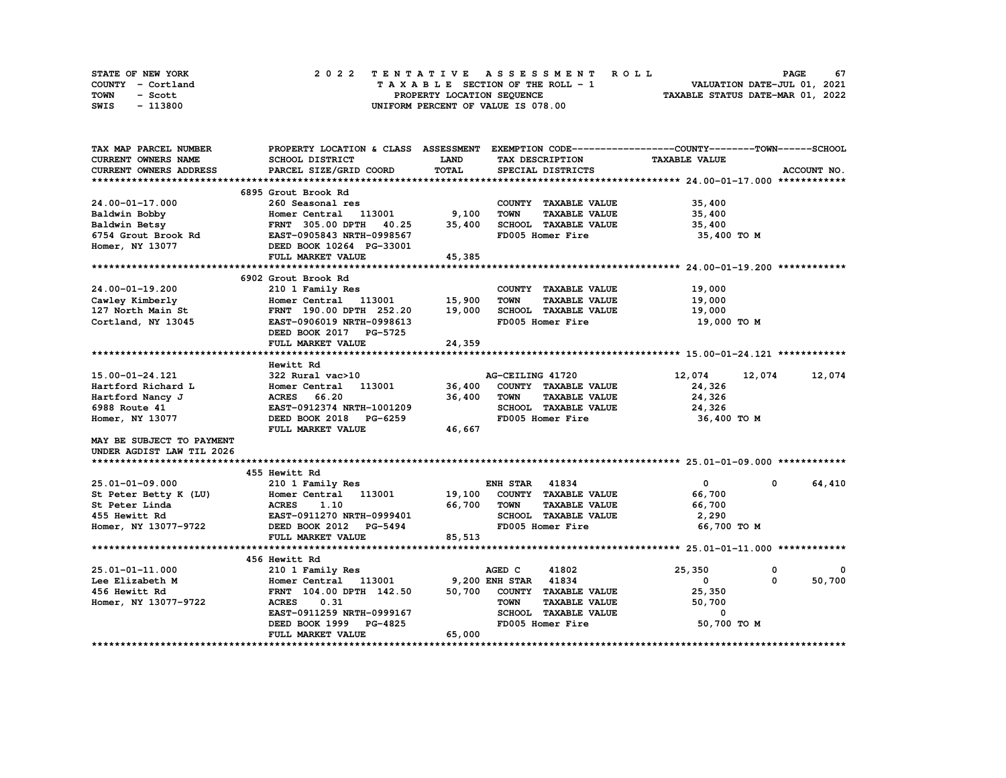| STATE OF NEW YORK |          |  |  |  |  | 2022 TENTATIVE ASSESSMENT ROLL     |  |  |  |  |  |  |                                  | <b>PAGE</b> | 67 |
|-------------------|----------|--|--|--|--|------------------------------------|--|--|--|--|--|--|----------------------------------|-------------|----|
| COUNTY - Cortland |          |  |  |  |  | TAXABLE SECTION OF THE ROLL - 1    |  |  |  |  |  |  | VALUATION DATE-JUL 01, 2021      |             |    |
| TOWN              | - Scott  |  |  |  |  | PROPERTY LOCATION SEQUENCE         |  |  |  |  |  |  | TAXABLE STATUS DATE-MAR 01, 2022 |             |    |
| SWIS              | - 113800 |  |  |  |  | UNIFORM PERCENT OF VALUE IS 078.00 |  |  |  |  |  |  |                                  |             |    |

| TAX MAP PARCEL NUMBER     |                                                                                            |             | PROPERTY LOCATION & CLASS ASSESSMENT EXEMPTION CODE----------------COUNTY-------TOWN------SCHOOL |                      |                      |
|---------------------------|--------------------------------------------------------------------------------------------|-------------|--------------------------------------------------------------------------------------------------|----------------------|----------------------|
| CURRENT OWNERS NAME       | SCHOOL DISTRICT                                                                            | <b>LAND</b> | TAX DESCRIPTION                                                                                  | <b>TAXABLE VALUE</b> |                      |
| CURRENT OWNERS ADDRESS    | PARCEL SIZE/GRID COORD                                                                     | TOTAL       | SPECIAL DISTRICTS                                                                                |                      | ACCOUNT NO.          |
|                           |                                                                                            |             |                                                                                                  |                      |                      |
|                           | 6895 Grout Brook Rd                                                                        |             |                                                                                                  |                      |                      |
| 24.00-01-17.000           | 260 Seasonal res                                                                           |             | COUNTY TAXABLE VALUE                                                                             | 35,400               |                      |
| Baldwin Bobby             | Homer Central 113001 9,100                                                                 |             | <b>TOWN</b><br><b>TAXABLE VALUE</b>                                                              | 35,400               |                      |
| Baldwin Betsy             | FRNT 305.00 DPTH 40.25 35,400                                                              |             | SCHOOL TAXABLE VALUE                                                                             | 35,400               |                      |
|                           | 6754 Grout Brook Rd EAST-0905843 NRTH-0998567                                              |             | FD005 Homer Fire                                                                                 | 35,400 TO M          |                      |
| Homer, NY 13077           | DEED BOOK 10264 PG-33001                                                                   |             |                                                                                                  |                      |                      |
|                           | FULL MARKET VALUE                                                                          | 45,385      |                                                                                                  |                      |                      |
|                           |                                                                                            |             |                                                                                                  |                      |                      |
|                           | 6902 Grout Brook Rd                                                                        |             |                                                                                                  |                      |                      |
| 24.00-01-19.200           | 210 1 Family Res                                                                           |             | COUNTY TAXABLE VALUE                                                                             | 19,000               |                      |
| Cawley Kimberly           | Homer Central 113001 15,900                                                                |             | <b>TOWN</b><br><b>TAXABLE VALUE</b>                                                              | 19,000               |                      |
| 127 North Main St         | FRNT 190.00 DPTH 252.20                                                                    | 19,000      | SCHOOL TAXABLE VALUE                                                                             | 19,000               |                      |
| Cortland, NY 13045        | EAST-0906019 NRTH-0998613                                                                  |             | FD005 Homer Fire                                                                                 | 19,000 TO M          |                      |
|                           | DEED BOOK 2017 PG-5725                                                                     |             |                                                                                                  |                      |                      |
|                           | FULL MARKET VALUE                                                                          | 24,359      |                                                                                                  |                      |                      |
|                           |                                                                                            |             |                                                                                                  |                      |                      |
|                           | Hewitt Rd                                                                                  |             |                                                                                                  |                      |                      |
| 15.00-01-24.121           | 322 Rural vac>10                                                                           |             | AG-CEILING 41720                                                                                 | 12,074 12,074        | 12,074               |
| Hartford Richard L        | Homer Central 113001                                                                       | 36,400      | COUNTY TAXABLE VALUE                                                                             | 24,326               |                      |
| Hartford Nancy J          | <b>ACRES</b><br>66.20                                                                      | 36,400      | TOWN<br><b>TAXABLE VALUE</b>                                                                     | 24,326               |                      |
| 6988 Route 41             | EAST-0912374 NRTH-1001209                                                                  |             | SCHOOL TAXABLE VALUE                                                                             | 24,326               |                      |
| Homer, NY 13077           | DEED BOOK 2018 PG-6259                                                                     |             | FD005 Homer Fire                                                                                 | 36,400 то м          |                      |
|                           | FULL MARKET VALUE                                                                          | 46,667      |                                                                                                  |                      |                      |
| MAY BE SUBJECT TO PAYMENT |                                                                                            |             |                                                                                                  |                      |                      |
| UNDER AGDIST LAW TIL 2026 |                                                                                            |             |                                                                                                  |                      |                      |
|                           |                                                                                            |             |                                                                                                  |                      |                      |
|                           | 455 Hewitt Rd                                                                              |             |                                                                                                  |                      |                      |
| $25.01 - 01 - 09.000$     | 210 1 Family Res                                                                           |             | <b>ENH STAR 41834</b>                                                                            | $\mathbf{0}$         | 64,410<br>$^{\circ}$ |
| St Peter Betty K (LU)     | Homer Central 113001                                                                       |             | 19,100 COUNTY TAXABLE VALUE                                                                      | 66,700               |                      |
| St Peter Linda            | <b>ACRES</b><br>1.10                                                                       | 66,700      | <b>TOWN</b><br><b>TAXABLE VALUE</b>                                                              | 66,700               |                      |
| 455 Hewitt Rd             | EAST-0911270 NRTH-0999401                                                                  |             | SCHOOL TAXABLE VALUE                                                                             | 2,290                |                      |
| Homer, NY 13077-9722      | DEED BOOK 2012 PG-5494                                                                     |             | FD005 Homer Fire                                                                                 | 66,700 TO M          |                      |
|                           | FULL MARKET VALUE                                                                          | 85,513      |                                                                                                  |                      |                      |
|                           |                                                                                            |             |                                                                                                  |                      |                      |
|                           | 456 Hewitt Rd                                                                              |             |                                                                                                  |                      |                      |
| 25.01-01-11.000           | 210 1 Family Res                                                                           |             | AGED C<br>41802                                                                                  | 25,350               | 0                    |
| Lee Elizabeth M           |                                                                                            |             |                                                                                                  | $^{\circ}$           | $^{\circ}$<br>50,700 |
| 456 Hewitt Rd             | Homer Central 113001 9,200 ENH STAR 41834<br>FRNT 104.00 DPTH 142.50 50,700 COUNTY TAXABLE |             | COUNTY TAXABLE VALUE                                                                             | 25,350               |                      |
| Homer, NY 13077-9722      | <b>ACRES</b><br>0.31                                                                       |             | <b>TOWN</b><br><b>TAXABLE VALUE</b>                                                              | 50,700               |                      |
|                           | EAST-0911259 NRTH-0999167                                                                  |             | SCHOOL TAXABLE VALUE                                                                             | 0                    |                      |
|                           | DEED BOOK 1999 PG-4825                                                                     |             | FD005 Homer Fire                                                                                 | 50,700 TO M          |                      |
|                           | FULL MARKET VALUE                                                                          | 65,000      |                                                                                                  |                      |                      |
|                           |                                                                                            |             |                                                                                                  |                      |                      |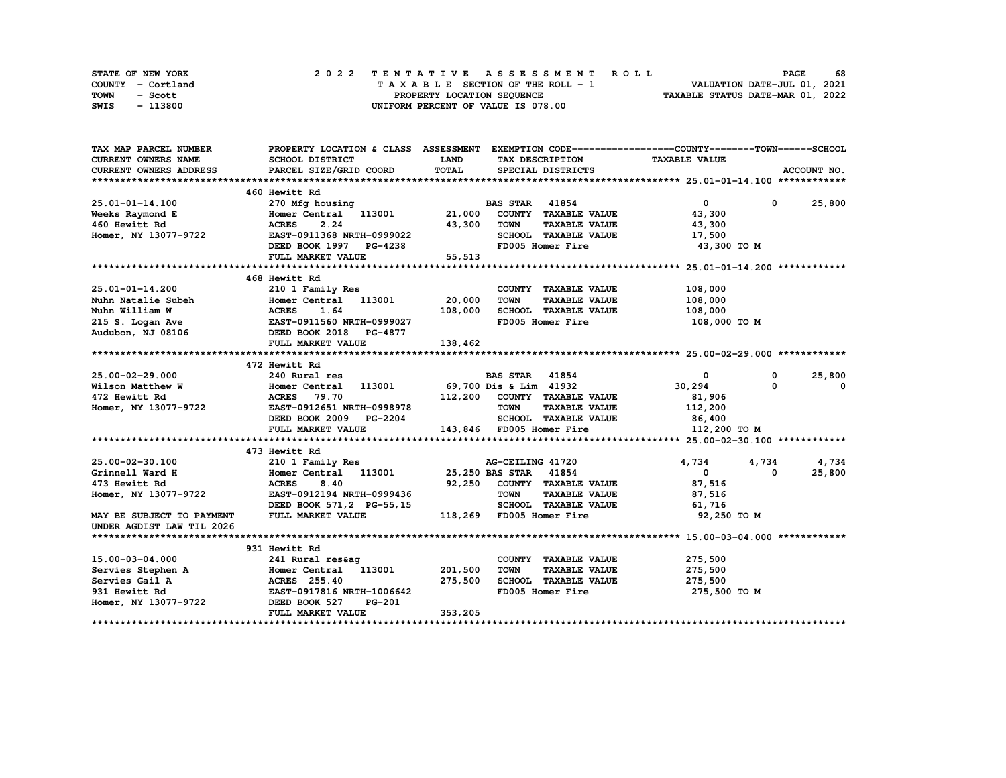| STATE OF NEW YORK | 2022 TENTATIVE ASSESSMENT ROLL     | 68<br><b>PAGE</b>                |
|-------------------|------------------------------------|----------------------------------|
| COUNTY - Cortland | TAXABLE SECTION OF THE ROLL - 1    | VALUATION DATE-JUL 01, 2021      |
| TOWN<br>- Scott   | PROPERTY LOCATION SEQUENCE         | TAXABLE STATUS DATE-MAR 01, 2022 |
| - 113800<br>SWIS  | UNIFORM PERCENT OF VALUE IS 078.00 |                                  |

| TAX MAP PARCEL NUMBER      |                                                |             |                                          | PROPERTY LOCATION & CLASS ASSESSMENT EXEMPTION CODE----------------COUNTY-------TOWN-----SCHOOL |               |
|----------------------------|------------------------------------------------|-------------|------------------------------------------|-------------------------------------------------------------------------------------------------|---------------|
| <b>CURRENT OWNERS NAME</b> | SCHOOL DISTRICT                                | <b>LAND</b> | TAX DESCRIPTION                          | <b>TAXABLE VALUE</b>                                                                            |               |
| CURRENT OWNERS ADDRESS     | PARCEL SIZE/GRID COORD                         | TOTAL       | SPECIAL DISTRICTS                        |                                                                                                 | ACCOUNT NO.   |
|                            |                                                |             |                                          |                                                                                                 |               |
|                            | 460 Hewitt Rd                                  |             |                                          |                                                                                                 |               |
| 25.01-01-14.100            | 270 Mfg housing                                |             | <b>BAS STAR</b> 41854                    | $\mathbf{0}$                                                                                    | $0 \t 25,800$ |
| Weeks Raymond E            | Homer Central 113001                           | 21,000      | COUNTY TAXABLE VALUE                     | 43,300                                                                                          |               |
| 460 Hewitt Rd              | 2.24<br><b>ACRES</b>                           | 43,300      | <b>TOWN</b><br><b>TAXABLE VALUE</b>      | 43,300                                                                                          |               |
| Homer, NY 13077-9722       | EAST-0911368 NRTH-0999022                      |             | SCHOOL TAXABLE VALUE                     | 17,500                                                                                          |               |
|                            | DEED BOOK 1997 PG-4238                         |             | FD005 Homer Fire                         | 43,300 TO M                                                                                     |               |
|                            | FULL MARKET VALUE                              | 55,513      |                                          |                                                                                                 |               |
|                            |                                                |             |                                          |                                                                                                 |               |
|                            | 468 Hewitt Rd                                  |             |                                          |                                                                                                 |               |
| 25.01-01-14.200            | 210 1 Family Res                               |             | COUNTY TAXABLE VALUE                     | 108,000                                                                                         |               |
| Nuhn Natalie Subeh         | Homer Central 113001                           | 20,000      | <b>TOWN</b><br><b>TAXABLE VALUE</b>      | 108,000                                                                                         |               |
| Nuhn William W             | <b>ACRES</b><br>1.64                           | 108,000     | SCHOOL TAXABLE VALUE<br>EDOOS Homer Fire | 108,000                                                                                         |               |
|                            | 215 S. Logan Ave EAST-0911560 NRTH-0999027     |             | FD005 Homer Fire                         | 108,000 то м                                                                                    |               |
|                            | Audubon, NJ 08106<br>DEED BOOK 2018<br>PG-4877 |             |                                          |                                                                                                 |               |
|                            | FULL MARKET VALUE                              | 138,462     |                                          |                                                                                                 |               |
|                            |                                                |             |                                          |                                                                                                 |               |
|                            | 472 Hewitt Rd                                  |             |                                          |                                                                                                 |               |
| 25.00-02-29.000            | 240 Rural res                                  |             | <b>BAS STAR</b> 41854                    | 0<br>0                                                                                          | 25,800        |
| Wilson Matthew W           | Homer Central                                  |             | 113001 69,700 Dis & Lim 41932            | 30,294<br>$\Omega$                                                                              | $^{\circ}$    |
| 472 Hewitt Rd              | <b>ACRES</b><br>79.70                          |             | 112,200 COUNTY TAXABLE VALUE             | 81,906                                                                                          |               |
| Homer, NY 13077-9722       | EAST-0912651 NRTH-0998978                      |             | <b>TOWN</b><br><b>TAXABLE VALUE</b>      | 112,200                                                                                         |               |
|                            | DEED BOOK 2009 PG-2204                         |             | SCHOOL TAXABLE VALUE                     | 86,400                                                                                          |               |
|                            | FULL MARKET VALUE                              |             | 143,846 FD005 Homer Fire                 | 112,200 TO M                                                                                    |               |
|                            |                                                |             |                                          |                                                                                                 |               |
|                            | 473 Hewitt Rd                                  |             |                                          |                                                                                                 |               |
| 25.00-02-30.100            | 210 1 Family Res                               |             | AG-CEILING 41720                         | 4,734<br>4,734                                                                                  | 4,734         |
| Grinnell Ward H            | Homer Central 113001 25,250 BAS STAR 41854     |             |                                          | $\mathbf{0}$<br>0                                                                               | 25,800        |
| 473 Hewitt Rd              | 8.40<br><b>ACRES</b>                           | 92,250      | COUNTY TAXABLE VALUE                     | 87,516                                                                                          |               |
| Homer, NY 13077-9722       | EAST-0912194 NRTH-0999436                      |             | <b>TOWN</b><br><b>TAXABLE VALUE</b>      | 87,516                                                                                          |               |
|                            | DEED BOOK 571,2 PG-55,15                       |             | SCHOOL TAXABLE VALUE                     | 61,716                                                                                          |               |
| MAY BE SUBJECT TO PAYMENT  | FULL MARKET VALUE                              |             | 118,269 FD005 Homer Fire                 | 92,250 TO M                                                                                     |               |
| UNDER AGDIST LAW TIL 2026  |                                                |             |                                          |                                                                                                 |               |
|                            |                                                |             |                                          |                                                                                                 |               |
|                            | 931 Hewitt Rd                                  |             |                                          |                                                                                                 |               |
| 15.00-03-04.000            | 241 Rural res&ag                               |             | COUNTY TAXABLE VALUE                     | 275,500                                                                                         |               |
| Servies Stephen A          | Homer Central 113001                           | 201,500     | <b>TOWN</b><br><b>TAXABLE VALUE</b>      | 275,500                                                                                         |               |
| Servies Gail A             | <b>ACRES</b> 255.40                            | 275,500     | SCHOOL TAXABLE VALUE                     | 275,500                                                                                         |               |
| 931 Hewitt Rd              | EAST-0917816 NRTH-1006642                      |             | FD005 Homer Fire                         | 275,500 TO M                                                                                    |               |
| Homer, NY 13077-9722       | DEED BOOK 527<br>PG-201                        |             |                                          |                                                                                                 |               |
|                            | FULL MARKET VALUE                              | 353,205     |                                          |                                                                                                 |               |
|                            |                                                |             |                                          |                                                                                                 |               |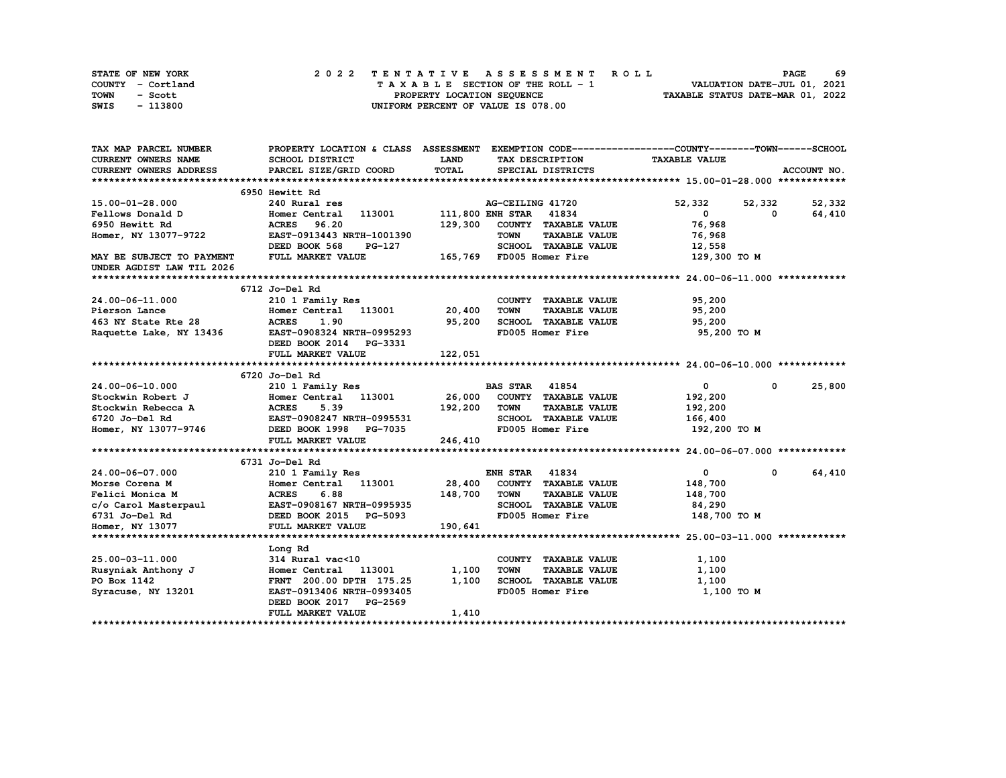| STATE OF NEW YORK | 2022 TENTATIVE ASSESSMENT ROLL     | 69<br><b>PAGE</b>                |
|-------------------|------------------------------------|----------------------------------|
| COUNTY - Cortland | TAXABLE SECTION OF THE ROLL - 1    | VALUATION DATE-JUL 01, 2021      |
| TOWN<br>- Scott   | PROPERTY LOCATION SEQUENCE         | TAXABLE STATUS DATE-MAR 01, 2022 |
| - 113800<br>SWIS  | UNIFORM PERCENT OF VALUE IS 078.00 |                                  |

| TAX MAP PARCEL NUMBER      | PROPERTY LOCATION & CLASS ASSESSMENT EXEMPTION CODE----------------COUNTY-------TOWN-----SCHOOL |             |                                     |                      |                      |
|----------------------------|-------------------------------------------------------------------------------------------------|-------------|-------------------------------------|----------------------|----------------------|
| <b>CURRENT OWNERS NAME</b> | SCHOOL DISTRICT                                                                                 | <b>LAND</b> | TAX DESCRIPTION                     | <b>TAXABLE VALUE</b> |                      |
| CURRENT OWNERS ADDRESS     | PARCEL SIZE/GRID COORD                                                                          | TOTAL       | SPECIAL DISTRICTS                   |                      | ACCOUNT NO.          |
|                            |                                                                                                 |             |                                     |                      |                      |
|                            | 6950 Hewitt Rd                                                                                  |             |                                     |                      |                      |
| 15.00-01-28.000            | 240 Rural res                                                                                   |             | AG-CEILING 41720                    | 52,332               | 52,332<br>52,332     |
| Fellows Donald D           | 113001<br>Homer Central                                                                         |             | 111,800 ENH STAR 41834              | $\mathbf 0$          | 64,410<br>$^{\circ}$ |
| 6950 Hewitt Rd             | 96.20<br><b>ACRES</b>                                                                           | 129,300     | COUNTY TAXABLE VALUE                | 76,968               |                      |
| Homer, NY 13077-9722       | EAST-0913443 NRTH-1001390                                                                       |             | <b>TOWN</b><br><b>TAXABLE VALUE</b> | 76,968               |                      |
|                            | DEED BOOK 568<br><b>PG-127</b>                                                                  |             | SCHOOL TAXABLE VALUE                | 12,558               |                      |
| MAY BE SUBJECT TO PAYMENT  | FULL MARKET VALUE                                                                               |             | 165,769 FD005 Homer Fire            | 129,300 TO M         |                      |
| UNDER AGDIST LAW TIL 2026  |                                                                                                 |             |                                     |                      |                      |
|                            |                                                                                                 |             |                                     |                      |                      |
|                            | 6712 Jo-Del Rd                                                                                  |             |                                     |                      |                      |
| 24.00-06-11.000            | 210 1 Family Res                                                                                |             | COUNTY TAXABLE VALUE                | 95,200               |                      |
| Pierson Lance              | Homer Central 113001                                                                            | 20,400      | <b>TOWN</b><br><b>TAXABLE VALUE</b> | 95,200               |                      |
| 463 NY State Rte 28        | <b>ACRES</b><br>1.90                                                                            | 95,200      | SCHOOL TAXABLE VALUE                | 95,200               |                      |
| Raquette Lake, NY 13436    | EAST-0908324 NRTH-0995293                                                                       |             | FD005 Homer Fire                    | 95,200 TO M          |                      |
|                            | DEED BOOK 2014 PG-3331                                                                          |             |                                     |                      |                      |
|                            | FULL MARKET VALUE                                                                               | 122,051     |                                     |                      |                      |
|                            |                                                                                                 |             |                                     |                      |                      |
|                            | 6720 Jo-Del Rd                                                                                  |             |                                     |                      |                      |
| 24.00-06-10.000            | 210 1 Family Res                                                                                |             | <b>BAS STAR 41854</b>               | $\mathbf{0}$         | $^{\circ}$<br>25,800 |
| Stockwin Robert J          | Homer Central 113001                                                                            | 26,000      | COUNTY TAXABLE VALUE                | 192,200              |                      |
| Stockwin Rebecca A         | <b>ACRES</b><br>5.39                                                                            | 192,200     | <b>TOWN</b><br><b>TAXABLE VALUE</b> | 192,200              |                      |
| 6720 Jo-Del Rd             | EAST-0908247 NRTH-0995531                                                                       |             | SCHOOL TAXABLE VALUE                | 166,400              |                      |
| Homer, NY 13077-9746       | DEED BOOK 1998 PG-7035                                                                          |             | FD005 Homer Fire                    | 192,200 TO M         |                      |
|                            | FULL MARKET VALUE                                                                               | 246,410     |                                     |                      |                      |
|                            |                                                                                                 |             |                                     |                      |                      |
|                            | 6731 Jo-Del Rd                                                                                  |             |                                     |                      |                      |
| 24.00-06-07.000            | 210 1 Family Res                                                                                |             | <b>ENH STAR 41834</b>               | $\mathbf 0$          | 64,410<br>0          |
| Morse Corena M             | Homer Central 113001                                                                            | 28,400      | COUNTY TAXABLE VALUE                | 148,700              |                      |
| Felici Monica M            | 6.88<br><b>ACRES</b>                                                                            | 148,700     | <b>TOWN</b><br><b>TAXABLE VALUE</b> | 148,700              |                      |
| c/o Carol Masterpaul       | EAST-0908167 NRTH-0995935                                                                       |             | SCHOOL TAXABLE VALUE                | 84,290               |                      |
| 6731 Jo-Del Rd             | DEED BOOK 2015 PG-5093                                                                          |             | FD005 Homer Fire                    | 148,700 TO M         |                      |
| Homer, NY 13077            | FULL MARKET VALUE                                                                               | 190,641     |                                     |                      |                      |
|                            |                                                                                                 |             |                                     |                      |                      |
|                            | Long Rd                                                                                         |             |                                     |                      |                      |
| 25.00-03-11.000            | 314 Rural vac<10                                                                                |             | COUNTY TAXABLE VALUE                | 1,100                |                      |
| Rusyniak Anthony J         | Homer Central<br>113001                                                                         | 1,100       | <b>TOWN</b><br><b>TAXABLE VALUE</b> | 1,100                |                      |
| PO Box 1142                | FRNT 200.00 DPTH 175.25                                                                         | 1,100       | SCHOOL TAXABLE VALUE                | 1,100                |                      |
| Syracuse, NY 13201         | EAST-0913406 NRTH-0993405                                                                       |             | FD005 Homer Fire                    | 1,100 TO M           |                      |
|                            | DEED BOOK 2017<br>PG-2569                                                                       |             |                                     |                      |                      |
|                            | FULL MARKET VALUE                                                                               | 1,410       |                                     |                      |                      |
|                            |                                                                                                 |             |                                     |                      |                      |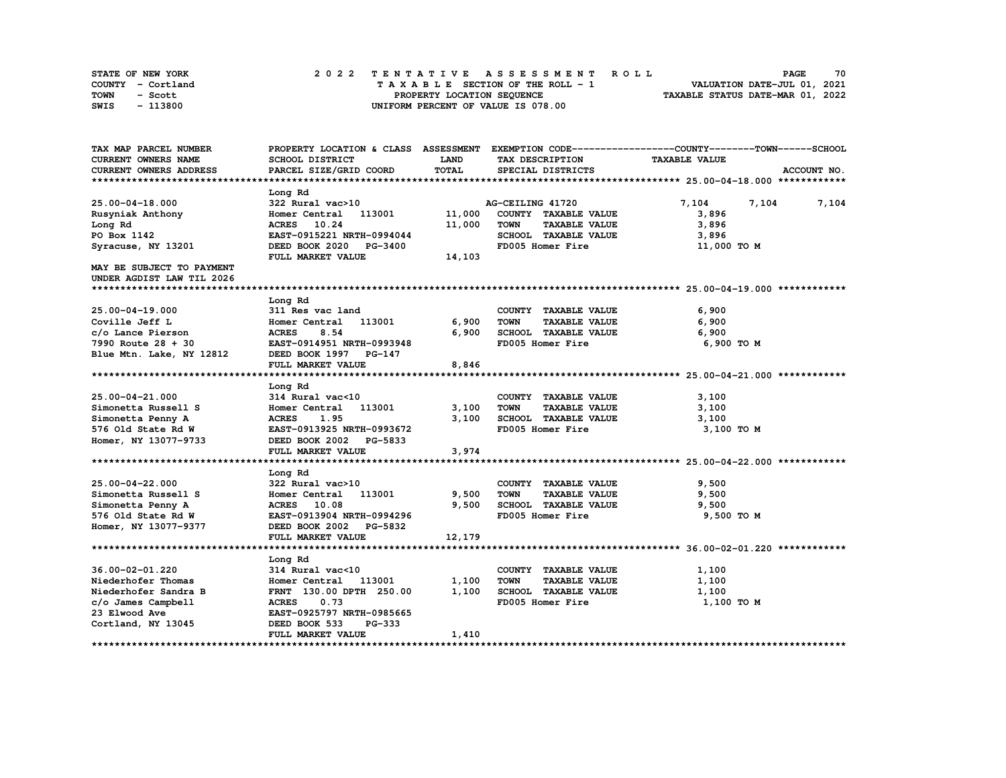| STATE OF NEW YORK | 2022 TENTATIVE ASSESSMENT ROLL     | 70<br><b>PAGE</b>                |
|-------------------|------------------------------------|----------------------------------|
| COUNTY - Cortland | TAXABLE SECTION OF THE ROLL - 1    | VALUATION DATE-JUL 01, 2021      |
| TOWN<br>- Scott   | PROPERTY LOCATION SEQUENCE         | TAXABLE STATUS DATE-MAR 01, 2022 |
| - 113800<br>SWIS  | UNIFORM PERCENT OF VALUE IS 078.00 |                                  |

| TAX MAP PARCEL NUMBER     | PROPERTY LOCATION & CLASS ASSESSMENT EXEMPTION CODE----------------COUNTY-------TOWN------SCHOOL |              |                  |                      |                      |       |             |
|---------------------------|--------------------------------------------------------------------------------------------------|--------------|------------------|----------------------|----------------------|-------|-------------|
| CURRENT OWNERS NAME       | SCHOOL DISTRICT                                                                                  | LAND         | TAX DESCRIPTION  |                      | <b>TAXABLE VALUE</b> |       |             |
| CURRENT OWNERS ADDRESS    | PARCEL SIZE/GRID COORD                                                                           | <b>TOTAL</b> |                  | SPECIAL DISTRICTS    |                      |       | ACCOUNT NO. |
|                           |                                                                                                  |              |                  |                      |                      |       |             |
|                           | Long Rd                                                                                          |              |                  |                      |                      |       |             |
| 25.00-04-18.000           | 322 Rural vac>10                                                                                 |              | AG-CEILING 41720 |                      | 7,104                | 7,104 | 7,104       |
| Rusyniak Anthony          | Homer Central<br>113001                                                                          | 11,000       |                  | COUNTY TAXABLE VALUE | 3,896                |       |             |
| Long Rd                   | ACRES 10.24                                                                                      | 11,000       | <b>TOWN</b>      | <b>TAXABLE VALUE</b> | 3,896                |       |             |
| PO Box 1142               | EAST-0915221 NRTH-0994044                                                                        |              |                  | SCHOOL TAXABLE VALUE | 3,896                |       |             |
| Syracuse, NY 13201        | DEED BOOK 2020<br><b>PG-3400</b>                                                                 |              |                  | FD005 Homer Fire     | 11,000 TO M          |       |             |
|                           | FULL MARKET VALUE                                                                                | 14,103       |                  |                      |                      |       |             |
| MAY BE SUBJECT TO PAYMENT |                                                                                                  |              |                  |                      |                      |       |             |
| UNDER AGDIST LAW TIL 2026 |                                                                                                  |              |                  |                      |                      |       |             |
|                           |                                                                                                  |              |                  |                      |                      |       |             |
|                           | Long Rd                                                                                          |              |                  |                      |                      |       |             |
| 25.00-04-19.000           | 311 Res vac land                                                                                 |              |                  | COUNTY TAXABLE VALUE | 6,900                |       |             |
| Coville Jeff L            | Homer Central<br>113001                                                                          | 6,900        | <b>TOWN</b>      | <b>TAXABLE VALUE</b> | 6,900                |       |             |
| c/o Lance Pierson         | <b>ACRES</b><br>8.54                                                                             | 6,900        |                  | SCHOOL TAXABLE VALUE | 6,900                |       |             |
| 7990 Route 28 + 30        | EAST-0914951 NRTH-0993948                                                                        |              |                  | FD005 Homer Fire     | 6,900 TO M           |       |             |
| Blue Mtn. Lake, NY 12812  | DEED BOOK 1997 PG-147                                                                            |              |                  |                      |                      |       |             |
|                           | FULL MARKET VALUE                                                                                | 8,846        |                  |                      |                      |       |             |
|                           |                                                                                                  |              |                  |                      |                      |       |             |
|                           | Long Rd                                                                                          |              |                  |                      |                      |       |             |
| 25.00-04-21.000           | 314 Rural vac<10                                                                                 |              |                  | COUNTY TAXABLE VALUE | 3,100                |       |             |
| Simonetta Russell S       | Homer Central<br>113001                                                                          | 3,100        | <b>TOWN</b>      | <b>TAXABLE VALUE</b> | 3,100                |       |             |
| Simonetta Penny A         | <b>ACRES</b><br>1.95                                                                             | 3,100        |                  | SCHOOL TAXABLE VALUE | 3,100                |       |             |
| 576 Old State Rd W        | EAST-0913925 NRTH-0993672                                                                        |              | FD005 Homer Fire |                      | 3,100 TO M           |       |             |
| Homer, NY 13077-9733      | DEED BOOK 2002 PG-5833                                                                           |              |                  |                      |                      |       |             |
|                           | FULL MARKET VALUE                                                                                | 3,974        |                  |                      |                      |       |             |
|                           |                                                                                                  |              |                  |                      |                      |       |             |
|                           | Long Rd                                                                                          |              |                  |                      |                      |       |             |
| 25.00-04-22.000           | 322 Rural vac>10                                                                                 |              |                  | COUNTY TAXABLE VALUE | 9,500                |       |             |
| Simonetta Russell S       | Homer Central<br>113001                                                                          | 9,500        | <b>TOWN</b>      | <b>TAXABLE VALUE</b> | 9,500                |       |             |
| Simonetta Penny A         | <b>ACRES</b> 10.08                                                                               | 9,500        |                  | SCHOOL TAXABLE VALUE | 9,500                |       |             |
| 576 Old State Rd W        | EAST-0913904 NRTH-0994296                                                                        |              |                  | FD005 Homer Fire     | 9,500 TO M           |       |             |
| Homer, NY 13077-9377      | DEED BOOK 2002 PG-5832                                                                           |              |                  |                      |                      |       |             |
|                           | FULL MARKET VALUE                                                                                | 12,179       |                  |                      |                      |       |             |
|                           |                                                                                                  |              |                  |                      |                      |       |             |
|                           | Long Rd                                                                                          |              |                  |                      |                      |       |             |
| 36.00-02-01.220           | 314 Rural vac<10                                                                                 |              |                  | COUNTY TAXABLE VALUE | 1,100                |       |             |
| Niederhofer Thomas        | Homer Central 113001                                                                             | 1,100        | <b>TOWN</b>      | <b>TAXABLE VALUE</b> | 1,100                |       |             |
| Niederhofer Sandra B      | FRNT 130.00 DPTH 250.00                                                                          | 1,100        |                  | SCHOOL TAXABLE VALUE | 1,100                |       |             |
| c/o James Campbell        | <b>ACRES</b><br>0.73                                                                             |              | FD005 Homer Fire |                      | 1,100 TO M           |       |             |
| 23 Elwood Ave             | EAST-0925797 NRTH-0985665                                                                        |              |                  |                      |                      |       |             |
| Cortland, NY 13045        | DEED BOOK 533<br><b>PG-333</b>                                                                   |              |                  |                      |                      |       |             |
|                           | FULL MARKET VALUE                                                                                | 1,410        |                  |                      |                      |       |             |
|                           |                                                                                                  |              |                  |                      |                      |       |             |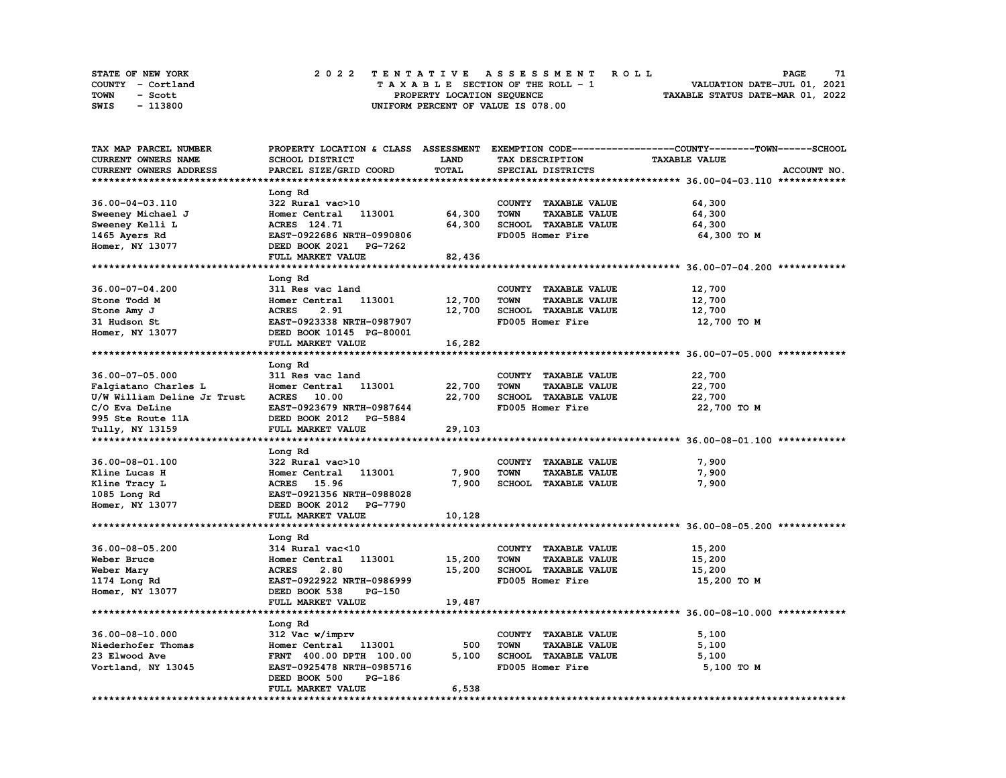| STATE OF NEW YORK |  | 2022 TENTATIVE ASSESSMENT ROLL     |  |  | <b>PAGE</b>                      | 71 |
|-------------------|--|------------------------------------|--|--|----------------------------------|----|
| COUNTY - Cortland |  | TAXABLE SECTION OF THE ROLL - 1    |  |  | VALUATION DATE-JUL 01, 2021      |    |
| TOWN<br>- Scott   |  | PROPERTY LOCATION SEQUENCE         |  |  | TAXABLE STATUS DATE-MAR 01, 2022 |    |
| - 113800<br>SWIS  |  | UNIFORM PERCENT OF VALUE IS 078.00 |  |  |                                  |    |

| TAX MAP PARCEL NUMBER       |                                |             |                                     | PROPERTY LOCATION & CLASS ASSESSMENT EXEMPTION CODE-----------------COUNTY-------TOWN-----SCHOOL |
|-----------------------------|--------------------------------|-------------|-------------------------------------|--------------------------------------------------------------------------------------------------|
| CURRENT OWNERS NAME         | SCHOOL DISTRICT                | <b>LAND</b> | TAX DESCRIPTION                     | <b>TAXABLE VALUE</b>                                                                             |
| CURRENT OWNERS ADDRESS      | PARCEL SIZE/GRID COORD         | TOTAL       | SPECIAL DISTRICTS                   | ACCOUNT NO.                                                                                      |
|                             |                                |             |                                     |                                                                                                  |
|                             | Long Rd                        |             |                                     |                                                                                                  |
| 36.00-04-03.110             | 322 Rural vac>10               |             | COUNTY TAXABLE VALUE                | 64,300                                                                                           |
| Sweeney Michael J           | 113001<br>Homer Central        | 64,300      | <b>TOWN</b><br><b>TAXABLE VALUE</b> | 64,300                                                                                           |
|                             |                                |             |                                     |                                                                                                  |
| Sweeney Kelli L             | ACRES 124.71                   | 64,300      | SCHOOL TAXABLE VALUE                | 64,300                                                                                           |
| 1465 Ayers Rd               | EAST-0922686 NRTH-0990806      |             | FD005 Homer Fire                    | 64,300 TO M                                                                                      |
| Homer, NY 13077             | DEED BOOK 2021 PG-7262         |             |                                     |                                                                                                  |
|                             | FULL MARKET VALUE              | 82,436      |                                     |                                                                                                  |
|                             |                                |             |                                     |                                                                                                  |
|                             | Long Rd                        |             |                                     |                                                                                                  |
| 36.00-07-04.200             | 311 Res vac land               |             | COUNTY TAXABLE VALUE                | 12,700                                                                                           |
| Stone Todd M                | 113001<br>Homer Central        | 12,700      | <b>TOWN</b><br><b>TAXABLE VALUE</b> | 12,700                                                                                           |
| Stone Amy J                 | <b>ACRES</b><br>2.91           | 12,700      | SCHOOL TAXABLE VALUE                | 12,700                                                                                           |
| 31 Hudson St                | EAST-0923338 NRTH-0987907      |             | FD005 Homer Fire                    | 12,700 TO M                                                                                      |
| Homer, NY 13077             | DEED BOOK 10145 PG-80001       |             |                                     |                                                                                                  |
|                             |                                |             |                                     |                                                                                                  |
|                             | FULL MARKET VALUE              | 16,282      |                                     |                                                                                                  |
|                             |                                |             |                                     |                                                                                                  |
|                             | Long Rd                        |             |                                     |                                                                                                  |
| $36.00 - 07 - 05.000$       | 311 Res vac land               |             | COUNTY TAXABLE VALUE                | 22,700                                                                                           |
| Falgiatano Charles L        | 113001<br>Homer Central        | 22,700      | <b>TOWN</b><br><b>TAXABLE VALUE</b> | 22,700                                                                                           |
| U/W William Deline Jr Trust | ACRES 10.00                    | 22,700      | SCHOOL TAXABLE VALUE                | 22,700                                                                                           |
| C/O Eva DeLine              | EAST-0923679 NRTH-0987644      |             | FD005 Homer Fire                    | 22,700 TO M                                                                                      |
| 995 Ste Route 11A           | DEED BOOK 2012 PG-5884         |             |                                     |                                                                                                  |
| Tully, NY 13159             | FULL MARKET VALUE              | 29,103      |                                     |                                                                                                  |
|                             |                                |             |                                     |                                                                                                  |
|                             | Long Rd                        |             |                                     |                                                                                                  |
| 36.00-08-01.100             | 322 Rural vac>10               |             | COUNTY TAXABLE VALUE                | 7,900                                                                                            |
|                             |                                |             | <b>TOWN</b>                         |                                                                                                  |
| Kline Lucas H               | 113001<br>Homer Central        | 7,900       | <b>TAXABLE VALUE</b>                | 7,900                                                                                            |
| Kline Tracy L               | ACRES 15.96                    | 7,900       | SCHOOL TAXABLE VALUE                | 7,900                                                                                            |
| 1085 Long Rd                | EAST-0921356 NRTH-0988028      |             |                                     |                                                                                                  |
| Homer, NY 13077             | DEED BOOK 2012 PG-7790         |             |                                     |                                                                                                  |
|                             | FULL MARKET VALUE              | 10,128      |                                     |                                                                                                  |
|                             |                                |             |                                     |                                                                                                  |
|                             | Long Rd                        |             |                                     |                                                                                                  |
| 36.00-08-05.200             | 314 Rural vac<10               |             | COUNTY TAXABLE VALUE                | 15,200                                                                                           |
| Weber Bruce                 | 113001<br>Homer Central        | 15,200      | <b>TOWN</b><br><b>TAXABLE VALUE</b> | 15,200                                                                                           |
| Weber Mary                  | <b>ACRES</b><br>2.80           | 15,200      | SCHOOL TAXABLE VALUE                | 15,200                                                                                           |
| 1174 Long Rd                | EAST-0922922 NRTH-0986999      |             | FD005 Homer Fire                    | 15,200 TO M                                                                                      |
| Homer, NY 13077             | DEED BOOK 538<br><b>PG-150</b> |             |                                     |                                                                                                  |
|                             |                                |             |                                     |                                                                                                  |
|                             | FULL MARKET VALUE              | 19,487      |                                     |                                                                                                  |
|                             |                                |             |                                     |                                                                                                  |
|                             | Long Rd                        |             |                                     |                                                                                                  |
| 36.00-08-10.000             | 312 Vac w/imprv                |             | COUNTY TAXABLE VALUE                | 5,100                                                                                            |
| Niederhofer Thomas          | Homer Central 113001           | 500         | <b>TOWN</b><br><b>TAXABLE VALUE</b> | 5,100                                                                                            |
| 23 Elwood Ave               | FRNT 400.00 DPTH 100.00        | 5,100       | SCHOOL TAXABLE VALUE                | 5,100                                                                                            |
| Vortland, NY 13045          | EAST-0925478 NRTH-0985716      |             | FD005 Homer Fire                    | 5,100 TO M                                                                                       |
|                             | DEED BOOK 500<br>PG-186        |             |                                     |                                                                                                  |
|                             | FULL MARKET VALUE              | 6,538       |                                     |                                                                                                  |
|                             |                                |             |                                     |                                                                                                  |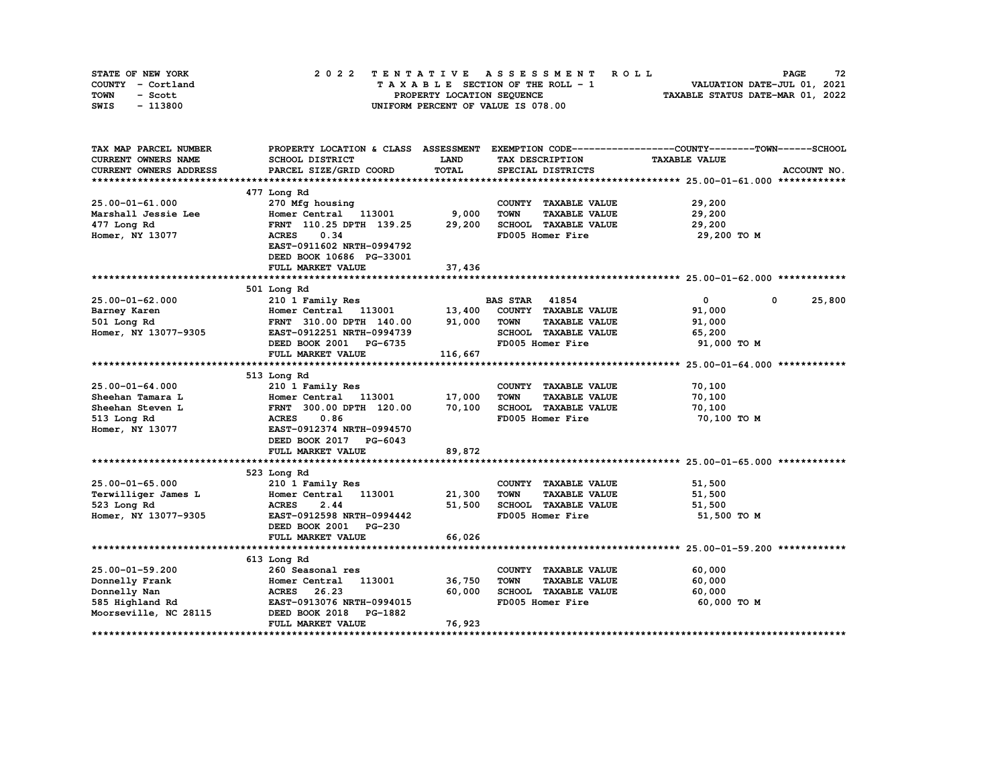| STATE OF NEW YORK | 2022 TENTATIVE ASSESSMENT ROLL     | 72<br><b>PAGE</b>                |
|-------------------|------------------------------------|----------------------------------|
| COUNTY - Cortland | TAXABLE SECTION OF THE ROLL - 1    | VALUATION DATE-JUL 01, 2021      |
| TOWN<br>- Scott   | PROPERTY LOCATION SEQUENCE         | TAXABLE STATUS DATE-MAR 01, 2022 |
| - 113800<br>SWIS  | UNIFORM PERCENT OF VALUE IS 078.00 |                                  |

| TAX MAP PARCEL NUMBER      | PROPERTY LOCATION & CLASS ASSESSMENT EXEMPTION CODE-----------------COUNTY-------TOWN-----SCHOOL |             |                                     |                             |             |
|----------------------------|--------------------------------------------------------------------------------------------------|-------------|-------------------------------------|-----------------------------|-------------|
| <b>CURRENT OWNERS NAME</b> | SCHOOL DISTRICT                                                                                  | <b>LAND</b> | TAX DESCRIPTION                     | <b>TAXABLE VALUE</b>        |             |
| CURRENT OWNERS ADDRESS     | PARCEL SIZE/GRID COORD                                                                           | TOTAL       | SPECIAL DISTRICTS                   |                             | ACCOUNT NO. |
|                            |                                                                                                  |             |                                     |                             |             |
|                            | 477 Long Rd                                                                                      |             |                                     |                             |             |
| $25.00 - 01 - 61.000$      | 270 Mfg housing                                                                                  |             | COUNTY TAXABLE VALUE                | 29,200                      |             |
| Marshall Jessie Lee        | Homer Central 113001                                                                             | 9,000       | <b>TOWN</b><br><b>TAXABLE VALUE</b> | 29,200                      |             |
| 477 Long Rd                | FRNT 110.25 DPTH 139.25                                                                          | 29,200      | SCHOOL TAXABLE VALUE                | 29,200                      |             |
| Homer, NY 13077            | <b>ACRES</b><br>0.34                                                                             |             | FD005 Homer Fire                    | 29,200 TO M                 |             |
|                            | EAST-0911602 NRTH-0994792                                                                        |             |                                     |                             |             |
|                            | DEED BOOK 10686 PG-33001                                                                         |             |                                     |                             |             |
|                            | FULL MARKET VALUE                                                                                | 37,436      |                                     |                             |             |
|                            |                                                                                                  |             |                                     |                             |             |
|                            | 501 Long Rd                                                                                      |             |                                     |                             |             |
| $25.00 - 01 - 62.000$      | 210 1 Family Res                                                                                 |             | <b>BAS STAR 41854</b>               | $\mathbf 0$<br>$\mathbf{0}$ | 25,800      |
|                            | Homer Central 113001                                                                             | 13,400      | COUNTY TAXABLE VALUE                | 91,000                      |             |
| Barney Karen               |                                                                                                  |             |                                     |                             |             |
| 501 Long Rd                | FRNT 310.00 DPTH 140.00                                                                          | 91,000      | <b>TOWN</b><br><b>TAXABLE VALUE</b> | 91,000                      |             |
| Homer, NY 13077-9305       | EAST-0912251 NRTH-0994739                                                                        |             | SCHOOL TAXABLE VALUE                | 65,200                      |             |
|                            | DEED BOOK 2001 PG-6735                                                                           |             | FD005 Homer Fire                    | 91,000 TO M                 |             |
|                            | FULL MARKET VALUE                                                                                | 116,667     |                                     |                             |             |
|                            |                                                                                                  |             |                                     |                             |             |
|                            | 513 Long Rd                                                                                      |             |                                     |                             |             |
| $25.00 - 01 - 64.000$      | 210 1 Family Res                                                                                 |             | COUNTY TAXABLE VALUE                | 70,100                      |             |
| Sheehan Tamara L           | Homer Central 113001                                                                             | 17,000      | <b>TAXABLE VALUE</b><br><b>TOWN</b> | 70,100                      |             |
| Sheehan Steven L           | FRNT 300.00 DPTH 120.00                                                                          | 70,100      | SCHOOL TAXABLE VALUE                | 70,100                      |             |
| 513 Long Rd                | <b>ACRES</b><br>0.86                                                                             |             | FD005 Homer Fire                    | 70,100 TO M                 |             |
| Homer, NY 13077            | EAST-0912374 NRTH-0994570                                                                        |             |                                     |                             |             |
|                            | DEED BOOK 2017 PG-6043                                                                           |             |                                     |                             |             |
|                            | FULL MARKET VALUE                                                                                | 89,872      |                                     |                             |             |
|                            |                                                                                                  |             |                                     |                             |             |
|                            | 523 Long Rd                                                                                      |             |                                     |                             |             |
| $25.00 - 01 - 65.000$      | 210 1 Family Res                                                                                 |             | COUNTY TAXABLE VALUE                | 51,500                      |             |
| Terwilliger James L        | 113001<br>Homer Central                                                                          | 21,300      | <b>TOWN</b><br><b>TAXABLE VALUE</b> | 51,500                      |             |
| 523 Long Rd                | <b>ACRES</b><br>2.44                                                                             | 51,500      | SCHOOL TAXABLE VALUE                | 51,500                      |             |
| Homer, NY 13077-9305       | EAST-0912598 NRTH-0994442                                                                        |             | FD005 Homer Fire                    | 51,500 TO M                 |             |
|                            | DEED BOOK 2001<br><b>PG-230</b>                                                                  |             |                                     |                             |             |
|                            | FULL MARKET VALUE                                                                                | 66,026      |                                     |                             |             |
|                            |                                                                                                  |             |                                     |                             |             |
|                            | 613 Long Rd                                                                                      |             |                                     |                             |             |
| 25.00-01-59.200            | 260 Seasonal res                                                                                 |             | COUNTY TAXABLE VALUE                | 60,000                      |             |
| Donnelly Frank             | 113001<br>Homer Central                                                                          | 36,750      | <b>TOWN</b><br><b>TAXABLE VALUE</b> | 60,000                      |             |
| Donnelly Nan               | ACRES 26.23                                                                                      | 60,000      | SCHOOL TAXABLE VALUE                | 60,000                      |             |
| 585 Highland Rd            | EAST-0913076 NRTH-0994015                                                                        |             | FD005 Homer Fire                    | 60,000 TO M                 |             |
| Moorseville, NC 28115      | DEED BOOK 2018<br>PG-1882                                                                        |             |                                     |                             |             |
|                            | FULL MARKET VALUE                                                                                | 76,923      |                                     |                             |             |
|                            |                                                                                                  |             |                                     |                             |             |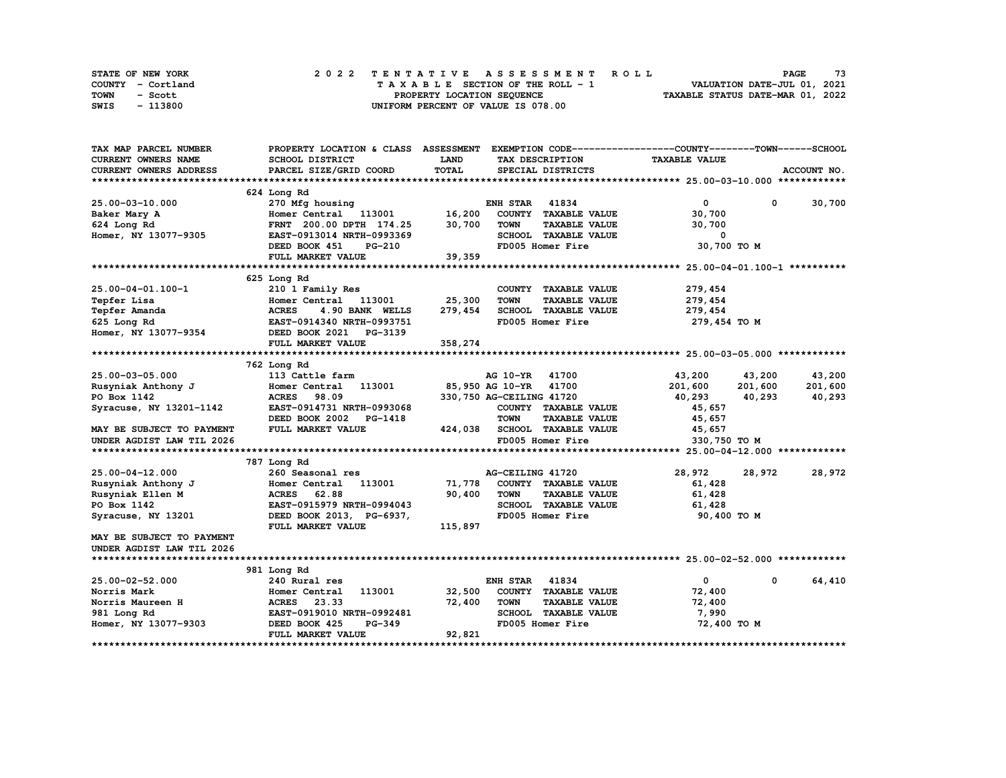| STATE OF NEW YORK | 2022 TENTATIVE ASSESSMENT ROLL     | 73<br><b>PAGE</b>                |
|-------------------|------------------------------------|----------------------------------|
| COUNTY - Cortland | TAXABLE SECTION OF THE ROLL - 1    | VALUATION DATE-JUL 01, 2021      |
| TOWN<br>- Scott   | PROPERTY LOCATION SEQUENCE         | TAXABLE STATUS DATE-MAR 01, 2022 |
| - 113800<br>SWIS  | UNIFORM PERCENT OF VALUE IS 078.00 |                                  |

| TAX MAP PARCEL NUMBER     | PROPERTY LOCATION & CLASS ASSESSMENT |              |                                     | EXEMPTION CODE-----------------COUNTY-------TOWN------SCHOOL |             |
|---------------------------|--------------------------------------|--------------|-------------------------------------|--------------------------------------------------------------|-------------|
| CURRENT OWNERS NAME       | SCHOOL DISTRICT                      | LAND         | TAX DESCRIPTION                     | <b>TAXABLE VALUE</b>                                         |             |
| CURRENT OWNERS ADDRESS    | PARCEL SIZE/GRID COORD               | <b>TOTAL</b> | SPECIAL DISTRICTS                   |                                                              | ACCOUNT NO. |
|                           |                                      |              |                                     |                                                              |             |
|                           | 624 Long Rd                          |              |                                     |                                                              |             |
| 25.00-03-10.000           | 270 Mfg housing                      |              | <b>ENH STAR</b><br>41834            | $\mathbf{0}$<br>$\mathbf 0$                                  | 30,700      |
| Baker Mary A              | Homer Central 113001                 | 16,200       | COUNTY TAXABLE VALUE                | 30,700                                                       |             |
| 624 Long Rd               | FRNT 200.00 DPTH 174.25              | 30,700       | <b>TAXABLE VALUE</b><br><b>TOWN</b> | 30,700                                                       |             |
| Homer, NY 13077-9305      | EAST-0913014 NRTH-0993369            |              | SCHOOL TAXABLE VALUE                | 0                                                            |             |
|                           | DEED BOOK 451<br><b>PG-210</b>       |              | FD005 Homer Fire                    | 30,700 TO M                                                  |             |
|                           | FULL MARKET VALUE                    | 39,359       |                                     |                                                              |             |
|                           |                                      |              |                                     |                                                              |             |
|                           | 625 Long Rd                          |              |                                     |                                                              |             |
| 25.00-04-01.100-1         | 210 1 Family Res                     |              | COUNTY TAXABLE VALUE                | 279,454                                                      |             |
| Tepfer Lisa               | Homer Central 113001                 | 25,300       | <b>TOWN</b><br><b>TAXABLE VALUE</b> | 279,454                                                      |             |
| Tepfer Amanda             | <b>ACRES</b><br>4.90 BANK WELLS      | 279,454      | SCHOOL TAXABLE VALUE                | 279,454                                                      |             |
| 625 Long Rd               | EAST-0914340 NRTH-0993751            |              | FD005 Homer Fire                    | 279,454 TO M                                                 |             |
| Homer, NY 13077-9354      | DEED BOOK 2021 PG-3139               |              |                                     |                                                              |             |
|                           |                                      |              |                                     |                                                              |             |
|                           | FULL MARKET VALUE                    | 358,274      |                                     |                                                              |             |
|                           |                                      |              |                                     |                                                              |             |
|                           | 762 Long Rd                          |              |                                     |                                                              |             |
| 25.00-03-05.000           | 113 Cattle farm                      |              | AG 10-YR<br>41700                   | 43,200<br>43,200                                             | 43,200      |
| Rusyniak Anthony J        | 113001<br>Homer Central              |              | 85,950 AG 10-YR<br>41700            | 201,600<br>201,600                                           | 201,600     |
| PO Box 1142               | <b>ACRES</b><br>98.09                |              | 330,750 AG-CEILING 41720            | 40,293<br>40,293                                             | 40,293      |
| Syracuse, NY 13201-1142   | EAST-0914731 NRTH-0993068            |              | COUNTY TAXABLE VALUE                | 45,657                                                       |             |
|                           | DEED BOOK 2002 PG-1418               |              | <b>TOWN</b><br><b>TAXABLE VALUE</b> | 45,657                                                       |             |
| MAY BE SUBJECT TO PAYMENT | FULL MARKET VALUE                    | 424,038      | <b>SCHOOL TAXABLE VALUE</b>         | 45,657                                                       |             |
| UNDER AGDIST LAW TIL 2026 |                                      |              | FD005 Homer Fire                    | 330,750 TO M                                                 |             |
|                           |                                      |              |                                     |                                                              |             |
|                           | 787 Long Rd                          |              |                                     |                                                              |             |
| 25.00-04-12.000           | 260 Seasonal res                     |              | AG-CEILING 41720                    | 28,972<br>28,972                                             | 28,972      |
| Rusyniak Anthony J        | 113001<br>Homer Central              | 71,778       | COUNTY TAXABLE VALUE                | 61,428                                                       |             |
| Rusyniak Ellen M          | <b>ACRES</b><br>62.88                | 90,400       | <b>TOWN</b><br><b>TAXABLE VALUE</b> | 61,428                                                       |             |
| PO Box 1142               | EAST-0915979 NRTH-0994043            |              | SCHOOL TAXABLE VALUE                | 61,428                                                       |             |
| Syracuse, NY 13201        | DEED BOOK 2013, PG-6937,             |              | FD005 Homer Fire                    | 90,400 TO M                                                  |             |
|                           | FULL MARKET VALUE                    | 115,897      |                                     |                                                              |             |
| MAY BE SUBJECT TO PAYMENT |                                      |              |                                     |                                                              |             |
| UNDER AGDIST LAW TIL 2026 |                                      |              |                                     |                                                              |             |
|                           |                                      |              |                                     |                                                              |             |
|                           | 981 Long Rd                          |              |                                     |                                                              |             |
| 25.00-02-52.000           | 240 Rural res                        |              | <b>ENH STAR 41834</b>               | $\mathbf 0$<br>$\mathbf 0$                                   | 64,410      |
| Norris Mark               | Homer Central<br>113001              | 32,500       | COUNTY TAXABLE VALUE                | 72,400                                                       |             |
| Norris Maureen H          | <b>ACRES</b><br>23.33                | 72,400       | <b>TOWN</b><br><b>TAXABLE VALUE</b> | 72,400                                                       |             |
| 981 Long Rd               | EAST-0919010 NRTH-0992481            |              | SCHOOL TAXABLE VALUE                | 7,990                                                        |             |
| Homer, NY 13077-9303      | PG-349<br>DEED BOOK 425              |              | FD005 Homer Fire                    | 72,400 TO M                                                  |             |
|                           | FULL MARKET VALUE                    | 92,821       |                                     |                                                              |             |
|                           |                                      |              |                                     |                                                              |             |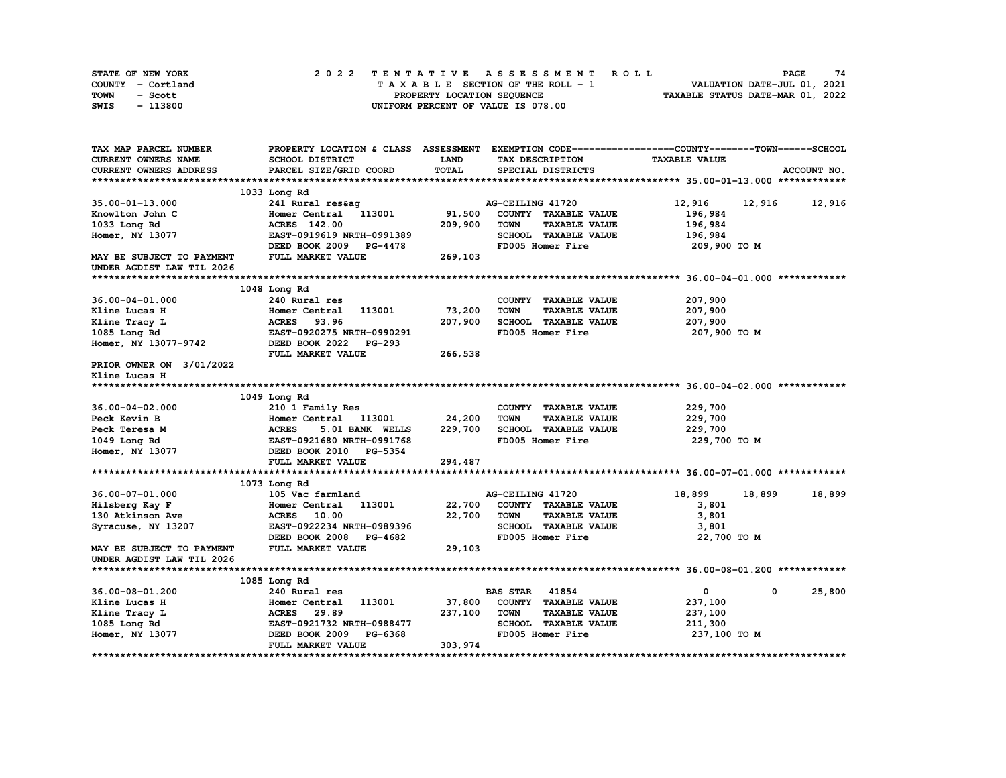| STATE OF NEW YORK | 2022 TENTATIVE ASSESSMENT ROLL     | 74<br><b>PAGE</b>                |
|-------------------|------------------------------------|----------------------------------|
| COUNTY - Cortland | TAXABLE SECTION OF THE ROLL - 1    | VALUATION DATE-JUL 01, 2021      |
| TOWN<br>- Scott   | PROPERTY LOCATION SEQUENCE         | TAXABLE STATUS DATE-MAR 01, 2022 |
| SWIS<br>- 113800  | UNIFORM PERCENT OF VALUE IS 078.00 |                                  |

| TAX MAP PARCEL NUMBER     | PROPERTY LOCATION & CLASS ASSESSMENT EXEMPTION CODE----------------COUNTY-------TOWN-----SCHOOL |             |                                     |                           |               |
|---------------------------|-------------------------------------------------------------------------------------------------|-------------|-------------------------------------|---------------------------|---------------|
| CURRENT OWNERS NAME       | SCHOOL DISTRICT                                                                                 | <b>LAND</b> | TAX DESCRIPTION                     | <b>TAXABLE VALUE</b>      |               |
| CURRENT OWNERS ADDRESS    | PARCEL SIZE/GRID COORD                                                                          | TOTAL       | SPECIAL DISTRICTS                   |                           | ACCOUNT NO.   |
|                           |                                                                                                 |             |                                     |                           |               |
|                           | 1033 Long Rd                                                                                    |             |                                     |                           |               |
| $35.00 - 01 - 13.000$     | 241 Rural res&ag                                                                                |             | AG-CEILING 41720                    | 12,916                    | 12,916 12,916 |
| Knowlton John C           | Homer Central 113001                                                                            | 91,500      | COUNTY TAXABLE VALUE                | 196,984                   |               |
| 1033 Long Rd              | ACRES 142.00                                                                                    | 209,900     | <b>TOWN</b><br><b>TAXABLE VALUE</b> | 196,984                   |               |
| Homer, NY 13077           | EAST-0919619 NRTH-0991389                                                                       |             | SCHOOL TAXABLE VALUE                | 196,984                   |               |
|                           | DEED BOOK 2009 PG-4478                                                                          |             | FD005 Homer Fire                    | 209,900 то м              |               |
| MAY BE SUBJECT TO PAYMENT | FULL MARKET VALUE                                                                               | 269,103     |                                     |                           |               |
| UNDER AGDIST LAW TIL 2026 |                                                                                                 |             |                                     |                           |               |
|                           |                                                                                                 |             |                                     |                           |               |
|                           | 1048 Long Rd                                                                                    |             |                                     |                           |               |
| 36.00-04-01.000           | 240 Rural res                                                                                   |             | COUNTY TAXABLE VALUE                | 207,900                   |               |
| Kline Lucas H             | 113001<br>Homer Central                                                                         | 73,200      | <b>TOWN</b><br><b>TAXABLE VALUE</b> | 207,900                   |               |
| Kline Tracy L             | ACRES 93.96                                                                                     | 207,900     | SCHOOL TAXABLE VALUE                | 207,900                   |               |
| 1085 Long Rd              | EAST-0920275 NRTH-0990291                                                                       |             | FD005 Homer Fire                    | 207,900 то м              |               |
| Homer, NY 13077-9742      | DEED BOOK 2022 PG-293                                                                           |             |                                     |                           |               |
|                           | FULL MARKET VALUE                                                                               | 266,538     |                                     |                           |               |
| PRIOR OWNER ON 3/01/2022  |                                                                                                 |             |                                     |                           |               |
| Kline Lucas H             |                                                                                                 |             |                                     |                           |               |
|                           |                                                                                                 |             |                                     |                           |               |
|                           | 1049 Long Rd                                                                                    |             |                                     |                           |               |
| $36.00 - 04 - 02.000$     | 210 1 Family Res                                                                                |             | COUNTY TAXABLE VALUE                | 229,700                   |               |
| Peck Kevin B              | Homer Central 113001                                                                            | 24,200      | <b>TOWN</b><br><b>TAXABLE VALUE</b> | 229,700                   |               |
| Peck Teresa M             | <b>ACRES</b><br>5.01 BANK WELLS                                                                 | 229,700     | SCHOOL TAXABLE VALUE                | 229,700                   |               |
| 1049 Long Rd              | EAST-0921680 NRTH-0991768                                                                       |             | FD005 Homer Fire                    | 229,700 TO M              |               |
| Homer, NY 13077           | DEED BOOK 2010 PG-5354                                                                          |             |                                     |                           |               |
|                           | FULL MARKET VALUE                                                                               | 294,487     |                                     |                           |               |
|                           |                                                                                                 |             |                                     |                           |               |
|                           | 1073 Long Rd                                                                                    |             |                                     |                           |               |
| 36.00-07-01.000           | 105 Vac farmland                                                                                |             | AG-CEILING 41720                    | 18,899                    | 18,899 18,899 |
| Hilsberg Kay F            | Homer Central 113001                                                                            | 22,700      | COUNTY TAXABLE VALUE                | 3,801                     |               |
| 130 Atkinson Ave          | ACRES 10.00                                                                                     | 22,700      | <b>TOWN</b><br><b>TAXABLE VALUE</b> |                           |               |
|                           | EAST-0922234 NRTH-0989396                                                                       |             | SCHOOL TAXABLE VALUE                | 3,801                     |               |
| Syracuse, NY 13207        |                                                                                                 |             | FD005 Homer Fire                    | 3,801                     |               |
|                           | DEED BOOK 2008 PG-4682                                                                          | 29,103      |                                     | 22,700 TO M               |               |
| MAY BE SUBJECT TO PAYMENT | FULL MARKET VALUE                                                                               |             |                                     |                           |               |
| UNDER AGDIST LAW TIL 2026 |                                                                                                 |             |                                     |                           |               |
|                           |                                                                                                 |             |                                     |                           |               |
| 36.00-08-01.200           | 1085 Long Rd                                                                                    |             | <b>BAS STAR 41854</b>               | $\mathbf 0$<br>$^{\circ}$ |               |
|                           | 240 Rural res                                                                                   |             |                                     |                           | 25,800        |
| Kline Lucas H             | 113001<br>Homer Central                                                                         | 37,800      | COUNTY TAXABLE VALUE<br><b>TOWN</b> | 237,100                   |               |
| Kline Tracy L             | ACRES 29.89<br>EAST-0921732 NRTH-0988477                                                        | 237,100     | <b>TAXABLE VALUE</b>                | 237,100                   |               |
| 1085 Long Rd              |                                                                                                 |             | SCHOOL TAXABLE VALUE                | 211,300                   |               |
| Homer, NY 13077           | <b>PG-6368</b><br>DEED BOOK 2009<br>FULL MARKET VALUE                                           |             | FD005 Homer Fire                    | 237,100 то м              |               |
|                           |                                                                                                 | 303,974     |                                     |                           |               |
|                           |                                                                                                 |             |                                     |                           |               |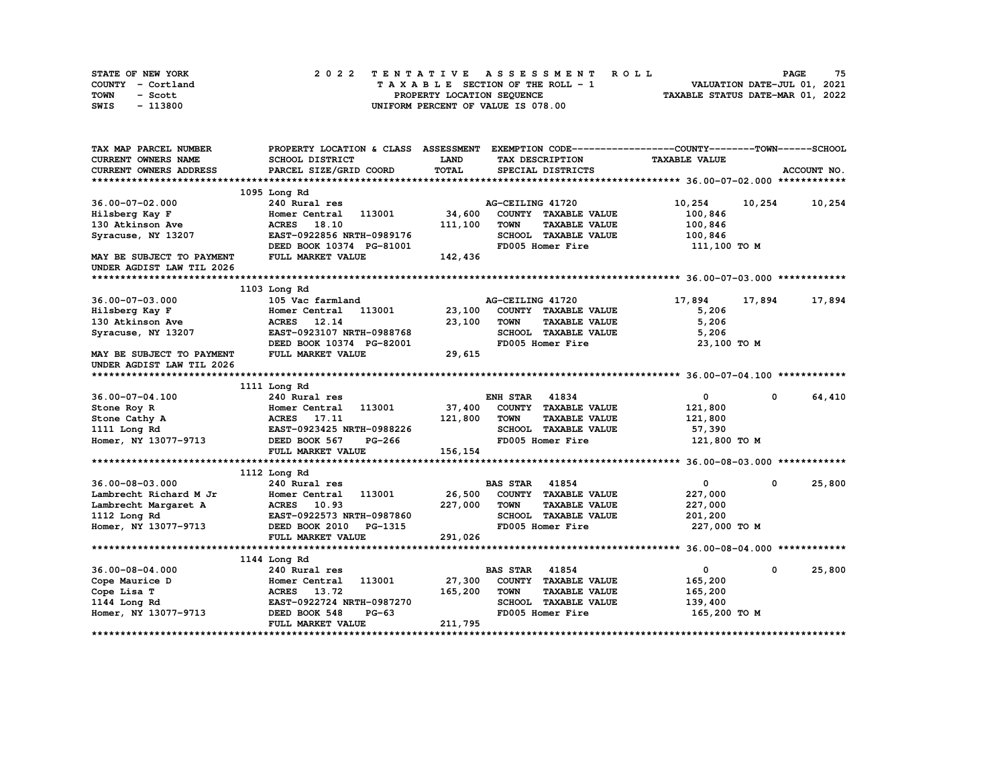| STATE OF NEW YORK | 2022 TENTATIVE ASSESSMENT ROLL     | 75<br><b>PAGE</b>                |
|-------------------|------------------------------------|----------------------------------|
| COUNTY - Cortland | TAXABLE SECTION OF THE ROLL - 1    | VALUATION DATE-JUL 01, 2021      |
| TOWN<br>- Scott   | PROPERTY LOCATION SEQUENCE         | TAXABLE STATUS DATE-MAR 01, 2022 |
| - 113800<br>SWIS  | UNIFORM PERCENT OF VALUE IS 078.00 |                                  |

| TAX MAP PARCEL NUMBER            | PROPERTY LOCATION & CLASS ASSESSMENT EXEMPTION CODE----------------COUNTY-------TOWN-----SCHOOL |              |                                       |                      |                       |
|----------------------------------|-------------------------------------------------------------------------------------------------|--------------|---------------------------------------|----------------------|-----------------------|
| CURRENT OWNERS NAME              | <b>SCHOOL DISTRICT</b>                                                                          | LAND         | TAX DESCRIPTION                       | <b>TAXABLE VALUE</b> |                       |
| CURRENT OWNERS ADDRESS           | PARCEL SIZE/GRID COORD                                                                          | <b>TOTAL</b> | SPECIAL DISTRICTS                     |                      | ACCOUNT NO.           |
|                                  |                                                                                                 |              |                                       |                      |                       |
|                                  | 1095 Long Rd                                                                                    |              |                                       |                      |                       |
| 36.00-07-02.000                  | 240 Rural res                                                                                   |              | AG-CEILING 41720                      | 10,254               | 10,254 10,254         |
| Hilsberg Kay F                   | Homer Central<br>113001                                                                         | 34,600       | COUNTY TAXABLE VALUE                  | 100,846              |                       |
| 130 Atkinson Ave                 | <b>ACRES</b><br>18.10                                                                           | 111,100      | <b>TOWN</b><br><b>TAXABLE VALUE</b>   | 100,846              |                       |
| Syracuse, NY 13207               | EAST-0922856 NRTH-0989176                                                                       |              | SCHOOL TAXABLE VALUE                  | 100,846              |                       |
|                                  | DEED BOOK 10374 PG-81001                                                                        |              | FD005 Homer Fire                      | 111,100 TO M         |                       |
| <b>MAY BE SUBJECT TO PAYMENT</b> | FULL MARKET VALUE                                                                               | 142,436      |                                       |                      |                       |
| UNDER AGDIST LAW TIL 2026        |                                                                                                 |              |                                       |                      |                       |
|                                  |                                                                                                 |              |                                       |                      |                       |
|                                  | 1103 Long Rd                                                                                    |              |                                       |                      |                       |
| 36.00-07-03.000                  | 105 Vac farmland                                                                                |              | AG-CEILING 41720                      | 17,894<br>17,894     | 17,894                |
| Hilsberg Kay F                   | 113001<br>Homer Central                                                                         | 23,100       | COUNTY TAXABLE VALUE                  | 5,206                |                       |
| 130 Atkinson Ave                 | <b>ACRES</b><br>12.14                                                                           | 23,100       | <b>TOWN</b><br><b>TAXABLE VALUE</b>   | 5,206                |                       |
| Syracuse, NY 13207               | EAST-0923107 NRTH-0988768                                                                       |              | SCHOOL TAXABLE VALUE                  | 5,206                |                       |
|                                  | DEED BOOK 10374 PG-82001                                                                        |              | FD005 Homer Fire                      |                      |                       |
|                                  | FULL MARKET VALUE                                                                               |              |                                       | 23,100 TO M          |                       |
| MAY BE SUBJECT TO PAYMENT        |                                                                                                 | 29,615       |                                       |                      |                       |
| UNDER AGDIST LAW TIL 2026        |                                                                                                 |              |                                       |                      |                       |
|                                  |                                                                                                 |              |                                       |                      |                       |
| 36.00-07-04.100                  | 1111 Long Rd                                                                                    |              | <b>ENH STAR</b><br>41834              | $\mathbf{0}$         | 64,410<br>0           |
|                                  | 240 Rural res                                                                                   |              |                                       |                      |                       |
| Stone Roy R                      | 113001<br>Homer Central                                                                         | 37,400       | COUNTY TAXABLE VALUE                  | 121,800              |                       |
| Stone Cathy A                    | ACRES 17.11                                                                                     | 121,800      | <b>TOWN</b><br><b>TAXABLE VALUE</b>   | 121,800              |                       |
| 1111 Long Rd                     | EAST-0923425 NRTH-0988226                                                                       |              | SCHOOL TAXABLE VALUE                  | 57,390               |                       |
| Homer, NY 13077-9713             | DEED BOOK 567<br>PG-266                                                                         |              | FD005 Homer Fire                      | 121,800 TO M         |                       |
|                                  | FULL MARKET VALUE                                                                               | 156,154      |                                       |                      |                       |
|                                  |                                                                                                 |              |                                       |                      |                       |
|                                  | 1112 Long Rd                                                                                    |              |                                       |                      |                       |
| 36.00-08-03.000                  | 240 Rural res                                                                                   |              | <b>BAS STAR</b><br>41854              | $\mathbf{0}$         | $^{\circ}$<br>25,800  |
| Lambrecht Richard M Jr           | 113001<br>Homer Central                                                                         | 26,500       | COUNTY TAXABLE VALUE                  | 227,000              |                       |
| Lambrecht Margaret A             | ACRES 10.93                                                                                     | 227,000      | <b>TOWN</b><br><b>TAXABLE VALUE</b>   | 227,000              |                       |
| 1112 Long Rd                     | EAST-0922573 NRTH-0987860                                                                       |              | <b>SCHOOL TAXABLE VALUE</b>           | 201,200              |                       |
| Homer, NY 13077-9713             | DEED BOOK 2010<br>PG-1315                                                                       |              | FD005 Homer Fire                      | 227,000 TO M         |                       |
|                                  | FULL MARKET VALUE                                                                               | 291,026      |                                       |                      |                       |
|                                  |                                                                                                 |              |                                       |                      |                       |
|                                  | 1144 Long Rd                                                                                    |              |                                       |                      |                       |
| 36.00-08-04.000                  | 240 Rural res                                                                                   |              | <b>BAS STAR 41854</b>                 | $\mathbf 0$          | 25,800<br>$\mathbf 0$ |
| Cope Maurice D                   | 113001<br>Homer Central                                                                         | 27,300       | COUNTY<br><b>TAXABLE VALUE</b>        | 165,200              |                       |
| Cope Lisa T                      | <b>ACRES</b><br>13.72                                                                           | 165,200      | <b>TOWN</b><br><b>TAXABLE VALUE</b>   | 165,200              |                       |
| 1144 Long Rd                     | EAST-0922724 NRTH-0987270                                                                       |              | <b>SCHOOL</b><br><b>TAXABLE VALUE</b> | 139,400              |                       |
| Homer, NY 13077-9713             | DEED BOOK 548<br>$PG-63$                                                                        |              | FD005 Homer Fire                      | 165,200 TO M         |                       |
|                                  | FULL MARKET VALUE                                                                               | 211,795      |                                       |                      |                       |
|                                  |                                                                                                 |              |                                       |                      |                       |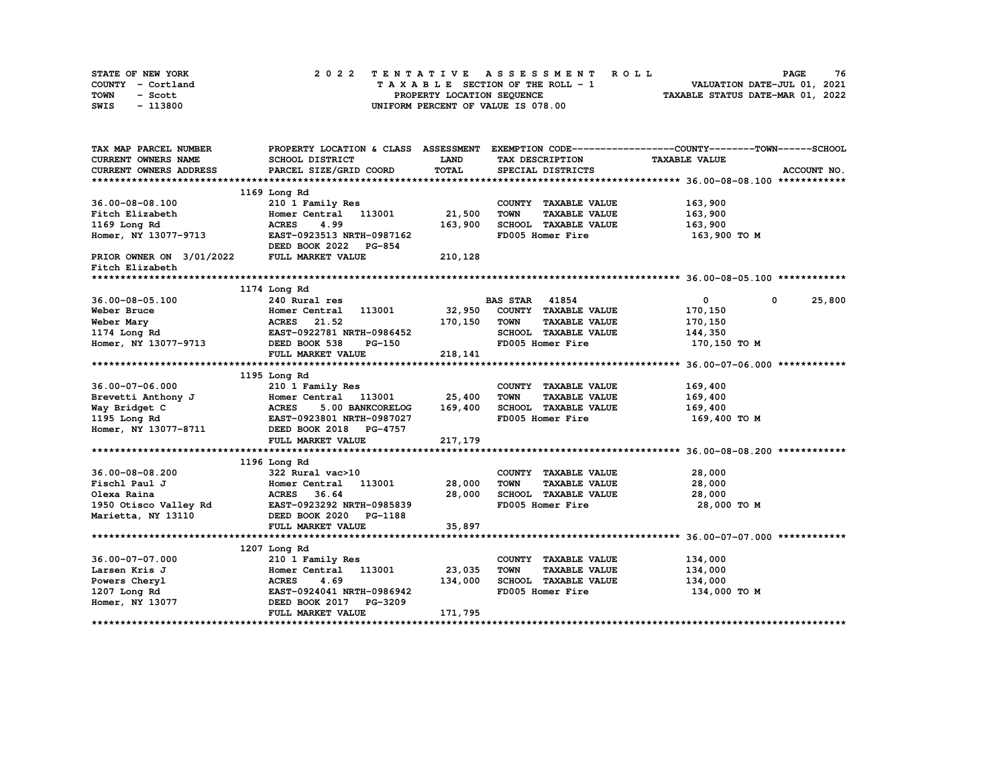| <b>STATE OF NEW YORK</b> | 2022 TENTATIVE ASSESSMENT ROLL          | 76<br><b>PAGE</b>                |
|--------------------------|-----------------------------------------|----------------------------------|
| COUNTY - Cortland        | $T A X A B L E$ SECTION OF THE ROLL - 1 | VALUATION DATE-JUL 01, 2021      |
| TOWN<br>- Scott          | PROPERTY LOCATION SEQUENCE              | TAXABLE STATUS DATE-MAR 01, 2022 |
| - 113800<br>SWIS         | UNIFORM PERCENT OF VALUE IS 078.00      |                                  |

| TAX MAP PARCEL NUMBER                                                                                                                                                                                                                                                                                                 |                                              |                   |                                              | PROPERTY LOCATION & CLASS ASSESSMENT EXEMPTION CODE----------------COUNTY-------TOWN-----SCHOOL |
|-----------------------------------------------------------------------------------------------------------------------------------------------------------------------------------------------------------------------------------------------------------------------------------------------------------------------|----------------------------------------------|-------------------|----------------------------------------------|-------------------------------------------------------------------------------------------------|
| CURRENT OWNERS NAME                                                                                                                                                                                                                                                                                                   | SCHOOL DISTRICT                              | LAND              | TAX DESCRIPTION                              | <b>TAXABLE VALUE</b>                                                                            |
| <b>CURRENT OWNERS ADDRESS</b>                                                                                                                                                                                                                                                                                         | PARCEL SIZE/GRID COORD                       | TOTAL             | SPECIAL DISTRICTS                            | ACCOUNT NO.                                                                                     |
|                                                                                                                                                                                                                                                                                                                       |                                              |                   |                                              |                                                                                                 |
|                                                                                                                                                                                                                                                                                                                       | 1169 Long Rd                                 |                   |                                              |                                                                                                 |
| 36.00-08-08.100                                                                                                                                                                                                                                                                                                       | 210 1 Family Res                             |                   | COUNTY TAXABLE VALUE                         | 163,900                                                                                         |
| Fitch Elizabeth                                                                                                                                                                                                                                                                                                       | Homer Central 113001                         | 21,500            | <b>TOWN</b><br><b>TAXABLE VALUE</b>          | 163,900                                                                                         |
| 1169 Long Rd                                                                                                                                                                                                                                                                                                          | 4.99<br><b>ACRES</b>                         | 163,900           | SCHOOL TAXABLE VALUE                         | 163,900                                                                                         |
| Homer, NY 13077-9713                                                                                                                                                                                                                                                                                                  | EAST-0923513 NRTH-0987162                    |                   | FD005 Homer Fire                             | 163,900 то м                                                                                    |
|                                                                                                                                                                                                                                                                                                                       | DEED BOOK 2022 PG-854                        |                   |                                              |                                                                                                 |
| PRIOR OWNER ON 3/01/2022                                                                                                                                                                                                                                                                                              | FULL MARKET VALUE                            | 210,128           |                                              |                                                                                                 |
| Fitch Elizabeth                                                                                                                                                                                                                                                                                                       |                                              |                   |                                              |                                                                                                 |
|                                                                                                                                                                                                                                                                                                                       |                                              |                   |                                              |                                                                                                 |
|                                                                                                                                                                                                                                                                                                                       | 1174 Long Rd                                 |                   |                                              |                                                                                                 |
| 36.00-08-05.100                                                                                                                                                                                                                                                                                                       | 240 Rural res                                |                   | <b>BAS STAR 41854</b>                        | $\mathbf{0}$<br>25,800<br>0                                                                     |
| Weber Bruce                                                                                                                                                                                                                                                                                                           | Homer Central 113001                         |                   | 32,950 COUNTY TAXABLE VALUE                  | 170,150                                                                                         |
| Weber Mary                                                                                                                                                                                                                                                                                                            | Homer Ce<br>ACRES<br>21.52                   | 170,150           | <b>TOWN</b><br><b>TAXABLE VALUE</b>          | 170,150                                                                                         |
| 1174 Long Rd                                                                                                                                                                                                                                                                                                          | EAST-0922781 NRTH-0986452                    |                   | SCHOOL TAXABLE VALUE                         | 144,350                                                                                         |
| Homer, NY 13077-9713                                                                                                                                                                                                                                                                                                  | DEED BOOK 538<br><b>PG-150</b>               |                   | FD005 Homer Fire                             | 170,150 TO M                                                                                    |
|                                                                                                                                                                                                                                                                                                                       | FULL MARKET VALUE                            | 218,141           |                                              |                                                                                                 |
|                                                                                                                                                                                                                                                                                                                       |                                              |                   |                                              |                                                                                                 |
|                                                                                                                                                                                                                                                                                                                       | 1195 Long Rd                                 |                   |                                              |                                                                                                 |
| 36.00-07-06.000                                                                                                                                                                                                                                                                                                       | 210 1 Family Res                             |                   | COUNTY TAXABLE VALUE                         | 169,400                                                                                         |
| Brevetti Anthony J                                                                                                                                                                                                                                                                                                    | Homer Central 113001 25,400                  |                   | <b>TOWN</b><br><b>TAXABLE VALUE</b>          | 169,400                                                                                         |
| Way Bridget C $\begin{array}{l} \texttt{May} \texttt{Eridget C} \\ 1195 \texttt{ Long Rd} \\ \texttt{Homer, NY 13077-8711} \end{array} \qquad \begin{array}{l} \texttt{ACRES} \qquad 5.00 \texttt{ BANKCORELOG} \\ \texttt{EAST-0923801 NRTH-0987027} \\ \texttt{DEED BOOK 2018} \qquad \texttt{PG-4757} \end{array}$ |                                              | 169,400           | SCHOOL TAXABLE VALUE                         | 169,400                                                                                         |
|                                                                                                                                                                                                                                                                                                                       |                                              |                   | FD005 Homer Fire                             | 169,400 то м                                                                                    |
|                                                                                                                                                                                                                                                                                                                       |                                              |                   |                                              |                                                                                                 |
|                                                                                                                                                                                                                                                                                                                       | FULL MARKET VALUE                            | 217,179           |                                              |                                                                                                 |
|                                                                                                                                                                                                                                                                                                                       |                                              |                   |                                              |                                                                                                 |
|                                                                                                                                                                                                                                                                                                                       | 1196 Long Rd                                 |                   |                                              |                                                                                                 |
| 36.00-08-08.200                                                                                                                                                                                                                                                                                                       | 322 Rural vac>10                             |                   | COUNTY TAXABLE VALUE                         | 28,000                                                                                          |
| Fischl Paul J                                                                                                                                                                                                                                                                                                         | Homer Central 113001                         | 28,000            | <b>TOWN</b><br><b>TAXABLE VALUE</b>          | 28,000                                                                                          |
| Olexa Raina                                                                                                                                                                                                                                                                                                           | <b>ACRES</b><br>36.64                        | 28,000            | SCHOOL TAXABLE VALUE                         | 28,000                                                                                          |
| 1950 Otisco Valley Rd EAST-0923292 NRTH-0985839                                                                                                                                                                                                                                                                       |                                              |                   | FD005 Homer Fire                             | 28,000 TO M                                                                                     |
| Marietta, NY 13110                                                                                                                                                                                                                                                                                                    | DEED BOOK 2020 PG-1188                       |                   |                                              |                                                                                                 |
|                                                                                                                                                                                                                                                                                                                       | FULL MARKET VALUE                            | 35,897            |                                              |                                                                                                 |
|                                                                                                                                                                                                                                                                                                                       |                                              |                   |                                              |                                                                                                 |
|                                                                                                                                                                                                                                                                                                                       | 1207 Long Rd                                 |                   |                                              |                                                                                                 |
| 36.00-07-07.000                                                                                                                                                                                                                                                                                                       | 210 1 Family Res                             |                   | COUNTY TAXABLE VALUE<br><b>TOWN</b>          | 134,000                                                                                         |
| Larsen Kris J<br>Powers Cheryl                                                                                                                                                                                                                                                                                        | Homer Central 113001<br><b>ACRES</b><br>4.69 | 23,035<br>134,000 | <b>TAXABLE VALUE</b><br>SCHOOL TAXABLE VALUE | 134,000                                                                                         |
| 1207 Long Rd                                                                                                                                                                                                                                                                                                          | EAST-0924041 NRTH-0986942                    |                   | FD005 Homer Fire                             | 134,000<br>134,000 TO M                                                                         |
| Homer, NY 13077                                                                                                                                                                                                                                                                                                       | PG-3209<br>DEED BOOK 2017                    |                   |                                              |                                                                                                 |
|                                                                                                                                                                                                                                                                                                                       | FULL MARKET VALUE                            | 171,795           |                                              |                                                                                                 |
|                                                                                                                                                                                                                                                                                                                       |                                              |                   |                                              |                                                                                                 |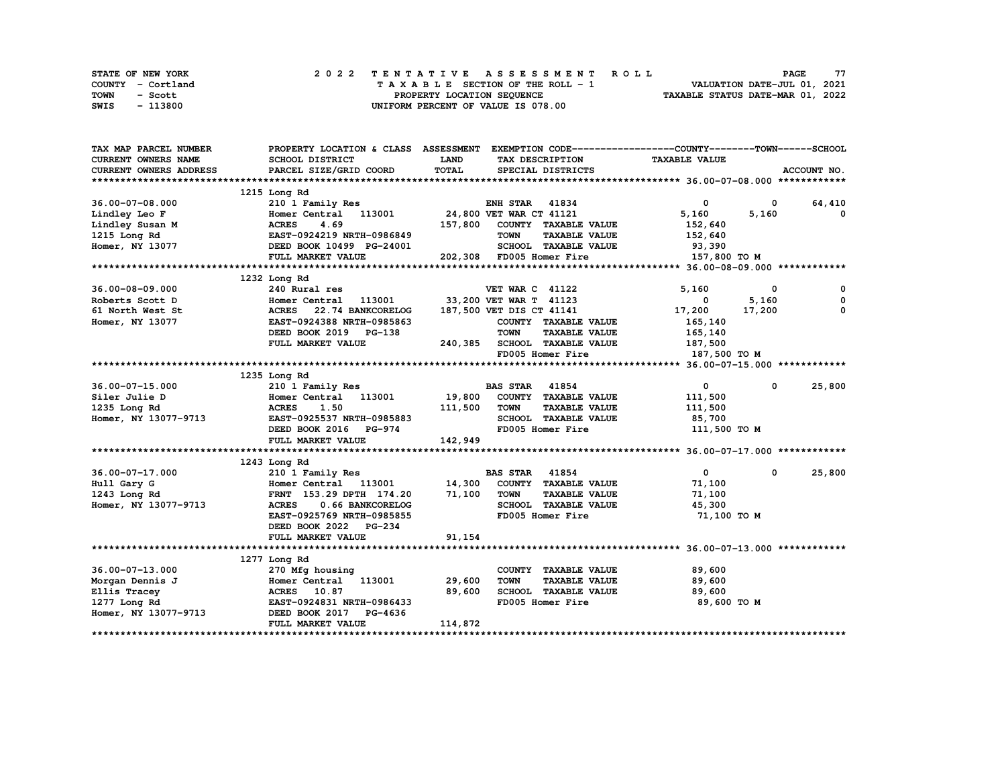| STATE OF NEW YORK | 2022 TENTATIVE ASSESSMENT ROLL          | 77<br><b>PAGE</b>                |
|-------------------|-----------------------------------------|----------------------------------|
| COUNTY - Cortland | $T A X A B L E$ SECTION OF THE ROLL - 1 | VALUATION DATE-JUL 01, 2021      |
| TOWN<br>- Scott   | PROPERTY LOCATION SEQUENCE              | TAXABLE STATUS DATE-MAR 01, 2022 |
| - 113800<br>SWIS  | UNIFORM PERCENT OF VALUE IS 078.00      |                                  |

| TAX MAP PARCEL NUMBER  | PROPERTY LOCATION & CLASS ASSESSMENT         |         |                                     | EXEMPTION CODE-----------------COUNTY-------TOWN------SCHOOL |                        |
|------------------------|----------------------------------------------|---------|-------------------------------------|--------------------------------------------------------------|------------------------|
| CURRENT OWNERS NAME    | SCHOOL DISTRICT                              | LAND    | TAX DESCRIPTION                     | <b>TAXABLE VALUE</b>                                         |                        |
| CURRENT OWNERS ADDRESS | PARCEL SIZE/GRID COORD                       | TOTAL   | SPECIAL DISTRICTS                   |                                                              | ACCOUNT NO.            |
|                        |                                              |         |                                     |                                                              |                        |
|                        | 1215 Long Rd                                 |         |                                     |                                                              |                        |
| $36.00 - 07 - 08.000$  | 210 1 Family Res                             |         | <b>ENH STAR 41834</b>               | $\mathbf 0$                                                  | 64,410<br>$\mathbf{0}$ |
| Lindley Leo F          | Homer Central 113001 24,800 VET WAR CT 41121 |         |                                     | 5,160                                                        | 5,160<br>0             |
| Lindley Susan M        | 4.69<br><b>ACRES</b>                         |         | 157,800 COUNTY TAXABLE VALUE        | 152,640                                                      |                        |
| 1215 Long Rd           | EAST-0924219 NRTH-0986849                    |         | <b>TOWN</b><br><b>TAXABLE VALUE</b> | 152,640                                                      |                        |
| Homer, NY 13077        | DEED BOOK 10499 PG-24001                     |         | SCHOOL TAXABLE VALUE                | 93,390                                                       |                        |
|                        | FULL MARKET VALUE                            |         | 202,308 FD005 Homer Fire            | 157,800 TO M                                                 |                        |
|                        |                                              |         |                                     |                                                              |                        |
|                        | 1232 Long Rd                                 |         |                                     |                                                              |                        |
| $36.00 - 08 - 09.000$  | 240 Rural res                                |         | <b>VET WAR C 41122</b>              | 5.160                                                        | 0<br>0                 |
| Roberts Scott D        | 113001<br>Homer Central                      |         | 33,200 VET WAR T 41123              | $\mathbf 0$                                                  | 5,160<br>0             |
| 61 North West St       | <b>ACRES</b><br>22.74 BANKCORELOG            |         | 187,500 VET DIS CT 41141            | 17,200<br>17,200                                             | $\mathbf{o}$           |
| Homer, NY 13077        | EAST-0924388 NRTH-0985863                    |         | COUNTY TAXABLE VALUE                | 165,140                                                      |                        |
|                        | DEED BOOK 2019 PG-138                        |         | <b>TOWN</b><br><b>TAXABLE VALUE</b> | 165,140                                                      |                        |
|                        | FULL MARKET VALUE                            | 240,385 | SCHOOL TAXABLE VALUE                | 187,500                                                      |                        |
|                        |                                              |         | FD005 Homer Fire                    | 187,500 TO M                                                 |                        |
|                        |                                              |         |                                     |                                                              |                        |
|                        | 1235 Long Rd                                 |         |                                     |                                                              |                        |
| 36.00-07-15.000        | 210 1 Family Res                             |         | <b>BAS STAR 41854</b>               | $\mathbf{0}$                                                 | 25,800<br>$\mathbf 0$  |
| Siler Julie D          | Homer Central 113001                         | 19,800  | COUNTY TAXABLE VALUE                | 111,500                                                      |                        |
| 1235 Long Rd           | <b>ACRES</b><br>1.50                         | 111,500 | <b>TOWN</b><br><b>TAXABLE VALUE</b> | 111,500                                                      |                        |
| Homer, NY 13077-9713   | EAST-0925537 NRTH-0985883                    |         | SCHOOL TAXABLE VALUE                | 85,700                                                       |                        |
|                        | DEED BOOK 2016 PG-974                        |         | FD005 Homer Fire                    | 111,500 TO M                                                 |                        |
|                        | FULL MARKET VALUE                            | 142,949 |                                     |                                                              |                        |
|                        |                                              |         |                                     |                                                              |                        |
|                        | 1243 Long Rd                                 |         |                                     |                                                              |                        |
| 36.00-07-17.000        | 210 1 Family Res                             |         | <b>BAS STAR 41854</b>               | $\mathbf{0}$                                                 | 25,800<br>$\mathbf 0$  |
| Hull Gary G            | Homer Central 113001                         | 14,300  | COUNTY TAXABLE VALUE                | 71,100                                                       |                        |
| 1243 Long Rd           | FRNT 153.29 DPTH 174.20                      | 71,100  | <b>TOWN</b><br><b>TAXABLE VALUE</b> | 71,100                                                       |                        |
| Homer, NY 13077-9713   | <b>ACRES</b><br>0.66 BANKCORELOG             |         | SCHOOL TAXABLE VALUE                | 45,300                                                       |                        |
|                        | EAST-0925769 NRTH-0985855                    |         | FD005 Homer Fire                    | 71,100 TO M                                                  |                        |
|                        | DEED BOOK 2022<br><b>PG-234</b>              |         |                                     |                                                              |                        |
|                        | FULL MARKET VALUE                            | 91,154  |                                     |                                                              |                        |
|                        |                                              |         |                                     |                                                              |                        |
|                        | 1277 Long Rd                                 |         |                                     |                                                              |                        |
| $36.00 - 07 - 13.000$  | 270 Mfg housing                              |         | COUNTY TAXABLE VALUE                | 89,600                                                       |                        |
| Morgan Dennis J        | 113001<br>Homer Central                      | 29,600  | <b>TOWN</b><br><b>TAXABLE VALUE</b> | 89,600                                                       |                        |
| Ellis Tracey           | ACRES 10.87                                  | 89,600  | SCHOOL TAXABLE VALUE                | 89,600                                                       |                        |
| 1277 Long Rd           | EAST-0924831 NRTH-0986433                    |         | FD005 Homer Fire                    | 89,600 TO M                                                  |                        |
| Homer, NY 13077-9713   | DEED BOOK 2017<br>PG-4636                    |         |                                     |                                                              |                        |
|                        | FULL MARKET VALUE                            | 114,872 |                                     |                                                              |                        |
|                        |                                              |         |                                     |                                                              |                        |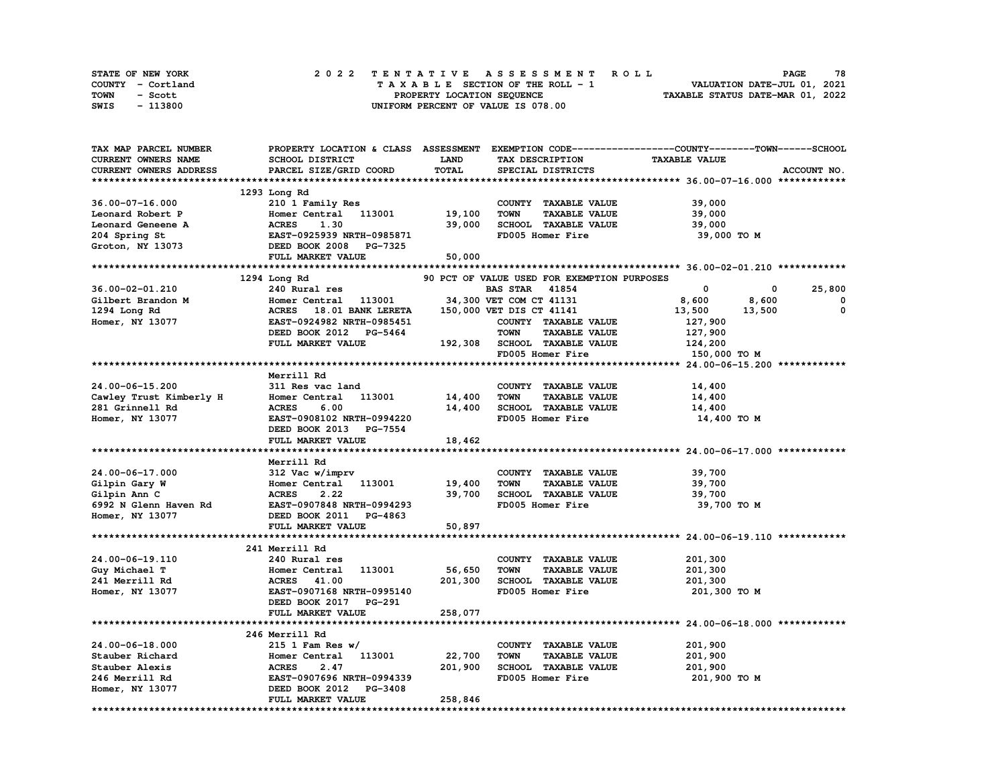| <b>STATE OF NEW YORK</b> | 2022 TENTATIVE ASSESSMENT ROLL     | 78<br><b>PAGE</b>                |
|--------------------------|------------------------------------|----------------------------------|
| COUNTY - Cortland        | TAXABLE SECTION OF THE ROLL - 1    | VALUATION DATE-JUL 01, 2021      |
| TOWN<br>- Scott          | PROPERTY LOCATION SEQUENCE         | TAXABLE STATUS DATE-MAR 01, 2022 |
| - 113800<br>SWIS         | UNIFORM PERCENT OF VALUE IS 078.00 |                                  |

| TAX MAP PARCEL NUMBER   |                             |             |                                             | PROPERTY LOCATION & CLASS ASSESSMENT EXEMPTION CODE-----------------COUNTY-------TOWN-----SCHOOL |
|-------------------------|-----------------------------|-------------|---------------------------------------------|--------------------------------------------------------------------------------------------------|
| CURRENT OWNERS NAME     | SCHOOL DISTRICT             | <b>LAND</b> | TAX DESCRIPTION                             | <b>TAXABLE VALUE</b>                                                                             |
| CURRENT OWNERS ADDRESS  | PARCEL SIZE/GRID COORD      | TOTAL       | SPECIAL DISTRICTS                           | ACCOUNT NO.                                                                                      |
|                         |                             |             |                                             |                                                                                                  |
|                         | 1293 Long Rd                |             |                                             |                                                                                                  |
| $36.00 - 07 - 16.000$   | 210 1 Family Res            |             | COUNTY TAXABLE VALUE                        | 39,000                                                                                           |
| Leonard Robert P        | Homer Central 113001        | 19,100      | <b>TOWN</b><br><b>TAXABLE VALUE</b>         | 39,000                                                                                           |
| Leonard Geneene A       | 1.30<br><b>ACRES</b>        | 39,000      | SCHOOL TAXABLE VALUE                        | 39,000                                                                                           |
| 204 Spring St           | EAST-0925939 NRTH-0985871   |             | FD005 Homer Fire                            | 39,000 TO M                                                                                      |
| Groton, NY 13073        | DEED BOOK 2008 PG-7325      |             |                                             |                                                                                                  |
|                         | FULL MARKET VALUE           | 50,000      |                                             |                                                                                                  |
|                         |                             |             |                                             |                                                                                                  |
|                         |                             |             |                                             |                                                                                                  |
|                         | 1294 Long Rd                |             | 90 PCT OF VALUE USED FOR EXEMPTION PURPOSES |                                                                                                  |
| 36.00-02-01.210         | 240 Rural res               |             | <b>BAS STAR 41854</b>                       | $\mathbf 0$<br>25,800<br>$\mathbf 0$                                                             |
| Gilbert Brandon M       | Homer Central 113001        |             | 34,300 VET COM CT 41131                     | 8,600<br>8,600<br>0                                                                              |
| 1294 Long Rd            | ACRES 18.01 BANK LERETA     |             | 150,000 VET DIS CT 41141                    | $\mathbf 0$<br>13,500<br>13,500                                                                  |
| Homer, NY 13077         | EAST-0924982 NRTH-0985451   |             | COUNTY TAXABLE VALUE                        | 127,900                                                                                          |
|                         | DEED BOOK 2012 PG-5464      |             | <b>TOWN</b><br><b>TAXABLE VALUE</b>         | 127,900                                                                                          |
|                         | FULL MARKET VALUE           |             | 192,308 SCHOOL TAXABLE VALUE                | 124,200                                                                                          |
|                         |                             |             | FD005 Homer Fire                            | 150,000 TO M                                                                                     |
|                         |                             |             |                                             |                                                                                                  |
|                         | Merrill Rd                  |             |                                             |                                                                                                  |
| 24.00-06-15.200         | 311 Res vac land            |             | COUNTY TAXABLE VALUE                        | 14,400                                                                                           |
| Cawley Trust Kimberly H | Homer Central 113001 14,400 |             | <b>TAXABLE VALUE</b><br><b>TOWN</b>         | 14,400                                                                                           |
| 281 Grinnell Rd         | <b>ACRES</b><br>6.00        | 14,400      | SCHOOL TAXABLE VALUE                        | 14,400                                                                                           |
| Homer, NY 13077         | EAST-0908102 NRTH-0994220   |             | FD005 Homer Fire                            | 14,400 TO M                                                                                      |
|                         | DEED BOOK 2013 PG-7554      |             |                                             |                                                                                                  |
|                         | FULL MARKET VALUE           | 18,462      |                                             |                                                                                                  |
|                         |                             |             |                                             |                                                                                                  |
|                         | Merrill Rd                  |             |                                             |                                                                                                  |
| 24.00-06-17.000         |                             |             | COUNTY TAXABLE VALUE                        | 39,700                                                                                           |
|                         | 312 Vac w/imprv             |             | <b>TAXABLE VALUE</b>                        |                                                                                                  |
| Gilpin Gary W           | Homer Central 113001        | 19,400      | TOWN                                        | 39,700                                                                                           |
| Gilpin Ann C            | <b>ACRES</b><br>2.22        | 39,700      | SCHOOL TAXABLE VALUE                        | 39,700                                                                                           |
| 6992 N Glenn Haven Rd   | EAST-0907848 NRTH-0994293   |             | FD005 Homer Fire                            | 39,700 TO M                                                                                      |
| Homer, NY 13077         | DEED BOOK 2011 PG-4863      |             |                                             |                                                                                                  |
|                         | FULL MARKET VALUE           | 50,897      |                                             |                                                                                                  |
|                         |                             |             |                                             |                                                                                                  |
|                         | 241 Merrill Rd              |             |                                             |                                                                                                  |
| 24.00-06-19.110         | 240 Rural res               |             | COUNTY TAXABLE VALUE                        | 201,300                                                                                          |
| Guy Michael T           | 113001<br>Homer Central     | 56,650      | <b>TOWN</b><br><b>TAXABLE VALUE</b>         | 201,300                                                                                          |
| 241 Merrill Rd          | <b>ACRES</b><br>41.00       | 201,300     | SCHOOL TAXABLE VALUE                        | 201,300                                                                                          |
| Homer, NY 13077         | EAST-0907168 NRTH-0995140   |             | FD005 Homer Fire                            | 201,300 то м                                                                                     |
|                         | DEED BOOK 2017 PG-291       |             |                                             |                                                                                                  |
|                         | FULL MARKET VALUE           | 258,077     |                                             |                                                                                                  |
|                         |                             |             |                                             |                                                                                                  |
|                         | 246 Merrill Rd              |             |                                             |                                                                                                  |
| 24.00-06-18.000         | $215$ 1 Fam Res w/          |             | COUNTY TAXABLE VALUE                        | 201,900                                                                                          |
| Stauber Richard         | Homer Central 113001        | 22,700      | <b>TOWN</b><br><b>TAXABLE VALUE</b>         | 201,900                                                                                          |
| Stauber Alexis          | <b>ACRES</b><br>2.47        | 201,900     | SCHOOL TAXABLE VALUE                        | 201,900                                                                                          |
| 246 Merrill Rd          | EAST-0907696 NRTH-0994339   |             | FD005 Homer Fire                            | 201,900 TO M                                                                                     |
|                         | DEED BOOK 2012 PG-3408      |             |                                             |                                                                                                  |
| Homer, NY 13077         |                             |             |                                             |                                                                                                  |
|                         | FULL MARKET VALUE           | 258,846     |                                             |                                                                                                  |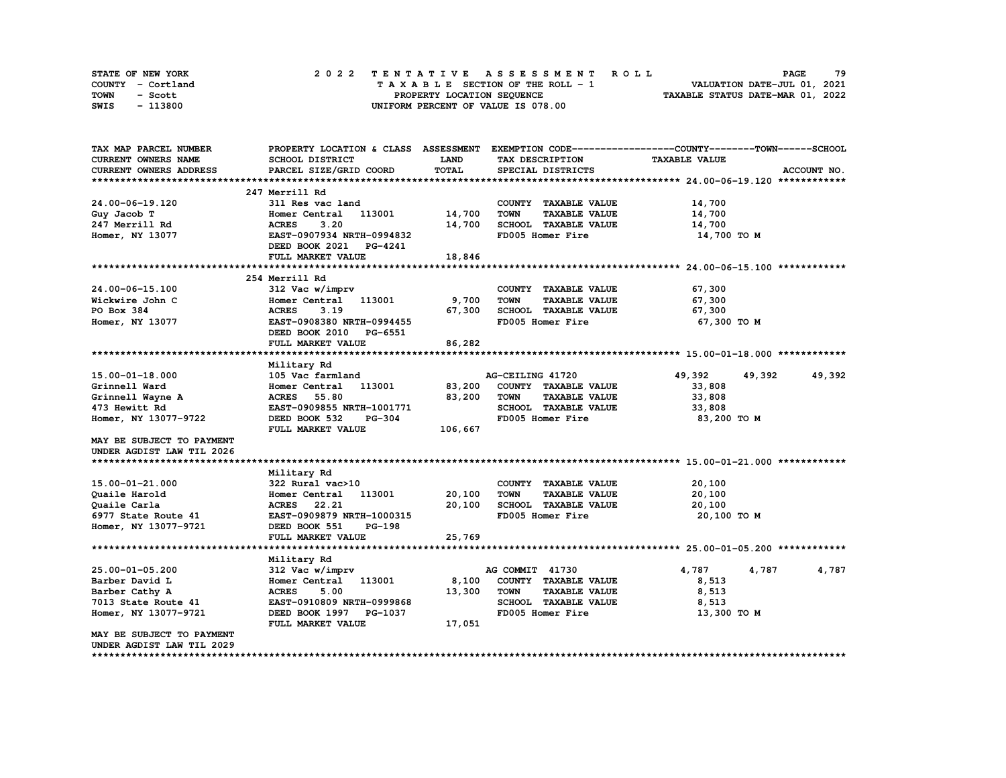| STATE OF NEW YORK | 2022 TENTATIVE ASSESSMENT ROLL     | 79<br><b>PAGE</b>                |
|-------------------|------------------------------------|----------------------------------|
| COUNTY - Cortland | TAXABLE SECTION OF THE ROLL - 1    | VALUATION DATE-JUL 01, 2021      |
| TOWN<br>- Scott   | PROPERTY LOCATION SEQUENCE         | TAXABLE STATUS DATE-MAR 01, 2022 |
| - 113800<br>SWIS  | UNIFORM PERCENT OF VALUE IS 078.00 |                                  |

| TAX MAP PARCEL NUMBER     | PROPERTY LOCATION & CLASS ASSESSMENT |             |                                     | EXEMPTION CODE-----------------COUNTY-------TOWN------SCHOOL |             |
|---------------------------|--------------------------------------|-------------|-------------------------------------|--------------------------------------------------------------|-------------|
| CURRENT OWNERS NAME       | SCHOOL DISTRICT                      | <b>LAND</b> | TAX DESCRIPTION                     | <b>TAXABLE VALUE</b>                                         |             |
| CURRENT OWNERS ADDRESS    | PARCEL SIZE/GRID COORD               | TOTAL       | SPECIAL DISTRICTS                   |                                                              | ACCOUNT NO. |
|                           |                                      |             |                                     |                                                              |             |
|                           | 247 Merrill Rd                       |             |                                     |                                                              |             |
| 24.00-06-19.120           | 311 Res vac land                     |             | COUNTY TAXABLE VALUE                | 14,700                                                       |             |
| Guy Jacob T               | Homer Central 113001                 | 14,700      | <b>TOWN</b><br><b>TAXABLE VALUE</b> | 14,700                                                       |             |
| 247 Merrill Rd            | 3.20<br><b>ACRES</b>                 | 14,700      | SCHOOL TAXABLE VALUE                | 14,700                                                       |             |
| Homer, NY 13077           | EAST-0907934 NRTH-0994832            |             | FD005 Homer Fire                    | 14,700 TO M                                                  |             |
|                           | DEED BOOK 2021 PG-4241               |             |                                     |                                                              |             |
|                           |                                      |             |                                     |                                                              |             |
|                           | FULL MARKET VALUE                    | 18,846      |                                     |                                                              |             |
|                           |                                      |             |                                     |                                                              |             |
|                           | 254 Merrill Rd                       |             |                                     |                                                              |             |
| 24.00-06-15.100           | 312 Vac w/imprv                      |             | COUNTY TAXABLE VALUE                | 67,300                                                       |             |
| Wickwire John C           | Homer Central 113001                 | 9,700       | <b>TAXABLE VALUE</b><br><b>TOWN</b> | 67,300                                                       |             |
| PO Box 384                | <b>ACRES</b><br>3.19                 | 67,300      | SCHOOL TAXABLE VALUE                | 67,300                                                       |             |
| Homer, NY 13077           | EAST-0908380 NRTH-0994455            |             | FD005 Homer Fire                    | 67,300 TO M                                                  |             |
|                           | DEED BOOK 2010 PG-6551               |             |                                     |                                                              |             |
|                           | FULL MARKET VALUE                    | 86,282      |                                     |                                                              |             |
|                           |                                      |             |                                     |                                                              |             |
|                           | Military Rd                          |             |                                     |                                                              |             |
| $15.00 - 01 - 18.000$     | 105 Vac farmland                     |             | AG-CEILING 41720                    | 49,392<br>49,392                                             | 49,392      |
| Grinnell Ward             | 113001<br>Homer Central              | 83,200      | COUNTY TAXABLE VALUE                | 33,808                                                       |             |
| Grinnell Wayne A          | <b>ACRES</b><br>55.80                | 83,200      | <b>TOWN</b><br><b>TAXABLE VALUE</b> | 33,808                                                       |             |
| 473 Hewitt Rd             | EAST-0909855 NRTH-1001771            |             | SCHOOL TAXABLE VALUE                | 33,808                                                       |             |
|                           |                                      |             | FD005 Homer Fire                    |                                                              |             |
| Homer, NY 13077-9722      | DEED BOOK 532<br><b>PG-304</b>       |             |                                     | 83,200 TO M                                                  |             |
|                           | FULL MARKET VALUE                    | 106,667     |                                     |                                                              |             |
| MAY BE SUBJECT TO PAYMENT |                                      |             |                                     |                                                              |             |
| UNDER AGDIST LAW TIL 2026 |                                      |             |                                     |                                                              |             |
|                           |                                      |             |                                     |                                                              |             |
|                           | Military Rd                          |             |                                     |                                                              |             |
| 15.00-01-21.000           | 322 Rural vac>10                     |             | COUNTY TAXABLE VALUE                | 20,100                                                       |             |
| Quaile Harold             | Homer Central 113001                 | 20,100      | <b>TOWN</b><br><b>TAXABLE VALUE</b> | 20,100                                                       |             |
| Quaile Carla              | 22.21<br><b>ACRES</b>                | 20,100      | SCHOOL TAXABLE VALUE                | 20,100                                                       |             |
| 6977 State Route 41       | EAST-0909879 NRTH-1000315            |             | FD005 Homer Fire                    | 20,100 TO M                                                  |             |
| Homer, NY 13077-9721      | DEED BOOK 551<br><b>PG-198</b>       |             |                                     |                                                              |             |
|                           | FULL MARKET VALUE                    | 25,769      |                                     |                                                              |             |
|                           |                                      |             |                                     |                                                              |             |
|                           | Military Rd                          |             |                                     |                                                              |             |
| $25.00 - 01 - 05.200$     |                                      |             | AG COMMIT 41730                     | 4,787                                                        |             |
|                           | 312 Vac w/imprv                      |             |                                     | 4,787                                                        | 4,787       |
| Barber David L            | 113001<br>Homer Central              | 8,100       | COUNTY TAXABLE VALUE                | 8,513                                                        |             |
| Barber Cathy A            | <b>ACRES</b><br>5.00                 | 13,300      | <b>TOWN</b><br><b>TAXABLE VALUE</b> | 8,513                                                        |             |
| 7013 State Route 41       | EAST-0910809 NRTH-0999868            |             | SCHOOL TAXABLE VALUE                | 8,513                                                        |             |
| Homer, NY 13077-9721      | DEED BOOK 1997 PG-1037               |             | FD005 Homer Fire                    | 13,300 TO M                                                  |             |
|                           | FULL MARKET VALUE                    | 17,051      |                                     |                                                              |             |
| MAY BE SUBJECT TO PAYMENT |                                      |             |                                     |                                                              |             |
| UNDER AGDIST LAW TIL 2029 |                                      |             |                                     |                                                              |             |
|                           |                                      |             |                                     |                                                              |             |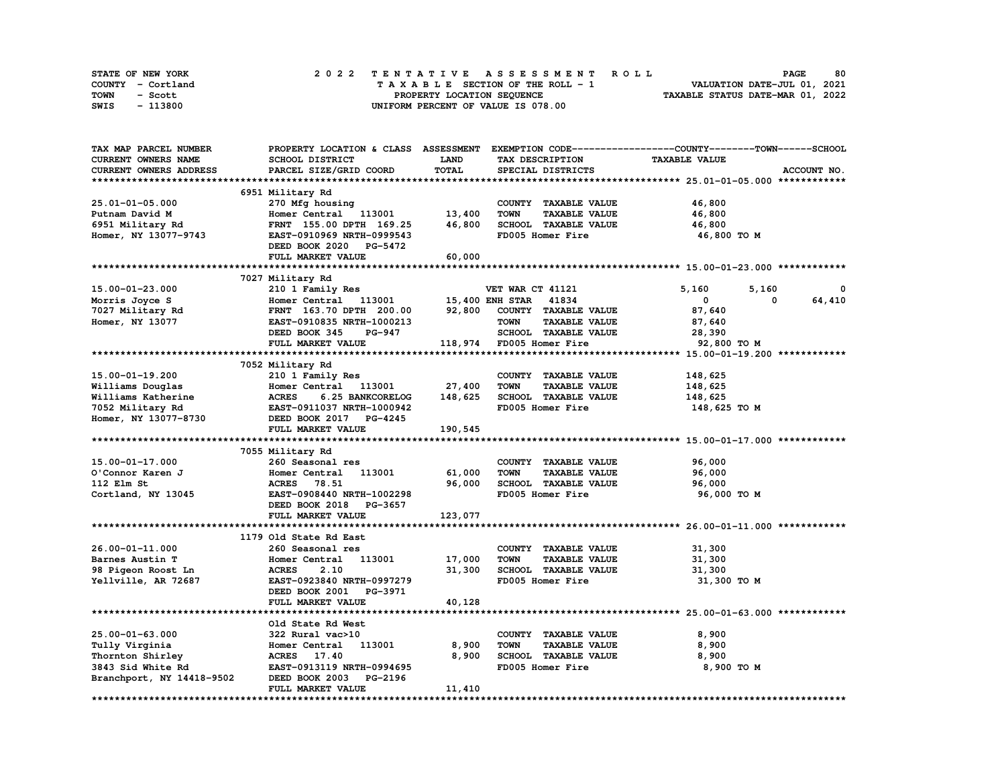| STATE OF NEW YORK | 2022 TENTATIVE ASSESSMENT ROLL     | 80<br><b>PAGE</b>                |
|-------------------|------------------------------------|----------------------------------|
| COUNTY - Cortland | TAXABLE SECTION OF THE ROLL - 1    | VALUATION DATE-JUL 01, 2021      |
| TOWN<br>- Scott   | PROPERTY LOCATION SEQUENCE         | TAXABLE STATUS DATE-MAR 01, 2022 |
| - 113800<br>SWIS  | UNIFORM PERCENT OF VALUE IS 078.00 |                                  |

| TAX MAP PARCEL NUMBER     |                                  |             |                                          | PROPERTY LOCATION & CLASS ASSESSMENT EXEMPTION CODE-----------------COUNTY-------TOWN------SCHOOL |
|---------------------------|----------------------------------|-------------|------------------------------------------|---------------------------------------------------------------------------------------------------|
| CURRENT OWNERS NAME       | SCHOOL DISTRICT                  | <b>LAND</b> | TAX DESCRIPTION                          | <b>TAXABLE VALUE</b>                                                                              |
| CURRENT OWNERS ADDRESS    | PARCEL SIZE/GRID COORD           | TOTAL       | SPECIAL DISTRICTS                        | ACCOUNT NO.                                                                                       |
|                           |                                  |             |                                          |                                                                                                   |
|                           | 6951 Military Rd                 |             |                                          |                                                                                                   |
| 25.01-01-05.000           | 270 Mfg housing                  |             | COUNTY TAXABLE VALUE                     | 46,800                                                                                            |
| Putnam David M            | Homer Central 113001             | 13,400      | <b>TOWN</b><br><b>TAXABLE VALUE</b>      | 46,800                                                                                            |
|                           |                                  |             |                                          |                                                                                                   |
| 6951 Military Rd          | FRNT 155.00 DPTH 169.25          | 46,800      | SCHOOL TAXABLE VALUE<br>FD005 Homer Fire | 46,800                                                                                            |
| Homer, NY 13077-9743      | EAST-0910969 NRTH-0999543        |             |                                          | 46,800 TO M                                                                                       |
|                           | DEED BOOK 2020 PG-5472           |             |                                          |                                                                                                   |
|                           | FULL MARKET VALUE                | 60,000      |                                          |                                                                                                   |
|                           |                                  |             |                                          |                                                                                                   |
|                           | 7027 Military Rd                 |             |                                          |                                                                                                   |
| 15.00-01-23.000           | 210 1 Family Res                 |             | VET WAR CT 41121                         | 5,160<br>5,160                                                                                    |
| Morris Joyce S            | Homer Central 113001             |             | 15,400 ENH STAR 41834                    | 64,410<br>0<br>0                                                                                  |
| 7027 Military Rd          | FRNT 163.70 DPTH 200.00 92,800   |             | COUNTY TAXABLE VALUE                     | 87,640                                                                                            |
| Homer, NY 13077           | EAST-0910835 NRTH-1000213        |             | <b>TOWN</b><br><b>TAXABLE VALUE</b>      | 87,640                                                                                            |
|                           | DEED BOOK 345<br>PG-947          |             | SCHOOL TAXABLE VALUE                     | 28,390                                                                                            |
|                           | FULL MARKET VALUE                |             | 118,974 FD005 Homer Fire                 | 92,800 TO M                                                                                       |
|                           |                                  |             |                                          |                                                                                                   |
|                           |                                  |             |                                          |                                                                                                   |
|                           | 7052 Military Rd                 |             |                                          |                                                                                                   |
| 15.00-01-19.200           | 210 1 Family Res                 |             | COUNTY TAXABLE VALUE                     | 148,625                                                                                           |
| Williams Douglas          | Homer Central 113001             | 27,400      | <b>TOWN</b><br><b>TAXABLE VALUE</b>      | 148,625                                                                                           |
| Williams Katherine        | <b>ACRES</b><br>6.25 BANKCORELOG | 148,625     | SCHOOL TAXABLE VALUE                     | 148,625                                                                                           |
| 7052 Military Rd          | EAST-0911037 NRTH-1000942        |             | FD005 Homer Fire                         | 148,625 TO M                                                                                      |
| Homer, NY 13077-8730      | DEED BOOK 2017 PG-4245           |             |                                          |                                                                                                   |
|                           | FULL MARKET VALUE                | 190,545     |                                          |                                                                                                   |
|                           |                                  |             |                                          |                                                                                                   |
|                           | 7055 Military Rd                 |             |                                          |                                                                                                   |
| 15.00-01-17.000           | 260 Seasonal res                 |             | COUNTY TAXABLE VALUE                     | 96,000                                                                                            |
| O'Connor Karen J          | 113001<br>Homer Central          | 61,000      | <b>TAXABLE VALUE</b><br><b>TOWN</b>      | 96,000                                                                                            |
| 112 Elm St                | <b>ACRES</b> 78.51               | 96,000      | SCHOOL TAXABLE VALUE                     | 96,000                                                                                            |
| Cortland, NY 13045        | EAST-0908440 NRTH-1002298        |             | FD005 Homer Fire                         | 96,000 TO M                                                                                       |
|                           | DEED BOOK 2018 PG-3657           |             |                                          |                                                                                                   |
|                           |                                  |             |                                          |                                                                                                   |
|                           | FULL MARKET VALUE                | 123,077     |                                          |                                                                                                   |
|                           |                                  |             |                                          |                                                                                                   |
|                           | 1179 Old State Rd East           |             |                                          |                                                                                                   |
| 26.00-01-11.000           | 260 Seasonal res                 |             | COUNTY TAXABLE VALUE                     | 31,300                                                                                            |
| Barnes Austin T           | Homer Central 113001             | 17,000      | <b>TOWN</b><br><b>TAXABLE VALUE</b>      | 31,300                                                                                            |
| 98 Pigeon Roost Ln        | <b>ACRES</b><br>2.10             | 31,300      | SCHOOL TAXABLE VALUE                     | 31,300                                                                                            |
| Yellville, AR 72687       | EAST-0923840 NRTH-0997279        |             | FD005 Homer Fire                         | 31,300 TO M                                                                                       |
|                           | DEED BOOK 2001 PG-3971           |             |                                          |                                                                                                   |
|                           | FULL MARKET VALUE                | 40,128      |                                          |                                                                                                   |
|                           |                                  |             |                                          |                                                                                                   |
|                           | Old State Rd West                |             |                                          |                                                                                                   |
| 25.00-01-63.000           | 322 Rural vac>10                 |             | COUNTY TAXABLE VALUE                     | 8,900                                                                                             |
|                           | 113001                           | 8,900       | <b>TOWN</b><br><b>TAXABLE VALUE</b>      | 8,900                                                                                             |
| Tully Virginia            | Homer Central                    |             |                                          |                                                                                                   |
| Thornton Shirley          | ACRES 17.40                      | 8,900       | SCHOOL TAXABLE VALUE                     | 8,900                                                                                             |
| 3843 Sid White Rd         | EAST-0913119 NRTH-0994695        |             | FD005 Homer Fire                         | 8,900 TO M                                                                                        |
| Branchport, NY 14418-9502 | DEED BOOK 2003 PG-2196           |             |                                          |                                                                                                   |
|                           | FULL MARKET VALUE                | 11,410      |                                          |                                                                                                   |
|                           |                                  |             |                                          |                                                                                                   |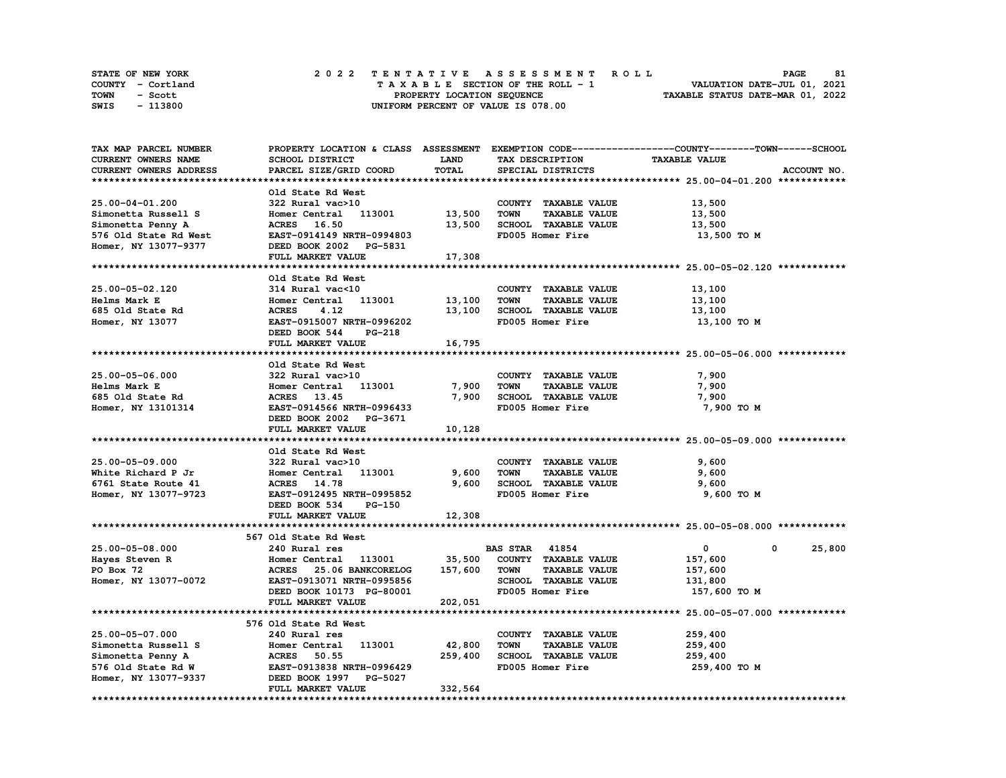| STATE OF NEW YORK | 2022 TENTATIVE ASSESSMENT ROLL     | 81<br><b>PAGE</b>                |
|-------------------|------------------------------------|----------------------------------|
| COUNTY - Cortland | TAXABLE SECTION OF THE ROLL - 1    | VALUATION DATE-JUL 01, 2021      |
| TOWN<br>- Scott   | PROPERTY LOCATION SEQUENCE         | TAXABLE STATUS DATE-MAR 01, 2022 |
| - 113800<br>SWIS  | UNIFORM PERCENT OF VALUE IS 078.00 |                                  |

| TAX MAP PARCEL NUMBER  |                                                                   |             |                                     | PROPERTY LOCATION & CLASS ASSESSMENT EXEMPTION CODE-----------------COUNTY-------TOWN-----SCHOOL |
|------------------------|-------------------------------------------------------------------|-------------|-------------------------------------|--------------------------------------------------------------------------------------------------|
| CURRENT OWNERS NAME    | SCHOOL DISTRICT                                                   | <b>LAND</b> | TAX DESCRIPTION                     | <b>TAXABLE VALUE</b>                                                                             |
| CURRENT OWNERS ADDRESS | PARCEL SIZE/GRID COORD                                            | TOTAL       | SPECIAL DISTRICTS                   | ACCOUNT NO.                                                                                      |
|                        |                                                                   |             |                                     |                                                                                                  |
|                        | Old State Rd West                                                 |             |                                     |                                                                                                  |
| 25.00-04-01.200        | 322 Rural vac>10                                                  |             | COUNTY TAXABLE VALUE                | 13,500                                                                                           |
| Simonetta Russell S    | Homer Central 113001 13,500                                       |             | TOWN<br><b>TAXABLE VALUE</b>        | 13,500                                                                                           |
| Simonetta Penny A      | ACRES 16.50                                                       | 13,500      | SCHOOL TAXABLE VALUE                | 13,500                                                                                           |
| 576 Old State Rd West  | EAST-0914149 NRTH-0994803                                         |             | FD005 Homer Fire                    | 13,500 то м                                                                                      |
|                        | DEED BOOK 2002 PG-5831                                            |             |                                     |                                                                                                  |
| Homer, NY 13077-9377   |                                                                   |             |                                     |                                                                                                  |
|                        | FULL MARKET VALUE                                                 | 17,308      |                                     |                                                                                                  |
|                        |                                                                   |             |                                     |                                                                                                  |
|                        | Old State Rd West                                                 |             |                                     |                                                                                                  |
| 25.00-05-02.120        | 314 Rural vac<10                                                  |             | COUNTY TAXABLE VALUE                | 13,100                                                                                           |
| <b>Helms Mark E</b>    | Homer Central 113001                                              | 13,100      | <b>TOWN</b><br><b>TAXABLE VALUE</b> | 13,100                                                                                           |
| 685 Old State Rd       | 4.12<br><b>ACRES</b>                                              | 13,100      | SCHOOL TAXABLE VALUE                | 13,100                                                                                           |
| Homer, NY 13077        | EAST-0915007 NRTH-0996202                                         |             | FD005 Homer Fire                    | 13,100 TO M                                                                                      |
|                        | DEED BOOK 544<br>PG-218                                           |             |                                     |                                                                                                  |
|                        | FULL MARKET VALUE                                                 | 16,795      |                                     |                                                                                                  |
|                        |                                                                   |             |                                     |                                                                                                  |
|                        | Old State Rd West                                                 |             |                                     |                                                                                                  |
| 25.00-05-06.000        | 322 Rural vac>10                                                  |             | COUNTY TAXABLE VALUE                | 7,900                                                                                            |
| <b>Helms Mark E</b>    | Homer Central 113001                                              | 7,900       | <b>TOWN</b><br><b>TAXABLE VALUE</b> | 7,900                                                                                            |
| 685 Old State Rd       | ACRES 13.45                                                       | 7,900       | SCHOOL TAXABLE VALUE                | 7,900                                                                                            |
| Homer, NY 13101314     | EAST-0914566 NRTH-0996433                                         |             | FD005 Homer Fire                    | 7,900 TO M                                                                                       |
|                        | DEED BOOK 2002 PG-3671                                            |             |                                     |                                                                                                  |
|                        | FULL MARKET VALUE                                                 | 10,128      |                                     |                                                                                                  |
|                        |                                                                   |             |                                     |                                                                                                  |
|                        | Old State Rd West                                                 |             |                                     |                                                                                                  |
| 25.00-05-09.000        | 322 Rural vac>10                                                  |             | COUNTY TAXABLE VALUE                | 9,600                                                                                            |
| White Richard P Jr     | Homer Central 113001                                              | 9,600       | <b>TOWN</b><br><b>TAXABLE VALUE</b> | 9,600                                                                                            |
| 6761 State Route 41    | ACRES 14.78                                                       | 9,600       | SCHOOL TAXABLE VALUE                | 9,600                                                                                            |
| Homer, NY 13077-9723   | EAST-0912495 NRTH-0995852                                         |             | FD005 Homer Fire                    | 9,600 TO M                                                                                       |
|                        | DEED BOOK 534<br><b>PG-150</b>                                    |             |                                     |                                                                                                  |
|                        | FULL MARKET VALUE                                                 | 12,308      |                                     |                                                                                                  |
|                        |                                                                   |             |                                     |                                                                                                  |
|                        | 567 Old State Rd West                                             |             |                                     |                                                                                                  |
| 25.00-05-08.000        | 240 Rural res                                                     |             | <b>BAS STAR 41854</b>               | 25,800<br>$\mathbf{0}$<br>0                                                                      |
|                        | Homer Central 113001                                              | 35,500      | COUNTY TAXABLE VALUE                |                                                                                                  |
| Hayes Steven R         |                                                                   |             |                                     | 157,600                                                                                          |
| PO Box 72              | ACRES 25.06 BANKCORELOG                                           | 157,600     | <b>TAXABLE VALUE</b><br>TOWN        | 157,600                                                                                          |
| Homer, NY 13077-0072   | EAST-0913071 NRTH-0995856                                         |             | SCHOOL TAXABLE VALUE                | 131,800                                                                                          |
|                        | DEED BOOK 10173 PG-80001                                          |             | FD005 Homer Fire                    | 157,600 TO M                                                                                     |
|                        | FULL MARKET VALUE                                                 | 202,051     |                                     |                                                                                                  |
|                        |                                                                   |             |                                     |                                                                                                  |
|                        | 576 Old State Rd West                                             |             |                                     |                                                                                                  |
| 25.00-05-07.000        | 240 Rural res                                                     |             | COUNTY TAXABLE VALUE                | 259,400                                                                                          |
| Simonetta Russell S    | Homer Central<br>ACRES 50.55<br>Homer Central 113001              | 42,800      | <b>TOWN</b><br><b>TAXABLE VALUE</b> | 259,400                                                                                          |
| Simonetta Penny A      |                                                                   | 259,400     | SCHOOL TAXABLE VALUE                | 259,400                                                                                          |
|                        | 576 Old State Rd W<br>Homer. NY 13077-9337 DEED BOOK 1997 PG-5027 |             | FD005 Homer Fire                    | 259,400 то м                                                                                     |
|                        |                                                                   |             |                                     |                                                                                                  |
|                        | FULL MARKET VALUE                                                 | 332,564     |                                     |                                                                                                  |
|                        |                                                                   |             |                                     |                                                                                                  |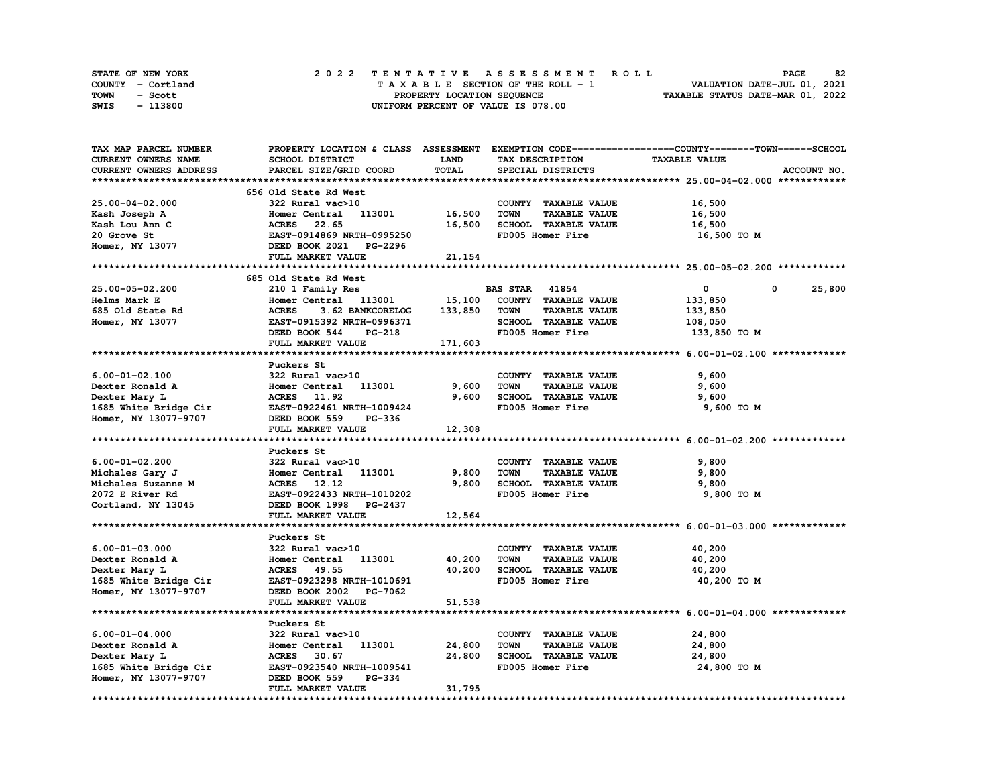|      | STATE OF NEW YORK |  |  |  |  |  | 2022 TENTATIVE ASSESSMENT ROLL     |  |  |  |  |  |  |                                  |                             | <b>PAGE</b> |  | 82 |
|------|-------------------|--|--|--|--|--|------------------------------------|--|--|--|--|--|--|----------------------------------|-----------------------------|-------------|--|----|
|      | COUNTY - Cortland |  |  |  |  |  | TAXABLE SECTION OF THE ROLL - 1    |  |  |  |  |  |  |                                  | VALUATION DATE-JUL 01, 2021 |             |  |    |
| TOWN | - Scott           |  |  |  |  |  | PROPERTY LOCATION SEQUENCE         |  |  |  |  |  |  | TAXABLE STATUS DATE-MAR 01, 2022 |                             |             |  |    |
| SWIS | - 113800          |  |  |  |  |  | UNIFORM PERCENT OF VALUE IS 078.00 |  |  |  |  |  |  |                                  |                             |             |  |    |

| TAX MAP PARCEL NUMBER  |                                  |         |                                     | PROPERTY LOCATION & CLASS ASSESSMENT EXEMPTION CODE-----------------COUNTY-------TOWN-----SCHOOL |
|------------------------|----------------------------------|---------|-------------------------------------|--------------------------------------------------------------------------------------------------|
| CURRENT OWNERS NAME    | SCHOOL DISTRICT                  | LAND    | TAX DESCRIPTION                     | <b>TAXABLE VALUE</b>                                                                             |
| CURRENT OWNERS ADDRESS | PARCEL SIZE/GRID COORD           | TOTAL   | SPECIAL DISTRICTS                   | ACCOUNT NO.                                                                                      |
|                        |                                  |         |                                     |                                                                                                  |
|                        | 656 Old State Rd West            |         |                                     |                                                                                                  |
| 25.00-04-02.000        | 322 Rural vac>10                 |         | COUNTY TAXABLE VALUE                | 16,500                                                                                           |
| Kash Joseph A          | Homer Central 113001             | 16,500  | <b>TOWN</b><br><b>TAXABLE VALUE</b> | 16,500                                                                                           |
|                        | ACRES 22.65                      | 16,500  |                                     |                                                                                                  |
| Kash Lou Ann C         |                                  |         | SCHOOL TAXABLE VALUE                | 16,500                                                                                           |
| 20 Grove St            | EAST-0914869 NRTH-0995250        |         | FD005 Homer Fire                    | 16,500 TO M                                                                                      |
| Homer, NY 13077        | DEED BOOK 2021 PG-2296           |         |                                     |                                                                                                  |
|                        | FULL MARKET VALUE                | 21,154  |                                     |                                                                                                  |
|                        |                                  |         |                                     |                                                                                                  |
|                        | 685 Old State Rd West            |         |                                     |                                                                                                  |
| 25.00-05-02.200        | 210 1 Family Res                 |         | <b>BAS STAR 41854</b>               | 0<br>0<br>25,800                                                                                 |
| <b>Helms Mark E</b>    | Homer Central 113001             | 15,100  | COUNTY TAXABLE VALUE                | 133,850                                                                                          |
| 685 Old State Rd       | <b>ACRES</b><br>3.62 BANKCORELOG | 133,850 | TOWN<br><b>TAXABLE VALUE</b>        | 133,850                                                                                          |
| Homer, NY 13077        | EAST-0915392 NRTH-0996371        |         | SCHOOL TAXABLE VALUE                | 108,050                                                                                          |
|                        | DEED BOOK 544<br>PG-218          |         | FD005 Homer Fire                    | 133,850 TO M                                                                                     |
|                        | FULL MARKET VALUE                | 171,603 |                                     |                                                                                                  |
|                        |                                  |         |                                     |                                                                                                  |
|                        | Puckers St                       |         |                                     |                                                                                                  |
|                        |                                  |         |                                     |                                                                                                  |
| $6.00 - 01 - 02.100$   | 322 Rural vac>10                 |         | COUNTY TAXABLE VALUE                | 9,600                                                                                            |
| Dexter Ronald A        | 113001<br>Homer Central          | 9,600   | <b>TAXABLE VALUE</b><br><b>TOWN</b> | 9,600                                                                                            |
| Dexter Mary L          | ACRES 11.92                      | 9,600   | SCHOOL TAXABLE VALUE                | 9,600                                                                                            |
| 1685 White Bridge Cir  | EAST-0922461 NRTH-1009424        |         | FD005 Homer Fire                    | 9,600 TO M                                                                                       |
| Homer, NY 13077-9707   | DEED BOOK 559<br>PG-336          |         |                                     |                                                                                                  |
|                        | FULL MARKET VALUE                | 12,308  |                                     |                                                                                                  |
|                        |                                  |         |                                     |                                                                                                  |
|                        | Puckers St                       |         |                                     |                                                                                                  |
| $6.00 - 01 - 02.200$   | 322 Rural vac>10                 |         | COUNTY TAXABLE VALUE                | 9,800                                                                                            |
| Michales Gary J        | Homer Central 113001             | 9,800   | <b>TOWN</b><br><b>TAXABLE VALUE</b> | 9,800                                                                                            |
| Michales Suzanne M     | ACRES 12.12                      | 9,800   | SCHOOL TAXABLE VALUE                | 9,800                                                                                            |
| 2072 E River Rd        | EAST-0922433 NRTH-1010202        |         | FD005 Homer Fire                    | 9,800 TO M                                                                                       |
|                        | DEED BOOK 1998 PG-2437           |         |                                     |                                                                                                  |
| Cortland, NY 13045     |                                  |         |                                     |                                                                                                  |
|                        | FULL MARKET VALUE                | 12,564  |                                     |                                                                                                  |
|                        |                                  |         |                                     |                                                                                                  |
|                        | Puckers St                       |         |                                     |                                                                                                  |
| $6.00 - 01 - 03.000$   | 322 Rural vac>10                 |         | COUNTY TAXABLE VALUE                | 40,200                                                                                           |
| Dexter Ronald A        | Homer Central 113001             | 40,200  | <b>TOWN</b><br><b>TAXABLE VALUE</b> | 40,200                                                                                           |
| Dexter Mary L          | ACRES 49.55                      | 40,200  | SCHOOL TAXABLE VALUE                | 40,200                                                                                           |
| 1685 White Bridge Cir  | EAST-0923298 NRTH-1010691        |         | FD005 Homer Fire                    | 40,200 TO M                                                                                      |
| Homer, NY 13077-9707   | DEED BOOK 2002 PG-7062           |         |                                     |                                                                                                  |
|                        | FULL MARKET VALUE                | 51,538  |                                     |                                                                                                  |
|                        |                                  |         |                                     |                                                                                                  |
|                        | Puckers St                       |         |                                     |                                                                                                  |
| $6.00 - 01 - 04.000$   | 322 Rural vac>10                 |         | COUNTY TAXABLE VALUE                | 24,800                                                                                           |
|                        |                                  |         |                                     |                                                                                                  |
| Dexter Ronald A        | 113001<br>Homer Central          | 24,800  | <b>TOWN</b><br><b>TAXABLE VALUE</b> | 24,800                                                                                           |
| Dexter Mary L          | ACRES 30.67                      | 24,800  | SCHOOL TAXABLE VALUE                | 24,800                                                                                           |
| 1685 White Bridge Cir  | EAST-0923540 NRTH-1009541        |         | FD005 Homer Fire                    | 24,800 TO M                                                                                      |
| Homer, NY 13077-9707   | DEED BOOK 559<br>PG-334          |         |                                     |                                                                                                  |
|                        | FULL MARKET VALUE                | 31,795  |                                     |                                                                                                  |
|                        |                                  |         |                                     |                                                                                                  |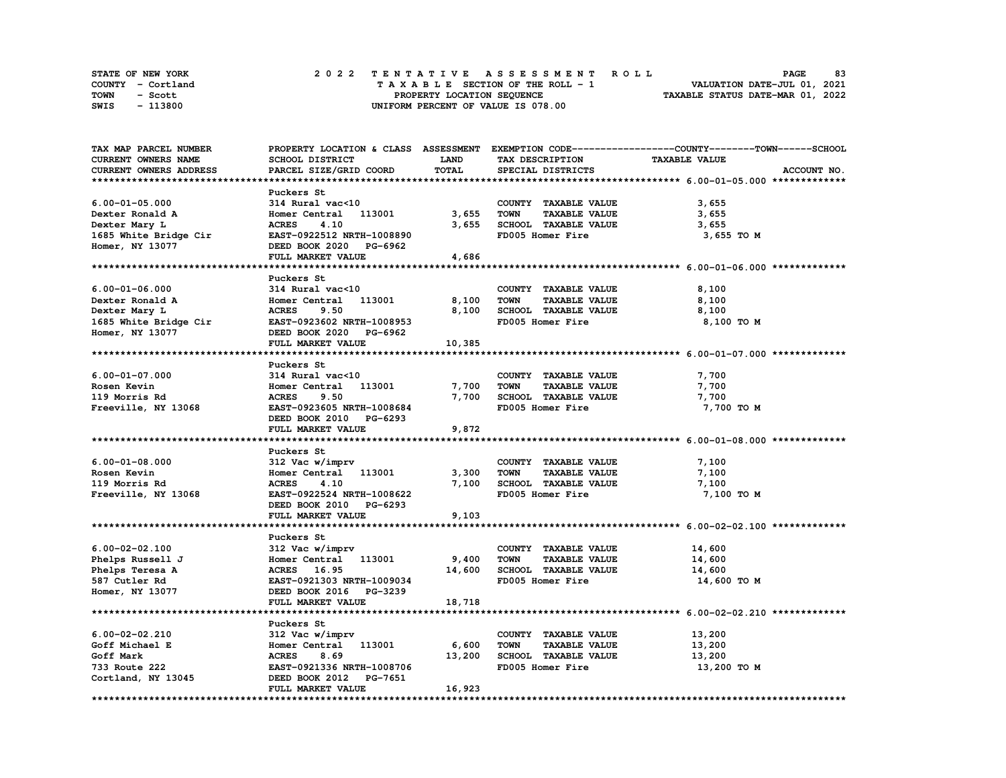| <b>STATE OF NEW YORK</b> | 2022 TENTATIVE ASSESSMENT ROLL     | 83<br><b>PAGE</b>                |
|--------------------------|------------------------------------|----------------------------------|
| COUNTY - Cortland        | TAXABLE SECTION OF THE ROLL - 1    | VALUATION DATE-JUL 01, 2021      |
| TOWN<br>- Scott          | PROPERTY LOCATION SEQUENCE         | TAXABLE STATUS DATE-MAR 01, 2022 |
| - 113800<br>SWIS         | UNIFORM PERCENT OF VALUE IS 078.00 |                                  |

| TAX MAP PARCEL NUMBER  |                           |             |                                     | PROPERTY LOCATION & CLASS ASSESSMENT EXEMPTION CODE-----------------COUNTY-------TOWN-----SCHOOL |
|------------------------|---------------------------|-------------|-------------------------------------|--------------------------------------------------------------------------------------------------|
| CURRENT OWNERS NAME    | SCHOOL DISTRICT           | <b>LAND</b> | TAX DESCRIPTION                     | <b>TAXABLE VALUE</b>                                                                             |
| CURRENT OWNERS ADDRESS | PARCEL SIZE/GRID COORD    | TOTAL       | SPECIAL DISTRICTS                   | ACCOUNT NO.                                                                                      |
|                        |                           |             |                                     |                                                                                                  |
|                        | Puckers St                |             |                                     |                                                                                                  |
| $6.00 - 01 - 05.000$   | 314 Rural vac<10          |             | COUNTY TAXABLE VALUE                | 3,655                                                                                            |
| Dexter Ronald A        | Homer Central<br>113001   | 3,655       | TOWN<br><b>TAXABLE VALUE</b>        | 3,655                                                                                            |
|                        |                           |             |                                     |                                                                                                  |
| Dexter Mary L          | <b>ACRES</b><br>4.10      | 3,655       | SCHOOL TAXABLE VALUE                | 3,655                                                                                            |
| 1685 White Bridge Cir  | EAST-0922512 NRTH-1008890 |             | FD005 Homer Fire                    | 3,655 TO M                                                                                       |
| Homer, NY 13077        | DEED BOOK 2020 PG-6962    |             |                                     |                                                                                                  |
|                        | FULL MARKET VALUE         | 4,686       |                                     |                                                                                                  |
|                        |                           |             |                                     |                                                                                                  |
|                        | Puckers St                |             |                                     |                                                                                                  |
| $6.00 - 01 - 06.000$   | 314 Rural vac<10          |             | COUNTY TAXABLE VALUE                | 8,100                                                                                            |
| Dexter Ronald A        | 113001<br>Homer Central   | 8,100       | <b>TOWN</b><br><b>TAXABLE VALUE</b> | 8,100                                                                                            |
| Dexter Mary L          | <b>ACRES</b><br>9.50      | 8,100       | SCHOOL TAXABLE VALUE                | 8,100                                                                                            |
| 1685 White Bridge Cir  | EAST-0923602 NRTH-1008953 |             | FD005 Homer Fire                    | 8,100 TO M                                                                                       |
| Homer, NY 13077        | DEED BOOK 2020 PG-6962    |             |                                     |                                                                                                  |
|                        | FULL MARKET VALUE         | 10,385      |                                     |                                                                                                  |
|                        |                           |             |                                     |                                                                                                  |
|                        | Puckers St                |             |                                     |                                                                                                  |
|                        |                           |             |                                     |                                                                                                  |
| $6.00 - 01 - 07.000$   | 314 Rural vac<10          |             | COUNTY TAXABLE VALUE                | 7,700                                                                                            |
| Rosen Kevin            | 113001<br>Homer Central   | 7,700       | <b>TOWN</b><br><b>TAXABLE VALUE</b> | 7,700                                                                                            |
| 119 Morris Rd          | <b>ACRES</b><br>9.50      | 7,700       | SCHOOL TAXABLE VALUE                | 7,700                                                                                            |
| Freeville, NY 13068    | EAST-0923605 NRTH-1008684 |             | FD005 Homer Fire                    | 7,700 TO M                                                                                       |
|                        | DEED BOOK 2010 PG-6293    |             |                                     |                                                                                                  |
|                        | FULL MARKET VALUE         | 9,872       |                                     |                                                                                                  |
|                        |                           |             |                                     |                                                                                                  |
|                        | Puckers St                |             |                                     |                                                                                                  |
| $6.00 - 01 - 08.000$   | 312 Vac w/imprv           |             | COUNTY TAXABLE VALUE                | 7,100                                                                                            |
| Rosen Kevin            | Homer Central 113001      | 3,300       | <b>TAXABLE VALUE</b><br>TOWN        | 7,100                                                                                            |
| 119 Morris Rd          | 4.10<br><b>ACRES</b>      | 7,100       | SCHOOL TAXABLE VALUE                | 7,100                                                                                            |
| Freeville, NY 13068    | EAST-0922524 NRTH-1008622 |             | FD005 Homer Fire                    | 7,100 TO M                                                                                       |
|                        | DEED BOOK 2010 PG-6293    |             |                                     |                                                                                                  |
|                        |                           |             |                                     |                                                                                                  |
|                        | FULL MARKET VALUE         | 9,103       |                                     |                                                                                                  |
|                        |                           |             |                                     |                                                                                                  |
|                        | Puckers St                |             |                                     |                                                                                                  |
| $6.00 - 02 - 02.100$   | 312 Vac w/imprv           |             | COUNTY TAXABLE VALUE                | 14,600                                                                                           |
| Phelps Russell J       | Homer Central 113001      | 9,400       | <b>TOWN</b><br><b>TAXABLE VALUE</b> | 14,600                                                                                           |
| Phelps Teresa A        | <b>ACRES</b> 16.95        | 14,600      | SCHOOL TAXABLE VALUE                | 14,600                                                                                           |
| 587 Cutler Rd          | EAST-0921303 NRTH-1009034 |             | FD005 Homer Fire                    | 14,600 TO M                                                                                      |
| Homer, NY 13077        | DEED BOOK 2016 PG-3239    |             |                                     |                                                                                                  |
|                        | FULL MARKET VALUE         | 18,718      |                                     |                                                                                                  |
|                        |                           |             |                                     |                                                                                                  |
|                        | Puckers St                |             |                                     |                                                                                                  |
| $6.00 - 02 - 02.210$   | 312 Vac w/imprv           |             | COUNTY TAXABLE VALUE                | 13,200                                                                                           |
| Goff Michael E         | Homer Central 113001      | 6,600       | <b>TOWN</b><br><b>TAXABLE VALUE</b> | 13,200                                                                                           |
| Goff Mark              | <b>ACRES</b><br>8.69      | 13,200      | SCHOOL TAXABLE VALUE                | 13,200                                                                                           |
| 733 Route 222          | EAST-0921336 NRTH-1008706 |             | FD005 Homer Fire                    |                                                                                                  |
|                        |                           |             |                                     | 13,200 TO M                                                                                      |
| Cortland, NY 13045     | DEED BOOK 2012 PG-7651    |             |                                     |                                                                                                  |
|                        | FULL MARKET VALUE         | 16,923      |                                     |                                                                                                  |
|                        |                           |             |                                     |                                                                                                  |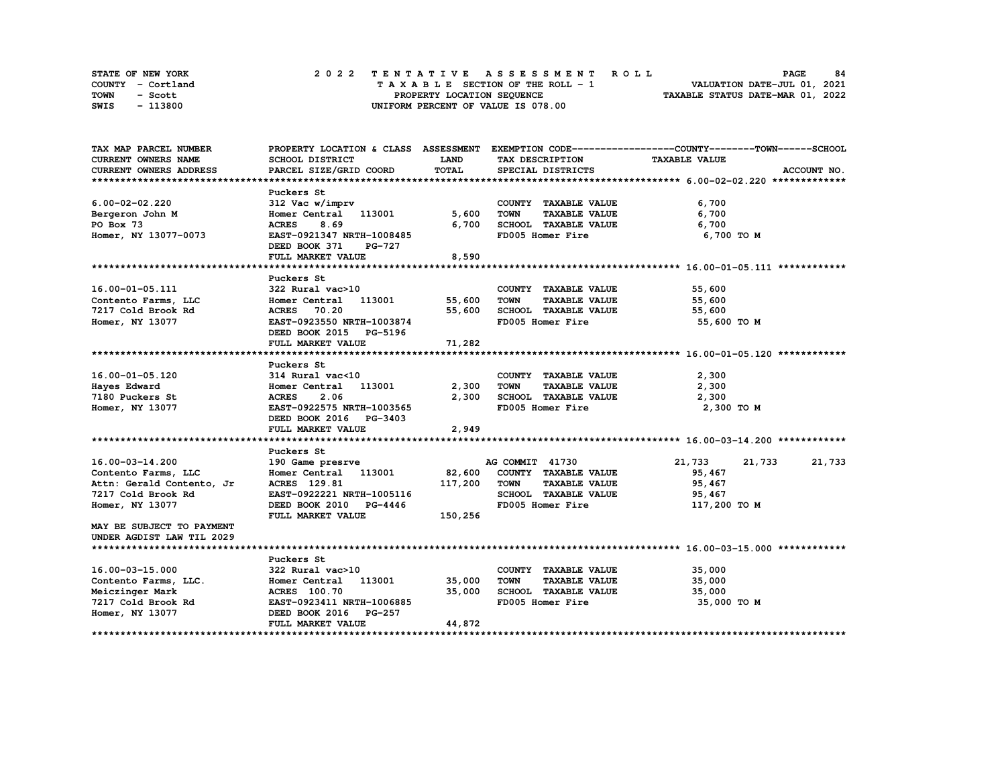| STATE OF NEW YORK | 2022 TENTATIVE ASSESSMENT ROLL     | 84<br><b>PAGE</b>                |
|-------------------|------------------------------------|----------------------------------|
| COUNTY - Cortland | TAXABLE SECTION OF THE ROLL - 1    | VALUATION DATE-JUL 01, 2021      |
| TOWN<br>- Scott   | PROPERTY LOCATION SEOUENCE         | TAXABLE STATUS DATE-MAR 01, 2022 |
| - 113800<br>SWIS  | UNIFORM PERCENT OF VALUE IS 078.00 |                                  |

| TAX MAP PARCEL NUMBER         |                                |             |                                     | PROPERTY LOCATION & CLASS ASSESSMENT EXEMPTION CODE----------------COUNTY-------TOWN-----SCHOOL |
|-------------------------------|--------------------------------|-------------|-------------------------------------|-------------------------------------------------------------------------------------------------|
| CURRENT OWNERS NAME           | SCHOOL DISTRICT                | <b>LAND</b> | TAX DESCRIPTION                     | <b>TAXABLE VALUE</b>                                                                            |
| <b>CURRENT OWNERS ADDRESS</b> | PARCEL SIZE/GRID COORD         | TOTAL       | SPECIAL DISTRICTS                   | ACCOUNT NO.                                                                                     |
|                               |                                |             |                                     |                                                                                                 |
|                               | Puckers St                     |             |                                     |                                                                                                 |
| $6.00 - 02 - 02.220$          | 312 Vac w/imprv                |             | COUNTY TAXABLE VALUE                | 6,700                                                                                           |
| Bergeron John M               | Homer Central 113001           | 5,600       | TOWN<br><b>TAXABLE VALUE</b>        | 6,700                                                                                           |
| PO Box 73                     | 8.69<br><b>ACRES</b>           | 6,700       | SCHOOL TAXABLE VALUE                | 6,700                                                                                           |
| Homer, NY 13077-0073          | EAST-0921347 NRTH-1008485      |             | FD005 Homer Fire                    | 6,700 TO M                                                                                      |
|                               | DEED BOOK 371<br><b>PG-727</b> |             |                                     |                                                                                                 |
|                               | FULL MARKET VALUE              | 8,590       |                                     |                                                                                                 |
|                               |                                |             |                                     |                                                                                                 |
|                               | Puckers St                     |             |                                     |                                                                                                 |
| 16.00-01-05.111               | 322 Rural vac>10               |             | COUNTY TAXABLE VALUE                | 55,600                                                                                          |
| Contento Farms, LLC           | Homer Central 113001 55,600    |             | TOWN<br><b>TAXABLE VALUE</b>        | 55,600                                                                                          |
| 7217 Cold Brook Rd            | <b>ACRES</b> 70.20             |             | 55,600 SCHOOL TAXABLE VALUE 55,600  |                                                                                                 |
| Homer, NY 13077               | EAST-0923550 NRTH-1003874      |             | FD005 Homer Fire                    | 55,600 TO M                                                                                     |
|                               | DEED BOOK 2015 PG-5196         |             |                                     |                                                                                                 |
|                               | FULL MARKET VALUE              | 71,282      |                                     |                                                                                                 |
|                               |                                |             |                                     |                                                                                                 |
|                               | Puckers St                     |             |                                     |                                                                                                 |
| 16.00-01-05.120               | 314 Rural vac<10               |             | COUNTY TAXABLE VALUE                | 2,300                                                                                           |
| Hayes Edward                  | Homer Central 113001           | 2,300       | <b>TOWN</b><br><b>TAXABLE VALUE</b> | 2,300                                                                                           |
| 7180 Puckers St               | <b>ACRES</b><br>2.06           | 2,300       | SCHOOL TAXABLE VALUE                | 2,300                                                                                           |
| Homer, NY 13077               | EAST-0922575 NRTH-1003565      |             | FD005 Homer Fire                    | 2,300 то м                                                                                      |
|                               | DEED BOOK 2016 PG-3403         |             |                                     |                                                                                                 |
|                               | FULL MARKET VALUE              | 2,949       |                                     |                                                                                                 |
|                               |                                |             |                                     |                                                                                                 |
|                               | Puckers St                     |             |                                     |                                                                                                 |
| 16.00-03-14.200               | 190 Game presrve               |             | AG COMMIT 41730                     | 21,733<br>21,733<br>21,733                                                                      |
| Contento Farms, LLC           | Homer Central 113001           |             | 82,600 COUNTY TAXABLE VALUE         | 95,467                                                                                          |
| Attn: Gerald Contento, Jr     | ACRES 129.81                   | 117,200     | <b>TOWN</b><br><b>TAXABLE VALUE</b> | 95,467                                                                                          |
| 7217 Cold Brook Rd            | EAST-0922221 NRTH-1005116      |             | SCHOOL TAXABLE VALUE                | 95,467                                                                                          |
| Homer, NY 13077               | DEED BOOK 2010 PG-4446         |             | FD005 Homer Fire                    | 117,200 TO M                                                                                    |
|                               | FULL MARKET VALUE              | 150,256     |                                     |                                                                                                 |
| MAY BE SUBJECT TO PAYMENT     |                                |             |                                     |                                                                                                 |
| UNDER AGDIST LAW TIL 2029     |                                |             |                                     |                                                                                                 |
|                               |                                |             |                                     |                                                                                                 |
|                               | Puckers St                     |             |                                     |                                                                                                 |
| 16.00-03-15.000               | 322 Rural vac>10               |             | COUNTY TAXABLE VALUE                | 35,000                                                                                          |
| Contento Farms, LLC.          | Homer Central 113001           | 35,000      | <b>TOWN</b><br><b>TAXABLE VALUE</b> | 35,000                                                                                          |
| Meiczinger Mark               | <b>ACRES</b> 100.70            | 35,000      | SCHOOL TAXABLE VALUE 35,000         |                                                                                                 |
| 7217 Cold Brook Rd            | EAST-0923411 NRTH-1006885      |             | FD005 Homer Fire                    | 35,000 TO M                                                                                     |
| Homer, NY 13077               | DEED BOOK 2016 PG-257          |             |                                     |                                                                                                 |
|                               | FULL MARKET VALUE              | 44,872      |                                     |                                                                                                 |
|                               |                                |             |                                     |                                                                                                 |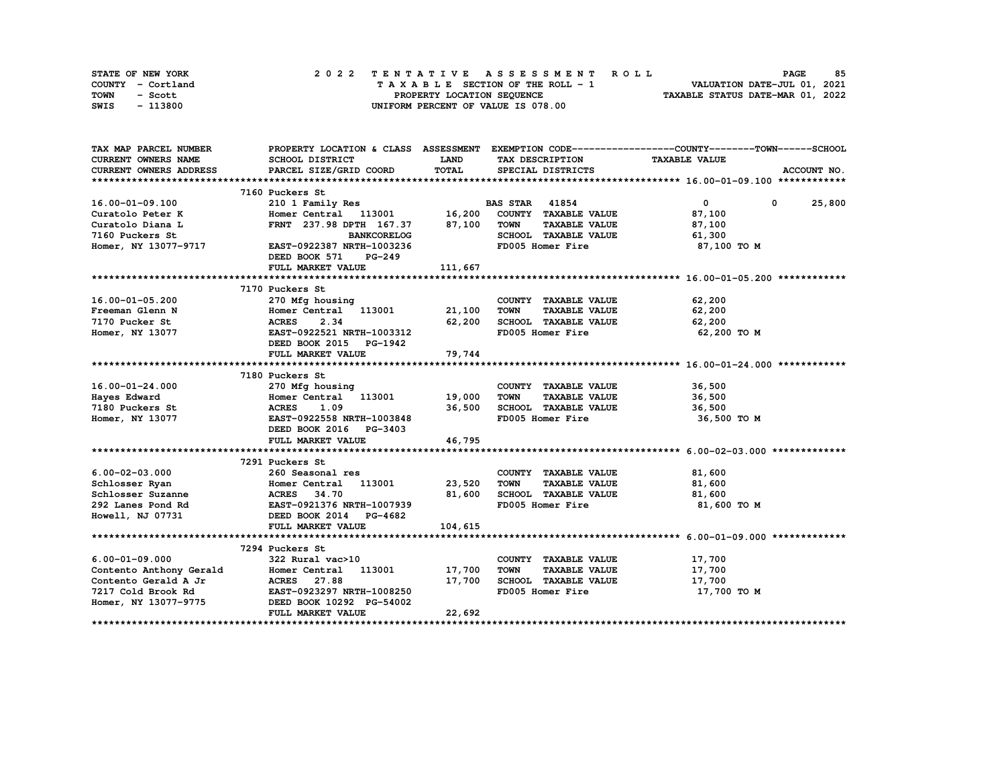| STATE OF NEW YORK |  | 2022 TENTATIVE ASSESSMENT ROLL     | 85<br><b>PAGE</b>           |
|-------------------|--|------------------------------------|-----------------------------|
| COUNTY - Cortland |  | TAXABLE SECTION OF THE ROLL - 1    | VALUATION DATE-JUL 01, 2021 |
| TOWN<br>- Scott   |  | TAXABLE STATUS DATE-MAR 01, 2022   |                             |
| SWIS<br>- 113800  |  | UNIFORM PERCENT OF VALUE IS 078.00 |                             |

| TAX MAP PARCEL NUMBER                 |                                                                                                                                                                         |              |                                     | PROPERTY LOCATION & CLASS ASSESSMENT EXEMPTION CODE----------------COUNTY-------TOWN-----SCHOOL |
|---------------------------------------|-------------------------------------------------------------------------------------------------------------------------------------------------------------------------|--------------|-------------------------------------|-------------------------------------------------------------------------------------------------|
| CURRENT OWNERS NAME                   | SCHOOL DISTRICT                                                                                                                                                         | <b>LAND</b>  | TAX DESCRIPTION                     | <b>TAXABLE VALUE</b>                                                                            |
| <b>CURRENT OWNERS ADDRESS</b>         | PARCEL SIZE/GRID COORD                                                                                                                                                  | <b>TOTAL</b> | SPECIAL DISTRICTS                   | ACCOUNT NO.                                                                                     |
|                                       |                                                                                                                                                                         |              |                                     |                                                                                                 |
|                                       | 7160 Puckers St                                                                                                                                                         |              |                                     |                                                                                                 |
| 16.00-01-09.100                       |                                                                                                                                                                         |              | <b>BAS STAR 41854</b>               | $\overline{0}$<br>$0 \t 25,800$                                                                 |
| Curatolo Peter K                      |                                                                                                                                                                         |              | COUNTY TAXABLE VALUE                | 87,100                                                                                          |
| Curatolo Diana L                      | FRNT 237.98 DPTH 167.37 87,100                                                                                                                                          |              | <b>TOWN</b><br><b>TAXABLE VALUE</b> | 87,100                                                                                          |
| 7160 Puckers St                       | <b>BANKCORELOG</b>                                                                                                                                                      |              | SCHOOL TAXABLE VALUE 61,300         |                                                                                                 |
| Homer, NY 13077-9717                  | EAST-0922387 NRTH-1003236                                                                                                                                               |              | FD005 Homer Fire                    | 87,100 TO M                                                                                     |
|                                       | DEED BOOK 571 PG-249                                                                                                                                                    |              |                                     |                                                                                                 |
|                                       | FULL MARKET VALUE                                                                                                                                                       | 111,667      |                                     |                                                                                                 |
|                                       |                                                                                                                                                                         |              |                                     |                                                                                                 |
|                                       | 7170 Puckers St                                                                                                                                                         |              |                                     |                                                                                                 |
| 16.00-01-05.200                       | 270 Mfg housing                                                                                                                                                         |              | COUNTY TAXABLE VALUE                | 62,200                                                                                          |
| Freeman Glenn N                       | Homer Central 113001 21,100<br>Homer<br>ACRES                                                                                                                           |              | <b>TOWN</b><br><b>TAXABLE VALUE</b> | 62,200                                                                                          |
| 7170 Pucker St                        | 2.34                                                                                                                                                                    | 62,200       | SCHOOL TAXABLE VALUE                | 62,200                                                                                          |
| Homer, NY 13077                       | EAST-0922521 NRTH-1003312                                                                                                                                               |              | FD005 Homer Fire                    | 62,200 то м                                                                                     |
|                                       | DEED BOOK 2015 PG-1942                                                                                                                                                  |              |                                     |                                                                                                 |
|                                       | FULL MARKET VALUE                                                                                                                                                       | 79,744       |                                     |                                                                                                 |
|                                       |                                                                                                                                                                         |              |                                     |                                                                                                 |
|                                       | 7180 Puckers St                                                                                                                                                         |              |                                     |                                                                                                 |
| 16.00-01-24.000                       | 270 Mfg housing                                                                                                                                                         |              | COUNTY TAXABLE VALUE                | 36,500                                                                                          |
|                                       | Prints Edward Homer Central 113001 19,000<br>Tayes Edward Homer Central 113001 19,000<br>7180 Puckers St ACRES 1.09 36,500<br>Homer, NY 13077 EAST-0922558 NRTH-1003848 |              | <b>TOWN</b><br><b>TAXABLE VALUE</b> | 36,500                                                                                          |
|                                       |                                                                                                                                                                         |              | SCHOOL TAXABLE VALUE                | 36,500                                                                                          |
| Homer, NY 13077                       |                                                                                                                                                                         |              | FD005 Homer Fire                    | 36,500 TO M                                                                                     |
|                                       | DEED BOOK 2016 PG-3403                                                                                                                                                  |              |                                     |                                                                                                 |
|                                       | FULL MARKET VALUE                                                                                                                                                       | 46,795       |                                     |                                                                                                 |
|                                       |                                                                                                                                                                         |              |                                     |                                                                                                 |
|                                       | 7291 Puckers St                                                                                                                                                         |              |                                     |                                                                                                 |
| $6.00 - 02 - 03.000$                  | 260 Seasonal res                                                                                                                                                        |              | COUNTY TAXABLE VALUE                | 81,600                                                                                          |
| Schlosser Ryan                        | 260 Seasonal 1<br>Homer Central<br>ACRES 34.70<br>Homer Central 113001 23,520                                                                                           |              | <b>TOWN</b><br><b>TAXABLE VALUE</b> | 81,600                                                                                          |
| Schlosser Suzanne                     |                                                                                                                                                                         | 81,600       | SCHOOL TAXABLE VALUE 81,600         |                                                                                                 |
|                                       | 292 Lanes Pond Rd<br>Howell, NJ 07731 CDEED BOOK 2014 PG-4682                                                                                                           |              | FD005 Homer Fire                    | 81,600 TO M                                                                                     |
|                                       |                                                                                                                                                                         |              |                                     |                                                                                                 |
|                                       | FULL MARKET VALUE                                                                                                                                                       | 104,615      |                                     |                                                                                                 |
|                                       |                                                                                                                                                                         |              |                                     |                                                                                                 |
|                                       | 7294 Puckers St                                                                                                                                                         |              |                                     |                                                                                                 |
| $6.00 - 01 - 09.000$                  | 322 Rural vac>10                                                                                                                                                        |              | COUNTY TAXABLE VALUE                | 17,700                                                                                          |
| Contento Anthony Gerald Homer Central | 113001 17,700                                                                                                                                                           |              | TAXABLE VALUE<br><b>TOWN</b>        | 17,700                                                                                          |
|                                       |                                                                                                                                                                         |              |                                     | 17,700                                                                                          |
|                                       |                                                                                                                                                                         |              |                                     | 17,700 TO M                                                                                     |
|                                       | Homer, NY 13077-9775 DEED BOOK 10292 PG-54002                                                                                                                           |              |                                     |                                                                                                 |
|                                       | FULL MARKET VALUE                                                                                                                                                       | 22,692       |                                     |                                                                                                 |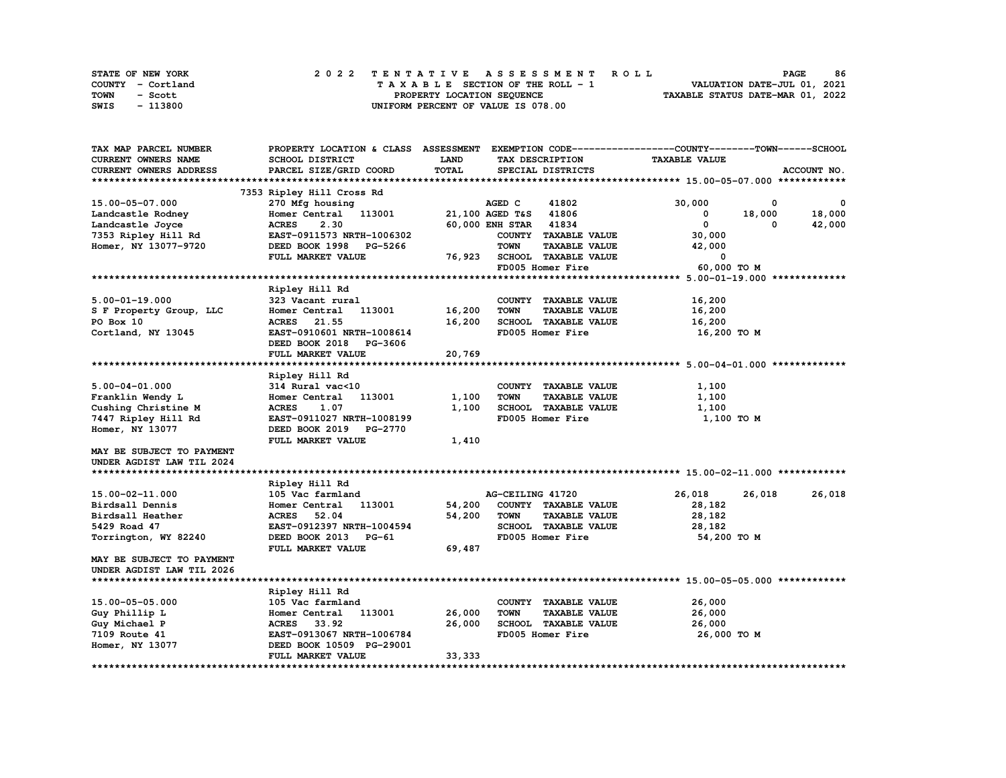| STATE OF NEW YORK | 2022 TENTATIVE ASSESSMENT ROLL     | 86<br><b>PAGE</b>                |
|-------------------|------------------------------------|----------------------------------|
| COUNTY - Cortland | TAXABLE SECTION OF THE ROLL - 1    | VALUATION DATE-JUL 01, 2021      |
| TOWN<br>- Scott   | PROPERTY LOCATION SEQUENCE         | TAXABLE STATUS DATE-MAR 01, 2022 |
| - 113800<br>SWIS  | UNIFORM PERCENT OF VALUE IS 078.00 |                                  |

| TAX MAP PARCEL NUMBER      |                                  |             |                                     | PROPERTY LOCATION & CLASS ASSESSMENT EXEMPTION CODE----------------COUNTY-------TOWN-----SCHOOL |
|----------------------------|----------------------------------|-------------|-------------------------------------|-------------------------------------------------------------------------------------------------|
| <b>CURRENT OWNERS NAME</b> | SCHOOL DISTRICT                  | <b>LAND</b> | TAX DESCRIPTION                     | <b>TAXABLE VALUE</b>                                                                            |
| CURRENT OWNERS ADDRESS     | PARCEL SIZE/GRID COORD           | TOTAL       | SPECIAL DISTRICTS                   | ACCOUNT NO.                                                                                     |
|                            |                                  |             |                                     |                                                                                                 |
|                            | 7353 Ripley Hill Cross Rd        |             |                                     |                                                                                                 |
| 15.00-05-07.000            | 270 Mfg housing                  |             | AGED C<br>41802                     | 30,000<br>0<br>0                                                                                |
| Landcastle Rodney          | Homer Central 113001             |             | 21,100 AGED T&S 41806               | 18,000<br>18,000<br>0                                                                           |
| Landcastle Joyce           | 2.30<br><b>ACRES</b>             |             | 41834<br>60,000 ENH STAR            | $\mathbf{0}$<br>42,000<br><sup>0</sup>                                                          |
| 7353 Ripley Hill Rd        | EAST-0911573 NRTH-1006302        |             | COUNTY TAXABLE VALUE                | 30,000                                                                                          |
| Homer, NY 13077-9720       | DEED BOOK 1998<br>PG-5266        |             | <b>TOWN</b><br><b>TAXABLE VALUE</b> | 42,000                                                                                          |
|                            | FULL MARKET VALUE                | 76,923      | <b>SCHOOL TAXABLE VALUE</b>         | 0                                                                                               |
|                            |                                  |             | FD005 Homer Fire                    | 60,000 TO M                                                                                     |
|                            |                                  |             |                                     |                                                                                                 |
|                            | Ripley Hill Rd                   |             |                                     |                                                                                                 |
| $5.00 - 01 - 19.000$       | 323 Vacant rural                 |             | COUNTY TAXABLE VALUE                | 16,200                                                                                          |
| S F Property Group, LLC    | Homer Central<br>113001          | 16,200      | <b>TOWN</b><br><b>TAXABLE VALUE</b> | 16,200                                                                                          |
|                            |                                  | 16,200      | SCHOOL TAXABLE VALUE                |                                                                                                 |
| PO Box 10                  | <b>ACRES</b><br>21.55            |             | FD005 Homer Fire                    | 16,200                                                                                          |
| Cortland, NY 13045         | EAST-0910601 NRTH-1008614        |             |                                     | 16,200 TO M                                                                                     |
|                            | DEED BOOK 2018<br>PG-3606        |             |                                     |                                                                                                 |
|                            | FULL MARKET VALUE                | 20,769      |                                     |                                                                                                 |
|                            |                                  |             |                                     |                                                                                                 |
|                            | Ripley Hill Rd                   |             |                                     |                                                                                                 |
| $5.00 - 04 - 01.000$       | 314 Rural vac<10                 |             | COUNTY TAXABLE VALUE                | 1,100                                                                                           |
| Franklin Wendy L           | Homer Central 113001             | 1,100       | <b>TOWN</b><br><b>TAXABLE VALUE</b> | 1,100                                                                                           |
| Cushing Christine M        | 1.07<br><b>ACRES</b>             | 1,100       | SCHOOL TAXABLE VALUE                | 1,100                                                                                           |
| 7447 Ripley Hill Rd        | EAST-0911027 NRTH-1008199        |             | FD005 Homer Fire                    | 1,100 TO M                                                                                      |
| Homer, NY 13077            | DEED BOOK 2019<br><b>PG-2770</b> |             |                                     |                                                                                                 |
|                            | FULL MARKET VALUE                | 1,410       |                                     |                                                                                                 |
| MAY BE SUBJECT TO PAYMENT  |                                  |             |                                     |                                                                                                 |
| UNDER AGDIST LAW TIL 2024  |                                  |             |                                     |                                                                                                 |
|                            |                                  |             |                                     |                                                                                                 |
|                            | Ripley Hill Rd                   |             |                                     |                                                                                                 |
| 15.00-02-11.000            | 105 Vac farmland                 |             | AG-CEILING 41720                    | 26,018<br>26,018<br>26,018                                                                      |
| Birdsall Dennis            | Homer Central<br>113001          | 54,200      | COUNTY TAXABLE VALUE                | 28,182                                                                                          |
| Birdsall Heather           | ACRES 52.04                      | 54,200      | <b>TOWN</b><br><b>TAXABLE VALUE</b> | 28,182                                                                                          |
| 5429 Road 47               | EAST-0912397 NRTH-1004594        |             | SCHOOL TAXABLE VALUE                | 28,182                                                                                          |
| Torrington, WY 82240       | DEED BOOK 2013 PG-61             |             | FD005 Homer Fire                    | 54,200 TO M                                                                                     |
|                            | FULL MARKET VALUE                | 69,487      |                                     |                                                                                                 |
| MAY BE SUBJECT TO PAYMENT  |                                  |             |                                     |                                                                                                 |
| UNDER AGDIST LAW TIL 2026  |                                  |             |                                     |                                                                                                 |
|                            |                                  |             |                                     |                                                                                                 |
|                            | Ripley Hill Rd                   |             |                                     |                                                                                                 |
| 15.00-05-05.000            | 105 Vac farmland                 |             | COUNTY TAXABLE VALUE                | 26,000                                                                                          |
|                            | Homer Central<br>113001          | 26,000      | <b>TOWN</b><br><b>TAXABLE VALUE</b> | 26,000                                                                                          |
| Guy Phillip L              |                                  | 26,000      | SCHOOL TAXABLE VALUE                | 26,000                                                                                          |
| Guy Michael P              | <b>ACRES</b><br>33.92            |             |                                     |                                                                                                 |
| 7109 Route 41              | EAST-0913067 NRTH-1006784        |             | FD005 Homer Fire                    | 26,000 TO M                                                                                     |
| Homer, NY 13077            | DEED BOOK 10509 PG-29001         |             |                                     |                                                                                                 |
|                            | <b>FULL MARKET VALUE</b>         | 33, 333     |                                     |                                                                                                 |
|                            |                                  |             |                                     |                                                                                                 |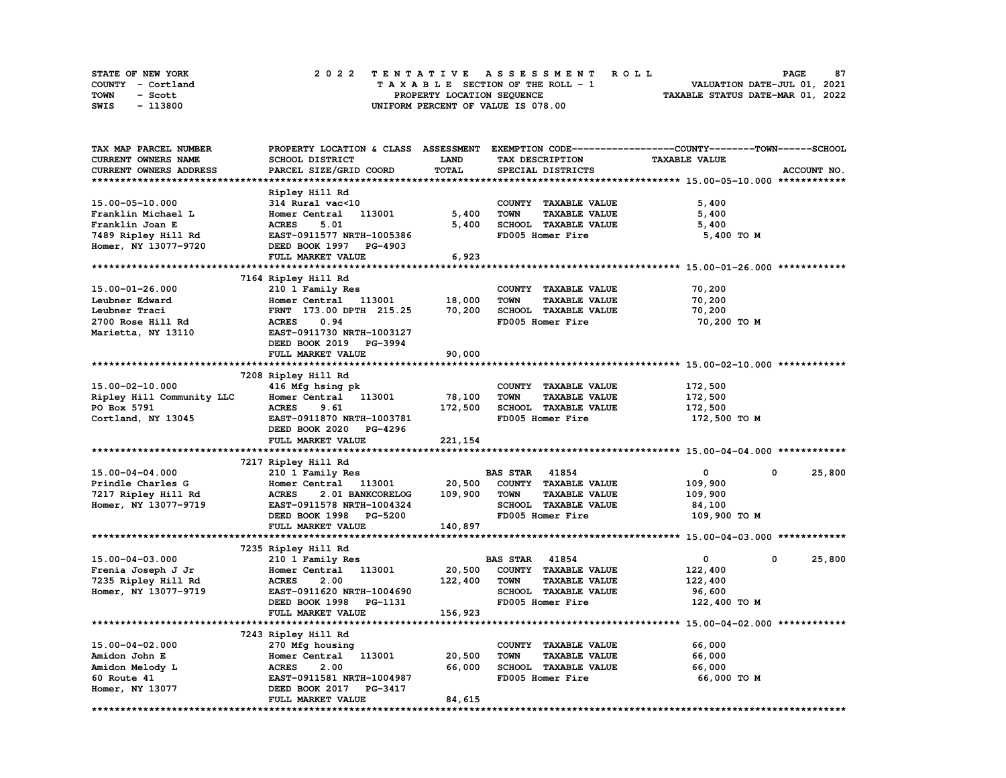| <b>STATE OF NEW YORK</b> | 2022 TENTATIVE ASSESSMENT ROLL          | 87<br><b>PAGE</b>                |
|--------------------------|-----------------------------------------|----------------------------------|
| COUNTY - Cortland        | $T A X A B L E$ SECTION OF THE ROLL - 1 | VALUATION DATE-JUL 01, 2021      |
| TOWN<br>- Scott          | PROPERTY LOCATION SEQUENCE              | TAXABLE STATUS DATE-MAR 01, 2022 |
| - 113800<br>SWIS         | UNIFORM PERCENT OF VALUE IS 078.00      |                                  |

| TAX MAP PARCEL NUMBER     | PROPERTY LOCATION & CLASS ASSESSMENT EXEMPTION CODE----------------COUNTY-------TOWN------SCHOOL |         |                                     |                      |             |
|---------------------------|--------------------------------------------------------------------------------------------------|---------|-------------------------------------|----------------------|-------------|
| CURRENT OWNERS NAME       | SCHOOL DISTRICT                                                                                  | LAND    | TAX DESCRIPTION                     | <b>TAXABLE VALUE</b> |             |
| CURRENT OWNERS ADDRESS    | PARCEL SIZE/GRID COORD                                                                           | TOTAL   | SPECIAL DISTRICTS                   |                      | ACCOUNT NO. |
|                           |                                                                                                  |         |                                     |                      |             |
|                           | Ripley Hill Rd                                                                                   |         |                                     |                      |             |
| 15.00-05-10.000           | 314 Rural vac<10                                                                                 |         | COUNTY TAXABLE VALUE                | 5,400                |             |
| Franklin Michael L        | Homer Central<br>113001                                                                          | 5,400   | <b>TOWN</b><br><b>TAXABLE VALUE</b> | 5,400                |             |
| Franklin Joan E           | 5.01<br><b>ACRES</b>                                                                             | 5,400   | SCHOOL TAXABLE VALUE                | 5,400                |             |
| 7489 Ripley Hill Rd       | EAST-0911577 NRTH-1005386                                                                        |         | FD005 Homer Fire                    | 5,400 TO M           |             |
| Homer, NY 13077-9720      | DEED BOOK 1997 PG-4903                                                                           |         |                                     |                      |             |
|                           | FULL MARKET VALUE                                                                                | 6,923   |                                     |                      |             |
|                           |                                                                                                  |         |                                     |                      |             |
|                           | 7164 Ripley Hill Rd                                                                              |         |                                     |                      |             |
| 15.00-01-26.000           | 210 1 Family Res                                                                                 |         | COUNTY TAXABLE VALUE                | 70,200               |             |
| Leubner Edward            | Homer Central<br>113001                                                                          | 18,000  | TOWN<br><b>TAXABLE VALUE</b>        | 70,200               |             |
| Leubner Traci             | FRNT 173.00 DPTH 215.25                                                                          | 70,200  | SCHOOL TAXABLE VALUE                | 70,200               |             |
| 2700 Rose Hill Rd         | <b>ACRES</b><br>0.94                                                                             |         | FD005 Homer Fire                    | 70,200 TO M          |             |
| Marietta, NY 13110        | EAST-0911730 NRTH-1003127                                                                        |         |                                     |                      |             |
|                           | DEED BOOK 2019<br>PG-3994                                                                        |         |                                     |                      |             |
|                           | FULL MARKET VALUE                                                                                | 90,000  |                                     |                      |             |
|                           |                                                                                                  |         |                                     |                      |             |
|                           | 7208 Ripley Hill Rd                                                                              |         |                                     |                      |             |
| 15.00-02-10.000           | 416 Mfg hsing pk                                                                                 |         | COUNTY TAXABLE VALUE                | 172,500              |             |
| Ripley Hill Community LLC | Homer Central 113001                                                                             | 78,100  | <b>TOWN</b><br><b>TAXABLE VALUE</b> | 172,500              |             |
| PO Box 5791               | <b>ACRES</b><br>9.61                                                                             | 172,500 | SCHOOL TAXABLE VALUE                | 172,500              |             |
| Cortland, NY 13045        | EAST-0911870 NRTH-1003781                                                                        |         | FD005 Homer Fire                    | 172,500 TO M         |             |
|                           | DEED BOOK 2020<br><b>PG-4296</b>                                                                 |         |                                     |                      |             |
|                           |                                                                                                  |         |                                     |                      |             |
|                           | FULL MARKET VALUE                                                                                | 221,154 |                                     |                      |             |
|                           |                                                                                                  |         |                                     |                      |             |
|                           | 7217 Ripley Hill Rd                                                                              |         |                                     |                      |             |
| 15.00-04-04.000           | 210 1 Family Res                                                                                 |         | <b>BAS STAR 41854</b>               | 0                    | 25,800<br>0 |
| Prindle Charles G         | Homer Central<br>113001                                                                          | 20,500  | COUNTY TAXABLE VALUE                | 109,900              |             |
| 7217 Ripley Hill Rd       | <b>ACRES</b><br>2.01 BANKCORELOG                                                                 | 109,900 | <b>TAXABLE VALUE</b><br>TOWN        | 109,900              |             |
| Homer, NY 13077-9719      | EAST-0911578 NRTH-1004324                                                                        |         | SCHOOL TAXABLE VALUE                | 84,100               |             |
|                           | DEED BOOK 1998 PG-5200                                                                           |         | FD005 Homer Fire                    | 109,900 TO M         |             |
|                           | FULL MARKET VALUE                                                                                | 140,897 |                                     |                      |             |
|                           |                                                                                                  |         |                                     |                      |             |
|                           | 7235 Ripley Hill Rd                                                                              |         |                                     |                      |             |
| 15.00-04-03.000           | 210 1 Family Res                                                                                 |         | <b>BAS STAR 41854</b>               | $\mathbf{0}$         | 25,800<br>0 |
| Frenia Joseph J Jr        | 113001<br>Homer Central                                                                          | 20,500  | COUNTY TAXABLE VALUE                | 122,400              |             |
| 7235 Ripley Hill Rd       | 2.00<br><b>ACRES</b>                                                                             | 122,400 | <b>TAXABLE VALUE</b><br>TOWN        | 122,400              |             |
| Homer, NY 13077-9719      | EAST-0911620 NRTH-1004690                                                                        |         | SCHOOL TAXABLE VALUE                | 96,600               |             |
|                           | DEED BOOK 1998<br>PG-1131                                                                        |         | FD005 Homer Fire                    | 122,400 TO M         |             |
|                           | FULL MARKET VALUE                                                                                | 156,923 |                                     |                      |             |
|                           |                                                                                                  |         |                                     |                      |             |
|                           | 7243 Ripley Hill Rd                                                                              |         |                                     |                      |             |
| 15.00-04-02.000           | 270 Mfg housing                                                                                  |         | COUNTY TAXABLE VALUE                | 66,000               |             |
| Amidon John E             | 113001<br>Homer Central                                                                          | 20,500  | TOWN<br><b>TAXABLE VALUE</b>        | 66,000               |             |
| Amidon Melody L           | <b>ACRES</b><br>2.00                                                                             | 66,000  | <b>SCHOOL TAXABLE VALUE</b>         | 66,000               |             |
| 60 Route 41               | EAST-0911581 NRTH-1004987                                                                        |         | FD005 Homer Fire                    | 66,000 TO M          |             |
| Homer, NY 13077           | DEED BOOK 2017<br>PG-3417                                                                        |         |                                     |                      |             |
|                           | FULL MARKET VALUE                                                                                | 84,615  |                                     |                      |             |
|                           |                                                                                                  |         |                                     |                      |             |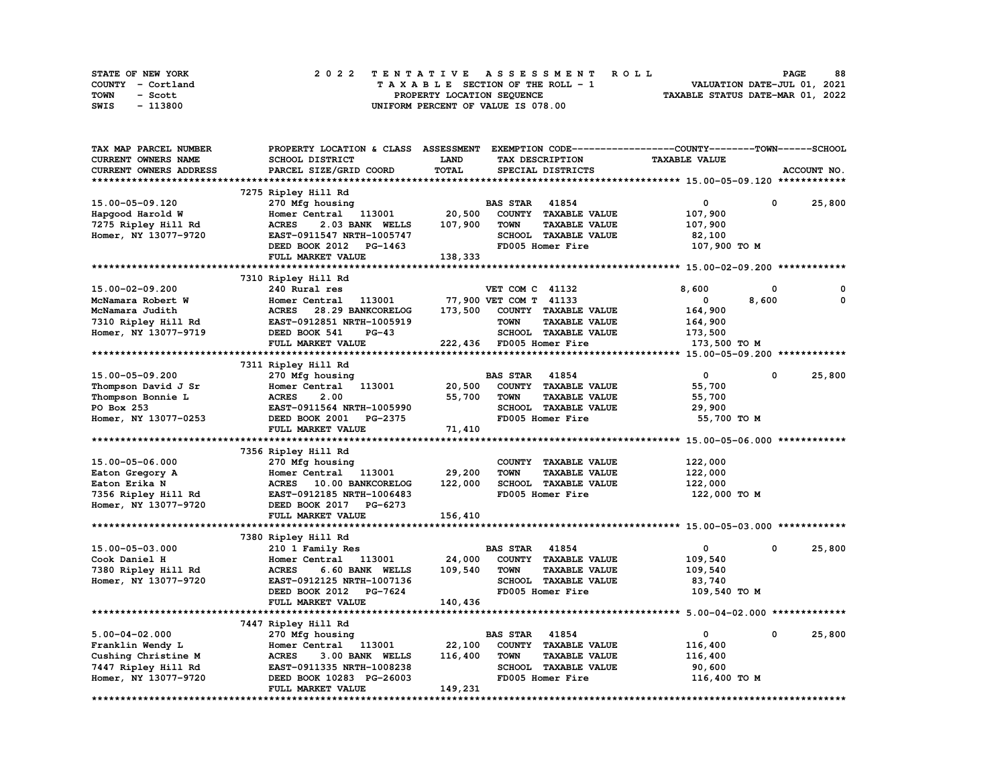|      | STATE OF NEW YORK |  | 2022 TENTATIVE ASSESSMENT ROLL |  |  |  |                                    |  |  |  |  |  |  |                                  |  | <b>PAGE</b> | 88 |  |
|------|-------------------|--|--------------------------------|--|--|--|------------------------------------|--|--|--|--|--|--|----------------------------------|--|-------------|----|--|
|      | COUNTY - Cortland |  |                                |  |  |  | TAXABLE SECTION OF THE ROLL - 1    |  |  |  |  |  |  | VALUATION DATE-JUL 01, 2021      |  |             |    |  |
| TOWN | - Scott           |  |                                |  |  |  | PROPERTY LOCATION SEQUENCE         |  |  |  |  |  |  | TAXABLE STATUS DATE-MAR 01, 2022 |  |             |    |  |
| SWIS | - 113800          |  |                                |  |  |  | UNIFORM PERCENT OF VALUE IS 078.00 |  |  |  |  |  |  |                                  |  |             |    |  |

| TAX MAP PARCEL NUMBER     | PROPERTY LOCATION & CLASS ASSESSMENT EXEMPTION CODE----------------COUNTY-------TOWN-----SCHOOL |             |                          |                             |                      |       |              |
|---------------------------|-------------------------------------------------------------------------------------------------|-------------|--------------------------|-----------------------------|----------------------|-------|--------------|
| CURRENT OWNERS NAME       | SCHOOL DISTRICT                                                                                 | <b>LAND</b> |                          | TAX DESCRIPTION             | <b>TAXABLE VALUE</b> |       |              |
| CURRENT OWNERS ADDRESS    | PARCEL SIZE/GRID COORD                                                                          | TOTAL       |                          | SPECIAL DISTRICTS           |                      |       | ACCOUNT NO.  |
|                           |                                                                                                 |             |                          |                             |                      |       |              |
|                           | 7275 Ripley Hill Rd                                                                             |             |                          |                             |                      |       |              |
|                           |                                                                                                 |             |                          |                             |                      |       |              |
| 15.00-05-09.120           | 270 Mfg housing                                                                                 |             | <b>BAS STAR</b> 41854    |                             | 0                    | 0     | 25,800       |
| Hapgood Harold W          | Homer Central<br>113001                                                                         | 20,500      |                          | COUNTY TAXABLE VALUE        | 107,900              |       |              |
| 7275 Ripley Hill Rd       | 2.03 BANK WELLS<br><b>ACRES</b>                                                                 | 107,900     | <b>TOWN</b>              | <b>TAXABLE VALUE</b>        | 107,900              |       |              |
| Homer, NY 13077-9720      | EAST-0911547 NRTH-1005747                                                                       |             |                          | SCHOOL TAXABLE VALUE        | 82,100               |       |              |
|                           | DEED BOOK 2012 PG-1463                                                                          |             |                          | FD005 Homer Fire            | 107,900 TO M         |       |              |
|                           | FULL MARKET VALUE                                                                               | 138,333     |                          |                             |                      |       |              |
| ************************* |                                                                                                 |             |                          |                             |                      |       |              |
|                           | 7310 Ripley Hill Rd                                                                             |             |                          |                             |                      |       |              |
| 15.00-02-09.200           | 240 Rural res                                                                                   |             | VET COM C 41132          |                             | 8,600                |       |              |
|                           |                                                                                                 |             |                          |                             | 0                    |       | $\mathbf{o}$ |
| McNamara Robert W         | Homer Central<br>113001                                                                         |             | 77,900 VET COM T 41133   |                             |                      | 8,600 |              |
| McNamara Judith           | ACRES 28.29 BANKCORELOG                                                                         | 173,500     |                          | COUNTY TAXABLE VALUE        | 164,900              |       |              |
| 7310 Ripley Hill Rd       | EAST-0912851 NRTH-1005919                                                                       |             | <b>TOWN</b>              | <b>TAXABLE VALUE</b>        | 164,900              |       |              |
| Homer, NY 13077-9719      | DEED BOOK 541<br>$PG-43$                                                                        |             |                          | SCHOOL TAXABLE VALUE        | 173,500              |       |              |
|                           | FULL MARKET VALUE                                                                               |             | 222,436 FD005 Homer Fire |                             | 173,500 TO M         |       |              |
|                           |                                                                                                 |             |                          |                             |                      |       |              |
|                           | 7311 Ripley Hill Rd                                                                             |             |                          |                             |                      |       |              |
| 15.00-05-09.200           | 270 Mfg housing                                                                                 |             | <b>BAS STAR</b>          | 41854                       | $\mathbf 0$          | 0     | 25,800       |
| Thompson David J Sr       | Homer Central<br>113001                                                                         | 20,500      |                          | COUNTY TAXABLE VALUE        | 55,700               |       |              |
| Thompson Bonnie L         | <b>ACRES</b><br>2.00                                                                            | 55,700      | <b>TOWN</b>              | <b>TAXABLE VALUE</b>        | 55,700               |       |              |
|                           |                                                                                                 |             |                          |                             |                      |       |              |
| PO Box 253                | EAST-0911564 NRTH-1005990                                                                       |             |                          | SCHOOL TAXABLE VALUE        | 29,900               |       |              |
| Homer, NY 13077-0253      | DEED BOOK 2001 PG-2375                                                                          |             |                          | FD005 Homer Fire            | 55,700 TO M          |       |              |
|                           | FULL MARKET VALUE                                                                               | 71,410      |                          |                             |                      |       |              |
|                           |                                                                                                 |             |                          |                             |                      |       |              |
|                           | 7356 Ripley Hill Rd                                                                             |             |                          |                             |                      |       |              |
| 15.00-05-06.000           | 270 Mfg housing                                                                                 |             |                          | COUNTY TAXABLE VALUE        | 122,000              |       |              |
| Eaton Gregory A           | 113001<br>Homer Central                                                                         | 29,200      | <b>TOWN</b>              | <b>TAXABLE VALUE</b>        | 122,000              |       |              |
| Eaton Erika N             | ACRES 10.00 BANKCORELOG                                                                         | 122,000     |                          | SCHOOL TAXABLE VALUE        | 122,000              |       |              |
| 7356 Ripley Hill Rd       | EAST-0912185 NRTH-1006483                                                                       |             |                          | FD005 Homer Fire            | 122,000 TO M         |       |              |
| Homer, NY 13077-9720      | DEED BOOK 2017 PG-6273                                                                          |             |                          |                             |                      |       |              |
|                           | FULL MARKET VALUE                                                                               | 156,410     |                          |                             |                      |       |              |
|                           |                                                                                                 |             |                          |                             |                      |       |              |
|                           |                                                                                                 |             |                          |                             |                      |       |              |
|                           | 7380 Ripley Hill Rd                                                                             |             |                          |                             |                      |       |              |
| 15.00-05-03.000           | 210 1 Family Res                                                                                |             | <b>BAS STAR</b>          | 41854                       | 0                    | 0     | 25,800       |
| Cook Daniel H             | Homer Central<br>113001                                                                         | 24,000      |                          | COUNTY TAXABLE VALUE        | 109,540              |       |              |
| 7380 Ripley Hill Rd       | <b>ACRES</b><br>6.60 BANK WELLS                                                                 | 109,540     | <b>TOWN</b>              | <b>TAXABLE VALUE</b>        | 109,540              |       |              |
| Homer, NY 13077-9720      | EAST-0912125 NRTH-1007136                                                                       |             |                          | SCHOOL TAXABLE VALUE        | 83,740               |       |              |
|                           | DEED BOOK 2012 PG-7624                                                                          |             |                          | FD005 Homer Fire            | 109,540 TO M         |       |              |
|                           | FULL MARKET VALUE                                                                               | 140,436     |                          |                             |                      |       |              |
|                           |                                                                                                 |             |                          |                             |                      |       |              |
|                           | 7447 Ripley Hill Rd                                                                             |             |                          |                             |                      |       |              |
| $5.00 - 04 - 02.000$      | 270 Mfg housing                                                                                 |             | <b>BAS STAR</b>          | 41854                       | 0                    | 0     | 25,800       |
| Franklin Wendy L          | Homer Central<br>113001                                                                         | 22,100      |                          | COUNTY TAXABLE VALUE        | 116,400              |       |              |
|                           |                                                                                                 |             |                          |                             |                      |       |              |
| Cushing Christine M       | <b>ACRES</b><br>3.00 BANK WELLS                                                                 | 116,400     | <b>TOWN</b>              | <b>TAXABLE VALUE</b>        | 116,400              |       |              |
| 7447 Ripley Hill Rd       | EAST-0911335 NRTH-1008238                                                                       |             |                          | <b>SCHOOL TAXABLE VALUE</b> | 90,600               |       |              |
| Homer, NY 13077-9720      | DEED BOOK 10283 PG-26003                                                                        |             |                          | FD005 Homer Fire            | 116,400 TO M         |       |              |
|                           | FULL MARKET VALUE                                                                               | 149,231     |                          |                             |                      |       |              |
|                           |                                                                                                 |             |                          |                             |                      |       |              |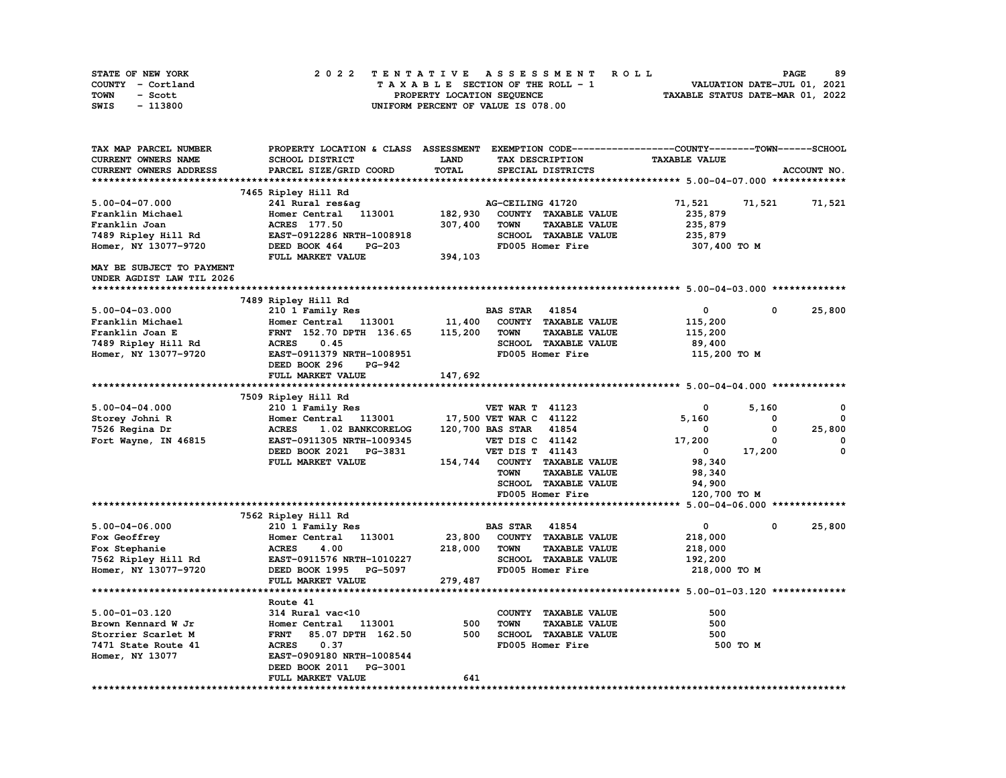| STATE OF NEW YORK | 2022 TENTATIVE ASSESSMENT ROLL          | 89<br><b>PAGE</b>                |
|-------------------|-----------------------------------------|----------------------------------|
| COUNTY - Cortland | $T A X A B L E$ SECTION OF THE ROLL - 1 | VALUATION DATE-JUL 01, 2021      |
| TOWN<br>- Scott   | PROPERTY LOCATION SEQUENCE              | TAXABLE STATUS DATE-MAR 01, 2022 |
| - 113800<br>SWIS  | UNIFORM PERCENT OF VALUE IS 078.00      |                                  |

| TAX MAP PARCEL NUMBER     | PROPERTY LOCATION & CLASS ASSESSMENT |              | EXEMPTION CODE------------------COUNTY-------TOWN------SCHOOL |                      |        |             |
|---------------------------|--------------------------------------|--------------|---------------------------------------------------------------|----------------------|--------|-------------|
| CURRENT OWNERS NAME       | SCHOOL DISTRICT                      | LAND         | TAX DESCRIPTION                                               | <b>TAXABLE VALUE</b> |        |             |
| CURRENT OWNERS ADDRESS    | PARCEL SIZE/GRID COORD               | <b>TOTAL</b> | SPECIAL DISTRICTS                                             |                      |        | ACCOUNT NO. |
|                           |                                      |              |                                                               |                      |        |             |
|                           | 7465 Ripley Hill Rd                  |              |                                                               |                      |        |             |
| $5.00 - 04 - 07.000$      | 241 Rural res&aq                     |              | AG-CEILING 41720                                              | 71,521               | 71,521 | 71,521      |
| Franklin Michael          | Homer Central<br>113001              | 182,930      | COUNTY TAXABLE VALUE                                          | 235,879              |        |             |
| Franklin Joan             | ACRES 177.50                         | 307,400      | <b>TOWN</b><br><b>TAXABLE VALUE</b>                           | 235,879              |        |             |
| 7489 Ripley Hill Rd       | EAST-0912286 NRTH-1008918            |              | SCHOOL TAXABLE VALUE                                          | 235,879              |        |             |
| Homer, NY 13077-9720      | DEED BOOK 464<br><b>PG-203</b>       |              | FD005 Homer Fire                                              | 307,400 TO M         |        |             |
|                           | FULL MARKET VALUE                    | 394,103      |                                                               |                      |        |             |
| MAY BE SUBJECT TO PAYMENT |                                      |              |                                                               |                      |        |             |
| UNDER AGDIST LAW TIL 2026 |                                      |              |                                                               |                      |        |             |
|                           |                                      |              |                                                               |                      |        |             |
|                           | 7489 Ripley Hill Rd                  |              |                                                               |                      |        |             |
| $5.00 - 04 - 03.000$      | 210 1 Family Res                     |              | <b>BAS STAR 41854</b>                                         | 0                    | 0      | 25,800      |
| Franklin Michael          | Homer Central<br>113001              | 11,400       | COUNTY TAXABLE VALUE                                          | 115,200              |        |             |
| Franklin Joan E           | FRNT 152.70 DPTH 136.65              | 115,200      | <b>TOWN</b><br><b>TAXABLE VALUE</b>                           | 115,200              |        |             |
| 7489 Ripley Hill Rd       | <b>ACRES</b><br>0.45                 |              | <b>SCHOOL TAXABLE VALUE</b>                                   | 89,400               |        |             |
| Homer, NY 13077-9720      | EAST-0911379 NRTH-1008951            |              | FD005 Homer Fire                                              | 115,200 TO M         |        |             |
|                           | DEED BOOK 296<br>PG-942              |              |                                                               |                      |        |             |
|                           | FULL MARKET VALUE                    | 147,692      |                                                               |                      |        |             |
|                           |                                      |              |                                                               |                      |        |             |
|                           | 7509 Ripley Hill Rd                  |              |                                                               |                      |        |             |
| $5.00 - 04 - 04.000$      | 210 1 Family Res                     |              | <b>VET WAR T 41123</b>                                        | 0                    | 5,160  | 0           |
| Storey Johni R            | 113001<br>Homer Central              |              | 17,500 VET WAR C 41122                                        | 5,160                | 0      | 0           |
| 7526 Regina Dr            | 1.02 BANKCORELOG<br><b>ACRES</b>     |              | 41854<br>120,700 BAS STAR                                     | 0                    | 0      | 25,800      |
| Fort Wayne, IN 46815      | EAST-0911305 NRTH-1009345            |              | <b>VET DIS C 41142</b>                                        | 17,200               | 0      | $^{\circ}$  |
|                           | DEED BOOK 2021<br>PG-3831            |              | VET DIS T 41143                                               | 0                    | 17,200 | 0           |
|                           | FULL MARKET VALUE                    | 154,744      | COUNTY TAXABLE VALUE                                          | 98,340               |        |             |
|                           |                                      |              | <b>TOWN</b><br><b>TAXABLE VALUE</b>                           | 98,340               |        |             |
|                           |                                      |              | SCHOOL TAXABLE VALUE                                          | 94,900               |        |             |
|                           |                                      |              | FD005 Homer Fire                                              | 120,700 TO M         |        |             |
|                           |                                      |              |                                                               |                      |        |             |
|                           | 7562 Ripley Hill Rd                  |              |                                                               |                      |        |             |
| $5.00 - 04 - 06.000$      | 210 1 Family Res                     |              | <b>BAS STAR</b><br>41854                                      | 0                    | 0      | 25,800      |
| Fox Geoffrey              | Homer Central<br>113001              | 23,800       | COUNTY TAXABLE VALUE                                          | 218,000              |        |             |
| Fox Stephanie             | <b>ACRES</b><br>4.00                 | 218,000      | <b>TOWN</b><br><b>TAXABLE VALUE</b>                           | 218,000              |        |             |
| 7562 Ripley Hill Rd       | EAST-0911576 NRTH-1010227            |              | SCHOOL TAXABLE VALUE                                          | 192,200              |        |             |
| Homer, NY 13077-9720      | DEED BOOK 1995<br><b>PG-5097</b>     |              | FD005 Homer Fire                                              | 218,000 TO M         |        |             |
|                           | FULL MARKET VALUE                    | 279,487      |                                                               |                      |        |             |
|                           |                                      |              |                                                               |                      |        |             |
|                           | Route 41                             |              |                                                               |                      |        |             |
| $5.00 - 01 - 03.120$      | 314 Rural vac<10                     |              | COUNTY TAXABLE VALUE                                          | 500                  |        |             |
| Brown Kennard W Jr        | 113001<br>Homer Central              | 500          | <b>TOWN</b><br><b>TAXABLE VALUE</b>                           | 500                  |        |             |
| Storrier Scarlet M        | 85.07 DPTH 162.50<br><b>FRNT</b>     | 500          | SCHOOL TAXABLE VALUE                                          | 500                  |        |             |
| 7471 State Route 41       | 0.37<br><b>ACRES</b>                 |              | FD005 Homer Fire                                              | 500 TO M             |        |             |
| Homer, NY 13077           | EAST-0909180 NRTH-1008544            |              |                                                               |                      |        |             |
|                           | DEED BOOK 2011<br>PG-3001            |              |                                                               |                      |        |             |
|                           | FULL MARKET VALUE                    | 641          |                                                               |                      |        |             |
|                           |                                      |              |                                                               |                      |        |             |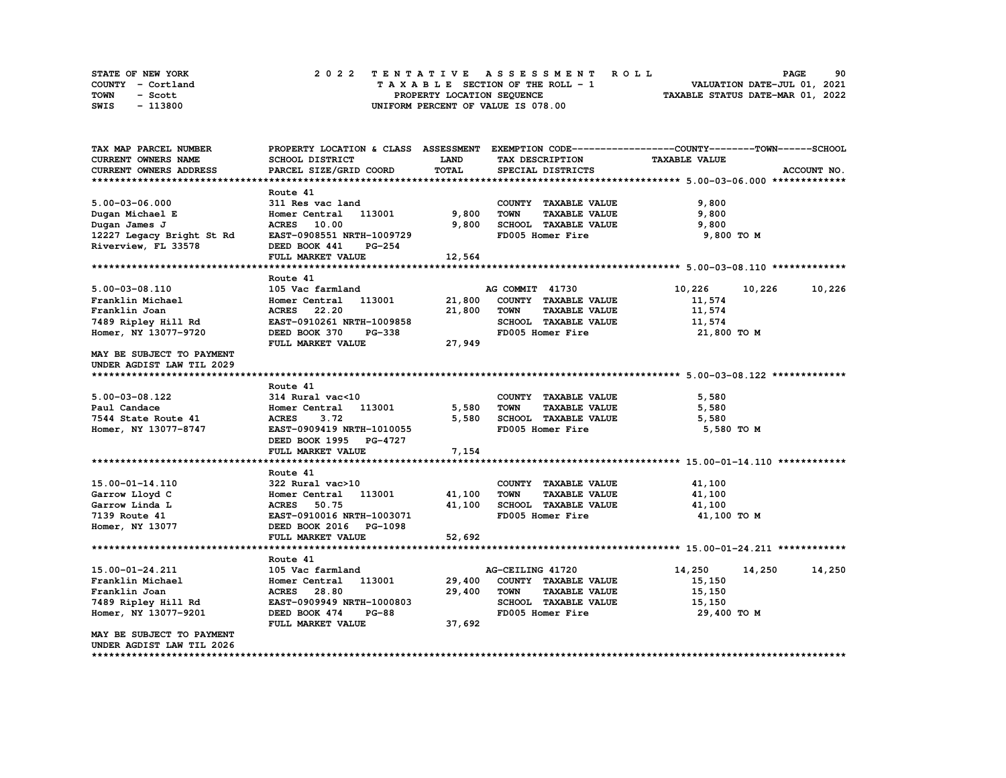| STATE OF NEW YORK | 2022 TENTATIVE ASSESSMENT ROLL     | 90<br><b>PAGE</b>                |
|-------------------|------------------------------------|----------------------------------|
| COUNTY - Cortland | TAXABLE SECTION OF THE ROLL - 1    | VALUATION DATE-JUL 01, 2021      |
| TOWN<br>- Scott   | PROPERTY LOCATION SEQUENCE         | TAXABLE STATUS DATE-MAR 01, 2022 |
| - 113800<br>SWIS  | UNIFORM PERCENT OF VALUE IS 078.00 |                                  |

| TAX MAP PARCEL NUMBER     |                                |              |                                     | PROPERTY LOCATION & CLASS ASSESSMENT EXEMPTION CODE----------------COUNTY-------TOWN-----SCHOOL |             |
|---------------------------|--------------------------------|--------------|-------------------------------------|-------------------------------------------------------------------------------------------------|-------------|
| CURRENT OWNERS NAME       | SCHOOL DISTRICT                | LAND         | TAX DESCRIPTION                     | <b>TAXABLE VALUE</b>                                                                            |             |
| CURRENT OWNERS ADDRESS    | PARCEL SIZE/GRID COORD         | <b>TOTAL</b> | SPECIAL DISTRICTS                   |                                                                                                 | ACCOUNT NO. |
|                           |                                |              |                                     |                                                                                                 |             |
|                           | Route 41                       |              |                                     |                                                                                                 |             |
| $5.00 - 03 - 06.000$      | 311 Res vac land               |              | COUNTY TAXABLE VALUE                | 9,800                                                                                           |             |
| Dugan Michael E           | Homer Central 113001           | 9,800        | <b>TOWN</b><br><b>TAXABLE VALUE</b> | 9,800                                                                                           |             |
| Dugan James J             | ACRES 10.00                    | 9,800        | SCHOOL TAXABLE VALUE                | 9,800                                                                                           |             |
| 12227 Legacy Bright St Rd | EAST-0908551 NRTH-1009729      |              | FD005 Homer Fire                    | 9,800 TO M                                                                                      |             |
| Riverview, FL 33578       | DEED BOOK 441<br><b>PG-254</b> |              |                                     |                                                                                                 |             |
|                           | FULL MARKET VALUE              | 12,564       |                                     |                                                                                                 |             |
|                           |                                |              |                                     |                                                                                                 |             |
|                           | Route 41                       |              |                                     |                                                                                                 |             |
| $5.00 - 03 - 08.110$      | 105 Vac farmland               |              | AG COMMIT 41730                     | 10,226<br>10,226                                                                                | 10,226      |
| Franklin Michael          | 113001<br>Homer Central        | 21,800       | COUNTY TAXABLE VALUE                | 11,574                                                                                          |             |
| Franklin Joan             | ACRES 22.20                    | 21,800       | TOWN<br><b>TAXABLE VALUE</b>        | 11,574                                                                                          |             |
| 7489 Ripley Hill Rd       | EAST-0910261 NRTH-1009858      |              | SCHOOL TAXABLE VALUE                | 11,574                                                                                          |             |
| Homer, NY 13077-9720      | DEED BOOK 370<br><b>PG-338</b> |              | FD005 Homer Fire                    | 21,800 TO M                                                                                     |             |
|                           | FULL MARKET VALUE              | 27,949       |                                     |                                                                                                 |             |
| MAY BE SUBJECT TO PAYMENT |                                |              |                                     |                                                                                                 |             |
| UNDER AGDIST LAW TIL 2029 |                                |              |                                     |                                                                                                 |             |
|                           |                                |              |                                     |                                                                                                 |             |
|                           | Route 41                       |              |                                     |                                                                                                 |             |
| $5.00 - 03 - 08.122$      | 314 Rural vac<10               |              | COUNTY TAXABLE VALUE                | 5,580                                                                                           |             |
| Paul Candace              | Homer Central 113001           | 5,580        | <b>TOWN</b><br><b>TAXABLE VALUE</b> | 5,580                                                                                           |             |
| 7544 State Route 41       | <b>ACRES</b><br>3.72           | 5,580        | SCHOOL TAXABLE VALUE                | 5,580                                                                                           |             |
| Homer, NY 13077-8747      | EAST-0909419 NRTH-1010055      |              | FD005 Homer Fire                    | 5,580 TO M                                                                                      |             |
|                           | DEED BOOK 1995 PG-4727         |              |                                     |                                                                                                 |             |
|                           | FULL MARKET VALUE              | 7,154        |                                     |                                                                                                 |             |
|                           |                                |              |                                     |                                                                                                 |             |
|                           | Route 41                       |              |                                     |                                                                                                 |             |
| 15.00-01-14.110           | 322 Rural vac>10               |              | COUNTY TAXABLE VALUE                | 41,100                                                                                          |             |
| Garrow Lloyd C            | Homer Central 113001           | 41,100       | <b>TAXABLE VALUE</b><br>TOWN        | 41,100                                                                                          |             |
| Garrow Linda L            | <b>ACRES</b><br>50.75          | 41,100       | SCHOOL TAXABLE VALUE                | 41,100                                                                                          |             |
| 7139 Route 41             | EAST-0910016 NRTH-1003071      |              | FD005 Homer Fire                    | 41,100 TO M                                                                                     |             |
| Homer, NY 13077           | DEED BOOK 2016 PG-1098         |              |                                     |                                                                                                 |             |
|                           | FULL MARKET VALUE              | 52,692       |                                     |                                                                                                 |             |
|                           |                                |              |                                     |                                                                                                 |             |
|                           | Route 41                       |              |                                     |                                                                                                 |             |
| 15.00-01-24.211           | 105 Vac farmland               |              | AG-CEILING 41720                    | 14,250<br>14,250                                                                                | 14,250      |
| Franklin Michael          | Homer Central<br>113001        | 29,400       | COUNTY TAXABLE VALUE                | 15,150                                                                                          |             |
| Franklin Joan             | ACRES 28.80                    | 29,400       | <b>TOWN</b><br><b>TAXABLE VALUE</b> | 15,150                                                                                          |             |
| 7489 Ripley Hill Rd       | EAST-0909949 NRTH-1000803      |              | SCHOOL TAXABLE VALUE                | 15,150                                                                                          |             |
| Homer, NY 13077-9201      | DEED BOOK 474<br><b>PG-88</b>  |              | FD005 Homer Fire                    | 29,400 TO M                                                                                     |             |
|                           | FULL MARKET VALUE              | 37,692       |                                     |                                                                                                 |             |
| MAY BE SUBJECT TO PAYMENT |                                |              |                                     |                                                                                                 |             |
| UNDER AGDIST LAW TIL 2026 |                                |              |                                     |                                                                                                 |             |
|                           |                                |              |                                     |                                                                                                 |             |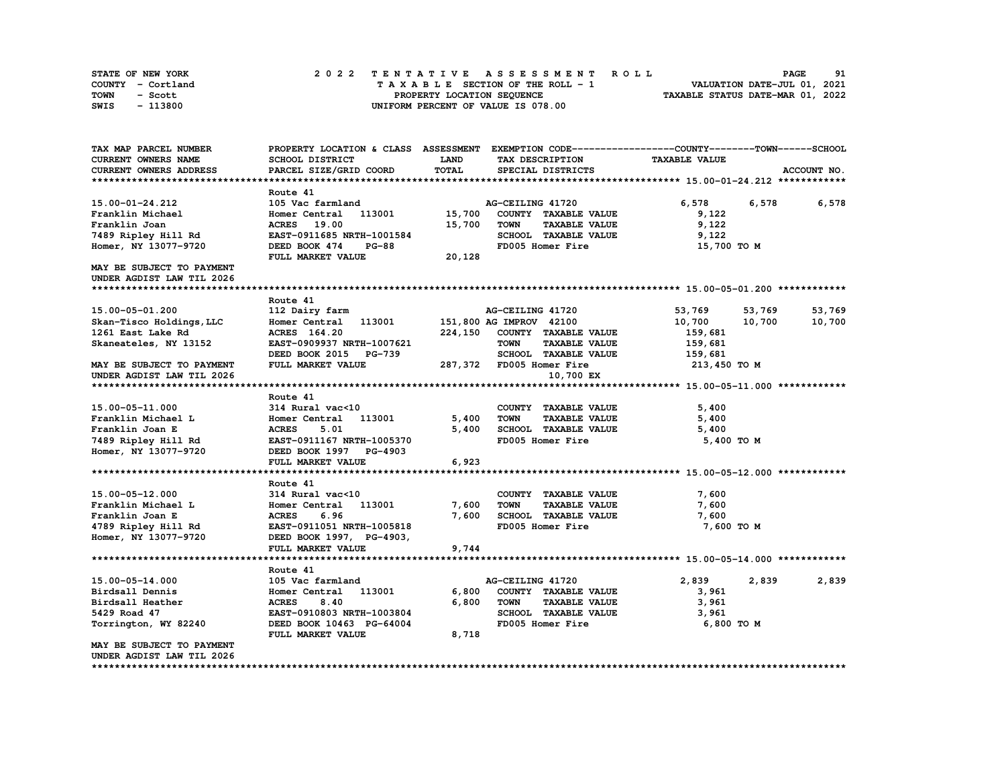| <b>STATE OF NEW YORK</b> | 2022 TENTATIVE ASSESSMENT ROLL          | 91<br><b>PAGE</b>                |
|--------------------------|-----------------------------------------|----------------------------------|
| COUNTY - Cortland        | $T A X A B L E$ SECTION OF THE ROLL - 1 | VALUATION DATE-JUL 01, 2021      |
| TOWN<br>- Scott          | PROPERTY LOCATION SEQUENCE              | TAXABLE STATUS DATE-MAR 01, 2022 |
| - 113800<br>SWIS         | UNIFORM PERCENT OF VALUE IS 078.00      |                                  |

| TAX MAP PARCEL NUMBER     | PROPERTY LOCATION & CLASS ASSESSMENT EXEMPTION CODE----------------COUNTY-------TOWN-----SCHOOL |             |                                     |                      |                  |
|---------------------------|-------------------------------------------------------------------------------------------------|-------------|-------------------------------------|----------------------|------------------|
| CURRENT OWNERS NAME       | SCHOOL DISTRICT                                                                                 | <b>LAND</b> | TAX DESCRIPTION                     | <b>TAXABLE VALUE</b> |                  |
| CURRENT OWNERS ADDRESS    | PARCEL SIZE/GRID COORD                                                                          | TOTAL       | SPECIAL DISTRICTS                   |                      | ACCOUNT NO.      |
|                           |                                                                                                 |             |                                     |                      |                  |
|                           | Route 41                                                                                        |             |                                     |                      |                  |
| 15.00-01-24.212           | 105 Vac farmland                                                                                |             | AG-CEILING 41720                    | 6,578                | 6,578<br>6,578   |
| Franklin Michael          | Homer Central 113001                                                                            | 15,700      | COUNTY TAXABLE VALUE                | 9,122                |                  |
| Franklin Joan             | <b>ACRES</b> 19.00                                                                              | 15,700      | <b>TOWN</b><br><b>TAXABLE VALUE</b> | 9,122                |                  |
| 7489 Ripley Hill Rd       | EAST-0911685 NRTH-1001584                                                                       |             | SCHOOL TAXABLE VALUE                | 9,122                |                  |
| Homer, NY 13077-9720      | DEED BOOK 474<br>$PG-88$                                                                        |             | FD005 Homer Fire                    | 15,700 TO M          |                  |
|                           | FULL MARKET VALUE                                                                               | 20,128      |                                     |                      |                  |
| MAY BE SUBJECT TO PAYMENT |                                                                                                 |             |                                     |                      |                  |
| UNDER AGDIST LAW TIL 2026 |                                                                                                 |             |                                     |                      |                  |
|                           |                                                                                                 |             |                                     |                      |                  |
|                           | Route 41                                                                                        |             |                                     |                      |                  |
| 15.00-05-01.200           | 112 Dairy farm                                                                                  |             | AG-CEILING 41720                    | 53,769               | 53,769<br>53,769 |
| Skan-Tisco Holdings, LLC  | Homer Central 113001                                                                            |             | 151,800 AG IMPROV 42100             | 10,700               | 10,700<br>10,700 |
| 1261 East Lake Rd         | ACRES 164.20                                                                                    | 224,150     | COUNTY TAXABLE VALUE                | 159,681              |                  |
| Skaneateles, NY 13152     | EAST-0909937 NRTH-1007621                                                                       |             | <b>TOWN</b><br><b>TAXABLE VALUE</b> | 159,681              |                  |
|                           | DEED BOOK 2015 PG-739                                                                           |             | SCHOOL TAXABLE VALUE                | 159,681              |                  |
| MAY BE SUBJECT TO PAYMENT | FULL MARKET VALUE                                                                               |             | 287,372 FD005 Homer Fire            | 213,450 то м         |                  |
|                           |                                                                                                 |             | 10,700 EX                           |                      |                  |
| UNDER AGDIST LAW TIL 2026 |                                                                                                 |             |                                     |                      |                  |
|                           |                                                                                                 |             |                                     |                      |                  |
|                           | Route 41                                                                                        |             |                                     |                      |                  |
| 15.00-05-11.000           | 314 Rural vac<10                                                                                |             | COUNTY TAXABLE VALUE                | 5,400                |                  |
| Franklin Michael L        | Homer Central<br>113001                                                                         | 5,400       | <b>TOWN</b><br><b>TAXABLE VALUE</b> | 5,400                |                  |
| Franklin Joan E           | <b>ACRES</b><br>5.01                                                                            | 5,400       | SCHOOL TAXABLE VALUE                | 5,400                |                  |
| 7489 Ripley Hill Rd       | EAST-0911167 NRTH-1005370                                                                       |             | FD005 Homer Fire                    | 5,400 TO M           |                  |
| Homer, NY 13077-9720      | DEED BOOK 1997 PG-4903                                                                          |             |                                     |                      |                  |
|                           | FULL MARKET VALUE                                                                               | 6,923       |                                     |                      |                  |
|                           |                                                                                                 |             |                                     |                      |                  |
|                           | Route 41                                                                                        |             |                                     |                      |                  |
| 15.00-05-12.000           | 314 Rural vac<10                                                                                |             | COUNTY TAXABLE VALUE                | 7,600                |                  |
| Franklin Michael L        | 113001<br>Homer Central                                                                         | 7,600       | <b>TOWN</b><br><b>TAXABLE VALUE</b> | 7,600                |                  |
| Franklin Joan E           | <b>ACRES</b><br>6.96                                                                            | 7,600       | SCHOOL TAXABLE VALUE                | 7,600                |                  |
| 4789 Ripley Hill Rd       | EAST-0911051 NRTH-1005818                                                                       |             | FD005 Homer Fire                    | 7,600 TO M           |                  |
| Homer, NY 13077-9720      | DEED BOOK 1997, PG-4903,                                                                        |             |                                     |                      |                  |
|                           | FULL MARKET VALUE                                                                               | 9,744       |                                     |                      |                  |
|                           |                                                                                                 |             |                                     |                      |                  |
|                           | Route 41                                                                                        |             |                                     |                      |                  |
| 15.00-05-14.000           | 105 Vac farmland                                                                                |             | AG-CEILING 41720                    | 2,839                | 2,839<br>2,839   |
| Birdsall Dennis           | 113001<br>Homer Central                                                                         | 6,800       | COUNTY TAXABLE VALUE                | 3,961                |                  |
| Birdsall Heather          | <b>ACRES</b><br>8.40                                                                            | 6,800       | <b>TOWN</b><br><b>TAXABLE VALUE</b> | 3,961                |                  |
| 5429 Road 47              | EAST-0910803 NRTH-1003804                                                                       |             | SCHOOL TAXABLE VALUE                | 3,961                |                  |
| Torrington, WY 82240      | DEED BOOK 10463 PG-64004                                                                        |             | FD005 Homer Fire                    | 6,800 TO M           |                  |
|                           | FULL MARKET VALUE                                                                               | 8,718       |                                     |                      |                  |
| MAY BE SUBJECT TO PAYMENT |                                                                                                 |             |                                     |                      |                  |
| UNDER AGDIST LAW TIL 2026 |                                                                                                 |             |                                     |                      |                  |
|                           |                                                                                                 |             |                                     |                      |                  |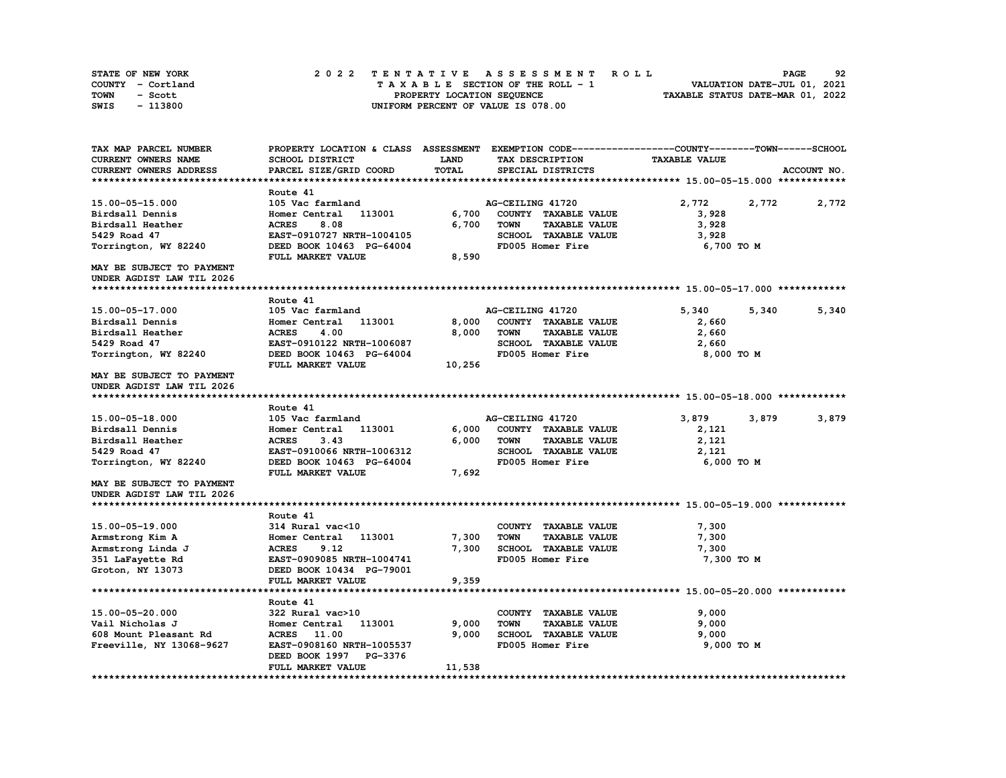| STATE OF NEW YORK | 2022 TENTATIVE ASSESSMENT ROLL                                 |                                    |  | 92<br><b>PAGE</b>           |  |  |  |  |  |
|-------------------|----------------------------------------------------------------|------------------------------------|--|-----------------------------|--|--|--|--|--|
| COUNTY - Cortland |                                                                | TAXABLE SECTION OF THE ROLL - 1    |  | VALUATION DATE-JUL 01, 2021 |  |  |  |  |  |
| TOWN<br>- Scott   | TAXABLE STATUS DATE-MAR 01, 2022<br>PROPERTY LOCATION SEOUENCE |                                    |  |                             |  |  |  |  |  |
| - 113800<br>SWIS  |                                                                | UNIFORM PERCENT OF VALUE IS 078.00 |  |                             |  |  |  |  |  |

| TAX MAP PARCEL NUMBER                | PROPERTY LOCATION & CLASS ASSESSMENT EXEMPTION CODE----------------COUNTY-------TOWN-----SCHOOL |                |                                              |                      |                |
|--------------------------------------|-------------------------------------------------------------------------------------------------|----------------|----------------------------------------------|----------------------|----------------|
| CURRENT OWNERS NAME                  | SCHOOL DISTRICT                                                                                 | LAND           | TAX DESCRIPTION                              | <b>TAXABLE VALUE</b> |                |
| CURRENT OWNERS ADDRESS               | PARCEL SIZE/GRID COORD                                                                          | <b>TOTAL</b>   | SPECIAL DISTRICTS                            |                      | ACCOUNT NO.    |
|                                      |                                                                                                 |                |                                              |                      |                |
|                                      | Route 41                                                                                        |                |                                              |                      |                |
| 15.00-05-15.000                      | 105 Vac farmland                                                                                |                | AG-CEILING 41720                             | 2,772                | 2,772<br>2,772 |
| Birdsall Dennis                      | Homer Central 113001                                                                            | 6,700          | COUNTY TAXABLE VALUE                         | 3,928                |                |
| Birdsall Heather                     | <b>ACRES</b><br>8.08                                                                            | 6,700          | <b>TOWN</b><br><b>TAXABLE VALUE</b>          | 3,928                |                |
| 5429 Road 47                         | EAST-0910727 NRTH-1004105                                                                       |                | SCHOOL TAXABLE VALUE                         | 3,928                |                |
| Torrington, WY 82240                 | DEED BOOK 10463 PG-64004                                                                        |                | FD005 Homer Fire                             | 6,700 TO M           |                |
|                                      | FULL MARKET VALUE                                                                               | 8,590          |                                              |                      |                |
| MAY BE SUBJECT TO PAYMENT            |                                                                                                 |                |                                              |                      |                |
| UNDER AGDIST LAW TIL 2026            |                                                                                                 |                |                                              |                      |                |
|                                      |                                                                                                 |                |                                              |                      |                |
|                                      | Route 41                                                                                        |                |                                              |                      |                |
| 15.00-05-17.000                      | 105 Vac farmland                                                                                |                | AG-CEILING 41720                             | 5,340                | 5,340<br>5,340 |
| Birdsall Dennis                      | Homer Central<br>113001                                                                         | 8,000          | COUNTY TAXABLE VALUE                         | 2,660                |                |
| Birdsall Heather                     | 4.00<br><b>ACRES</b>                                                                            | 8,000          | <b>TOWN</b><br><b>TAXABLE VALUE</b>          | 2,660                |                |
| 5429 Road 47                         | EAST-0910122 NRTH-1006087                                                                       |                | SCHOOL TAXABLE VALUE                         | 2,660                |                |
| Torrington, WY 82240                 | DEED BOOK 10463 PG-64004                                                                        |                | FD005 Homer Fire                             | 8,000 TO M           |                |
|                                      | FULL MARKET VALUE                                                                               | 10,256         |                                              |                      |                |
| MAY BE SUBJECT TO PAYMENT            |                                                                                                 |                |                                              |                      |                |
| UNDER AGDIST LAW TIL 2026            |                                                                                                 |                |                                              |                      |                |
|                                      |                                                                                                 |                |                                              |                      |                |
|                                      | Route 41                                                                                        |                |                                              |                      |                |
| 15.00-05-18.000                      | 105 Vac farmland                                                                                |                | AG-CEILING 41720                             | 3,879                | 3,879<br>3,879 |
| Birdsall Dennis                      | Homer Central 113001                                                                            | 6,000          | COUNTY TAXABLE VALUE                         | 2,121                |                |
| Birdsall Heather                     | <b>ACRES</b><br>3.43                                                                            | 6.000          | <b>TOWN</b><br><b>TAXABLE VALUE</b>          | 2,121                |                |
| 5429 Road 47                         | EAST-0910066 NRTH-1006312                                                                       |                | SCHOOL TAXABLE VALUE                         | 2,121                |                |
| Torrington, WY 82240                 | DEED BOOK 10463 PG-64004                                                                        |                | FD005 Homer Fire                             | 6,000 TO M           |                |
|                                      | FULL MARKET VALUE                                                                               | 7,692          |                                              |                      |                |
| MAY BE SUBJECT TO PAYMENT            |                                                                                                 |                |                                              |                      |                |
| UNDER AGDIST LAW TIL 2026            |                                                                                                 |                |                                              |                      |                |
|                                      |                                                                                                 |                |                                              |                      |                |
| 15.00-05-19.000                      | Route 41                                                                                        |                |                                              |                      |                |
|                                      | 314 Rural vac<10                                                                                |                | COUNTY TAXABLE VALUE<br><b>TAXABLE VALUE</b> | 7,300                |                |
| Armstrong Kim A                      | Homer Central<br>113001<br>9.12<br><b>ACRES</b>                                                 | 7,300<br>7,300 | <b>TOWN</b><br><b>SCHOOL TAXABLE VALUE</b>   | 7,300<br>7,300       |                |
| Armstrong Linda J                    | EAST-0909085 NRTH-1004741                                                                       |                | FD005 Homer Fire                             | 7,300 TO M           |                |
| 351 LaFayette Rd<br>Groton, NY 13073 | DEED BOOK 10434 PG-79001                                                                        |                |                                              |                      |                |
|                                      | FULL MARKET VALUE                                                                               | 9,359          |                                              |                      |                |
|                                      |                                                                                                 |                |                                              |                      |                |
|                                      | Route 41                                                                                        |                |                                              |                      |                |
| 15.00-05-20.000                      | 322 Rural vac>10                                                                                |                | COUNTY TAXABLE VALUE                         | 9,000                |                |
| Vail Nicholas J                      | Homer Central<br>113001                                                                         | 9,000          | <b>TOWN</b><br><b>TAXABLE VALUE</b>          | 9,000                |                |
| 608 Mount Pleasant Rd                | <b>ACRES</b><br>11.00                                                                           | 9,000          | <b>SCHOOL TAXABLE VALUE</b>                  | 9,000                |                |
| Freeville, NY 13068-9627             | EAST-0908160 NRTH-1005537                                                                       |                | FD005 Homer Fire                             | 9,000 TO M           |                |
|                                      | DEED BOOK 1997<br>PG-3376                                                                       |                |                                              |                      |                |
|                                      | FULL MARKET VALUE                                                                               | 11,538         |                                              |                      |                |
|                                      |                                                                                                 |                |                                              |                      |                |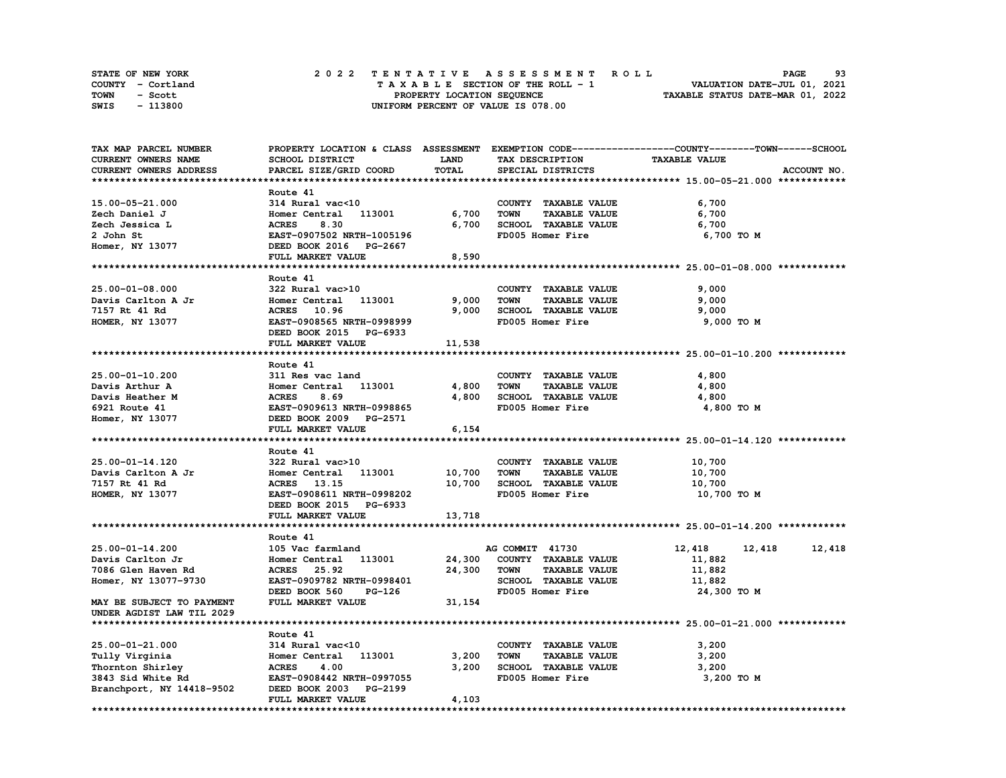| STATE OF NEW YORK | 2022 TENTATIVE ASSESSMENT ROLL                                 | 93<br><b>PAGE</b>           |  |  |  |  |  |  |
|-------------------|----------------------------------------------------------------|-----------------------------|--|--|--|--|--|--|
| COUNTY - Cortland | $T A X A B L E$ SECTION OF THE ROLL - 1                        | VALUATION DATE-JUL 01, 2021 |  |  |  |  |  |  |
| TOWN<br>- Scott   | TAXABLE STATUS DATE-MAR 01, 2022<br>PROPERTY LOCATION SEQUENCE |                             |  |  |  |  |  |  |
| - 113800<br>SWIS  | UNIFORM PERCENT OF VALUE IS 078.00                             |                             |  |  |  |  |  |  |

| TAX MAP PARCEL NUMBER                                  |                             |             |                                     | PROPERTY LOCATION & CLASS ASSESSMENT EXEMPTION CODE----------------COUNTY-------TOWN-----SCHOOL |
|--------------------------------------------------------|-----------------------------|-------------|-------------------------------------|-------------------------------------------------------------------------------------------------|
| CURRENT OWNERS NAME                                    | SCHOOL DISTRICT             | <b>LAND</b> | TAX DESCRIPTION                     | <b>TAXABLE VALUE</b>                                                                            |
| CURRENT OWNERS ADDRESS                                 | PARCEL SIZE/GRID COORD      | TOTAL       | SPECIAL DISTRICTS                   | ACCOUNT NO.                                                                                     |
|                                                        |                             |             |                                     |                                                                                                 |
|                                                        | Route 41                    |             |                                     |                                                                                                 |
| 15.00-05-21.000                                        | 314 Rural vac<10            |             | COUNTY TAXABLE VALUE                | 6,700                                                                                           |
| Zech Daniel J                                          | Homer Central 113001        | 6,700       | <b>TOWN</b><br><b>TAXABLE VALUE</b> | 6,700                                                                                           |
| Zech Jessica L                                         | 8.30<br><b>ACRES</b>        | 6,700       | SCHOOL TAXABLE VALUE                | 6,700                                                                                           |
| 2 John St                                              | EAST-0907502 NRTH-1005196   |             | FD005 Homer Fire                    | 6,700 TO M                                                                                      |
| Homer, NY 13077                                        | DEED BOOK 2016 PG-2667      |             |                                     |                                                                                                 |
|                                                        | FULL MARKET VALUE           | 8,590       |                                     |                                                                                                 |
|                                                        |                             |             |                                     |                                                                                                 |
|                                                        | Route 41                    |             |                                     |                                                                                                 |
| $25.00 - 01 - 08.000$                                  | 322 Rural vac>10            |             | COUNTY TAXABLE VALUE                | 9,000                                                                                           |
|                                                        |                             | 9,000       | <b>TOWN</b><br><b>TAXABLE VALUE</b> |                                                                                                 |
| Davis Carlton A Jr                                     | Homer Central 113001        |             |                                     | 9,000                                                                                           |
| 7157 Rt 41 Rd                                          | ACRES 10.96                 | 9,000       | SCHOOL TAXABLE VALUE                | 9,000                                                                                           |
| <b>HOMER, NY 13077</b>                                 | EAST-0908565 NRTH-0998999   |             | FD005 Homer Fire                    | 9,000 TO M                                                                                      |
|                                                        | DEED BOOK 2015 PG-6933      |             |                                     |                                                                                                 |
|                                                        | FULL MARKET VALUE           | 11,538      |                                     |                                                                                                 |
|                                                        |                             |             |                                     |                                                                                                 |
|                                                        | Route 41                    |             |                                     |                                                                                                 |
| 25.00-01-10.200                                        | 311 Res vac land            |             | COUNTY TAXABLE VALUE                | 4,800                                                                                           |
| Davis Arthur A                                         | Homer Central 113001        | 4,800       | <b>TOWN</b><br><b>TAXABLE VALUE</b> | 4,800                                                                                           |
| Davis Heather M                                        | <b>ACRES</b><br>8.69        | 4,800       | SCHOOL TAXABLE VALUE                | 4,800                                                                                           |
| 6921 Route 41                                          | EAST-0909613 NRTH-0998865   |             | FD005 Homer Fire                    | 4,800 TO M                                                                                      |
| Homer, NY 13077                                        | DEED BOOK 2009 PG-2571      |             |                                     |                                                                                                 |
|                                                        | FULL MARKET VALUE           | 6,154       |                                     |                                                                                                 |
|                                                        |                             |             |                                     |                                                                                                 |
|                                                        | Route 41                    |             |                                     |                                                                                                 |
| $25.00 - 01 - 14.120$                                  | 322 Rural vac>10            |             | COUNTY TAXABLE VALUE                | 10,700                                                                                          |
| Davis Carlton A Jr                                     | Homer Central 113001 10,700 |             | <b>TOWN</b><br><b>TAXABLE VALUE</b> | 10,700                                                                                          |
| 7157 Rt 41 Rd                                          | ACRES 13.15                 | 10,700      | SCHOOL TAXABLE VALUE                | 10,700                                                                                          |
| <b>HOMER, NY 13077</b>                                 | EAST-0908611 NRTH-0998202   |             | FD005 Homer Fire                    | 10,700 TO M                                                                                     |
|                                                        | DEED BOOK 2015 PG-6933      |             |                                     |                                                                                                 |
|                                                        | FULL MARKET VALUE           | 13,718      |                                     |                                                                                                 |
|                                                        |                             |             |                                     |                                                                                                 |
|                                                        | Route 41                    |             |                                     |                                                                                                 |
| 25.00-01-14.200                                        | 105 Vac farmland            |             | AG COMMIT 41730                     | 12,418<br>12,418<br>12,418                                                                      |
| Davis Carlton Jr                                       | Homer Central 113001        | 24,300      | COUNTY TAXABLE VALUE                | 11,882                                                                                          |
| 7086 Glen Haven Rd                                     | <b>ACRES</b> 25.92          | 24,300      | <b>TOWN</b><br><b>TAXABLE VALUE</b> | 11,882                                                                                          |
| Homer, NY 13077-9730                                   | EAST-0909782 NRTH-0998401   |             | SCHOOL TAXABLE VALUE                | 11,882                                                                                          |
|                                                        | DEED BOOK 560<br>PG-126     |             | FD005 Homer Fire                    | 24,300 TO M                                                                                     |
|                                                        | FULL MARKET VALUE           | 31,154      |                                     |                                                                                                 |
| MAY BE SUBJECT TO PAYMENT<br>UNDER AGDIST LAW TIL 2029 |                             |             |                                     |                                                                                                 |
|                                                        |                             |             |                                     |                                                                                                 |
|                                                        |                             |             |                                     |                                                                                                 |
|                                                        | Route 41                    |             |                                     |                                                                                                 |
| 25.00-01-21.000                                        | 314 Rural vac<10            |             | COUNTY TAXABLE VALUE                | 3,200                                                                                           |
| Tully Virginia                                         | Homer Central 113001        | 3,200       | <b>TOWN</b><br><b>TAXABLE VALUE</b> | 3,200                                                                                           |
| Thornton Shirley                                       | <b>ACRES</b><br>4.00        | 3,200       | SCHOOL TAXABLE VALUE                | 3,200                                                                                           |
| 3843 Sid White Rd                                      | EAST-0908442 NRTH-0997055   |             | FD005 Homer Fire                    | 3,200 TO M                                                                                      |
| Branchport, NY 14418-9502                              | DEED BOOK 2003 PG-2199      |             |                                     |                                                                                                 |
|                                                        | FULL MARKET VALUE           | 4,103       |                                     |                                                                                                 |
|                                                        |                             |             |                                     |                                                                                                 |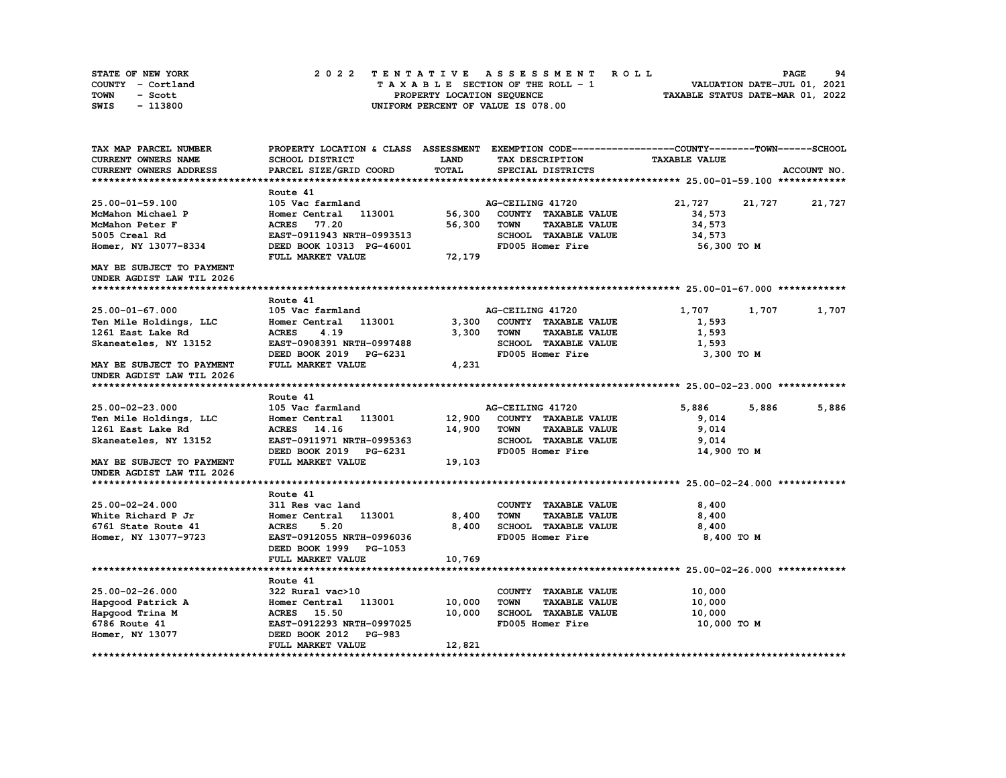| STATE OF NEW YORK | 2022 TENTATIVE ASSESSMENT ROLL                                 | 94<br><b>PAGE</b>           |  |  |  |  |  |  |  |
|-------------------|----------------------------------------------------------------|-----------------------------|--|--|--|--|--|--|--|
| COUNTY - Cortland | TAXABLE SECTION OF THE ROLL - 1                                | VALUATION DATE-JUL 01, 2021 |  |  |  |  |  |  |  |
| TOWN<br>- Scott   | TAXABLE STATUS DATE-MAR 01, 2022<br>PROPERTY LOCATION SEQUENCE |                             |  |  |  |  |  |  |  |
| - 113800<br>SWIS  | UNIFORM PERCENT OF VALUE IS 078.00                             |                             |  |  |  |  |  |  |  |

| TAX MAP PARCEL NUMBER            |                           |             |                                     | PROPERTY LOCATION & CLASS ASSESSMENT EXEMPTION CODE----------------COUNTY-------TOWN-----SCHOOL |             |
|----------------------------------|---------------------------|-------------|-------------------------------------|-------------------------------------------------------------------------------------------------|-------------|
| CURRENT OWNERS NAME              | SCHOOL DISTRICT           | <b>LAND</b> | TAX DESCRIPTION                     | <b>TAXABLE VALUE</b>                                                                            |             |
| CURRENT OWNERS ADDRESS           | PARCEL SIZE/GRID COORD    | TOTAL       | SPECIAL DISTRICTS                   |                                                                                                 | ACCOUNT NO. |
|                                  |                           |             |                                     |                                                                                                 |             |
|                                  | Route 41                  |             |                                     |                                                                                                 |             |
| 25.00-01-59.100                  | 105 Vac farmland          |             | AG-CEILING 41720                    | 21,727<br>21,727                                                                                | 21,727      |
| McMahon Michael P                | Homer Central 113001      | 56,300      | COUNTY TAXABLE VALUE                | 34,573                                                                                          |             |
| McMahon Peter F                  | 77.20<br><b>ACRES</b>     | 56,300      | <b>TAXABLE VALUE</b><br>TOWN        | 34,573                                                                                          |             |
| 5005 Creal Rd                    | EAST-0911943 NRTH-0993513 |             | SCHOOL TAXABLE VALUE                | 34,573                                                                                          |             |
| Homer, NY 13077-8334             | DEED BOOK 10313 PG-46001  |             | FD005 Homer Fire                    | 56,300 TO M                                                                                     |             |
|                                  | FULL MARKET VALUE         | 72,179      |                                     |                                                                                                 |             |
|                                  |                           |             |                                     |                                                                                                 |             |
| <b>MAY BE SUBJECT TO PAYMENT</b> |                           |             |                                     |                                                                                                 |             |
| UNDER AGDIST LAW TIL 2026        |                           |             |                                     |                                                                                                 |             |
|                                  |                           |             |                                     |                                                                                                 |             |
|                                  | Route 41                  |             |                                     |                                                                                                 |             |
| 25.00-01-67.000                  | 105 Vac farmland          |             | AG-CEILING 41720                    | 1,707<br>1,707                                                                                  | 1,707       |
| Ten Mile Holdings, LLC           | Homer Central 113001      | 3,300       | COUNTY TAXABLE VALUE                | 1,593                                                                                           |             |
| 1261 East Lake Rd                | <b>ACRES</b><br>4.19      | 3,300       | <b>TOWN</b><br><b>TAXABLE VALUE</b> | 1,593                                                                                           |             |
| Skaneateles, NY 13152            | EAST-0908391 NRTH-0997488 |             | SCHOOL TAXABLE VALUE                | 1,593                                                                                           |             |
|                                  | DEED BOOK 2019 PG-6231    |             | FD005 Homer Fire                    | 3,300 TO M                                                                                      |             |
| MAY BE SUBJECT TO PAYMENT        | FULL MARKET VALUE         | 4,231       |                                     |                                                                                                 |             |
| UNDER AGDIST LAW TIL 2026        |                           |             |                                     |                                                                                                 |             |
|                                  |                           |             |                                     |                                                                                                 |             |
|                                  | Route 41                  |             |                                     |                                                                                                 |             |
| 25.00-02-23.000                  | 105 Vac farmland          |             | AG-CEILING 41720                    | 5,886<br>5,886                                                                                  | 5,886       |
| Ten Mile Holdings, LLC           | Homer Central 113001      |             | 12,900 COUNTY TAXABLE VALUE         | 9,014                                                                                           |             |
| 1261 East Lake Rd                | ACRES 14.16               | 14,900      | <b>TOWN</b><br><b>TAXABLE VALUE</b> | 9,014                                                                                           |             |
| Skaneateles, NY 13152            | EAST-0911971 NRTH-0995363 |             | SCHOOL TAXABLE VALUE                | 9,014                                                                                           |             |
|                                  | DEED BOOK 2019 PG-6231    |             | FD005 Homer Fire                    | 14,900 TO M                                                                                     |             |
| MAY BE SUBJECT TO PAYMENT        | FULL MARKET VALUE         | 19,103      |                                     |                                                                                                 |             |
| UNDER AGDIST LAW TIL 2026        |                           |             |                                     |                                                                                                 |             |
|                                  |                           |             |                                     |                                                                                                 |             |
|                                  | Route 41                  |             |                                     |                                                                                                 |             |
| $25.00 - 02 - 24.000$            | 311 Res vac land          |             | COUNTY TAXABLE VALUE                | 8,400                                                                                           |             |
| White Richard P Jr               | Homer Central 113001      | 8,400       | <b>TOWN</b><br><b>TAXABLE VALUE</b> | 8,400                                                                                           |             |
| 6761 State Route 41              | <b>ACRES</b><br>5.20      | 8,400       | SCHOOL TAXABLE VALUE                | 8,400                                                                                           |             |
| Homer, NY 13077-9723             | EAST-0912055 NRTH-0996036 |             | FD005 Homer Fire                    | 8,400 TO M                                                                                      |             |
|                                  | DEED BOOK 1999 PG-1053    |             |                                     |                                                                                                 |             |
|                                  | FULL MARKET VALUE         | 10,769      |                                     |                                                                                                 |             |
|                                  |                           |             |                                     |                                                                                                 |             |
|                                  |                           |             |                                     |                                                                                                 |             |
|                                  | Route 41                  |             |                                     |                                                                                                 |             |
| 25.00-02-26.000                  | 322 Rural vac>10          |             | COUNTY TAXABLE VALUE                | 10,000                                                                                          |             |
| Hapgood Patrick A                | Homer Central 113001      | 10,000      | <b>TAXABLE VALUE</b><br><b>TOWN</b> | 10,000                                                                                          |             |
| Hapgood Trina M                  | ACRES 15.50               | 10,000      | SCHOOL TAXABLE VALUE                | 10,000                                                                                          |             |
| 6786 Route 41                    | EAST-0912293 NRTH-0997025 |             | FD005 Homer Fire                    | 10,000 TO M                                                                                     |             |
| Homer, NY 13077                  | DEED BOOK 2012 PG-983     |             |                                     |                                                                                                 |             |
|                                  | FULL MARKET VALUE         | 12,821      |                                     |                                                                                                 |             |
|                                  |                           |             |                                     |                                                                                                 |             |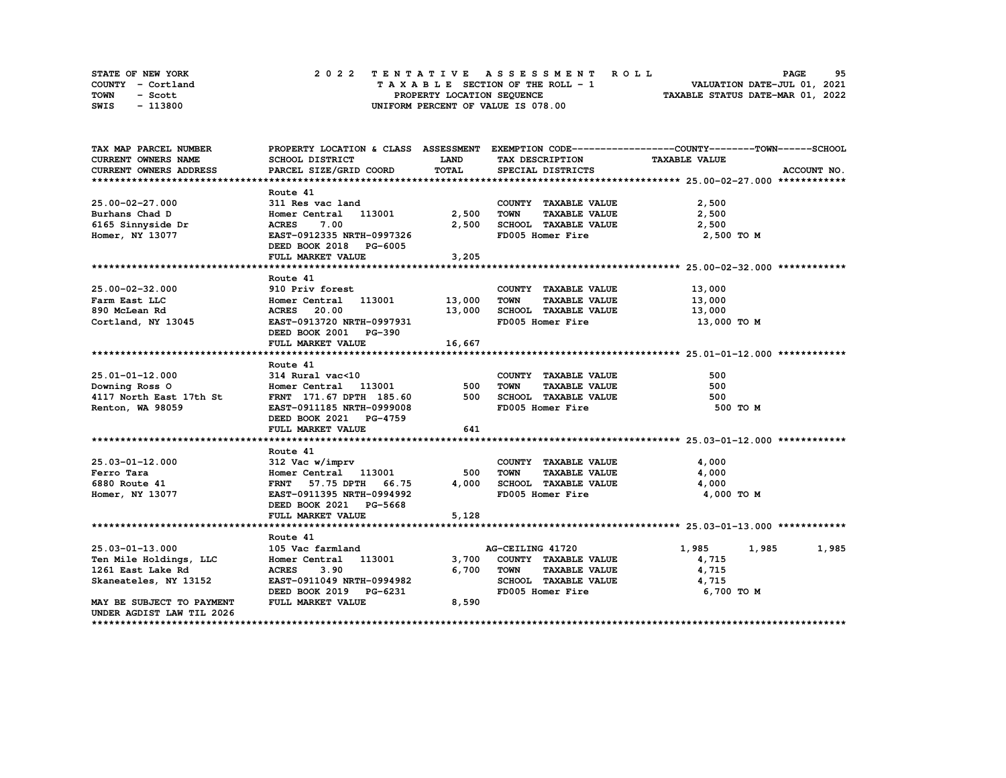| STATE OF NEW YORK |                                       |  |  |  |  |  |  |  |  | 2022 TENTATIVE ASSESSMENT ROLL     |  |  |  |  |  |  |                             | <b>PAGE</b> | 95 |
|-------------------|---------------------------------------|--|--|--|--|--|--|--|--|------------------------------------|--|--|--|--|--|--|-----------------------------|-------------|----|
|                   | COUNTY - Cortland                     |  |  |  |  |  |  |  |  | TAXABLE SECTION OF THE ROLL - 1    |  |  |  |  |  |  | VALUATION DATE-JUL 01, 2021 |             |    |
| TOWN              | PROPERTY LOCATION SEQUENCE<br>- Scott |  |  |  |  |  |  |  |  | TAXABLE STATUS DATE-MAR 01, 2022   |  |  |  |  |  |  |                             |             |    |
| SWIS              | - 113800                              |  |  |  |  |  |  |  |  | UNIFORM PERCENT OF VALUE IS 078.00 |  |  |  |  |  |  |                             |             |    |

| TAX MAP PARCEL NUMBER     |                                 |             |                                            | PROPERTY LOCATION & CLASS ASSESSMENT EXEMPTION CODE----------------COUNTY-------TOWN-----SCHOOL |
|---------------------------|---------------------------------|-------------|--------------------------------------------|-------------------------------------------------------------------------------------------------|
| CURRENT OWNERS NAME       | SCHOOL DISTRICT                 | <b>LAND</b> | TAX DESCRIPTION                            | <b>TAXABLE VALUE</b>                                                                            |
| CURRENT OWNERS ADDRESS    | PARCEL SIZE/GRID COORD          | TOTAL       | SPECIAL DISTRICTS                          | ACCOUNT NO.                                                                                     |
|                           |                                 |             |                                            |                                                                                                 |
|                           | Route 41                        |             |                                            |                                                                                                 |
| 25.00-02-27.000           | 311 Res vac land                |             | COUNTY TAXABLE VALUE                       | 2,500                                                                                           |
| Burhans Chad D            | Homer Central 113001            | 2,500       | <b>TOWN</b><br><b>TAXABLE VALUE</b>        | 2,500                                                                                           |
| 6165 Sinnyside Dr         | 7.00<br><b>ACRES</b>            | 2,500       | SCHOOL TAXABLE VALUE                       | 2,500                                                                                           |
| Homer, NY 13077           | EAST-0912335 NRTH-0997326       |             | FD005 Homer Fire                           | 2,500 TO M                                                                                      |
|                           | DEED BOOK 2018 PG-6005          |             |                                            |                                                                                                 |
|                           | FULL MARKET VALUE               | 3,205       |                                            |                                                                                                 |
|                           |                                 |             |                                            |                                                                                                 |
|                           | Route 41                        |             |                                            |                                                                                                 |
| 25.00-02-32.000           | 910 Priv forest                 |             | COUNTY TAXABLE VALUE                       | 13,000                                                                                          |
| Farm East LLC             | Homer Central 113001 13,000     |             | <b>TOWN</b><br><b>TAXABLE VALUE</b>        | 13,000                                                                                          |
| 890 McLean Rd             | ACRES 20.00                     | 13,000      | SCHOOL TAXABLE VALUE                       | 13,000                                                                                          |
| Cortland, NY 13045        | EAST-0913720 NRTH-0997931       |             | FD005 Homer Fire                           | 13,000 TO M                                                                                     |
|                           | DEED BOOK 2001 PG-390           |             |                                            |                                                                                                 |
|                           | FULL MARKET VALUE               | 16,667      |                                            |                                                                                                 |
|                           |                                 |             |                                            |                                                                                                 |
|                           | Route 41                        |             |                                            |                                                                                                 |
| 25.01-01-12.000           | 314 Rural vac<10                |             | COUNTY TAXABLE VALUE                       | 500                                                                                             |
| Downing Ross O            | Homer Central 113001            | 500         | <b>TOWN</b><br><b>TAXABLE VALUE</b>        | 500                                                                                             |
| 4117 North East 17th St   | FRNT 171.67 DPTH 185.60 500     |             | SCHOOL TAXABLE VALUE                       | 500                                                                                             |
| Renton, WA 98059          | EAST-0911185 NRTH-0999008       |             | FD005 Homer Fire                           | 500 TO M                                                                                        |
|                           | DEED BOOK 2021 PG-4759          |             |                                            |                                                                                                 |
|                           | FULL MARKET VALUE               | 641         |                                            |                                                                                                 |
|                           |                                 |             |                                            |                                                                                                 |
|                           | Route 41                        |             |                                            |                                                                                                 |
| 25.03-01-12.000           | 312 Vac w/imprv                 |             | COUNTY TAXABLE VALUE                       | 4,000                                                                                           |
| Ferro Tara                | Homer Central 113001            | 500         | <b>TOWN</b><br><b>TAXABLE VALUE</b>        | 4,000                                                                                           |
| 6880 Route 41             | 57.75 DPTH 66.75<br><b>FRNT</b> | 4,000       | SCHOOL TAXABLE VALUE                       | 4,000                                                                                           |
| Homer, NY 13077           | EAST-0911395 NRTH-0994992       |             | FD005 Homer Fire                           | 4,000 TO M                                                                                      |
|                           | DEED BOOK 2021 PG-5668          |             |                                            |                                                                                                 |
|                           | FULL MARKET VALUE               | 5,128       |                                            |                                                                                                 |
|                           |                                 |             |                                            |                                                                                                 |
|                           | Route 41                        |             |                                            |                                                                                                 |
| 25.03-01-13.000           | 105 Vac farmland                |             | AG-CEILING 41720                           | 1,985<br>1,985<br>1,985                                                                         |
| Ten Mile Holdings, LLC    | Homer Central 113001            | 3,700       | COUNTY TAXABLE VALUE                       | 4,715                                                                                           |
| 1261 East Lake Rd         | 3.90<br><b>ACRES</b>            | 6,700       | <b>TOWN</b><br><b>TAXABLE VALUE</b>        | 4,715                                                                                           |
| Skaneateles, NY 13152     | EAST-0911049 NRTH-0994982       |             | <b>TUNN 1-1-1-</b><br>SCHOOL TAXABLE VALUE | 4,715                                                                                           |
|                           | DEED BOOK 2019 PG-6231          |             | FD005 Homer Fire                           | 6,700 TO M                                                                                      |
| MAY BE SUBJECT TO PAYMENT | FULL MARKET VALUE               | 8,590       |                                            |                                                                                                 |
| UNDER AGDIST LAW TIL 2026 |                                 |             |                                            |                                                                                                 |
|                           |                                 |             |                                            |                                                                                                 |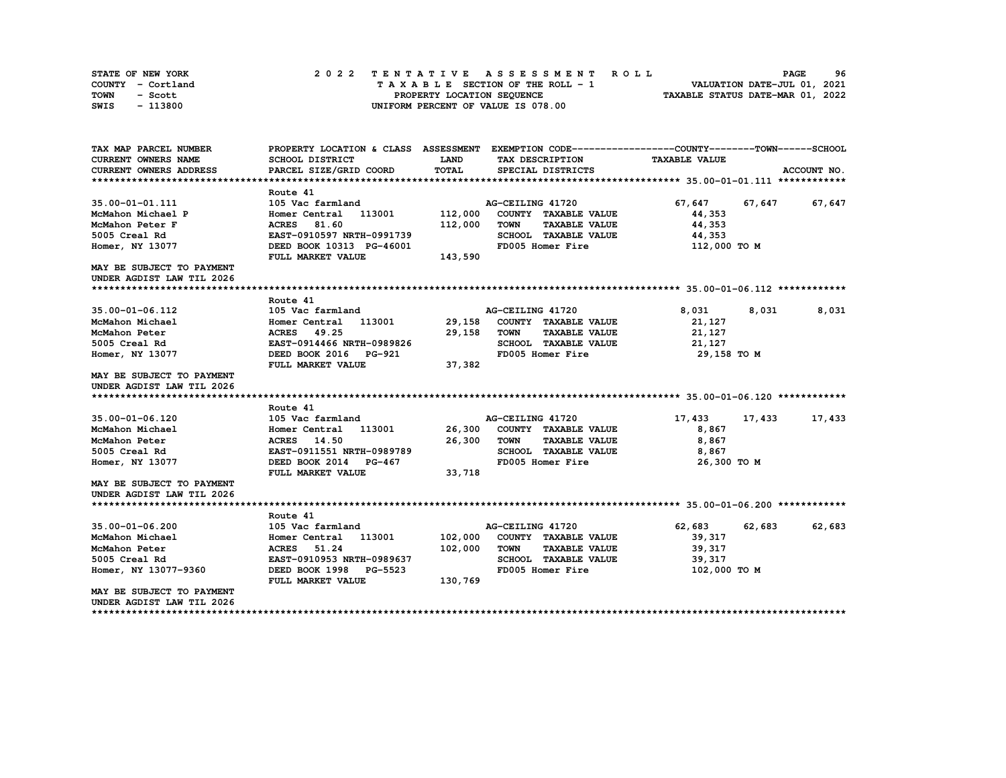| STATE OF NEW YORK |  | 2022 TENTATIVE ASSESSMENT ROLL     | 96<br><b>PAGE</b>           |
|-------------------|--|------------------------------------|-----------------------------|
| COUNTY - Cortland |  | TAXABLE SECTION OF THE ROLL - 1    | VALUATION DATE-JUL 01, 2021 |
| TOWN<br>- Scott   |  | TAXABLE STATUS DATE-MAR 01, 2022   |                             |
| - 113800<br>SWIS  |  | UNIFORM PERCENT OF VALUE IS 078.00 |                             |

| TAX MAP PARCEL NUMBER         | PROPERTY LOCATION & CLASS ASSESSMENT EXEMPTION CODE----------------COUNTY-------TOWN------SCHOOL |              |                  |                              |                      |               |             |
|-------------------------------|--------------------------------------------------------------------------------------------------|--------------|------------------|------------------------------|----------------------|---------------|-------------|
| CURRENT OWNERS NAME           | SCHOOL DISTRICT                                                                                  | LAND         |                  | TAX DESCRIPTION              | <b>TAXABLE VALUE</b> |               |             |
| <b>CURRENT OWNERS ADDRESS</b> | PARCEL SIZE/GRID COORD                                                                           | <b>TOTAL</b> |                  | SPECIAL DISTRICTS            |                      |               | ACCOUNT NO. |
|                               |                                                                                                  |              |                  |                              |                      |               |             |
|                               | Route 41                                                                                         |              |                  |                              |                      |               |             |
| 35.00-01-01.111               | 105 Vac farmland                                                                                 |              | AG-CEILING 41720 |                              | 67,647               | 67,647        | 67,647      |
| McMahon Michael P             | Homer Central 113001 112,000                                                                     |              |                  | COUNTY TAXABLE VALUE         | 44,353               |               |             |
| McMahon Peter F               | ACRES 81.60                                                                                      | 112,000      | <b>TOWN</b>      | <b>TAXABLE VALUE</b>         | 44,353               |               |             |
| 5005 Creal Rd                 | EAST-0910597 NRTH-0991739                                                                        |              |                  | SCHOOL TAXABLE VALUE         | 44,353               |               |             |
| Homer, NY 13077               | DEED BOOK 10313 PG-46001                                                                         |              | FD005 Homer Fire |                              | 112,000 TO M         |               |             |
|                               | FULL MARKET VALUE                                                                                | 143,590      |                  |                              |                      |               |             |
| MAY BE SUBJECT TO PAYMENT     |                                                                                                  |              |                  |                              |                      |               |             |
| UNDER AGDIST LAW TIL 2026     |                                                                                                  |              |                  |                              |                      |               |             |
|                               |                                                                                                  |              |                  |                              |                      |               |             |
|                               | Route 41                                                                                         |              |                  |                              |                      |               |             |
| 35.00-01-06.112               | 105 Vac farmland                                                                                 |              | AG-CEILING 41720 |                              |                      | 8,031         | 8,031       |
| McMahon Michael               | Homer Central 113001 29,158 COUNTY TAXABLE VALUE                                                 |              |                  |                              | 21,127               |               |             |
| McMahon Peter                 | ACRES 49.25                                                                                      |              | 29,158 TOWN      | <b>TAXABLE VALUE</b>         | 21,127               |               |             |
| 5005 Creal Rd                 | EAST-0914466 NRTH-0989826                                                                        |              |                  | SCHOOL TAXABLE VALUE         | 21,127               |               |             |
| Homer, NY 13077               | DEED BOOK 2016 PG-921                                                                            |              | FD005 Homer Fire |                              | 29,158 TO M          |               |             |
|                               | FULL MARKET VALUE                                                                                | 37,382       |                  |                              |                      |               |             |
| MAY BE SUBJECT TO PAYMENT     |                                                                                                  |              |                  |                              |                      |               |             |
| UNDER AGDIST LAW TIL 2026     |                                                                                                  |              |                  |                              |                      |               |             |
|                               |                                                                                                  |              |                  |                              |                      |               |             |
|                               | Route 41                                                                                         |              |                  |                              |                      |               |             |
| 35.00-01-06.120               | 105 Vac farmland                                                                                 |              | AG-CEILING 41720 |                              | 17,433               | 17,433 17,433 |             |
| McMahon Michael               | Homer Central 113001 26,300 COUNTY TAXABLE VALUE                                                 |              |                  |                              | 8,867                |               |             |
| McMahon Peter                 | ACRES 14.50                                                                                      |              | 26,300 TOWN      | <b>TAXABLE VALUE</b>         | 8,867                |               |             |
| 5005 Creal Rd                 | EAST-0911551 NRTH-0989789                                                                        |              |                  | SCHOOL TAXABLE VALUE         | 8,867                |               |             |
| Homer, NY 13077               | DEED BOOK 2014 PG-467                                                                            |              |                  | FD005 Homer Fire             | 26,300 то м          |               |             |
|                               | FULL MARKET VALUE                                                                                | 33.718       |                  |                              |                      |               |             |
| MAY BE SUBJECT TO PAYMENT     |                                                                                                  |              |                  |                              |                      |               |             |
| UNDER AGDIST LAW TIL 2026     |                                                                                                  |              |                  |                              |                      |               |             |
|                               |                                                                                                  |              |                  |                              |                      |               |             |
|                               | Route 41                                                                                         |              |                  |                              |                      |               |             |
| 35.00-01-06.200               | 105 Vac farmland                                                                                 |              | AG-CEILING 41720 |                              | 62,683               | 62,683        | 62,683      |
| McMahon Michael               | Homer Central 113001                                                                             |              |                  | 102,000 COUNTY TAXABLE VALUE | 39,317               |               |             |
| McMahon Peter                 | ACRES 51.24                                                                                      | 102,000      | <b>TOWN</b>      | <b>TAXABLE VALUE</b>         | 39,317               |               |             |
| 5005 Creal Rd                 | EAST-0910953 NRTH-0989637                                                                        |              |                  | SCHOOL TAXABLE VALUE         | 39,317               |               |             |
| Homer, NY 13077-9360          | DEED BOOK 1998 PG-5523                                                                           |              | FD005 Homer Fire |                              | 102,000 TO M         |               |             |
|                               | FULL MARKET VALUE                                                                                | 130,769      |                  |                              |                      |               |             |
| MAY BE SUBJECT TO PAYMENT     |                                                                                                  |              |                  |                              |                      |               |             |
| UNDER AGDIST LAW TIL 2026     |                                                                                                  |              |                  |                              |                      |               |             |

**\*\*\*\*\*\*\*\*\*\*\*\*\*\*\*\*\*\*\*\*\*\*\*\*\*\*\*\*\*\*\*\*\*\*\*\*\*\*\*\*\*\*\*\*\*\*\*\*\*\*\*\*\*\*\*\*\*\*\*\*\*\*\*\*\*\*\*\*\*\*\*\*\*\*\*\*\*\*\*\*\*\*\*\*\*\*\*\*\*\*\*\*\*\*\*\*\*\*\*\*\*\*\*\*\*\*\*\*\*\*\*\*\*\*\*\*\*\*\*\*\*\*\*\*\*\*\*\*\*\*\*\***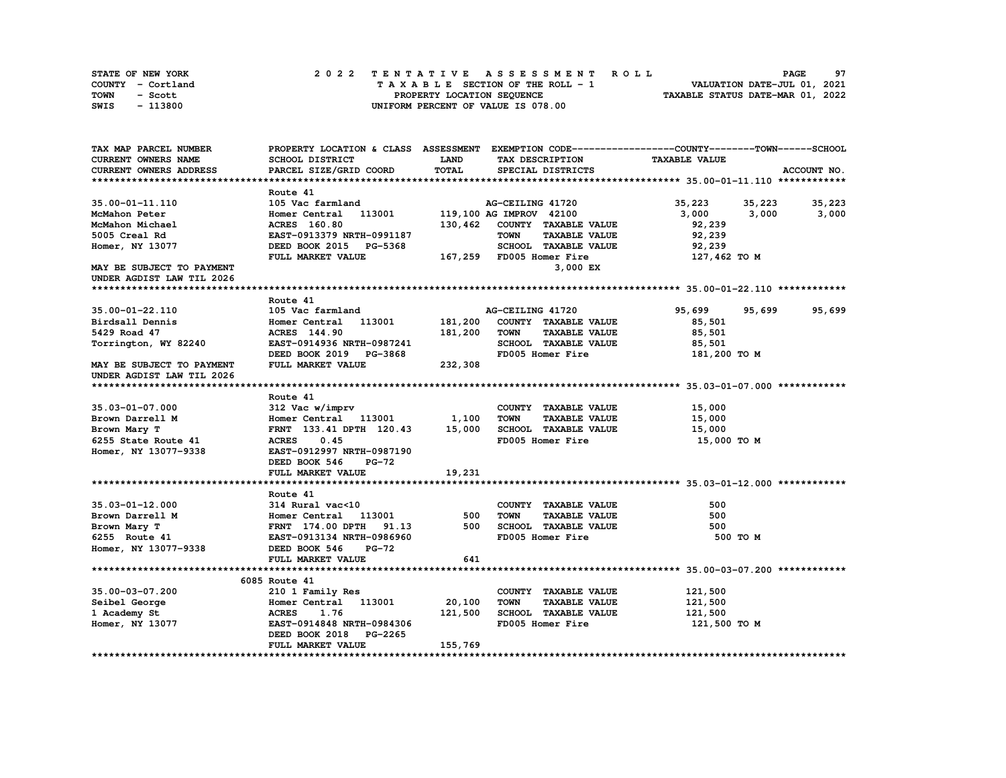| STATE OF NEW YORK | 2022 TENTATIVE ASSESSMENT ROLL     | 97<br><b>PAGE</b>                |
|-------------------|------------------------------------|----------------------------------|
| COUNTY - Cortland | TAXABLE SECTION OF THE ROLL - 1    | VALUATION DATE-JUL 01, 2021      |
| TOWN<br>- Scott   | PROPERTY LOCATION SEQUENCE         | TAXABLE STATUS DATE-MAR 01, 2022 |
| - 113800<br>SWIS  | UNIFORM PERCENT OF VALUE IS 078.00 |                                  |

| TAX MAP PARCEL NUMBER      |                                                        |               |                                     | PROPERTY LOCATION & CLASS ASSESSMENT EXEMPTION CODE----------------COUNTY-------TOWN-----SCHOOL |             |
|----------------------------|--------------------------------------------------------|---------------|-------------------------------------|-------------------------------------------------------------------------------------------------|-------------|
| <b>CURRENT OWNERS NAME</b> | SCHOOL DISTRICT                                        | <b>LAND</b>   | TAX DESCRIPTION                     | <b>TAXABLE VALUE</b>                                                                            |             |
| CURRENT OWNERS ADDRESS     | PARCEL SIZE/GRID COORD                                 | TOTAL         | SPECIAL DISTRICTS                   |                                                                                                 | ACCOUNT NO. |
|                            |                                                        |               |                                     |                                                                                                 |             |
|                            | Route 41                                               |               |                                     |                                                                                                 |             |
| 35.00-01-11.110            | 105 Vac farmland                                       |               | AG-CEILING 41720                    | 35, 223 35, 223 35, 223                                                                         |             |
| McMahon Peter              | Homer Central 113001 119,100 AG IMPROV 42100           |               |                                     | 3,000<br>3,000                                                                                  | 3,000       |
| McMahon Michael            | ACRES 160.80                                           | 130,462       | COUNTY TAXABLE VALUE                | 92,239                                                                                          |             |
| 5005 Creal Rd              | EAST-0913379 NRTH-0991187                              |               | <b>TOWN</b><br><b>TAXABLE VALUE</b> | 92,239                                                                                          |             |
| Homer, NY 13077            | DEED BOOK 2015 PG-5368                                 |               | SCHOOL TAXABLE VALUE                | 92,239                                                                                          |             |
|                            | FULL MARKET VALUE                                      |               | 167,259 FD005 Homer Fire            | 127,462 TO M                                                                                    |             |
| MAY BE SUBJECT TO PAYMENT  |                                                        |               | 3,000 EX                            |                                                                                                 |             |
| UNDER AGDIST LAW TIL 2026  |                                                        |               |                                     |                                                                                                 |             |
|                            |                                                        |               |                                     |                                                                                                 |             |
|                            | Route 41                                               |               |                                     |                                                                                                 |             |
| 35.00-01-22.110            | 105 Vac farmland                                       |               | AG-CEILING 41720                    | 95,699<br>95,699                                                                                | 95,699      |
| Birdsall Dennis            | Homer Central 113001                                   | A)<br>181,200 | COUNTY TAXABLE VALUE                |                                                                                                 |             |
|                            |                                                        |               | <b>TOWN</b>                         | 85,501                                                                                          |             |
| 5429 Road 47               | <b>ACRES</b> 144.90                                    | 181,200       | <b>TAXABLE VALUE</b>                | 85,501                                                                                          |             |
| Torrington, WY 82240       | EAST-0914936 NRTH-0987241                              |               | SCHOOL TAXABLE VALUE                | 85,501                                                                                          |             |
|                            | DEED BOOK 2019 PG-3868                                 |               | FD005 Homer Fire                    | 181,200 TO M                                                                                    |             |
| MAY BE SUBJECT TO PAYMENT  | FULL MARKET VALUE                                      | 232,308       |                                     |                                                                                                 |             |
| UNDER AGDIST LAW TIL 2026  |                                                        |               |                                     |                                                                                                 |             |
|                            |                                                        |               |                                     |                                                                                                 |             |
|                            | Route 41                                               |               |                                     |                                                                                                 |             |
| $35.03 - 01 - 07.000$      | 312 Vac $w/$ imprv<br>Homer Central 113001 1,100       |               | COUNTY TAXABLE VALUE                | 15,000                                                                                          |             |
| Brown Darrell M            |                                                        |               | <b>TOWN</b><br><b>TAXABLE VALUE</b> | 15,000                                                                                          |             |
| Brown Mary T               | FRNT 133.41 DPTH 120.43 15,000                         |               | SCHOOL TAXABLE VALUE                | 15,000                                                                                          |             |
| 6255 State Route 41        | <b>ACRES</b><br>0.45                                   |               | FD005 Homer Fire                    | 15,000 TO M                                                                                     |             |
| Homer, NY 13077-9338       | EAST-0912997 NRTH-0987190                              |               |                                     |                                                                                                 |             |
|                            | DEED BOOK 546<br><b>PG-72</b>                          |               |                                     |                                                                                                 |             |
|                            | FULL MARKET VALUE                                      | 19,231        |                                     |                                                                                                 |             |
|                            |                                                        |               |                                     |                                                                                                 |             |
|                            | Route 41                                               |               |                                     |                                                                                                 |             |
| $35.03 - 01 - 12.000$      | 314 Rural vac<10                                       |               | COUNTY TAXABLE VALUE                | 500                                                                                             |             |
| Brown Darrell M            |                                                        |               | <b>TOWN</b><br><b>TAXABLE VALUE</b> | 500                                                                                             |             |
| Brown Mary T               | Homer Central 113001 500<br>FRNT 174.00 DPTH 91.13 500 | 500           | SCHOOL TAXABLE VALUE                | 500                                                                                             |             |
| 6255 Route 41              | EAST-0913134 NRTH-0986960                              |               | FD005 Homer Fire                    | 500 TO M                                                                                        |             |
| Homer, NY 13077-9338       | DEED BOOK 546<br><b>PG-72</b>                          |               |                                     |                                                                                                 |             |
|                            | FULL MARKET VALUE                                      | 641           |                                     |                                                                                                 |             |
|                            |                                                        |               |                                     |                                                                                                 |             |
|                            | 6085 Route 41                                          |               |                                     |                                                                                                 |             |
| 35.00-03-07.200            | 210 1 Family Res                                       |               | COUNTY TAXABLE VALUE                | 121,500                                                                                         |             |
| Seibel George              | Homer Central 113001 20,100                            |               | <b>TOWN</b><br><b>TAXABLE VALUE</b> | 121,500                                                                                         |             |
| 1 Academy St               | <b>ACRES</b><br>1.76                                   | 121,500       | SCHOOL TAXABLE VALUE                | 121,500                                                                                         |             |
| Homer, NY 13077            | EAST-0914848 NRTH-0984306                              |               | FD005 Homer Fire                    | 121,500 TO M                                                                                    |             |
|                            | DEED BOOK 2018 PG-2265                                 |               |                                     |                                                                                                 |             |
|                            | FULL MARKET VALUE                                      | 155,769       |                                     |                                                                                                 |             |
|                            |                                                        |               |                                     |                                                                                                 |             |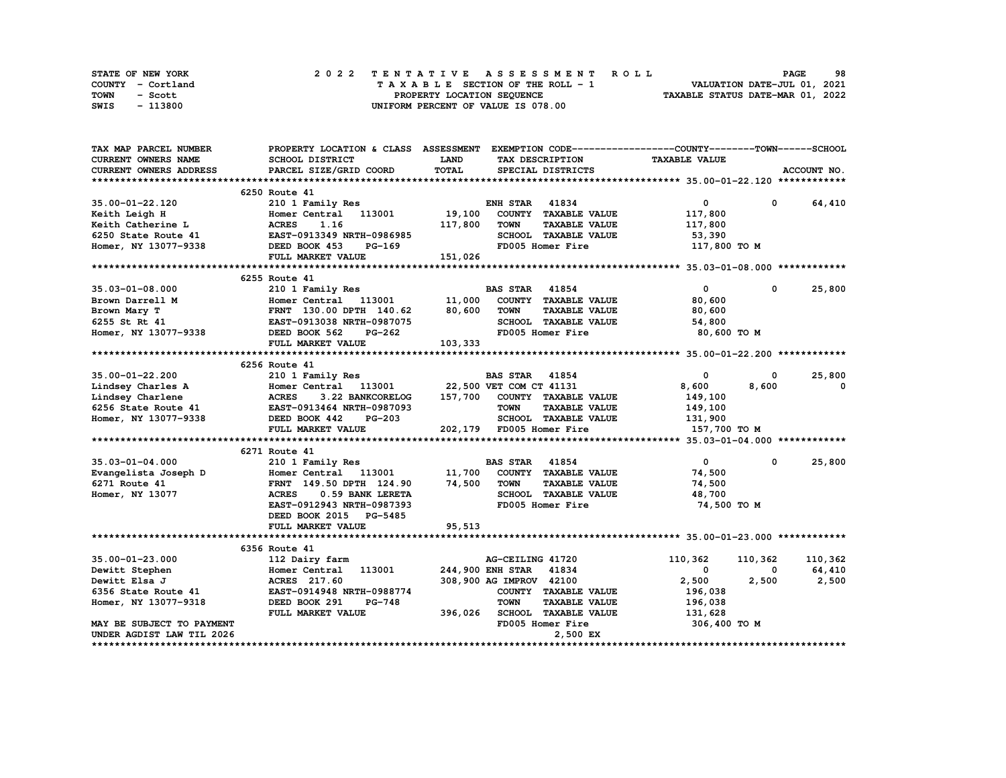| STATE OF NEW YORK | 2022 TENTATIVE ASSESSMENT ROLL          | 98<br><b>PAGE</b>                |
|-------------------|-----------------------------------------|----------------------------------|
| COUNTY - Cortland | $T A X A B L E$ SECTION OF THE ROLL - 1 | VALUATION DATE-JUL 01, 2021      |
| TOWN<br>- Scott   | PROPERTY LOCATION SEQUENCE              | TAXABLE STATUS DATE-MAR 01, 2022 |
| - 113800<br>SWIS  | UNIFORM PERCENT OF VALUE IS 078.00      |                                  |

| TAX MAP PARCEL NUMBER                   | PROPERTY LOCATION & CLASS ASSESSMENT EXEMPTION CODE----------------COUNTY-------TOWN-----SCHOOL |         |                                               |                      |                        |
|-----------------------------------------|-------------------------------------------------------------------------------------------------|---------|-----------------------------------------------|----------------------|------------------------|
| CURRENT OWNERS NAME                     | SCHOOL DISTRICT                                                                                 | LAND    | TAX DESCRIPTION                               | <b>TAXABLE VALUE</b> |                        |
| CURRENT OWNERS ADDRESS                  | PARCEL SIZE/GRID COORD                                                                          | TOTAL   | SPECIAL DISTRICTS                             |                      | ACCOUNT NO.            |
|                                         |                                                                                                 |         |                                               |                      |                        |
|                                         | 6250 Route 41                                                                                   |         |                                               |                      |                        |
| 35.00-01-22.120                         | 210 1 Family Res                                                                                |         | <b>ENH STAR 41834</b>                         | $\mathbf{0}$         | 64,410<br>$\mathbf{0}$ |
| Keith Leigh H                           | 113001<br>Homer Central                                                                         | 19,100  | COUNTY TAXABLE VALUE                          | 117,800              |                        |
| Keith Catherine L                       | <b>ACRES</b><br>1.16                                                                            | 117,800 | <b>TOWN</b><br><b>TAXABLE VALUE</b>           | 117,800              |                        |
| 6250 State Route 41                     | EAST-0913349 NRTH-0986985                                                                       |         | SCHOOL TAXABLE VALUE                          | 53,390               |                        |
| Homer, NY 13077-9338                    | DEED BOOK 453<br>PG-169                                                                         |         | FD005 Homer Fire                              | 117,800 TO M         |                        |
|                                         | FULL MARKET VALUE                                                                               | 151,026 |                                               |                      |                        |
|                                         |                                                                                                 |         |                                               |                      |                        |
|                                         | 6255 Route 41                                                                                   |         |                                               |                      |                        |
| 35.03-01-08.000                         | 210 1 Family Res                                                                                |         | 41854<br><b>BAS STAR</b>                      | $\Omega$             | 25,800<br>$^{\circ}$   |
| Brown Darrell M                         | Homer Central 113001 11,000                                                                     |         | COUNTY TAXABLE VALUE                          | 80,600               |                        |
| Brown Mary T                            | FRNT 130.00 DPTH 140.62                                                                         | 80,600  | <b>TOWN</b><br><b>TAXABLE VALUE</b>           | 80,600               |                        |
| 6255 St Rt 41                           | EAST-0913038 NRTH-0987075                                                                       |         | SCHOOL TAXABLE VALUE                          | 54,800               |                        |
| Homer, NY 13077-9338                    | DEED BOOK 562<br>PG-262                                                                         |         | FD005 Homer Fire                              | 80,600 TO M          |                        |
|                                         | FULL MARKET VALUE                                                                               | 103,333 |                                               |                      |                        |
|                                         |                                                                                                 |         |                                               |                      |                        |
|                                         | 6256 Route 41                                                                                   |         |                                               |                      |                        |
| 35.00-01-22.200                         | 210 1 Family Res                                                                                |         | <b>BAS STAR 41854</b>                         | 0                    | 25,800<br>0            |
|                                         |                                                                                                 |         |                                               | 8,600                | 8,600<br>0             |
| Lindsey Charles A                       | Homer Central 113001 22,500 VET COM CT 41131<br><b>ACRES</b>                                    |         | 3.22 BANKCORELOG 157,700 COUNTY TAXABLE VALUE |                      |                        |
| Lindsey Charlene<br>6256 State Route 41 |                                                                                                 |         |                                               | 149,100              |                        |
|                                         | EAST-0913464 NRTH-0987093                                                                       |         | <b>TAXABLE VALUE</b><br><b>TOWN</b>           | 149,100              |                        |
| Homer, NY 13077-9338                    | DEED BOOK 442<br>$PG-203$                                                                       |         | SCHOOL TAXABLE VALUE                          | 131,900              |                        |
|                                         | FULL MARKET VALUE                                                                               |         | 202,179 FD005 Homer Fire                      | 157,700 TO M         |                        |
|                                         |                                                                                                 |         |                                               |                      |                        |
|                                         | 6271 Route 41                                                                                   |         |                                               |                      |                        |
| $35.03 - 01 - 04.000$                   | 210 1 Family Res                                                                                |         | <b>BAS STAR</b><br>41854                      | $\Omega$             | 25,800<br>0            |
| Evangelista Joseph D                    | Homer Central 113001 11,700                                                                     |         | COUNTY TAXABLE VALUE                          | 74,500               |                        |
| 6271 Route 41                           | FRNT 149.50 DPTH 124.90                                                                         | 74,500  | <b>TOWN</b><br><b>TAXABLE VALUE</b>           | 74,500               |                        |
| Homer, NY 13077                         | <b>ACRES</b><br>0.59 BANK LERETA                                                                |         | SCHOOL TAXABLE VALUE                          | 48,700               |                        |
|                                         | EAST-0912943 NRTH-0987393                                                                       |         | FD005 Homer Fire                              | 74,500 TO M          |                        |
|                                         | DEED BOOK 2015 PG-5485                                                                          |         |                                               |                      |                        |
|                                         | FULL MARKET VALUE                                                                               | 95,513  |                                               |                      |                        |
|                                         |                                                                                                 |         |                                               |                      |                        |
|                                         | 6356 Route 41                                                                                   |         |                                               |                      |                        |
| 35.00-01-23.000                         | 112 Dairy farm                                                                                  |         | AG-CEILING 41720                              | 110,362              | 110,362<br>110,362     |
| Dewitt Stephen                          | Homer Central 113001                                                                            |         | 244,900 ENH STAR 41834                        | $\mathbf 0$          | 64,410<br>0            |
| Dewitt Elsa J                           | ACRES 217.60                                                                                    |         | 308,900 AG IMPROV 42100                       | 2,500                | 2,500<br>2,500         |
| 6356 State Route 41                     | EAST-0914948 NRTH-0988774                                                                       |         | COUNTY TAXABLE VALUE                          | 196,038              |                        |
| Homer, NY 13077-9318                    | DEED BOOK 291<br>$PG-748$                                                                       |         | <b>TOWN</b><br><b>TAXABLE VALUE</b>           | 196,038              |                        |
|                                         | FULL MARKET VALUE                                                                               | 396,026 | SCHOOL TAXABLE VALUE                          | 131,628              |                        |
| MAY BE SUBJECT TO PAYMENT               |                                                                                                 |         | FD005 Homer Fire                              | 306,400 TO M         |                        |
| UNDER AGDIST LAW TIL 2026               |                                                                                                 |         | 2,500 EX                                      |                      |                        |
|                                         |                                                                                                 |         |                                               |                      |                        |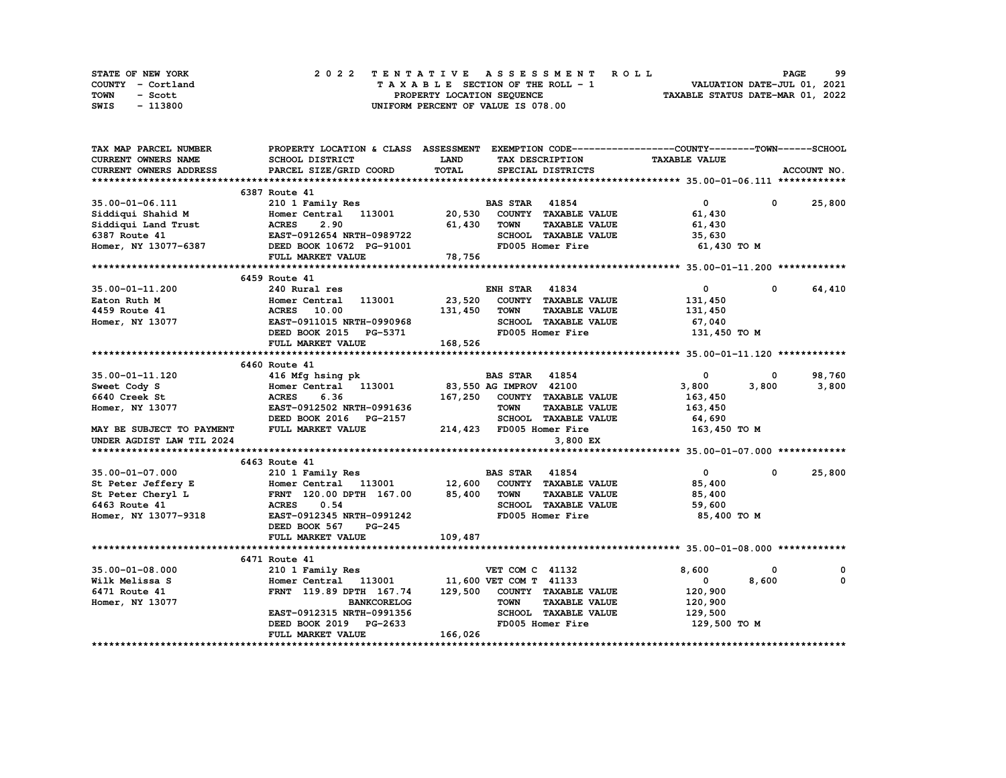| STATE OF NEW YORK | 2022 TENTATIVE ASSESSMENT ROLL     | 99<br><b>PAGE</b>                |
|-------------------|------------------------------------|----------------------------------|
| COUNTY - Cortland | TAXABLE SECTION OF THE ROLL - 1    | VALUATION DATE-JUL 01, 2021      |
| TOWN<br>- Scott   | PROPERTY LOCATION SEQUENCE         | TAXABLE STATUS DATE-MAR 01, 2022 |
| - 113800<br>SWIS  | UNIFORM PERCENT OF VALUE IS 078.00 |                                  |

| TAX MAP PARCEL NUMBER     | PROPERTY LOCATION & CLASS ASSESSMENT EXEMPTION CODE----------------COUNTY-------TOWN-----SCHOOL |                   |                          |                              |                      |            |               |
|---------------------------|-------------------------------------------------------------------------------------------------|-------------------|--------------------------|------------------------------|----------------------|------------|---------------|
| CURRENT OWNERS NAME       | SCHOOL DISTRICT                                                                                 | LAND              | TAX DESCRIPTION          |                              | <b>TAXABLE VALUE</b> |            |               |
| CURRENT OWNERS ADDRESS    | PARCEL SIZE/GRID COORD                                                                          | TOTAL             | SPECIAL DISTRICTS        |                              |                      |            | ACCOUNT NO.   |
|                           |                                                                                                 |                   |                          |                              |                      |            |               |
|                           | 6387 Route 41                                                                                   |                   |                          |                              |                      |            |               |
| 35.00-01-06.111           | 210 1 Family Res                                                                                |                   | <b>BAS STAR 41854</b>    |                              | $\overline{0}$       |            | $0 \t 25,800$ |
| Siddiqui Shahid M         | Homer Central 113001 20,530                                                                     |                   |                          | COUNTY TAXABLE VALUE         | 61,430               |            |               |
| Siddiqui Land Trust       | <b>ACRES</b><br>2.90                                                                            | 61,430            | <b>TOWN</b>              | <b>TAXABLE VALUE</b>         | 61,430               |            |               |
| 6387 Route 41             | EAST-0912654 NRTH-0989722                                                                       |                   |                          | SCHOOL TAXABLE VALUE         | 35,630               |            |               |
|                           | Homer, NY 13077-6387 DEED BOOK 10672 PG-91001                                                   |                   | FD005 Homer Fire         |                              | 61,430 TO M          |            |               |
|                           | <b>FULL MARKET VALUE</b>                                                                        | G-91001<br>78,756 |                          |                              |                      |            |               |
|                           |                                                                                                 |                   |                          |                              |                      |            |               |
|                           | 6459 Route 41                                                                                   |                   |                          |                              |                      |            |               |
| 35.00-01-11.200           | 240 Rural res                                                                                   |                   | <b>ENH STAR 41834</b>    |                              | $\mathbf{0}$         | 0          | 64,410        |
| Eaton Ruth M              | 113001<br>Homer Central                                                                         | 23,520            |                          | COUNTY TAXABLE VALUE         | 131,450              |            |               |
| 4459 Route 41             | Homer Central<br>ACRES 10.00                                                                    | 131,450           | <b>TOWN</b>              | <b>TAXABLE VALUE</b>         | 131,450              |            |               |
| Homer, NY 13077           | EAST-0911015 NRTH-0990968                                                                       |                   |                          | SCHOOL TAXABLE VALUE         | 67,040               |            |               |
|                           | DEED BOOK 2015 PG-5371                                                                          |                   | FD005 Homer Fire         |                              | 131,450 TO M         |            |               |
|                           | FULL MARKET VALUE                                                                               | 168,526           |                          |                              |                      |            |               |
|                           |                                                                                                 |                   |                          |                              |                      |            |               |
|                           | 6460 Route 41                                                                                   |                   |                          |                              |                      |            |               |
| 35.00-01-11.120           | 416 Mfg hsing pk                                                                                |                   | <b>BAS STAR</b>          | 41854                        | $\mathbf 0$          | 0          | 98,760        |
| Sweet Cody S              | Homer Central 113001                                                                            |                   | 83,550 AG IMPROV 42100   |                              | 3,800                | 3,800      | 3,800         |
| 6640 Creek St             | <b>ACRES</b><br>6.36                                                                            |                   |                          | 167,250 COUNTY TAXABLE VALUE | 163,450              |            |               |
| Homer, NY 13077           | EAST-0912502 NRTH-0991636                                                                       |                   | <b>TOWN</b>              | <b>TAXABLE VALUE</b>         | 163,450              |            |               |
|                           | DEED BOOK 2016 PG-2157                                                                          |                   |                          | SCHOOL TAXABLE VALUE         | 64,690               |            |               |
| MAY BE SUBJECT TO PAYMENT | FULL MARKET VALUE                                                                               |                   | 214,423 FD005 Homer Fire |                              | 163,450 TO M         |            |               |
| UNDER AGDIST LAW TIL 2024 |                                                                                                 |                   |                          | 3,800 EX                     |                      |            |               |
|                           |                                                                                                 |                   |                          |                              |                      |            |               |
|                           | 6463 Route 41                                                                                   |                   |                          |                              |                      |            |               |
|                           |                                                                                                 |                   |                          |                              |                      |            |               |
| $35.00 - 01 - 07.000$     | 210 1 Family Res<br>St Peter Jeffery E Franch Homer Central 113001 12,600                       |                   | <b>BAS STAR</b> 41854    |                              | $\mathbf{0}$         | $^{\circ}$ | 25,800        |
|                           |                                                                                                 |                   |                          | COUNTY TAXABLE VALUE         | 85,400               |            |               |
|                           |                                                                                                 |                   | TOWN                     | <b>TAXABLE VALUE</b>         | 85,400               |            |               |
| 6463 Route 41             | <b>ACRES</b><br>0.54                                                                            |                   |                          | SCHOOL TAXABLE VALUE         | 59,600               |            |               |
| Homer, NY 13077-9318      | EAST-0912345 NRTH-0991242                                                                       |                   | FD005 Homer Fire         |                              | 85,400 TO M          |            |               |
|                           | DEED BOOK 567<br><b>PG-245</b>                                                                  |                   |                          |                              |                      |            |               |
|                           | FULL MARKET VALUE                                                                               | 109,487           |                          |                              |                      |            |               |
|                           |                                                                                                 |                   |                          |                              |                      |            |               |
|                           | 6471 Route 41                                                                                   |                   |                          |                              |                      |            |               |
| $35.00 - 01 - 08.000$     | 210 1 Family Res                                                                                |                   | VET COM C 41132          |                              | 8,600                | 0          | 0             |
| Wilk Melissa S            | Homer Central 113001 11,600 VET COM T 41133                                                     |                   |                          |                              | $\mathbf{0}$         | 8,600      | 0             |
| 6471 Route 41             | FRNT 119.89 DPTH 167.74 129,500 COUNTY TAXABLE VALUE                                            |                   |                          |                              | 120,900              |            |               |
| Homer, NY 13077           | <b>BANKCORELOG</b>                                                                              |                   | <b>TOWN</b>              | <b>TAXABLE VALUE</b>         | 120,900              |            |               |
|                           | EAST-0912315 NRTH-0991356                                                                       |                   |                          | SCHOOL TAXABLE VALUE         | 129,500              |            |               |
|                           | DEED BOOK 2019 PG-2633                                                                          |                   | FD005 Homer Fire         |                              | 129,500 TO M         |            |               |
|                           | FULL MARKET VALUE                                                                               | 166,026           |                          |                              |                      |            |               |
|                           |                                                                                                 |                   |                          |                              |                      |            |               |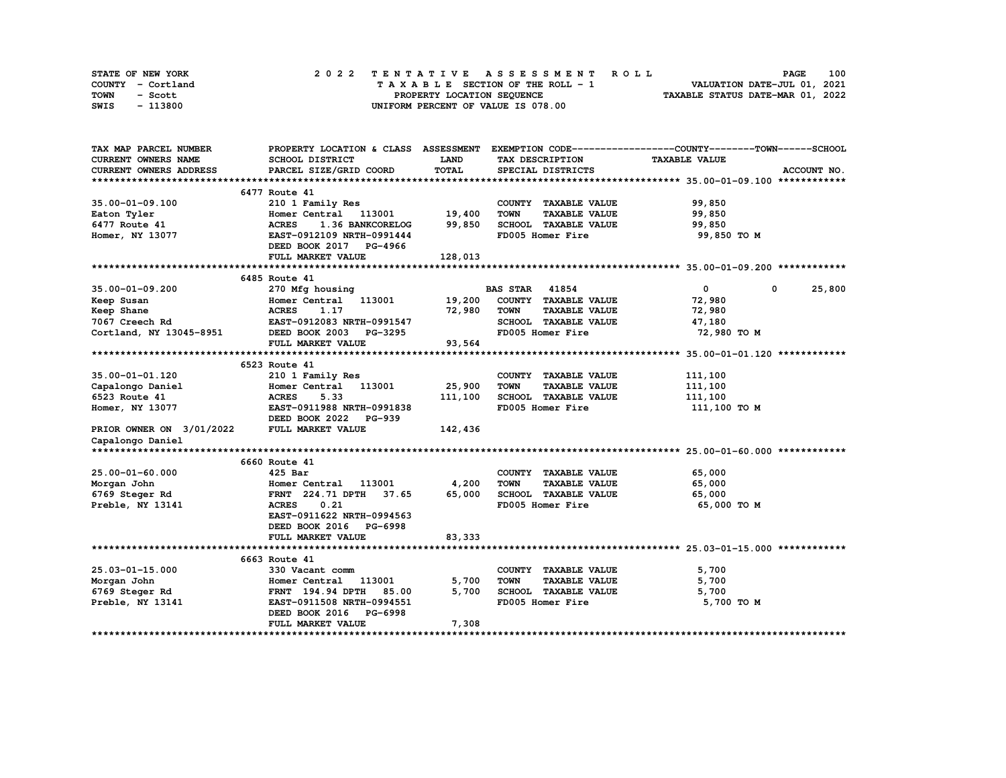| STATE OF NEW YORK | 2022 TENTATIVE ASSESSMENT ROLL     | 100<br><b>PAGE</b>               |
|-------------------|------------------------------------|----------------------------------|
| COUNTY - Cortland | TAXABLE SECTION OF THE ROLL - 1    | VALUATION DATE-JUL 01, 2021      |
| TOWN<br>- Scott   | PROPERTY LOCATION SEQUENCE         | TAXABLE STATUS DATE-MAR 01, 2022 |
| - 113800<br>SWIS  | UNIFORM PERCENT OF VALUE IS 078.00 |                                  |

| TAX MAP PARCEL NUMBER                     |                                  |             |                                     | PROPERTY LOCATION & CLASS ASSESSMENT EXEMPTION CODE----------------COUNTY-------TOWN------SCHOOL |
|-------------------------------------------|----------------------------------|-------------|-------------------------------------|--------------------------------------------------------------------------------------------------|
| CURRENT OWNERS NAME                       | SCHOOL DISTRICT                  | <b>LAND</b> | TAX DESCRIPTION                     | <b>TAXABLE VALUE</b>                                                                             |
| CURRENT OWNERS ADDRESS                    | PARCEL SIZE/GRID COORD           | TOTAL       | SPECIAL DISTRICTS                   | ACCOUNT NO.                                                                                      |
|                                           |                                  |             |                                     |                                                                                                  |
|                                           | 6477 Route 41                    |             |                                     |                                                                                                  |
| 35.00-01-09.100                           | 210 1 Family Res                 |             | COUNTY TAXABLE VALUE                | 99,850                                                                                           |
| Eaton Tyler                               | Homer Central 113001 19,400      |             | <b>TOWN</b><br><b>TAXABLE VALUE</b> | 99,850                                                                                           |
| 6477 Route 41                             | 1.36 BANKCORELOG<br><b>ACRES</b> | 99,850      | SCHOOL TAXABLE VALUE                | 99,850                                                                                           |
| Homer, NY 13077                           | EAST-0912109 NRTH-0991444        |             | FD005 Homer Fire                    | 99,850 TO M                                                                                      |
|                                           | DEED BOOK 2017 PG-4966           |             |                                     |                                                                                                  |
|                                           | FULL MARKET VALUE                | 128,013     |                                     |                                                                                                  |
|                                           |                                  |             |                                     |                                                                                                  |
|                                           | 6485 Route 41                    |             |                                     |                                                                                                  |
| 35.00-01-09.200                           | 270 Mfg housing                  |             | <b>BAS STAR</b> 41854               | $\mathbf{0}$<br>25,800<br>0                                                                      |
| Keep Susan                                | Homer Central 113001             | 19,200      | COUNTY TAXABLE VALUE                | 72,980                                                                                           |
| Keep Shane                                | <b>ACRES</b><br>1.17             | 72,980      | TOWN<br><b>TAXABLE VALUE</b>        | 72,980                                                                                           |
| 7067 Creech Rd<br>Cortland, NY 13045-8951 | EAST-0912083 NRTH-0991547        |             | SCHOOL TAXABLE VALUE                | 47,180                                                                                           |
|                                           | DEED BOOK 2003 PG-3295           |             | FD005 Homer Fire                    | 72,980 то м                                                                                      |
|                                           | FULL MARKET VALUE                | 93,564      |                                     |                                                                                                  |
|                                           |                                  |             |                                     |                                                                                                  |
|                                           | 6523 Route 41                    |             |                                     |                                                                                                  |
| 35.00-01-01.120                           | 210 1 Family Res                 |             | COUNTY TAXABLE VALUE                | 111,100                                                                                          |
| Capalongo Daniel                          | Homer Central 113001             | 25,900      | <b>TOWN</b><br><b>TAXABLE VALUE</b> | 111,100                                                                                          |
| 6523 Route 41                             | <b>ACRES</b><br>5.33             | 111,100     | SCHOOL TAXABLE VALUE                | 111,100                                                                                          |
| Homer, NY 13077                           | EAST-0911988 NRTH-0991838        |             | FD005 Homer Fire                    | 111,100 то м                                                                                     |
|                                           | DEED BOOK 2022 PG-939            |             |                                     |                                                                                                  |
| PRIOR OWNER ON 3/01/2022                  | FULL MARKET VALUE                | 142,436     |                                     |                                                                                                  |
| Capalongo Daniel                          |                                  |             |                                     |                                                                                                  |
|                                           |                                  |             |                                     |                                                                                                  |
|                                           | 6660 Route 41                    |             |                                     |                                                                                                  |
| $25.00 - 01 - 60.000$                     | $425$ Bar                        |             | COUNTY TAXABLE VALUE                | 65,000                                                                                           |
| Morgan John                               | Homer Central 113001 4,200       |             | <b>TOWN</b><br><b>TAXABLE VALUE</b> | 65,000                                                                                           |
| 6769 Steger Rd                            | FRNT 224.71 DPTH 37.65           | 65,000      | SCHOOL TAXABLE VALUE                | 65,000                                                                                           |
| Preble, NY 13141                          | 0.21<br><b>ACRES</b>             |             | FD005 Homer Fire                    | 65,000 TO M                                                                                      |
|                                           | EAST-0911622 NRTH-0994563        |             |                                     |                                                                                                  |
|                                           | DEED BOOK 2016 PG-6998           |             |                                     |                                                                                                  |
|                                           | FULL MARKET VALUE                | 83,333      |                                     |                                                                                                  |
|                                           |                                  |             |                                     |                                                                                                  |
|                                           | 6663 Route 41                    |             |                                     |                                                                                                  |
| 25.03-01-15.000                           | 330 Vacant comm                  |             | COUNTY TAXABLE VALUE                | 5,700                                                                                            |
| Morgan John                               | Homer Central 113001             | 5,700       | <b>TOWN</b><br><b>TAXABLE VALUE</b> | 5,700                                                                                            |
| 6769 Steger Rd                            | FRNT 194.94 DPTH 85.00           | 5,700       | SCHOOL TAXABLE VALUE                | 5,700                                                                                            |
| Preble, NY 13141                          | EAST-0911508 NRTH-0994551        |             | FD005 Homer Fire                    | 5,700 TO M                                                                                       |
|                                           | DEED BOOK 2016 PG-6998           |             |                                     |                                                                                                  |
|                                           | FULL MARKET VALUE                | 7,308       |                                     |                                                                                                  |
|                                           |                                  |             |                                     |                                                                                                  |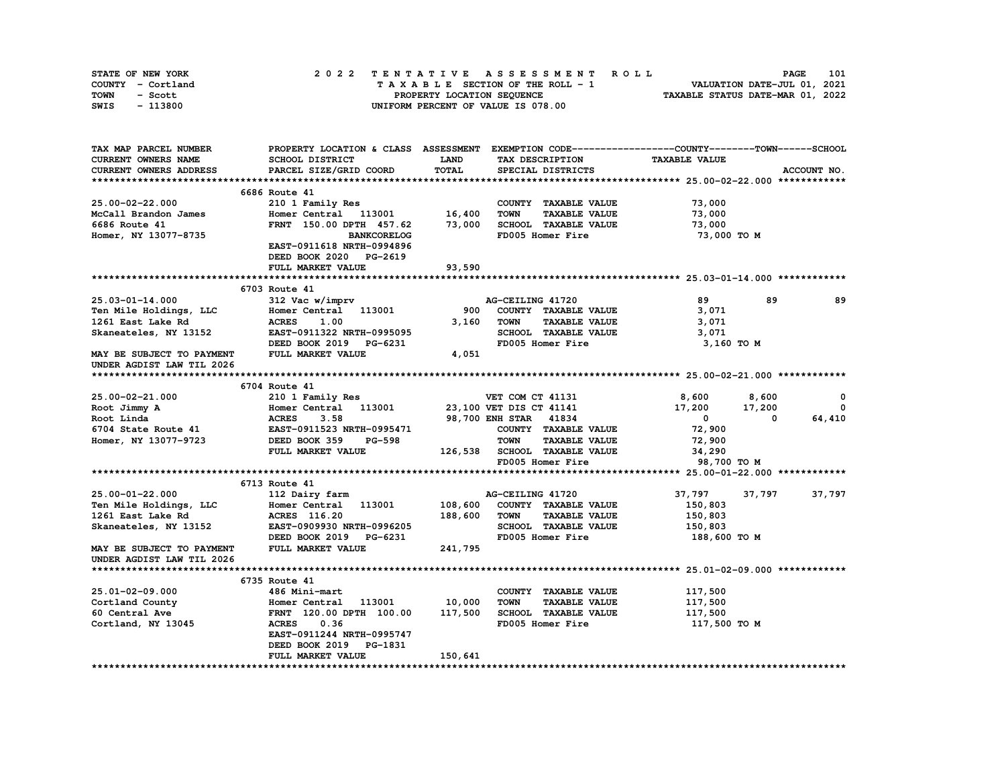| STATE OF NEW YORK | 2022 TENTATIVE ASSESSMENT ROLL     | 101<br><b>PAGE</b>               |
|-------------------|------------------------------------|----------------------------------|
| COUNTY - Cortland | TAXABLE SECTION OF THE ROLL - 1    | VALUATION DATE-JUL 01, 2021      |
| TOWN<br>- Scott   | PROPERTY LOCATION SEQUENCE         | TAXABLE STATUS DATE-MAR 01, 2022 |
| - 113800<br>SWIS  | UNIFORM PERCENT OF VALUE IS 078.00 |                                  |

| TAX MAP PARCEL NUMBER         |                                              |             |                                     | PROPERTY LOCATION & CLASS ASSESSMENT EXEMPTION CODE----------------COUNTY-------TOWN-----SCHOOL |             |
|-------------------------------|----------------------------------------------|-------------|-------------------------------------|-------------------------------------------------------------------------------------------------|-------------|
| CURRENT OWNERS NAME           | SCHOOL DISTRICT                              | <b>LAND</b> | TAX DESCRIPTION                     | <b>TAXABLE VALUE</b>                                                                            |             |
| <b>CURRENT OWNERS ADDRESS</b> | PARCEL SIZE/GRID COORD                       | TOTAL       | SPECIAL DISTRICTS                   |                                                                                                 | ACCOUNT NO. |
|                               |                                              |             |                                     |                                                                                                 |             |
|                               | 6686 Route 41                                |             |                                     |                                                                                                 |             |
| 25.00-02-22.000               | 210 1 Family Res                             |             | COUNTY TAXABLE VALUE                | 73,000                                                                                          |             |
| McCall Brandon James          | Homer Central 113001                         | 16,400      | <b>TOWN</b><br><b>TAXABLE VALUE</b> | 73,000                                                                                          |             |
| 6686 Route 41                 | FRNT 150.00 DPTH 457.62                      | 73,000      | SCHOOL TAXABLE VALUE                | 73,000                                                                                          |             |
| Homer, NY 13077-8735          | <b>BANKCORELOG</b>                           |             | FD005 Homer Fire                    | 73,000 TO M                                                                                     |             |
|                               | EAST-0911618 NRTH-0994896                    |             |                                     |                                                                                                 |             |
|                               | DEED BOOK 2020 PG-2619                       |             |                                     |                                                                                                 |             |
|                               | FULL MARKET VALUE                            | 93,590      |                                     |                                                                                                 |             |
|                               |                                              |             |                                     |                                                                                                 |             |
|                               | 6703 Route 41                                |             |                                     |                                                                                                 |             |
| 25.03-01-14.000               | 312 Vac w/imprv                              |             | AG-CEILING 41720                    | 89<br>89                                                                                        | 89          |
| Ten Mile Holdings, LLC        | Homer Central 113001                         | 900         | COUNTY TAXABLE VALUE                | 3,071                                                                                           |             |
| 1261 East Lake Rd             | <b>ACRES</b><br>1.00                         | 3,160       | <b>TOWN</b><br><b>TAXABLE VALUE</b> | 3,071                                                                                           |             |
| Skaneateles, NY 13152         | EAST-0911322 NRTH-0995095                    |             | SCHOOL TAXABLE VALUE                | 3,071                                                                                           |             |
|                               | DEED BOOK 2019 PG-6231                       |             | FD005 Homer Fire                    | 3,160 TO M                                                                                      |             |
| MAY BE SUBJECT TO PAYMENT     | FULL MARKET VALUE                            | 4,051       |                                     |                                                                                                 |             |
| UNDER AGDIST LAW TIL 2026     |                                              |             |                                     |                                                                                                 |             |
|                               |                                              |             |                                     |                                                                                                 |             |
|                               | 6704 Route 41                                |             |                                     |                                                                                                 |             |
| 25.00-02-21.000               | 210 1 Family Res                             |             | VET COM CT 41131                    | 8,600<br>8,600                                                                                  | 0           |
| Root Jimmy A                  | Homer Central 113001 23,100 VET DIS CT 41141 |             |                                     | 17,200<br>17,200                                                                                | $\Omega$    |
| Root Linda                    | <b>ACRES</b><br>3.58                         |             | 98,700 ENH STAR 41834               | $\mathbf{0}$<br>$^{\circ}$                                                                      | 64,410      |
| 6704 State Route 41           | EAST-0911523 NRTH-0995471                    |             | COUNTY TAXABLE VALUE                | 72,900                                                                                          |             |
| Homer, NY 13077-9723          | DEED BOOK 359<br>PG-598                      |             | <b>TOWN</b><br><b>TAXABLE VALUE</b> | 72,900                                                                                          |             |
|                               | FULL MARKET VALUE                            |             | 126,538 SCHOOL TAXABLE VALUE        | 34,290                                                                                          |             |
|                               |                                              |             | FD005 Homer Fire                    | 98,700 TO M                                                                                     |             |
|                               |                                              |             |                                     |                                                                                                 |             |
|                               | 6713 Route 41                                |             |                                     |                                                                                                 |             |
| 25.00-01-22.000               | 112 Dairy farm                               |             | AG-CEILING 41720                    | 37,797<br>37,797                                                                                | 37,797      |
| Ten Mile Holdings, LLC        | Homer Central 113001                         | 108,600     | COUNTY TAXABLE VALUE                | 150,803                                                                                         |             |
| 1261 East Lake Rd             | <b>ACRES</b> 116.20                          | 188,600     | <b>TOWN</b><br><b>TAXABLE VALUE</b> | 150,803                                                                                         |             |
| Skaneateles, NY 13152         | EAST-0909930 NRTH-0996205                    |             | SCHOOL TAXABLE VALUE                | 150,803                                                                                         |             |
|                               | DEED BOOK 2019 PG-6231                       |             | FD005 Homer Fire                    | 188,600 то м                                                                                    |             |
| MAY BE SUBJECT TO PAYMENT     | FULL MARKET VALUE                            | 241,795     |                                     |                                                                                                 |             |
| UNDER AGDIST LAW TIL 2026     |                                              |             |                                     |                                                                                                 |             |
|                               |                                              |             |                                     |                                                                                                 |             |
|                               | 6735 Route 41                                |             |                                     |                                                                                                 |             |
| 25.01-02-09.000               | 486 Mini-mart                                |             | COUNTY TAXABLE VALUE                | 117,500                                                                                         |             |
| Cortland County               | 113001<br>Homer Central                      | 10,000      | <b>TOWN</b><br><b>TAXABLE VALUE</b> | 117,500                                                                                         |             |
| 60 Central Ave                | FRNT 120.00 DPTH 100.00                      | 117,500     | SCHOOL TAXABLE VALUE                | 117,500                                                                                         |             |
| Cortland, NY 13045            | <b>ACRES</b><br>0.36                         |             | FD005 Homer Fire                    | 117,500 TO M                                                                                    |             |
|                               | EAST-0911244 NRTH-0995747                    |             |                                     |                                                                                                 |             |
|                               | DEED BOOK 2019 PG-1831                       |             |                                     |                                                                                                 |             |
|                               | FULL MARKET VALUE                            | 150,641     |                                     |                                                                                                 |             |
|                               |                                              |             |                                     |                                                                                                 |             |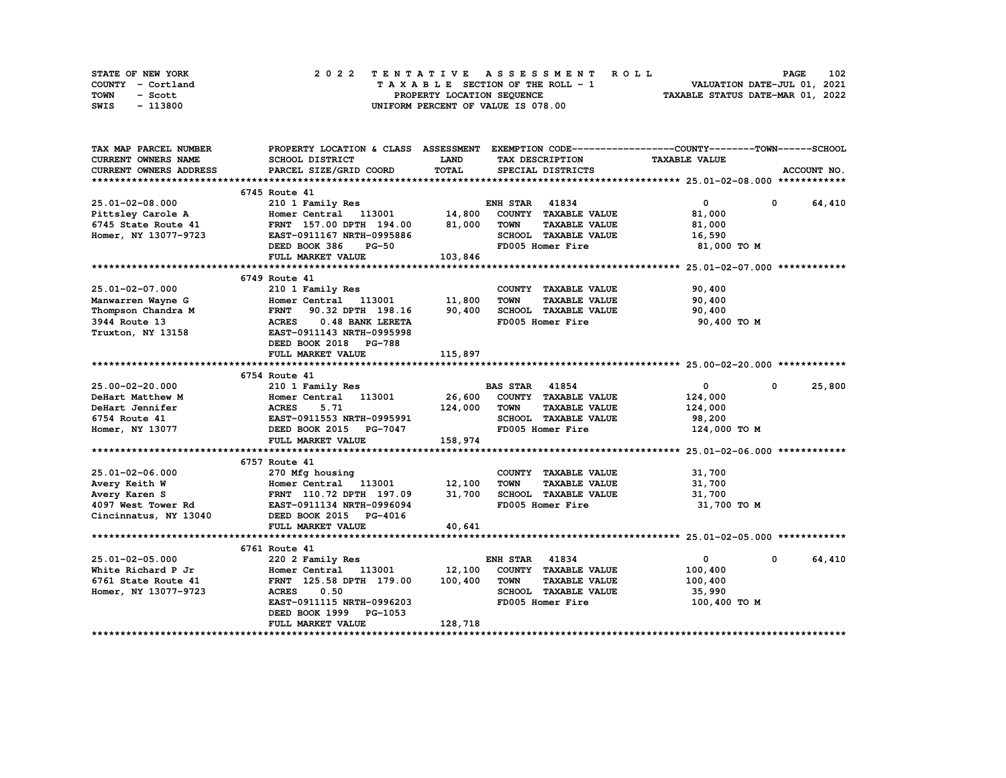| STATE OF NEW YORK | 2022 TENTATIVE ASSESSMENT ROLL     | 102<br><b>PAGE</b>               |
|-------------------|------------------------------------|----------------------------------|
| COUNTY - Cortland | TAXABLE SECTION OF THE ROLL - 1    | VALUATION DATE-JUL 01, 2021      |
| TOWN<br>- Scott   | PROPERTY LOCATION SEQUENCE         | TAXABLE STATUS DATE-MAR 01, 2022 |
| - 113800<br>SWIS  | UNIFORM PERCENT OF VALUE IS 078.00 |                                  |

| TAX MAP PARCEL NUMBER                                                                                                                                                                                                        |                                                                                                                                                  |                |                                     | PROPERTY LOCATION & CLASS ASSESSMENT EXEMPTION CODE----------------COUNTY-------TOWN-----SCHOOL |             |
|------------------------------------------------------------------------------------------------------------------------------------------------------------------------------------------------------------------------------|--------------------------------------------------------------------------------------------------------------------------------------------------|----------------|-------------------------------------|-------------------------------------------------------------------------------------------------|-------------|
| CURRENT OWNERS NAME                                                                                                                                                                                                          | SCHOOL DISTRICT                                                                                                                                  | <b>LAND</b>    | TAX DESCRIPTION                     | <b>TAXABLE VALUE</b>                                                                            |             |
| CURRENT OWNERS ADDRESS                                                                                                                                                                                                       | PARCEL SIZE/GRID COORD                                                                                                                           | TOTAL          | SPECIAL DISTRICTS                   |                                                                                                 | ACCOUNT NO. |
|                                                                                                                                                                                                                              |                                                                                                                                                  |                |                                     |                                                                                                 |             |
|                                                                                                                                                                                                                              | 6745 Route 41                                                                                                                                    |                |                                     |                                                                                                 |             |
| 25.01-02-08.000                                                                                                                                                                                                              | 210 1 Family Res                                                                                                                                 |                | <b>ENH STAR 41834</b>               | $\mathbf{0}$                                                                                    | 0 64,410    |
| Pittsley Carole A                                                                                                                                                                                                            | Homer Central 113001 14,800                                                                                                                      |                | COUNTY TAXABLE VALUE                | 81,000                                                                                          |             |
| 6745 State Route 41                                                                                                                                                                                                          | FRNT 157.00 DPTH 194.00 81,000                                                                                                                   |                | <b>TOWN</b><br><b>TAXABLE VALUE</b> | 81,000                                                                                          |             |
| Homer, NY 13077-9723                                                                                                                                                                                                         | EAST-0911167 NRTH-0995886                                                                                                                        |                | SCHOOL TAXABLE VALUE                | 16,590                                                                                          |             |
|                                                                                                                                                                                                                              | DEED BOOK 386<br><b>PG-50</b>                                                                                                                    | $\overline{a}$ | FD005 Homer Fire                    | 81,000 TO M                                                                                     |             |
|                                                                                                                                                                                                                              | FULL MARKET VALUE                                                                                                                                | 103,846        |                                     |                                                                                                 |             |
|                                                                                                                                                                                                                              |                                                                                                                                                  |                |                                     |                                                                                                 |             |
|                                                                                                                                                                                                                              | 6749 Route 41                                                                                                                                    |                |                                     |                                                                                                 |             |
| 25.01-02-07.000                                                                                                                                                                                                              | 210 1 Family Res                                                                                                                                 |                | COUNTY TAXABLE VALUE                | 90,400                                                                                          |             |
|                                                                                                                                                                                                                              |                                                                                                                                                  |                | TOWN<br><b>TAXABLE VALUE</b>        | 90,400                                                                                          |             |
|                                                                                                                                                                                                                              |                                                                                                                                                  |                | SCHOOL TAXABLE VALUE 90,400         |                                                                                                 |             |
|                                                                                                                                                                                                                              |                                                                                                                                                  |                | FD005 Homer Fire                    | 90,400 TO M                                                                                     |             |
| 25.01-02-07.000 210 1 Family Res<br>Manwarren Wayne G Homer Central 113001 11,800<br>Thompson Chandra M FRNT 90.32 DPTH 198.16 90,400<br>3944 Route 13 ACRES 0.48 BANK LERETA<br>Truxton, NY 13158 EAST-0911143 NRTH-0995998 |                                                                                                                                                  |                |                                     |                                                                                                 |             |
|                                                                                                                                                                                                                              | DEED BOOK 2018 PG-788                                                                                                                            |                |                                     |                                                                                                 |             |
|                                                                                                                                                                                                                              | FULL MARKET VALUE                                                                                                                                | 115,897        |                                     |                                                                                                 |             |
|                                                                                                                                                                                                                              |                                                                                                                                                  |                |                                     |                                                                                                 |             |
|                                                                                                                                                                                                                              | 6754 Route 41                                                                                                                                    |                |                                     |                                                                                                 |             |
| $25.00 - 02 - 20.000$                                                                                                                                                                                                        | 210 1 Family Res                                                                                                                                 |                | <b>BAS STAR</b> 41854               | $\overline{0}$<br>$\mathbf{0}$                                                                  | 25,800      |
| DeHart Matthew M                                                                                                                                                                                                             | Homer Central 113001 26,600 COUNTY TAXABLE VALUE                                                                                                 |                |                                     | 124,000                                                                                         |             |
|                                                                                                                                                                                                                              |                                                                                                                                                  |                | TOWN<br><b>TAXABLE VALUE</b>        | 124,000                                                                                         |             |
|                                                                                                                                                                                                                              |                                                                                                                                                  | 124,000        | SCHOOL TAXABLE VALUE                | 98,200                                                                                          |             |
|                                                                                                                                                                                                                              |                                                                                                                                                  |                | FD005 Homer Fire                    | 124,000 TO M                                                                                    |             |
|                                                                                                                                                                                                                              | FULL MARKET VALUE                                                                                                                                | 158,974        |                                     |                                                                                                 |             |
|                                                                                                                                                                                                                              |                                                                                                                                                  |                |                                     |                                                                                                 |             |
|                                                                                                                                                                                                                              | 6757 Route 41                                                                                                                                    |                |                                     |                                                                                                 |             |
| 25.01-02-06.000                                                                                                                                                                                                              |                                                                                                                                                  |                | COUNTY TAXABLE VALUE                | 31,700                                                                                          |             |
|                                                                                                                                                                                                                              |                                                                                                                                                  |                | <b>TOWN</b><br><b>TAXABLE VALUE</b> | 31,700                                                                                          |             |
| Avery Keith W                                                                                                                                                                                                                |                                                                                                                                                  |                | SCHOOL TAXABLE VALUE                |                                                                                                 |             |
| Avery Karen S                                                                                                                                                                                                                | 270 Mfg housing<br>Homer Central 113001 12,100<br>FRNT 110.72 DPTH 197.09 31,700<br>Rd EAST-0911134 NRTH-0996094<br>13040 DEED BOOK 2015 PG-4016 |                | FD005 Homer Fire                    | 31,700                                                                                          |             |
| $4097$ West Tower Rd                                                                                                                                                                                                         |                                                                                                                                                  |                |                                     | 31,700 TO M                                                                                     |             |
| Cincinnatus, NY 13040                                                                                                                                                                                                        | DEED BOOK 2015 PG-4016                                                                                                                           |                |                                     |                                                                                                 |             |
|                                                                                                                                                                                                                              | FULL MARKET VALUE                                                                                                                                | 40,641         |                                     |                                                                                                 |             |
|                                                                                                                                                                                                                              |                                                                                                                                                  |                |                                     |                                                                                                 |             |
|                                                                                                                                                                                                                              |                                                                                                                                                  |                |                                     |                                                                                                 | 64,410      |
| $25.01 - 02 - 05.000$                                                                                                                                                                                                        | 220 2 Family Res<br>Homer Central 113001 12,100<br>FRNT 125.58 DPTH 130.00                                                                       |                | <b>ENH STAR 41834</b>               | $\mathbf{0}$<br>$\mathbf{0}$                                                                    |             |
| White Richard P Jr                                                                                                                                                                                                           |                                                                                                                                                  |                | COUNTY TAXABLE VALUE                | 100,400                                                                                         |             |
| 6761 State Route 41                                                                                                                                                                                                          |                                                                                                                                                  |                | <b>TOWN</b><br><b>TAXABLE VALUE</b> | 100,400                                                                                         |             |
| Homer, NY 13077-9723                                                                                                                                                                                                         | <b>ACRES</b><br>0.50                                                                                                                             |                | SCHOOL TAXABLE VALUE                | 35,990                                                                                          |             |
|                                                                                                                                                                                                                              | EAST-0911115 NRTH-0996203                                                                                                                        |                | FD005 Homer Fire                    | 100,400 TO M                                                                                    |             |
|                                                                                                                                                                                                                              | DEED BOOK 1999 PG-1053                                                                                                                           |                |                                     |                                                                                                 |             |
|                                                                                                                                                                                                                              | FULL MARKET VALUE                                                                                                                                | 128,718        |                                     |                                                                                                 |             |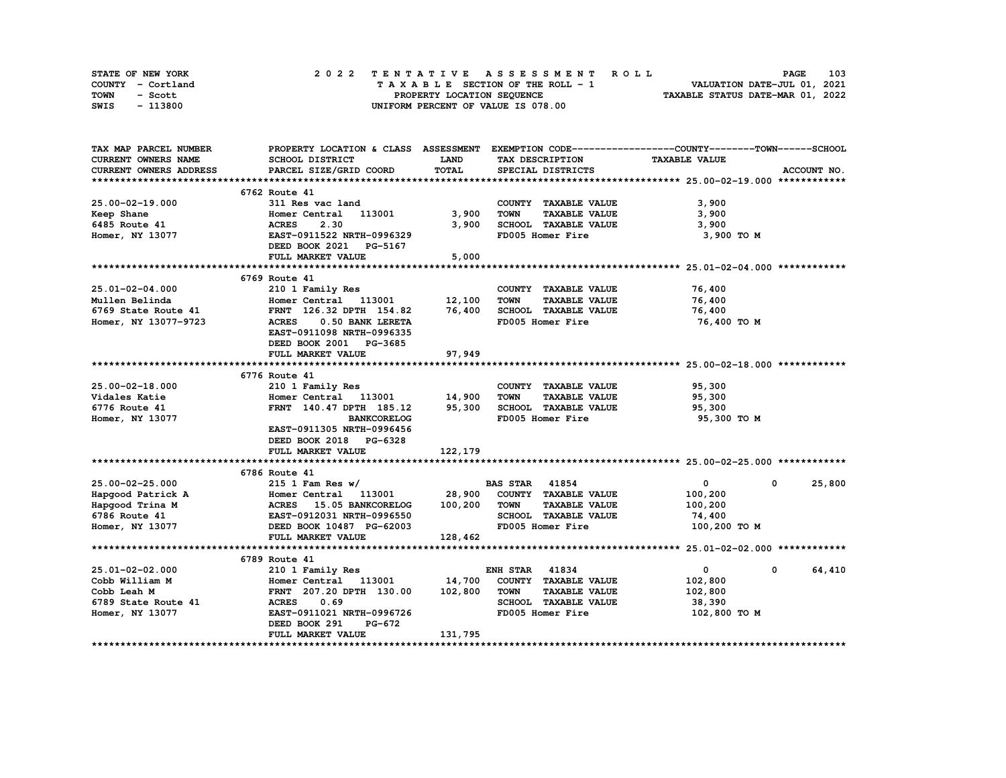| STATE OF NEW YORK | 2022 TENTATIVE ASSESSMENT ROLL     | 103<br><b>PAGE</b>               |
|-------------------|------------------------------------|----------------------------------|
| COUNTY - Cortland | TAXABLE SECTION OF THE ROLL - 1    | VALUATION DATE-JUL 01, 2021      |
| TOWN<br>- Scott   | PROPERTY LOCATION SEQUENCE         | TAXABLE STATUS DATE-MAR 01, 2022 |
| - 113800<br>SWIS  | UNIFORM PERCENT OF VALUE IS 078.00 |                                  |

| TAX MAP PARCEL NUMBER                                                                                                                                                                                                                                   |                                                                                                    |             |                                     | PROPERTY LOCATION & CLASS ASSESSMENT EXEMPTION CODE----------------COUNTY-------TOWN-----SCHOOL |             |
|---------------------------------------------------------------------------------------------------------------------------------------------------------------------------------------------------------------------------------------------------------|----------------------------------------------------------------------------------------------------|-------------|-------------------------------------|-------------------------------------------------------------------------------------------------|-------------|
| CURRENT OWNERS NAME                                                                                                                                                                                                                                     | SCHOOL DISTRICT                                                                                    | <b>LAND</b> | TAX DESCRIPTION                     | <b>TAXABLE VALUE</b>                                                                            |             |
| CURRENT OWNERS ADDRESS                                                                                                                                                                                                                                  | PARCEL SIZE/GRID COORD                                                                             | TOTAL       | SPECIAL DISTRICTS                   |                                                                                                 | ACCOUNT NO. |
|                                                                                                                                                                                                                                                         |                                                                                                    |             |                                     |                                                                                                 |             |
|                                                                                                                                                                                                                                                         | 6762 Route 41                                                                                      |             |                                     |                                                                                                 |             |
| 25.00-02-19.000                                                                                                                                                                                                                                         | 311 Res vac land                                                                                   |             | COUNTY TAXABLE VALUE                | 3,900                                                                                           |             |
| Keep Shane                                                                                                                                                                                                                                              | Homer Central 113001 3,900                                                                         |             | <b>TOWN</b><br><b>TAXABLE VALUE</b> | 3,900                                                                                           |             |
| 6485 Route 41                                                                                                                                                                                                                                           |                                                                                                    | 3,900       | SCHOOL TAXABLE VALUE                | 3,900                                                                                           |             |
| Homer, NY 13077                                                                                                                                                                                                                                         | Homer Central 113001<br>ACRES 2.30<br>EAST-0911522 NRTH-0996329                                    |             | FD005 Homer Fire                    | 3,900 TO M                                                                                      |             |
|                                                                                                                                                                                                                                                         | DEED BOOK 2021 PG-5167                                                                             |             |                                     |                                                                                                 |             |
|                                                                                                                                                                                                                                                         | FULL MARKET VALUE                                                                                  | 5,000       |                                     |                                                                                                 |             |
|                                                                                                                                                                                                                                                         |                                                                                                    |             |                                     |                                                                                                 |             |
|                                                                                                                                                                                                                                                         | 6769 Route 41                                                                                      |             |                                     |                                                                                                 |             |
| 25.01-02-04.000                                                                                                                                                                                                                                         | 210 1 Family Res                                                                                   |             | COUNTY TAXABLE VALUE                | 76,400                                                                                          |             |
| Mullen Belinda                                                                                                                                                                                                                                          |                                                                                                    |             | <b>TAXABLE VALUE</b><br><b>TOWN</b> | 76,400                                                                                          |             |
| 6769 State Route 41                                                                                                                                                                                                                                     | Homer Central 113001 12,100<br>41 FRNT 126.32 DPTH 154.82 76,400                                   |             | SCHOOL TAXABLE VALUE                | 76,400                                                                                          |             |
| Homer, NY 13077-9723                                                                                                                                                                                                                                    | 0.50 BANK LERETA<br><b>ACRES</b>                                                                   |             | FD005 Homer Fire                    | 76,400 TO M                                                                                     |             |
|                                                                                                                                                                                                                                                         | EAST-0911098 NRTH-0996335                                                                          |             |                                     |                                                                                                 |             |
|                                                                                                                                                                                                                                                         | DEED BOOK 2001 PG-3685                                                                             |             |                                     |                                                                                                 |             |
|                                                                                                                                                                                                                                                         | FULL MARKET VALUE                                                                                  | 97,949      |                                     |                                                                                                 |             |
|                                                                                                                                                                                                                                                         |                                                                                                    |             |                                     |                                                                                                 |             |
|                                                                                                                                                                                                                                                         | 6776 Route 41                                                                                      |             |                                     |                                                                                                 |             |
| 25.00-02-18.000                                                                                                                                                                                                                                         |                                                                                                    |             | COUNTY TAXABLE VALUE                | 95,300                                                                                          |             |
| Vidales Katie                                                                                                                                                                                                                                           |                                                                                                    |             | TOWN<br><b>TAXABLE VALUE</b>        | 95,300                                                                                          |             |
| 6776 Route 41                                                                                                                                                                                                                                           | 210 1 Family Res<br>Homer Central 113001 14,900<br>----- 195.300 95.300<br>FRNT 140.47 DPTH 185.12 | 95,300      | SCHOOL TAXABLE VALUE                | 95,300                                                                                          |             |
| Homer, NY 13077                                                                                                                                                                                                                                         | <b>BANKCORELOG</b>                                                                                 |             | FD005 Homer Fire                    | 95,300 TO M                                                                                     |             |
|                                                                                                                                                                                                                                                         | EAST-0911305 NRTH-0996456                                                                          |             |                                     |                                                                                                 |             |
|                                                                                                                                                                                                                                                         | DEED BOOK 2018 PG-6328                                                                             |             |                                     |                                                                                                 |             |
|                                                                                                                                                                                                                                                         | FULL MARKET VALUE                                                                                  | 122,179     |                                     |                                                                                                 |             |
|                                                                                                                                                                                                                                                         |                                                                                                    |             |                                     |                                                                                                 |             |
|                                                                                                                                                                                                                                                         | 6786 Route 41                                                                                      |             |                                     |                                                                                                 |             |
| $25.00 - 02 - 25.000$                                                                                                                                                                                                                                   | 215 1 Fam Res w/                                                                                   |             | <b>BAS STAR 41854</b>               | $\mathbf{0}$<br>$\mathbf{0}$                                                                    | 25,800      |
|                                                                                                                                                                                                                                                         |                                                                                                    |             |                                     | 100,200                                                                                         |             |
|                                                                                                                                                                                                                                                         |                                                                                                    |             |                                     | 100,200                                                                                         |             |
|                                                                                                                                                                                                                                                         |                                                                                                    |             |                                     | 74,400                                                                                          |             |
| Rapgood Patrick A Romer Central 113001 28,900 COUNTY TAXABLE VALUE<br>Rapgood Trina M ACRES 15.05 BANKCORELOG 100,200 TOWN TAXABLE VALUE<br>6786 Route 41 EAST-0912031 NRTH-0996550 SCHOOL TAXABLE VALUE<br>Homer, NY 13077 DEED BOO<br>Homer, NY 13077 |                                                                                                    |             |                                     | 100,200 TO M                                                                                    |             |
|                                                                                                                                                                                                                                                         | FULL MARKET VALUE                                                                                  | 128,462     |                                     |                                                                                                 |             |
|                                                                                                                                                                                                                                                         |                                                                                                    |             |                                     |                                                                                                 |             |
|                                                                                                                                                                                                                                                         | 6789 Route 41                                                                                      |             |                                     |                                                                                                 |             |
|                                                                                                                                                                                                                                                         |                                                                                                    |             |                                     | $\mathbf{0}$<br>$^{\circ}$                                                                      | 64,410      |
|                                                                                                                                                                                                                                                         |                                                                                                    |             |                                     | 102,800                                                                                         |             |
|                                                                                                                                                                                                                                                         |                                                                                                    |             |                                     | 102,800                                                                                         |             |
|                                                                                                                                                                                                                                                         |                                                                                                    |             |                                     | 38,390                                                                                          |             |
| Homer, NY 13077                                                                                                                                                                                                                                         |                                                                                                    |             |                                     | 102,800 то м                                                                                    |             |
|                                                                                                                                                                                                                                                         | DEED BOOK 291<br>PG-672                                                                            |             |                                     |                                                                                                 |             |
|                                                                                                                                                                                                                                                         | FULL MARKET VALUE                                                                                  | 131,795     |                                     |                                                                                                 |             |
|                                                                                                                                                                                                                                                         |                                                                                                    |             |                                     |                                                                                                 |             |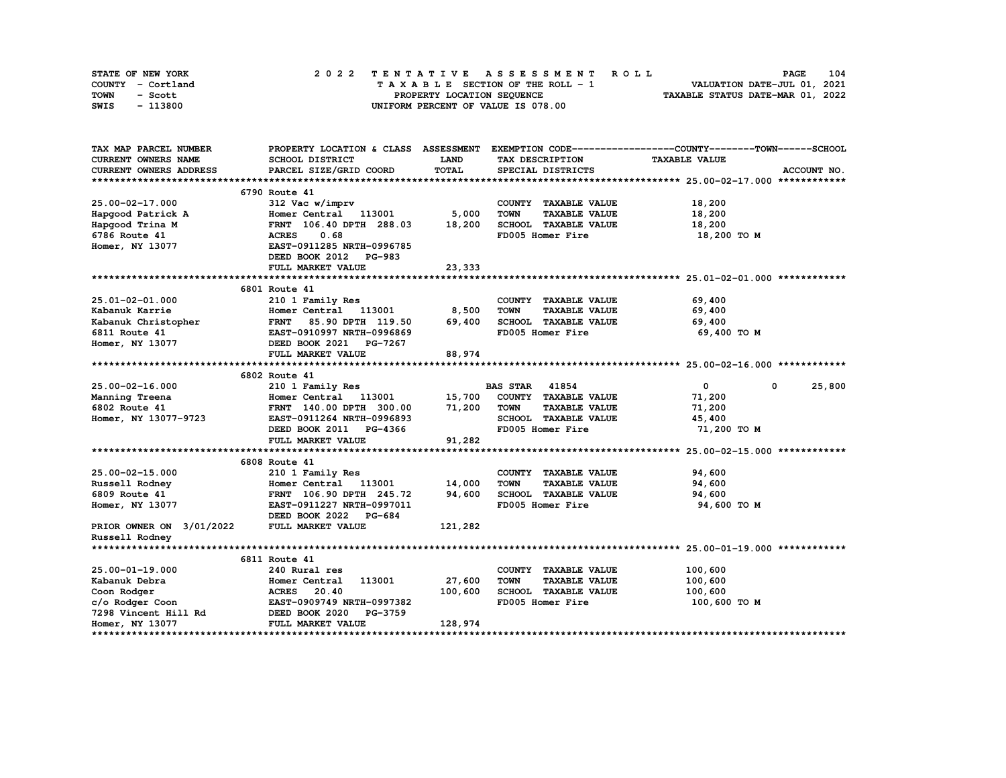|      | STATE OF NEW YORK |  | 2022 TENTATIVE ASSESSMENT ROLL |  |  |  |                                    |  |  |  |  |  |  |                                  | <b>PAGE</b> | 104 |
|------|-------------------|--|--------------------------------|--|--|--|------------------------------------|--|--|--|--|--|--|----------------------------------|-------------|-----|
|      | COUNTY - Cortland |  |                                |  |  |  | TAXABLE SECTION OF THE ROLL - 1    |  |  |  |  |  |  | VALUATION DATE-JUL 01, 2021      |             |     |
| TOWN | - Scott           |  |                                |  |  |  | PROPERTY LOCATION SEQUENCE         |  |  |  |  |  |  | TAXABLE STATUS DATE-MAR 01, 2022 |             |     |
| SWIS | - 113800          |  |                                |  |  |  | UNIFORM PERCENT OF VALUE IS 078.00 |  |  |  |  |  |  |                                  |             |     |

| TAX MAP PARCEL NUMBER                |                           |             |                                     | PROPERTY LOCATION & CLASS ASSESSMENT EXEMPTION CODE----------------COUNTY-------TOWN------SCHOOL |
|--------------------------------------|---------------------------|-------------|-------------------------------------|--------------------------------------------------------------------------------------------------|
| CURRENT OWNERS NAME                  | SCHOOL DISTRICT           | <b>LAND</b> | TAX DESCRIPTION                     | <b>TAXABLE VALUE</b>                                                                             |
| CURRENT OWNERS ADDRESS               | PARCEL SIZE/GRID COORD    | TOTAL       | SPECIAL DISTRICTS                   | ACCOUNT NO.                                                                                      |
|                                      |                           |             |                                     |                                                                                                  |
|                                      | 6790 Route 41             |             |                                     |                                                                                                  |
| $25.00 - 02 - 17.000$                | 312 Vac w/imprv           |             | COUNTY TAXABLE VALUE                | 18,200                                                                                           |
| Hapgood Patrick A                    | Homer Central 113001      | 5,000       | <b>TOWN</b><br><b>TAXABLE VALUE</b> | 18,200                                                                                           |
| Hapgood Trina M                      | FRNT 106.40 DPTH 288.03   | 18,200      | SCHOOL TAXABLE VALUE                | 18,200                                                                                           |
| 6786 Route 41                        | 0.68<br><b>ACRES</b>      |             | FD005 Homer Fire                    | 18,200 TO M                                                                                      |
| Homer, NY 13077                      | EAST-0911285 NRTH-0996785 |             |                                     |                                                                                                  |
|                                      | DEED BOOK 2012 PG-983     |             |                                     |                                                                                                  |
|                                      | FULL MARKET VALUE         | 23,333      |                                     |                                                                                                  |
|                                      |                           |             |                                     |                                                                                                  |
|                                      | 6801 Route 41             |             |                                     |                                                                                                  |
| $25.01 - 02 - 01.000$                | 210 1 Family Res          |             | COUNTY TAXABLE VALUE                | 69,400                                                                                           |
| Kabanuk Karrie                       | Homer Central 113001      | 8,500       | <b>TOWN</b><br><b>TAXABLE VALUE</b> | 69,400                                                                                           |
| Kabanuk Christopher<br>6811 Route 41 | FRNT 85.90 DPTH 119.50    | 69,400      | SCHOOL TAXABLE VALUE                | 69,400                                                                                           |
|                                      | EAST-0910997 NRTH-0996869 |             | FD005 Homer Fire                    | 69,400 TO M                                                                                      |
| Homer, NY 13077                      | DEED BOOK 2021 PG-7267    |             |                                     |                                                                                                  |
|                                      | FULL MARKET VALUE         | 88,974      |                                     |                                                                                                  |
|                                      |                           |             |                                     |                                                                                                  |
|                                      | 6802 Route 41             |             |                                     |                                                                                                  |
| $25.00 - 02 - 16.000$                | 210 1 Family Res          |             | <b>BAS STAR 41854</b>               | $\mathbf{0}$<br>25,800<br>$^{\circ}$                                                             |
| Manning Treena                       | Homer Central 113001      | 15,700      | COUNTY TAXABLE VALUE                | 71,200                                                                                           |
| 6802 Route 41                        | FRNT 140.00 DPTH 300.00   | 71,200      | <b>TAXABLE VALUE</b><br><b>TOWN</b> | 71,200                                                                                           |
| Homer, NY 13077-9723                 | EAST-0911264 NRTH-0996893 |             | SCHOOL TAXABLE VALUE                | 45,400                                                                                           |
|                                      | DEED BOOK 2011 PG-4366    |             | FD005 Homer Fire                    | 71,200 TO M                                                                                      |
|                                      | FULL MARKET VALUE         | 91,282      |                                     |                                                                                                  |
|                                      |                           |             |                                     |                                                                                                  |
|                                      | 6808 Route 41             |             |                                     |                                                                                                  |
| 25.00-02-15.000                      | 210 1 Family Res          |             | COUNTY TAXABLE VALUE                | 94,600                                                                                           |
| <b>Russell Rodney</b>                | Homer Central 113001      | 14,000      | <b>TOWN</b><br><b>TAXABLE VALUE</b> | 94,600                                                                                           |
| 6809 Route 41                        | FRNT 106.90 DPTH 245.72   | 94,600      | SCHOOL TAXABLE VALUE                | 94,600                                                                                           |
| Homer, NY 13077                      | EAST-0911227 NRTH-0997011 |             | FD005 Homer Fire                    | 94,600 TO M                                                                                      |
|                                      | DEED BOOK 2022 PG-684     |             |                                     |                                                                                                  |
| PRIOR OWNER ON 3/01/2022             | FULL MARKET VALUE         | 121,282     |                                     |                                                                                                  |
| Russell Rodney                       |                           |             |                                     |                                                                                                  |
|                                      |                           |             |                                     |                                                                                                  |
|                                      | 6811 Route 41             |             |                                     |                                                                                                  |
| $25.00 - 01 - 19.000$                | 240 Rural res             |             | COUNTY TAXABLE VALUE                | 100,600                                                                                          |
| Kabanuk Debra                        | 113001<br>Homer Central   | 27,600      | <b>TOWN</b><br><b>TAXABLE VALUE</b> | 100,600                                                                                          |
| Coon Rodger                          | ACRES 20.40               | 100,600     | SCHOOL TAXABLE VALUE                | 100,600                                                                                          |
| c/o Rodger Coon                      | EAST-0909749 NRTH-0997382 |             | FD005 Homer Fire                    | 100,600 TO M                                                                                     |
| 7298 Vincent Hill Rd                 | DEED BOOK 2020<br>PG-3759 |             |                                     |                                                                                                  |
| Homer, NY 13077                      | FULL MARKET VALUE         | 128,974     |                                     |                                                                                                  |
|                                      |                           |             |                                     |                                                                                                  |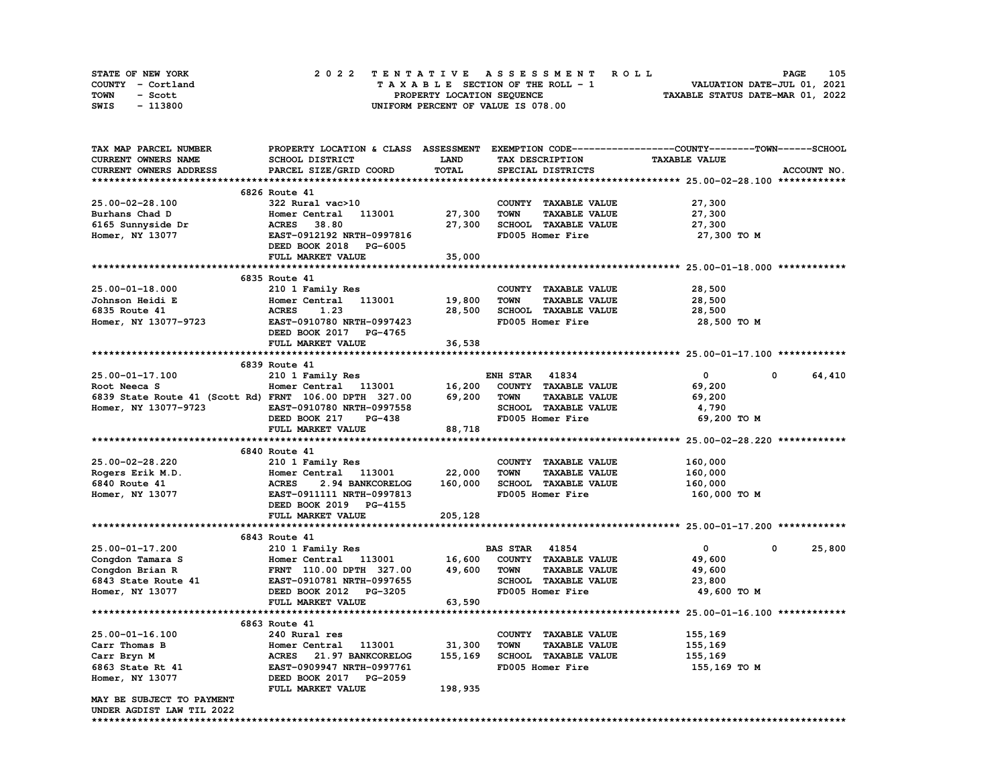| STATE OF NEW YORK | 2022 TENTATIVE ASSESSMENT ROLL     | 105<br><b>PAGE</b>               |
|-------------------|------------------------------------|----------------------------------|
| COUNTY - Cortland | TAXABLE SECTION OF THE ROLL - 1    | VALUATION DATE-JUL 01, 2021      |
| TOWN<br>- Scott   | PROPERTY LOCATION SEQUENCE         | TAXABLE STATUS DATE-MAR 01, 2022 |
| - 113800<br>SWIS  | UNIFORM PERCENT OF VALUE IS 078.00 |                                  |

| TAX MAP PARCEL NUMBER                                     |                                                               |             |                                     | PROPERTY LOCATION & CLASS ASSESSMENT EXEMPTION CODE----------------COUNTY-------TOWN-----SCHOOL |             |
|-----------------------------------------------------------|---------------------------------------------------------------|-------------|-------------------------------------|-------------------------------------------------------------------------------------------------|-------------|
| CURRENT OWNERS NAME                                       | SCHOOL DISTRICT                                               | <b>LAND</b> | TAX DESCRIPTION                     | <b>TAXABLE VALUE</b>                                                                            |             |
| CURRENT OWNERS ADDRESS                                    | PARCEL SIZE/GRID COORD                                        | TOTAL       | SPECIAL DISTRICTS                   |                                                                                                 | ACCOUNT NO. |
|                                                           |                                                               |             |                                     |                                                                                                 |             |
|                                                           | 6826 Route 41                                                 |             |                                     |                                                                                                 |             |
| 25.00-02-28.100                                           | 322 Rural vac>10                                              |             | COUNTY TAXABLE VALUE                | 27,300                                                                                          |             |
| Burhans Chad D                                            | 113001<br>Homer Central                                       | 27,300      | <b>TOWN</b><br><b>TAXABLE VALUE</b> | 27,300                                                                                          |             |
| 6165 Sunnyside Dr                                         | <b>ACRES</b> 38.80                                            | 27,300      | SCHOOL TAXABLE VALUE                | 27,300                                                                                          |             |
| Homer, NY 13077                                           | EAST-0912192 NRTH-0997816                                     |             | FD005 Homer Fire                    | 27,300 TO M                                                                                     |             |
|                                                           | DEED BOOK 2018 PG-6005                                        |             |                                     |                                                                                                 |             |
|                                                           | FULL MARKET VALUE                                             | 35,000      |                                     |                                                                                                 |             |
|                                                           |                                                               |             |                                     |                                                                                                 |             |
|                                                           | 6835 Route 41                                                 |             |                                     |                                                                                                 |             |
| $25.00 - 01 - 18.000$                                     | 210 1 Family Res                                              |             | COUNTY TAXABLE VALUE                | 28,500                                                                                          |             |
| Johnson Heidi E                                           | Homer Central 113001                                          | 19,800      | <b>TOWN</b><br><b>TAXABLE VALUE</b> | 28,500                                                                                          |             |
| 6835 Route 41                                             | <b>ACRES</b><br>1.23                                          | 28,500      | SCHOOL TAXABLE VALUE                | 28,500                                                                                          |             |
| Homer, NY 13077-9723                                      | EAST-0910780 NRTH-0997423                                     |             | FD005 Homer Fire                    | 28,500 TO M                                                                                     |             |
|                                                           | DEED BOOK 2017 PG-4765                                        |             |                                     |                                                                                                 |             |
|                                                           | FULL MARKET VALUE                                             | 36,538      |                                     |                                                                                                 |             |
|                                                           |                                                               |             |                                     |                                                                                                 |             |
|                                                           | 6839 Route 41                                                 |             |                                     |                                                                                                 |             |
| 25.00-01-17.100                                           | 210 1 Family Res                                              |             | <b>ENH STAR 41834</b>               | 0<br>$\mathbf{0}$                                                                               | 64,410      |
|                                                           |                                                               |             | COUNTY TAXABLE VALUE                | 69,200                                                                                          |             |
|                                                           |                                                               |             | <b>TOWN</b><br><b>TAXABLE VALUE</b> | 69,200                                                                                          |             |
| Homer, NY 13077-9723                                      | EAST-0910780 NRTH-0997558                                     |             | SCHOOL TAXABLE VALUE                | 4,790                                                                                           |             |
|                                                           | DEED BOOK 217<br><b>PG-438</b>                                |             | FD005 Homer Fire                    | 69,200 TO M                                                                                     |             |
|                                                           | FULL MARKET VALUE                                             | 88,718      |                                     |                                                                                                 |             |
|                                                           |                                                               |             |                                     |                                                                                                 |             |
|                                                           | 6840 Route 41                                                 |             |                                     |                                                                                                 |             |
| 25.00-02-28.220                                           | 210 1 Family Res                                              |             | COUNTY TAXABLE VALUE                | 160,000                                                                                         |             |
| Rogers Erik M.D.                                          | Homer Central 113001                                          | 22,000      | <b>TOWN</b><br><b>TAXABLE VALUE</b> | 160,000                                                                                         |             |
| 6840 Route 41                                             | <b>ACRES</b><br>2.94 BANKCORELOG                              | 160,000     | SCHOOL TAXABLE VALUE                | 160,000                                                                                         |             |
| Homer, NY 13077                                           | EAST-0911111 NRTH-0997813                                     |             | FD005 Homer Fire                    | 160,000 TO M                                                                                    |             |
|                                                           | DEED BOOK 2019 PG-4155                                        |             |                                     |                                                                                                 |             |
|                                                           | FULL MARKET VALUE                                             | 205,128     |                                     |                                                                                                 |             |
|                                                           |                                                               |             |                                     |                                                                                                 |             |
|                                                           | 6843 Route 41                                                 |             |                                     |                                                                                                 |             |
| 25.00-01-17.200                                           | 210 1 Family Res                                              |             | <b>BAS STAR</b> 41854               | $\mathbf{0}$<br>$\Omega$                                                                        | 25,800      |
| Congdon Tamara S                                          |                                                               |             | COUNTY TAXABLE VALUE                |                                                                                                 |             |
| Congdon Brian R                                           | Homer Central 113001 16,600<br>FRNT 110.00 DPTH 327.00 49,600 |             | <b>TOWN</b><br><b>TAXABLE VALUE</b> | 49,600<br>49,600                                                                                |             |
|                                                           | EAST-0910781 NRTH-0997655                                     |             | SCHOOL TAXABLE VALUE                | 23,800                                                                                          |             |
| $6843$ State Route $41$                                   |                                                               |             | FD005 Homer Fire                    |                                                                                                 |             |
| Homer, NY 13077                                           | DEED BOOK 2012 PG-3205                                        |             |                                     | 49,600 TO M                                                                                     |             |
|                                                           | FULL MARKET VALUE                                             | 63,590      |                                     |                                                                                                 |             |
|                                                           | 6863 Route 41                                                 |             |                                     |                                                                                                 |             |
| 25.00-01-16.100                                           |                                                               |             |                                     |                                                                                                 |             |
|                                                           | 240 Rural res                                                 |             | COUNTY TAXABLE VALUE                | 155,169                                                                                         |             |
| Carr Thomas B                                             | 113001<br>Homer Central                                       | 31,300      | <b>TOWN</b><br><b>TAXABLE VALUE</b> | 155,169                                                                                         |             |
| Carr Bryn M                                               | ACRES 21.97 BANKCORELOG                                       | 155,169     | SCHOOL TAXABLE VALUE                | 155,169                                                                                         |             |
| 6863 State Rt 41                                          | <b>EAST-0909947 NRTH-0997761</b>                              |             | FD005 Homer Fire                    | 155,169 то м                                                                                    |             |
| Homer, NY 13077                                           | DEED BOOK 2017 PG-2059                                        |             |                                     |                                                                                                 |             |
|                                                           | FULL MARKET VALUE                                             | 198,935     |                                     |                                                                                                 |             |
| MAY BE SUBJECT TO PAYMENT                                 |                                                               |             |                                     |                                                                                                 |             |
| UNDER AGDIST LAW TIL 2022<br>**************************** |                                                               |             |                                     |                                                                                                 |             |
|                                                           |                                                               |             |                                     |                                                                                                 |             |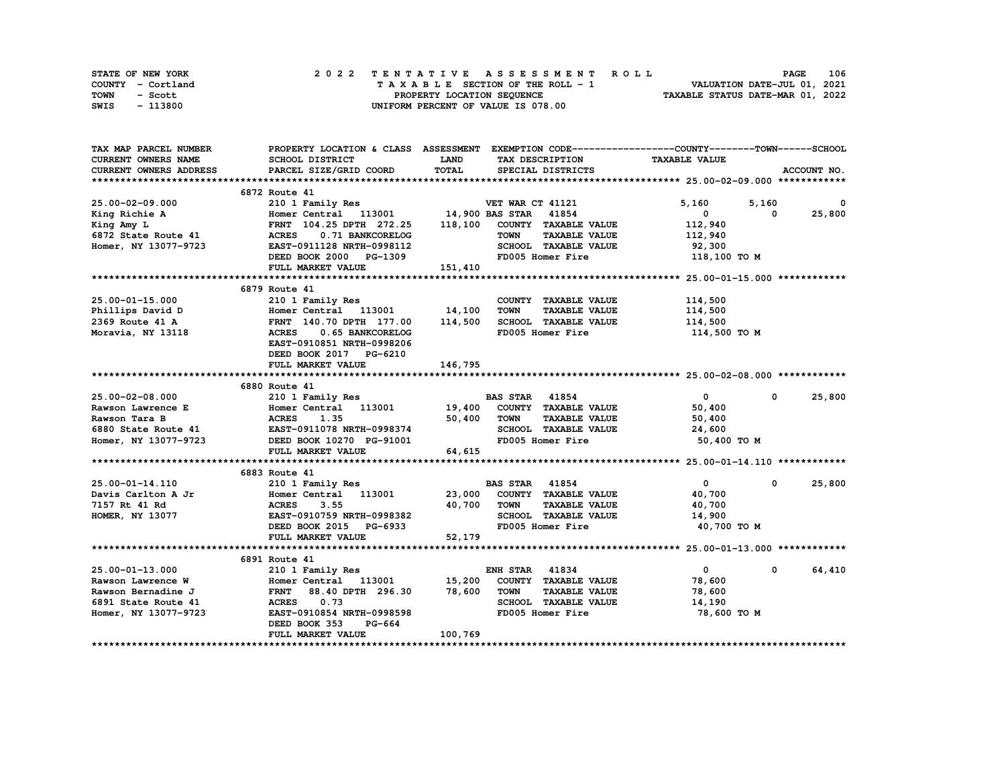| STATE OF NEW YORK | 2022 TENTATIVE ASSESSMENT ROLL     | 106<br><b>PAGE</b>               |
|-------------------|------------------------------------|----------------------------------|
| COUNTY - Cortland | TAXABLE SECTION OF THE ROLL - 1    | VALUATION DATE-JUL 01, 2021      |
| TOWN<br>- Scott   | PROPERTY LOCATION SEQUENCE         | TAXABLE STATUS DATE-MAR 01, 2022 |
| SWIS<br>- 113800  | UNIFORM PERCENT OF VALUE IS 078.00 |                                  |

| TAX MAP PARCEL NUMBER                         | PROPERTY LOCATION & CLASS ASSESSMENT EXEMPTION CODE----------------COUNTY-------TOWN-----SCHOOL |              |                                     |                      |              |             |
|-----------------------------------------------|-------------------------------------------------------------------------------------------------|--------------|-------------------------------------|----------------------|--------------|-------------|
| <b>CURRENT OWNERS NAME</b>                    | SCHOOL DISTRICT                                                                                 | <b>LAND</b>  | TAX DESCRIPTION                     | <b>TAXABLE VALUE</b> |              |             |
| <b>CURRENT OWNERS ADDRESS</b>                 | PARCEL SIZE/GRID COORD                                                                          | <b>TOTAL</b> | SPECIAL DISTRICTS                   |                      |              | ACCOUNT NO. |
|                                               |                                                                                                 |              |                                     |                      |              |             |
|                                               | 6872 Route 41                                                                                   |              |                                     |                      |              |             |
| 25.00-02-09.000                               | 210 1 Family Res                                                                                |              | VET WAR CT 41121                    | 5,160                | 5,160        | 0           |
| King Richie A                                 | Homer Central 113001 14,900 BAS STAR                                                            |              | 41854                               | 0                    | $\Omega$     | 25,800      |
| King Amy L                                    | FRNT 104.25 DPTH 272.25                                                                         |              | 118,100 COUNTY TAXABLE VALUE        | 112,940              |              |             |
| 6872 State Route 41                           | <b>ACRES</b><br>0.71 BANKCORELOG                                                                |              | <b>TAXABLE VALUE</b><br>TOWN        | 112,940              |              |             |
| Homer, NY 13077-9723                          | EAST-0911128 NRTH-0998112                                                                       |              | SCHOOL TAXABLE VALUE                | 92,300               |              |             |
|                                               | DEED BOOK 2000 PG-1309                                                                          |              | FD005 Homer Fire                    | 118,100 TO M         |              |             |
|                                               | FULL MARKET VALUE                                                                               | 151,410      |                                     |                      |              |             |
|                                               |                                                                                                 |              |                                     |                      |              |             |
|                                               | 6879 Route 41                                                                                   |              |                                     |                      |              |             |
| 25.00-01-15.000                               | 210 1 Family Res                                                                                |              | COUNTY TAXABLE VALUE                | 114,500              |              |             |
| Phillips David D                              | Homer Central 113001                                                                            | 14,100       | <b>TAXABLE VALUE</b><br>TOWN        | 114,500              |              |             |
| 2369 Route 41 A                               | FRNT 140.70 DPTH 177.00                                                                         | 114,500      | SCHOOL TAXABLE VALUE                | 114,500              |              |             |
| Moravia, NY 13118                             | <b>ACRES</b><br>0.65 BANKCORELOG                                                                |              | FD005 Homer Fire                    | 114,500 TO M         |              |             |
|                                               | EAST-0910851 NRTH-0998206                                                                       |              |                                     |                      |              |             |
|                                               | DEED BOOK 2017 PG-6210                                                                          |              |                                     |                      |              |             |
|                                               | FULL MARKET VALUE                                                                               | 146,795      |                                     |                      |              |             |
|                                               |                                                                                                 |              |                                     |                      |              |             |
|                                               | 6880 Route 41                                                                                   |              |                                     |                      |              |             |
| $25.00 - 02 - 08.000$                         | 210 1 Family Res                                                                                |              | <b>BAS STAR 41854</b>               | $\Omega$             | $\mathbf{0}$ | 25,800      |
|                                               | Homer Central 113001 19,400                                                                     |              | COUNTY TAXABLE VALUE                | 50,400               |              |             |
| <b>Rawson Lawrence E<br/>Rawson Tara B</b>    | <b>ACRES</b><br>1.35                                                                            | 50,400       | <b>TAXABLE VALUE</b><br>TOWN        | 50,400               |              |             |
| 6880 State Route 41 EAST-0911078 NRTH-0998374 |                                                                                                 |              | SCHOOL TAXABLE VALUE                | 24,600               |              |             |
| Homer, NY 13077-9723                          | DEED BOOK 10270 PG-91001                                                                        |              | FD005 Homer Fire                    | 50,400 TO M          |              |             |
|                                               | FULL MARKET VALUE                                                                               | 64,615       |                                     |                      |              |             |
|                                               |                                                                                                 |              |                                     |                      |              |             |
|                                               | 6883 Route 41                                                                                   |              |                                     |                      |              |             |
| 25.00-01-14.110                               | 210 1 Family Res                                                                                |              | <b>BAS STAR</b><br>41854            | $\mathbf{0}$         | $^{\circ}$   | 25,800      |
| Davis Carlton A Jr                            | Homer Central 113001                                                                            | 23,000       | COUNTY TAXABLE VALUE                | 40,700               |              |             |
| 7157 Rt 41 Rd                                 | <b>ACRES</b><br>3.55                                                                            | 40,700       | <b>TOWN</b><br><b>TAXABLE VALUE</b> | 40,700               |              |             |
| <b>HOMER, NY 13077</b>                        | EAST-0910759 NRTH-0998382                                                                       |              | SCHOOL TAXABLE VALUE                | 14,900               |              |             |
|                                               | DEED BOOK 2015 PG-6933                                                                          |              | FD005 Homer Fire                    | 40,700 TO M          |              |             |
|                                               | FULL MARKET VALUE                                                                               | 52,179       |                                     |                      |              |             |
|                                               |                                                                                                 |              |                                     |                      |              |             |
|                                               | 6891 Route 41                                                                                   |              |                                     |                      |              |             |
| 25.00-01-13.000                               | 210 1 Family Res                                                                                |              | <b>ENH STAR 41834</b>               | $\mathbf{0}$         | 0            | 64,410      |
| Rawson Lawrence W                             | Homer Central 113001                                                                            | 15,200       | COUNTY TAXABLE VALUE                | 78,600               |              |             |
| Rawson Bernadine J                            | FRNT 88.40 DPTH 296.30                                                                          | 78,600       | <b>TOWN</b><br><b>TAXABLE VALUE</b> | 78,600               |              |             |
| 6891 State Route 41                           | 0.73<br><b>ACRES</b>                                                                            |              | SCHOOL TAXABLE VALUE                | 14,190               |              |             |
| Homer, NY 13077-9723                          | EAST-0910854 NRTH-0998598                                                                       |              | FD005 Homer Fire                    | 78,600 TO M          |              |             |
|                                               | DEED BOOK 353<br>PG-664                                                                         |              |                                     |                      |              |             |
|                                               | FULL MARKET VALUE                                                                               | 100,769      |                                     |                      |              |             |
|                                               |                                                                                                 |              |                                     |                      |              |             |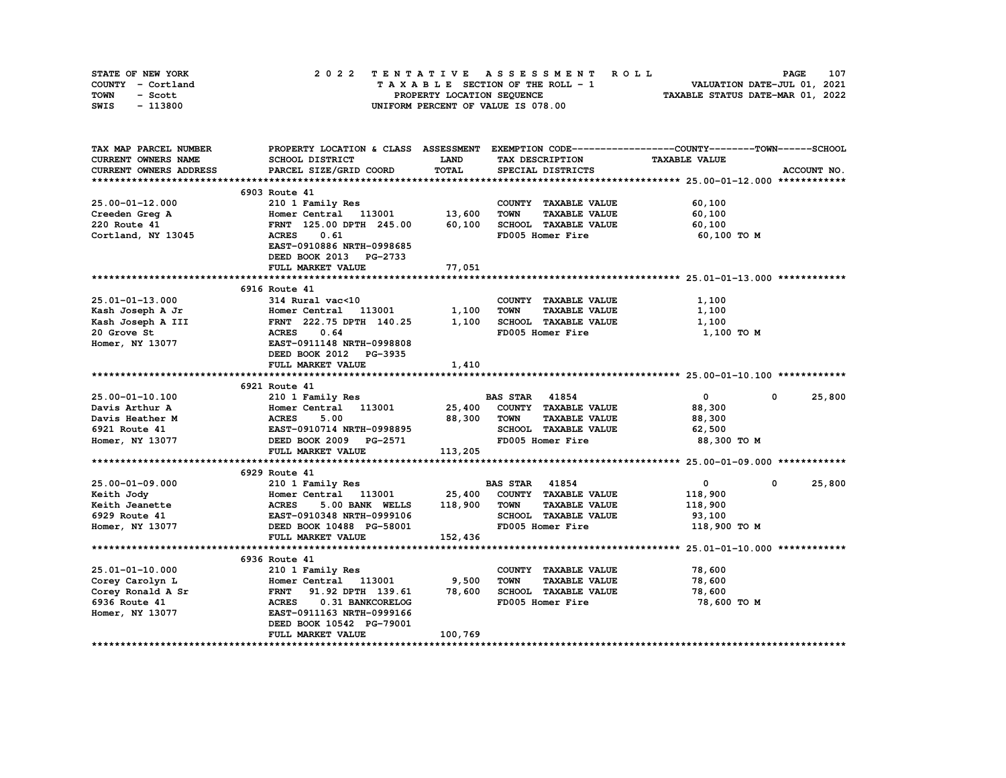| STATE OF NEW YORK | 2022 TENTATIVE ASSESSMENT ROLL     | 107<br><b>PAGE</b>               |
|-------------------|------------------------------------|----------------------------------|
| COUNTY - Cortland | TAXABLE SECTION OF THE ROLL - 1    | VALUATION DATE-JUL 01, 2021      |
| TOWN<br>- Scott   | PROPERTY LOCATION SEQUENCE         | TAXABLE STATUS DATE-MAR 01, 2022 |
| SWIS<br>- 113800  | UNIFORM PERCENT OF VALUE IS 078.00 |                                  |

| TAX MAP PARCEL NUMBER  |                                                                 |             |                                     | PROPERTY LOCATION & CLASS ASSESSMENT EXEMPTION CODE----------------COUNTY-------TOWN-----SCHOOL |             |
|------------------------|-----------------------------------------------------------------|-------------|-------------------------------------|-------------------------------------------------------------------------------------------------|-------------|
| CURRENT OWNERS NAME    | SCHOOL DISTRICT                                                 | <b>LAND</b> | TAX DESCRIPTION                     | <b>TAXABLE VALUE</b>                                                                            |             |
| CURRENT OWNERS ADDRESS | PARCEL SIZE/GRID COORD                                          | TOTAL       | SPECIAL DISTRICTS                   |                                                                                                 | ACCOUNT NO. |
|                        |                                                                 |             |                                     |                                                                                                 |             |
|                        | 6903 Route 41                                                   |             |                                     |                                                                                                 |             |
| 25.00-01-12.000        | 210 1 Family Res                                                |             | COUNTY TAXABLE VALUE                | 60,100                                                                                          |             |
| Creeden Greg A         | Homer Central 113001 13,600                                     |             | <b>TOWN</b><br><b>TAXABLE VALUE</b> | 60,100                                                                                          |             |
| 220 Route 41           | FRNT 125.00 DPTH 245.00                                         | 60,100      | SCHOOL TAXABLE VALUE                | 60,100                                                                                          |             |
| Cortland, NY 13045     | <b>ACRES</b><br>0.61                                            |             | FD005 Homer Fire                    | 60,100 то м                                                                                     |             |
|                        | EAST-0910886 NRTH-0998685                                       |             |                                     |                                                                                                 |             |
|                        | DEED BOOK 2013 PG-2733                                          |             |                                     |                                                                                                 |             |
|                        | FULL MARKET VALUE                                               | 77,051      |                                     |                                                                                                 |             |
|                        |                                                                 |             |                                     |                                                                                                 |             |
|                        | 6916 Route 41                                                   |             |                                     |                                                                                                 |             |
| 25.01-01-13.000        | 314 Rural vac<10                                                |             | COUNTY TAXABLE VALUE                | 1,100                                                                                           |             |
| Kash Joseph A Jr       | Homer Central 113001                                            | 1,100       | <b>TOWN</b><br><b>TAXABLE VALUE</b> | 1,100                                                                                           |             |
| Kash Joseph A III      | FRNT 222.75 DPTH 140.25                                         | 1,100       | SCHOOL TAXABLE VALUE                | 1,100                                                                                           |             |
| 20 Grove St            | <b>ACRES</b><br>0.64                                            |             | FD005 Homer Fire                    | 1,100 то м                                                                                      |             |
| Homer, NY 13077        | EAST-0911148 NRTH-0998808                                       |             |                                     |                                                                                                 |             |
|                        | DEED BOOK 2012 PG-3935                                          |             |                                     |                                                                                                 |             |
|                        | FULL MARKET VALUE                                               | 1,410       |                                     |                                                                                                 |             |
|                        |                                                                 |             |                                     |                                                                                                 |             |
|                        | 6921 Route 41                                                   |             |                                     |                                                                                                 |             |
| $25.00 - 01 - 10.100$  | 210 1 Family Res                                                |             | <b>BAS STAR 41854</b>               | $\mathbf{0}$<br>$\mathbf{0}$                                                                    | 25,800      |
| Davis Arthur A         | Homer Central 113001<br>ACRES 5.00<br>EAST-0910714 NRTH-0998895 | 25,400      | COUNTY TAXABLE VALUE                | 88,300                                                                                          |             |
| Davis Heather M        |                                                                 | 88,300      | <b>TOWN</b><br><b>TAXABLE VALUE</b> | 88,300                                                                                          |             |
| 6921 Route 41          |                                                                 |             | SCHOOL TAXABLE VALUE                | 62,500                                                                                          |             |
| Homer, NY 13077        | DEED BOOK 2009 PG-2571                                          |             | FD005 Homer Fire                    | 88,300 TO M                                                                                     |             |
|                        | FULL MARKET VALUE                                               | 113,205     |                                     |                                                                                                 |             |
|                        |                                                                 |             |                                     |                                                                                                 |             |
|                        | 6929 Route 41                                                   |             |                                     |                                                                                                 |             |
| 25.00-01-09.000        | 210 1 Family Res                                                |             | <b>BAS STAR 41854</b>               | $\mathbf{0}$<br>$^{\circ}$                                                                      | 25,800      |
| Keith Jody             | 113001<br>Homer Central                                         | 25,400      | COUNTY TAXABLE VALUE                | 118,900                                                                                         |             |
| Keith Jeanette         | 5.00 BANK WELLS 118,900<br><b>ACRES</b>                         |             | <b>TOWN</b><br><b>TAXABLE VALUE</b> | 118,900                                                                                         |             |
|                        | 6929 Route 41 EAST-0910348 NRTH-0999106                         |             | SCHOOL TAXABLE VALUE                | 93,100                                                                                          |             |
| Homer, NY 13077        | DEED BOOK 10488 PG-58001                                        |             | FD005 Homer Fire                    | 118,900 TO M                                                                                    |             |
|                        | FULL MARKET VALUE                                               | 152,436     |                                     |                                                                                                 |             |
|                        |                                                                 |             |                                     |                                                                                                 |             |
|                        | 6936 Route 41                                                   |             |                                     |                                                                                                 |             |
| 25.01-01-10.000        | 210 1 Family Res                                                |             | COUNTY TAXABLE VALUE                | 78,600                                                                                          |             |
| Corey Carolyn L        | Homer Central 113001                                            | 9,500       | <b>TOWN</b><br><b>TAXABLE VALUE</b> | 78,600                                                                                          |             |
| Corey Ronald A Sr      | FRNT 91.92 DPTH 139.61                                          | 78,600      | SCHOOL TAXABLE VALUE                | 78,600                                                                                          |             |
| 6936 Route 41          | <b>ACRES</b><br>0.31 BANKCORELOG                                |             | FD005 Homer Fire                    | 78,600 TO M                                                                                     |             |
| Homer, NY 13077        | EAST-0911163 NRTH-0999166                                       |             |                                     |                                                                                                 |             |
|                        | DEED BOOK 10542 PG-79001                                        |             |                                     |                                                                                                 |             |
|                        | FULL MARKET VALUE                                               | 100,769     |                                     |                                                                                                 |             |
|                        |                                                                 |             |                                     |                                                                                                 |             |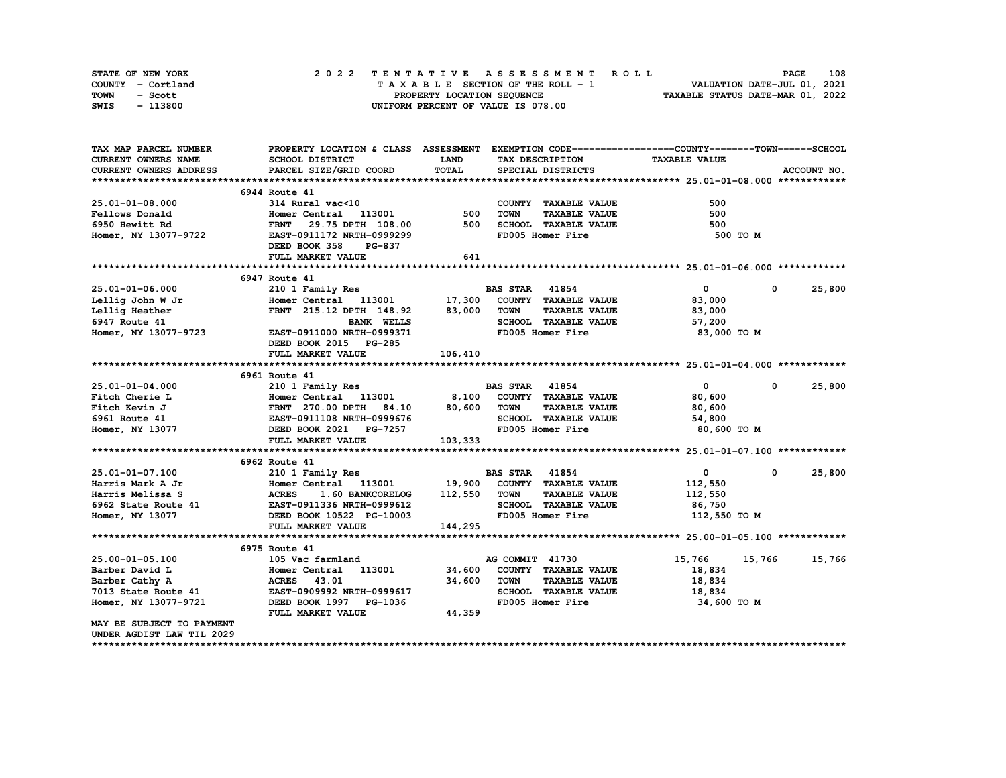| STATE OF NEW YORK | 2022 TENTATIVE ASSESSMENT ROLL     | 108<br><b>PAGE</b>               |
|-------------------|------------------------------------|----------------------------------|
| COUNTY - Cortland | TAXABLE SECTION OF THE ROLL - 1    | VALUATION DATE-JUL 01, 2021      |
| TOWN<br>- Scott   | PROPERTY LOCATION SEQUENCE         | TAXABLE STATUS DATE-MAR 01, 2022 |
| SWIS<br>- 113800  | UNIFORM PERCENT OF VALUE IS 078.00 |                                  |

| TAX MAP PARCEL NUMBER              | PROPERTY LOCATION & CLASS ASSESSMENT EXEMPTION CODE----------------COUNTY-------TOWN-----SCHOOL                                                                                                             |             |                                     |                      |                        |
|------------------------------------|-------------------------------------------------------------------------------------------------------------------------------------------------------------------------------------------------------------|-------------|-------------------------------------|----------------------|------------------------|
| <b>CURRENT OWNERS NAME</b>         | SCHOOL DISTRICT                                                                                                                                                                                             | <b>LAND</b> | TAX DESCRIPTION                     | <b>TAXABLE VALUE</b> |                        |
| <b>CURRENT OWNERS ADDRESS</b>      | PARCEL SIZE/GRID COORD                                                                                                                                                                                      | TOTAL       | SPECIAL DISTRICTS                   |                      | ACCOUNT NO.            |
|                                    |                                                                                                                                                                                                             |             |                                     |                      |                        |
|                                    | 6944 Route 41                                                                                                                                                                                               |             |                                     |                      |                        |
| 25.01-01-08.000                    | $314$ Rural vac<10                                                                                                                                                                                          |             | COUNTY TAXABLE VALUE                | 500                  |                        |
| <b>Fellows Donald</b>              | Homer Central 113001 500                                                                                                                                                                                    |             | <b>TOWN</b><br><b>TAXABLE VALUE</b> | 500                  |                        |
| 6950 Hewitt Rd                     | FRNT 29.75 DPTH 108.00 500                                                                                                                                                                                  |             | SCHOOL TAXABLE VALUE                | 500                  |                        |
| Homer, NY 13077-9722               | EAST-0911172 NRTH-0999299                                                                                                                                                                                   |             | FD005 Homer Fire                    | 500 TO M             |                        |
|                                    | DEED BOOK 358<br><b>PG-837</b>                                                                                                                                                                              |             |                                     |                      |                        |
|                                    | FULL MARKET VALUE                                                                                                                                                                                           | 641         |                                     |                      |                        |
|                                    |                                                                                                                                                                                                             |             |                                     |                      |                        |
|                                    | 6947 Route 41                                                                                                                                                                                               |             |                                     |                      |                        |
| 25.01-01-06.000                    | 210 1 Family Res                                                                                                                                                                                            |             | <b>BAS STAR</b> 41854               | $\mathbf{0}$         | $\mathbf{0}$<br>25,800 |
| Lellig John W Jr                   | Homer Central 113001 17,300                                                                                                                                                                                 |             | COUNTY TAXABLE VALUE                | 83,000               |                        |
| Lellig Heather                     | FRNT 215.12 DPTH 148.92 83,000 TOWN                                                                                                                                                                         |             | <b>TAXABLE VALUE</b>                | 83,000               |                        |
| 6947 Route 41                      | <b>BANK WELLS</b>                                                                                                                                                                                           |             | SCHOOL TAXABLE VALUE                | 57,200               |                        |
| Homer, NY 13077-9723               | EAST-0911000 NRTH-0999371                                                                                                                                                                                   |             | FD005 Homer Fire                    | 83,000 TO M          |                        |
|                                    | DEED BOOK 2015 PG-285                                                                                                                                                                                       |             |                                     |                      |                        |
|                                    | FULL MARKET VALUE                                                                                                                                                                                           | 106,410     |                                     |                      |                        |
|                                    |                                                                                                                                                                                                             |             |                                     |                      |                        |
|                                    | 6961 Route 41                                                                                                                                                                                               |             |                                     |                      |                        |
| $25.01 - 01 - 04.000$              | 210 1 Family Res                                                                                                                                                                                            |             | <b>BAS STAR 41854</b>               | $\mathbf{0}$         | 25,800<br>$\mathbf{0}$ |
|                                    |                                                                                                                                                                                                             |             |                                     | 80,600               |                        |
|                                    |                                                                                                                                                                                                             |             |                                     | 80,600               |                        |
|                                    |                                                                                                                                                                                                             |             | SCHOOL TAXABLE VALUE 54,800         |                      |                        |
|                                    | Fitch Cherie L<br>Fitch Kevin J<br>FRNT 270.00 DPTH 84.10<br>FRNT 270.00 DPTH 84.10<br>EAST-0911108 NRTH-0999676<br>Homer, NY 13077<br>DEED BOOK 2021 PG-7257<br>PEED BOOK 2021 PG-7257<br>FD005 Homer Fire |             |                                     | 80,600 TO M          |                        |
|                                    | FULL MARKET VALUE                                                                                                                                                                                           | 103,333     |                                     |                      |                        |
|                                    |                                                                                                                                                                                                             |             |                                     |                      |                        |
|                                    | 6962 Route 41                                                                                                                                                                                               |             |                                     |                      |                        |
| 25.01-01-07.100                    | 210 1 Family Res                                                                                                                                                                                            |             | <b>BAS STAR 41854</b>               | $\overline{0}$       | 25,800<br>$^{\circ}$   |
| Harris Mark A Jr                   | Homer Central 113001 19,900 COUNTY TAXABLE VALUE                                                                                                                                                            |             |                                     | 112,550              |                        |
| Homer<br>ACRES<br>Harris Melissa S | 1.60 BANKCORELOG 112,550                                                                                                                                                                                    |             | TOWN<br><b>TAXABLE VALUE</b>        | 112,550              |                        |
|                                    | 6962 State Route 41 EAST-0911336 NRTH-0999612                                                                                                                                                               |             | SCHOOL TAXABLE VALUE                | 86,750               |                        |
| Homer, NY 13077                    | DEED BOOK 10522 PG-10003                                                                                                                                                                                    |             | FD005 Homer Fire                    | 112,550 TO M         |                        |
|                                    | FULL MARKET VALUE                                                                                                                                                                                           | 144,295     |                                     |                      |                        |
|                                    |                                                                                                                                                                                                             |             |                                     |                      |                        |
|                                    | 6975 Route 41                                                                                                                                                                                               |             |                                     |                      |                        |
| 25.00-01-05.100                    | 105 Vac farmland                                                                                                                                                                                            |             | AG COMMIT 41730                     | 15,766               | 15,766<br>15,766       |
| Barber David L                     | Homer Central 113001                                                                                                                                                                                        | 34,600      | COUNTY TAXABLE VALUE                | 18,834               |                        |
| Barber Cathy A                     | <b>ACRES</b> 43.01                                                                                                                                                                                          | 34,600      | <b>TAXABLE VALUE</b><br><b>TOWN</b> | 18,834               |                        |
|                                    |                                                                                                                                                                                                             |             | SCHOOL TAXABLE VALUE                | 18,834               |                        |
|                                    | 7013 State Route 41 EAST-0909992 NRTH-0999617<br>Homer, NY 13077-9721 DEED BOOK 1997 PG-1036                                                                                                                |             | FD005 Homer Fire                    | 34,600 TO M          |                        |
|                                    | FULL MARKET VALUE                                                                                                                                                                                           | 44,359      |                                     |                      |                        |
| MAY BE SUBJECT TO PAYMENT          |                                                                                                                                                                                                             |             |                                     |                      |                        |
| UNDER AGDIST LAW TIL 2029          |                                                                                                                                                                                                             |             |                                     |                      |                        |

**\*\*\*\*\*\*\*\*\*\*\*\*\*\*\*\*\*\*\*\*\*\*\*\*\*\*\*\*\*\*\*\*\*\*\*\*\*\*\*\*\*\*\*\*\*\*\*\*\*\*\*\*\*\*\*\*\*\*\*\*\*\*\*\*\*\*\*\*\*\*\*\*\*\*\*\*\*\*\*\*\*\*\*\*\*\*\*\*\*\*\*\*\*\*\*\*\*\*\*\*\*\*\*\*\*\*\*\*\*\*\*\*\*\*\*\*\*\*\*\*\*\*\*\*\*\*\*\*\*\*\*\***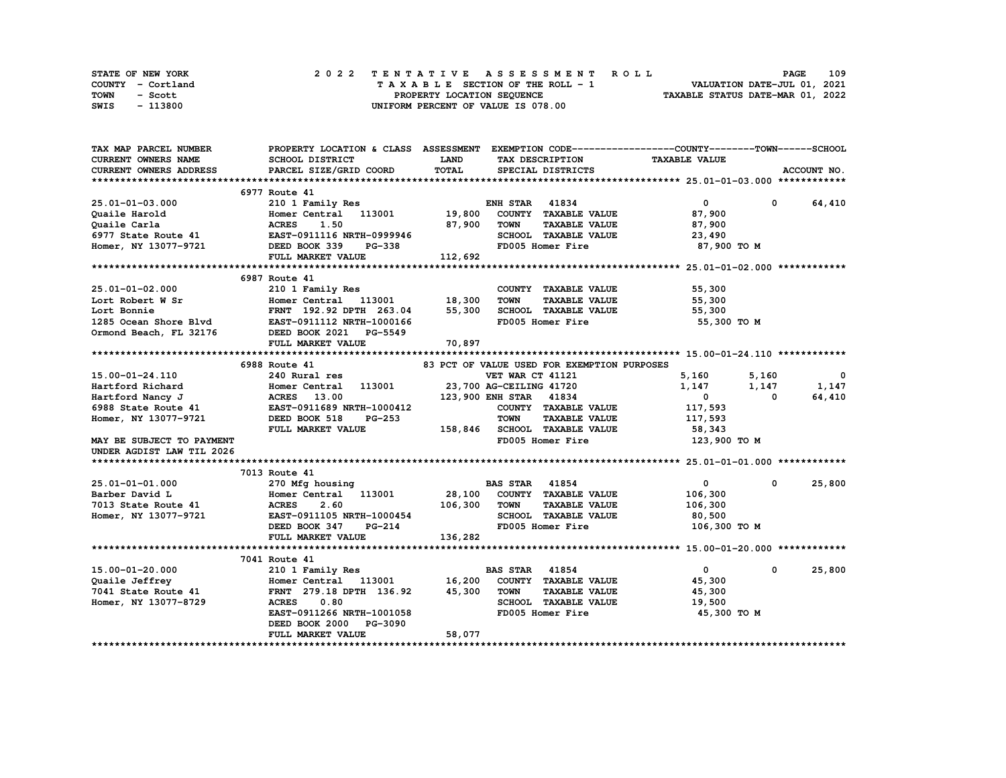| STATE OF NEW YORK | 2022 TENTATIVE ASSESSMENT ROLL     | 109<br><b>PAGE</b>               |
|-------------------|------------------------------------|----------------------------------|
| COUNTY - Cortland | TAXABLE SECTION OF THE ROLL - 1    | VALUATION DATE-JUL 01, 2021      |
| TOWN<br>- Scott   | PROPERTY LOCATION SEQUENCE         | TAXABLE STATUS DATE-MAR 01, 2022 |
| - 113800<br>SWIS  | UNIFORM PERCENT OF VALUE IS 078.00 |                                  |

| TAX MAP PARCEL NUMBER         | PROPERTY LOCATION & CLASS ASSESSMENT EXEMPTION CODE----------------COUNTY-------TOWN-----SCHOOL                                                                                                                                          |              |                                             |                      |                          |
|-------------------------------|------------------------------------------------------------------------------------------------------------------------------------------------------------------------------------------------------------------------------------------|--------------|---------------------------------------------|----------------------|--------------------------|
| <b>CURRENT OWNERS NAME</b>    | SCHOOL DISTRICT                                                                                                                                                                                                                          | <b>LAND</b>  | TAX DESCRIPTION                             | <b>TAXABLE VALUE</b> |                          |
| <b>CURRENT OWNERS ADDRESS</b> | PARCEL SIZE/GRID COORD                                                                                                                                                                                                                   | <b>TOTAL</b> | SPECIAL DISTRICTS                           |                      | ACCOUNT NO.              |
|                               |                                                                                                                                                                                                                                          |              |                                             |                      |                          |
|                               | 6977 Route 41                                                                                                                                                                                                                            |              |                                             |                      |                          |
| 25.01-01-03.000               | 210 1 Family Res                                                                                                                                                                                                                         |              | <b>ENH STAR 41834</b>                       | $\mathbf{0}$         | 64,410<br>$^{\circ}$     |
| Quaile Harold                 | Homer Central 113001 19,800 COUNTY TAXABLE VALUE                                                                                                                                                                                         |              |                                             | 87,900               |                          |
|                               |                                                                                                                                                                                                                                          | 87,900       | TOWN<br><b>TAXABLE VALUE</b>                | 87,900               |                          |
|                               | 2011 Carla MCRES 1.50<br>6977 State Route 41 EAST-0911116 NRTH-0999946                                                                                                                                                                   |              | SCHOOL TAXABLE VALUE 23,490                 |                      |                          |
|                               |                                                                                                                                                                                                                                          |              | FD005 Homer Fire                            | 87,900 то м          |                          |
|                               | FULL MARKET VALUE                                                                                                                                                                                                                        | 112,692      |                                             |                      |                          |
|                               |                                                                                                                                                                                                                                          |              |                                             |                      |                          |
|                               | 6987 Route 41                                                                                                                                                                                                                            |              |                                             |                      |                          |
| 25.01-01-02.000               | 210 1 Family Res                                                                                                                                                                                                                         |              | COUNTY TAXABLE VALUE                        | 55,300               |                          |
|                               |                                                                                                                                                                                                                                          |              | <b>TOWN</b><br><b>TAXABLE VALUE</b>         | 55,300               |                          |
|                               |                                                                                                                                                                                                                                          |              | SCHOOL TAXABLE VALUE                        | 55,300               |                          |
|                               | 25.01-01-02.000 210 1 Family Res<br>Lort Robert W Sr Homer Central 113001 18,300<br>Lort Bonnie FRNT 192.92 DPTH 263.04 55,300<br>1285 Ocean Shore Blvd EAST-0911112 NRTH-1000166<br>Ormond Beach, FL 32176 DEED BOOK 2021 PTG-5549<br>W |              | FD005 Homer Fire                            |                      |                          |
|                               |                                                                                                                                                                                                                                          |              |                                             | 55,300 TO M          |                          |
|                               |                                                                                                                                                                                                                                          |              |                                             |                      |                          |
|                               | FULL MARKET VALUE                                                                                                                                                                                                                        | 70,897       |                                             |                      |                          |
|                               |                                                                                                                                                                                                                                          |              |                                             |                      |                          |
|                               |                                                                                                                                                                                                                                          |              | 83 PCT OF VALUE USED FOR EXEMPTION PURPOSES |                      |                          |
|                               |                                                                                                                                                                                                                                          |              |                                             | 5,160 5,160          | $\overline{\phantom{0}}$ |
|                               |                                                                                                                                                                                                                                          |              |                                             | $1,147$ $1,147$ 0    | 1,147                    |
|                               |                                                                                                                                                                                                                                          |              |                                             |                      | 64,410                   |
|                               | 6988 State Route 41 EAST-0911689 NRTH-1000412<br>Homer, NY 13077-9721 DEED BOOK 518 PG-253                                                                                                                                               |              | COUNTY TAXABLE VALUE                        | 117,593<br>117,593   |                          |
|                               | <b>PG-253</b>                                                                                                                                                                                                                            |              | <b>TOWN</b><br><b>TAXABLE VALUE</b>         |                      |                          |
|                               | FULL MARKET VALUE                                                                                                                                                                                                                        |              | 158,846 SCHOOL TAXABLE VALUE 58,343         |                      |                          |
| MAY BE SUBJECT TO PAYMENT     |                                                                                                                                                                                                                                          |              | FD005 Homer Fire                            | 123,900 TO M         |                          |
| UNDER AGDIST LAW TIL 2026     |                                                                                                                                                                                                                                          |              |                                             |                      |                          |
|                               |                                                                                                                                                                                                                                          |              |                                             |                      |                          |
|                               | 7013 Route 41                                                                                                                                                                                                                            |              |                                             |                      |                          |
| 25.01-01-01.000               | 270 Mfg housing                                                                                                                                                                                                                          |              | <b>BAS STAR</b> 41854                       | $\mathbf{0}$         | 25,800<br>0              |
| Barber David L                |                                                                                                                                                                                                                                          |              |                                             | 106,300              |                          |
| 7013 State Route 41           |                                                                                                                                                                                                                                          |              |                                             | 106,300              |                          |
| Homer, NY 13077-9721          |                                                                                                                                                                                                                                          |              | SCHOOL TAXABLE VALUE                        | 80,500               |                          |
|                               | For Tentral 113001 28,100 COUNTY TAXABLE VALUE<br>ACRES 2.60 106,300 TOWN TAXABLE VALUE<br>EAST-0911105 NRTH-1000454 SCHOOL TAXABLE VALUE<br>DEED BOOK 347 PG-214 FD005 Homer Fire                                                       |              |                                             | 106,300 то м         |                          |
|                               | FULL MARKET VALUE                                                                                                                                                                                                                        | 136,282      |                                             |                      |                          |
|                               |                                                                                                                                                                                                                                          |              |                                             |                      |                          |
|                               | 7041 Route 41                                                                                                                                                                                                                            |              |                                             |                      |                          |
|                               |                                                                                                                                                                                                                                          |              |                                             | $\mathbf{0}$         | 25,800<br>0              |
|                               | 15.00-01-20.000 210 1 Family Res BAS STAR 41854<br>Quaile Jeffrey Homer Central 113001 16,200 COUNTY TAXABLE VALUE<br>19.18 DPTH 136.92 45,300 TOWN TAXABLE VALUE                                                                        |              |                                             | 45,300               |                          |
|                               |                                                                                                                                                                                                                                          |              |                                             | 45,300               |                          |
| Homer, NY 13077-8729          |                                                                                                                                                                                                                                          |              | SCHOOL TAXABLE VALUE 19,500                 |                      |                          |
|                               | $\frac{1}{2}$<br>EAST-0911266 NRTH-1001058                                                                                                                                                                                               |              | FD005 Homer Fire                            | 45,300 то м          |                          |
|                               | DEED BOOK 2000 PG-3090                                                                                                                                                                                                                   |              |                                             |                      |                          |
|                               | FULL MARKET VALUE                                                                                                                                                                                                                        | 58,077       |                                             |                      |                          |
|                               |                                                                                                                                                                                                                                          |              |                                             |                      |                          |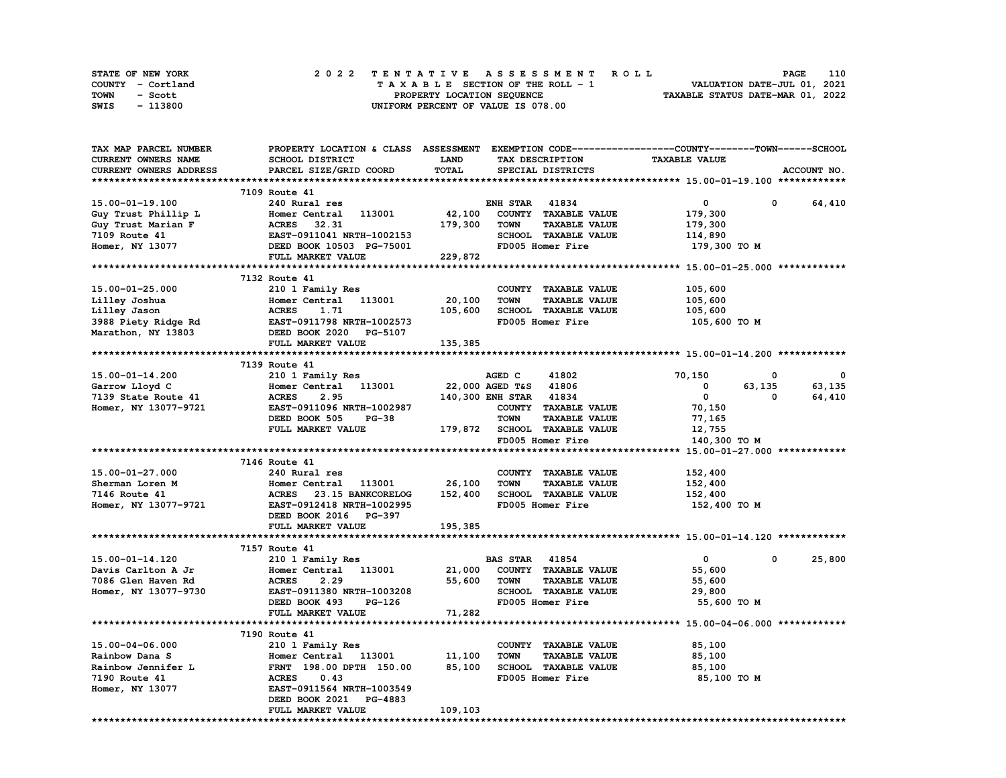| STATE OF NEW YORK | 2022 TENTATIVE ASSESSMENT ROLL     | 110<br>PAGE                      |
|-------------------|------------------------------------|----------------------------------|
| COUNTY - Cortland | TAXABLE SECTION OF THE ROLL - 1    | VALUATION DATE-JUL 01, 2021      |
| TOWN<br>- Scott   | PROPERTY LOCATION SEQUENCE         | TAXABLE STATUS DATE-MAR 01, 2022 |
| - 113800<br>SWIS  | UNIFORM PERCENT OF VALUE IS 078.00 |                                  |

| TAX MAP PARCEL NUMBER                     | PROPERTY LOCATION & CLASS ASSESSMENT EXEMPTION CODE-----------------COUNTY-------TOWN-----SCHOOL                                                                                                                       |                        |                       |                              |                         |              |             |
|-------------------------------------------|------------------------------------------------------------------------------------------------------------------------------------------------------------------------------------------------------------------------|------------------------|-----------------------|------------------------------|-------------------------|--------------|-------------|
| CURRENT OWNERS NAME                       | SCHOOL DISTRICT                                                                                                                                                                                                        | <b>LAND</b>            |                       | TAX DESCRIPTION              | <b>TAXABLE VALUE</b>    |              |             |
| CURRENT OWNERS ADDRESS                    | PARCEL SIZE/GRID COORD                                                                                                                                                                                                 | TOTAL                  |                       | SPECIAL DISTRICTS            |                         |              | ACCOUNT NO. |
|                                           |                                                                                                                                                                                                                        |                        |                       |                              |                         |              |             |
|                                           | 7109 Route 41                                                                                                                                                                                                          |                        |                       |                              |                         |              |             |
| 15.00-01-19.100                           | 240 Rural res                                                                                                                                                                                                          |                        | <b>ENH STAR 41834</b> |                              | $\mathbf 0$             | 0            | 64,410      |
|                                           |                                                                                                                                                                                                                        | 42,100                 |                       | COUNTY TAXABLE VALUE         | 179,300                 |              |             |
|                                           |                                                                                                                                                                                                                        | 179,300                | <b>TOWN</b>           | <b>TAXABLE VALUE</b>         |                         |              |             |
|                                           | Guy Trust Phillip L<br>Guy Trust Marian F<br>Tust Marian F<br>ACRES 32.31<br>T19,300<br>T109 Route 41<br>EAST-0911041 NRTH-1002153<br>Homer, NY 13077<br>DEED BOOK 10503 PG-75001<br>ENTI MPET WAPET WALKER AT 229 872 |                        |                       | SCHOOL TAXABLE VALUE         | 179,300<br>114,890      |              |             |
|                                           |                                                                                                                                                                                                                        |                        |                       |                              |                         |              |             |
|                                           |                                                                                                                                                                                                                        |                        |                       | FD005 Homer Fire             | 179,300 то м            |              |             |
|                                           | FULL MARKET VALUE                                                                                                                                                                                                      | 229,872                |                       |                              |                         |              |             |
|                                           |                                                                                                                                                                                                                        |                        |                       |                              |                         |              |             |
|                                           | 7132 Route 41                                                                                                                                                                                                          |                        |                       |                              |                         |              |             |
| 15.00-01-25.000                           | 210 1 Family Res                                                                                                                                                                                                       |                        |                       | COUNTY TAXABLE VALUE         | 105,600                 |              |             |
| Lilley Joshua                             | Homer Central 113001                                                                                                                                                                                                   | 20,100                 | <b>TOWN</b>           | <b>TAXABLE VALUE</b>         | 105,600                 |              |             |
| Lilley Jason                              | <b>ACRES</b><br>1.71                                                                                                                                                                                                   | 105,600                |                       | SCHOOL TAXABLE VALUE         | 105,600                 |              |             |
| 3988 Piety Ridge Rd<br>Marathon, NY 13803 | EAST-0911798 NRTH-1002573                                                                                                                                                                                              |                        |                       | FD005 Homer Fire             | 105,600 то м            |              |             |
|                                           | DEED BOOK 2020 PG-5107                                                                                                                                                                                                 |                        |                       |                              |                         |              |             |
|                                           | FULL MARKET VALUE                                                                                                                                                                                                      | 135,385                |                       |                              |                         |              |             |
|                                           |                                                                                                                                                                                                                        |                        |                       |                              |                         |              |             |
|                                           | 7139 Route 41                                                                                                                                                                                                          |                        |                       |                              |                         |              |             |
| 15.00-01-14.200                           | 210 1 Family Res                                                                                                                                                                                                       |                        | AGED C                | 41802                        | 70,150                  | 0            | 0           |
| Garrow Lloyd C                            | Homer Central 113001 22,000 AGED T&S 41806                                                                                                                                                                             |                        |                       |                              | $^{\circ}$              | 63,135       | 63,135      |
| 7139 State Route 41                       | <b>ACRES</b><br>2.95                                                                                                                                                                                                   | 140,300 ENH STAR 41834 |                       |                              | $\overline{0}$          | 0            | 64,410      |
| Homer, NY 13077-9721                      | EAST-0911096 NRTH-1002987                                                                                                                                                                                              |                        |                       | COUNTY TAXABLE VALUE         | 70,150                  |              |             |
|                                           | DEED BOOK 505<br><b>PG-38</b>                                                                                                                                                                                          |                        | <b>TOWN</b>           | <b>TAXABLE VALUE</b>         | 77,165                  |              |             |
|                                           | FULL MARKET VALUE                                                                                                                                                                                                      |                        |                       | 179,872 SCHOOL TAXABLE VALUE | 12,755                  |              |             |
|                                           |                                                                                                                                                                                                                        |                        |                       | FD005 Homer Fire             | 140,300 TO M            |              |             |
|                                           |                                                                                                                                                                                                                        |                        |                       |                              |                         |              |             |
|                                           |                                                                                                                                                                                                                        |                        |                       |                              |                         |              |             |
|                                           | 7146 Route 41                                                                                                                                                                                                          |                        |                       |                              |                         |              |             |
| 15.00-01-27.000                           | 240 Rural res                                                                                                                                                                                                          |                        |                       | COUNTY TAXABLE VALUE         | 152,400                 |              |             |
| Sherman Loren M                           | Homer Central 113001                                                                                                                                                                                                   | 26,100                 | <b>TOWN</b>           | <b>TAXABLE VALUE</b>         | 152,400                 |              |             |
| 7146 Route 41                             | ACRES 23.15 BANKCORELOG                                                                                                                                                                                                |                        |                       | 152,400 SCHOOL TAXABLE VALUE | 152,400                 |              |             |
| Homer, NY 13077-9721                      | EAST-0912418 NRTH-1002995                                                                                                                                                                                              |                        |                       | FD005 Homer Fire             | 152,400 TO M            |              |             |
|                                           | DEED BOOK 2016 PG-397                                                                                                                                                                                                  |                        |                       |                              |                         |              |             |
|                                           | FULL MARKET VALUE                                                                                                                                                                                                      | 195,385                |                       |                              |                         |              |             |
|                                           |                                                                                                                                                                                                                        |                        |                       |                              |                         |              |             |
|                                           | 7157 Route 41                                                                                                                                                                                                          |                        |                       |                              |                         |              |             |
| 15.00-01-14.120                           | 210 1 Family Res                                                                                                                                                                                                       |                        | <b>BAS STAR 41854</b> |                              | $\overline{\mathbf{0}}$ | $\mathbf{0}$ | 25,800      |
| Davis Carlton A Jr                        | Homer Central 113001 21,000 COUNTY TAXABLE VALUE                                                                                                                                                                       |                        |                       |                              | 55,600                  |              |             |
| 7086 Glen Haven Rd                        |                                                                                                                                                                                                                        | 55,600                 | <b>TOWN</b>           | <b>TAXABLE VALUE</b>         | 55,600                  |              |             |
| Homer, NY 13077-9730                      | ACRES 2.29<br>EAST-0911380 NRTH-1003208                                                                                                                                                                                |                        |                       | SCHOOL TAXABLE VALUE         | 29,800                  |              |             |
|                                           |                                                                                                                                                                                                                        |                        |                       | FD005 Homer Fire             | 55,600 TO M             |              |             |
|                                           | FULL MARKET VALUE                                                                                                                                                                                                      | 71,282                 |                       |                              |                         |              |             |
|                                           |                                                                                                                                                                                                                        |                        |                       |                              |                         |              |             |
|                                           | 7190 Route 41                                                                                                                                                                                                          |                        |                       |                              |                         |              |             |
| 15.00-04-06.000                           | 210 1 Family Res                                                                                                                                                                                                       |                        |                       | COUNTY TAXABLE VALUE         | 85,100                  |              |             |
| Rainbow Dana S                            | Homer Central 113001 11,100                                                                                                                                                                                            |                        | <b>TOWN</b>           | <b>TAXABLE VALUE</b>         | 85,100                  |              |             |
|                                           | <b>Homer Central 113001<br/>FRNT 198.00 DPTH 150.00<br/>ACRES 0.43</b>                                                                                                                                                 | 85,100                 |                       |                              |                         |              |             |
| Rainbow Jennifer L                        |                                                                                                                                                                                                                        |                        |                       | SCHOOL TAXABLE VALUE         | 85,100                  |              |             |
| 7190 Route 41                             |                                                                                                                                                                                                                        |                        |                       | FD005 Homer Fire             | 85,100 то м             |              |             |
| Homer, NY 13077                           | EAST-0911564 NRTH-1003549                                                                                                                                                                                              |                        |                       |                              |                         |              |             |
|                                           | DEED BOOK 2021 PG-4883                                                                                                                                                                                                 |                        |                       |                              |                         |              |             |
|                                           | FULL MARKET VALUE                                                                                                                                                                                                      | 109,103                |                       |                              |                         |              |             |
|                                           |                                                                                                                                                                                                                        |                        |                       |                              |                         |              |             |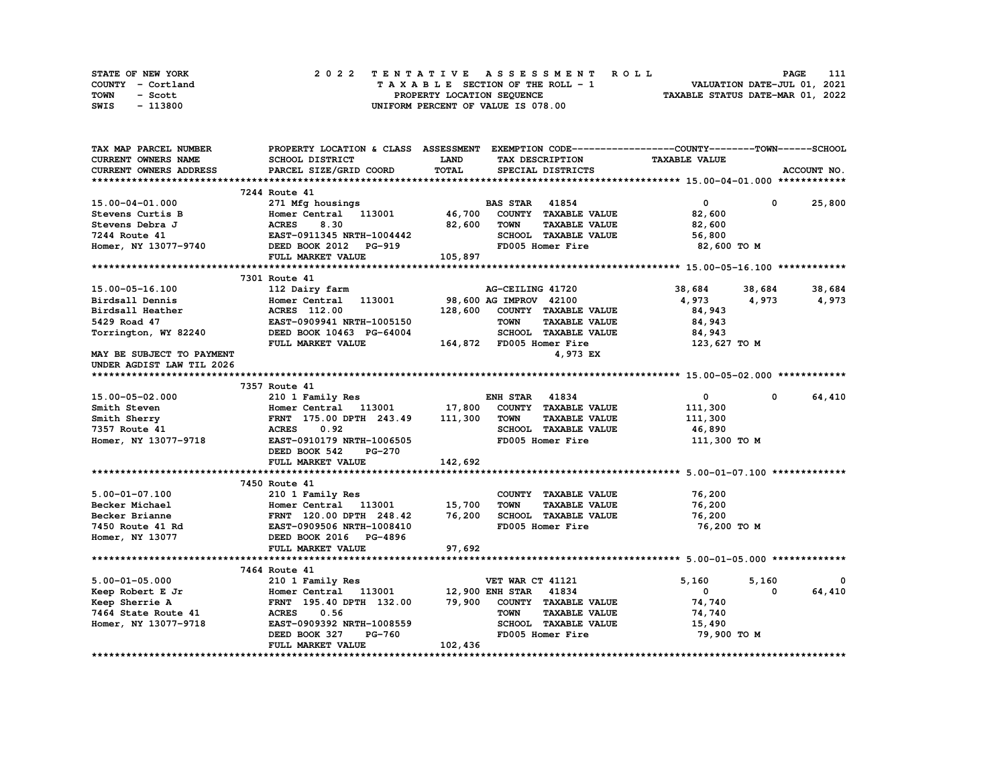| STATE OF NEW YORK | 2022 TENTATIVE ASSESSMENT ROLL     | 111<br><b>PAGE</b>               |
|-------------------|------------------------------------|----------------------------------|
| COUNTY - Cortland | TAXABLE SECTION OF THE ROLL - 1    | VALUATION DATE-JUL 01, 2021      |
| TOWN<br>- Scott   | PROPERTY LOCATION SEQUENCE         | TAXABLE STATUS DATE-MAR 01, 2022 |
| - 113800<br>SWIS  | UNIFORM PERCENT OF VALUE IS 078.00 |                                  |

| TAX MAP PARCEL NUMBER                         | PROPERTY LOCATION & CLASS ASSESSMENT EXEMPTION CODE----------------COUNTY-------TOWN-----SCHOOL                |             |                                     |                      |             |             |
|-----------------------------------------------|----------------------------------------------------------------------------------------------------------------|-------------|-------------------------------------|----------------------|-------------|-------------|
| CURRENT OWNERS NAME                           | <b>SCHOOL DISTRICT</b>                                                                                         | <b>LAND</b> | TAX DESCRIPTION                     | <b>TAXABLE VALUE</b> |             |             |
| <b>CURRENT OWNERS ADDRESS</b>                 | PARCEL SIZE/GRID COORD                                                                                         | TOTAL       | SPECIAL DISTRICTS                   |                      |             | ACCOUNT NO. |
|                                               |                                                                                                                |             |                                     |                      |             |             |
|                                               | 7244 Route 41                                                                                                  |             |                                     |                      |             |             |
| 15.00-04-01.000                               | 271 Mfg housings                                                                                               |             | <b>BAS STAR 41854</b>               | $\mathbf{0}$         | $\mathbf 0$ | 25,800      |
| <b>Stevens Curtis B</b>                       | Homer Central 113001                                                                                           |             | 46,700 COUNTY TAXABLE VALUE         | 82,600               |             |             |
| Stevens Debra J                               | 8.30<br><b>ACRES</b>                                                                                           | 82,600      | <b>TOWN</b><br><b>TAXABLE VALUE</b> | 82,600               |             |             |
| 7244 Route 41                                 |                                                                                                                |             | SCHOOL TAXABLE VALUE                | 56,800               |             |             |
| Homer, NY 13077-9740                          | <b>EAST-0911345 NRTH-1004442<br/>DEED BOOK 2012 PG-919</b>                                                     |             | FD005 Homer Fire                    | 82,600 то м          |             |             |
|                                               | FULL MARKET VALUE                                                                                              | 105,897     |                                     |                      |             |             |
|                                               |                                                                                                                |             |                                     |                      |             |             |
|                                               | 7301 Route 41                                                                                                  |             |                                     |                      |             |             |
| 15.00-05-16.100                               | 112 Dairy farm                                                                                                 |             | AG-CEILING 41720                    | 38,684               | 38,684      | 38,684      |
| Birdsall Dennis                               | Homer Central 113001 98,600 AG IMPROV 42100                                                                    |             |                                     | 4,973                | 4,973       | 4,973       |
| Birdsall Heather                              |                                                                                                                |             | 128,600 COUNTY TAXABLE VALUE        | 84,943               |             |             |
| 5429 Road 47                                  | <b>ACRES 112.00<br/>EAST-0909941 NRTH-1005150</b>                                                              |             | <b>TOWN</b><br><b>TAXABLE VALUE</b> | 84,943               |             |             |
| Torrington, WY 82240 DEED BOOK 10463 PG-64004 |                                                                                                                |             | SCHOOL TAXABLE VALUE                |                      |             |             |
|                                               |                                                                                                                |             |                                     | 84,943               |             |             |
|                                               | FULL MARKET VALUE                                                                                              |             | 164,872 FD005 Homer Fire            | 123,627 TO M         |             |             |
| MAY BE SUBJECT TO PAYMENT                     |                                                                                                                |             | 4,973 EX                            |                      |             |             |
| UNDER AGDIST LAW TIL 2026                     |                                                                                                                |             |                                     |                      |             |             |
|                                               |                                                                                                                |             |                                     |                      |             |             |
|                                               | 7357 Route 41                                                                                                  |             |                                     |                      |             |             |
| 15.00-05-02.000                               | 210 1 Family Res                                                                                               |             | <b>ENH STAR 41834</b>               | $\mathbf{0}$         | $^{\circ}$  | 64,410      |
| Smith Steven                                  | Homer Central 113001 17,800<br>FRNT 175.00 DPTH 243.49 111,300<br>ACRES 0.92                                   |             | COUNTY TAXABLE VALUE                | 111,300              |             |             |
| Smith Sherry                                  |                                                                                                                |             | TOWN<br><b>TAXABLE VALUE</b>        | 111,300              |             |             |
| 7357 Route 41                                 |                                                                                                                |             | SCHOOL TAXABLE VALUE                | 46,890               |             |             |
| Homer, NY 13077-9718                          | EAST-0910179 NRTH-1006505                                                                                      |             | FD005 Homer Fire                    | 111,300 то м         |             |             |
|                                               | DEED BOOK 542<br><b>PG-270</b>                                                                                 |             |                                     |                      |             |             |
|                                               | FULL MARKET VALUE                                                                                              | 142,692     |                                     |                      |             |             |
|                                               |                                                                                                                |             |                                     |                      |             |             |
|                                               | 7450 Route 41                                                                                                  |             |                                     |                      |             |             |
| 5.00-01-07.100                                | 210 1 Family Res                                                                                               |             | COUNTY TAXABLE VALUE                | 76,200               |             |             |
| Becker Michael                                |                                                                                                                |             | <b>TOWN</b><br><b>TAXABLE VALUE</b> | 76,200               |             |             |
| Becker Brianne                                | 210 1 Family Res<br>Homer Central 113001 15,700<br>FRNT 120.00 DPTH 248.42 76,200<br>EAST-0909506 NRTH-1008410 | 76,200      | SCHOOL TAXABLE VALUE                | 76,200               |             |             |
| 7450 Route 41 Rd                              |                                                                                                                |             | FD005 Homer Fire                    | 76,200 то м          |             |             |
| Homer, NY 13077                               | DEED BOOK 2016 PG-4896                                                                                         |             |                                     |                      |             |             |
|                                               | FULL MARKET VALUE                                                                                              | 97,692      |                                     |                      |             |             |
|                                               |                                                                                                                |             |                                     |                      |             |             |
|                                               | 7464 Route 41                                                                                                  |             |                                     |                      |             |             |
| $5.00 - 01 - 05.000$                          | 210 1 Family Res                                                                                               |             | VET WAR CT 41121                    | 5,160                | 5,160       | - 0         |
| Keep Robert E Jr                              | Homer Central 113001 12,900 ENH STAR 41834                                                                     |             |                                     | $^{\circ}$           | 0           | 64,410      |
| Keep Sherrie A                                | FRNT 195.40 DPTH 132.00                                                                                        | 79,900      | COUNTY TAXABLE VALUE                | 74,740               |             |             |
| 7464 State Route 41                           | 0.56<br><b>ACRES</b>                                                                                           |             | <b>TOWN</b><br><b>TAXABLE VALUE</b> | 74,740               |             |             |
| Homer, NY 13077-9718                          | EAST-0909392 NRTH-1008559                                                                                      |             | SCHOOL TAXABLE VALUE                | 15,490               |             |             |
|                                               | <b>PG-760</b><br>DEED BOOK 327                                                                                 |             | FD005 Homer Fire                    | 79,900 TO M          |             |             |
|                                               | FULL MARKET VALUE                                                                                              | 102,436     |                                     |                      |             |             |
|                                               |                                                                                                                |             |                                     |                      |             |             |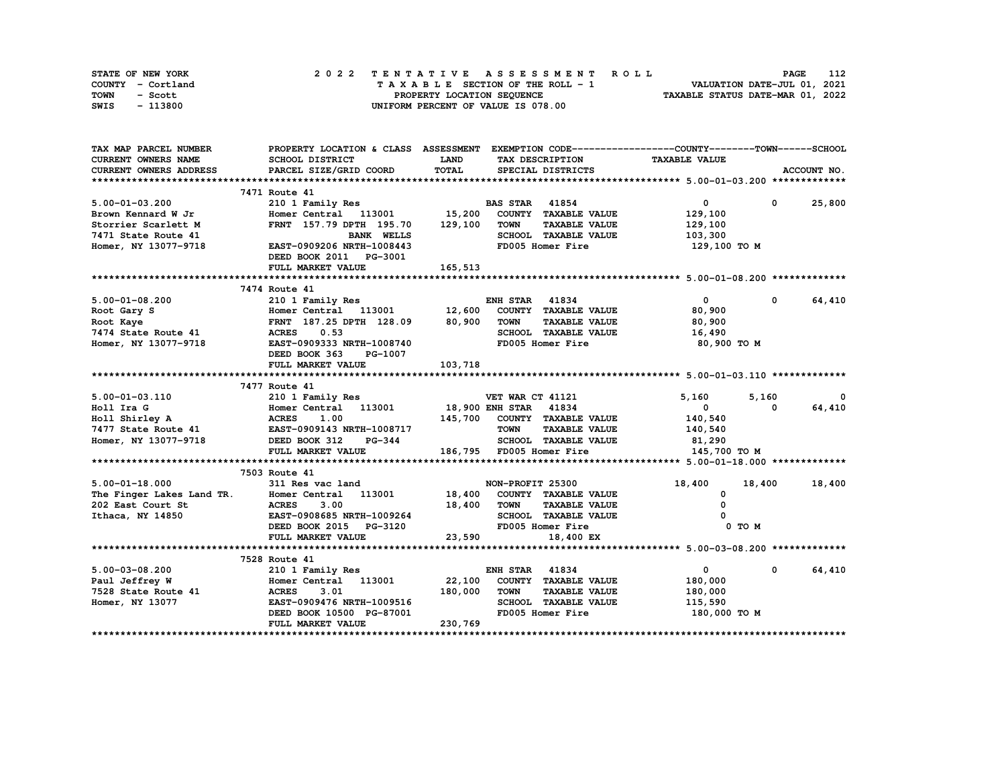| STATE OF NEW YORK | 2022 TENTATIVE ASSESSMENT ROLL     | 112<br><b>PAGE</b>               |
|-------------------|------------------------------------|----------------------------------|
| COUNTY - Cortland | TAXABLE SECTION OF THE ROLL - 1    | VALUATION DATE-JUL 01, 2021      |
| TOWN<br>- Scott   | PROPERTY LOCATION SEQUENCE         | TAXABLE STATUS DATE-MAR 01, 2022 |
| - 113800<br>SWIS  | UNIFORM PERCENT OF VALUE IS 078.00 |                                  |

| TAX MAP PARCEL NUMBER                         | PROPERTY LOCATION & CLASS ASSESSMENT EXEMPTION CODE----------------COUNTY-------TOWN-----SCHOOL |             |                                                                                          |                      |              |                  |
|-----------------------------------------------|-------------------------------------------------------------------------------------------------|-------------|------------------------------------------------------------------------------------------|----------------------|--------------|------------------|
| CURRENT OWNERS NAME                           | SCHOOL DISTRICT                                                                                 | <b>LAND</b> | TAX DESCRIPTION                                                                          | <b>TAXABLE VALUE</b> |              |                  |
| CURRENT OWNERS ADDRESS                        | PARCEL SIZE/GRID COORD                                                                          | TOTAL       | SPECIAL DISTRICTS                                                                        |                      |              | ACCOUNT NO.      |
|                                               |                                                                                                 |             |                                                                                          |                      |              |                  |
|                                               | 7471 Route 41                                                                                   |             |                                                                                          |                      |              |                  |
| $5.00 - 01 - 03.200$                          | 210 1 Family Res                                                                                |             | <b>BAS STAR</b> 41854                                                                    | $\overline{0}$       |              | $0\qquad 25,800$ |
| Brown Kennard W Jr                            | Homer Central 113001 15,200                                                                     |             | COUNTY TAXABLE VALUE                                                                     | 129,100              |              |                  |
| Storrier Scarlett M                           | FRNT 157.79 DPTH 195.70 129,100                                                                 |             | TOWN<br><b>TAXABLE VALUE</b>                                                             | 129,100              |              |                  |
| 7471 State Route 41                           | <b>BANK WELLS</b>                                                                               |             | SCHOOL TAXABLE VALUE                                                                     | 103,300              |              |                  |
| Homer, NY 13077-9718                          | EAST-0909206 NRTH-1008443                                                                       |             | FD005 Homer Fire                                                                         | 129,100 TO M         |              |                  |
|                                               | DEED BOOK 2011 PG-3001                                                                          |             |                                                                                          |                      |              |                  |
|                                               | FULL MARKET VALUE                                                                               | 165, 513    |                                                                                          |                      |              |                  |
|                                               |                                                                                                 |             |                                                                                          |                      |              |                  |
|                                               | 7474 Route 41                                                                                   |             |                                                                                          |                      |              |                  |
| 5.00-01-08.200                                | 210 1 Family Res                                                                                |             | <b>ENH STAR 41834</b>                                                                    | $\mathbf{0}$         | 0            | 64,410           |
| Root Gary S                                   | Homer Central 113001 12,600                                                                     |             | COUNTY TAXABLE VALUE                                                                     | 80,900               |              |                  |
| Root Kaye                                     | FRNT 187.25 DPTH 128.09 80,900                                                                  |             | <b>TOWN</b><br><b>TAXABLE VALUE</b>                                                      | 80,900               |              |                  |
| 7474 State Route 41                           | <b>ACRES</b><br>0.53                                                                            |             | SCHOOL TAXABLE VALUE                                                                     | 16,490               |              |                  |
| Homer, NY 13077-9718                          | EAST-0909333 NRTH-1008740                                                                       |             | FD005 Homer Fire                                                                         | 80,900 TO M          |              |                  |
|                                               | DEED BOOK 363<br>PG-1007                                                                        |             |                                                                                          |                      |              |                  |
|                                               | FULL MARKET VALUE                                                                               | 103,718     |                                                                                          |                      |              |                  |
|                                               |                                                                                                 |             |                                                                                          |                      |              |                  |
|                                               | 7477 Route 41                                                                                   |             |                                                                                          |                      |              |                  |
| 5.00-01-03.110                                | 210 1 Family Res New YET WAR CT 41121                                                           |             |                                                                                          | 5,160                | 5,160        | 0                |
| Holl Ira G                                    | Homer Central 113001                                                                            |             | 18,900 ENH STAR 41834                                                                    | $\mathbf{0}$         | 0            | 64,410           |
| Holl Shirley A                                | <b>ACRES</b><br>1.00                                                                            |             | 145,700 COUNTY TAXABLE VALUE                                                             | 140,540              |              |                  |
| 7477 State Route 41 EAST-0909143 NRTH-1008717 |                                                                                                 |             | <b>TAXABLE VALUE</b><br><b>TOWN</b>                                                      | 140,540              |              |                  |
| Homer, NY 13077-9718 DEED BOOK 312            | <b>PG-344</b>                                                                                   |             |                                                                                          |                      |              |                  |
|                                               | FULL MARKET VALUE                                                                               |             | SCHOOL TAXABLE VALUE 81,290<br>FD005 Homer Fire 145,700 TO M<br>186,795 FD005 Homer Fire |                      |              |                  |
|                                               |                                                                                                 |             |                                                                                          |                      |              |                  |
|                                               |                                                                                                 |             |                                                                                          |                      |              |                  |
|                                               |                                                                                                 |             |                                                                                          |                      |              |                  |
| $5.00 - 01 - 18.000$                          | 7503 Route 41<br>311 Res vac land                                                               |             | NON-PROFIT 25300                                                                         | 18,400               | 18,400       |                  |
|                                               | Homer Central                                                                                   |             | COUNTY TAXABLE VALUE                                                                     | 0                    |              | 18,400           |
| The Finger Lakes Land TR.                     | 113001 18,400<br><b>ACRES</b>                                                                   |             | <b>TOWN</b><br><b>TAXABLE VALUE</b>                                                      | $\Omega$             |              |                  |
| 202 East Court St                             | 3.00                                                                                            | 18,400      |                                                                                          |                      |              |                  |
| Ithaca, NY 14850                              | EAST-0908685 NRTH-1009264                                                                       |             | <b>SCHOOL TAXABLE VALUE</b>                                                              |                      |              |                  |
|                                               | DEED BOOK 2015 PG-3120<br>FULL MARKET VALUE                                                     |             | FD005 Homer Fire                                                                         | 0 TO M               |              |                  |
|                                               |                                                                                                 | 23,590      | 18,400 EX                                                                                |                      |              |                  |
|                                               | 7528 Route 41                                                                                   |             |                                                                                          |                      |              |                  |
| $5.00 - 03 - 08.200$                          | 210 1 Family Res                                                                                |             | <b>ENH STAR 41834</b>                                                                    | $\bullet$            | $\mathbf{0}$ | 64,410           |
| Paul Jeffrey W                                |                                                                                                 |             | COUNTY TAXABLE VALUE                                                                     | 180,000              |              |                  |
|                                               | Homer Central 113001 22,100                                                                     | 180,000     | <b>TOWN</b><br><b>TAXABLE VALUE</b>                                                      | 180,000              |              |                  |
|                                               |                                                                                                 |             | SCHOOL TAXABLE VALUE                                                                     | 115,590              |              |                  |
| 7528 State Route 41 MCRES 3.01 180            | DEED BOOK 10500 PG-87001                                                                        |             | FD005 Homer Fire 180,000 TO M                                                            |                      |              |                  |
|                                               | FULL MARKET VALUE                                                                               | 230,769     |                                                                                          |                      |              |                  |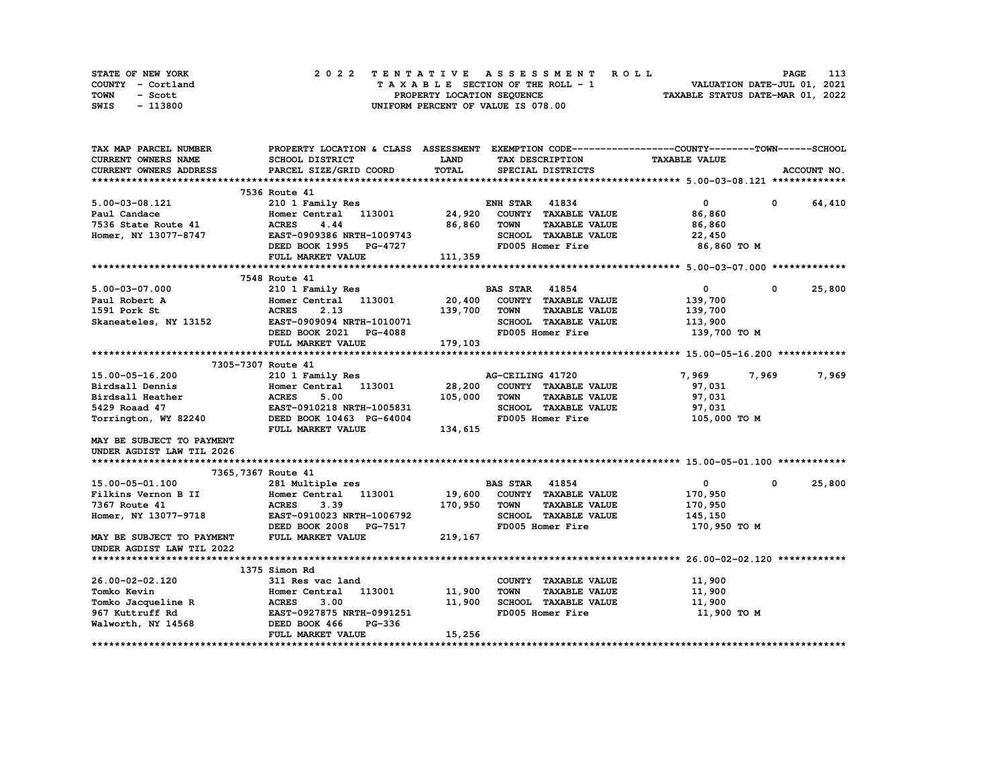| STATE OF NEW YORK | 2022 TENTATIVE ASSESSMENT ROLL     | 113<br>PAGE                      |
|-------------------|------------------------------------|----------------------------------|
| COUNTY - Cortland | TAXABLE SECTION OF THE ROLL - 1    | VALUATION DATE-JUL 01, 2021      |
| TOWN<br>- Scott   | PROPERTY LOCATION SEQUENCE         | TAXABLE STATUS DATE-MAR 01, 2022 |
| - 113800<br>SWIS  | UNIFORM PERCENT OF VALUE IS 078.00 |                                  |

| TAX MAP PARCEL NUMBER                                       | PROPERTY LOCATION & CLASS ASSESSMENT EXEMPTION CODE-----------------COUNTY-------TOWN-----SCHOOL |             |                                     |                      |                        |
|-------------------------------------------------------------|--------------------------------------------------------------------------------------------------|-------------|-------------------------------------|----------------------|------------------------|
| <b>CURRENT OWNERS NAME</b>                                  | SCHOOL DISTRICT                                                                                  | <b>LAND</b> | TAX DESCRIPTION                     | <b>TAXABLE VALUE</b> |                        |
| CURRENT OWNERS ADDRESS                                      | PARCEL SIZE/GRID COORD                                                                           | TOTAL       | SPECIAL DISTRICTS                   |                      | ACCOUNT NO.            |
|                                                             |                                                                                                  |             |                                     |                      |                        |
|                                                             | 7536 Route 41                                                                                    |             |                                     |                      |                        |
| $5.00 - 03 - 08.121$                                        | 210 1 Family Res                                                                                 |             | <b>ENH STAR 41834</b>               | $\mathbf{0}$         | 64,410<br>$\mathbf{0}$ |
| Paul Candace                                                | Homer Central 113001 24,920                                                                      |             | COUNTY TAXABLE VALUE                | 86,860               |                        |
| 7536 State Route 41                                         | 4.44<br><b>ACRES</b>                                                                             | 86,860      | <b>TOWN</b><br><b>TAXABLE VALUE</b> | 86,860               |                        |
| Homer, NY 13077-8747                                        | EAST-0909386 NRTH-1009743                                                                        |             | SCHOOL TAXABLE VALUE                | 22,450               |                        |
|                                                             | DEED BOOK 1995 PG-4727                                                                           |             | FD005 Homer Fire                    | 86,860 то м          |                        |
|                                                             | FULL MARKET VALUE                                                                                | 111,359     |                                     |                      |                        |
|                                                             |                                                                                                  |             |                                     |                      |                        |
|                                                             | 7548 Route 41                                                                                    |             |                                     |                      |                        |
| $5.00 - 03 - 07.000$                                        | 210 1 Family Res                                                                                 |             | <b>BAS STAR 41854</b>               | $\mathbf{0}$         | 25,800<br>$\mathbf 0$  |
| Paul Robert A                                               | Homer Central 113001 20,400                                                                      |             | COUNTY TAXABLE VALUE                | 139,700              |                        |
| 1591 Pork St                                                | <b>ACRES</b><br>2.13                                                                             | 139,700     | <b>TOWN</b><br><b>TAXABLE VALUE</b> | 139,700              |                        |
| Skaneateles, NY 13152                                       | EAST-0909094 NRTH-1010071                                                                        |             | SCHOOL TAXABLE VALUE                | 113,900              |                        |
|                                                             | DEED BOOK 2021 PG-4088                                                                           |             | FD005 Homer Fire                    | 139,700 то м         |                        |
|                                                             | FULL MARKET VALUE                                                                                | 179,103     |                                     |                      |                        |
|                                                             |                                                                                                  |             |                                     |                      |                        |
| 7305-7307 Route 41                                          |                                                                                                  |             |                                     |                      |                        |
| 15.00-05-16.200                                             | 210 1 Family Res                                                                                 |             | AG-CEILING 41720                    | 7,969                | 7,969<br>7,969         |
| Birdsall Dennis                                             | Homer Central 113001                                                                             | 28,200      | COUNTY TAXABLE VALUE                | 97,031               |                        |
| Birdsall Heather                                            | <b>ACRES</b><br>5.00                                                                             | 105,000     | <b>TOWN</b><br><b>TAXABLE VALUE</b> | 97,031               |                        |
| 5429 Roaad 47                                               | EAST-0910218 NRTH-1005831                                                                        |             | SCHOOL TAXABLE VALUE                | 97,031               |                        |
| Torrington, WY 82240                                        | DEED BOOK 10463 PG-64004                                                                         |             | FD005 Homer Fire                    | 105,000 TO M         |                        |
|                                                             | FULL MARKET VALUE                                                                                | 134,615     |                                     |                      |                        |
| MAY BE SUBJECT TO PAYMENT                                   |                                                                                                  |             |                                     |                      |                        |
| UNDER AGDIST LAW TIL 2026                                   |                                                                                                  |             |                                     |                      |                        |
|                                                             |                                                                                                  |             |                                     |                      |                        |
| 7365, 7367 Route 41                                         |                                                                                                  |             |                                     |                      |                        |
| 15.00-05-01.100                                             | 281 Multiple res                                                                                 |             | <b>BAS STAR 41854</b>               | $\mathbf{0}$         | 25,800<br>$\mathbf{0}$ |
| Filkins Vernon B II                                         | Homer Central 113001                                                                             | 19,600      | COUNTY TAXABLE VALUE                | 170,950              |                        |
| 7367 Route 41                                               | <b>ACRES</b><br>3.39                                                                             | 170,950     | <b>TOWN</b><br><b>TAXABLE VALUE</b> | 170,950              |                        |
| Homer, NY 13077-9718                                        | EAST-0910023 NRTH-1006792                                                                        |             | SCHOOL TAXABLE VALUE                | 145,150              |                        |
|                                                             | DEED BOOK 2008 PG-7517                                                                           |             | FD005 Homer Fire                    | 170,950 то м         |                        |
| MAY BE SUBJECT TO PAYMENT                                   | FULL MARKET VALUE                                                                                | 219,167     |                                     |                      |                        |
| UNDER AGDIST LAW TIL 2022                                   |                                                                                                  |             |                                     |                      |                        |
|                                                             |                                                                                                  |             |                                     |                      |                        |
|                                                             | 1375 Simon Rd                                                                                    |             |                                     |                      |                        |
| 26.00-02-02.120                                             | 311 Res vac land                                                                                 |             | COUNTY TAXABLE VALUE                | 11,900               |                        |
| Tomko Kevin                                                 | 113001<br>Homer Central                                                                          | 11,900      | <b>TAXABLE VALUE</b><br><b>TOWN</b> | 11,900               |                        |
|                                                             | <b>ACRES</b><br>3.00                                                                             | 11,900      | SCHOOL TAXABLE VALUE                | 11,900               |                        |
| Tomko Jacqueline R<br>967 Kuttruff Rd<br>Walworth, NY 14568 | EAST-0927875 NRTH-0991251                                                                        |             | FD005 Homer Fire                    | 11,900 TO M          |                        |
|                                                             | <b>PG-336</b><br>DEED BOOK 466                                                                   |             |                                     |                      |                        |
|                                                             | FULL MARKET VALUE                                                                                | 15,256      |                                     |                      |                        |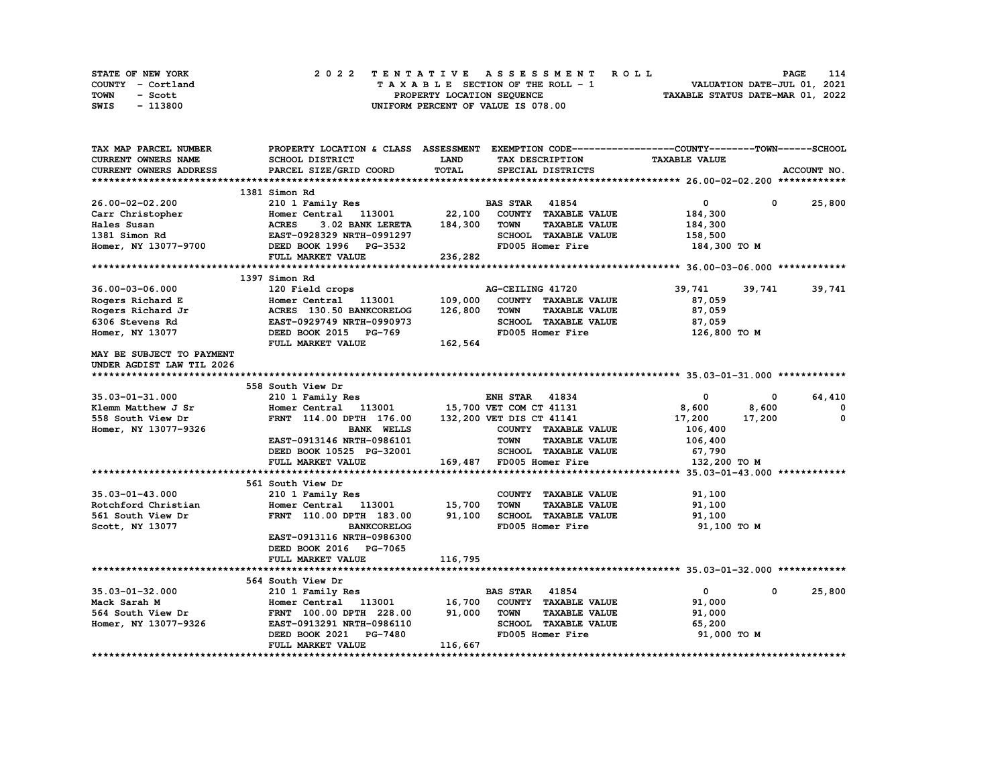| STATE OF NEW YORK | 2022 TENTATIVE ASSESSMENT ROLL     | 114<br><b>PAGE</b>               |
|-------------------|------------------------------------|----------------------------------|
| COUNTY - Cortland | TAXABLE SECTION OF THE ROLL - 1    | VALUATION DATE-JUL 01, 2021      |
| TOWN<br>- Scott   | PROPERTY LOCATION SEQUENCE         | TAXABLE STATUS DATE-MAR 01, 2022 |
| - 113800<br>SWIS  | UNIFORM PERCENT OF VALUE IS 078.00 |                                  |

| TAX MAP PARCEL NUMBER     |                                                  |         |                                     | PROPERTY LOCATION & CLASS ASSESSMENT EXEMPTION CODE----------------COUNTY-------TOWN-----SCHOOL |             |
|---------------------------|--------------------------------------------------|---------|-------------------------------------|-------------------------------------------------------------------------------------------------|-------------|
| CURRENT OWNERS NAME       | SCHOOL DISTRICT                                  | LAND    | TAX DESCRIPTION                     | <b>TAXABLE VALUE</b>                                                                            |             |
| CURRENT OWNERS ADDRESS    | PARCEL SIZE/GRID COORD                           | TOTAL   | SPECIAL DISTRICTS                   |                                                                                                 | ACCOUNT NO. |
|                           |                                                  |         |                                     |                                                                                                 |             |
|                           | 1381 Simon Rd                                    |         |                                     |                                                                                                 |             |
| 26.00-02-02.200           | 210 1 Family Res                                 |         | <b>BAS STAR</b><br>41854            | $\mathbf{0}$<br>$^{\circ}$                                                                      | 25,800      |
| Carr Christopher          | Homer Central 113001                             | 22,100  | COUNTY TAXABLE VALUE                | 184,300                                                                                         |             |
| Hales Susan               | <b>ACRES</b><br>3.02 BANK LERETA                 | 184,300 | <b>TOWN</b><br><b>TAXABLE VALUE</b> | 184,300                                                                                         |             |
| 1381 Simon Rd             | EAST-0928329 NRTH-0991297                        |         | SCHOOL TAXABLE VALUE                | 158,500                                                                                         |             |
| Homer, NY 13077-9700      | DEED BOOK 1996 PG-3532                           |         | FD005 Homer Fire                    | 184,300 то м                                                                                    |             |
|                           | FULL MARKET VALUE                                | 236,282 |                                     |                                                                                                 |             |
|                           |                                                  |         |                                     |                                                                                                 |             |
|                           | 1397 Simon Rd                                    |         |                                     |                                                                                                 |             |
| 36.00-03-06.000           | 120 Field crops                                  |         | AG-CEILING 41720                    | 39,741<br>39,741                                                                                | 39,741      |
| Rogers Richard E          | Homer Central 113001                             | 109,000 | COUNTY TAXABLE VALUE                | 87,059                                                                                          |             |
| Rogers Richard Jr         | ACRES 130.50 BANKCORELOG                         | 126,800 | <b>TOWN</b><br><b>TAXABLE VALUE</b> | 87,059                                                                                          |             |
| 6306 Stevens Rd           | EAST-0929749 NRTH-0990973                        |         | SCHOOL TAXABLE VALUE                | 87,059                                                                                          |             |
| Homer, NY 13077           | DEED BOOK 2015 PG-769                            |         | FD005 Homer Fire                    | 126,800 TO M                                                                                    |             |
|                           | FULL MARKET VALUE                                | 162,564 |                                     |                                                                                                 |             |
| MAY BE SUBJECT TO PAYMENT |                                                  |         |                                     |                                                                                                 |             |
| UNDER AGDIST LAW TIL 2026 |                                                  |         |                                     |                                                                                                 |             |
|                           |                                                  |         |                                     |                                                                                                 |             |
|                           | 558 South View Dr                                |         |                                     |                                                                                                 |             |
| 35.03-01-31.000           | 210 1 Family Res                                 |         | <b>ENH STAR 41834</b>               | $^{\circ}$<br>0                                                                                 | 64,410      |
| Klemm Matthew J Sr        | Homer Central                                    |         | 113001 15,700 VET COM CT 41131      | 8,600<br>8,600                                                                                  | $^{\circ}$  |
| 558 South View Dr         | FRNT 114.00 DPTH 176.00 132,200 VET DIS CT 41141 |         |                                     | 17,200<br>17,200                                                                                | 0           |
| Homer, NY 13077-9326      | <b>BANK WELLS</b>                                |         | COUNTY TAXABLE VALUE                | 106,400                                                                                         |             |
|                           | EAST-0913146 NRTH-0986101                        |         | <b>TOWN</b><br><b>TAXABLE VALUE</b> |                                                                                                 |             |
|                           |                                                  |         | <b>SCHOOL TAXABLE VALUE</b>         | 106,400                                                                                         |             |
|                           | DEED BOOK 10525 PG-32001                         |         | 169,487 FD005 Homer Fire            | 67,790                                                                                          |             |
|                           | FULL MARKET VALUE                                |         |                                     | 132,200 TO M                                                                                    |             |
|                           |                                                  |         |                                     |                                                                                                 |             |
|                           | 561 South View Dr                                |         |                                     |                                                                                                 |             |
| 35.03-01-43.000           | 210 1 Family Res                                 |         | COUNTY TAXABLE VALUE                | 91,100                                                                                          |             |
| Rotchford Christian       | Homer Central 113001                             | 15,700  | <b>TOWN</b><br><b>TAXABLE VALUE</b> | 91,100                                                                                          |             |
| 561 South View Dr         | FRNT 110.00 DPTH 183.00                          | 91,100  | SCHOOL TAXABLE VALUE                | 91,100                                                                                          |             |
| Scott, NY 13077           | <b>BANKCORELOG</b>                               |         | FD005 Homer Fire                    | 91,100 TO M                                                                                     |             |
|                           | EAST-0913116 NRTH-0986300                        |         |                                     |                                                                                                 |             |
|                           | DEED BOOK 2016 PG-7065                           |         |                                     |                                                                                                 |             |
|                           | FULL MARKET VALUE                                | 116,795 |                                     |                                                                                                 |             |
|                           |                                                  |         |                                     |                                                                                                 |             |
|                           | 564 South View Dr                                |         |                                     |                                                                                                 |             |
| $35.03 - 01 - 32.000$     | 210 1 Family Res                                 |         | <b>BAS STAR</b> 41854               | $\mathbf{0}$<br>$^{\circ}$                                                                      | 25,800      |
| Mack Sarah M              | 113001 16,700<br>Homer Central                   |         | COUNTY TAXABLE VALUE                | 91,000                                                                                          |             |
| 564 South View Dr         | FRNT 100.00 DPTH 228.00                          | 91,000  | <b>TOWN</b><br><b>TAXABLE VALUE</b> | 91,000                                                                                          |             |
| Homer, NY 13077-9326      | EAST-0913291 NRTH-0986110                        |         | SCHOOL TAXABLE VALUE                | 65,200                                                                                          |             |
|                           | DEED BOOK 2021<br><b>PG-7480</b>                 |         | FD005 Homer Fire                    | 91,000 TO M                                                                                     |             |
|                           | FULL MARKET VALUE                                | 116,667 |                                     |                                                                                                 |             |
|                           |                                                  |         |                                     |                                                                                                 |             |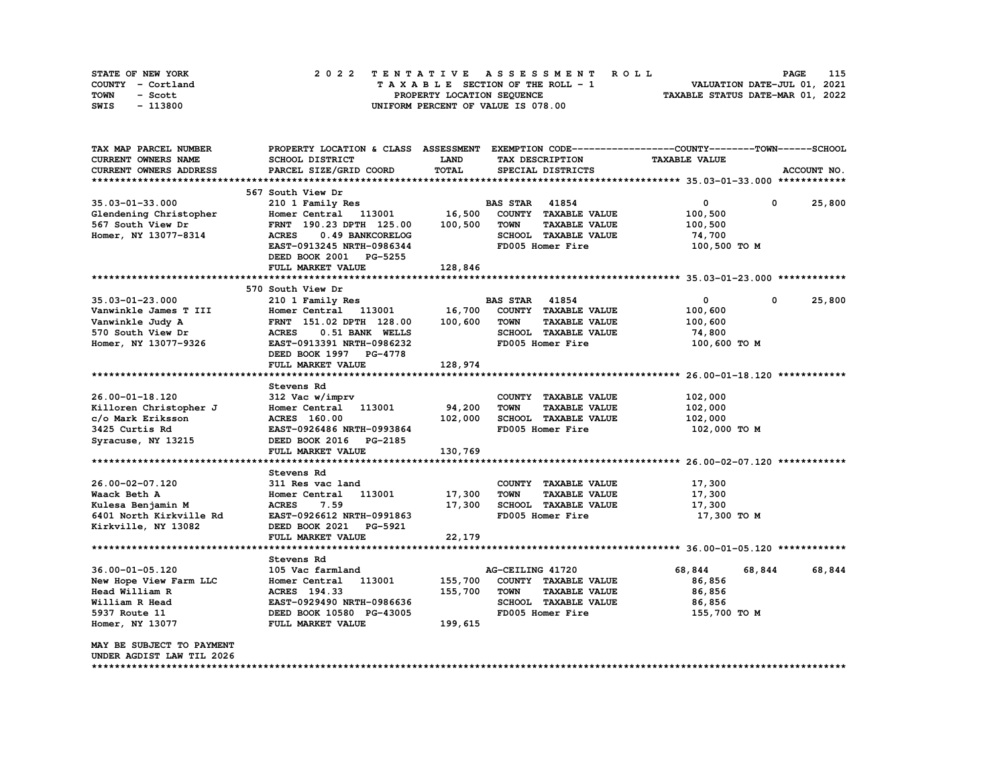| STATE OF NEW YORK | 2022 TENTATIVE ASSESSMENT ROLL     | 115<br><b>PAGE</b>               |
|-------------------|------------------------------------|----------------------------------|
| COUNTY - Cortland | TAXABLE SECTION OF THE ROLL - 1    | VALUATION DATE-JUL 01, 2021      |
| TOWN<br>- Scott   | PROPERTY LOCATION SEQUENCE         | TAXABLE STATUS DATE-MAR 01, 2022 |
| - 113800<br>SWIS  | UNIFORM PERCENT OF VALUE IS 078.00 |                                  |

| TAX MAP PARCEL NUMBER                                  | PROPERTY LOCATION & CLASS ASSESSMENT    |             |                                     | EXEMPTION CODE-----------------COUNTY-------TOWN------SCHOOL |                      |             |             |
|--------------------------------------------------------|-----------------------------------------|-------------|-------------------------------------|--------------------------------------------------------------|----------------------|-------------|-------------|
| CURRENT OWNERS NAME                                    | SCHOOL DISTRICT                         | <b>LAND</b> | TAX DESCRIPTION                     |                                                              | <b>TAXABLE VALUE</b> |             |             |
| CURRENT OWNERS ADDRESS                                 | PARCEL SIZE/GRID COORD                  | TOTAL       | SPECIAL DISTRICTS                   |                                                              |                      |             | ACCOUNT NO. |
|                                                        |                                         |             |                                     |                                                              |                      |             |             |
|                                                        | 567 South View Dr                       |             |                                     |                                                              |                      |             |             |
| $35.03 - 01 - 33.000$                                  | 210 1 Family Res                        |             | <b>BAS STAR 41854</b>               |                                                              | 0                    | 0           | 25,800      |
| Glendening Christopher                                 | Homer Central 113001                    | 16,500      | COUNTY TAXABLE VALUE                |                                                              | 100,500              |             |             |
| 567 South View Dr                                      | FRNT 190.23 DPTH 125.00                 | 100,500     | <b>TOWN</b>                         | <b>TAXABLE VALUE</b>                                         | 100,500              |             |             |
| Homer, NY 13077-8314                                   | <b>ACRES</b><br>0.49 BANKCORELOG        |             | SCHOOL TAXABLE VALUE                |                                                              | 74,700               |             |             |
|                                                        | EAST-0913245 NRTH-0986344               |             | FD005 Homer Fire                    |                                                              | 100,500 TO M         |             |             |
|                                                        | DEED BOOK 2001 PG-5255                  |             |                                     |                                                              |                      |             |             |
|                                                        | FULL MARKET VALUE                       | 128,846     |                                     |                                                              |                      |             |             |
|                                                        |                                         |             |                                     |                                                              |                      |             |             |
|                                                        | 570 South View Dr                       |             |                                     |                                                              |                      |             |             |
| 35.03-01-23.000                                        | 210 1 Family Res                        |             | <b>BAS STAR 41854</b>               |                                                              | 0                    | $\mathbf 0$ | 25,800      |
| Vanwinkle James T III                                  | Homer Central 113001                    | 16,700      | COUNTY TAXABLE VALUE                |                                                              | 100,600              |             |             |
| Vanwinkle Judy A                                       | FRNT 151.02 DPTH 128.00                 | 100,600     | <b>TOWN</b>                         | <b>TAXABLE VALUE</b>                                         | 100,600              |             |             |
| 570 South View Dr                                      | <b>ACRES</b><br>0.51 BANK WELLS         |             | SCHOOL TAXABLE VALUE                |                                                              | 74,800               |             |             |
| Homer, NY 13077-9326                                   | EAST-0913391 NRTH-0986232               |             | FD005 Homer Fire                    |                                                              | 100,600 TO M         |             |             |
|                                                        | DEED BOOK 1997 PG-4778                  |             |                                     |                                                              |                      |             |             |
|                                                        | FULL MARKET VALUE                       | 128,974     |                                     |                                                              |                      |             |             |
|                                                        |                                         |             |                                     |                                                              |                      |             |             |
|                                                        | Stevens Rd                              |             |                                     |                                                              |                      |             |             |
| 26.00-01-18.120<br>Killoren Christopher J              | 312 Vac w/imprv<br>Homer Central 113001 | 94,200      | COUNTY TAXABLE VALUE<br><b>TOWN</b> | <b>TAXABLE VALUE</b>                                         | 102,000<br>102,000   |             |             |
| c/o Mark Eriksson                                      | <b>ACRES</b> 160.00                     | 102,000     | SCHOOL TAXABLE VALUE                |                                                              | 102,000              |             |             |
| 3425 Curtis Rd                                         | EAST-0926486 NRTH-0993864               |             | FD005 Homer Fire                    |                                                              | 102,000 TO M         |             |             |
| Syracuse, NY 13215                                     | DEED BOOK 2016 PG-2185                  |             |                                     |                                                              |                      |             |             |
|                                                        | FULL MARKET VALUE                       | 130,769     |                                     |                                                              |                      |             |             |
|                                                        |                                         |             |                                     |                                                              |                      |             |             |
|                                                        | Stevens Rd                              |             |                                     |                                                              |                      |             |             |
| 26.00-02-07.120                                        | 311 Res vac land                        |             | COUNTY TAXABLE VALUE                |                                                              | 17,300               |             |             |
| Waack Beth A                                           | 113001<br>Homer Central                 | 17,300      | <b>TOWN</b>                         | <b>TAXABLE VALUE</b>                                         | 17,300               |             |             |
| Kulesa Benjamin M                                      | <b>ACRES</b><br>7.59                    | 17,300      | SCHOOL TAXABLE VALUE                |                                                              | 17,300               |             |             |
| 6401 North Kirkville Rd                                | EAST-0926612 NRTH-0991863               |             | FD005 Homer Fire                    |                                                              | 17,300 TO M          |             |             |
| Kirkville, NY 13082                                    | DEED BOOK 2021<br><b>PG-5921</b>        |             |                                     |                                                              |                      |             |             |
|                                                        | FULL MARKET VALUE                       | 22,179      |                                     |                                                              |                      |             |             |
|                                                        |                                         |             |                                     |                                                              |                      |             |             |
|                                                        | Stevens Rd                              |             |                                     |                                                              |                      |             |             |
| 36.00-01-05.120                                        | 105 Vac farmland                        |             | AG-CEILING 41720                    |                                                              | 68,844               | 68,844      | 68,844      |
| New Hope View Farm LLC                                 | Homer Central 113001                    | 155,700     | COUNTY TAXABLE VALUE                |                                                              | 86,856               |             |             |
| Head William R                                         | ACRES 194.33                            | 155,700     | <b>TOWN</b>                         | <b>TAXABLE VALUE</b>                                         | 86,856               |             |             |
| William R Head                                         | EAST-0929490 NRTH-0986636               |             | SCHOOL TAXABLE VALUE                |                                                              | 86,856               |             |             |
| 5937 Route 11                                          | DEED BOOK 10580 PG-43005                |             | FD005 Homer Fire                    |                                                              | 155,700 TO M         |             |             |
| Homer, NY 13077                                        | FULL MARKET VALUE                       | 199,615     |                                     |                                                              |                      |             |             |
| MAY BE SUBJECT TO PAYMENT<br>UNDER AGDIST LAW TIL 2026 |                                         |             |                                     |                                                              |                      |             |             |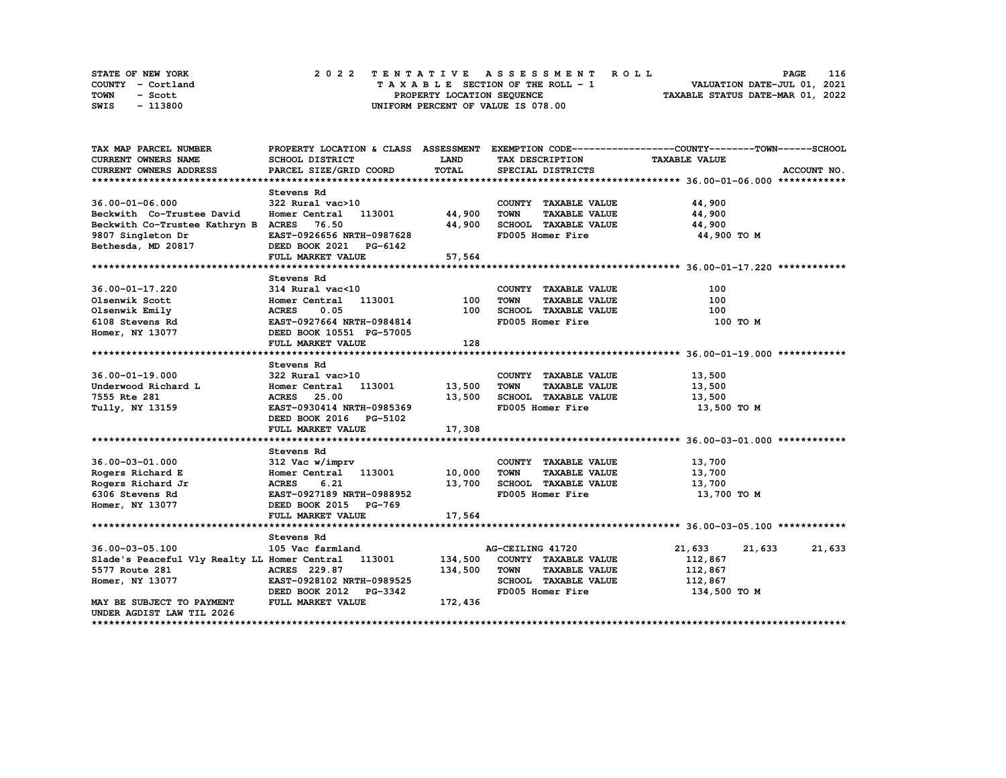| STATE OF NEW YORK | 2022 TENTATIVE ASSESSMENT ROLL     | 116<br><b>PAGE</b>               |
|-------------------|------------------------------------|----------------------------------|
| COUNTY - Cortland | TAXABLE SECTION OF THE ROLL - 1    | VALUATION DATE-JUL 01, 2021      |
| TOWN<br>- Scott   | PROPERTY LOCATION SEQUENCE         | TAXABLE STATUS DATE-MAR 01, 2022 |
| - 113800<br>SWIS  | UNIFORM PERCENT OF VALUE IS 078.00 |                                  |

| TAX MAP PARCEL NUMBER                               |                                             |         |                                     | PROPERTY LOCATION & CLASS ASSESSMENT EXEMPTION CODE----------------COUNTY-------TOWN-----SCHOOL |
|-----------------------------------------------------|---------------------------------------------|---------|-------------------------------------|-------------------------------------------------------------------------------------------------|
| CURRENT OWNERS NAME                                 | SCHOOL DISTRICT                             | LAND    | TAX DESCRIPTION                     | <b>TAXABLE VALUE</b>                                                                            |
| CURRENT OWNERS ADDRESS                              | PARCEL SIZE/GRID COORD                      | TOTAL   | SPECIAL DISTRICTS                   | ACCOUNT NO.                                                                                     |
|                                                     |                                             |         |                                     |                                                                                                 |
|                                                     | Stevens Rd                                  |         |                                     |                                                                                                 |
| 36.00-01-06.000                                     | 322 Rural vac>10                            |         | COUNTY TAXABLE VALUE                | 44,900                                                                                          |
| Beckwith Co-Trustee David                           | 113001<br>Homer Central                     | 44,900  | <b>TOWN</b><br><b>TAXABLE VALUE</b> | 44,900                                                                                          |
| Beckwith Co-Trustee Kathryn B ACRES 76.50           |                                             | 44,900  | SCHOOL TAXABLE VALUE                | 44,900                                                                                          |
| 9807 Singleton Dr                                   | EAST-0926656 NRTH-0987628                   |         | FD005 Homer Fire                    | 44,900 TO M                                                                                     |
| Bethesda, MD 20817                                  | DEED BOOK 2021 PG-6142                      |         |                                     |                                                                                                 |
|                                                     | FULL MARKET VALUE                           | 57,564  |                                     |                                                                                                 |
|                                                     |                                             |         |                                     |                                                                                                 |
|                                                     | Stevens Rd                                  |         |                                     |                                                                                                 |
| 36.00-01-17.220                                     | 314 Rural vac<10                            |         | COUNTY TAXABLE VALUE                | 100                                                                                             |
| Olsenwik Scott                                      | Homer Central 113001                        | 100     | <b>TOWN</b><br><b>TAXABLE VALUE</b> | 100                                                                                             |
| Olsenwik Emily                                      | <b>ACRES</b><br>0.05                        | 100     | SCHOOL TAXABLE VALUE                | 100                                                                                             |
| 6108 Stevens Rd                                     |                                             |         | FD005 Homer Fire                    | 100 TO M                                                                                        |
| Homer, NY 13077                                     | DEED BOOK 10551 PG-57005                    |         |                                     |                                                                                                 |
|                                                     | FULL MARKET VALUE                           | 128     |                                     |                                                                                                 |
|                                                     |                                             |         |                                     |                                                                                                 |
|                                                     | Stevens Rd                                  |         |                                     |                                                                                                 |
| 36.00-01-19.000                                     | 322 Rural vac>10                            |         | COUNTY TAXABLE VALUE                | 13,500                                                                                          |
| Underwood Richard L                                 | Homer Central 113001 13,500                 |         | TOWN<br><b>TAXABLE VALUE</b>        | 13,500                                                                                          |
| 7555 Rte 281                                        | <b>ACRES</b> 25.00                          | 13,500  | SCHOOL TAXABLE VALUE                | 13,500                                                                                          |
| Tully, NY 13159                                     | EAST-0930414 NRTH-0985369                   |         | FD005 Homer Fire                    | 13,500 TO M                                                                                     |
|                                                     | DEED BOOK 2016 PG-5102<br>FULL MARKET VALUE | 17,308  |                                     |                                                                                                 |
|                                                     |                                             |         |                                     |                                                                                                 |
|                                                     | Stevens Rd                                  |         |                                     |                                                                                                 |
| 36.00-03-01.000                                     | 312 Vac w/imprv                             |         | COUNTY TAXABLE VALUE                | 13,700                                                                                          |
| Rogers Richard E                                    | Homer Central 113001 10,000                 |         | TOWN<br><b>TAXABLE VALUE</b>        | 13,700                                                                                          |
| Rogers Richard Jr                                   | <b>ACRES</b><br>6.21                        | 13,700  | SCHOOL TAXABLE VALUE                | 13,700                                                                                          |
| 6306 Stevens Rd                                     | EAST-0927189 NRTH-0988952                   |         | FD005 Homer Fire                    | 13,700 TO M                                                                                     |
| Homer, NY 13077                                     | DEED BOOK 2015 PG-769                       |         |                                     |                                                                                                 |
|                                                     | <b>FULL MARKET VALUE</b>                    | 17,564  |                                     |                                                                                                 |
|                                                     |                                             |         |                                     |                                                                                                 |
|                                                     | Stevens Rd                                  |         |                                     |                                                                                                 |
| 36.00-03-05.100                                     | 105 Vac farmland                            |         | AG-CEILING 41720                    | 21,633<br>21,633<br>21,633                                                                      |
| Slade's Peaceful Vly Realty LL Homer Central 113001 |                                             | 134,500 | COUNTY TAXABLE VALUE                | 112,867                                                                                         |
| 5577 Route 281                                      | ACRES 229.87                                | 134,500 | <b>TOWN</b><br><b>TAXABLE VALUE</b> | 112,867                                                                                         |
| Homer, NY 13077                                     | EAST-0928102 NRTH-0989525                   |         | SCHOOL TAXABLE VALUE                | 112,867                                                                                         |
|                                                     | DEED BOOK 2012 PG-3342                      |         | FD005 Homer Fire                    | 134,500 TO M                                                                                    |
| MAY BE SUBJECT TO PAYMENT                           | FULL MARKET VALUE                           | 172,436 |                                     |                                                                                                 |
| UNDER AGDIST LAW TIL 2026                           |                                             |         |                                     |                                                                                                 |
|                                                     |                                             |         |                                     |                                                                                                 |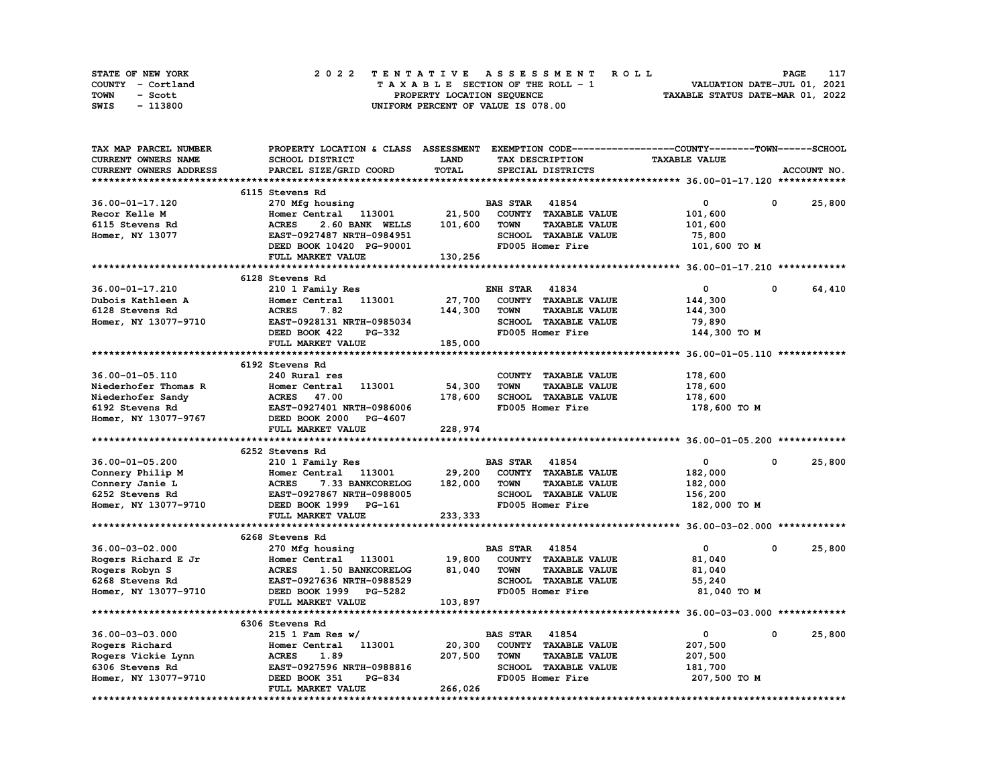| STATE OF NEW YORK | 2022 TENTATIVE ASSESSMENT ROLL     | 117<br><b>PAGE</b>               |
|-------------------|------------------------------------|----------------------------------|
| COUNTY - Cortland | TAXABLE SECTION OF THE ROLL - 1    | VALUATION DATE-JUL 01, 2021      |
| TOWN<br>- Scott   | PROPERTY LOCATION SEQUENCE         | TAXABLE STATUS DATE-MAR 01, 2022 |
| - 113800<br>SWIS  | UNIFORM PERCENT OF VALUE IS 078.00 |                                  |

| TAX MAP PARCEL NUMBER  | PROPERTY LOCATION & CLASS ASSESSMENT EXEMPTION CODE-----------------COUNTY-------TOWN------SCHOOL |             |                                     |                      |   |             |
|------------------------|---------------------------------------------------------------------------------------------------|-------------|-------------------------------------|----------------------|---|-------------|
| CURRENT OWNERS NAME    | <b>SCHOOL DISTRICT</b>                                                                            | <b>LAND</b> | TAX DESCRIPTION                     | <b>TAXABLE VALUE</b> |   |             |
| CURRENT OWNERS ADDRESS | PARCEL SIZE/GRID COORD                                                                            | TOTAL       | SPECIAL DISTRICTS                   |                      |   | ACCOUNT NO. |
|                        |                                                                                                   |             |                                     |                      |   |             |
|                        | 6115 Stevens Rd                                                                                   |             |                                     |                      |   |             |
| 36.00-01-17.120        | 270 Mfg housing                                                                                   |             | <b>BAS STAR</b> 41854               | 0                    | 0 | 25,800      |
| Recor Kelle M          | Homer Central 113001                                                                              | 21,500      | COUNTY TAXABLE VALUE                | 101,600              |   |             |
| 6115 Stevens Rd        | <b>ACRES</b><br>2.60 BANK WELLS                                                                   | 101,600     | <b>TOWN</b><br><b>TAXABLE VALUE</b> | 101,600              |   |             |
| Homer, NY 13077        | EAST-0927487 NRTH-0984951                                                                         |             | SCHOOL TAXABLE VALUE                | 75,800               |   |             |
|                        | DEED BOOK 10420 PG-90001                                                                          |             | FD005 Homer Fire                    |                      |   |             |
|                        |                                                                                                   |             |                                     | 101,600 TO M         |   |             |
|                        | FULL MARKET VALUE                                                                                 | 130,256     |                                     |                      |   |             |
|                        |                                                                                                   |             |                                     |                      |   |             |
|                        | 6128 Stevens Rd                                                                                   |             |                                     |                      |   |             |
| 36.00-01-17.210        | 210 1 Family Res                                                                                  |             | ENH STAR<br>41834                   | 0                    | 0 | 64,410      |
| Dubois Kathleen A      | 113001<br>Homer Central                                                                           | 27,700      | COUNTY TAXABLE VALUE                | 144,300              |   |             |
| 6128 Stevens Rd        | <b>ACRES</b><br>7.82                                                                              | 144,300     | <b>TOWN</b><br><b>TAXABLE VALUE</b> | 144,300              |   |             |
| Homer, NY 13077-9710   | EAST-0928131 NRTH-0985034                                                                         |             | SCHOOL TAXABLE VALUE                | 79,890               |   |             |
|                        | DEED BOOK 422<br>PG-332                                                                           |             | FD005 Homer Fire                    | 144,300 TO M         |   |             |
|                        | FULL MARKET VALUE                                                                                 | 185,000     |                                     |                      |   |             |
|                        |                                                                                                   |             |                                     |                      |   |             |
|                        | 6192 Stevens Rd                                                                                   |             |                                     |                      |   |             |
| 36.00-01-05.110        | 240 Rural res                                                                                     |             | COUNTY TAXABLE VALUE                | 178,600              |   |             |
| Niederhofer Thomas R   | 113001<br>Homer Central                                                                           | 54,300      | <b>TAXABLE VALUE</b><br><b>TOWN</b> | 178,600              |   |             |
| Niederhofer Sandy      | <b>ACRES</b><br>47.00                                                                             | 178,600     | <b>SCHOOL TAXABLE VALUE</b>         | 178,600              |   |             |
| 6192 Stevens Rd        | EAST-0927401 NRTH-0986006                                                                         |             | FD005 Homer Fire                    |                      |   |             |
|                        |                                                                                                   |             |                                     | 178,600 то м         |   |             |
| Homer, NY 13077-9767   | DEED BOOK 2000 PG-4607                                                                            |             |                                     |                      |   |             |
|                        | FULL MARKET VALUE                                                                                 | 228,974     |                                     |                      |   |             |
|                        |                                                                                                   |             |                                     |                      |   |             |
|                        | 6252 Stevens Rd                                                                                   |             |                                     |                      |   |             |
| $36.00 - 01 - 05.200$  | 210 1 Family Res                                                                                  |             | <b>BAS STAR 41854</b>               | $\mathbf{0}$         | 0 | 25,800      |
| Connery Philip M       | Homer Central<br>113001                                                                           | 29,200      | COUNTY TAXABLE VALUE                | 182,000              |   |             |
| Connery Janie L        | 7.33 BANKCORELOG<br><b>ACRES</b>                                                                  | 182,000     | <b>TOWN</b><br><b>TAXABLE VALUE</b> | 182,000              |   |             |
| 6252 Stevens Rd        | EAST-0927867 NRTH-0988005                                                                         |             | SCHOOL TAXABLE VALUE                | 156,200              |   |             |
| Homer, NY 13077-9710   | DEED BOOK 1999 PG-161                                                                             |             | FD005 Homer Fire                    | 182,000 TO M         |   |             |
|                        | FULL MARKET VALUE                                                                                 | 233,333     |                                     |                      |   |             |
|                        |                                                                                                   |             |                                     |                      |   |             |
|                        | 6268 Stevens Rd                                                                                   |             |                                     |                      |   |             |
| 36.00-03-02.000        | 270 Mfg housing                                                                                   |             | <b>BAS STAR</b><br>41854            | 0                    | 0 | 25,800      |
| Rogers Richard E Jr    | Homer Central 113001                                                                              | 19,800      | COUNTY TAXABLE VALUE                | 81,040               |   |             |
| Rogers Robyn S         | <b>ACRES</b><br>1.50 BANKCORELOG                                                                  | 81,040      | TAXABLE VALUE<br><b>TOWN</b>        | 81,040               |   |             |
| 6268 Stevens Rd        | EAST-0927636 NRTH-0988529                                                                         |             | <b>SCHOOL TAXABLE VALUE</b>         | 55,240               |   |             |
|                        |                                                                                                   |             | FD005 Homer Fire                    |                      |   |             |
| Homer, NY 13077-9710   | DEED BOOK 1999 PG-5282                                                                            |             |                                     | 81,040 TO M          |   |             |
|                        | FULL MARKET VALUE                                                                                 | 103,897     |                                     |                      |   |             |
|                        |                                                                                                   |             |                                     |                      |   |             |
|                        | 6306 Stevens Rd                                                                                   |             |                                     |                      |   |             |
| 36.00-03-03.000        | 215 1 Fam Res w/                                                                                  |             | <b>BAS STAR</b><br>41854            | 0                    | 0 | 25,800      |
| Rogers Richard         | Homer Central<br>113001                                                                           | 20,300      | COUNTY TAXABLE VALUE                | 207,500              |   |             |
| Rogers Vickie Lynn     | <b>ACRES</b><br>1.89                                                                              | 207,500     | <b>TOWN</b><br><b>TAXABLE VALUE</b> | 207,500              |   |             |
| 6306 Stevens Rd        | EAST-0927596 NRTH-0988816                                                                         |             | <b>SCHOOL TAXABLE VALUE</b>         | 181,700              |   |             |
| Homer, NY 13077-9710   | DEED BOOK 351<br>PG-834                                                                           |             | FD005 Homer Fire                    | 207,500 TO M         |   |             |
|                        | FULL MARKET VALUE                                                                                 | 266,026     |                                     |                      |   |             |
|                        |                                                                                                   |             |                                     |                      |   |             |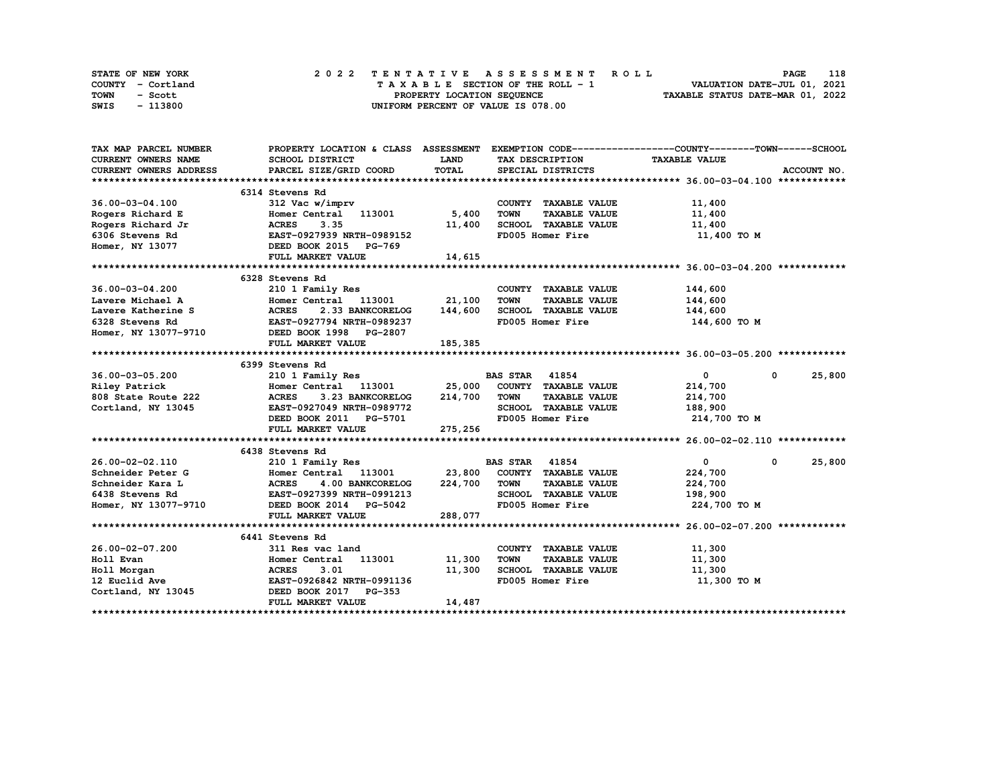| STATE OF NEW YORK | 2022 TENTATIVE ASSESSMENT ROLL     | 118<br><b>PAGE</b>               |
|-------------------|------------------------------------|----------------------------------|
| COUNTY - Cortland | TAXABLE SECTION OF THE ROLL - 1    | VALUATION DATE-JUL 01, 2021      |
| TOWN<br>- Scott   | PROPERTY LOCATION SEQUENCE         | TAXABLE STATUS DATE-MAR 01, 2022 |
| - 113800<br>SWIS  | UNIFORM PERCENT OF VALUE IS 078.00 |                                  |

| TAX MAP PARCEL NUMBER                             | PROPERTY LOCATION & CLASS ASSESSMENT EXEMPTION CODE----------------COUNTY-------TOWN------SCHOOL |             |                       |                      |                      |             |             |
|---------------------------------------------------|--------------------------------------------------------------------------------------------------|-------------|-----------------------|----------------------|----------------------|-------------|-------------|
| <b>CURRENT OWNERS NAME</b>                        | SCHOOL DISTRICT                                                                                  | <b>LAND</b> |                       | TAX DESCRIPTION      | <b>TAXABLE VALUE</b> |             |             |
| <b>CURRENT OWNERS ADDRESS</b>                     | PARCEL SIZE/GRID COORD                                                                           | TOTAL       |                       | SPECIAL DISTRICTS    |                      |             | ACCOUNT NO. |
|                                                   |                                                                                                  |             |                       |                      |                      |             |             |
|                                                   | 6314 Stevens Rd                                                                                  |             |                       |                      |                      |             |             |
| 36.00-03-04.100                                   | 312 Vac w/imprv                                                                                  |             |                       | COUNTY TAXABLE VALUE | 11,400               |             |             |
| Rogers Richard E                                  | Homer Central 113001                                                                             | 5,400       | <b>TOWN</b>           | <b>TAXABLE VALUE</b> | 11,400               |             |             |
| <b>Homer</b><br><b>ACRES</b><br>Rogers Richard Jr | 3.35                                                                                             | 11,400      |                       | SCHOOL TAXABLE VALUE | 11,400               |             |             |
| 6306 Stevens Rd                                   | EAST-0927939 NRTH-0989152                                                                        |             |                       | FD005 Homer Fire     | 11,400 TO M          |             |             |
| Homer, NY 13077                                   | DEED BOOK 2015 PG-769                                                                            |             |                       |                      |                      |             |             |
|                                                   | FULL MARKET VALUE                                                                                | 14,615      |                       |                      |                      |             |             |
|                                                   |                                                                                                  |             |                       |                      |                      |             |             |
|                                                   | 6328 Stevens Rd                                                                                  |             |                       |                      |                      |             |             |
| $36.00 - 03 - 04.200$                             | 210 1 Family Res                                                                                 |             |                       | COUNTY TAXABLE VALUE | 144,600              |             |             |
| Lavere Michael A                                  | Homer Central 113001 21,100                                                                      |             | <b>TOWN</b>           | <b>TAXABLE VALUE</b> | 144,600              |             |             |
| Lavere Katherine S                                | 2.33 BANKCORELOG<br><b>ACRES</b>                                                                 | 144,600     |                       | SCHOOL TAXABLE VALUE | 144,600              |             |             |
| 6328 Stevens Rd                                   | EAST-0927794 NRTH-0989237                                                                        |             |                       | FD005 Homer Fire     | 144,600 TO M         |             |             |
| Homer, NY 13077-9710                              | DEED BOOK 1998 PG-2807                                                                           |             |                       |                      |                      |             |             |
|                                                   | FULL MARKET VALUE                                                                                | 185,385     |                       |                      |                      |             |             |
|                                                   |                                                                                                  |             |                       |                      |                      |             |             |
|                                                   | 6399 Stevens Rd                                                                                  |             |                       |                      |                      |             |             |
| $36.00 - 03 - 05.200$                             | 210 1 Family Res                                                                                 |             | <b>BAS STAR 41854</b> |                      | $\overline{0}$       | $\mathbf 0$ | 25,800      |
| Riley Patrick                                     | Homer Central 113001 25,000                                                                      |             |                       | COUNTY TAXABLE VALUE | 214,700              |             |             |
| 808 State Route 222                               | <b>ACRES</b><br>3.23 BANKCORELOG                                                                 | 214,700     | <b>TOWN</b>           | <b>TAXABLE VALUE</b> | 214,700              |             |             |
| Cortland, NY 13045                                | EAST-0927049 NRTH-0989772                                                                        |             |                       | SCHOOL TAXABLE VALUE | 188,900              |             |             |
|                                                   | DEED BOOK 2011 PG-5701                                                                           |             |                       | FD005 Homer Fire     | 214,700 TO M         |             |             |
|                                                   | FULL MARKET VALUE                                                                                | 275,256     |                       |                      |                      |             |             |
|                                                   |                                                                                                  |             |                       |                      |                      |             |             |
|                                                   | 6438 Stevens Rd                                                                                  |             |                       |                      |                      |             |             |
| 26.00-02-02.110                                   | 210 1 Family Res                                                                                 |             | <b>BAS STAR 41854</b> |                      | $\mathbf 0$          | 0           | 25,800      |
| Schneider Peter G                                 | Homer Central 113001                                                                             | 23,800      |                       | COUNTY TAXABLE VALUE | 224,700              |             |             |
| Schneider Kara L                                  | <b>ACRES</b><br>4.00 BANKCORELOG                                                                 | 224,700     | TOWN                  | <b>TAXABLE VALUE</b> | 224,700              |             |             |
| 6438 Stevens Rd                                   | EAST-0927399 NRTH-0991213                                                                        |             |                       | SCHOOL TAXABLE VALUE | 198,900              |             |             |
| Homer, NY 13077-9710 DEED BOOK 2014 PG-5042       |                                                                                                  |             |                       | FD005 Homer Fire     | 224,700 TO M         |             |             |
|                                                   | FULL MARKET VALUE                                                                                | 288,077     |                       |                      |                      |             |             |
|                                                   |                                                                                                  |             |                       |                      |                      |             |             |
|                                                   | 6441 Stevens Rd                                                                                  |             |                       |                      |                      |             |             |
| 26.00-02-07.200                                   | 311 Res vac land                                                                                 |             |                       | COUNTY TAXABLE VALUE | 11,300               |             |             |
| Holl Evan                                         | Homer Central 113001                                                                             | 11,300      | <b>TOWN</b>           | <b>TAXABLE VALUE</b> | 11,300               |             |             |
| Holl Morgan                                       | 3.01<br><b>ACRES</b>                                                                             | 11,300      |                       | SCHOOL TAXABLE VALUE | 11,300               |             |             |
| 12 Euclid Ave                                     | EAST-0926842 NRTH-0991136                                                                        |             |                       | FD005 Homer Fire     | 11,300 TO M          |             |             |
| Cortland, NY 13045                                | DEED BOOK 2017 PG-353                                                                            |             |                       |                      |                      |             |             |
|                                                   | FULL MARKET VALUE                                                                                | 14,487      |                       |                      |                      |             |             |
|                                                   |                                                                                                  |             |                       |                      |                      |             |             |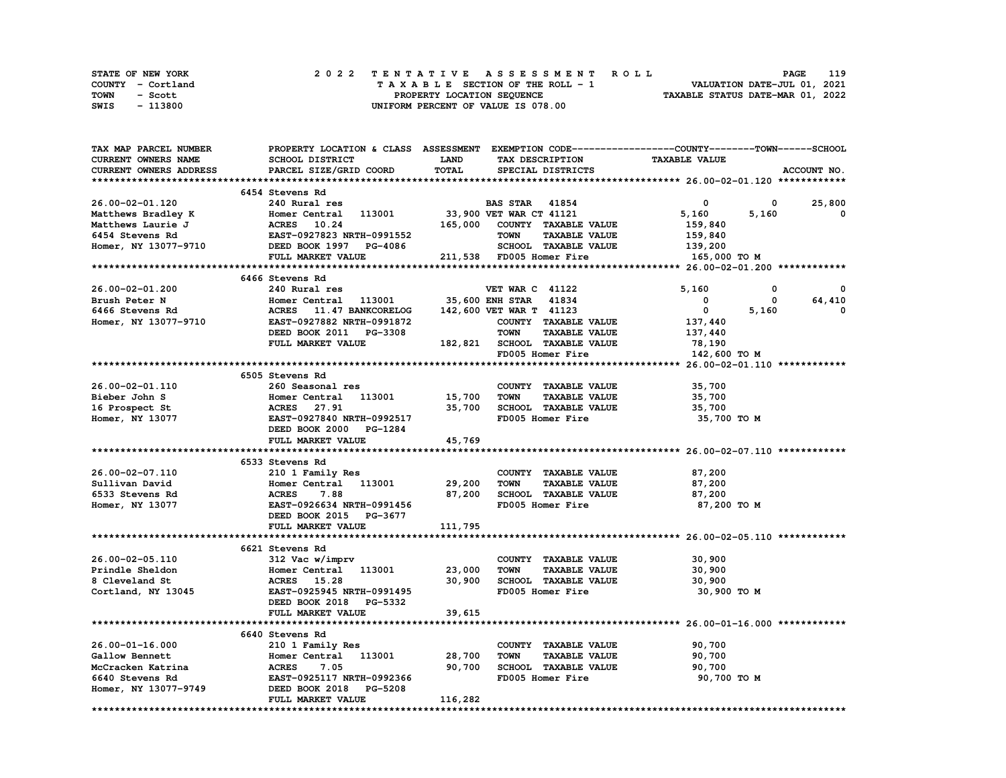| STATE OF NEW YORK | 2022 TENTATIVE ASSESSMENT ROLL     | 119<br><b>PAGE</b>               |
|-------------------|------------------------------------|----------------------------------|
| COUNTY - Cortland | TAXABLE SECTION OF THE ROLL - 1    | VALUATION DATE-JUL 01, 2021      |
| TOWN<br>- Scott   | PROPERTY LOCATION SEQUENCE         | TAXABLE STATUS DATE-MAR 01, 2022 |
| - 113800<br>SWIS  | UNIFORM PERCENT OF VALUE IS 078.00 |                                  |

| TAX MAP PARCEL NUMBER                                                                                                                                                                                                                                                                                                                                                                                                    | PROPERTY LOCATION & CLASS ASSESSMENT EXEMPTION CODE-----------------COUNTY-------TOWN-----SCHOOL |             |                         |                              |                         |                                  |
|--------------------------------------------------------------------------------------------------------------------------------------------------------------------------------------------------------------------------------------------------------------------------------------------------------------------------------------------------------------------------------------------------------------------------|--------------------------------------------------------------------------------------------------|-------------|-------------------------|------------------------------|-------------------------|----------------------------------|
| CURRENT OWNERS NAME                                                                                                                                                                                                                                                                                                                                                                                                      | SCHOOL DISTRICT                                                                                  | <b>LAND</b> |                         | TAX DESCRIPTION              | <b>TAXABLE VALUE</b>    |                                  |
| CURRENT OWNERS ADDRESS                                                                                                                                                                                                                                                                                                                                                                                                   | PARCEL SIZE/GRID COORD                                                                           | TOTAL       |                         | SPECIAL DISTRICTS            |                         | ACCOUNT NO.                      |
|                                                                                                                                                                                                                                                                                                                                                                                                                          |                                                                                                  |             |                         |                              |                         |                                  |
|                                                                                                                                                                                                                                                                                                                                                                                                                          | 6454 Stevens Rd                                                                                  |             |                         |                              |                         |                                  |
| 26.00-02-01.120                                                                                                                                                                                                                                                                                                                                                                                                          | 240 Rural res                                                                                    |             | <b>BAS STAR</b> 41854   |                              | $\mathbf 0$             | 25,800<br>0                      |
|                                                                                                                                                                                                                                                                                                                                                                                                                          |                                                                                                  |             |                         |                              | 5,160                   | 5,160<br>$\overline{\mathbf{0}}$ |
|                                                                                                                                                                                                                                                                                                                                                                                                                          | Homer Central 113001 33,900 VET WAR CT 41121<br>ACRES 10.24 165,000 COUNTY TAXABLE VALUE         |             |                         |                              | 159,840                 |                                  |
| Matthews Bradley K (E) Homer Central 113001<br>Matthews Laurie J (ACRES 10.24<br>6454 Stevens Rd (EAST-0927823 NRTH-0991552                                                                                                                                                                                                                                                                                              |                                                                                                  |             |                         | <b>TAXABLE VALUE</b>         | 159,840                 |                                  |
| $\begin{tabular}{lllllllllllllllllllll} \multicolumn{2}{c}{\textbf{6454}\hspace{0.5cm} \textbf{Hevens Rd}} & \multicolumn{2}{c}{\textbf{EAST-0927823} \hspace{0.5cm} \textbf{RHTH-0991552}} & \multicolumn{2}{c}{\textbf{TOWN}} & \multicolumn{2}{c}{\textbf{TAXABLE}} & \multicolumn{2}{c}{\textbf{Y}} \\ \multicolumn{2}{c}{\textbf{Homer, NY 13077-9710}} & \multicolumn{2}{c}{\textbf{DEED BOK 1997} \hspace{0.5cm}$ |                                                                                                  |             |                         | SCHOOL TAXABLE VALUE         | 139,200                 |                                  |
|                                                                                                                                                                                                                                                                                                                                                                                                                          |                                                                                                  |             |                         |                              | 165,000 TO M            |                                  |
|                                                                                                                                                                                                                                                                                                                                                                                                                          |                                                                                                  |             |                         |                              |                         |                                  |
|                                                                                                                                                                                                                                                                                                                                                                                                                          | 6466 Stevens Rd                                                                                  |             |                         |                              |                         |                                  |
| 26.00-02-01.200                                                                                                                                                                                                                                                                                                                                                                                                          | 240 Rural res                                                                                    |             | <b>VET WAR C 41122</b>  |                              | 5,160                   | $^{\circ}$<br>0                  |
| Brush Peter N                                                                                                                                                                                                                                                                                                                                                                                                            | Homer Central 113001 35,600 ENH STAR 41834                                                       |             |                         |                              | $\Omega$                | 64,410<br>0                      |
| 6466 Stevens Rd                                                                                                                                                                                                                                                                                                                                                                                                          | ACRES 11.47 BANKCORELOG                                                                          |             | 142,600 VET WAR T 41123 |                              | $\overline{\mathbf{0}}$ | 5,160<br>0                       |
| Homer, NY 13077-9710                                                                                                                                                                                                                                                                                                                                                                                                     | EAST-0927882 NRTH-0991872                                                                        |             |                         | COUNTY TAXABLE VALUE         | 137,440                 |                                  |
|                                                                                                                                                                                                                                                                                                                                                                                                                          | DEED BOOK 2011 PG-3308                                                                           |             | <b>TOWN</b>             | <b>TAXABLE VALUE</b>         | 137,440                 |                                  |
|                                                                                                                                                                                                                                                                                                                                                                                                                          | FULL MARKET VALUE                                                                                |             |                         |                              |                         |                                  |
|                                                                                                                                                                                                                                                                                                                                                                                                                          |                                                                                                  |             |                         | 182,821 SCHOOL TAXABLE VALUE | 78,190                  |                                  |
|                                                                                                                                                                                                                                                                                                                                                                                                                          |                                                                                                  |             |                         | FD005 Homer Fire             | 142,600 TO M            |                                  |
|                                                                                                                                                                                                                                                                                                                                                                                                                          |                                                                                                  |             |                         |                              |                         |                                  |
|                                                                                                                                                                                                                                                                                                                                                                                                                          | 6505 Stevens Rd                                                                                  |             |                         |                              |                         |                                  |
| 26.00-02-01.110                                                                                                                                                                                                                                                                                                                                                                                                          | 260 Seasonal res                                                                                 |             |                         | COUNTY TAXABLE VALUE         | 35,700                  |                                  |
| Bieber John S                                                                                                                                                                                                                                                                                                                                                                                                            | Homer Central 113001 15,700                                                                      |             | <b>TOWN</b>             | <b>TAXABLE VALUE</b>         | 35,700                  |                                  |
| 16 Prospect St                                                                                                                                                                                                                                                                                                                                                                                                           |                                                                                                  |             |                         | 35,700 SCHOOL TAXABLE VALUE  | 35,700                  |                                  |
| Homer, NY 13077                                                                                                                                                                                                                                                                                                                                                                                                          | Homer Central 113001 15,700<br>ACRES 27.91 35,700<br>EAST-0927840 NRTH-0992517 35,700            |             |                         | FD005 Homer Fire             | 35,700 TO M             |                                  |
|                                                                                                                                                                                                                                                                                                                                                                                                                          | DEED BOOK 2000 PG-1284                                                                           |             |                         |                              |                         |                                  |
|                                                                                                                                                                                                                                                                                                                                                                                                                          | FULL MARKET VALUE                                                                                | 45,769      |                         |                              |                         |                                  |
|                                                                                                                                                                                                                                                                                                                                                                                                                          |                                                                                                  |             |                         |                              |                         |                                  |
|                                                                                                                                                                                                                                                                                                                                                                                                                          | 6533 Stevens Rd                                                                                  |             |                         |                              |                         |                                  |
| 26.00-02-07.110                                                                                                                                                                                                                                                                                                                                                                                                          | 210 1 Family Res                                                                                 |             |                         | COUNTY TAXABLE VALUE         | 87,200                  |                                  |
| Sullivan David                                                                                                                                                                                                                                                                                                                                                                                                           |                                                                                                  | 29,200      | <b>TOWN</b>             | <b>TAXABLE VALUE</b>         | 87,200                  |                                  |
| 6533 Stevens Rd                                                                                                                                                                                                                                                                                                                                                                                                          | 210 1 ramily Res<br>Homer Central 113001<br>ACRES 7.88<br>EAST-0926634 NRTH-0991456              |             |                         | 87,200 SCHOOL TAXABLE VALUE  | 87,200                  |                                  |
| Homer, NY 13077                                                                                                                                                                                                                                                                                                                                                                                                          | <b>EAST-0926634 NRTH-0991456</b>                                                                 |             |                         | FD005 Homer Fire             | 87,200 TO M             |                                  |
|                                                                                                                                                                                                                                                                                                                                                                                                                          | DEED BOOK 2015 PG-3677                                                                           |             |                         |                              |                         |                                  |
|                                                                                                                                                                                                                                                                                                                                                                                                                          | FULL MARKET VALUE                                                                                | 111,795     |                         |                              |                         |                                  |
|                                                                                                                                                                                                                                                                                                                                                                                                                          |                                                                                                  |             |                         |                              |                         |                                  |
|                                                                                                                                                                                                                                                                                                                                                                                                                          | 6621 Stevens Rd                                                                                  |             |                         |                              |                         |                                  |
| 26.00-02-05.110                                                                                                                                                                                                                                                                                                                                                                                                          | 312 Vac w/imprv                                                                                  |             |                         | COUNTY TAXABLE VALUE         | 30,900                  |                                  |
| Prindle Sheldon                                                                                                                                                                                                                                                                                                                                                                                                          | Homer Central 113001 23,000                                                                      |             | <b>TOWN</b>             | <b>TAXABLE VALUE</b>         | 30,900                  |                                  |
| 8 Cleveland St                                                                                                                                                                                                                                                                                                                                                                                                           | ACRES 15.28                                                                                      | 30,900      |                         | SCHOOL TAXABLE VALUE         | 30,900                  |                                  |
| Cortland, NY 13045                                                                                                                                                                                                                                                                                                                                                                                                       | EAST-0925945 NRTH-0991495                                                                        |             |                         | FD005 Homer Fire             | 30,900 то м             |                                  |
|                                                                                                                                                                                                                                                                                                                                                                                                                          | DEED BOOK 2018 PG-5332                                                                           |             |                         |                              |                         |                                  |
|                                                                                                                                                                                                                                                                                                                                                                                                                          | FULL MARKET VALUE                                                                                | 39,615      |                         |                              |                         |                                  |
|                                                                                                                                                                                                                                                                                                                                                                                                                          |                                                                                                  |             |                         |                              |                         |                                  |
|                                                                                                                                                                                                                                                                                                                                                                                                                          | 6640 Stevens Rd                                                                                  |             |                         |                              |                         |                                  |
| 26.00-01-16.000                                                                                                                                                                                                                                                                                                                                                                                                          | 210 1 Family Res                                                                                 |             |                         | COUNTY TAXABLE VALUE         | 90,700                  |                                  |
| Gallow Bennett                                                                                                                                                                                                                                                                                                                                                                                                           | Homer Central 113001                                                                             | 28,700      | <b>TOWN</b>             | <b>TAXABLE VALUE</b>         | 90,700                  |                                  |
| McCracken Katrina                                                                                                                                                                                                                                                                                                                                                                                                        | <b>ACRES</b><br>7.05                                                                             | 90,700      |                         | SCHOOL TAXABLE VALUE         | 90,700                  |                                  |
| 6640 Stevens Rd                                                                                                                                                                                                                                                                                                                                                                                                          | EAST-0925117 NRTH-0992366                                                                        |             |                         | FD005 Homer Fire             | 90,700 TO M             |                                  |
| Homer, NY 13077-9749                                                                                                                                                                                                                                                                                                                                                                                                     | DEED BOOK 2018 PG-5208                                                                           |             |                         |                              |                         |                                  |
|                                                                                                                                                                                                                                                                                                                                                                                                                          | FULL MARKET VALUE                                                                                | 116,282     |                         |                              |                         |                                  |
|                                                                                                                                                                                                                                                                                                                                                                                                                          |                                                                                                  |             |                         |                              |                         |                                  |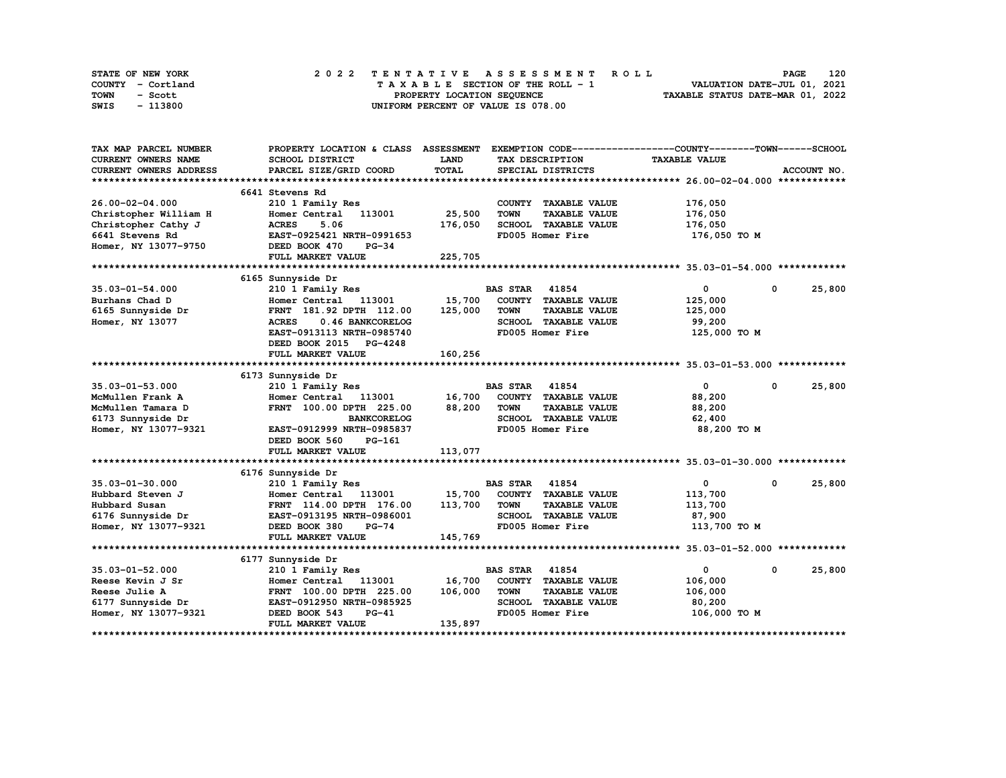| STATE OF NEW YORK | 2022 TENTATIVE ASSESSMENT ROLL     | 120<br><b>PAGE</b>               |
|-------------------|------------------------------------|----------------------------------|
| COUNTY - Cortland | TAXABLE SECTION OF THE ROLL - 1    | VALUATION DATE-JUL 01, 2021      |
| TOWN<br>- Scott   | PROPERTY LOCATION SEQUENCE         | TAXABLE STATUS DATE-MAR 01, 2022 |
| - 113800<br>SWIS  | UNIFORM PERCENT OF VALUE IS 078.00 |                                  |

| TAX MAP PARCEL NUMBER                     | PROPERTY LOCATION & CLASS ASSESSMENT EXEMPTION CODE----------------COUNTY-------TOWN------SCHOOL |             |                                          |                        |              |             |
|-------------------------------------------|--------------------------------------------------------------------------------------------------|-------------|------------------------------------------|------------------------|--------------|-------------|
| CURRENT OWNERS NAME                       | SCHOOL DISTRICT                                                                                  | <b>LAND</b> | TAX DESCRIPTION                          | <b>TAXABLE VALUE</b>   |              |             |
| CURRENT OWNERS ADDRESS                    | PARCEL SIZE/GRID COORD                                                                           | TOTAL       | SPECIAL DISTRICTS                        |                        |              | ACCOUNT NO. |
|                                           |                                                                                                  |             |                                          |                        |              |             |
|                                           | 6641 Stevens Rd                                                                                  |             |                                          |                        |              |             |
| 26.00-02-04.000                           | 210 1 Family Res                                                                                 |             | COUNTY TAXABLE VALUE                     | 176,050                |              |             |
| Christopher William H                     | Homer Central<br>113001                                                                          | 25,500      | <b>TOWN</b><br><b>TAXABLE VALUE</b>      | 176,050                |              |             |
| Christopher Cathy J                       | <b>ACRES</b><br>5.06                                                                             | 176,050     | SCHOOL TAXABLE VALUE                     | 176,050                |              |             |
| 6641 Stevens Rd                           | EAST-0925421 NRTH-0991653                                                                        |             | FD005 Homer Fire                         | 176,050 то м           |              |             |
| Homer, NY 13077-9750                      | DEED BOOK 470<br>$PG-34$                                                                         |             |                                          |                        |              |             |
|                                           | FULL MARKET VALUE                                                                                | 225,705     |                                          |                        |              |             |
|                                           |                                                                                                  |             |                                          |                        |              |             |
|                                           | 6165 Sunnyside Dr                                                                                |             |                                          |                        |              |             |
| 35.03-01-54.000                           | 210 1 Family Res                                                                                 |             | 41854<br><b>BAS STAR</b>                 | 0                      | 0            | 25,800      |
| Burhans Chad D                            | Homer Central 113001                                                                             | 15,700      | COUNTY TAXABLE VALUE                     | 125,000                |              |             |
| 6165 Sunnyside Dr                         | FRNT 181.92 DPTH 112.00                                                                          | 125,000     | <b>TOWN</b><br><b>TAXABLE VALUE</b>      | 125,000                |              |             |
| Homer, NY 13077                           | <b>ACRES</b><br>0.46 BANKCORELOG                                                                 |             | SCHOOL TAXABLE VALUE                     | 99,200                 |              |             |
|                                           | EAST-0913113 NRTH-0985740                                                                        |             | FD005 Homer Fire                         | 125,000 TO M           |              |             |
|                                           | DEED BOOK 2015<br><b>PG-4248</b>                                                                 |             |                                          |                        |              |             |
|                                           | FULL MARKET VALUE                                                                                | 160,256     |                                          |                        |              |             |
|                                           |                                                                                                  |             |                                          |                        |              |             |
|                                           | 6173 Sunnyside Dr                                                                                |             |                                          |                        |              |             |
| $35.03 - 01 - 53.000$                     | 210 1 Family Res                                                                                 |             | <b>BAS STAR 41854</b>                    | $\overline{0}$         | $\mathbf 0$  | 25,800      |
| McMullen Frank A                          | Homer Central 113001                                                                             | 16,700      | COUNTY TAXABLE VALUE                     | 88,200                 |              |             |
| McMullen Tamara D                         | FRNT 100.00 DPTH 225.00                                                                          | 88,200      | <b>TOWN</b><br><b>TAXABLE VALUE</b>      | 88,200                 |              |             |
| 6173 Sunnyside Dr                         | <b>BANKCORELOG</b>                                                                               |             | SCHOOL TAXABLE VALUE                     | 62,400                 |              |             |
| Homer, NY 13077-9321                      | EAST-0912999 NRTH-0985837                                                                        |             | FD005 Homer Fire                         | 88,200 TO M            |              |             |
|                                           | DEED BOOK 560<br>PG-161                                                                          |             |                                          |                        |              |             |
|                                           | FULL MARKET VALUE                                                                                | 113,077     |                                          |                        |              |             |
|                                           |                                                                                                  |             |                                          |                        |              |             |
|                                           | 6176 Sunnyside Dr                                                                                |             |                                          |                        |              |             |
| $35.03 - 01 - 30.000$                     | 210 1 Family Res                                                                                 |             | <b>BAS STAR</b><br>41854                 | $\mathbf{0}$           | $\mathbf{0}$ | 25,800      |
| Hubbard Steven J                          | Homer Central 113001                                                                             | 15,700      | COUNTY TAXABLE VALUE                     | 113,700                |              |             |
|                                           |                                                                                                  | 113,700     | <b>TOWN</b><br><b>TAXABLE VALUE</b>      |                        |              |             |
| Hubbard Susan                             | FRNT 114.00 DPTH 176.00                                                                          |             |                                          | 113,700                |              |             |
| 6176 Sunnyside Dr<br>Homer, NY 13077-9321 | EAST-0913195 NRTH-0986001<br>$PG-74$                                                             |             | SCHOOL TAXABLE VALUE<br>FD005 Homer Fire | 87,900<br>113,700 TO M |              |             |
|                                           | DEED BOOK 380<br>FULL MARKET VALUE                                                               | 145,769     |                                          |                        |              |             |
|                                           |                                                                                                  |             |                                          |                        |              |             |
|                                           |                                                                                                  |             |                                          |                        |              |             |
|                                           | 6177 Sunnyside Dr                                                                                |             | <b>BAS STAR 41854</b>                    | $\mathbf{0}$           |              |             |
| $35.03 - 01 - 52.000$                     | 210 1 Family Res                                                                                 | 16,700      | COUNTY TAXABLE VALUE                     |                        | $\mathbf 0$  | 25,800      |
| Reese Kevin J Sr                          | Homer Central<br>113001                                                                          |             |                                          | 106,000                |              |             |
| Reese Julie A                             | FRNT 100.00 DPTH 225.00                                                                          | 106,000     | <b>TOWN</b><br><b>TAXABLE VALUE</b>      | 106,000                |              |             |
| 6177 Sunnyside Dr                         | EAST-0912950 NRTH-0985925                                                                        |             | SCHOOL TAXABLE VALUE                     | 80,200                 |              |             |
| Homer, NY 13077-9321                      | DEED BOOK 543<br>$PG-41$                                                                         |             | FD005 Homer Fire                         | 106,000 TO M           |              |             |
|                                           | FULL MARKET VALUE                                                                                | 135,897     |                                          |                        |              |             |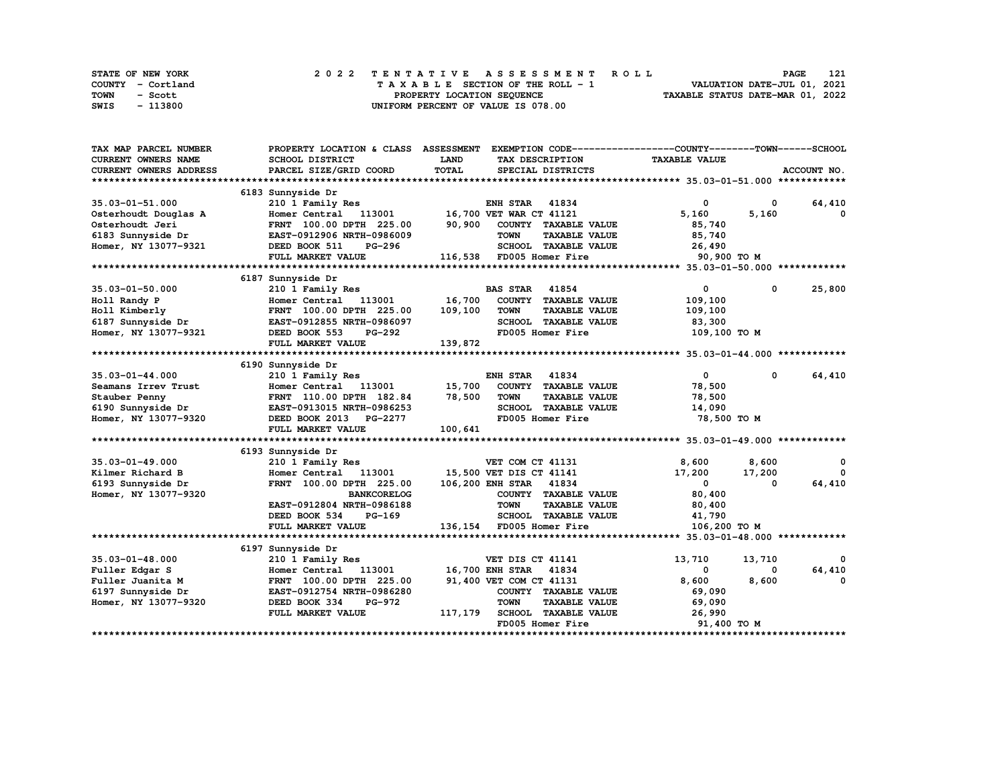| STATE OF NEW YORK | 2022 TENTATIVE ASSESSMENT ROLL     | 121<br><b>PAGE</b>               |
|-------------------|------------------------------------|----------------------------------|
| COUNTY - Cortland | TAXABLE SECTION OF THE ROLL - 1    | VALUATION DATE-JUL 01, 2021      |
| TOWN<br>- Scott   | PROPERTY LOCATION SEQUENCE         | TAXABLE STATUS DATE-MAR 01, 2022 |
| - 113800<br>SWIS  | UNIFORM PERCENT OF VALUE IS 078.00 |                                  |

| TAX MAP PARCEL NUMBER      | PROPERTY LOCATION & CLASS ASSESSMENT |                                                | EXEMPTION CODE-----------------COUNTY-------TOWN------SCHOOL |
|----------------------------|--------------------------------------|------------------------------------------------|--------------------------------------------------------------|
| <b>CURRENT OWNERS NAME</b> | SCHOOL DISTRICT                      | <b>LAND</b><br>TAX DESCRIPTION                 | <b>TAXABLE VALUE</b>                                         |
| CURRENT OWNERS ADDRESS     | PARCEL SIZE/GRID COORD               | TOTAL<br>SPECIAL DISTRICTS                     | ACCOUNT NO.                                                  |
|                            |                                      |                                                |                                                              |
|                            | 6183 Sunnyside Dr                    |                                                |                                                              |
| $35.03 - 01 - 51.000$      | 210 1 Family Res                     | <b>ENH STAR 41834</b>                          | 64,410<br>0<br>$^{\circ}$                                    |
| Osterhoudt Douglas A       | Homer Central<br>113001              | 16,700 VET WAR CT 41121                        | 5,160<br>5,160<br>0                                          |
| Osterhoudt Jeri            | FRNT 100.00 DPTH 225.00              | 90,900 COUNTY TAXABLE VALUE                    | 85,740                                                       |
| 6183 Sunnyside Dr          | EAST-0912906 NRTH-0986009            | <b>TOWN</b><br><b>TAXABLE VALUE</b>            | 85,740                                                       |
| Homer, NY 13077-9321       | DEED BOOK 511<br>PG-296              | SCHOOL TAXABLE VALUE                           | 26,490                                                       |
|                            | FULL MARKET VALUE                    | 116,538 FD005 Homer Fire                       | 90,900 TO M                                                  |
|                            |                                      |                                                |                                                              |
|                            | 6187 Sunnyside Dr                    |                                                |                                                              |
| $35.03 - 01 - 50.000$      | 210 1 Family Res                     | <b>BAS STAR 41854</b>                          | 0<br>$\mathbf 0$<br>25,800                                   |
| Holl Randy P               | Homer Central 113001                 | 16,700<br>COUNTY TAXABLE VALUE                 | 109,100                                                      |
| Holl Kimberly              | FRNT 100.00 DPTH 225.00              | 109,100<br><b>TOWN</b><br><b>TAXABLE VALUE</b> | 109,100                                                      |
| 6187 Sunnyside Dr          | EAST-0912855 NRTH-0986097            | SCHOOL TAXABLE VALUE                           | 83,300                                                       |
| Homer, NY 13077-9321       | DEED BOOK 553<br><b>PG-292</b>       | FD005 Homer Fire                               | 109,100 TO M                                                 |
|                            | FULL MARKET VALUE                    | 139,872                                        |                                                              |
|                            |                                      |                                                |                                                              |
|                            | 6190 Sunnyside Dr                    |                                                |                                                              |
| $35.03 - 01 - 44.000$      | 210 1 Family Res                     | <b>ENH STAR</b><br>41834                       | $\overline{0}$<br>64,410<br>$^{\circ}$                       |
| Seamans Irrev Trust        | Homer Central 113001                 | 15,700<br>COUNTY TAXABLE VALUE                 | 78,500                                                       |
| Stauber Penny              | FRNT 110.00 DPTH 182.84              | 78,500<br><b>TOWN</b><br><b>TAXABLE VALUE</b>  | 78,500                                                       |
| 6190 Sunnyside Dr          | EAST-0913015 NRTH-0986253            | SCHOOL TAXABLE VALUE                           | 14,090                                                       |
| Homer, NY 13077-9320       | DEED BOOK 2013 PG-2277               | FD005 Homer Fire                               | 78,500 TO M                                                  |
|                            | FULL MARKET VALUE                    | 100,641                                        |                                                              |
|                            |                                      |                                                |                                                              |
|                            | 6193 Sunnyside Dr                    |                                                |                                                              |
| $35.03 - 01 - 49.000$      | 210 1 Family Res                     | VET COM CT 41131                               | 8,600<br>8,600<br>$^{\circ}$                                 |
| Kilmer Richard B           | Homer Central 113001                 | 15,500 VET DIS CT 41141                        | 17,200<br>17,200<br>$\mathbf{0}$                             |
| 6193 Sunnyside Dr          | FRNT 100.00 DPTH 225.00              | 106,200 ENH STAR 41834                         | 64,410<br>$^{\circ}$<br>0                                    |
| Homer, NY 13077-9320       | <b>BANKCORELOG</b>                   | COUNTY TAXABLE VALUE                           | 80,400                                                       |
|                            | EAST-0912804 NRTH-0986188            | <b>TOWN</b><br><b>TAXABLE VALUE</b>            | 80,400                                                       |
|                            | PG-169<br>DEED BOOK 534              | SCHOOL TAXABLE VALUE                           | 41,790                                                       |
|                            | FULL MARKET VALUE                    | 136,154 FD005 Homer Fire                       | 106,200 TO M                                                 |
|                            |                                      |                                                |                                                              |
|                            | 6197 Sunnyside Dr                    |                                                |                                                              |
| $35.03 - 01 - 48.000$      | 210 1 Family Res                     | VET DIS CT 41141                               | 13,710<br>13,710<br>0                                        |
| Fuller Edgar S             | Homer Central 113001                 | 16,700 ENH STAR 41834                          | 64,410<br>0<br>0                                             |
| Fuller Juanita M           | FRNT 100.00 DPTH 225.00              | 91,400 VET COM CT 41131                        | 8,600<br>0<br>8,600                                          |
| 6197 Sunnyside Dr          | EAST-0912754 NRTH-0986280            | COUNTY TAXABLE VALUE                           | 69,090                                                       |
| Homer, NY 13077-9320       | DEED BOOK 334<br><b>PG-972</b>       | <b>TOWN</b><br><b>TAXABLE VALUE</b>            | 69,090                                                       |
|                            | FULL MARKET VALUE                    | 117,179<br>SCHOOL TAXABLE VALUE                | 26,990                                                       |
|                            |                                      | FD005 Homer Fire                               | 91,400 TO M                                                  |
|                            |                                      |                                                |                                                              |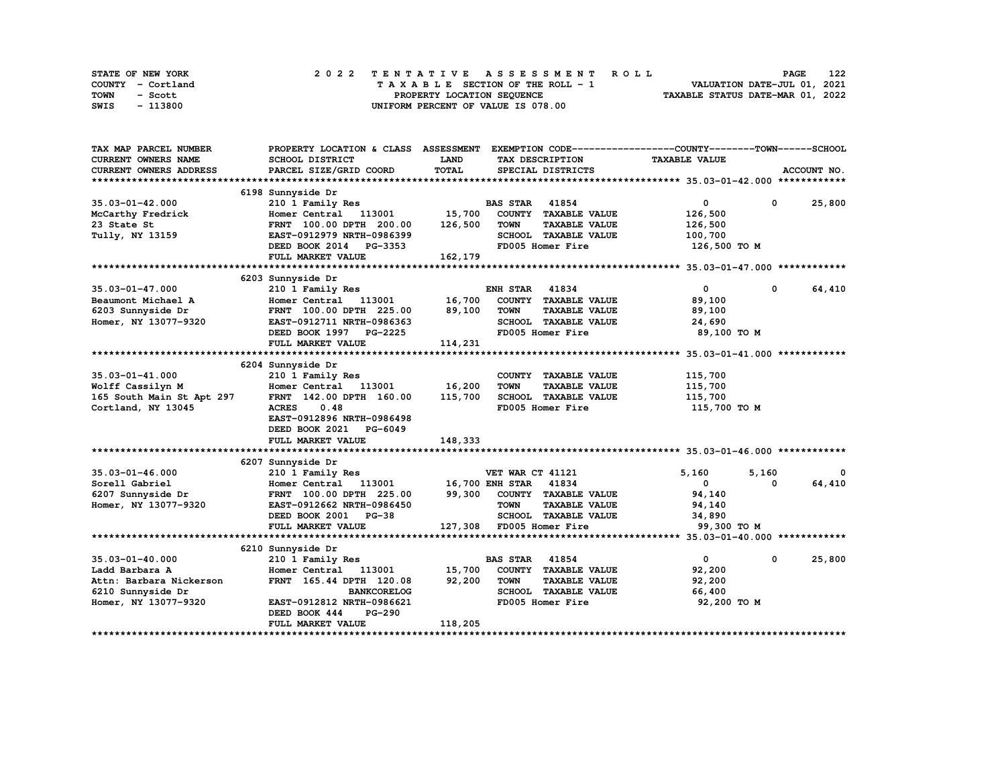| STATE OF NEW YORK | 2022 TENTATIVE ASSESSMENT ROLL     | 122<br><b>PAGE</b>               |
|-------------------|------------------------------------|----------------------------------|
| COUNTY - Cortland | TAXABLE SECTION OF THE ROLL - 1    | VALUATION DATE-JUL 01, 2021      |
| TOWN<br>- Scott   | PROPERTY LOCATION SEQUENCE         | TAXABLE STATUS DATE-MAR 01, 2022 |
| - 113800<br>SWIS  | UNIFORM PERCENT OF VALUE IS 078.00 |                                  |

| TAX MAP PARCEL NUMBER      | PROPERTY LOCATION & CLASS ASSESSMENT |         |                                     | EXEMPTION CODE-----------------COUNTY-------TOWN------SCHOOL |                        |
|----------------------------|--------------------------------------|---------|-------------------------------------|--------------------------------------------------------------|------------------------|
| <b>CURRENT OWNERS NAME</b> | SCHOOL DISTRICT                      | LAND    | TAX DESCRIPTION                     | <b>TAXABLE VALUE</b>                                         |                        |
| CURRENT OWNERS ADDRESS     | PARCEL SIZE/GRID COORD               | TOTAL   | SPECIAL DISTRICTS                   |                                                              | ACCOUNT NO.            |
|                            |                                      |         |                                     |                                                              |                        |
|                            | 6198 Sunnyside Dr                    |         |                                     |                                                              |                        |
| $35.03 - 01 - 42.000$      | 210 1 Family Res                     |         | <b>BAS STAR 41854</b>               | $\mathbf{0}$                                                 | 25,800<br>$\mathbf{0}$ |
| McCarthy Fredrick          | Homer Central 113001 15,700          |         | COUNTY TAXABLE VALUE                | 126,500                                                      |                        |
| 23 State St                | FRNT 100.00 DPTH 200.00              | 126,500 | <b>TOWN</b><br><b>TAXABLE VALUE</b> | 126,500                                                      |                        |
| Tully, NY 13159            | EAST-0912979 NRTH-0986399            |         | SCHOOL TAXABLE VALUE                | 100,700                                                      |                        |
|                            | DEED BOOK 2014 PG-3353               |         | FD005 Homer Fire                    | 126,500 то м                                                 |                        |
|                            | FULL MARKET VALUE                    | 162,179 |                                     |                                                              |                        |
|                            |                                      |         |                                     |                                                              |                        |
|                            | 6203 Sunnyside Dr                    |         |                                     |                                                              |                        |
| $35.03 - 01 - 47.000$      | 210 1 Family Res                     |         | <b>ENH STAR 41834</b>               | $\mathbf{0}$<br>$\mathbf{0}$                                 | 64,410                 |
| Beaumont Michael A         | Homer Central 113001                 | 16,700  | COUNTY TAXABLE VALUE                | 89,100                                                       |                        |
| 6203 Sunnyside Dr          | FRNT 100.00 DPTH 225.00              | 89,100  | <b>TOWN</b><br><b>TAXABLE VALUE</b> | 89,100                                                       |                        |
| Homer, NY 13077-9320       | EAST-0912711 NRTH-0986363            |         | SCHOOL TAXABLE VALUE                | 24,690                                                       |                        |
|                            | DEED BOOK 1997 PG-2225               |         | FD005 Homer Fire                    | 89,100 TO M                                                  |                        |
|                            | FULL MARKET VALUE                    | 114,231 |                                     |                                                              |                        |
|                            |                                      |         |                                     |                                                              |                        |
|                            | 6204 Sunnyside Dr                    |         |                                     |                                                              |                        |
| $35.03 - 01 - 41.000$      | 210 1 Family Res                     |         | COUNTY TAXABLE VALUE                | 115,700                                                      |                        |
| Wolff Cassilyn M           | Homer Central 113001                 | 16,200  | <b>TAXABLE VALUE</b><br><b>TOWN</b> | 115,700                                                      |                        |
| 165 South Main St Apt 297  | FRNT 142.00 DPTH 160.00              | 115,700 | SCHOOL TAXABLE VALUE                | 115,700                                                      |                        |
| Cortland, NY 13045         | <b>ACRES</b><br>0.48                 |         | FD005 Homer Fire                    | 115,700 то м                                                 |                        |
|                            | EAST-0912896 NRTH-0986498            |         |                                     |                                                              |                        |
|                            | DEED BOOK 2021<br><b>PG-6049</b>     |         |                                     |                                                              |                        |
|                            | FULL MARKET VALUE                    | 148,333 |                                     |                                                              |                        |
|                            |                                      |         |                                     |                                                              |                        |
|                            | 6207 Sunnyside Dr                    |         |                                     |                                                              |                        |
| $35.03 - 01 - 46.000$      | 210 1 Family Res                     |         | VET WAR CT 41121                    | 5,160<br>5,160                                               | $\mathbf 0$            |
| Sorell Gabriel             | Homer Central 113001                 |         | 16,700 ENH STAR 41834               | $\mathbf{0}$<br>0                                            | 64,410                 |
| 6207 Sunnyside Dr          | FRNT 100.00 DPTH 225.00              | 99,300  | COUNTY TAXABLE VALUE                | 94,140                                                       |                        |
| Homer, NY 13077-9320       | EAST-0912662 NRTH-0986450            |         | <b>TOWN</b><br><b>TAXABLE VALUE</b> | 94,140                                                       |                        |
|                            | DEED BOOK 2001 PG-38                 |         | SCHOOL TAXABLE VALUE                | 34,890                                                       |                        |
|                            | FULL MARKET VALUE                    |         | 127,308 FD005 Homer Fire            | 99,300 TO M                                                  |                        |
|                            |                                      |         |                                     |                                                              |                        |
|                            | 6210 Sunnyside Dr                    |         |                                     |                                                              |                        |
| $35.03 - 01 - 40.000$      | 210 1 Family Res                     |         | <b>BAS STAR 41854</b>               | $\mathbf{0}$<br>$\mathbf{0}$                                 | 25,800                 |
| Ladd Barbara A             | Homer Central 113001                 | 15,700  | COUNTY TAXABLE VALUE                | 92,200                                                       |                        |
| Attn: Barbara Nickerson    | FRNT 165.44 DPTH 120.08              | 92,200  | <b>TOWN</b><br><b>TAXABLE VALUE</b> | 92,200                                                       |                        |
| 6210 Sunnyside Dr          | <b>BANKCORELOG</b>                   |         | SCHOOL TAXABLE VALUE                | 66,400                                                       |                        |
| Homer, NY 13077-9320       | EAST-0912812 NRTH-0986621            |         | FD005 Homer Fire                    | 92,200 TO M                                                  |                        |
|                            | DEED BOOK 444<br><b>PG-290</b>       |         |                                     |                                                              |                        |
|                            | FULL MARKET VALUE                    | 118,205 |                                     |                                                              |                        |
|                            |                                      |         |                                     |                                                              |                        |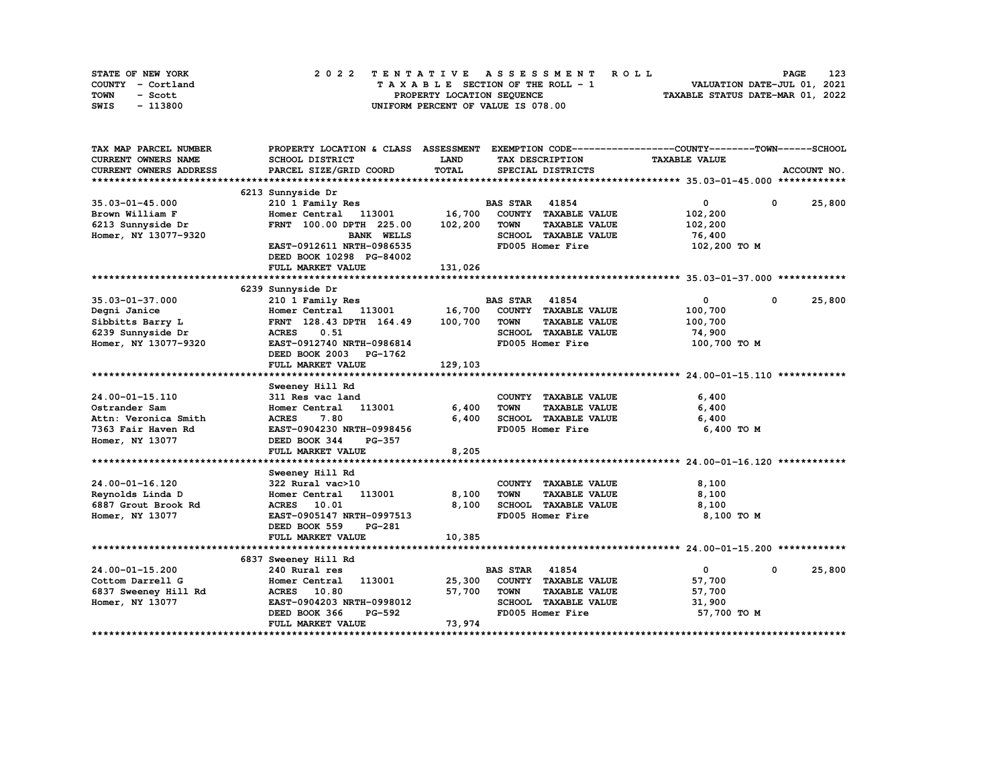| STATE OF NEW YORK | 2022 TENTATIVE ASSESSMENT ROLL     | 123<br><b>PAGE</b>               |
|-------------------|------------------------------------|----------------------------------|
| COUNTY - Cortland | TAXABLE SECTION OF THE ROLL - 1    | VALUATION DATE-JUL 01, 2021      |
| TOWN<br>- Scott   | PROPERTY LOCATION SEQUENCE         | TAXABLE STATUS DATE-MAR 01, 2022 |
| - 113800<br>SWIS  | UNIFORM PERCENT OF VALUE IS 078.00 |                                  |

| TAX MAP PARCEL NUMBER         | PROPERTY LOCATION & CLASS ASSESSMENT EXEMPTION CODE----------------COUNTY-------TOWN-----SCHOOL |             |                       |                      |                      |              |               |
|-------------------------------|-------------------------------------------------------------------------------------------------|-------------|-----------------------|----------------------|----------------------|--------------|---------------|
| <b>CURRENT OWNERS NAME</b>    | <b>SCHOOL DISTRICT</b>                                                                          | <b>LAND</b> |                       | TAX DESCRIPTION      | <b>TAXABLE VALUE</b> |              |               |
| <b>CURRENT OWNERS ADDRESS</b> | PARCEL SIZE/GRID COORD                                                                          | TOTAL       |                       | SPECIAL DISTRICTS    |                      |              | ACCOUNT NO.   |
|                               |                                                                                                 |             |                       |                      |                      |              |               |
|                               | 6213 Sunnyside Dr                                                                               |             |                       |                      |                      |              |               |
| $35.03 - 01 - 45.000$         | 210 1 Family Res                                                                                |             | <b>BAS STAR 41854</b> |                      | $\mathbf{0}$         |              | $0 \t 25,800$ |
| Brown William F               | Homer Central 113001                                                                            | 16,700      |                       | COUNTY TAXABLE VALUE | 102,200              |              |               |
| 6213 Sunnyside Dr             | FRNT 100.00 DPTH 225.00                                                                         | 102,200     | <b>TOWN</b>           | <b>TAXABLE VALUE</b> | 102,200              |              |               |
| Homer, NY 13077-9320          | <b>BANK WELLS</b>                                                                               |             |                       | SCHOOL TAXABLE VALUE | 76,400               |              |               |
|                               | EAST-0912611 NRTH-0986535                                                                       |             |                       | FD005 Homer Fire     | 102,200 TO M         |              |               |
|                               | DEED BOOK 10298 PG-84002                                                                        |             |                       |                      |                      |              |               |
|                               | FULL MARKET VALUE                                                                               | 131,026     |                       |                      |                      |              |               |
|                               |                                                                                                 |             |                       |                      |                      |              |               |
|                               |                                                                                                 |             |                       |                      |                      |              |               |
|                               | 6239 Sunnyside Dr                                                                               |             |                       |                      |                      |              |               |
| $35.03 - 01 - 37.000$         | 210 1 Family Res                                                                                |             | <b>BAS STAR 41854</b> |                      | $\mathbf{0}$         | $^{\circ}$   | 25,800        |
| Degni Janice                  | Homer Central 113001 16,700                                                                     |             |                       | COUNTY TAXABLE VALUE | 100,700              |              |               |
| Sibbitts Barry L              | FRNT 128.43 DPTH 164.49                                                                         | 100,700     | <b>TOWN</b>           | <b>TAXABLE VALUE</b> | 100,700              |              |               |
| 6239 Sunnyside Dr             | <b>ACRES</b><br>0.51                                                                            |             |                       | SCHOOL TAXABLE VALUE | 74,900               |              |               |
| Homer, NY 13077-9320          | EAST-0912740 NRTH-0986814                                                                       |             |                       | FD005 Homer Fire     | 100,700 TO M         |              |               |
|                               | DEED BOOK 2003 PG-1762                                                                          |             |                       |                      |                      |              |               |
|                               | FULL MARKET VALUE                                                                               | 129,103     |                       |                      |                      |              |               |
|                               |                                                                                                 |             |                       |                      |                      |              |               |
|                               | Sweeney Hill Rd                                                                                 |             |                       |                      |                      |              |               |
| 24.00-01-15.110               | 311 Res vac land                                                                                |             |                       | COUNTY TAXABLE VALUE | 6,400                |              |               |
| Ostrander Sam                 | Homer Central 113001                                                                            | 6,400       | <b>TOWN</b>           | <b>TAXABLE VALUE</b> | 6,400                |              |               |
| Attn: Veronica Smith          | <b>ACRES</b><br>7.80                                                                            | 6,400       |                       | SCHOOL TAXABLE VALUE | 6,400                |              |               |
| 7363 Fair Haven Rd            | EAST-0904230 NRTH-0998456                                                                       |             |                       | FD005 Homer Fire     | 6,400 TO M           |              |               |
| Homer, NY 13077               | DEED BOOK 344<br><b>PG-357</b>                                                                  |             |                       |                      |                      |              |               |
|                               | FULL MARKET VALUE                                                                               | 8,205       |                       |                      |                      |              |               |
|                               |                                                                                                 |             |                       |                      |                      |              |               |
|                               | Sweeney Hill Rd                                                                                 |             |                       |                      |                      |              |               |
| 24.00-01-16.120               | 322 Rural vac>10                                                                                |             |                       | COUNTY TAXABLE VALUE | 8,100                |              |               |
| Reynolds Linda D              | Homer Central<br>113001                                                                         | 8,100       | <b>TOWN</b>           | <b>TAXABLE VALUE</b> | 8,100                |              |               |
| 6887 Grout Brook Rd           | ACRES 10.01                                                                                     | 8,100       |                       | SCHOOL TAXABLE VALUE | 8,100                |              |               |
| Homer, NY 13077               | EAST-0905147 NRTH-0997513                                                                       |             |                       | FD005 Homer Fire     | 8,100 TO M           |              |               |
|                               | DEED BOOK 559<br><b>PG-281</b>                                                                  |             |                       |                      |                      |              |               |
|                               |                                                                                                 | 10,385      |                       |                      |                      |              |               |
|                               | FULL MARKET VALUE                                                                               |             |                       |                      |                      |              |               |
|                               |                                                                                                 |             |                       |                      |                      |              |               |
|                               | 6837 Sweeney Hill Rd                                                                            |             |                       |                      |                      |              |               |
| 24.00-01-15.200               | 240 Rural res                                                                                   |             | <b>BAS STAR 41854</b> |                      | $\mathbf{0}$         | $\mathbf{0}$ | 25,800        |
| Cottom Darrell G              | 113001<br>Homer Central                                                                         | 25,300      |                       | COUNTY TAXABLE VALUE | 57,700               |              |               |
| 6837 Sweeney Hill Rd          | ACRES 10.80                                                                                     | 57,700      | <b>TOWN</b>           | <b>TAXABLE VALUE</b> | 57,700               |              |               |
| Homer, NY 13077               | EAST-0904203 NRTH-0998012                                                                       |             |                       | SCHOOL TAXABLE VALUE | 31,900               |              |               |
|                               | DEED BOOK 366<br><b>PG-592</b>                                                                  |             |                       | FD005 Homer Fire     | 57,700 TO M          |              |               |
|                               | FULL MARKET VALUE                                                                               | 73,974      |                       |                      |                      |              |               |
|                               |                                                                                                 |             |                       |                      |                      |              |               |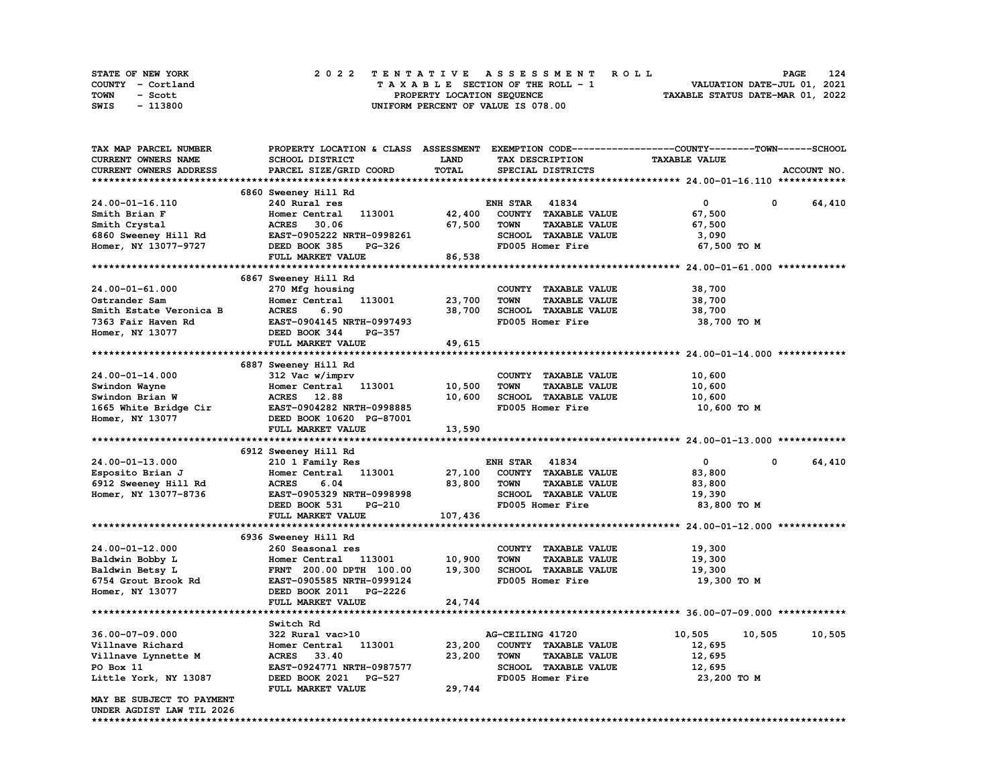| STATE OF NEW YORK | 2022 TENTATIVE ASSESSMENT ROLL     | 124<br><b>PAGE</b>               |
|-------------------|------------------------------------|----------------------------------|
| COUNTY - Cortland | TAXABLE SECTION OF THE ROLL - 1    | VALUATION DATE-JUL 01, 2021      |
| TOWN<br>- Scott   | PROPERTY LOCATION SEQUENCE         | TAXABLE STATUS DATE-MAR 01, 2022 |
| - 113800<br>SWIS  | UNIFORM PERCENT OF VALUE IS 078.00 |                                  |

| TAX MAP PARCEL NUMBER     | PROPERTY LOCATION & CLASS ASSESSMENT |             |                                     | EXEMPTION CODE------------------COUNTY-------TOWN------SCHOOL |
|---------------------------|--------------------------------------|-------------|-------------------------------------|---------------------------------------------------------------|
| CURRENT OWNERS NAME       | <b>SCHOOL DISTRICT</b>               | <b>LAND</b> | TAX DESCRIPTION                     | <b>TAXABLE VALUE</b>                                          |
| CURRENT OWNERS ADDRESS    | PARCEL SIZE/GRID COORD               | TOTAL       | SPECIAL DISTRICTS                   | ACCOUNT NO.                                                   |
|                           |                                      |             |                                     |                                                               |
|                           | 6860 Sweeney Hill Rd                 |             |                                     |                                                               |
| 24.00-01-16.110           | 240 Rural res                        |             | <b>ENH STAR 41834</b>               | $\mathbf{0}$<br>0<br>64,410                                   |
| Smith Brian F             | 113001<br>Homer Central              | 42,400      | COUNTY TAXABLE VALUE                | 67,500                                                        |
|                           |                                      |             |                                     |                                                               |
| Smith Crystal             | <b>ACRES</b><br>30.06                | 67,500      | <b>TAXABLE VALUE</b><br><b>TOWN</b> | 67,500                                                        |
| 6860 Sweeney Hill Rd      | EAST-0905222 NRTH-0998261            |             | SCHOOL TAXABLE VALUE                | 3,090                                                         |
| Homer, NY 13077-9727      | DEED BOOK 385<br><b>PG-326</b>       |             | FD005 Homer Fire                    | 67,500 TO M                                                   |
|                           | FULL MARKET VALUE                    | 86,538      |                                     |                                                               |
|                           |                                      |             |                                     |                                                               |
|                           | 6867 Sweeney Hill Rd                 |             |                                     |                                                               |
| $24.00 - 01 - 61.000$     | 270 Mfg housing                      |             | COUNTY TAXABLE VALUE                | 38,700                                                        |
| Ostrander Sam             | Homer Central 113001                 | 23,700      | <b>TOWN</b><br><b>TAXABLE VALUE</b> | 38,700                                                        |
| Smith Estate Veronica B   | <b>ACRES</b><br>6.90                 | 38,700      | SCHOOL TAXABLE VALUE                | 38,700                                                        |
| 7363 Fair Haven Rd        | EAST-0904145 NRTH-0997493            |             | FD005 Homer Fire                    | 38,700 TO M                                                   |
| Homer, NY 13077           | DEED BOOK 344<br>PG-357              |             |                                     |                                                               |
|                           |                                      |             |                                     |                                                               |
|                           | FULL MARKET VALUE                    | 49,615      |                                     |                                                               |
|                           |                                      |             |                                     |                                                               |
|                           | 6887 Sweeney Hill Rd                 |             |                                     |                                                               |
| 24.00-01-14.000           | 312 Vac w/imprv                      |             | COUNTY TAXABLE VALUE                | 10,600                                                        |
| Swindon Wayne             | Homer Central 113001                 | 10,500      | <b>TAXABLE VALUE</b><br><b>TOWN</b> | 10,600                                                        |
| Swindon Brian W           | 12.88<br><b>ACRES</b>                | 10,600      | SCHOOL TAXABLE VALUE                | 10,600                                                        |
| 1665 White Bridge Cir     | EAST-0904282 NRTH-0998885            |             | FD005 Homer Fire                    | 10,600 TO M                                                   |
| Homer, NY 13077           | DEED BOOK 10620 PG-87001             |             |                                     |                                                               |
|                           | FULL MARKET VALUE                    | 13,590      |                                     |                                                               |
|                           |                                      |             |                                     |                                                               |
|                           |                                      |             |                                     |                                                               |
|                           |                                      |             |                                     |                                                               |
|                           | 6912 Sweeney Hill Rd                 |             |                                     |                                                               |
| 24.00-01-13.000           | 210 1 Family Res                     |             | <b>ENH STAR 41834</b>               | $\mathbf 0$<br>$^{\circ}$<br>64,410                           |
| Esposito Brian J          | Homer Central 113001                 | 27,100      | COUNTY TAXABLE VALUE                | 83,800                                                        |
| 6912 Sweeney Hill Rd      | <b>ACRES</b><br>6.04                 | 83,800      | <b>TAXABLE VALUE</b><br>TOWN        | 83,800                                                        |
| Homer, NY 13077-8736      | EAST-0905329 NRTH-0998998            |             | SCHOOL TAXABLE VALUE                | 19,390                                                        |
|                           | DEED BOOK 531<br>PG-210              |             | FD005 Homer Fire                    | 83,800 TO M                                                   |
|                           | FULL MARKET VALUE                    | 107,436     |                                     |                                                               |
|                           |                                      |             |                                     |                                                               |
|                           | 6936 Sweeney Hill Rd                 |             |                                     |                                                               |
| 24.00-01-12.000           | 260 Seasonal res                     |             | COUNTY TAXABLE VALUE                | 19,300                                                        |
| Baldwin Bobby L           | Homer Central 113001                 | 10,900      | <b>TOWN</b><br><b>TAXABLE VALUE</b> | 19,300                                                        |
| Baldwin Betsy L           | FRNT 200.00 DPTH 100.00              |             | SCHOOL TAXABLE VALUE                | 19,300                                                        |
|                           |                                      | 19,300      |                                     |                                                               |
| 6754 Grout Brook Rd       | EAST-0905585 NRTH-0999124            |             | FD005 Homer Fire                    | 19,300 TO M                                                   |
| Homer, NY 13077           | DEED BOOK 2011 PG-2226               |             |                                     |                                                               |
|                           | FULL MARKET VALUE                    | 24,744      |                                     |                                                               |
|                           |                                      |             |                                     |                                                               |
|                           | Switch Rd                            |             |                                     |                                                               |
| $36.00 - 07 - 09.000$     | 322 Rural vac>10                     |             | AG-CEILING 41720                    | 10,505<br>10,505<br>10,505                                    |
| Villnave Richard          | 113001<br>Homer Central              | 23,200      | COUNTY TAXABLE VALUE                | 12,695                                                        |
| Villnave Lynnette M       | ACRES 33.40                          | 23,200      | <b>TOWN</b><br><b>TAXABLE VALUE</b> | 12,695                                                        |
| PO Box 11                 | EAST-0924771 NRTH-0987577            |             | SCHOOL TAXABLE VALUE                | 12,695                                                        |
| Little York, NY 13087     | DEED BOOK 2021 PG-527                |             | FD005 Homer Fire                    | 23,200 TO M                                                   |
|                           | FULL MARKET VALUE                    | 29,744      |                                     |                                                               |
| MAY BE SUBJECT TO PAYMENT |                                      |             |                                     |                                                               |
| UNDER AGDIST LAW TIL 2026 |                                      |             |                                     |                                                               |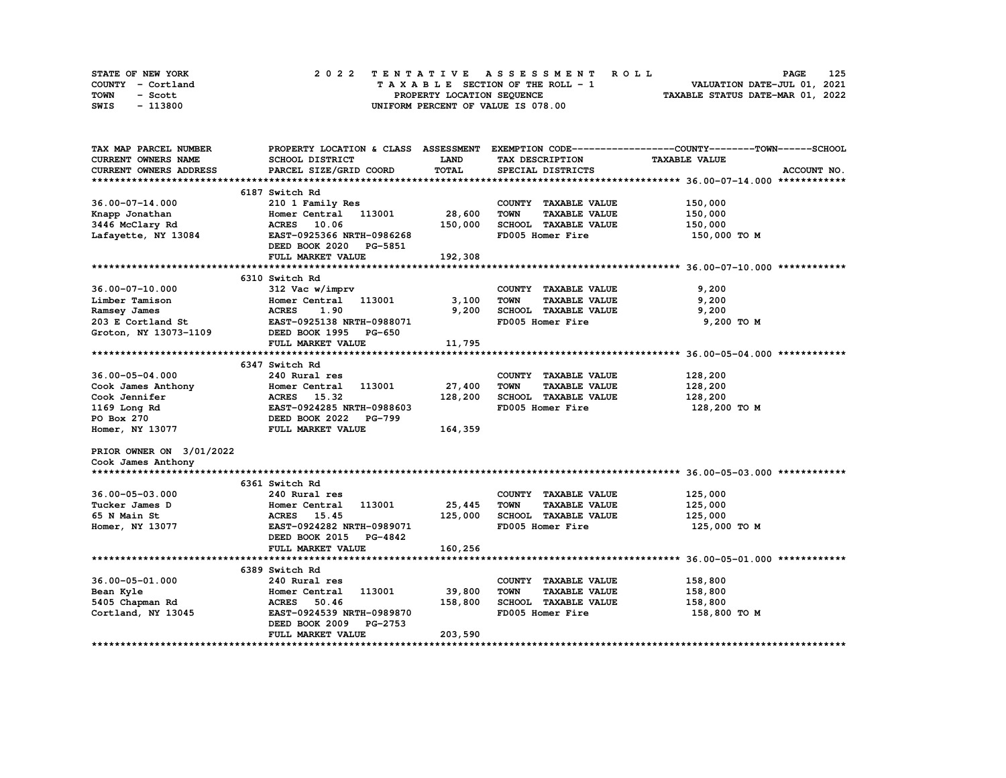| STATE OF NEW YORK | 2022 TENTATIVE ASSESSMENT ROLL     | 125<br><b>PAGE</b>               |
|-------------------|------------------------------------|----------------------------------|
| COUNTY - Cortland | TAXABLE SECTION OF THE ROLL - 1    | VALUATION DATE-JUL 01, 2021      |
| TOWN<br>- Scott   | PROPERTY LOCATION SEQUENCE         | TAXABLE STATUS DATE-MAR 01, 2022 |
| - 113800<br>SWIS  | UNIFORM PERCENT OF VALUE IS 078.00 |                                  |

| TAX MAP PARCEL NUMBER                       |                                                    |         |                                     | PROPERTY LOCATION & CLASS ASSESSMENT EXEMPTION CODE----------------COUNTY-------TOWN-----SCHOOL |
|---------------------------------------------|----------------------------------------------------|---------|-------------------------------------|-------------------------------------------------------------------------------------------------|
| CURRENT OWNERS NAME                         | SCHOOL DISTRICT                                    | LAND    | TAX DESCRIPTION                     | <b>TAXABLE VALUE</b>                                                                            |
| <b>CURRENT OWNERS ADDRESS</b>               | PARCEL SIZE/GRID COORD                             | TOTAL   | SPECIAL DISTRICTS                   | ACCOUNT NO.                                                                                     |
|                                             |                                                    |         |                                     |                                                                                                 |
|                                             | 6187 Switch Rd                                     |         |                                     |                                                                                                 |
| 36.00-07-14.000                             | 210 1 Family Res                                   |         | COUNTY TAXABLE VALUE                | 150,000                                                                                         |
| Knapp Jonathan                              | 113001 28,600<br>Homer Central                     |         | <b>TOWN</b><br><b>TAXABLE VALUE</b> | 150,000                                                                                         |
| 3446 McClary Rd                             | ACRES 10.06                                        | 150,000 | SCHOOL TAXABLE VALUE                | 150,000                                                                                         |
| Lafayette, NY 13084                         | EAST-0925366 NRTH-0986268                          |         | FD005 Homer Fire                    | 150,000 TO M                                                                                    |
|                                             | DEED BOOK 2020 PG-5851                             |         |                                     |                                                                                                 |
|                                             | FULL MARKET VALUE                                  | 192,308 |                                     |                                                                                                 |
|                                             |                                                    |         |                                     |                                                                                                 |
|                                             | 6310 Switch Rd                                     |         |                                     |                                                                                                 |
| 36.00-07-10.000                             | 312 Vac w/imprv                                    |         | COUNTY TAXABLE VALUE                | 9,200                                                                                           |
| Limber Tamison                              | Homer Central 113001                               | 3,100   | <b>TOWN</b><br><b>TAXABLE VALUE</b> | 9,200                                                                                           |
| Ramsey James                                | <b>ACRES</b><br>1.90                               | 9,200   | SCHOOL TAXABLE VALUE                | 9,200                                                                                           |
| 203 E Cortland St EAST-0925138 NRTH-0988071 |                                                    |         | FD005 Homer Fire                    | 9,200 TO M                                                                                      |
| Groton, NY 13073-1109                       | DEED BOOK 1995 PG-650                              |         |                                     |                                                                                                 |
|                                             | FULL MARKET VALUE                                  | 11,795  |                                     |                                                                                                 |
|                                             |                                                    |         |                                     |                                                                                                 |
|                                             | 6347 Switch Rd                                     |         |                                     |                                                                                                 |
| 36.00-05-04.000                             | 240 Rural res                                      |         | COUNTY TAXABLE VALUE                | 128,200                                                                                         |
| Cook James Anthony                          | 113001<br>Homer Central                            | 27,400  | <b>TOWN</b><br><b>TAXABLE VALUE</b> | 128,200                                                                                         |
| Cook Jennifer                               | ACRES 15.32                                        | 128,200 | SCHOOL TAXABLE VALUE                | 128,200                                                                                         |
| 1169 Long Rd                                |                                                    |         | FD005 Homer Fire                    | 128,200 TO M                                                                                    |
| PO Box 270                                  | EAST-0924285 NRTH-0988603<br>DEED BOOK 2022 PG-799 |         |                                     |                                                                                                 |
| Homer, NY 13077 FULL MARKET VALUE           |                                                    | 164,359 |                                     |                                                                                                 |
|                                             |                                                    |         |                                     |                                                                                                 |
| PRIOR OWNER ON 3/01/2022                    |                                                    |         |                                     |                                                                                                 |
| Cook James Anthony                          |                                                    |         |                                     |                                                                                                 |
|                                             |                                                    |         |                                     |                                                                                                 |
|                                             | 6361 Switch Rd                                     |         |                                     |                                                                                                 |
| 36.00-05-03.000                             | 240 Rural res                                      |         | COUNTY TAXABLE VALUE                | 125,000                                                                                         |
| Tucker James D                              | Homer Central 113001                               | 25,445  | TOWN<br><b>TAXABLE VALUE</b>        | 125,000                                                                                         |
| 65 N Main St                                | ACRES 15.45                                        | 125,000 | SCHOOL TAXABLE VALUE                | 125,000                                                                                         |
| Homer, NY 13077                             | EAST-0924282 NRTH-0989071                          |         | FD005 Homer Fire                    | 125,000 TO M                                                                                    |
|                                             | DEED BOOK 2015 PG-4842                             |         |                                     |                                                                                                 |
|                                             | FULL MARKET VALUE                                  | 160,256 |                                     |                                                                                                 |
|                                             |                                                    |         |                                     |                                                                                                 |
|                                             | 6389 Switch Rd                                     |         |                                     |                                                                                                 |
| 36.00-05-01.000                             | 240 Rural res                                      |         | COUNTY TAXABLE VALUE                | 158,800                                                                                         |
| Bean Kyle                                   | 113001<br>Homer Central                            | 39,800  | <b>TAXABLE VALUE</b><br><b>TOWN</b> | 158,800                                                                                         |
| 5405 Chapman Rd                             | ACRES 50.46                                        | 158,800 | SCHOOL TAXABLE VALUE                | 158,800                                                                                         |
| Cortland, NY 13045                          | EAST-0924539 NRTH-0989870                          |         | FD005 Homer Fire                    | 158,800 TO M                                                                                    |
|                                             | DEED BOOK 2009 PG-2753                             |         |                                     |                                                                                                 |
|                                             | FULL MARKET VALUE                                  | 203,590 |                                     |                                                                                                 |
|                                             |                                                    |         |                                     |                                                                                                 |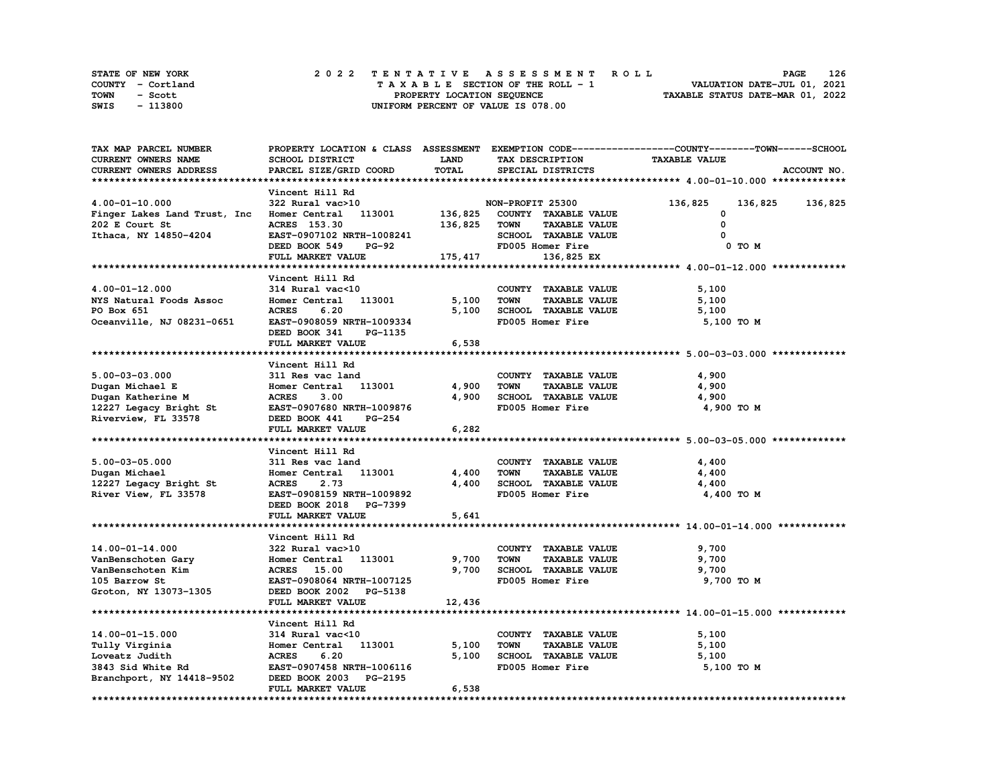| STATE OF NEW YORK | 2022 TENTATIVE ASSESSMENT ROLL     | 126<br><b>PAGE</b>               |
|-------------------|------------------------------------|----------------------------------|
| COUNTY - Cortland | TAXABLE SECTION OF THE ROLL - 1    | VALUATION DATE-JUL 01, 2021      |
| TOWN<br>- Scott   | PROPERTY LOCATION SEQUENCE         | TAXABLE STATUS DATE-MAR 01, 2022 |
| SWIS<br>- 113800  | UNIFORM PERCENT OF VALUE IS 078.00 |                                  |

| <b>LAND</b><br><b>TAXABLE VALUE</b><br>SCHOOL DISTRICT<br>TAX DESCRIPTION<br><b>TOTAL</b><br>ACCOUNT NO.<br>CURRENT OWNERS ADDRESS<br>PARCEL SIZE/GRID COORD<br>SPECIAL DISTRICTS<br>Vincent Hill Rd<br>$4.00 - 01 - 10.000$<br>322 Rural vac>10<br>NON-PROFIT 25300<br>136,825<br>136,825<br>136,825<br>Homer Central 113001 136,825<br>COUNTY TAXABLE VALUE<br>Finger Lakes Land Trust, Inc<br>0<br>0<br>202 E Court St<br>ACRES 153.30<br>136,825<br>TOWN<br><b>TAXABLE VALUE</b><br>Ithaca, NY 14850-4204<br>EAST-0907102 NRTH-1008241<br>SCHOOL TAXABLE VALUE<br>$\Omega$<br>DEED BOOK 549<br><b>PG-92</b><br>FD005 Homer Fire<br>0 TO M<br>FULL MARKET VALUE<br>175,417<br>136,825 EX<br>Vincent Hill Rd<br>314 Rural vac<10<br>COUNTY TAXABLE VALUE<br>5,100<br>5,100<br><b>TOWN</b><br><b>TAXABLE VALUE</b><br>Homer Central<br>113001<br>5,100<br><b>ACRES</b><br>5,100<br>SCHOOL TAXABLE VALUE<br>6.20<br>5,100<br>Oceanville, NJ 08231-0651<br>EAST-0908059 NRTH-1009334<br>FD005 Homer Fire<br>5,100 TO M<br>DEED BOOK 341<br>PG-1135<br>6,538<br>FULL MARKET VALUE<br>Vincent Hill Rd<br>$5.00 - 03 - 03.000$<br>311 Res vac land<br>COUNTY TAXABLE VALUE<br>4,900<br>Dugan Michael E<br>Homer Central<br>113001<br>4,900<br>TOWN<br><b>TAXABLE VALUE</b><br>4,900<br>4,900<br>SCHOOL TAXABLE VALUE<br>Dugan Katherine M<br><b>ACRES</b><br>3.00<br>4,900<br>12227 Legacy Bright St<br>EAST-0907680 NRTH-1009876<br>FD005 Homer Fire<br>4,900 TO M<br>Riverview, FL 33578<br>DEED BOOK 441<br><b>PG-254</b><br>6,282<br>FULL MARKET VALUE<br>Vincent Hill Rd<br>311 Res vac land<br>COUNTY TAXABLE VALUE<br>4,400<br>Homer Central 113001<br>4,400<br><b>TOWN</b><br>Dugan Michael<br><b>TAXABLE VALUE</b><br>4,400<br>2.73<br>4,400<br>SCHOOL TAXABLE VALUE<br>4,400<br>12227 Legacy Bright St<br><b>ACRES</b><br>FD005 Homer Fire<br>River View, FL 33578<br>EAST-0908159 NRTH-1009892<br>4,400 TO M<br>DEED BOOK 2018 PG-7399<br>FULL MARKET VALUE<br>5,641<br>Vincent Hill Rd<br>14.00-01-14.000<br>COUNTY TAXABLE VALUE<br>9,700<br>322 Rural vac>10<br>9,700<br><b>TOWN</b><br>VanBenschoten Gary<br>Homer Central 113001<br><b>TAXABLE VALUE</b><br>9,700<br>VanBenschoten Kim<br>9,700<br>SCHOOL TAXABLE VALUE<br><b>ACRES</b> 15.00<br>9,700<br>FD005 Homer Fire<br>EAST-0908064 NRTH-1007125<br>9,700 TO M<br>DEED BOOK 2002 PG-5138<br>FULL MARKET VALUE<br>12,436<br>Vincent Hill Rd<br>14.00-01-15.000<br>314 Rural vac<10<br>COUNTY TAXABLE VALUE<br>5,100<br>5,100<br>Tully Virginia<br>Homer Central 113001<br><b>TOWN</b><br><b>TAXABLE VALUE</b><br>5,100<br>5,100<br><b>ACRES</b><br>6.20<br>SCHOOL TAXABLE VALUE<br>5,100<br>Loveatz Judith<br>3843 Sid White Rd<br>Branchport, NY 14418-9502<br>FD005 Homer Fire<br>5,100 TO M<br>EAST-0907458 NRTH-1006116<br>DEED BOOK 2003 PG-2195<br>FULL MARKET VALUE<br>6,538 | TAX MAP PARCEL NUMBER   |  | PROPERTY LOCATION & CLASS ASSESSMENT EXEMPTION CODE----------------COUNTY-------TOWN-----SCHOOL |
|-------------------------------------------------------------------------------------------------------------------------------------------------------------------------------------------------------------------------------------------------------------------------------------------------------------------------------------------------------------------------------------------------------------------------------------------------------------------------------------------------------------------------------------------------------------------------------------------------------------------------------------------------------------------------------------------------------------------------------------------------------------------------------------------------------------------------------------------------------------------------------------------------------------------------------------------------------------------------------------------------------------------------------------------------------------------------------------------------------------------------------------------------------------------------------------------------------------------------------------------------------------------------------------------------------------------------------------------------------------------------------------------------------------------------------------------------------------------------------------------------------------------------------------------------------------------------------------------------------------------------------------------------------------------------------------------------------------------------------------------------------------------------------------------------------------------------------------------------------------------------------------------------------------------------------------------------------------------------------------------------------------------------------------------------------------------------------------------------------------------------------------------------------------------------------------------------------------------------------------------------------------------------------------------------------------------------------------------------------------------------------------------------------------------------------------------------------------------------------------------------------------------------------------------------------------------------------------------------------------------------------------------------------------------------------------------------------------------------------------------------------------------------------------------------------------------------------------------------------|-------------------------|--|-------------------------------------------------------------------------------------------------|
|                                                                                                                                                                                                                                                                                                                                                                                                                                                                                                                                                                                                                                                                                                                                                                                                                                                                                                                                                                                                                                                                                                                                                                                                                                                                                                                                                                                                                                                                                                                                                                                                                                                                                                                                                                                                                                                                                                                                                                                                                                                                                                                                                                                                                                                                                                                                                                                                                                                                                                                                                                                                                                                                                                                                                                                                                                                       | CURRENT OWNERS NAME     |  |                                                                                                 |
|                                                                                                                                                                                                                                                                                                                                                                                                                                                                                                                                                                                                                                                                                                                                                                                                                                                                                                                                                                                                                                                                                                                                                                                                                                                                                                                                                                                                                                                                                                                                                                                                                                                                                                                                                                                                                                                                                                                                                                                                                                                                                                                                                                                                                                                                                                                                                                                                                                                                                                                                                                                                                                                                                                                                                                                                                                                       |                         |  |                                                                                                 |
|                                                                                                                                                                                                                                                                                                                                                                                                                                                                                                                                                                                                                                                                                                                                                                                                                                                                                                                                                                                                                                                                                                                                                                                                                                                                                                                                                                                                                                                                                                                                                                                                                                                                                                                                                                                                                                                                                                                                                                                                                                                                                                                                                                                                                                                                                                                                                                                                                                                                                                                                                                                                                                                                                                                                                                                                                                                       |                         |  |                                                                                                 |
|                                                                                                                                                                                                                                                                                                                                                                                                                                                                                                                                                                                                                                                                                                                                                                                                                                                                                                                                                                                                                                                                                                                                                                                                                                                                                                                                                                                                                                                                                                                                                                                                                                                                                                                                                                                                                                                                                                                                                                                                                                                                                                                                                                                                                                                                                                                                                                                                                                                                                                                                                                                                                                                                                                                                                                                                                                                       |                         |  |                                                                                                 |
|                                                                                                                                                                                                                                                                                                                                                                                                                                                                                                                                                                                                                                                                                                                                                                                                                                                                                                                                                                                                                                                                                                                                                                                                                                                                                                                                                                                                                                                                                                                                                                                                                                                                                                                                                                                                                                                                                                                                                                                                                                                                                                                                                                                                                                                                                                                                                                                                                                                                                                                                                                                                                                                                                                                                                                                                                                                       |                         |  |                                                                                                 |
|                                                                                                                                                                                                                                                                                                                                                                                                                                                                                                                                                                                                                                                                                                                                                                                                                                                                                                                                                                                                                                                                                                                                                                                                                                                                                                                                                                                                                                                                                                                                                                                                                                                                                                                                                                                                                                                                                                                                                                                                                                                                                                                                                                                                                                                                                                                                                                                                                                                                                                                                                                                                                                                                                                                                                                                                                                                       |                         |  |                                                                                                 |
|                                                                                                                                                                                                                                                                                                                                                                                                                                                                                                                                                                                                                                                                                                                                                                                                                                                                                                                                                                                                                                                                                                                                                                                                                                                                                                                                                                                                                                                                                                                                                                                                                                                                                                                                                                                                                                                                                                                                                                                                                                                                                                                                                                                                                                                                                                                                                                                                                                                                                                                                                                                                                                                                                                                                                                                                                                                       |                         |  |                                                                                                 |
|                                                                                                                                                                                                                                                                                                                                                                                                                                                                                                                                                                                                                                                                                                                                                                                                                                                                                                                                                                                                                                                                                                                                                                                                                                                                                                                                                                                                                                                                                                                                                                                                                                                                                                                                                                                                                                                                                                                                                                                                                                                                                                                                                                                                                                                                                                                                                                                                                                                                                                                                                                                                                                                                                                                                                                                                                                                       |                         |  |                                                                                                 |
|                                                                                                                                                                                                                                                                                                                                                                                                                                                                                                                                                                                                                                                                                                                                                                                                                                                                                                                                                                                                                                                                                                                                                                                                                                                                                                                                                                                                                                                                                                                                                                                                                                                                                                                                                                                                                                                                                                                                                                                                                                                                                                                                                                                                                                                                                                                                                                                                                                                                                                                                                                                                                                                                                                                                                                                                                                                       |                         |  |                                                                                                 |
|                                                                                                                                                                                                                                                                                                                                                                                                                                                                                                                                                                                                                                                                                                                                                                                                                                                                                                                                                                                                                                                                                                                                                                                                                                                                                                                                                                                                                                                                                                                                                                                                                                                                                                                                                                                                                                                                                                                                                                                                                                                                                                                                                                                                                                                                                                                                                                                                                                                                                                                                                                                                                                                                                                                                                                                                                                                       |                         |  |                                                                                                 |
|                                                                                                                                                                                                                                                                                                                                                                                                                                                                                                                                                                                                                                                                                                                                                                                                                                                                                                                                                                                                                                                                                                                                                                                                                                                                                                                                                                                                                                                                                                                                                                                                                                                                                                                                                                                                                                                                                                                                                                                                                                                                                                                                                                                                                                                                                                                                                                                                                                                                                                                                                                                                                                                                                                                                                                                                                                                       |                         |  |                                                                                                 |
|                                                                                                                                                                                                                                                                                                                                                                                                                                                                                                                                                                                                                                                                                                                                                                                                                                                                                                                                                                                                                                                                                                                                                                                                                                                                                                                                                                                                                                                                                                                                                                                                                                                                                                                                                                                                                                                                                                                                                                                                                                                                                                                                                                                                                                                                                                                                                                                                                                                                                                                                                                                                                                                                                                                                                                                                                                                       |                         |  |                                                                                                 |
|                                                                                                                                                                                                                                                                                                                                                                                                                                                                                                                                                                                                                                                                                                                                                                                                                                                                                                                                                                                                                                                                                                                                                                                                                                                                                                                                                                                                                                                                                                                                                                                                                                                                                                                                                                                                                                                                                                                                                                                                                                                                                                                                                                                                                                                                                                                                                                                                                                                                                                                                                                                                                                                                                                                                                                                                                                                       |                         |  |                                                                                                 |
|                                                                                                                                                                                                                                                                                                                                                                                                                                                                                                                                                                                                                                                                                                                                                                                                                                                                                                                                                                                                                                                                                                                                                                                                                                                                                                                                                                                                                                                                                                                                                                                                                                                                                                                                                                                                                                                                                                                                                                                                                                                                                                                                                                                                                                                                                                                                                                                                                                                                                                                                                                                                                                                                                                                                                                                                                                                       | $4.00 - 01 - 12.000$    |  |                                                                                                 |
|                                                                                                                                                                                                                                                                                                                                                                                                                                                                                                                                                                                                                                                                                                                                                                                                                                                                                                                                                                                                                                                                                                                                                                                                                                                                                                                                                                                                                                                                                                                                                                                                                                                                                                                                                                                                                                                                                                                                                                                                                                                                                                                                                                                                                                                                                                                                                                                                                                                                                                                                                                                                                                                                                                                                                                                                                                                       | NYS Natural Foods Assoc |  |                                                                                                 |
|                                                                                                                                                                                                                                                                                                                                                                                                                                                                                                                                                                                                                                                                                                                                                                                                                                                                                                                                                                                                                                                                                                                                                                                                                                                                                                                                                                                                                                                                                                                                                                                                                                                                                                                                                                                                                                                                                                                                                                                                                                                                                                                                                                                                                                                                                                                                                                                                                                                                                                                                                                                                                                                                                                                                                                                                                                                       | PO Box 651              |  |                                                                                                 |
|                                                                                                                                                                                                                                                                                                                                                                                                                                                                                                                                                                                                                                                                                                                                                                                                                                                                                                                                                                                                                                                                                                                                                                                                                                                                                                                                                                                                                                                                                                                                                                                                                                                                                                                                                                                                                                                                                                                                                                                                                                                                                                                                                                                                                                                                                                                                                                                                                                                                                                                                                                                                                                                                                                                                                                                                                                                       |                         |  |                                                                                                 |
|                                                                                                                                                                                                                                                                                                                                                                                                                                                                                                                                                                                                                                                                                                                                                                                                                                                                                                                                                                                                                                                                                                                                                                                                                                                                                                                                                                                                                                                                                                                                                                                                                                                                                                                                                                                                                                                                                                                                                                                                                                                                                                                                                                                                                                                                                                                                                                                                                                                                                                                                                                                                                                                                                                                                                                                                                                                       |                         |  |                                                                                                 |
|                                                                                                                                                                                                                                                                                                                                                                                                                                                                                                                                                                                                                                                                                                                                                                                                                                                                                                                                                                                                                                                                                                                                                                                                                                                                                                                                                                                                                                                                                                                                                                                                                                                                                                                                                                                                                                                                                                                                                                                                                                                                                                                                                                                                                                                                                                                                                                                                                                                                                                                                                                                                                                                                                                                                                                                                                                                       |                         |  |                                                                                                 |
|                                                                                                                                                                                                                                                                                                                                                                                                                                                                                                                                                                                                                                                                                                                                                                                                                                                                                                                                                                                                                                                                                                                                                                                                                                                                                                                                                                                                                                                                                                                                                                                                                                                                                                                                                                                                                                                                                                                                                                                                                                                                                                                                                                                                                                                                                                                                                                                                                                                                                                                                                                                                                                                                                                                                                                                                                                                       |                         |  |                                                                                                 |
|                                                                                                                                                                                                                                                                                                                                                                                                                                                                                                                                                                                                                                                                                                                                                                                                                                                                                                                                                                                                                                                                                                                                                                                                                                                                                                                                                                                                                                                                                                                                                                                                                                                                                                                                                                                                                                                                                                                                                                                                                                                                                                                                                                                                                                                                                                                                                                                                                                                                                                                                                                                                                                                                                                                                                                                                                                                       |                         |  |                                                                                                 |
|                                                                                                                                                                                                                                                                                                                                                                                                                                                                                                                                                                                                                                                                                                                                                                                                                                                                                                                                                                                                                                                                                                                                                                                                                                                                                                                                                                                                                                                                                                                                                                                                                                                                                                                                                                                                                                                                                                                                                                                                                                                                                                                                                                                                                                                                                                                                                                                                                                                                                                                                                                                                                                                                                                                                                                                                                                                       |                         |  |                                                                                                 |
|                                                                                                                                                                                                                                                                                                                                                                                                                                                                                                                                                                                                                                                                                                                                                                                                                                                                                                                                                                                                                                                                                                                                                                                                                                                                                                                                                                                                                                                                                                                                                                                                                                                                                                                                                                                                                                                                                                                                                                                                                                                                                                                                                                                                                                                                                                                                                                                                                                                                                                                                                                                                                                                                                                                                                                                                                                                       |                         |  |                                                                                                 |
|                                                                                                                                                                                                                                                                                                                                                                                                                                                                                                                                                                                                                                                                                                                                                                                                                                                                                                                                                                                                                                                                                                                                                                                                                                                                                                                                                                                                                                                                                                                                                                                                                                                                                                                                                                                                                                                                                                                                                                                                                                                                                                                                                                                                                                                                                                                                                                                                                                                                                                                                                                                                                                                                                                                                                                                                                                                       |                         |  |                                                                                                 |
|                                                                                                                                                                                                                                                                                                                                                                                                                                                                                                                                                                                                                                                                                                                                                                                                                                                                                                                                                                                                                                                                                                                                                                                                                                                                                                                                                                                                                                                                                                                                                                                                                                                                                                                                                                                                                                                                                                                                                                                                                                                                                                                                                                                                                                                                                                                                                                                                                                                                                                                                                                                                                                                                                                                                                                                                                                                       |                         |  |                                                                                                 |
|                                                                                                                                                                                                                                                                                                                                                                                                                                                                                                                                                                                                                                                                                                                                                                                                                                                                                                                                                                                                                                                                                                                                                                                                                                                                                                                                                                                                                                                                                                                                                                                                                                                                                                                                                                                                                                                                                                                                                                                                                                                                                                                                                                                                                                                                                                                                                                                                                                                                                                                                                                                                                                                                                                                                                                                                                                                       |                         |  |                                                                                                 |
|                                                                                                                                                                                                                                                                                                                                                                                                                                                                                                                                                                                                                                                                                                                                                                                                                                                                                                                                                                                                                                                                                                                                                                                                                                                                                                                                                                                                                                                                                                                                                                                                                                                                                                                                                                                                                                                                                                                                                                                                                                                                                                                                                                                                                                                                                                                                                                                                                                                                                                                                                                                                                                                                                                                                                                                                                                                       |                         |  |                                                                                                 |
|                                                                                                                                                                                                                                                                                                                                                                                                                                                                                                                                                                                                                                                                                                                                                                                                                                                                                                                                                                                                                                                                                                                                                                                                                                                                                                                                                                                                                                                                                                                                                                                                                                                                                                                                                                                                                                                                                                                                                                                                                                                                                                                                                                                                                                                                                                                                                                                                                                                                                                                                                                                                                                                                                                                                                                                                                                                       |                         |  |                                                                                                 |
|                                                                                                                                                                                                                                                                                                                                                                                                                                                                                                                                                                                                                                                                                                                                                                                                                                                                                                                                                                                                                                                                                                                                                                                                                                                                                                                                                                                                                                                                                                                                                                                                                                                                                                                                                                                                                                                                                                                                                                                                                                                                                                                                                                                                                                                                                                                                                                                                                                                                                                                                                                                                                                                                                                                                                                                                                                                       |                         |  |                                                                                                 |
|                                                                                                                                                                                                                                                                                                                                                                                                                                                                                                                                                                                                                                                                                                                                                                                                                                                                                                                                                                                                                                                                                                                                                                                                                                                                                                                                                                                                                                                                                                                                                                                                                                                                                                                                                                                                                                                                                                                                                                                                                                                                                                                                                                                                                                                                                                                                                                                                                                                                                                                                                                                                                                                                                                                                                                                                                                                       |                         |  |                                                                                                 |
|                                                                                                                                                                                                                                                                                                                                                                                                                                                                                                                                                                                                                                                                                                                                                                                                                                                                                                                                                                                                                                                                                                                                                                                                                                                                                                                                                                                                                                                                                                                                                                                                                                                                                                                                                                                                                                                                                                                                                                                                                                                                                                                                                                                                                                                                                                                                                                                                                                                                                                                                                                                                                                                                                                                                                                                                                                                       | $5.00 - 03 - 05.000$    |  |                                                                                                 |
|                                                                                                                                                                                                                                                                                                                                                                                                                                                                                                                                                                                                                                                                                                                                                                                                                                                                                                                                                                                                                                                                                                                                                                                                                                                                                                                                                                                                                                                                                                                                                                                                                                                                                                                                                                                                                                                                                                                                                                                                                                                                                                                                                                                                                                                                                                                                                                                                                                                                                                                                                                                                                                                                                                                                                                                                                                                       |                         |  |                                                                                                 |
|                                                                                                                                                                                                                                                                                                                                                                                                                                                                                                                                                                                                                                                                                                                                                                                                                                                                                                                                                                                                                                                                                                                                                                                                                                                                                                                                                                                                                                                                                                                                                                                                                                                                                                                                                                                                                                                                                                                                                                                                                                                                                                                                                                                                                                                                                                                                                                                                                                                                                                                                                                                                                                                                                                                                                                                                                                                       |                         |  |                                                                                                 |
|                                                                                                                                                                                                                                                                                                                                                                                                                                                                                                                                                                                                                                                                                                                                                                                                                                                                                                                                                                                                                                                                                                                                                                                                                                                                                                                                                                                                                                                                                                                                                                                                                                                                                                                                                                                                                                                                                                                                                                                                                                                                                                                                                                                                                                                                                                                                                                                                                                                                                                                                                                                                                                                                                                                                                                                                                                                       |                         |  |                                                                                                 |
|                                                                                                                                                                                                                                                                                                                                                                                                                                                                                                                                                                                                                                                                                                                                                                                                                                                                                                                                                                                                                                                                                                                                                                                                                                                                                                                                                                                                                                                                                                                                                                                                                                                                                                                                                                                                                                                                                                                                                                                                                                                                                                                                                                                                                                                                                                                                                                                                                                                                                                                                                                                                                                                                                                                                                                                                                                                       |                         |  |                                                                                                 |
|                                                                                                                                                                                                                                                                                                                                                                                                                                                                                                                                                                                                                                                                                                                                                                                                                                                                                                                                                                                                                                                                                                                                                                                                                                                                                                                                                                                                                                                                                                                                                                                                                                                                                                                                                                                                                                                                                                                                                                                                                                                                                                                                                                                                                                                                                                                                                                                                                                                                                                                                                                                                                                                                                                                                                                                                                                                       |                         |  |                                                                                                 |
|                                                                                                                                                                                                                                                                                                                                                                                                                                                                                                                                                                                                                                                                                                                                                                                                                                                                                                                                                                                                                                                                                                                                                                                                                                                                                                                                                                                                                                                                                                                                                                                                                                                                                                                                                                                                                                                                                                                                                                                                                                                                                                                                                                                                                                                                                                                                                                                                                                                                                                                                                                                                                                                                                                                                                                                                                                                       |                         |  |                                                                                                 |
|                                                                                                                                                                                                                                                                                                                                                                                                                                                                                                                                                                                                                                                                                                                                                                                                                                                                                                                                                                                                                                                                                                                                                                                                                                                                                                                                                                                                                                                                                                                                                                                                                                                                                                                                                                                                                                                                                                                                                                                                                                                                                                                                                                                                                                                                                                                                                                                                                                                                                                                                                                                                                                                                                                                                                                                                                                                       |                         |  |                                                                                                 |
|                                                                                                                                                                                                                                                                                                                                                                                                                                                                                                                                                                                                                                                                                                                                                                                                                                                                                                                                                                                                                                                                                                                                                                                                                                                                                                                                                                                                                                                                                                                                                                                                                                                                                                                                                                                                                                                                                                                                                                                                                                                                                                                                                                                                                                                                                                                                                                                                                                                                                                                                                                                                                                                                                                                                                                                                                                                       |                         |  |                                                                                                 |
|                                                                                                                                                                                                                                                                                                                                                                                                                                                                                                                                                                                                                                                                                                                                                                                                                                                                                                                                                                                                                                                                                                                                                                                                                                                                                                                                                                                                                                                                                                                                                                                                                                                                                                                                                                                                                                                                                                                                                                                                                                                                                                                                                                                                                                                                                                                                                                                                                                                                                                                                                                                                                                                                                                                                                                                                                                                       |                         |  |                                                                                                 |
|                                                                                                                                                                                                                                                                                                                                                                                                                                                                                                                                                                                                                                                                                                                                                                                                                                                                                                                                                                                                                                                                                                                                                                                                                                                                                                                                                                                                                                                                                                                                                                                                                                                                                                                                                                                                                                                                                                                                                                                                                                                                                                                                                                                                                                                                                                                                                                                                                                                                                                                                                                                                                                                                                                                                                                                                                                                       |                         |  |                                                                                                 |
|                                                                                                                                                                                                                                                                                                                                                                                                                                                                                                                                                                                                                                                                                                                                                                                                                                                                                                                                                                                                                                                                                                                                                                                                                                                                                                                                                                                                                                                                                                                                                                                                                                                                                                                                                                                                                                                                                                                                                                                                                                                                                                                                                                                                                                                                                                                                                                                                                                                                                                                                                                                                                                                                                                                                                                                                                                                       |                         |  |                                                                                                 |
|                                                                                                                                                                                                                                                                                                                                                                                                                                                                                                                                                                                                                                                                                                                                                                                                                                                                                                                                                                                                                                                                                                                                                                                                                                                                                                                                                                                                                                                                                                                                                                                                                                                                                                                                                                                                                                                                                                                                                                                                                                                                                                                                                                                                                                                                                                                                                                                                                                                                                                                                                                                                                                                                                                                                                                                                                                                       | 105 Barrow St           |  |                                                                                                 |
|                                                                                                                                                                                                                                                                                                                                                                                                                                                                                                                                                                                                                                                                                                                                                                                                                                                                                                                                                                                                                                                                                                                                                                                                                                                                                                                                                                                                                                                                                                                                                                                                                                                                                                                                                                                                                                                                                                                                                                                                                                                                                                                                                                                                                                                                                                                                                                                                                                                                                                                                                                                                                                                                                                                                                                                                                                                       | Groton, NY 13073-1305   |  |                                                                                                 |
|                                                                                                                                                                                                                                                                                                                                                                                                                                                                                                                                                                                                                                                                                                                                                                                                                                                                                                                                                                                                                                                                                                                                                                                                                                                                                                                                                                                                                                                                                                                                                                                                                                                                                                                                                                                                                                                                                                                                                                                                                                                                                                                                                                                                                                                                                                                                                                                                                                                                                                                                                                                                                                                                                                                                                                                                                                                       |                         |  |                                                                                                 |
|                                                                                                                                                                                                                                                                                                                                                                                                                                                                                                                                                                                                                                                                                                                                                                                                                                                                                                                                                                                                                                                                                                                                                                                                                                                                                                                                                                                                                                                                                                                                                                                                                                                                                                                                                                                                                                                                                                                                                                                                                                                                                                                                                                                                                                                                                                                                                                                                                                                                                                                                                                                                                                                                                                                                                                                                                                                       |                         |  |                                                                                                 |
|                                                                                                                                                                                                                                                                                                                                                                                                                                                                                                                                                                                                                                                                                                                                                                                                                                                                                                                                                                                                                                                                                                                                                                                                                                                                                                                                                                                                                                                                                                                                                                                                                                                                                                                                                                                                                                                                                                                                                                                                                                                                                                                                                                                                                                                                                                                                                                                                                                                                                                                                                                                                                                                                                                                                                                                                                                                       |                         |  |                                                                                                 |
|                                                                                                                                                                                                                                                                                                                                                                                                                                                                                                                                                                                                                                                                                                                                                                                                                                                                                                                                                                                                                                                                                                                                                                                                                                                                                                                                                                                                                                                                                                                                                                                                                                                                                                                                                                                                                                                                                                                                                                                                                                                                                                                                                                                                                                                                                                                                                                                                                                                                                                                                                                                                                                                                                                                                                                                                                                                       |                         |  |                                                                                                 |
|                                                                                                                                                                                                                                                                                                                                                                                                                                                                                                                                                                                                                                                                                                                                                                                                                                                                                                                                                                                                                                                                                                                                                                                                                                                                                                                                                                                                                                                                                                                                                                                                                                                                                                                                                                                                                                                                                                                                                                                                                                                                                                                                                                                                                                                                                                                                                                                                                                                                                                                                                                                                                                                                                                                                                                                                                                                       |                         |  |                                                                                                 |
|                                                                                                                                                                                                                                                                                                                                                                                                                                                                                                                                                                                                                                                                                                                                                                                                                                                                                                                                                                                                                                                                                                                                                                                                                                                                                                                                                                                                                                                                                                                                                                                                                                                                                                                                                                                                                                                                                                                                                                                                                                                                                                                                                                                                                                                                                                                                                                                                                                                                                                                                                                                                                                                                                                                                                                                                                                                       |                         |  |                                                                                                 |
|                                                                                                                                                                                                                                                                                                                                                                                                                                                                                                                                                                                                                                                                                                                                                                                                                                                                                                                                                                                                                                                                                                                                                                                                                                                                                                                                                                                                                                                                                                                                                                                                                                                                                                                                                                                                                                                                                                                                                                                                                                                                                                                                                                                                                                                                                                                                                                                                                                                                                                                                                                                                                                                                                                                                                                                                                                                       |                         |  |                                                                                                 |
|                                                                                                                                                                                                                                                                                                                                                                                                                                                                                                                                                                                                                                                                                                                                                                                                                                                                                                                                                                                                                                                                                                                                                                                                                                                                                                                                                                                                                                                                                                                                                                                                                                                                                                                                                                                                                                                                                                                                                                                                                                                                                                                                                                                                                                                                                                                                                                                                                                                                                                                                                                                                                                                                                                                                                                                                                                                       |                         |  |                                                                                                 |
|                                                                                                                                                                                                                                                                                                                                                                                                                                                                                                                                                                                                                                                                                                                                                                                                                                                                                                                                                                                                                                                                                                                                                                                                                                                                                                                                                                                                                                                                                                                                                                                                                                                                                                                                                                                                                                                                                                                                                                                                                                                                                                                                                                                                                                                                                                                                                                                                                                                                                                                                                                                                                                                                                                                                                                                                                                                       |                         |  |                                                                                                 |
|                                                                                                                                                                                                                                                                                                                                                                                                                                                                                                                                                                                                                                                                                                                                                                                                                                                                                                                                                                                                                                                                                                                                                                                                                                                                                                                                                                                                                                                                                                                                                                                                                                                                                                                                                                                                                                                                                                                                                                                                                                                                                                                                                                                                                                                                                                                                                                                                                                                                                                                                                                                                                                                                                                                                                                                                                                                       |                         |  |                                                                                                 |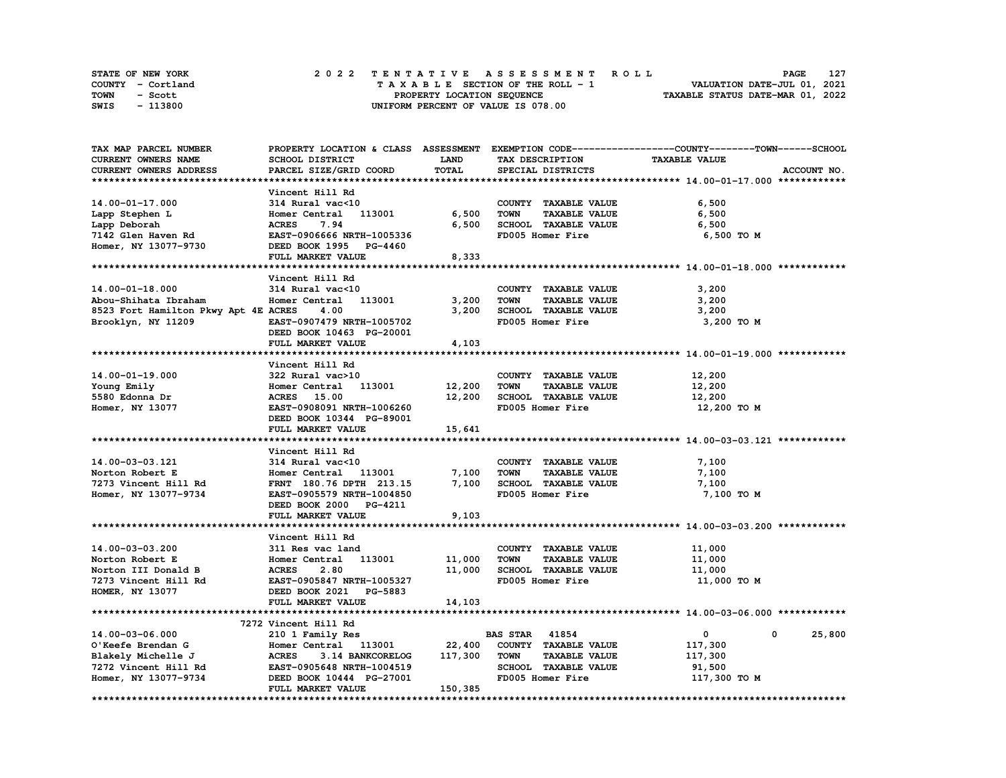| STATE OF NEW YORK | 2022 TENTATIVE ASSESSMENT ROLL     | 127<br><b>PAGE</b>               |
|-------------------|------------------------------------|----------------------------------|
| COUNTY - Cortland | TAXABLE SECTION OF THE ROLL - 1    | VALUATION DATE-JUL 01, 2021      |
| TOWN<br>- Scott   | PROPERTY LOCATION SEQUENCE         | TAXABLE STATUS DATE-MAR 01, 2022 |
| - 113800<br>SWIS  | UNIFORM PERCENT OF VALUE IS 078.00 |                                  |

| TAX MAP PARCEL NUMBER                |                                  |             |                                     | PROPERTY LOCATION & CLASS ASSESSMENT EXEMPTION CODE----------------COUNTY-------TOWN-----SCHOOL |
|--------------------------------------|----------------------------------|-------------|-------------------------------------|-------------------------------------------------------------------------------------------------|
| <b>CURRENT OWNERS NAME</b>           | SCHOOL DISTRICT                  | <b>LAND</b> | TAX DESCRIPTION                     | <b>TAXABLE VALUE</b>                                                                            |
| CURRENT OWNERS ADDRESS               | PARCEL SIZE/GRID COORD           | TOTAL       | SPECIAL DISTRICTS                   | ACCOUNT NO.                                                                                     |
|                                      |                                  |             |                                     |                                                                                                 |
|                                      | Vincent Hill Rd                  |             |                                     |                                                                                                 |
| 14.00-01-17.000                      | 314 Rural vac<10                 |             | COUNTY TAXABLE VALUE                | 6,500                                                                                           |
|                                      |                                  |             | <b>TOWN</b>                         |                                                                                                 |
| Lapp Stephen L                       | Homer Central 113001             | 6,500       | <b>TAXABLE VALUE</b>                | 6,500                                                                                           |
| Lapp Deborah                         | 7.94<br><b>ACRES</b>             | 6,500       | SCHOOL TAXABLE VALUE                | 6,500                                                                                           |
| 7142 Glen Haven Rd                   | EAST-0906666 NRTH-1005336        |             | FD005 Homer Fire                    | 6,500 TO M                                                                                      |
| Homer, NY 13077-9730                 | DEED BOOK 1995 PG-4460           |             |                                     |                                                                                                 |
|                                      | FULL MARKET VALUE                | 8,333       |                                     |                                                                                                 |
|                                      |                                  |             |                                     |                                                                                                 |
|                                      | Vincent Hill Rd                  |             |                                     |                                                                                                 |
| 14.00-01-18.000                      | 314 Rural vac<10                 |             | COUNTY TAXABLE VALUE                | 3,200                                                                                           |
| Abou-Shihata Ibraham                 | Homer Central<br>113001          | 3,200       | <b>TOWN</b><br><b>TAXABLE VALUE</b> | 3,200                                                                                           |
| 8523 Fort Hamilton Pkwy Apt 4E ACRES | 4.00                             | 3,200       | SCHOOL TAXABLE VALUE                | 3,200                                                                                           |
| Brooklyn, NY 11209                   | EAST-0907479 NRTH-1005702        |             | FD005 Homer Fire                    | 3,200 TO M                                                                                      |
|                                      | DEED BOOK 10463 PG-20001         |             |                                     |                                                                                                 |
|                                      | FULL MARKET VALUE                | 4,103       |                                     |                                                                                                 |
|                                      |                                  |             |                                     |                                                                                                 |
|                                      |                                  |             |                                     |                                                                                                 |
|                                      | Vincent Hill Rd                  |             |                                     |                                                                                                 |
| 14.00-01-19.000                      | 322 Rural vac>10                 |             | COUNTY TAXABLE VALUE                | 12,200                                                                                          |
| Young Emily                          | 113001<br>Homer Central          | 12,200      | <b>TOWN</b><br><b>TAXABLE VALUE</b> | 12,200                                                                                          |
| 5580 Edonna Dr                       | <b>ACRES</b> 15.00               | 12,200      | SCHOOL TAXABLE VALUE                | 12,200                                                                                          |
| Homer, NY 13077                      | EAST-0908091 NRTH-1006260        |             | FD005 Homer Fire                    | 12,200 TO M                                                                                     |
|                                      | DEED BOOK 10344 PG-89001         |             |                                     |                                                                                                 |
|                                      | FULL MARKET VALUE                | 15,641      |                                     |                                                                                                 |
|                                      |                                  |             |                                     |                                                                                                 |
|                                      | Vincent Hill Rd                  |             |                                     |                                                                                                 |
| 14.00-03-03.121                      | 314 Rural vac<10                 |             | COUNTY TAXABLE VALUE                | 7,100                                                                                           |
| Norton Robert E                      | Homer Central 113001             | 7,100       | <b>TOWN</b><br><b>TAXABLE VALUE</b> | 7,100                                                                                           |
| 7273 Vincent Hill Rd                 | FRNT 180.76 DPTH 213.15          | 7,100       | SCHOOL TAXABLE VALUE                | 7,100                                                                                           |
| Homer, NY 13077-9734                 | EAST-0905579 NRTH-1004850        |             | FD005 Homer Fire                    | 7,100 TO M                                                                                      |
|                                      |                                  |             |                                     |                                                                                                 |
|                                      | DEED BOOK 2000<br>PG-4211        |             |                                     |                                                                                                 |
|                                      | FULL MARKET VALUE                | 9,103       |                                     |                                                                                                 |
|                                      |                                  |             |                                     |                                                                                                 |
|                                      | Vincent Hill Rd                  |             |                                     |                                                                                                 |
| 14.00-03-03.200                      | 311 Res vac land                 |             | COUNTY TAXABLE VALUE                | 11,000                                                                                          |
| Norton Robert E                      | Homer Central 113001             | 11,000      | <b>TOWN</b><br><b>TAXABLE VALUE</b> | 11,000                                                                                          |
| Norton III Donald B                  | <b>ACRES</b><br>2.80             | 11,000      | SCHOOL TAXABLE VALUE                | 11,000                                                                                          |
| 7273 Vincent Hill Rd                 | EAST-0905847 NRTH-1005327        |             | FD005 Homer Fire                    | 11,000 TO M                                                                                     |
| <b>HOMER, NY 13077</b>               | DEED BOOK 2021 PG-5883           |             |                                     |                                                                                                 |
|                                      | FULL MARKET VALUE                | 14,103      |                                     |                                                                                                 |
|                                      |                                  |             |                                     |                                                                                                 |
|                                      | 7272 Vincent Hill Rd             |             |                                     |                                                                                                 |
| 14.00-03-06.000                      | 210 1 Family Res                 |             | <b>BAS STAR 41854</b>               | $\mathbf 0$<br>$\mathbf 0$<br>25,800                                                            |
|                                      |                                  |             |                                     |                                                                                                 |
| O'Keefe Brendan G                    | Homer Central 113001             | 22,400      | COUNTY TAXABLE VALUE                | 117,300                                                                                         |
| Blakely Michelle J                   | <b>ACRES</b><br>3.14 BANKCORELOG | 117,300     | <b>TOWN</b><br><b>TAXABLE VALUE</b> | 117,300                                                                                         |
| 7272 Vincent Hill Rd                 | EAST-0905648 NRTH-1004519        |             | SCHOOL TAXABLE VALUE                | 91,500                                                                                          |
| Homer, NY 13077-9734                 | DEED BOOK 10444 PG-27001         |             | FD005 Homer Fire                    | 117,300 TO M                                                                                    |
|                                      | FULL MARKET VALUE                | 150,385     |                                     |                                                                                                 |
|                                      |                                  |             |                                     |                                                                                                 |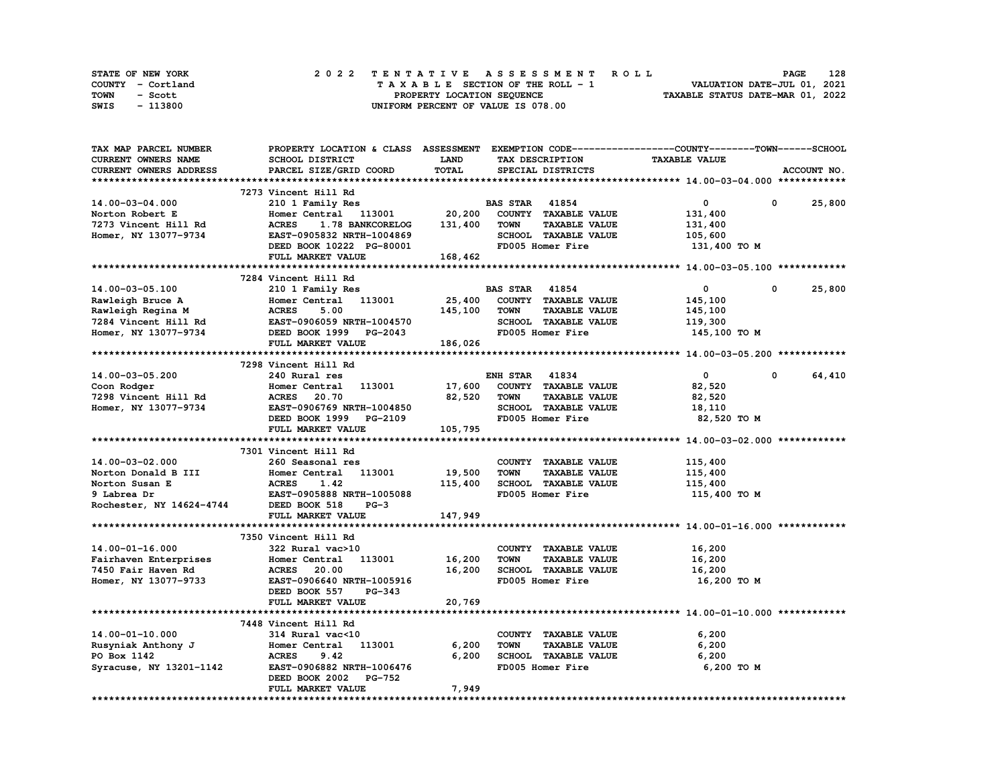| STATE OF NEW YORK | 2022 TENTATIVE ASSESSMENT ROLL     | 128<br><b>PAGE</b>               |
|-------------------|------------------------------------|----------------------------------|
| COUNTY - Cortland | TAXABLE SECTION OF THE ROLL - 1    | VALUATION DATE-JUL 01, 2021      |
| TOWN<br>- Scott   | PROPERTY LOCATION SEQUENCE         | TAXABLE STATUS DATE-MAR 01, 2022 |
| - 113800<br>SWIS  | UNIFORM PERCENT OF VALUE IS 078.00 |                                  |

| TAX MAP PARCEL NUMBER                      | PROPERTY LOCATION & CLASS ASSESSMENT EXEMPTION CODE-----------------COUNTY-------TOWN------SCHOOL                                                                                                                              |              |                                                                                                           |                      |                      |
|--------------------------------------------|--------------------------------------------------------------------------------------------------------------------------------------------------------------------------------------------------------------------------------|--------------|-----------------------------------------------------------------------------------------------------------|----------------------|----------------------|
| CURRENT OWNERS NAME                        | SCHOOL DISTRICT                                                                                                                                                                                                                | <b>LAND</b>  | TAX DESCRIPTION                                                                                           | <b>TAXABLE VALUE</b> |                      |
| CURRENT OWNERS ADDRESS                     | PARCEL SIZE/GRID COORD                                                                                                                                                                                                         | <b>TOTAL</b> | SPECIAL DISTRICTS                                                                                         |                      | ACCOUNT NO.          |
|                                            |                                                                                                                                                                                                                                |              |                                                                                                           |                      |                      |
|                                            | 7273 Vincent Hill Rd                                                                                                                                                                                                           |              |                                                                                                           |                      |                      |
| 14.00-03-04.000                            | 210 1 Family Res                                                                                                                                                                                                               |              | <b>BAS STAR</b> 41854                                                                                     | $\mathbf{0}$         | 25,800<br>$^{\circ}$ |
| Norton Robert E                            | Homer Central 113001 20,200 COUNTY TAXABLE VALUE                                                                                                                                                                               |              |                                                                                                           | 131,400              |                      |
| 7273 Vincent Hill Rd                       | 1.78 BANKCORELOG 131,400<br><b>ACRES</b>                                                                                                                                                                                       |              | <b>TAXABLE VALUE</b><br>TOWN                                                                              | 131,400              |                      |
| Homer, NY 13077-9734                       |                                                                                                                                                                                                                                |              | SCHOOL TAXABLE VALUE                                                                                      | 105,600              |                      |
|                                            |                                                                                                                                                                                                                                |              | FD005 Homer Fire                                                                                          |                      |                      |
|                                            | DEED BOOK 10222 PG-80001<br>FULL MARKET VALUE                                                                                                                                                                                  |              |                                                                                                           | 131,400 TO M         |                      |
|                                            |                                                                                                                                                                                                                                |              |                                                                                                           |                      |                      |
|                                            |                                                                                                                                                                                                                                |              |                                                                                                           |                      |                      |
|                                            | 7284 Vincent Hill Rd                                                                                                                                                                                                           |              |                                                                                                           |                      |                      |
|                                            |                                                                                                                                                                                                                                |              | <b>BAS STAR</b> 41854                                                                                     | $\mathbf{0}$         | 25,800<br>$^{\circ}$ |
|                                            |                                                                                                                                                                                                                                |              | 113001                  25,400      COUNTY    TAXABLE  VALUE<br>145,100         TOWN       TAXABLE  VALUE | 145,100              |                      |
|                                            |                                                                                                                                                                                                                                |              |                                                                                                           | 145,100              |                      |
|                                            |                                                                                                                                                                                                                                |              | SCHOOL TAXABLE VALUE                                                                                      | 119,300              |                      |
|                                            |                                                                                                                                                                                                                                |              | FD005 Homer Fire                                                                                          | 145,100 TO M         |                      |
|                                            | 14.00-03-05.100<br>Rawleigh Bruce A Homer Central 113001<br>Rawleigh Regina M ACRES 5.00 145,100<br>7284 Vincent Hill Rd EAST-0906059 NRTH-1004570<br>Homer, NY 13077-9734 DEED BOOK 1999 PG-2043<br>FULL MARKET VALUE 186,026 |              |                                                                                                           |                      |                      |
|                                            |                                                                                                                                                                                                                                |              |                                                                                                           |                      |                      |
|                                            | 7298 Vincent Hill Rd                                                                                                                                                                                                           |              |                                                                                                           |                      |                      |
| 14.00-03-05.200                            | 240 Rural res                                                                                                                                                                                                                  |              | <b>ENH STAR 41834</b>                                                                                     | $\mathbf{0}$         | 64,410<br>$^{\circ}$ |
| Coon Rodger                                | Homer Central 113001 17,600                                                                                                                                                                                                    |              | COUNTY TAXABLE VALUE                                                                                      | 82,520               |                      |
| 7298 Vincent Hill Rd                       | <b>ACRES</b> 20.70                                                                                                                                                                                                             | 82,520 TOWN  | <b>TAXABLE VALUE</b>                                                                                      | 82,520               |                      |
| Homer, NY 13077-9734                       |                                                                                                                                                                                                                                |              | SCHOOL TAXABLE VALUE                                                                                      | 18,110               |                      |
|                                            | EAST-0906769 NRTH-1004850<br>DEED BOOK 1999 PG-2109                                                                                                                                                                            |              | FD005 Homer Fire                                                                                          | 82,520 TO M          |                      |
|                                            | FULL MARKET VALUE                                                                                                                                                                                                              | 105,795      |                                                                                                           |                      |                      |
|                                            |                                                                                                                                                                                                                                |              |                                                                                                           |                      |                      |
|                                            | 7301 Vincent Hill Rd                                                                                                                                                                                                           |              |                                                                                                           |                      |                      |
| 14.00-03-02.000                            | 260 Seasonal res                                                                                                                                                                                                               |              | COUNTY TAXABLE VALUE                                                                                      | 115,400              |                      |
|                                            |                                                                                                                                                                                                                                | 19,500       | TOWN<br><b>TAXABLE VALUE</b>                                                                              | 115,400              |                      |
|                                            |                                                                                                                                                                                                                                |              | 115,400 SCHOOL TAXABLE VALUE                                                                              | 115,400              |                      |
|                                            |                                                                                                                                                                                                                                |              | FD005 Homer Fire                                                                                          | 115,400 TO M         |                      |
|                                            | Norton Donald B III Homer Central 113001<br>Norton Susan E ACRES 1.42<br>9 Labrea Dr EAST-0905888 NRTH-1005088<br>Rochester, NY 14624-4744 DEED BOOK 518 PG-3                                                                  |              |                                                                                                           |                      |                      |
|                                            | FULL MARKET VALUE                                                                                                                                                                                                              | 147,949      |                                                                                                           |                      |                      |
|                                            |                                                                                                                                                                                                                                |              |                                                                                                           |                      |                      |
|                                            | 7350 Vincent Hill Rd                                                                                                                                                                                                           |              |                                                                                                           |                      |                      |
| 14.00-01-16.000                            | 322 Rural vac>10                                                                                                                                                                                                               |              | COUNTY TAXABLE VALUE                                                                                      | 16,200               |                      |
|                                            |                                                                                                                                                                                                                                |              |                                                                                                           |                      |                      |
| Fairhaven Enterprises                      | Homer Central 113001                                                                                                                                                                                                           | 16,200       | <b>TOWN</b><br><b>TAXABLE VALUE</b>                                                                       | 16,200               |                      |
| 7450 Fair Haven Rd<br>Homer, NY 13077-9733 | <b>ACRES    20.00<br/>EAST-0906640 NRTH-1005916</b>                                                                                                                                                                            |              | 16,200 SCHOOL TAXABLE VALUE                                                                               | 16,200               |                      |
|                                            |                                                                                                                                                                                                                                |              | FD005 Homer Fire                                                                                          | 16,200 TO M          |                      |
|                                            | DEED BOOK 557<br>PG-343                                                                                                                                                                                                        |              |                                                                                                           |                      |                      |
|                                            | FULL MARKET VALUE                                                                                                                                                                                                              | 20,769       |                                                                                                           |                      |                      |
|                                            |                                                                                                                                                                                                                                |              |                                                                                                           |                      |                      |
|                                            | 7448 Vincent Hill Rd                                                                                                                                                                                                           |              |                                                                                                           |                      |                      |
|                                            | 14.00-01-10.000 314 Rural vac<10<br>Rusyniak Anthony J Homer Central 113001<br>PO Box 1142 ACRES 9.42                                                                                                                          |              | COUNTY TAXABLE VALUE                                                                                      | 6,200                |                      |
|                                            |                                                                                                                                                                                                                                | 6,200        | <b>TOWN</b><br><b>TAXABLE VALUE</b>                                                                       | 6,200                |                      |
|                                            |                                                                                                                                                                                                                                | 6,200        | SCHOOL TAXABLE VALUE                                                                                      | 6,200                |                      |
|                                            | Syracuse, NY 13201-1142 EAST-0906882 NRTH-1006476                                                                                                                                                                              |              | FD005 Homer Fire                                                                                          | 6,200 TO M           |                      |
|                                            | DEED BOOK 2002 PG-752                                                                                                                                                                                                          |              |                                                                                                           |                      |                      |
|                                            | FULL MARKET VALUE                                                                                                                                                                                                              | 7,949        |                                                                                                           |                      |                      |
|                                            |                                                                                                                                                                                                                                |              |                                                                                                           |                      |                      |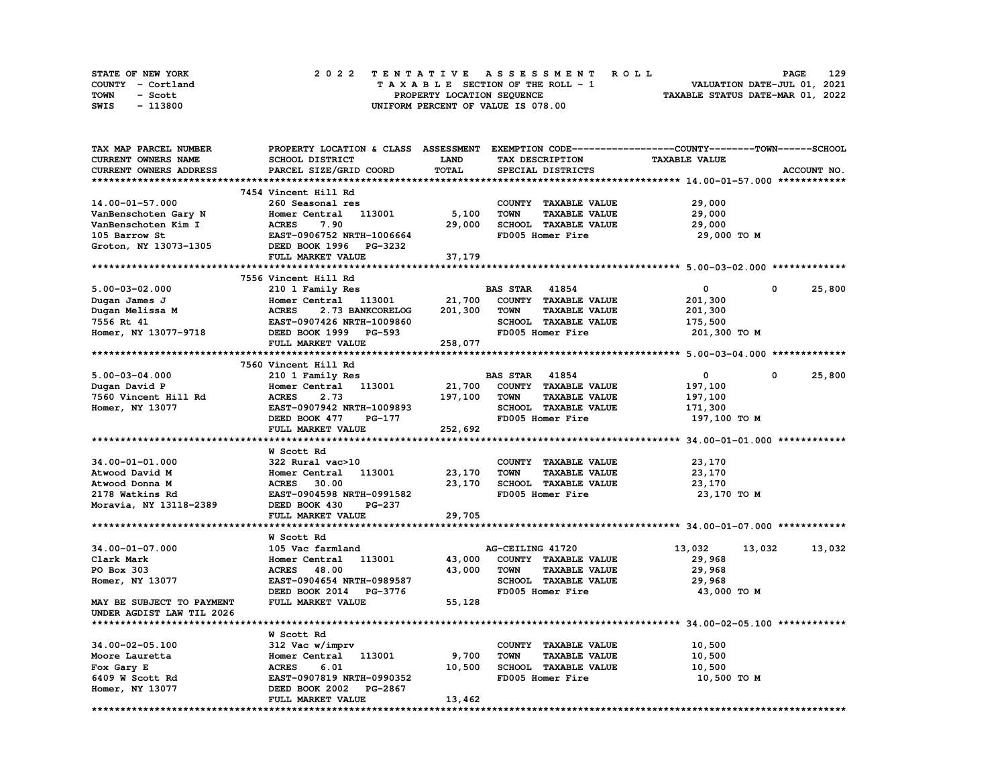| STATE OF NEW YORK | 2022 TENTATIVE ASSESSMENT ROLL     | 129<br><b>PAGE</b>               |
|-------------------|------------------------------------|----------------------------------|
| COUNTY - Cortland | TAXABLE SECTION OF THE ROLL - 1    | VALUATION DATE-JUL 01, 2021      |
| TOWN<br>- Scott   | PROPERTY LOCATION SEQUENCE         | TAXABLE STATUS DATE-MAR 01, 2022 |
| - 113800<br>SWIS  | UNIFORM PERCENT OF VALUE IS 078.00 |                                  |

| TAX MAP PARCEL NUMBER         |                                  |         |                                     | PROPERTY LOCATION & CLASS ASSESSMENT EXEMPTION CODE----------------COUNTY-------TOWN-----SCHOOL |             |
|-------------------------------|----------------------------------|---------|-------------------------------------|-------------------------------------------------------------------------------------------------|-------------|
| CURRENT OWNERS NAME           | SCHOOL DISTRICT                  | LAND    | TAX DESCRIPTION                     | <b>TAXABLE VALUE</b>                                                                            |             |
| CURRENT OWNERS ADDRESS        | PARCEL SIZE/GRID COORD           | TOTAL   | SPECIAL DISTRICTS                   |                                                                                                 | ACCOUNT NO. |
|                               |                                  |         |                                     |                                                                                                 |             |
|                               | 7454 Vincent Hill Rd             |         |                                     |                                                                                                 |             |
| 14.00-01-57.000               | 260 Seasonal res                 |         | COUNTY TAXABLE VALUE                | 29,000                                                                                          |             |
| VanBenschoten Gary N          | Homer Central<br>113001          | 5,100   | <b>TOWN</b><br><b>TAXABLE VALUE</b> | 29,000                                                                                          |             |
| VanBenschoten Kim I           | <b>ACRES</b><br>7.90             | 29,000  | SCHOOL TAXABLE VALUE                | 29,000                                                                                          |             |
| 105 Barrow St                 | EAST-0906752 NRTH-1006664        |         | FD005 Homer Fire                    | 29,000 TO M                                                                                     |             |
| Groton, NY 13073-1305         | DEED BOOK 1996 PG-3232           |         |                                     |                                                                                                 |             |
|                               | FULL MARKET VALUE                | 37,179  |                                     |                                                                                                 |             |
|                               |                                  |         |                                     |                                                                                                 |             |
|                               | 7556 Vincent Hill Rd             |         |                                     |                                                                                                 |             |
| $5.00 - 03 - 02.000$          | 210 1 Family Res                 |         | <b>BAS STAR 41854</b>               | $\mathbf 0$<br>$^{\circ}$                                                                       | 25,800      |
| Dugan James J                 | Homer Central<br>113001          | 21,700  | COUNTY TAXABLE VALUE                | 201,300                                                                                         |             |
| Dugan Melissa M               | <b>ACRES</b><br>2.73 BANKCORELOG | 201,300 | <b>TOWN</b><br><b>TAXABLE VALUE</b> | 201,300                                                                                         |             |
| 7556 Rt 41                    | EAST-0907426 NRTH-1009860        |         | SCHOOL TAXABLE VALUE                | 175,500                                                                                         |             |
| Homer, NY 13077-9718          | DEED BOOK 1999 PG-593            |         | FD005 Homer Fire                    | 201,300 TO M                                                                                    |             |
|                               | FULL MARKET VALUE                | 258,077 |                                     |                                                                                                 |             |
|                               |                                  |         |                                     |                                                                                                 |             |
|                               | 7560 Vincent Hill Rd             |         |                                     |                                                                                                 |             |
| $5.00 - 03 - 04.000$          | 210 1 Family Res                 |         | <b>BAS STAR 41854</b>               | 0<br>0                                                                                          | 25,800      |
| Dugan David P                 | Homer Central<br>113001          | 21,700  | COUNTY TAXABLE VALUE                | 197,100                                                                                         |             |
| 7560 Vincent Hill Rd          | <b>ACRES</b><br>2.73             | 197,100 | <b>TOWN</b><br><b>TAXABLE VALUE</b> | 197,100                                                                                         |             |
| Homer, NY 13077               | EAST-0907942 NRTH-1009893        |         | SCHOOL TAXABLE VALUE                | 171,300                                                                                         |             |
|                               | DEED BOOK 477<br>PG-177          |         | FD005 Homer Fire                    | 197,100 TO M                                                                                    |             |
|                               | FULL MARKET VALUE                | 252,692 |                                     |                                                                                                 |             |
|                               |                                  |         |                                     |                                                                                                 |             |
|                               | W Scott Rd                       |         |                                     |                                                                                                 |             |
| 34.00-01-01.000               | 322 Rural vac>10                 |         | COUNTY TAXABLE VALUE                | 23,170                                                                                          |             |
| Atwood David M                | Homer Central<br>113001          | 23,170  | <b>TOWN</b><br><b>TAXABLE VALUE</b> | 23,170                                                                                          |             |
| Atwood Donna M                | <b>ACRES</b><br>30.00            | 23,170  | SCHOOL TAXABLE VALUE                | 23,170                                                                                          |             |
| 2178 Watkins Rd               | EAST-0904598 NRTH-0991582        |         | FD005 Homer Fire                    | 23,170 TO M                                                                                     |             |
| Moravia, NY 13118-2389        | DEED BOOK 430<br>PG-237          |         |                                     |                                                                                                 |             |
|                               | FULL MARKET VALUE                | 29,705  |                                     |                                                                                                 |             |
|                               |                                  |         |                                     |                                                                                                 |             |
|                               | W Scott Rd                       |         |                                     |                                                                                                 |             |
| 34.00-01-07.000               | 105 Vac farmland                 |         | AG-CEILING 41720                    | 13,032<br>13,032                                                                                | 13,032      |
| Clark Mark                    | Homer Central<br>113001          | 43,000  | COUNTY TAXABLE VALUE                | 29,968                                                                                          |             |
| PO Box 303                    | <b>ACRES</b> 48.00               | 43,000  | <b>TOWN</b><br><b>TAXABLE VALUE</b> | 29,968                                                                                          |             |
| Homer, NY 13077               | EAST-0904654 NRTH-0989587        |         | SCHOOL TAXABLE VALUE                | 29,968                                                                                          |             |
|                               | DEED BOOK 2014 PG-3776           |         | FD005 Homer Fire                    | 43,000 TO M                                                                                     |             |
| MAY BE SUBJECT TO PAYMENT     | FULL MARKET VALUE                | 55,128  |                                     |                                                                                                 |             |
| UNDER AGDIST LAW TIL 2026     |                                  |         |                                     |                                                                                                 |             |
|                               |                                  |         |                                     |                                                                                                 |             |
|                               | W Scott Rd                       |         |                                     |                                                                                                 |             |
| 34.00-02-05.100               | 312 Vac w/imprv                  |         | COUNTY TAXABLE VALUE                | 10,500                                                                                          |             |
| Moore Lauretta                | Homer Central<br>113001          | 9,700   | <b>TOWN</b><br><b>TAXABLE VALUE</b> | 10,500                                                                                          |             |
|                               | <b>ACRES</b><br>6.01             | 10,500  | <b>SCHOOL TAXABLE VALUE</b>         | 10,500                                                                                          |             |
| Fox Gary E<br>6409 W Scott Rd | EAST-0907819 NRTH-0990352        |         | FD005 Homer Fire                    | 10,500 TO M                                                                                     |             |
| Homer, NY 13077               | DEED BOOK 2002<br>PG-2867        |         |                                     |                                                                                                 |             |
|                               | FULL MARKET VALUE                |         |                                     |                                                                                                 |             |
|                               |                                  | 13,462  |                                     |                                                                                                 |             |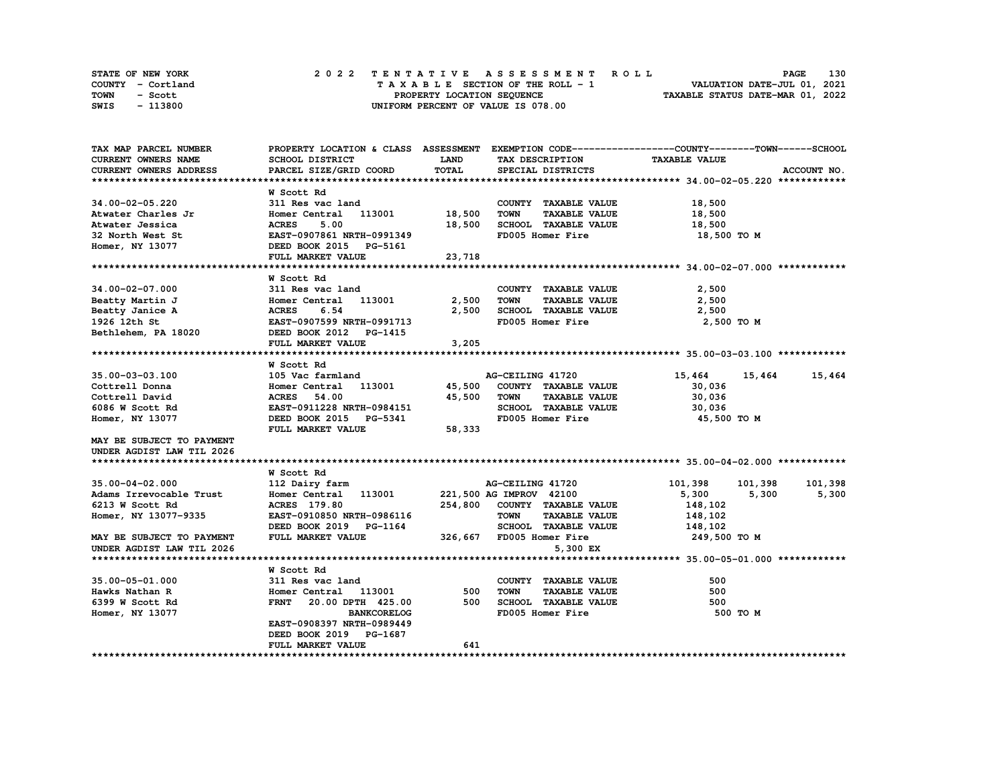|      | STATE OF NEW YORK |  | 2022 TENTATIVE ASSESSMENT ROLL |  |  |  |                                    |  |  |  |  |  |  |                                  | <b>PAGE</b>                 | 130 |
|------|-------------------|--|--------------------------------|--|--|--|------------------------------------|--|--|--|--|--|--|----------------------------------|-----------------------------|-----|
|      | COUNTY - Cortland |  |                                |  |  |  | TAXABLE SECTION OF THE ROLL - 1    |  |  |  |  |  |  |                                  | VALUATION DATE-JUL 01, 2021 |     |
| TOWN | - Scott           |  |                                |  |  |  | PROPERTY LOCATION SEQUENCE         |  |  |  |  |  |  | TAXABLE STATUS DATE-MAR 01, 2022 |                             |     |
| SWIS | - 113800          |  |                                |  |  |  | UNIFORM PERCENT OF VALUE IS 078.00 |  |  |  |  |  |  |                                  |                             |     |

| <b>CURRENT OWNERS NAME</b><br><b>LAND</b><br>SCHOOL DISTRICT<br>TAX DESCRIPTION<br><b>TAXABLE VALUE</b><br><b>TOTAL</b><br>CURRENT OWNERS ADDRESS<br>PARCEL SIZE/GRID COORD<br>SPECIAL DISTRICTS<br>ACCOUNT NO.<br>W Scott Rd<br>34.00-02-05.220<br>311 Res vac land<br>COUNTY TAXABLE VALUE<br>18,500<br>Atwater Charles Jr<br>Homer Central 113001 18,500<br><b>TOWN</b><br><b>TAXABLE VALUE</b><br>18,500<br>5.00<br>18,500<br>SCHOOL TAXABLE VALUE<br>Atwater Jessica<br><b>ACRES</b><br>18,500<br>32 North West St<br>EAST-0907861 NRTH-0991349<br>FD005 Homer Fire<br>18,500 TO M<br>Homer, NY 13077<br>DEED BOOK 2015 PG-5161<br>FULL MARKET VALUE<br>23,718<br>W Scott Rd<br>34.00-02-07.000<br>311 Res vac land<br>COUNTY TAXABLE VALUE<br>2,500<br>Homer Central 113001<br>2,500<br>TOWN<br><b>TAXABLE VALUE</b><br>2,500<br>Beatty Martin J<br>2,500 SCHOOL TAXABLE VALUE<br>Beatty Janice A<br><b>ACRES</b><br>6.54<br>2,500<br>EAST-0907599 NRTH-0991713<br>1926 12th St<br>FD005 Homer Fire<br>2,500 TO M<br>Bethlehem, PA 18020<br>DEED BOOK 2012 PG-1415<br>FULL MARKET VALUE<br>3,205<br>W Scott Rd<br>35.00-03-03.100<br>105 Vac farmland<br>AG-CEILING 41720<br>15,464<br>15,464<br>15,464<br>45,500<br>COUNTY TAXABLE VALUE<br>Cottrell Donna<br>Homer Central 113001<br>30,036<br>Cottrell David<br><b>ACRES</b><br>54.00<br>45,500<br><b>TOWN</b><br><b>TAXABLE VALUE</b><br>30,036<br>SCHOOL TAXABLE VALUE<br>6086 W Scott Rd<br>EAST-0911228 NRTH-0984151<br>30,036<br>DEED BOOK 2015 PG-5341<br>FD005 Homer Fire<br>45,500 TO M<br>Homer, NY 13077<br>FULL MARKET VALUE<br>58,333<br>MAY BE SUBJECT TO PAYMENT<br>UNDER AGDIST LAW TIL 2026<br>W Scott Rd<br>$35.00 - 04 - 02.000$<br>AG-CEILING 41720<br>101,398<br>101,398<br>101,398<br>112 Dairy farm<br>Homer Central 113001<br>221,500 AG IMPROV 42100<br>5,300<br>5,300<br>5,300<br>Adams Irrevocable Trust<br><b>ACRES</b> 179.80<br>254,800 COUNTY TAXABLE VALUE<br>6213 W Scott Rd<br>148,102<br>EAST-0910850 NRTH-0986116<br><b>TOWN</b><br><b>TAXABLE VALUE</b><br>Homer, NY 13077-9335<br>148,102<br>148,102<br>SCHOOL TAXABLE VALUE<br>DEED BOOK 2019 PG-1164<br>326,667 FD005 Homer Fire<br>FULL MARKET VALUE<br>249,500 TO M<br>MAY BE SUBJECT TO PAYMENT<br>5,300 EX<br>UNDER AGDIST LAW TIL 2026<br>W Scott Rd<br>35.00-05-01.000<br>COUNTY TAXABLE VALUE<br>500<br>311 Res vac land<br>500<br><b>TAXABLE VALUE</b><br>500<br>Hawks Nathan R<br>Homer Central 113001<br><b>TOWN</b><br>6399 W Scott Rd<br><b>FRNT</b><br>20.00 DPTH 425.00<br>500<br>SCHOOL TAXABLE VALUE<br>500<br>FD005 Homer Fire<br>Homer, NY 13077<br><b>BANKCORELOG</b><br>500 TO M<br>EAST-0908397 NRTH-0989449<br>DEED BOOK 2019 PG-1687<br>FULL MARKET VALUE<br>641 | TAX MAP PARCEL NUMBER |  | PROPERTY LOCATION & CLASS ASSESSMENT EXEMPTION CODE----------------COUNTY-------TOWN-----SCHOOL |  |
|-----------------------------------------------------------------------------------------------------------------------------------------------------------------------------------------------------------------------------------------------------------------------------------------------------------------------------------------------------------------------------------------------------------------------------------------------------------------------------------------------------------------------------------------------------------------------------------------------------------------------------------------------------------------------------------------------------------------------------------------------------------------------------------------------------------------------------------------------------------------------------------------------------------------------------------------------------------------------------------------------------------------------------------------------------------------------------------------------------------------------------------------------------------------------------------------------------------------------------------------------------------------------------------------------------------------------------------------------------------------------------------------------------------------------------------------------------------------------------------------------------------------------------------------------------------------------------------------------------------------------------------------------------------------------------------------------------------------------------------------------------------------------------------------------------------------------------------------------------------------------------------------------------------------------------------------------------------------------------------------------------------------------------------------------------------------------------------------------------------------------------------------------------------------------------------------------------------------------------------------------------------------------------------------------------------------------------------------------------------------------------------------------------------------------------------------------------------------------------------------------------------------------------------------------------------------------------------------------------------------------------------------------------------------------------------------------------------------------------------------|-----------------------|--|-------------------------------------------------------------------------------------------------|--|
|                                                                                                                                                                                                                                                                                                                                                                                                                                                                                                                                                                                                                                                                                                                                                                                                                                                                                                                                                                                                                                                                                                                                                                                                                                                                                                                                                                                                                                                                                                                                                                                                                                                                                                                                                                                                                                                                                                                                                                                                                                                                                                                                                                                                                                                                                                                                                                                                                                                                                                                                                                                                                                                                                                                                         |                       |  |                                                                                                 |  |
|                                                                                                                                                                                                                                                                                                                                                                                                                                                                                                                                                                                                                                                                                                                                                                                                                                                                                                                                                                                                                                                                                                                                                                                                                                                                                                                                                                                                                                                                                                                                                                                                                                                                                                                                                                                                                                                                                                                                                                                                                                                                                                                                                                                                                                                                                                                                                                                                                                                                                                                                                                                                                                                                                                                                         |                       |  |                                                                                                 |  |
|                                                                                                                                                                                                                                                                                                                                                                                                                                                                                                                                                                                                                                                                                                                                                                                                                                                                                                                                                                                                                                                                                                                                                                                                                                                                                                                                                                                                                                                                                                                                                                                                                                                                                                                                                                                                                                                                                                                                                                                                                                                                                                                                                                                                                                                                                                                                                                                                                                                                                                                                                                                                                                                                                                                                         |                       |  |                                                                                                 |  |
|                                                                                                                                                                                                                                                                                                                                                                                                                                                                                                                                                                                                                                                                                                                                                                                                                                                                                                                                                                                                                                                                                                                                                                                                                                                                                                                                                                                                                                                                                                                                                                                                                                                                                                                                                                                                                                                                                                                                                                                                                                                                                                                                                                                                                                                                                                                                                                                                                                                                                                                                                                                                                                                                                                                                         |                       |  |                                                                                                 |  |
|                                                                                                                                                                                                                                                                                                                                                                                                                                                                                                                                                                                                                                                                                                                                                                                                                                                                                                                                                                                                                                                                                                                                                                                                                                                                                                                                                                                                                                                                                                                                                                                                                                                                                                                                                                                                                                                                                                                                                                                                                                                                                                                                                                                                                                                                                                                                                                                                                                                                                                                                                                                                                                                                                                                                         |                       |  |                                                                                                 |  |
|                                                                                                                                                                                                                                                                                                                                                                                                                                                                                                                                                                                                                                                                                                                                                                                                                                                                                                                                                                                                                                                                                                                                                                                                                                                                                                                                                                                                                                                                                                                                                                                                                                                                                                                                                                                                                                                                                                                                                                                                                                                                                                                                                                                                                                                                                                                                                                                                                                                                                                                                                                                                                                                                                                                                         |                       |  |                                                                                                 |  |
|                                                                                                                                                                                                                                                                                                                                                                                                                                                                                                                                                                                                                                                                                                                                                                                                                                                                                                                                                                                                                                                                                                                                                                                                                                                                                                                                                                                                                                                                                                                                                                                                                                                                                                                                                                                                                                                                                                                                                                                                                                                                                                                                                                                                                                                                                                                                                                                                                                                                                                                                                                                                                                                                                                                                         |                       |  |                                                                                                 |  |
|                                                                                                                                                                                                                                                                                                                                                                                                                                                                                                                                                                                                                                                                                                                                                                                                                                                                                                                                                                                                                                                                                                                                                                                                                                                                                                                                                                                                                                                                                                                                                                                                                                                                                                                                                                                                                                                                                                                                                                                                                                                                                                                                                                                                                                                                                                                                                                                                                                                                                                                                                                                                                                                                                                                                         |                       |  |                                                                                                 |  |
|                                                                                                                                                                                                                                                                                                                                                                                                                                                                                                                                                                                                                                                                                                                                                                                                                                                                                                                                                                                                                                                                                                                                                                                                                                                                                                                                                                                                                                                                                                                                                                                                                                                                                                                                                                                                                                                                                                                                                                                                                                                                                                                                                                                                                                                                                                                                                                                                                                                                                                                                                                                                                                                                                                                                         |                       |  |                                                                                                 |  |
|                                                                                                                                                                                                                                                                                                                                                                                                                                                                                                                                                                                                                                                                                                                                                                                                                                                                                                                                                                                                                                                                                                                                                                                                                                                                                                                                                                                                                                                                                                                                                                                                                                                                                                                                                                                                                                                                                                                                                                                                                                                                                                                                                                                                                                                                                                                                                                                                                                                                                                                                                                                                                                                                                                                                         |                       |  |                                                                                                 |  |
|                                                                                                                                                                                                                                                                                                                                                                                                                                                                                                                                                                                                                                                                                                                                                                                                                                                                                                                                                                                                                                                                                                                                                                                                                                                                                                                                                                                                                                                                                                                                                                                                                                                                                                                                                                                                                                                                                                                                                                                                                                                                                                                                                                                                                                                                                                                                                                                                                                                                                                                                                                                                                                                                                                                                         |                       |  |                                                                                                 |  |
|                                                                                                                                                                                                                                                                                                                                                                                                                                                                                                                                                                                                                                                                                                                                                                                                                                                                                                                                                                                                                                                                                                                                                                                                                                                                                                                                                                                                                                                                                                                                                                                                                                                                                                                                                                                                                                                                                                                                                                                                                                                                                                                                                                                                                                                                                                                                                                                                                                                                                                                                                                                                                                                                                                                                         |                       |  |                                                                                                 |  |
|                                                                                                                                                                                                                                                                                                                                                                                                                                                                                                                                                                                                                                                                                                                                                                                                                                                                                                                                                                                                                                                                                                                                                                                                                                                                                                                                                                                                                                                                                                                                                                                                                                                                                                                                                                                                                                                                                                                                                                                                                                                                                                                                                                                                                                                                                                                                                                                                                                                                                                                                                                                                                                                                                                                                         |                       |  |                                                                                                 |  |
|                                                                                                                                                                                                                                                                                                                                                                                                                                                                                                                                                                                                                                                                                                                                                                                                                                                                                                                                                                                                                                                                                                                                                                                                                                                                                                                                                                                                                                                                                                                                                                                                                                                                                                                                                                                                                                                                                                                                                                                                                                                                                                                                                                                                                                                                                                                                                                                                                                                                                                                                                                                                                                                                                                                                         |                       |  |                                                                                                 |  |
|                                                                                                                                                                                                                                                                                                                                                                                                                                                                                                                                                                                                                                                                                                                                                                                                                                                                                                                                                                                                                                                                                                                                                                                                                                                                                                                                                                                                                                                                                                                                                                                                                                                                                                                                                                                                                                                                                                                                                                                                                                                                                                                                                                                                                                                                                                                                                                                                                                                                                                                                                                                                                                                                                                                                         |                       |  |                                                                                                 |  |
|                                                                                                                                                                                                                                                                                                                                                                                                                                                                                                                                                                                                                                                                                                                                                                                                                                                                                                                                                                                                                                                                                                                                                                                                                                                                                                                                                                                                                                                                                                                                                                                                                                                                                                                                                                                                                                                                                                                                                                                                                                                                                                                                                                                                                                                                                                                                                                                                                                                                                                                                                                                                                                                                                                                                         |                       |  |                                                                                                 |  |
|                                                                                                                                                                                                                                                                                                                                                                                                                                                                                                                                                                                                                                                                                                                                                                                                                                                                                                                                                                                                                                                                                                                                                                                                                                                                                                                                                                                                                                                                                                                                                                                                                                                                                                                                                                                                                                                                                                                                                                                                                                                                                                                                                                                                                                                                                                                                                                                                                                                                                                                                                                                                                                                                                                                                         |                       |  |                                                                                                 |  |
|                                                                                                                                                                                                                                                                                                                                                                                                                                                                                                                                                                                                                                                                                                                                                                                                                                                                                                                                                                                                                                                                                                                                                                                                                                                                                                                                                                                                                                                                                                                                                                                                                                                                                                                                                                                                                                                                                                                                                                                                                                                                                                                                                                                                                                                                                                                                                                                                                                                                                                                                                                                                                                                                                                                                         |                       |  |                                                                                                 |  |
|                                                                                                                                                                                                                                                                                                                                                                                                                                                                                                                                                                                                                                                                                                                                                                                                                                                                                                                                                                                                                                                                                                                                                                                                                                                                                                                                                                                                                                                                                                                                                                                                                                                                                                                                                                                                                                                                                                                                                                                                                                                                                                                                                                                                                                                                                                                                                                                                                                                                                                                                                                                                                                                                                                                                         |                       |  |                                                                                                 |  |
|                                                                                                                                                                                                                                                                                                                                                                                                                                                                                                                                                                                                                                                                                                                                                                                                                                                                                                                                                                                                                                                                                                                                                                                                                                                                                                                                                                                                                                                                                                                                                                                                                                                                                                                                                                                                                                                                                                                                                                                                                                                                                                                                                                                                                                                                                                                                                                                                                                                                                                                                                                                                                                                                                                                                         |                       |  |                                                                                                 |  |
|                                                                                                                                                                                                                                                                                                                                                                                                                                                                                                                                                                                                                                                                                                                                                                                                                                                                                                                                                                                                                                                                                                                                                                                                                                                                                                                                                                                                                                                                                                                                                                                                                                                                                                                                                                                                                                                                                                                                                                                                                                                                                                                                                                                                                                                                                                                                                                                                                                                                                                                                                                                                                                                                                                                                         |                       |  |                                                                                                 |  |
|                                                                                                                                                                                                                                                                                                                                                                                                                                                                                                                                                                                                                                                                                                                                                                                                                                                                                                                                                                                                                                                                                                                                                                                                                                                                                                                                                                                                                                                                                                                                                                                                                                                                                                                                                                                                                                                                                                                                                                                                                                                                                                                                                                                                                                                                                                                                                                                                                                                                                                                                                                                                                                                                                                                                         |                       |  |                                                                                                 |  |
|                                                                                                                                                                                                                                                                                                                                                                                                                                                                                                                                                                                                                                                                                                                                                                                                                                                                                                                                                                                                                                                                                                                                                                                                                                                                                                                                                                                                                                                                                                                                                                                                                                                                                                                                                                                                                                                                                                                                                                                                                                                                                                                                                                                                                                                                                                                                                                                                                                                                                                                                                                                                                                                                                                                                         |                       |  |                                                                                                 |  |
|                                                                                                                                                                                                                                                                                                                                                                                                                                                                                                                                                                                                                                                                                                                                                                                                                                                                                                                                                                                                                                                                                                                                                                                                                                                                                                                                                                                                                                                                                                                                                                                                                                                                                                                                                                                                                                                                                                                                                                                                                                                                                                                                                                                                                                                                                                                                                                                                                                                                                                                                                                                                                                                                                                                                         |                       |  |                                                                                                 |  |
|                                                                                                                                                                                                                                                                                                                                                                                                                                                                                                                                                                                                                                                                                                                                                                                                                                                                                                                                                                                                                                                                                                                                                                                                                                                                                                                                                                                                                                                                                                                                                                                                                                                                                                                                                                                                                                                                                                                                                                                                                                                                                                                                                                                                                                                                                                                                                                                                                                                                                                                                                                                                                                                                                                                                         |                       |  |                                                                                                 |  |
|                                                                                                                                                                                                                                                                                                                                                                                                                                                                                                                                                                                                                                                                                                                                                                                                                                                                                                                                                                                                                                                                                                                                                                                                                                                                                                                                                                                                                                                                                                                                                                                                                                                                                                                                                                                                                                                                                                                                                                                                                                                                                                                                                                                                                                                                                                                                                                                                                                                                                                                                                                                                                                                                                                                                         |                       |  |                                                                                                 |  |
|                                                                                                                                                                                                                                                                                                                                                                                                                                                                                                                                                                                                                                                                                                                                                                                                                                                                                                                                                                                                                                                                                                                                                                                                                                                                                                                                                                                                                                                                                                                                                                                                                                                                                                                                                                                                                                                                                                                                                                                                                                                                                                                                                                                                                                                                                                                                                                                                                                                                                                                                                                                                                                                                                                                                         |                       |  |                                                                                                 |  |
|                                                                                                                                                                                                                                                                                                                                                                                                                                                                                                                                                                                                                                                                                                                                                                                                                                                                                                                                                                                                                                                                                                                                                                                                                                                                                                                                                                                                                                                                                                                                                                                                                                                                                                                                                                                                                                                                                                                                                                                                                                                                                                                                                                                                                                                                                                                                                                                                                                                                                                                                                                                                                                                                                                                                         |                       |  |                                                                                                 |  |
|                                                                                                                                                                                                                                                                                                                                                                                                                                                                                                                                                                                                                                                                                                                                                                                                                                                                                                                                                                                                                                                                                                                                                                                                                                                                                                                                                                                                                                                                                                                                                                                                                                                                                                                                                                                                                                                                                                                                                                                                                                                                                                                                                                                                                                                                                                                                                                                                                                                                                                                                                                                                                                                                                                                                         |                       |  |                                                                                                 |  |
|                                                                                                                                                                                                                                                                                                                                                                                                                                                                                                                                                                                                                                                                                                                                                                                                                                                                                                                                                                                                                                                                                                                                                                                                                                                                                                                                                                                                                                                                                                                                                                                                                                                                                                                                                                                                                                                                                                                                                                                                                                                                                                                                                                                                                                                                                                                                                                                                                                                                                                                                                                                                                                                                                                                                         |                       |  |                                                                                                 |  |
|                                                                                                                                                                                                                                                                                                                                                                                                                                                                                                                                                                                                                                                                                                                                                                                                                                                                                                                                                                                                                                                                                                                                                                                                                                                                                                                                                                                                                                                                                                                                                                                                                                                                                                                                                                                                                                                                                                                                                                                                                                                                                                                                                                                                                                                                                                                                                                                                                                                                                                                                                                                                                                                                                                                                         |                       |  |                                                                                                 |  |
|                                                                                                                                                                                                                                                                                                                                                                                                                                                                                                                                                                                                                                                                                                                                                                                                                                                                                                                                                                                                                                                                                                                                                                                                                                                                                                                                                                                                                                                                                                                                                                                                                                                                                                                                                                                                                                                                                                                                                                                                                                                                                                                                                                                                                                                                                                                                                                                                                                                                                                                                                                                                                                                                                                                                         |                       |  |                                                                                                 |  |
|                                                                                                                                                                                                                                                                                                                                                                                                                                                                                                                                                                                                                                                                                                                                                                                                                                                                                                                                                                                                                                                                                                                                                                                                                                                                                                                                                                                                                                                                                                                                                                                                                                                                                                                                                                                                                                                                                                                                                                                                                                                                                                                                                                                                                                                                                                                                                                                                                                                                                                                                                                                                                                                                                                                                         |                       |  |                                                                                                 |  |
|                                                                                                                                                                                                                                                                                                                                                                                                                                                                                                                                                                                                                                                                                                                                                                                                                                                                                                                                                                                                                                                                                                                                                                                                                                                                                                                                                                                                                                                                                                                                                                                                                                                                                                                                                                                                                                                                                                                                                                                                                                                                                                                                                                                                                                                                                                                                                                                                                                                                                                                                                                                                                                                                                                                                         |                       |  |                                                                                                 |  |
|                                                                                                                                                                                                                                                                                                                                                                                                                                                                                                                                                                                                                                                                                                                                                                                                                                                                                                                                                                                                                                                                                                                                                                                                                                                                                                                                                                                                                                                                                                                                                                                                                                                                                                                                                                                                                                                                                                                                                                                                                                                                                                                                                                                                                                                                                                                                                                                                                                                                                                                                                                                                                                                                                                                                         |                       |  |                                                                                                 |  |
|                                                                                                                                                                                                                                                                                                                                                                                                                                                                                                                                                                                                                                                                                                                                                                                                                                                                                                                                                                                                                                                                                                                                                                                                                                                                                                                                                                                                                                                                                                                                                                                                                                                                                                                                                                                                                                                                                                                                                                                                                                                                                                                                                                                                                                                                                                                                                                                                                                                                                                                                                                                                                                                                                                                                         |                       |  |                                                                                                 |  |
|                                                                                                                                                                                                                                                                                                                                                                                                                                                                                                                                                                                                                                                                                                                                                                                                                                                                                                                                                                                                                                                                                                                                                                                                                                                                                                                                                                                                                                                                                                                                                                                                                                                                                                                                                                                                                                                                                                                                                                                                                                                                                                                                                                                                                                                                                                                                                                                                                                                                                                                                                                                                                                                                                                                                         |                       |  |                                                                                                 |  |
|                                                                                                                                                                                                                                                                                                                                                                                                                                                                                                                                                                                                                                                                                                                                                                                                                                                                                                                                                                                                                                                                                                                                                                                                                                                                                                                                                                                                                                                                                                                                                                                                                                                                                                                                                                                                                                                                                                                                                                                                                                                                                                                                                                                                                                                                                                                                                                                                                                                                                                                                                                                                                                                                                                                                         |                       |  |                                                                                                 |  |
|                                                                                                                                                                                                                                                                                                                                                                                                                                                                                                                                                                                                                                                                                                                                                                                                                                                                                                                                                                                                                                                                                                                                                                                                                                                                                                                                                                                                                                                                                                                                                                                                                                                                                                                                                                                                                                                                                                                                                                                                                                                                                                                                                                                                                                                                                                                                                                                                                                                                                                                                                                                                                                                                                                                                         |                       |  |                                                                                                 |  |
|                                                                                                                                                                                                                                                                                                                                                                                                                                                                                                                                                                                                                                                                                                                                                                                                                                                                                                                                                                                                                                                                                                                                                                                                                                                                                                                                                                                                                                                                                                                                                                                                                                                                                                                                                                                                                                                                                                                                                                                                                                                                                                                                                                                                                                                                                                                                                                                                                                                                                                                                                                                                                                                                                                                                         |                       |  |                                                                                                 |  |
|                                                                                                                                                                                                                                                                                                                                                                                                                                                                                                                                                                                                                                                                                                                                                                                                                                                                                                                                                                                                                                                                                                                                                                                                                                                                                                                                                                                                                                                                                                                                                                                                                                                                                                                                                                                                                                                                                                                                                                                                                                                                                                                                                                                                                                                                                                                                                                                                                                                                                                                                                                                                                                                                                                                                         |                       |  |                                                                                                 |  |
|                                                                                                                                                                                                                                                                                                                                                                                                                                                                                                                                                                                                                                                                                                                                                                                                                                                                                                                                                                                                                                                                                                                                                                                                                                                                                                                                                                                                                                                                                                                                                                                                                                                                                                                                                                                                                                                                                                                                                                                                                                                                                                                                                                                                                                                                                                                                                                                                                                                                                                                                                                                                                                                                                                                                         |                       |  |                                                                                                 |  |
|                                                                                                                                                                                                                                                                                                                                                                                                                                                                                                                                                                                                                                                                                                                                                                                                                                                                                                                                                                                                                                                                                                                                                                                                                                                                                                                                                                                                                                                                                                                                                                                                                                                                                                                                                                                                                                                                                                                                                                                                                                                                                                                                                                                                                                                                                                                                                                                                                                                                                                                                                                                                                                                                                                                                         |                       |  |                                                                                                 |  |
|                                                                                                                                                                                                                                                                                                                                                                                                                                                                                                                                                                                                                                                                                                                                                                                                                                                                                                                                                                                                                                                                                                                                                                                                                                                                                                                                                                                                                                                                                                                                                                                                                                                                                                                                                                                                                                                                                                                                                                                                                                                                                                                                                                                                                                                                                                                                                                                                                                                                                                                                                                                                                                                                                                                                         |                       |  |                                                                                                 |  |
|                                                                                                                                                                                                                                                                                                                                                                                                                                                                                                                                                                                                                                                                                                                                                                                                                                                                                                                                                                                                                                                                                                                                                                                                                                                                                                                                                                                                                                                                                                                                                                                                                                                                                                                                                                                                                                                                                                                                                                                                                                                                                                                                                                                                                                                                                                                                                                                                                                                                                                                                                                                                                                                                                                                                         |                       |  |                                                                                                 |  |
|                                                                                                                                                                                                                                                                                                                                                                                                                                                                                                                                                                                                                                                                                                                                                                                                                                                                                                                                                                                                                                                                                                                                                                                                                                                                                                                                                                                                                                                                                                                                                                                                                                                                                                                                                                                                                                                                                                                                                                                                                                                                                                                                                                                                                                                                                                                                                                                                                                                                                                                                                                                                                                                                                                                                         |                       |  |                                                                                                 |  |
|                                                                                                                                                                                                                                                                                                                                                                                                                                                                                                                                                                                                                                                                                                                                                                                                                                                                                                                                                                                                                                                                                                                                                                                                                                                                                                                                                                                                                                                                                                                                                                                                                                                                                                                                                                                                                                                                                                                                                                                                                                                                                                                                                                                                                                                                                                                                                                                                                                                                                                                                                                                                                                                                                                                                         |                       |  |                                                                                                 |  |
|                                                                                                                                                                                                                                                                                                                                                                                                                                                                                                                                                                                                                                                                                                                                                                                                                                                                                                                                                                                                                                                                                                                                                                                                                                                                                                                                                                                                                                                                                                                                                                                                                                                                                                                                                                                                                                                                                                                                                                                                                                                                                                                                                                                                                                                                                                                                                                                                                                                                                                                                                                                                                                                                                                                                         |                       |  |                                                                                                 |  |
|                                                                                                                                                                                                                                                                                                                                                                                                                                                                                                                                                                                                                                                                                                                                                                                                                                                                                                                                                                                                                                                                                                                                                                                                                                                                                                                                                                                                                                                                                                                                                                                                                                                                                                                                                                                                                                                                                                                                                                                                                                                                                                                                                                                                                                                                                                                                                                                                                                                                                                                                                                                                                                                                                                                                         |                       |  |                                                                                                 |  |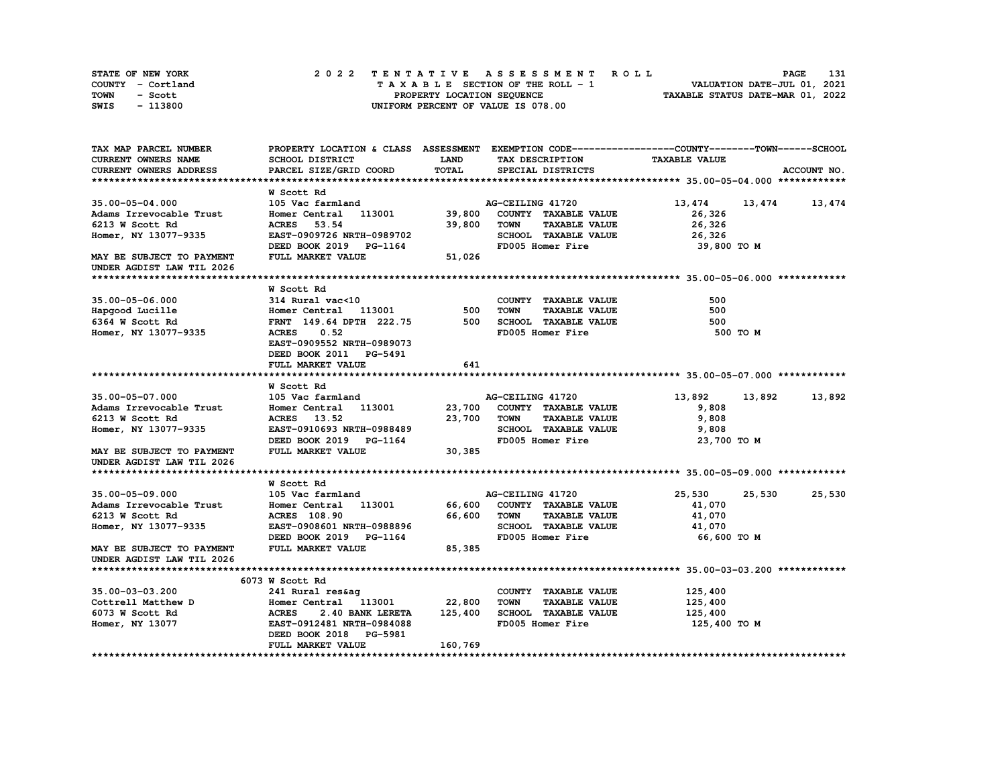| STATE OF NEW YORK | 2022 TENTATIVE ASSESSMENT ROLL     | 131<br><b>PAGE</b>               |
|-------------------|------------------------------------|----------------------------------|
| COUNTY - Cortland | TAXABLE SECTION OF THE ROLL - 1    | VALUATION DATE-JUL 01, 2021      |
| TOWN<br>- Scott   | PROPERTY LOCATION SEOUENCE         | TAXABLE STATUS DATE-MAR 01, 2022 |
| - 113800<br>SWIS  | UNIFORM PERCENT OF VALUE IS 078.00 |                                  |

| TAX MAP PARCEL NUMBER                                                                                                                 |                                                                                                                                         |             |                                               | PROPERTY LOCATION & CLASS ASSESSMENT EXEMPTION CODE----------------COUNTY-------TOWN-----SCHOOL |               |
|---------------------------------------------------------------------------------------------------------------------------------------|-----------------------------------------------------------------------------------------------------------------------------------------|-------------|-----------------------------------------------|-------------------------------------------------------------------------------------------------|---------------|
| <b>CURRENT OWNERS NAME</b>                                                                                                            | SCHOOL DISTRICT                                                                                                                         | <b>LAND</b> | TAX DESCRIPTION                               | <b>TAXABLE VALUE</b>                                                                            |               |
| CURRENT OWNERS ADDRESS                                                                                                                | PARCEL SIZE/GRID COORD                                                                                                                  | TOTAL       | SPECIAL DISTRICTS                             |                                                                                                 | ACCOUNT NO.   |
|                                                                                                                                       |                                                                                                                                         |             |                                               |                                                                                                 |               |
|                                                                                                                                       | W Scott Rd                                                                                                                              |             |                                               |                                                                                                 |               |
| $35.00 - 05 - 04.000$                                                                                                                 | 105 Vac farmland                                                                                                                        |             | AG-CEILING 41720                              | 13,474                                                                                          | 13,474 13,474 |
| Adams Irrevocable Trust                                                                                                               | Homer Central 113001 39,800 COUNTY TAXABLE VALUE                                                                                        |             |                                               | 26,326                                                                                          |               |
| 6213 W Scott Rd                                                                                                                       | ACRES 53.54                                                                                                                             | 39,800      | TOWN<br><b>TAXABLE VALUE</b>                  | 26,326                                                                                          |               |
| Homer, NY 13077-9335                                                                                                                  | EAST-0909726 NRTH-0989702                                                                                                               |             | SCHOOL TAXABLE VALUE                          | 26,326                                                                                          |               |
|                                                                                                                                       | DEED BOOK 2019 PG-1164                                                                                                                  |             | FD005 Homer Fire                              | 39,800 TO M                                                                                     |               |
| MAY BE SUBJECT TO PAYMENT<br>UNDER AGDIST LAW TIL 2026                                                                                | FULL MARKET VALUE                                                                                                                       | 51,026      |                                               |                                                                                                 |               |
|                                                                                                                                       |                                                                                                                                         |             |                                               |                                                                                                 |               |
|                                                                                                                                       | W Scott Rd                                                                                                                              |             |                                               |                                                                                                 |               |
| 35.00-05-06.000                                                                                                                       | $314$ Rural vac< $10$                                                                                                                   |             |                                               | 500                                                                                             |               |
| Hapgood Lucille                                                                                                                       |                                                                                                                                         |             |                                               | 500                                                                                             |               |
| 6364 W Scott Rd                                                                                                                       |                                                                                                                                         |             |                                               | 500                                                                                             |               |
| Homer, NY 13077-9335                                                                                                                  | 314 Rural vac<10<br>Homer Central 113001 500 TOWN TAXABLE VALUE<br>FRNT 149.64 DPTH 222.75 500 SCHOOL TAXABLE VALUE<br>FD005 Homer Fire |             |                                               | 500 TO M                                                                                        |               |
|                                                                                                                                       | EAST-0909552 NRTH-0989073                                                                                                               |             |                                               |                                                                                                 |               |
|                                                                                                                                       | DEED BOOK 2011 PG-5491                                                                                                                  |             |                                               |                                                                                                 |               |
|                                                                                                                                       | FULL MARKET VALUE                                                                                                                       | 641         |                                               |                                                                                                 |               |
|                                                                                                                                       |                                                                                                                                         |             |                                               |                                                                                                 |               |
|                                                                                                                                       | W Scott Rd                                                                                                                              |             |                                               |                                                                                                 |               |
| 35.00-05-07.000                                                                                                                       | 105 Vac farmland                                                                                                                        |             | AG-CEILING 41720                              | 13,892                                                                                          | 13,892 13,892 |
| Adams Irrevocable Trust                                                                                                               | Homer Central 113001 23,700                                                                                                             |             | COUNTY TAXABLE VALUE                          | 9,808                                                                                           |               |
| 6213 W Scott Rd                                                                                                                       | ACRES 13.52                                                                                                                             |             | 23,700 TOWN<br><b>TAXABLE VALUE</b>           | 9,808                                                                                           |               |
| Homer, NY 13077-9335                                                                                                                  | EAST-0910693 NRTH-0988489                                                                                                               |             | SCHOOL TAXABLE VALUE                          | 9,808                                                                                           |               |
|                                                                                                                                       | DEED BOOK 2019 PG-1164                                                                                                                  |             | FD005 Homer Fire                              | 23,700 TO M                                                                                     |               |
| MAY BE SUBJECT TO PAYMENT                                                                                                             | FULL MARKET VALUE                                                                                                                       | 30,385      |                                               |                                                                                                 |               |
| UNDER AGDIST LAW TIL 2026                                                                                                             |                                                                                                                                         |             |                                               |                                                                                                 |               |
|                                                                                                                                       |                                                                                                                                         |             |                                               |                                                                                                 |               |
|                                                                                                                                       | W Scott Rd                                                                                                                              |             |                                               |                                                                                                 |               |
| $35.00 - 05 - 09.000$                                                                                                                 | 105 Vac farmland                                                                                                                        |             | AG-CEILING 41720                              | 25,530                                                                                          | 25,530 25,530 |
| Adams Irrevocable Trust                                                                                                               | Homer Central 113001 66,600 COUNTY TAXABLE VALUE                                                                                        |             |                                               | 41,070                                                                                          |               |
| 6213 W Scott Rd                                                                                                                       | <b>ACRES</b> 108.90                                                                                                                     | 66,600 TOWN | <b>TAXABLE VALUE</b>                          | 41,070                                                                                          |               |
| Homer, NY 13077-9335                                                                                                                  | EAST-0908601 NRTH-0988896                                                                                                               |             | SCHOOL TAXABLE VALUE                          | 41,070                                                                                          |               |
|                                                                                                                                       | DEED BOOK 2019 PG-1164                                                                                                                  |             | FD005 Homer Fire                              | 66,600 то м                                                                                     |               |
| MAY BE SUBJECT TO PAYMENT                                                                                                             | FULL MARKET VALUE                                                                                                                       | 85,385      |                                               |                                                                                                 |               |
| UNDER AGDIST LAW TIL 2026                                                                                                             |                                                                                                                                         |             |                                               |                                                                                                 |               |
|                                                                                                                                       |                                                                                                                                         |             |                                               |                                                                                                 |               |
|                                                                                                                                       | 6073 W Scott Rd                                                                                                                         |             |                                               |                                                                                                 |               |
| 35.00-03-03.200                                                                                                                       | 241 Rural res&ag                                                                                                                        |             | COUNTY TAXABLE VALUE                          | 125,400                                                                                         |               |
| 35.00-03-03.200<br>Cottrell Matthew D<br>6073 W Scott Rd<br>Homer, NY 13077<br>EAST-0912481 NRTH-0984088<br>EAST-0912481 NRTH-0984088 |                                                                                                                                         |             | <b>TAXABLE VALUE</b><br>TOWN                  | 125,400                                                                                         |               |
|                                                                                                                                       |                                                                                                                                         |             | 2.40 BANK LERETA 125,400 SCHOOL TAXABLE VALUE | 125,400                                                                                         |               |
|                                                                                                                                       |                                                                                                                                         |             | FD005 Homer Fire                              | 125,400 TO M                                                                                    |               |
|                                                                                                                                       | DEED BOOK 2018 PG-5981                                                                                                                  |             |                                               |                                                                                                 |               |
|                                                                                                                                       | FULL MARKET VALUE                                                                                                                       | 160,769     |                                               |                                                                                                 |               |
|                                                                                                                                       |                                                                                                                                         |             |                                               |                                                                                                 |               |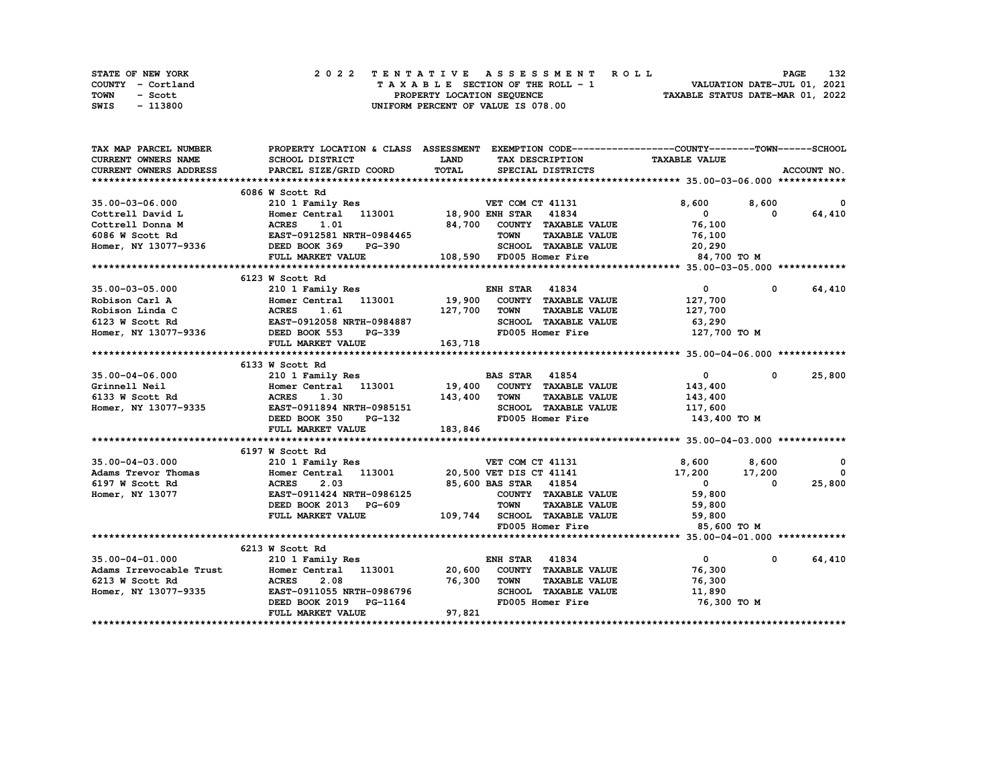| STATE OF NEW YORK | 2022 TENTATIVE ASSESSMENT ROLL     | 132<br><b>PAGE</b>               |
|-------------------|------------------------------------|----------------------------------|
| COUNTY - Cortland | TAXABLE SECTION OF THE ROLL - 1    | VALUATION DATE-JUL 01, 2021      |
| TOWN<br>- Scott   | PROPERTY LOCATION SEQUENCE         | TAXABLE STATUS DATE-MAR 01, 2022 |
| - 113800<br>SWIS  | UNIFORM PERCENT OF VALUE IS 078.00 |                                  |

| TAX MAP PARCEL NUMBER              | PROPERTY LOCATION & CLASS ASSESSMENT EXEMPTION CODE----------------COUNTY-------TOWN------SCHOOL                                                                                                                                                             |                     |                                    |                         |              |             |
|------------------------------------|--------------------------------------------------------------------------------------------------------------------------------------------------------------------------------------------------------------------------------------------------------------|---------------------|------------------------------------|-------------------------|--------------|-------------|
| CURRENT OWNERS NAME                | SCHOOL DISTRICT                                                                                                                                                                                                                                              | <b>LAND</b>         | TAX DESCRIPTION                    | <b>TAXABLE VALUE</b>    |              |             |
| CURRENT OWNERS ADDRESS             | PARCEL SIZE/GRID COORD                                                                                                                                                                                                                                       | TOTAL               | SPECIAL DISTRICTS                  |                         |              | ACCOUNT NO. |
|                                    |                                                                                                                                                                                                                                                              |                     |                                    |                         |              |             |
|                                    | 6086 W Scott Rd                                                                                                                                                                                                                                              |                     |                                    |                         |              |             |
| 35.00-03-06.000                    | 210 1 Family Res<br>Homer Central 113001 18,900 ENH STAR 41834                                                                                                                                                                                               |                     |                                    | 8,600                   | 8,600        | 0           |
| Cottrell David L                   |                                                                                                                                                                                                                                                              |                     |                                    | $\mathbf{0}$            | $^{\circ}$   | 64,410      |
|                                    |                                                                                                                                                                                                                                                              |                     | 84,700 COUNTY TAXABLE VALUE 76,100 |                         |              |             |
|                                    |                                                                                                                                                                                                                                                              |                     | <b>TOWN</b><br>TAXABLE VALUE       | 76,100                  |              |             |
|                                    | Cottrell Donna M<br>6086 W Scott Rd<br>6086 W Scott Rd<br>Homer, NY 13077-9336<br>ERST-0912581 NRTH-0984465<br>DEED BOOK 369 PG-390                                                                                                                          |                     | SCHOOL TAXABLE VALUE               | 20,290                  |              |             |
|                                    | FULL MARKET VALUE                                                                                                                                                                                                                                            |                     | 108,590 FD005 Homer Fire           | 84,700 TO M             |              |             |
|                                    |                                                                                                                                                                                                                                                              |                     |                                    |                         |              |             |
|                                    | 6123 W Scott Rd                                                                                                                                                                                                                                              |                     |                                    |                         |              |             |
| 35.00-03-05.000                    | 210 1 Family Res                                                                                                                                                                                                                                             |                     | <b>ENH STAR 41834</b>              | $\bullet$               | $\mathbf{0}$ | 64,410      |
| Robison Carl A                     | Homer Central 113001 19,900 COUNTY TAXABLE VALUE                                                                                                                                                                                                             |                     |                                    | 127,700                 |              |             |
| Robison Linda C                    |                                                                                                                                                                                                                                                              |                     | <b>TAXABLE VALUE</b>               | 127,700                 |              |             |
| 6123 W Scott Rd                    | Homer Central 113001<br>ACRES 1.61 127,700 TOWN<br>EAST-0912058 NRTH-0984887 SCHOO:<br>DEED BOOK 553 PG-339 163 718                                                                                                                                          |                     | SCHOOL TAXABLE VALUE 63,290        |                         |              |             |
| Homer, NY 13077-9336 DEED BOOK 553 |                                                                                                                                                                                                                                                              |                     | FD005 Homer Fire                   | 127,700 TO M            |              |             |
|                                    | <b>FULL MARKET VALUE</b>                                                                                                                                                                                                                                     | 163,718             |                                    |                         |              |             |
|                                    |                                                                                                                                                                                                                                                              |                     |                                    |                         |              |             |
|                                    | 6133 W Scott Rd                                                                                                                                                                                                                                              |                     |                                    |                         |              |             |
| 35.00-04-06.000                    | 210 1 Family Res                                                                                                                                                                                                                                             |                     | <b>BAS STAR</b> 41854              | $\overline{0}$          | $^{\circ}$   | 25,800      |
| Grinnell Neil                      |                                                                                                                                                                                                                                                              |                     |                                    | 143,400                 |              |             |
| 6133 W Scott Rd                    |                                                                                                                                                                                                                                                              |                     |                                    | 143,400                 |              |             |
| Homer, NY 13077-9335               | EAST-0911894 NRTH-0985151                                                                                                                                                                                                                                    |                     | SCHOOL TAXABLE VALUE               | 117,600                 |              |             |
|                                    | DEED BOOK 350                                                                                                                                                                                                                                                | H-0985151<br>PG-132 | FD005 Homer Fire                   | 143,400 TO M            |              |             |
|                                    | FULL MARKET VALUE                                                                                                                                                                                                                                            | 183,846             |                                    |                         |              |             |
|                                    |                                                                                                                                                                                                                                                              |                     |                                    |                         |              |             |
|                                    | 6197 W Scott Rd                                                                                                                                                                                                                                              |                     |                                    |                         |              |             |
| $35.00 - 04 - 03.000$              | 210 1 Family Res                                                                                                                                                                                                                                             |                     | VET COM CT 41131                   | 8,600 8,600             |              | 0           |
|                                    | 3.000 VET DIS CT 41141<br>Adams Trevor Thomas Homer Central 113001 20,500 VET DIS CT 41141<br>6197 W Scott Rd ACRES 2.03 85,600 BAS STAR 41854<br>Homer, NY 13077 EAST-0911424 NRTH-0986125 COUNTY TAXABLE VALUE                                             |                     |                                    | 17,200                  | 17,200       | $^{\circ}$  |
|                                    |                                                                                                                                                                                                                                                              |                     |                                    | $\overline{\mathbf{0}}$ | 0            | 25,800      |
|                                    |                                                                                                                                                                                                                                                              |                     | COUNTY TAXABLE VALUE 59,800        |                         |              |             |
|                                    | DEED BOOK 2013 PG-609                                                                                                                                                                                                                                        |                     | <b>TOWN</b><br>TAXABLE VALUE       | 59,800                  |              |             |
|                                    | FULL MARKET VALUE                                                                                                                                                                                                                                            |                     |                                    | 59,800                  |              |             |
|                                    |                                                                                                                                                                                                                                                              |                     | FD005 Homer Fire                   | 85,600 TO M             |              |             |
|                                    |                                                                                                                                                                                                                                                              |                     |                                    |                         |              |             |
|                                    | 6213 W Scott Rd                                                                                                                                                                                                                                              |                     |                                    |                         |              |             |
| 35.00-04-01.000                    | 210 1 Family Res                                                                                                                                                                                                                                             |                     | <b>ENH STAR 41834</b>              | $\mathbf{0}$            | $\mathbf{0}$ | 64,410      |
|                                    | Adams Irrevocable Trust [60] Homer Central 113001 [20,600 COUNTY TAXABLE VALUE                                                                                                                                                                               |                     |                                    | 76,300                  |              |             |
|                                    | 6213 W Scott Rd<br>Homer, NY 13077-9335<br>EAST-0911055 NRTH-0986796<br>From School<br>From School<br>From School<br>From School<br>From School<br>From School<br>From School<br>From School<br>From School<br>From School<br>From School<br>From School<br> |                     | <b>TAXABLE VALUE</b>               | 76,300                  |              |             |
|                                    |                                                                                                                                                                                                                                                              |                     | SCHOOL TAXABLE VALUE 11,890        |                         |              |             |
|                                    | DEED BOOK 2019 PG-1164                                                                                                                                                                                                                                       |                     | FD005 Homer Fire                   | 76,300 то м             |              |             |
|                                    | FULL MARKET VALUE                                                                                                                                                                                                                                            | 97,821              |                                    |                         |              |             |
|                                    |                                                                                                                                                                                                                                                              |                     |                                    |                         |              |             |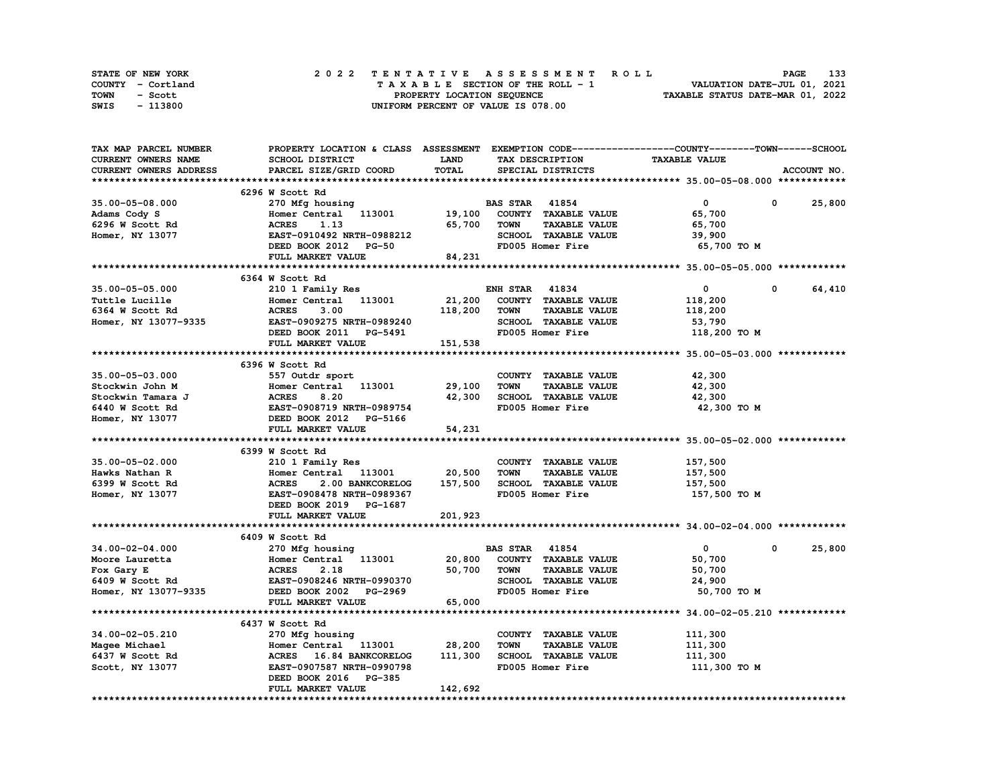| STATE OF NEW YORK | 2022 TENTATIVE ASSESSMENT ROLL     | 133<br><b>PAGE</b>               |
|-------------------|------------------------------------|----------------------------------|
| COUNTY - Cortland | TAXABLE SECTION OF THE ROLL - 1    | VALUATION DATE-JUL 01, 2021      |
| TOWN<br>- Scott   | PROPERTY LOCATION SEQUENCE         | TAXABLE STATUS DATE-MAR 01, 2022 |
| - 113800<br>SWIS  | UNIFORM PERCENT OF VALUE IS 078.00 |                                  |

| TAX MAP PARCEL NUMBER      | PROPERTY LOCATION & CLASS ASSESSMENT EXEMPTION CODE-----------------COUNTY-------TOWN-----SCHOOL |             |                       |                      |                      |             |             |
|----------------------------|--------------------------------------------------------------------------------------------------|-------------|-----------------------|----------------------|----------------------|-------------|-------------|
| CURRENT OWNERS NAME        | SCHOOL DISTRICT                                                                                  | <b>LAND</b> |                       | TAX DESCRIPTION      | <b>TAXABLE VALUE</b> |             |             |
| CURRENT OWNERS ADDRESS     | PARCEL SIZE/GRID COORD                                                                           | TOTAL       |                       | SPECIAL DISTRICTS    |                      |             | ACCOUNT NO. |
|                            |                                                                                                  |             |                       |                      |                      |             |             |
|                            | 6296 W Scott Rd                                                                                  |             |                       |                      |                      |             |             |
| 35.00-05-08.000            | 270 Mfg housing                                                                                  |             | <b>BAS STAR 41854</b> |                      | $\mathbf{0}$         | 0           | 25,800      |
| Adams Cody S               | Homer Central 113001                                                                             | 19,100      |                       | COUNTY TAXABLE VALUE | 65,700               |             |             |
| 6296 W Scott Rd            | <b>ACRES</b><br>1.13                                                                             | 65,700      | TOWN                  | <b>TAXABLE VALUE</b> | 65,700               |             |             |
|                            | EAST-0910492 NRTH-0988212                                                                        |             |                       | SCHOOL TAXABLE VALUE |                      |             |             |
| Homer, NY 13077            |                                                                                                  |             |                       |                      | 39,900               |             |             |
|                            | DEED BOOK 2012 PG-50                                                                             |             |                       | FD005 Homer Fire     | 65,700 TO M          |             |             |
|                            | FULL MARKET VALUE                                                                                | 84,231      |                       |                      |                      |             |             |
|                            |                                                                                                  |             |                       |                      |                      |             |             |
|                            | 6364 W Scott Rd                                                                                  |             |                       |                      |                      |             |             |
| $35.00 - 05 - 05.000$      | 210 1 Family Res                                                                                 |             | <b>ENH STAR 41834</b> |                      | $\mathbf 0$          | 0           | 64,410      |
| Tuttle Lucille             | Homer Central 113001                                                                             | 21,200      |                       | COUNTY TAXABLE VALUE | 118,200              |             |             |
| 6364 W Scott Rd            | <b>ACRES</b><br>3.00                                                                             | 118,200     | <b>TOWN</b>           | <b>TAXABLE VALUE</b> | 118,200              |             |             |
| Homer, NY 13077-9335       | EAST-0909275 NRTH-0989240                                                                        |             |                       | SCHOOL TAXABLE VALUE | 53,790               |             |             |
|                            | DEED BOOK 2011 PG-5491                                                                           |             |                       | FD005 Homer Fire     | 118,200 TO M         |             |             |
|                            | FULL MARKET VALUE                                                                                | 151,538     |                       |                      |                      |             |             |
|                            |                                                                                                  |             |                       |                      |                      |             |             |
|                            | 6396 W Scott Rd                                                                                  |             |                       |                      |                      |             |             |
| $35.00 - 05 - 03.000$      |                                                                                                  |             |                       | COUNTY TAXABLE VALUE |                      |             |             |
|                            | 557 Outdr sport                                                                                  |             |                       |                      | 42,300               |             |             |
| Stockwin John M            | Homer Central 113001                                                                             | 29,100      | <b>TOWN</b>           | <b>TAXABLE VALUE</b> | 42,300               |             |             |
| Stockwin Tamara J          | 8.20<br><b>ACRES</b>                                                                             | 42,300      |                       | SCHOOL TAXABLE VALUE | 42,300               |             |             |
| 6440 W Scott Rd            | ------<br>EAST-0908719 NRTH-0989754<br>DEED BOOK 2012 PG-5166                                    |             |                       | FD005 Homer Fire     | 42,300 TO M          |             |             |
| Homer, NY 13077            |                                                                                                  |             |                       |                      |                      |             |             |
|                            | FULL MARKET VALUE                                                                                | 54,231      |                       |                      |                      |             |             |
|                            |                                                                                                  |             |                       |                      |                      |             |             |
|                            | 6399 W Scott Rd                                                                                  |             |                       |                      |                      |             |             |
| 35.00-05-02.000            | 210 1 Family Res                                                                                 |             |                       | COUNTY TAXABLE VALUE | 157,500              |             |             |
| Hawks Nathan R             | Homer Central 113001                                                                             | 20,500      | <b>TOWN</b>           | <b>TAXABLE VALUE</b> | 157,500              |             |             |
| 6399 W Scott Rd            | 2.00 BANKCORELOG<br><b>ACRES</b>                                                                 | 157,500     |                       | SCHOOL TAXABLE VALUE | 157,500              |             |             |
| Homer, NY 13077            | EAST-0908478 NRTH-0989367                                                                        |             |                       | FD005 Homer Fire     | 157,500 то м         |             |             |
|                            | DEED BOOK 2019 PG-1687                                                                           |             |                       |                      |                      |             |             |
|                            | FULL MARKET VALUE                                                                                | 201,923     |                       |                      |                      |             |             |
|                            |                                                                                                  |             |                       |                      |                      |             |             |
|                            |                                                                                                  |             |                       |                      |                      |             |             |
|                            | 6409 W Scott Rd                                                                                  |             |                       |                      |                      |             |             |
| 34.00-02-04.000            | 270 Mfg housing                                                                                  |             | <b>BAS STAR 41854</b> |                      | $\mathbf{0}$         | $\mathbf 0$ | 25,800      |
| Moore Lauretta             | Homer Central 113001                                                                             | 20,800      |                       | COUNTY TAXABLE VALUE | 50,700               |             |             |
| Fox Gary E                 | <b>ACRES</b><br>2.18                                                                             | 50,700      | <b>TOWN</b>           | <b>TAXABLE VALUE</b> | 50,700               |             |             |
| $6409$ W Scott Rd<br>Home: | EAST-0908246 NRTH-0990370                                                                        |             |                       | SCHOOL TAXABLE VALUE | 24,900               |             |             |
| Homer, NY 13077-9335       | DEED BOOK 2002 PG-2969                                                                           |             |                       | FD005 Homer Fire     | 50,700 TO M          |             |             |
|                            | FULL MARKET VALUE                                                                                | 65,000      |                       |                      |                      |             |             |
|                            |                                                                                                  |             |                       |                      |                      |             |             |
|                            | 6437 W Scott Rd                                                                                  |             |                       |                      |                      |             |             |
| 34.00-02-05.210            | 270 Mfg housing                                                                                  |             |                       | COUNTY TAXABLE VALUE | 111,300              |             |             |
|                            |                                                                                                  | 28,200      | <b>TOWN</b>           | <b>TAXABLE VALUE</b> | 111,300              |             |             |
|                            |                                                                                                  |             |                       |                      |                      |             |             |
| Magee Michael              | Homer Central 113001                                                                             |             |                       |                      |                      |             |             |
| 6437 W Scott Rd            | ACRES 16.84 BANKCORELOG                                                                          | 111,300     |                       | SCHOOL TAXABLE VALUE | 111,300              |             |             |
| Scott, NY 13077            | EAST-0907587 NRTH-0990798                                                                        |             |                       | FD005 Homer Fire     | 111,300 TO M         |             |             |
|                            | DEED BOOK 2016 PG-385<br>FULL MARKET VALUE                                                       | 142,692     |                       |                      |                      |             |             |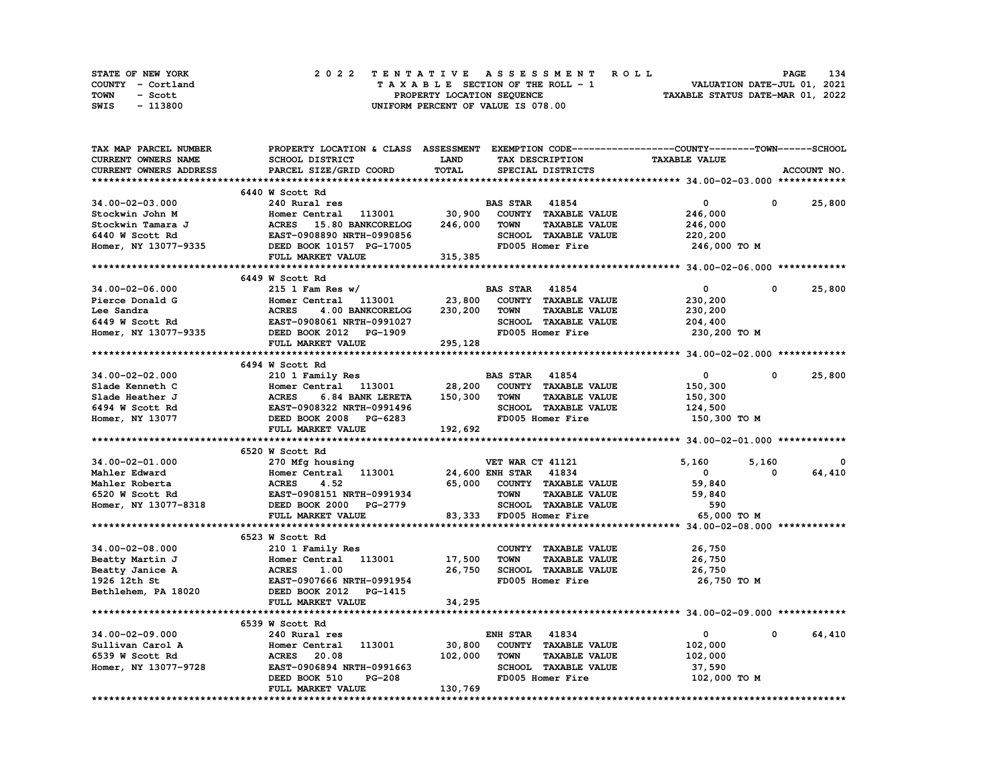| STATE OF NEW YORK | 2022 TENTATIVE ASSESSMENT ROLL     | 134<br><b>PAGE</b>               |
|-------------------|------------------------------------|----------------------------------|
| COUNTY - Cortland | TAXABLE SECTION OF THE ROLL - 1    | VALUATION DATE-JUL 01, 2021      |
| TOWN<br>- Scott   | PROPERTY LOCATION SEQUENCE         | TAXABLE STATUS DATE-MAR 01, 2022 |
| - 113800<br>SWIS  | UNIFORM PERCENT OF VALUE IS 078.00 |                                  |

| <b>TAX MAP PARCEL NUMBER</b>  | PROPERTY LOCATION & CLASS ASSESSMENT EXEMPTION CODE----------------COUNTY-------TOWN------SCHOOL |                       |                       |                         |                      |              |             |
|-------------------------------|--------------------------------------------------------------------------------------------------|-----------------------|-----------------------|-------------------------|----------------------|--------------|-------------|
| CURRENT OWNERS NAME           | SCHOOL DISTRICT                                                                                  | LAND                  |                       | TAX DESCRIPTION         | <b>TAXABLE VALUE</b> |              |             |
| CURRENT OWNERS ADDRESS        | PARCEL SIZE/GRID COORD                                                                           | TOTAL                 |                       | SPECIAL DISTRICTS       |                      |              | ACCOUNT NO. |
|                               |                                                                                                  |                       |                       |                         |                      |              |             |
|                               | 6440 W Scott Rd                                                                                  |                       |                       |                         |                      |              |             |
| $34.00 - 02 - 03.000$         | 240 Rural res                                                                                    |                       | <b>BAS STAR 41854</b> |                         | $\mathbf{0}$         | $^{\circ}$   | 25,800      |
| Stockwin John M               | Homer Central 113001                                                                             | 30,900                |                       | COUNTY TAXABLE VALUE    | 246,000              |              |             |
| Stockwin Tamara J             | ACRES 15.80 BANKCORELOG                                                                          | 246,000               | <b>TOWN</b>           | <b>TAXABLE VALUE</b>    | 246,000              |              |             |
| 6440 W Scott Rd               | EAST-0908890 NRTH-0990856                                                                        |                       |                       | SCHOOL TAXABLE VALUE    | 220,200              |              |             |
| Homer, NY 13077-9335          | DEED BOOK 10157 PG-17005                                                                         |                       |                       | FD005 Homer Fire        | 246,000 TO M         |              |             |
|                               | FULL MARKET VALUE                                                                                | 315,385               |                       |                         |                      |              |             |
|                               |                                                                                                  |                       |                       |                         |                      |              |             |
|                               | 6449 W Scott Rd                                                                                  |                       |                       |                         |                      |              |             |
| 34.00-02-06.000               | 215 1 Fam Res w/                                                                                 |                       | <b>BAS STAR 41854</b> |                         | $\mathbf{0}$         | 0            | 25,800      |
| Pierce Donald G               | Homer Central 113001                                                                             | 23,800                |                       | COUNTY TAXABLE VALUE    | 230,200              |              |             |
|                               |                                                                                                  |                       |                       |                         |                      |              |             |
| Lee Sandra<br>6449 W Scott Rd | 4.00 BANKCORELOG<br><b>ACRES</b> 4.00 BANKCORELOG<br>EAST-0908061 NRTH-0991027                   | 230,200               | TOWN                  | <b>TAXABLE VALUE</b>    | 230,200              |              |             |
|                               |                                                                                                  |                       |                       | SCHOOL TAXABLE VALUE    | 204,400              |              |             |
| Homer, NY 13077-9335          | DEED BOOK 2012 PG-1909                                                                           |                       |                       | FD005 Homer Fire        | 230,200 TO M         |              |             |
|                               | FULL MARKET VALUE                                                                                | 295,128               |                       |                         |                      |              |             |
|                               |                                                                                                  |                       |                       |                         |                      |              |             |
|                               | 6494 W Scott Rd                                                                                  |                       |                       |                         |                      |              |             |
| 34.00-02-02.000               | 210 1 Family Res                                                                                 |                       | <b>BAS STAR 41854</b> |                         | $\mathbf{0}$         | $^{\circ}$   | 25,800      |
| Slade Kenneth C               | Homer Central 113001                                                                             | 28,200                |                       | COUNTY TAXABLE VALUE    | 150,300              |              |             |
| Slade Heather J               | <b>ACRES</b><br>6.84 BANK LERETA                                                                 | 150,300               | <b>TOWN</b>           | <b>TAXABLE VALUE</b>    | 150,300              |              |             |
| 6494 W Scott Rd               | EAST-0908322 NRTH-0991496                                                                        |                       |                       | SCHOOL TAXABLE VALUE    | 124,500              |              |             |
| Homer, NY 13077               | DEED BOOK 2008 PG-6283                                                                           |                       |                       | FD005 Homer Fire        | 150,300 то м         |              |             |
|                               | FULL MARKET VALUE                                                                                | 192,692               |                       |                         |                      |              |             |
|                               |                                                                                                  |                       |                       |                         |                      |              |             |
|                               | 6520 W Scott Rd                                                                                  |                       |                       |                         |                      |              |             |
| 34.00-02-01.000               | 270 Mfg housing                                                                                  |                       | VET WAR CT 41121      |                         | 5,160                | 5,160        | 0           |
| Mahler Edward                 | Homer Central 113001                                                                             | 24,600 ENH STAR 41834 |                       |                         | $^{\circ}$           | 0            | 64,410      |
| Mahler Roberta                | 4.52<br><b>ACRES</b>                                                                             | 65,000                |                       | COUNTY TAXABLE VALUE    | 59,840               |              |             |
| 6520 W Scott Rd               | EAST-0908151 NRTH-0991934                                                                        |                       | <b>TOWN</b>           | <b>TAXABLE VALUE</b>    | 59,840               |              |             |
| Homer, NY 13077-8318          | DEED BOOK 2000<br><b>PG-2779</b>                                                                 |                       |                       | SCHOOL TAXABLE VALUE    | 590                  |              |             |
|                               | FULL MARKET VALUE                                                                                |                       |                       | 83,333 FD005 Homer Fire | 65,000 TO M          |              |             |
|                               |                                                                                                  |                       |                       |                         |                      |              |             |
|                               | 6523 W Scott Rd                                                                                  |                       |                       |                         |                      |              |             |
| 34.00-02-08.000               | 210 1 Family Res                                                                                 |                       |                       | COUNTY TAXABLE VALUE    | 26,750               |              |             |
| Beatty Martin J               | Homer Central 113001                                                                             | 17,500                | <b>TOWN</b>           | <b>TAXABLE VALUE</b>    | 26,750               |              |             |
| Beatty Janice A               | <b>ACRES</b><br>1.00                                                                             | 26,750                |                       | SCHOOL TAXABLE VALUE    | 26,750               |              |             |
| 1926 12th St                  | EAST-0907666 NRTH-0991954                                                                        |                       |                       | FD005 Homer Fire        | 26,750 TO M          |              |             |
| Bethlehem, PA 18020           | DEED BOOK 2012 PG-1415                                                                           |                       |                       |                         |                      |              |             |
|                               | FULL MARKET VALUE                                                                                | 34,295                |                       |                         |                      |              |             |
|                               |                                                                                                  |                       |                       |                         |                      |              |             |
|                               | 6539 W Scott Rd                                                                                  |                       |                       |                         |                      |              |             |
|                               |                                                                                                  |                       |                       |                         |                      | $\mathbf{0}$ |             |
| 34.00-02-09.000               | 240 Rural res                                                                                    |                       | <b>ENH STAR 41834</b> |                         | $\overline{0}$       |              | 64,410      |
| Sullivan Carol A              | 113001<br>Homer Central                                                                          | 30,800                |                       | COUNTY TAXABLE VALUE    | 102,000              |              |             |
| 6539 W Scott Rd               | ACRES 20.08                                                                                      | 102,000               | <b>TOWN</b>           | <b>TAXABLE VALUE</b>    | 102,000              |              |             |
| Homer, NY 13077-9728          | EAST-0906894 NRTH-0991663                                                                        |                       |                       | SCHOOL TAXABLE VALUE    | 37,590               |              |             |
|                               | <b>PG-208</b><br>DEED BOOK 510                                                                   |                       |                       | FD005 Homer Fire        | 102,000 TO M         |              |             |
|                               | FULL MARKET VALUE                                                                                | 130,769               |                       |                         |                      |              |             |
|                               |                                                                                                  |                       |                       |                         |                      |              |             |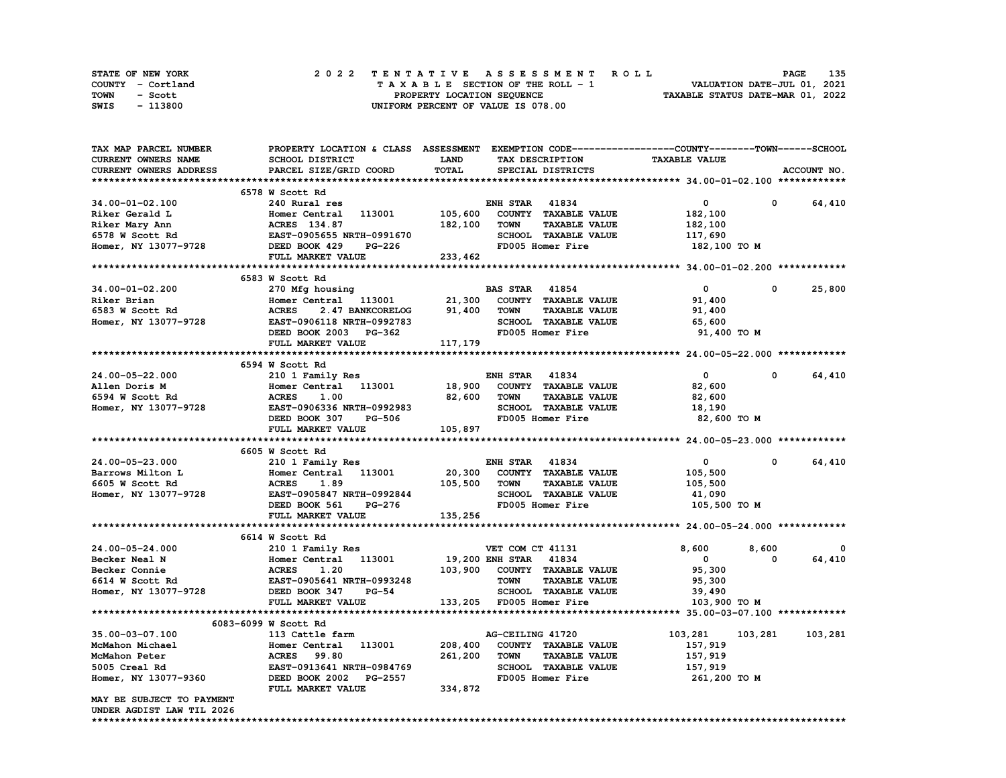|      | STATE OF NEW YORK |  | 2022 TENTATIVE ASSESSMENT ROLL |  |  |  |                                    |  |  |  |  |  |  |                                  | <b>PAGE</b> | 135 |
|------|-------------------|--|--------------------------------|--|--|--|------------------------------------|--|--|--|--|--|--|----------------------------------|-------------|-----|
|      | COUNTY - Cortland |  |                                |  |  |  | TAXABLE SECTION OF THE ROLL - 1    |  |  |  |  |  |  | VALUATION DATE-JUL 01, 2021      |             |     |
| TOWN | - Scott           |  |                                |  |  |  | PROPERTY LOCATION SEQUENCE         |  |  |  |  |  |  | TAXABLE STATUS DATE-MAR 01, 2022 |             |     |
| SWIS | - 113800          |  |                                |  |  |  | UNIFORM PERCENT OF VALUE IS 078.00 |  |  |  |  |  |  |                                  |             |     |

| TAX MAP PARCEL NUMBER         | PROPERTY LOCATION & CLASS ASSESSMENT EXEMPTION CODE----------------COUNTY-------TOWN-----SCHOOL |             |                       |                              |                         |             |             |
|-------------------------------|-------------------------------------------------------------------------------------------------|-------------|-----------------------|------------------------------|-------------------------|-------------|-------------|
| CURRENT OWNERS NAME           | SCHOOL DISTRICT                                                                                 | <b>LAND</b> |                       | TAX DESCRIPTION              | <b>TAXABLE VALUE</b>    |             |             |
| <b>CURRENT OWNERS ADDRESS</b> | PARCEL SIZE/GRID COORD                                                                          | TOTAL       |                       | SPECIAL DISTRICTS            |                         |             | ACCOUNT NO. |
|                               |                                                                                                 |             |                       |                              |                         |             |             |
|                               | 6578 W Scott Rd                                                                                 |             |                       |                              |                         |             |             |
| 34.00-01-02.100               | 240 Rural res                                                                                   |             | <b>ENH STAR 41834</b> |                              | $\mathbf 0$             | 0           | 64,410      |
| Riker Gerald L                | Homer Central 113001                                                                            | 105,600     |                       | COUNTY TAXABLE VALUE         | 182,100                 |             |             |
| Riker Mary Ann                | ACRES 134.87                                                                                    | 182,100     | <b>TOWN</b>           | <b>TAXABLE VALUE</b>         | 182,100                 |             |             |
| 6578 W Scott Rd               |                                                                                                 |             |                       | SCHOOL TAXABLE VALUE         | 117,690                 |             |             |
| Homer, NY 13077-9728          | ACRES 134.07<br>EAST-0905655 NRTH-0991670<br>CAST 100 DG-226                                    |             |                       | FD005 Homer Fire             | 182,100 TO M            |             |             |
|                               | FULL MARKET VALUE                                                                               | 233,462     |                       |                              |                         |             |             |
|                               |                                                                                                 |             |                       |                              |                         |             |             |
|                               | 6583 W Scott Rd                                                                                 |             |                       |                              |                         |             |             |
| 34.00-01-02.200               | 270 Mfg housing                                                                                 |             | <b>BAS STAR 41854</b> |                              | $\bullet$ $\bullet$     | $\mathbf 0$ | 25,800      |
| Riker Brian                   | Homer Central 113001                                                                            |             |                       | 21,300 COUNTY TAXABLE VALUE  | 91,400                  |             |             |
| 6583 W Scott Rd               | 2.47 BANKCORELOG 91,400<br><b>ACRES</b>                                                         |             | <b>TOWN</b>           | <b>TAXABLE VALUE</b>         | 91,400                  |             |             |
| Homer, NY 13077-9728          | EAST-0906118 NRTH-0992783                                                                       |             |                       | SCHOOL TAXABLE VALUE         | 65,600                  |             |             |
|                               | DEED BOOK 2003 PG-362                                                                           |             |                       | FD005 Homer Fire             | 91,400 TO M             |             |             |
|                               | FULL MARKET VALUE                                                                               | 117,179     |                       |                              |                         |             |             |
|                               |                                                                                                 |             |                       |                              |                         |             |             |
|                               | 6594 W Scott Rd                                                                                 |             |                       |                              |                         |             |             |
| 24.00-05-22.000               | 210 1 Family Res                                                                                |             | <b>ENH STAR 41834</b> |                              | $\mathbf{0}$            | $\mathbf 0$ | 64,410      |
| Allen Doris M                 | Homer Central 113001 18,900                                                                     |             |                       | COUNTY TAXABLE VALUE         | 82,600                  |             |             |
| 6594 W Scott Rd               | 1.00<br><b>ACRES</b>                                                                            | 82,600      | TOWN                  | <b>TAXABLE VALUE</b>         | 82,600                  |             |             |
| Homer, NY 13077-9728          | EAST-0906336 NRTH-0992983                                                                       |             |                       | SCHOOL TAXABLE VALUE         | 18,190                  |             |             |
|                               | DEED BOOK 307                                                                                   |             |                       | FD005 Homer Fire             | 82,600 TO M             |             |             |
|                               | FULL MARKET VALUE                                                                               | 105,897     |                       |                              |                         |             |             |
|                               |                                                                                                 |             |                       |                              |                         |             |             |
|                               | 6605 W Scott Rd                                                                                 |             |                       |                              |                         |             |             |
| 24.00-05-23.000               | 210 1 Family Res                                                                                |             | <b>ENH STAR 41834</b> |                              | $\mathbf{0}$            | 0           | 64,410      |
| Barrows Milton L              | Homer Central 113001                                                                            | 20,300      |                       | COUNTY TAXABLE VALUE         | 105,500                 |             |             |
| 6605 W Scott Rd               | <b>ACRES</b><br>1.89                                                                            | 105,500     | TOWN                  | <b>TAXABLE VALUE</b>         | 105,500                 |             |             |
| Homer, NY 13077-9728          | <b>EAST-0905847 NRTH-0992844</b>                                                                |             |                       | SCHOOL TAXABLE VALUE         | 41,090                  |             |             |
|                               | DEED BOOK 561<br>PG-276                                                                         |             |                       | FD005 Homer Fire             | 105,500 TO M            |             |             |
|                               | FULL MARKET VALUE                                                                               | 135,256     |                       |                              |                         |             |             |
|                               |                                                                                                 |             |                       |                              |                         |             |             |
|                               | 6614 W Scott Rd                                                                                 |             |                       |                              |                         |             |             |
| 24.00-05-24.000               | 210 1 Family Res                                                                                |             | VET COM CT 41131      |                              | 8,600                   | 8,600       | $\mathbf 0$ |
| Becker Neal N                 | Homer Central 113001 19,200 ENH STAR 41834                                                      |             |                       |                              | $\overline{\mathbf{0}}$ | $^{\circ}$  | 64,410      |
| Becker Connie                 | <b>ACRES</b><br>1.20                                                                            |             |                       | 103,900 COUNTY TAXABLE VALUE | 95,300                  |             |             |
| 6614 W Scott Rd               | EAST-0905641 NRTH-0993248                                                                       |             | <b>TOWN</b>           | <b>TAXABLE VALUE</b>         | 95,300                  |             |             |
| Homer, NY 13077-9728          | DEED BOOK 347<br>$PG-54$                                                                        |             |                       | SCHOOL TAXABLE VALUE         | 39,490                  |             |             |
|                               | FULL MARKET VALUE                                                                               |             |                       | 133,205 FD005 Homer Fire     | 103,900 TO M            |             |             |
|                               |                                                                                                 |             |                       |                              |                         |             |             |
|                               | 6083-6099 W Scott Rd                                                                            |             |                       |                              |                         |             |             |
| 35.00-03-07.100               | 113 Cattle farm                                                                                 |             | AG-CEILING 41720      |                              | 103,281                 | 103,281     | 103,281     |
| McMahon Michael               | Homer Central 113001                                                                            | 208,400     |                       | COUNTY TAXABLE VALUE         | 157,919                 |             |             |
| McMahon Peter                 | <b>ACRES</b> 99.80                                                                              | 261,200     | <b>TOWN</b>           | <b>TAXABLE VALUE</b>         | 157,919                 |             |             |
| 5005 Creal Rd                 | EAST-0913641 NRTH-0984769                                                                       |             |                       | SCHOOL TAXABLE VALUE         | 157,919                 |             |             |
| Homer, NY 13077-9360          | DEED BOOK 2002 PG-2557                                                                          |             |                       | FD005 Homer Fire             | 261,200 то м            |             |             |
|                               | FULL MARKET VALUE                                                                               | 334,872     |                       |                              |                         |             |             |
| MAY BE SUBJECT TO PAYMENT     |                                                                                                 |             |                       |                              |                         |             |             |
| UNDER AGDIST LAW TIL 2026     |                                                                                                 |             |                       |                              |                         |             |             |
|                               |                                                                                                 |             |                       |                              |                         |             |             |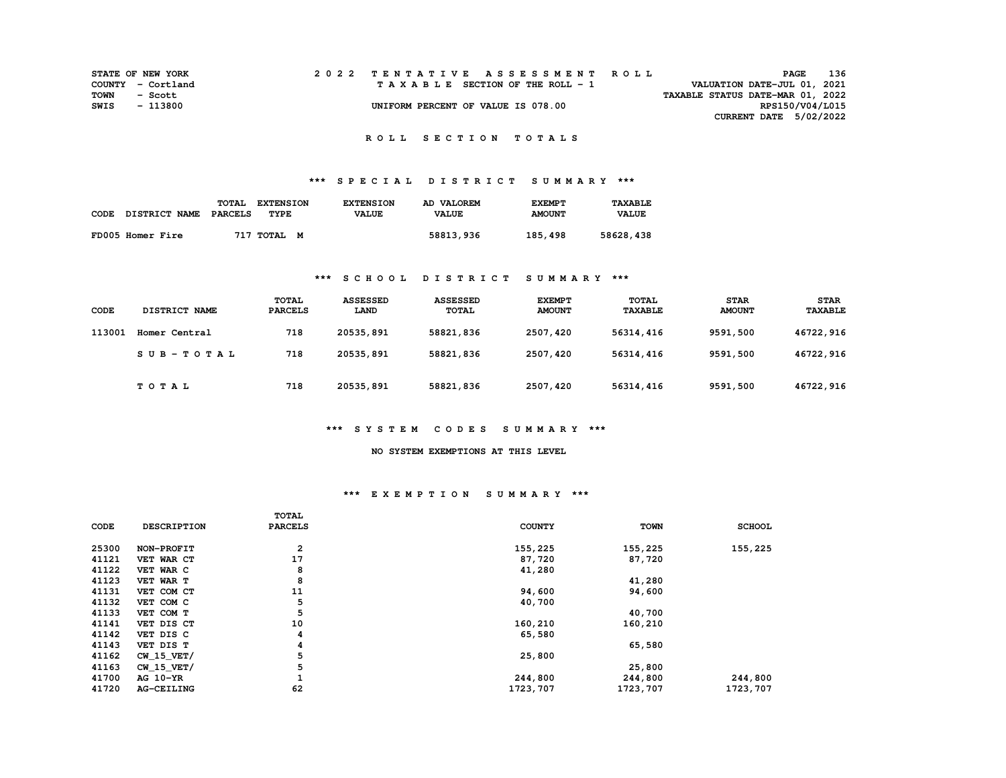|      | STATE OF NEW YORK |  |                                    |  |  |                                 |  |  |  | 2022 TENTATIVE ASSESSMENT ROLL |  |                                  | PAGE            | 136 |
|------|-------------------|--|------------------------------------|--|--|---------------------------------|--|--|--|--------------------------------|--|----------------------------------|-----------------|-----|
|      | COUNTY - Cortland |  |                                    |  |  | TAXABLE SECTION OF THE ROLL - 1 |  |  |  |                                |  | VALUATION DATE-JUL 01, 2021      |                 |     |
| TOWN | - Scott           |  |                                    |  |  |                                 |  |  |  |                                |  | TAXABLE STATUS DATE-MAR 01, 2022 |                 |     |
| SWIS | - 113800          |  | UNIFORM PERCENT OF VALUE IS 078.00 |  |  |                                 |  |  |  |                                |  |                                  | RPS150/V04/L015 |     |
|      |                   |  |                                    |  |  |                                 |  |  |  |                                |  | CURRENT DATE 5/02/2022           |                 |     |

# **\*\*\* S P E C I A L D I S T R I C T S U M M A R Y \*\*\***

|      |                      | <b>TOTAL</b><br><b>EXTENSION</b> | <b>EXTENSION</b> | AD VALOREM   | <b>EXEMPT</b> | <b>TAXABLE</b> |
|------|----------------------|----------------------------------|------------------|--------------|---------------|----------------|
| CODE | <b>DISTRICT NAME</b> | PARCELS<br>TYPE                  | <b>VALUE</b>     | <b>VALUE</b> | <b>AMOUNT</b> | <b>VALUE</b>   |
|      | FD005 Homer Fire     | 717 TOTAL M                      |                  | 58813,936    | 185,498       | 58628,438      |

## **\*\*\* S C H O O L D I S T R I C T S U M M A R Y \*\*\***

| <b>CODE</b> | DISTRICT NAME | TOTAL<br><b>PARCELS</b> | <b>ASSESSED</b><br>LAND | <b>ASSESSED</b><br><b>TOTAL</b> | <b>EXEMPT</b><br><b>AMOUNT</b> | TOTAL<br><b>TAXABLE</b> | <b>STAR</b><br><b>AMOUNT</b> | <b>STAR</b><br><b>TAXABLE</b> |
|-------------|---------------|-------------------------|-------------------------|---------------------------------|--------------------------------|-------------------------|------------------------------|-------------------------------|
| 113001      | Homer Central | 718                     | 20535,891               | 58821,836                       | 2507,420                       | 56314,416               | 9591,500                     | 46722,916                     |
|             | SUB-TOTAL     | 718                     | 20535,891               | 58821,836                       | 2507,420                       | 56314,416               | 9591,500                     | 46722,916                     |
|             | TOTAL         | 718                     | 20535,891               | 58821,836                       | 2507,420                       | 56314,416               | 9591,500                     | 46722,916                     |

### **\*\*\* S Y S T E M C O D E S S U M M A R Y \*\*\***

### **NO SYSTEM EXEMPTIONS AT THIS LEVEL**

### **\*\*\* E X E M P T I O N S U M M A R Y \*\*\***

|       |                    | TOTAL          |               |             |               |
|-------|--------------------|----------------|---------------|-------------|---------------|
| CODE  | <b>DESCRIPTION</b> | <b>PARCELS</b> | <b>COUNTY</b> | <b>TOWN</b> | <b>SCHOOL</b> |
| 25300 | NON-PROFIT         | 2              | 155,225       | 155,225     | 155,225       |
| 41121 | VET WAR CT         | 17             | 87,720        | 87,720      |               |
| 41122 | VET WAR C          | 8              | 41,280        |             |               |
| 41123 | VET WAR T          | 8              |               | 41,280      |               |
| 41131 | VET COM CT         | 11             | 94,600        | 94,600      |               |
| 41132 | VET COM C          | 5              | 40,700        |             |               |
| 41133 | VET COM T          | 5              |               | 40,700      |               |
| 41141 | VET DIS CT         | 10             | 160,210       | 160,210     |               |
| 41142 | VET DIS C          | 4              | 65,580        |             |               |
| 41143 | VET DIS T          | 4              |               | 65,580      |               |
| 41162 | $CW$ 15 $VET/$     | 5              | 25,800        |             |               |
| 41163 | $CW$ 15 $VET/$     | 5              |               | 25,800      |               |
| 41700 | AG 10-YR           |                | 244,800       | 244,800     | 244,800       |
| 41720 | <b>AG-CEILING</b>  | 62             | 1723,707      | 1723,707    | 1723,707      |
|       |                    |                |               |             |               |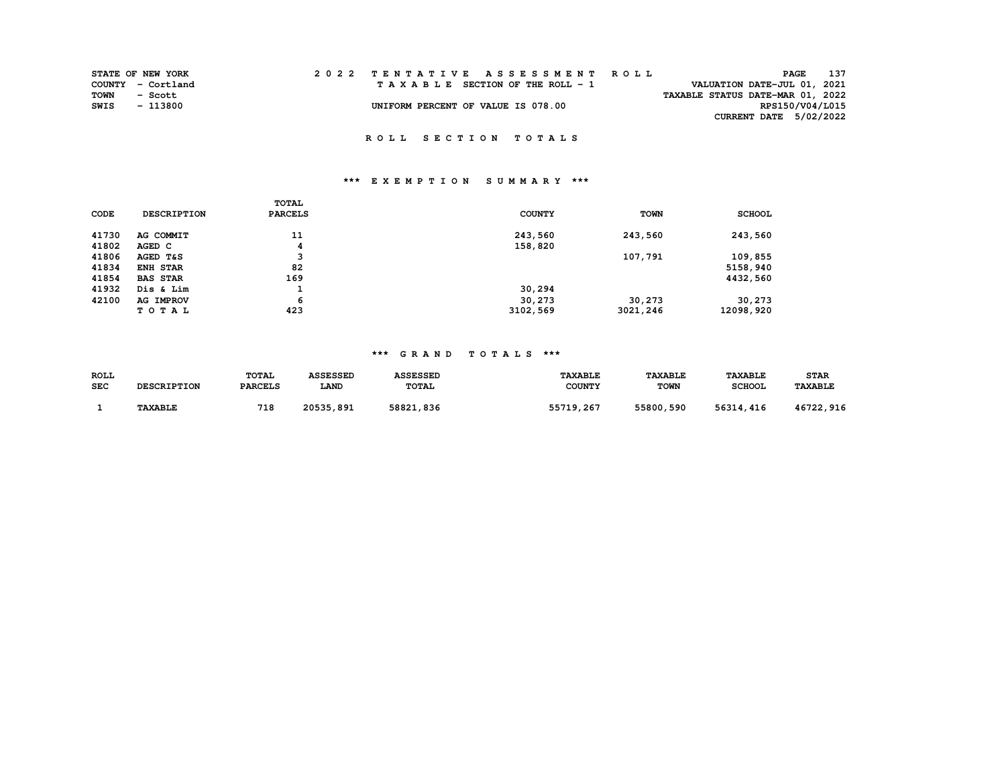|      | STATE OF NEW YORK |  |  |  |  |                                    |  |  |  | 2022 TENTATIVE ASSESSMENT ROLL |                                  | PAGE            | 137 |
|------|-------------------|--|--|--|--|------------------------------------|--|--|--|--------------------------------|----------------------------------|-----------------|-----|
|      | COUNTY - Cortland |  |  |  |  | TAXABLE SECTION OF THE ROLL - 1    |  |  |  |                                | VALUATION DATE-JUL 01, 2021      |                 |     |
| TOWN | - Scott           |  |  |  |  |                                    |  |  |  |                                | TAXABLE STATUS DATE-MAR 01, 2022 |                 |     |
| SWIS | - 113800          |  |  |  |  | UNIFORM PERCENT OF VALUE IS 078.00 |  |  |  |                                |                                  | RPS150/V04/L015 |     |
|      |                   |  |  |  |  |                                    |  |  |  |                                | CURRENT DATE 5/02/2022           |                 |     |

## **\*\*\* E X E M P T I O N S U M M A R Y \*\*\***

|             |                    | TOTAL          |               |             |               |
|-------------|--------------------|----------------|---------------|-------------|---------------|
| <b>CODE</b> | <b>DESCRIPTION</b> | <b>PARCELS</b> | <b>COUNTY</b> | <b>TOWN</b> | <b>SCHOOL</b> |
| 41730       | AG COMMIT          | 11             | 243,560       | 243,560     | 243,560       |
| 41802       | AGED C             | 4              | 158,820       |             |               |
| 41806       | AGED T&S           | 3              |               | 107,791     | 109,855       |
| 41834       | <b>ENH STAR</b>    | 82             |               |             | 5158,940      |
| 41854       | <b>BAS STAR</b>    | 169            |               |             | 4432,560      |
| 41932       | Dis & Lim          | л.             | 30,294        |             |               |
| 42100       | AG IMPROV          | 6              | 30,273        | 30,273      | 30,273        |
|             | TOTAL              | 423            | 3102,569      | 3021,246    | 12098,920     |

### **\*\*\* G R A N D T O T A L S \*\*\***

| <b>ROLL</b> |                    | <b>TOTAL</b>   | <b>ASSESSED</b> | <b>ASSESSED</b> | <b>TAXABLE</b> | <b>TAXABLE</b> | <b>TAXABLE</b> | <b>STAR</b>           |
|-------------|--------------------|----------------|-----------------|-----------------|----------------|----------------|----------------|-----------------------|
| <b>SEC</b>  | <b>DESCRIPTION</b> | <b>PARCELS</b> | LAND            | TOTAL           | COUNTY         | <b>TOWN</b>    | <b>SCHOOL</b>  | <b><i>TAXABLE</i></b> |
|             | <b>TAXABLE</b>     | 718            | 20535,891       | 58821,836       | 55719,267      | 55800,590      | 56314, 416     | 46722,916             |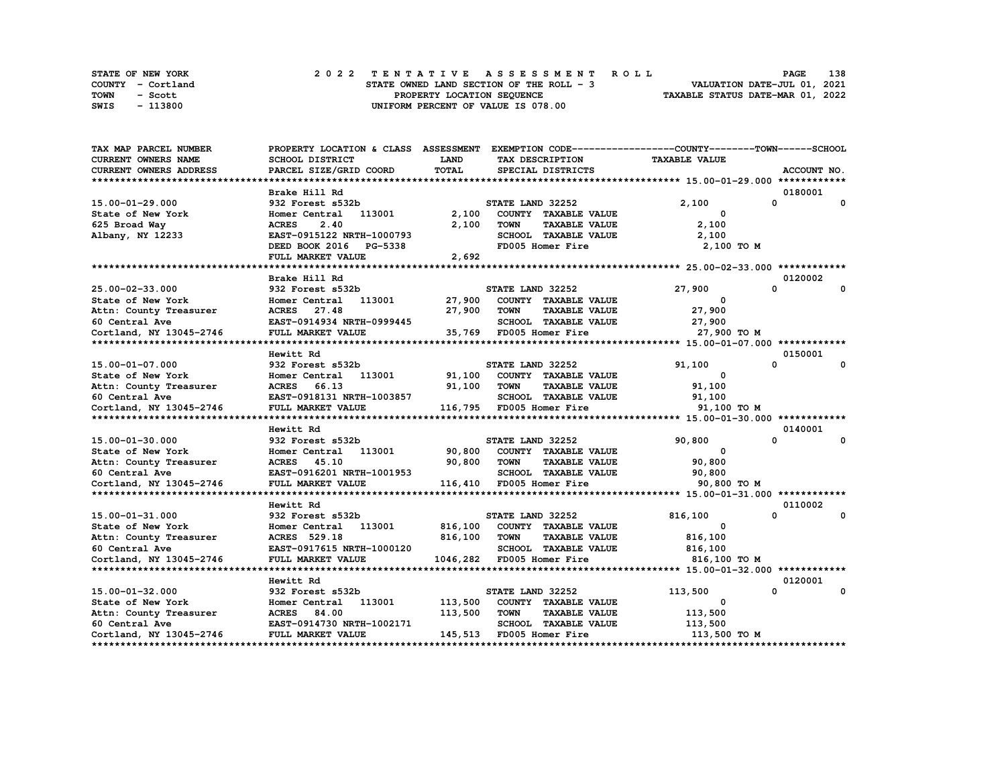|      | <b>STATE OF NEW YORK</b> | 2022 TENTATIVE ASSESSMENT ROLL                                          | PAGE | 138 |
|------|--------------------------|-------------------------------------------------------------------------|------|-----|
|      | COUNTY - Cortland        | VALUATION DATE-JUL 01, 2021<br>STATE OWNED LAND SECTION OF THE ROLL - 3 |      |     |
| TOWN | - Scott                  | TAXABLE STATUS DATE-MAR 01, 2022<br>PROPERTY LOCATION SEQUENCE          |      |     |
| SWIS | - 113800                 | UNIFORM PERCENT OF VALUE IS 078.00                                      |      |     |

| TAX MAP PARCEL NUMBER                     | PROPERTY LOCATION & CLASS ASSESSMENT EXEMPTION CODE-----------------COUNTY-------TOWN------SCHOOL |             |                  |                              |                         |              |              |
|-------------------------------------------|---------------------------------------------------------------------------------------------------|-------------|------------------|------------------------------|-------------------------|--------------|--------------|
| <b>CURRENT OWNERS NAME</b>                | SCHOOL DISTRICT                                                                                   | <b>LAND</b> |                  | TAX DESCRIPTION              | <b>TAXABLE VALUE</b>    |              |              |
| CURRENT OWNERS ADDRESS                    | PARCEL SIZE/GRID COORD                                                                            | TOTAL       |                  | SPECIAL DISTRICTS            |                         |              | ACCOUNT NO.  |
|                                           |                                                                                                   |             |                  |                              |                         |              |              |
|                                           | Brake Hill Rd                                                                                     |             |                  |                              |                         | 0180001      |              |
| 15.00-01-29.000                           | 932 Forest s532b                                                                                  |             | STATE LAND 32252 |                              | 2,100                   | 0            | 0            |
| State of New York                         | Homer Central 113001                                                                              | 2,100       |                  | COUNTY TAXABLE VALUE         | 0                       |              |              |
| 625 Broad Way                             | 2.40<br><b>ACRES</b>                                                                              | 2,100       | <b>TOWN</b>      | <b>TAXABLE VALUE</b>         | 2,100                   |              |              |
| Albany, NY 12233                          | EAST-0915122 NRTH-1000793                                                                         |             |                  | SCHOOL TAXABLE VALUE         | 2,100                   |              |              |
|                                           | DEED BOOK 2016 PG-5338                                                                            |             |                  | FD005 Homer Fire             | 2,100 TO M              |              |              |
|                                           | FULL MARKET VALUE                                                                                 | 2,692       |                  |                              |                         |              |              |
|                                           |                                                                                                   |             |                  |                              |                         |              |              |
|                                           | Brake Hill Rd                                                                                     |             |                  |                              |                         | 0120002      |              |
| 25.00-02-33.000                           | 932 Forest s532b                                                                                  |             | STATE LAND 32252 |                              | 27,900                  | $\Omega$     | $\mathbf 0$  |
| State of New York                         | Homer Central 113001 27,900                                                                       |             |                  | COUNTY TAXABLE VALUE         | $\overline{\mathbf{0}}$ |              |              |
| Attn: County Treasurer                    | ACRES 27.48                                                                                       | 27,900      | <b>TOWN</b>      | <b>TAXABLE VALUE</b>         | 27,900                  |              |              |
|                                           | EAST-0914934 NRTH-0999445                                                                         |             |                  | SCHOOL TAXABLE VALUE         | 27,900                  |              |              |
| 60 Central Ave<br>Cortland, NY 13045-2746 | FULL MARKET VALUE                                                                                 |             |                  | 35,769 FD005 Homer Fire      | 27,900 TO M             |              |              |
|                                           |                                                                                                   |             |                  |                              |                         |              |              |
|                                           | Hewitt Rd                                                                                         |             |                  |                              |                         | 0150001      |              |
| 15.00-01-07.000                           | 932 Forest s532b                                                                                  |             | STATE LAND 32252 |                              | 91,100                  | 0            | $\mathbf{o}$ |
| State of New York                         | 113001<br>Homer Central                                                                           | 91,100      |                  | COUNTY TAXABLE VALUE         | 0                       |              |              |
| Attn: County Treasurer                    | ACRES 66.13                                                                                       | 91,100      | <b>TOWN</b>      | <b>TAXABLE VALUE</b>         | 91,100                  |              |              |
| 60 Central Ave                            | EAST-0918131 NRTH-1003857                                                                         |             |                  | SCHOOL TAXABLE VALUE         | 91,100                  |              |              |
| Cortland, NY 13045-2746                   | FULL MARKET VALUE                                                                                 |             |                  | 116,795 FD005 Homer Fire     | 91,100 TO M             |              |              |
|                                           |                                                                                                   |             |                  |                              |                         |              |              |
|                                           | Hewitt Rd                                                                                         |             |                  |                              |                         | 0140001      |              |
| 15.00-01-30.000                           | 932 Forest s532b                                                                                  |             | STATE LAND 32252 |                              | 90,800                  | $\mathbf{0}$ | $\mathbf{o}$ |
| State of New York                         | Homer Central 113001                                                                              |             |                  | 90,800 COUNTY TAXABLE VALUE  | $^{\circ}$              |              |              |
| Attn: County Treasurer                    | <b>ACRES</b> 45.10                                                                                | 90,800      | TOWN             | <b>TAXABLE VALUE</b>         | 90,800                  |              |              |
| 60 Central Ave                            | EAST-0916201 NRTH-1001953                                                                         |             |                  | SCHOOL TAXABLE VALUE         | 90,800                  |              |              |
| Cortland, NY 13045-2746                   | FULL MARKET VALUE                                                                                 |             |                  | 116,410 FD005 Homer Fire     | 90,800 TO M             |              |              |
|                                           |                                                                                                   |             |                  |                              |                         |              |              |
|                                           | Hewitt Rd                                                                                         |             |                  |                              |                         | 0110002      |              |
| 15.00-01-31.000                           | 932 Forest s532b                                                                                  |             | STATE LAND 32252 |                              | 816,100                 | $\Omega$     | $\mathbf 0$  |
| State of New York                         | Homer Central 113001                                                                              |             |                  | 816,100 COUNTY TAXABLE VALUE | $^{\circ}$              |              |              |
| Attn: County Treasurer                    | ACRES 529.18                                                                                      | 816,100     | TOWN             | <b>TAXABLE VALUE</b>         | 816,100                 |              |              |
| 60 Central Ave                            | EAST-0917615 NRTH-1000120                                                                         |             |                  | SCHOOL TAXABLE VALUE         | 816,100                 |              |              |
| Cortland, NY 13045-2746                   | FULL MARKET VALUE                                                                                 |             |                  | 1046,282 FD005 Homer Fire    | 816,100 то м            |              |              |
|                                           |                                                                                                   |             |                  |                              |                         |              |              |
|                                           | Hewitt Rd                                                                                         |             |                  |                              |                         | 0120001      |              |
| 15.00-01-32.000                           | 932 Forest s532b                                                                                  |             | STATE LAND 32252 |                              | 113,500                 | $\mathbf{0}$ | 0            |
| State of New York                         | 113001<br>Homer Central                                                                           | 113,500     |                  | COUNTY TAXABLE VALUE         | 0                       |              |              |
| Attn: County Treasurer                    | ACRES 84.00                                                                                       | 113,500     | <b>TOWN</b>      | <b>TAXABLE VALUE</b>         | 113,500                 |              |              |
| 60 Central Ave                            | EAST-0914730 NRTH-1002171                                                                         |             |                  | SCHOOL TAXABLE VALUE         | 113,500                 |              |              |
| Cortland, NY 13045-2746                   | FULL MARKET VALUE                                                                                 |             |                  | 145,513 FD005 Homer Fire     | 113,500 TO M            |              |              |
|                                           |                                                                                                   |             |                  |                              |                         |              |              |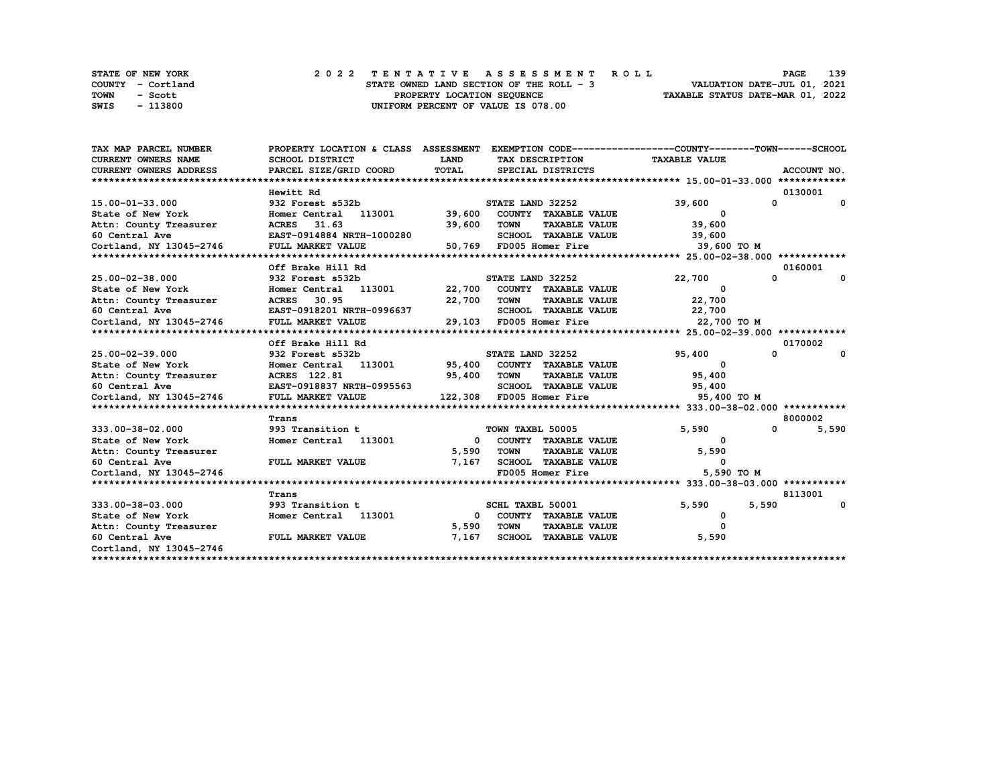|      | <b>STATE OF NEW YORK</b> | 2022 TENTATIVE ASSESSMENT ROLL           | 139<br><b>PAGE</b>               |
|------|--------------------------|------------------------------------------|----------------------------------|
|      | COUNTY - Cortland        | STATE OWNED LAND SECTION OF THE ROLL - 3 | VALUATION DATE-JUL 01, 2021      |
| TOWN | - Scott                  | PROPERTY LOCATION SEQUENCE               | TAXABLE STATUS DATE-MAR 01, 2022 |
| SWIS | - 113800                 | UNIFORM PERCENT OF VALUE IS 078.00       |                                  |

| TAX MAP PARCEL NUMBER                     | PROPERTY LOCATION & CLASS ASSESSMENT EXEMPTION CODE-----------------COUNTY-------TOWN------SCHOOL |             |                                     |                          |                          |
|-------------------------------------------|---------------------------------------------------------------------------------------------------|-------------|-------------------------------------|--------------------------|--------------------------|
| <b>CURRENT OWNERS NAME</b>                | SCHOOL DISTRICT                                                                                   | <b>LAND</b> | TAX DESCRIPTION TAXABLE VALUE       |                          |                          |
| CURRENT OWNERS ADDRESS                    | PARCEL SIZE/GRID COORD                                                                            |             | TOTAL SPECIAL DISTRICTS             |                          | ACCOUNT NO.              |
|                                           |                                                                                                   |             |                                     |                          |                          |
|                                           | Hewitt Rd                                                                                         |             |                                     |                          | 0130001                  |
| 15.00-01-33.000                           | 932 Forest s532b                                                                                  |             | STATE LAND 32252                    | 39,600                   | $^{\circ}$<br>$^{\circ}$ |
| State of New York                         | Homer Central 113001 39,600 COUNTY TAXABLE VALUE                                                  |             |                                     | 0                        |                          |
| Attn: County Treasurer                    | ACRES 31.63                                                                                       |             | <b>TAXABLE VALUE</b><br>39,600 TOWN | 39,600                   |                          |
| 60 Central Ave                            | EAST-0914884 NRTH-1000280                                                                         |             | SCHOOL TAXABLE VALUE 39,600         |                          |                          |
| Cortland, NY 13045-2746                   | FULL MARKET VALUE                                                                                 |             | 50,769 FD005 Homer Fire             | 39,600 то м              |                          |
|                                           |                                                                                                   |             |                                     |                          |                          |
|                                           | Off Brake Hill Rd                                                                                 |             |                                     |                          | 0160001                  |
| 25.00-02-38.000                           | 932 Forest s532b                                                                                  |             | STATE LAND 32252                    | 22,700                   | $\mathbf{0}$<br>0        |
| State of New York                         | Homer Central 113001 22,700 COUNTY TAXABLE VALUE                                                  |             |                                     |                          |                          |
| Attn: County Treasurer                    | <b>ACRES</b> 30.95                                                                                | 22,700 TOWN | <b>TAXABLE VALUE</b>                | 0<br>22, 700             |                          |
|                                           | EAST-0918201 NRTH-0996637                                                                         |             | SCHOOL TAXABLE VALUE                | 22,700                   |                          |
| 60 Central Ave<br>Cortland, NY 13045-2746 | FULL MARKET VALUE                                                                                 |             | 29,103 FD005 Homer Fire             | 22,700 TO M              |                          |
|                                           |                                                                                                   |             |                                     |                          |                          |
|                                           | Off Brake Hill Rd                                                                                 |             |                                     |                          | 0170002                  |
| 25.00-02-39.000                           | 932 Forest s532b                                                                                  |             | STATE LAND 32252                    | 95,400                   | $\Omega$<br>$\mathbf{o}$ |
| State of New York                         | Homer Central 113001 95,400 COUNTY TAXABLE VALUE                                                  |             |                                     | $\sim$ 0                 |                          |
| Attn: County Treasurer                    | ACRES 122.81                                                                                      |             | 95,400 TOWN<br><b>TAXABLE VALUE</b> | 95,400                   |                          |
| 60 Central Ave                            | EAST-0918837 NRTH-0995563                                                                         |             | SCHOOL TAXABLE VALUE 95,400         |                          |                          |
| Cortland, NY 13045-2746                   | FULL MARKET VALUE                                                                                 |             | 122,308 FD005 Homer Fire            | 95,400 TO M              |                          |
|                                           |                                                                                                   |             |                                     |                          |                          |
|                                           | Trans                                                                                             |             |                                     |                          | 8000002                  |
| 333.00-38-02.000                          | 993 Transition t                                                                                  |             | TOWN TAXBL 50005                    | 5,590                    | $\mathbf{0}$<br>5,590    |
| State of New York                         | Homer Central 113001                                                                              |             | 0 COUNTY TAXABLE VALUE              | 0                        |                          |
| Attn: County Treasurer                    |                                                                                                   | 5,590       | <b>TOWN</b><br>TAXABLE VALUE        | 5,590                    |                          |
| 60 Central Ave                            | FULL MARKET VALUE                                                                                 |             | 7,167 SCHOOL TAXABLE VALUE          | $\overline{\phantom{0}}$ |                          |
| Cortland, NY 13045-2746                   |                                                                                                   |             | FD005 Homer Fire                    | 5,590 TO M               |                          |
|                                           |                                                                                                   |             |                                     |                          |                          |
|                                           | Trans                                                                                             |             |                                     |                          | 8113001                  |
| 333.00-38-03.000                          | 993 Transition t                                                                                  |             | SCHL TAXBL 50001                    | 5,590                    | $\mathbf 0$<br>5,590     |
| State of New York                         | Homer Central 113001                                                                              |             | 0 COUNTY TAXABLE VALUE              | $\mathbf 0$              |                          |
| Attn: County Treasurer                    |                                                                                                   | 5,590       | TOWN<br><b>TAXABLE VALUE</b>        | $\Omega$                 |                          |
| 60 Central Ave                            | <b>FULL MARKET VALUE</b>                                                                          | 7,167       | SCHOOL TAXABLE VALUE                | 5,590                    |                          |
| Cortland, NY 13045-2746                   |                                                                                                   |             |                                     |                          |                          |
|                                           |                                                                                                   |             |                                     |                          |                          |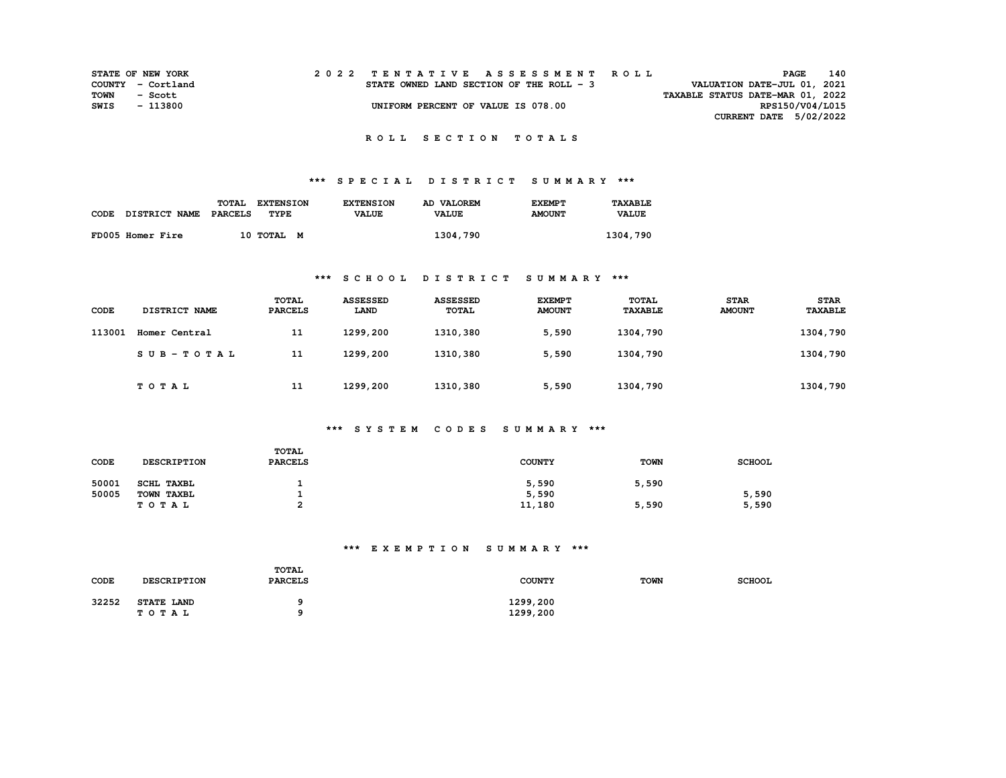| <b>STATE OF NEW YORK</b> |                   |  |  |  |  |  |                                          |  |  |  | 2022 TENTATIVE ASSESSMENT ROLL |  |                                  | PAGE            | 140 |
|--------------------------|-------------------|--|--|--|--|--|------------------------------------------|--|--|--|--------------------------------|--|----------------------------------|-----------------|-----|
|                          | COUNTY - Cortland |  |  |  |  |  | STATE OWNED LAND SECTION OF THE ROLL - 3 |  |  |  |                                |  | VALUATION DATE-JUL 01, 2021      |                 |     |
| TOWN                     | - Scott           |  |  |  |  |  |                                          |  |  |  |                                |  | TAXABLE STATUS DATE-MAR 01, 2022 |                 |     |
| SWIS                     | - 113800          |  |  |  |  |  | UNIFORM PERCENT OF VALUE IS 078.00       |  |  |  |                                |  |                                  | RPS150/V04/L015 |     |
|                          |                   |  |  |  |  |  |                                          |  |  |  |                                |  | CURRENT DATE 5/02/2022           |                 |     |

# **\*\*\* S P E C I A L D I S T R I C T S U M M A R Y \*\*\***

|      |                       | TOTAL<br><b>EXTENSION</b> | <b>EXTENSION</b> | AD VALOREM   | <b>EXEMPT</b> | <b>TAXABLE</b> |
|------|-----------------------|---------------------------|------------------|--------------|---------------|----------------|
| CODE | DISTRICT NAME PARCELS | TYPE                      | <b>VALUE</b>     | <b>VALUE</b> | <b>AMOUNT</b> | <b>VALUE</b>   |
|      |                       |                           |                  |              |               |                |
|      | FD005 Homer Fire      | 10 TOTAL M                |                  | 1304,790     |               | 1304,790       |

### **\*\*\* S C H O O L D I S T R I C T S U M M A R Y \*\*\***

| CODE   | <b>DISTRICT NAME</b> | TOTAL<br><b>PARCELS</b> | <b>ASSESSED</b><br>LAND | <b>ASSESSED</b><br><b>TOTAL</b> | <b>EXEMPT</b><br><b>AMOUNT</b> | TOTAL<br><b>TAXABLE</b> | <b>STAR</b><br><b>AMOUNT</b> | <b>STAR</b><br><b>TAXABLE</b> |
|--------|----------------------|-------------------------|-------------------------|---------------------------------|--------------------------------|-------------------------|------------------------------|-------------------------------|
| 113001 | Homer Central        | 11                      | 1299,200                | 1310,380                        | 5,590                          | 1304,790                |                              | 1304,790                      |
|        | $SUB - TO T AL$      | 11                      | 1299,200                | 1310,380                        | 5,590                          | 1304,790                |                              | 1304,790                      |
|        | <b>TOTAL</b>         | 11                      | 1299,200                | 1310,380                        | 5,590                          | 1304,790                |                              | 1304,790                      |

### **\*\*\* S Y S T E M C O D E S S U M M A R Y \*\*\***

| CODE  | <b>DESCRIPTION</b> | <b>TOTAL</b><br><b>PARCELS</b> | <b>COUNTY</b> | <b>TOWN</b> | <b>SCHOOL</b> |
|-------|--------------------|--------------------------------|---------------|-------------|---------------|
| 50001 | <b>SCHL TAXBL</b>  |                                | 5,590         | 5,590       |               |
| 50005 | TOWN TAXBL         |                                | 5,590         |             | 5,590         |
|       | TOTAL              |                                | 11,180        | 5,590       | 5,590         |

### **\*\*\* E X E M P T I O N S U M M A R Y \*\*\***

| CODE  | <b>DESCRIPTION</b>                | TOTAL<br><b>PARCELS</b> | <b>COUNTY</b>        | <b>TOWN</b> | <b>SCHOOL</b> |
|-------|-----------------------------------|-------------------------|----------------------|-------------|---------------|
| 32252 | <b>STATE LAND</b><br><b>TOTAL</b> |                         | 1299,200<br>1299,200 |             |               |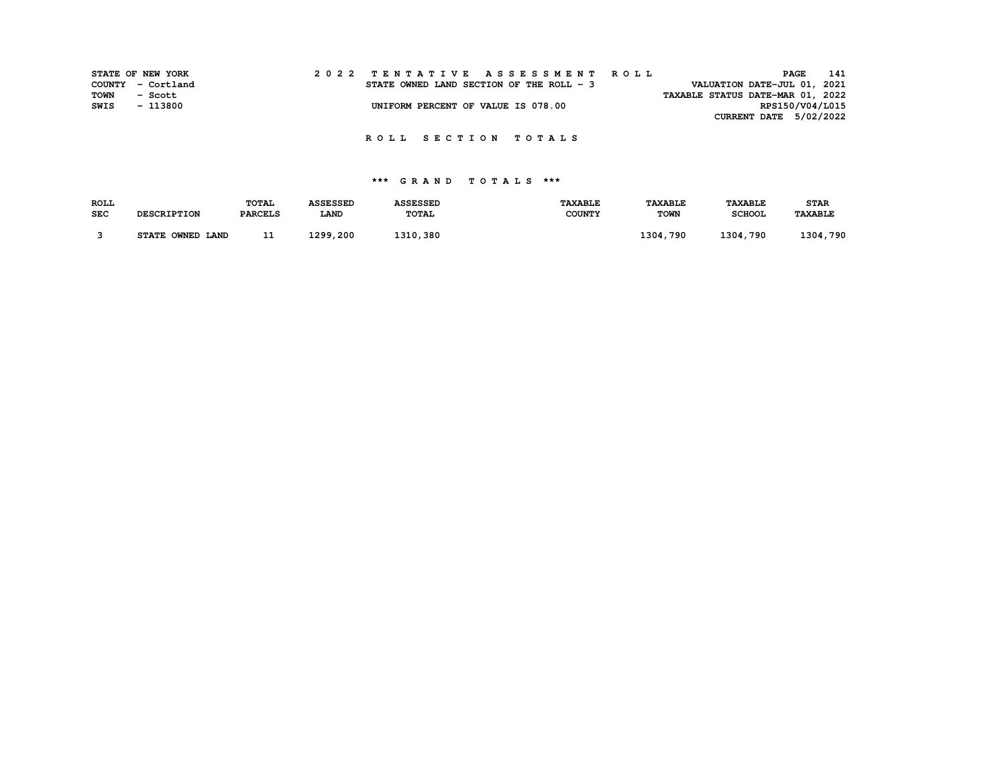|      | STATE OF NEW YORK |  |  | 2022 TENTATIVE ASSESSMENT ROLL           |  |  |  |  |  |  |  |  |                                  |  | PAGE | 141             |
|------|-------------------|--|--|------------------------------------------|--|--|--|--|--|--|--|--|----------------------------------|--|------|-----------------|
|      | COUNTY - Cortland |  |  | STATE OWNED LAND SECTION OF THE ROLL - 3 |  |  |  |  |  |  |  |  | VALUATION DATE-JUL 01, 2021      |  |      |                 |
| TOWN | - Scott           |  |  |                                          |  |  |  |  |  |  |  |  | TAXABLE STATUS DATE-MAR 01, 2022 |  |      |                 |
| SWIS | - 113800          |  |  | UNIFORM PERCENT OF VALUE IS 078.00       |  |  |  |  |  |  |  |  |                                  |  |      | RPS150/V04/L015 |
|      |                   |  |  |                                          |  |  |  |  |  |  |  |  | CURRENT DATE 5/02/2022           |  |      |                 |

### **\*\*\* G R A N D T O T A L S \*\*\***

| <b>ROLL</b> |                    | <b>TOTAL</b>     | <b>ASSESSED</b> | <b>ASSESSED</b> | <b>TAXABLE</b> | <b>TAXABLE</b> | <b>TAXABLE</b> | <b>STAR</b>    |
|-------------|--------------------|------------------|-----------------|-----------------|----------------|----------------|----------------|----------------|
| <b>SEC</b>  | <b>DESCRIPTION</b> | <b>PARCELS</b>   | <b>LAND</b>     | TOTAL           | <b>COUNTY</b>  | <b>TOWN</b>    | <b>SCHOOL</b>  | <b>TAXABLE</b> |
|             |                    |                  |                 |                 |                |                |                |                |
|             | STATE OWNED LAND   | 11<br><b>. .</b> | 1299,200        | 1310,380        |                | 1304,790       | 1304,790       | .790<br>1304   |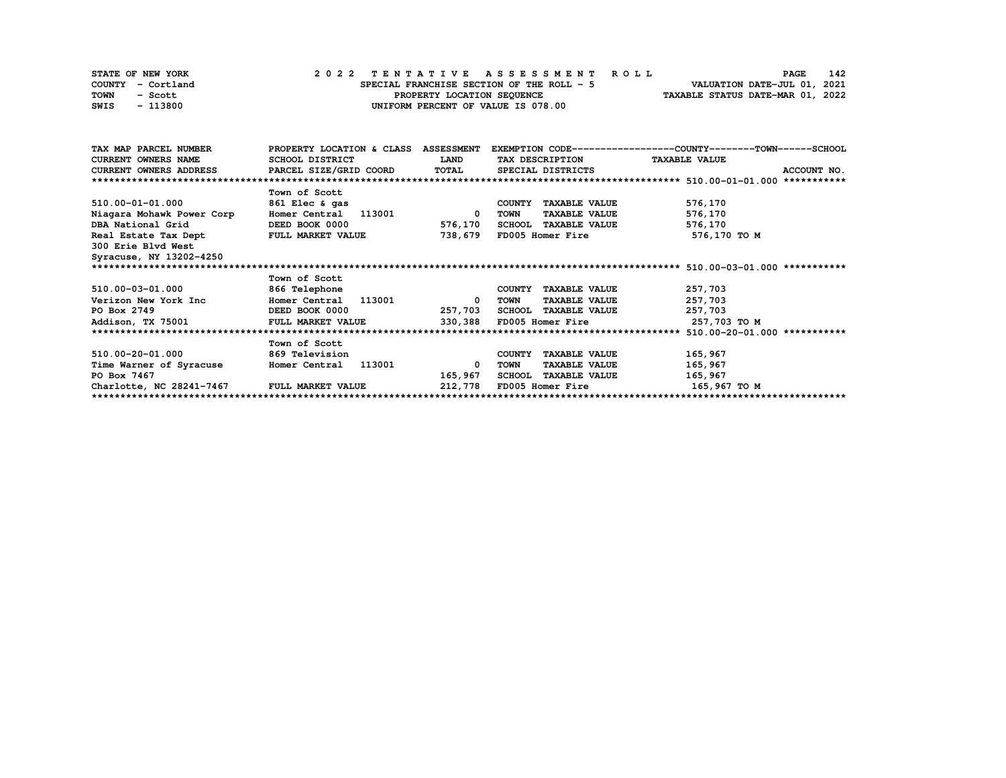| STATE OF NEW YORK | 2022 TENTATIVE ASSESSMENT ROLL            | 142<br><b>PAGE</b>               |
|-------------------|-------------------------------------------|----------------------------------|
| COUNTY - Cortland | SPECIAL FRANCHISE SECTION OF THE ROLL - 5 | VALUATION DATE-JUL 01, 2021      |
| TOWN<br>- Scott   | PROPERTY LOCATION SEQUENCE                | TAXABLE STATUS DATE-MAR 01, 2022 |
| - 113800<br>SWIS  | UNIFORM PERCENT OF VALUE IS 078.00        |                                  |

| TAX MAP PARCEL NUMBER         | PROPERTY LOCATION & CLASS ASSESSMENT |              |                                       | EXEMPTION CODE-----------------COUNTY-------TOWN-----SCHOOL |
|-------------------------------|--------------------------------------|--------------|---------------------------------------|-------------------------------------------------------------|
| <b>CURRENT OWNERS NAME</b>    | SCHOOL DISTRICT                      | <b>LAND</b>  | TAX DESCRIPTION                       | <b>TAXABLE VALUE</b>                                        |
| <b>CURRENT OWNERS ADDRESS</b> | PARCEL SIZE/GRID COORD               | <b>TOTAL</b> | SPECIAL DISTRICTS                     | ACCOUNT NO.                                                 |
| ************************      |                                      |              |                                       |                                                             |
|                               | Town of Scott                        |              |                                       |                                                             |
| 510.00-01-01.000              | 861 Elec & gas                       |              | <b>TAXABLE VALUE</b><br>COUNTY        | 576,170                                                     |
| Niagara Mohawk Power Corp     | Homer Central 113001                 | 0            | <b>TAXABLE VALUE</b><br>TOWN          | 576,170                                                     |
| DBA National Grid             | DEED BOOK 0000                       | 576,170      | <b>SCHOOL TAXABLE VALUE</b>           | 576,170                                                     |
| Real Estate Tax Dept          | FULL MARKET VALUE                    | 738,679      | FD005 Homer Fire                      | 576,170 TO M                                                |
| 300 Erie Blvd West            |                                      |              |                                       |                                                             |
| Syracuse, NY 13202-4250       |                                      |              |                                       |                                                             |
|                               |                                      |              |                                       |                                                             |
|                               | Town of Scott                        |              |                                       |                                                             |
| 510.00-03-01.000              | 866 Telephone                        |              | <b>TAXABLE VALUE</b><br>COUNTY        | 257,703                                                     |
| Verizon New York Inc          | Homer Central<br>113001              | $^{\circ}$   | TOWN<br><b>TAXABLE VALUE</b>          | 257,703                                                     |
| PO Box 2749                   | DEED BOOK 0000                       | 257,703      | SCHOOL TAXABLE VALUE                  | 257,703                                                     |
| Addison, TX 75001             | FULL MARKET VALUE                    | 330,388      | FD005 Homer Fire                      | 257,703 TO M                                                |
|                               |                                      |              |                                       |                                                             |
|                               | Town of Scott                        |              |                                       |                                                             |
| 510.00-20-01.000              | 869 Television                       |              | COUNTY<br><b>TAXABLE VALUE</b>        | 165,967                                                     |
| Time Warner of Syracuse       | 113001<br>Homer Central              | 0            | <b>TAXABLE VALUE</b><br>TOWN          | 165,967                                                     |
| PO Box 7467                   |                                      | 165,967      | <b>SCHOOL</b><br><b>TAXABLE VALUE</b> | 165,967                                                     |
| Charlotte, NC 28241-7467      | FULL MARKET VALUE                    | 212,778      | FD005 Homer Fire                      | 165,967 TO M                                                |
|                               |                                      |              |                                       |                                                             |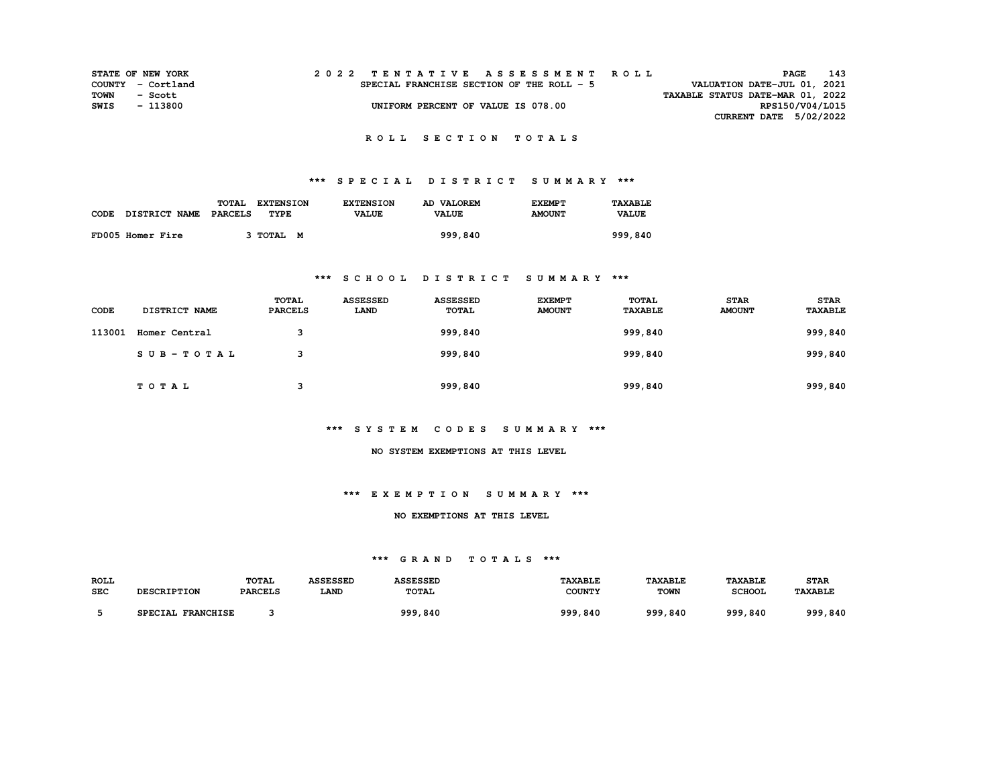|      | STATE OF NEW YORK |  |  |  |  |                                           |  |  |  |  |  | 2022 TENTATIVE ASSESSMENT ROLL |                                  |                 | PAGE | 143 |
|------|-------------------|--|--|--|--|-------------------------------------------|--|--|--|--|--|--------------------------------|----------------------------------|-----------------|------|-----|
|      | COUNTY - Cortland |  |  |  |  | SPECIAL FRANCHISE SECTION OF THE ROLL - 5 |  |  |  |  |  |                                | VALUATION DATE-JUL 01, 2021      |                 |      |     |
| TOWN | - Scott           |  |  |  |  |                                           |  |  |  |  |  |                                | TAXABLE STATUS DATE-MAR 01, 2022 |                 |      |     |
| SWIS | - 113800          |  |  |  |  | UNIFORM PERCENT OF VALUE IS 078.00        |  |  |  |  |  |                                |                                  | RPS150/V04/L015 |      |     |
|      |                   |  |  |  |  |                                           |  |  |  |  |  |                                | CURRENT DATE 5/02/2022           |                 |      |     |

# **\*\*\* S P E C I A L D I S T R I C T S U M M A R Y \*\*\***

|      |                  | <b>TOTAL</b><br><b>EXTENSION</b> | <b>EXTENSION</b> | AD VALOREM   | <b>EXEMPT</b> | <b>TAXABLE</b> |
|------|------------------|----------------------------------|------------------|--------------|---------------|----------------|
| CODE | DISTRICT NAME    | PARCELS<br>TYPE                  | <b>VALUE</b>     | <b>VALUE</b> | <b>AMOUNT</b> | <b>VALUE</b>   |
|      | FD005 Homer Fire | 3 TOTAL M                        |                  | 999,840      |               | 999,840        |

### **\*\*\* S C H O O L D I S T R I C T S U M M A R Y \*\*\***

| CODE   | <b>DISTRICT NAME</b> | TOTAL<br><b>PARCELS</b> | <b>ASSESSED</b><br>LAND | <b>ASSESSED</b><br><b>TOTAL</b> | <b>EXEMPT</b><br><b>AMOUNT</b> | TOTAL<br><b>TAXABLE</b> | <b>STAR</b><br><b>AMOUNT</b> | <b>STAR</b><br>TAXABLE |
|--------|----------------------|-------------------------|-------------------------|---------------------------------|--------------------------------|-------------------------|------------------------------|------------------------|
| 113001 | Homer Central        | 3                       |                         | 999,840                         |                                | 999,840                 |                              | 999,840                |
|        | $SUB - TO T AL$      | 3                       |                         | 999,840                         |                                | 999,840                 |                              | 999,840                |
|        | TOTAL                | 3                       |                         | 999,840                         |                                | 999,840                 |                              | 999,840                |

### **\*\*\* S Y S T E M C O D E S S U M M A R Y \*\*\***

#### **NO SYSTEM EXEMPTIONS AT THIS LEVEL**

### **\*\*\* E X E M P T I O N S U M M A R Y \*\*\***

#### **NO EXEMPTIONS AT THIS LEVEL**

### **\*\*\* G R A N D T O T A L S \*\*\***

| ROLL       | <b>DESCRIPTION</b> | <b>TOTAL</b>   | <b>ASSESSED</b> | <b>ASSESSED</b> | <b>TAXABLE</b> | <b>TAXABLE</b> | <b>TAXABLE</b> | <b>STAR</b>    |
|------------|--------------------|----------------|-----------------|-----------------|----------------|----------------|----------------|----------------|
| <b>SEC</b> |                    | <b>PARCELS</b> | <b>LAND</b>     | TOTAL           | <b>COUNTY</b>  | TOWN           | <b>SCHOOL</b>  | <b>TAXABLE</b> |
|            | SPECIAL FRANCHISE  |                |                 | 999,840         | 999,840        | 999,840        | 999,840        | 999,840        |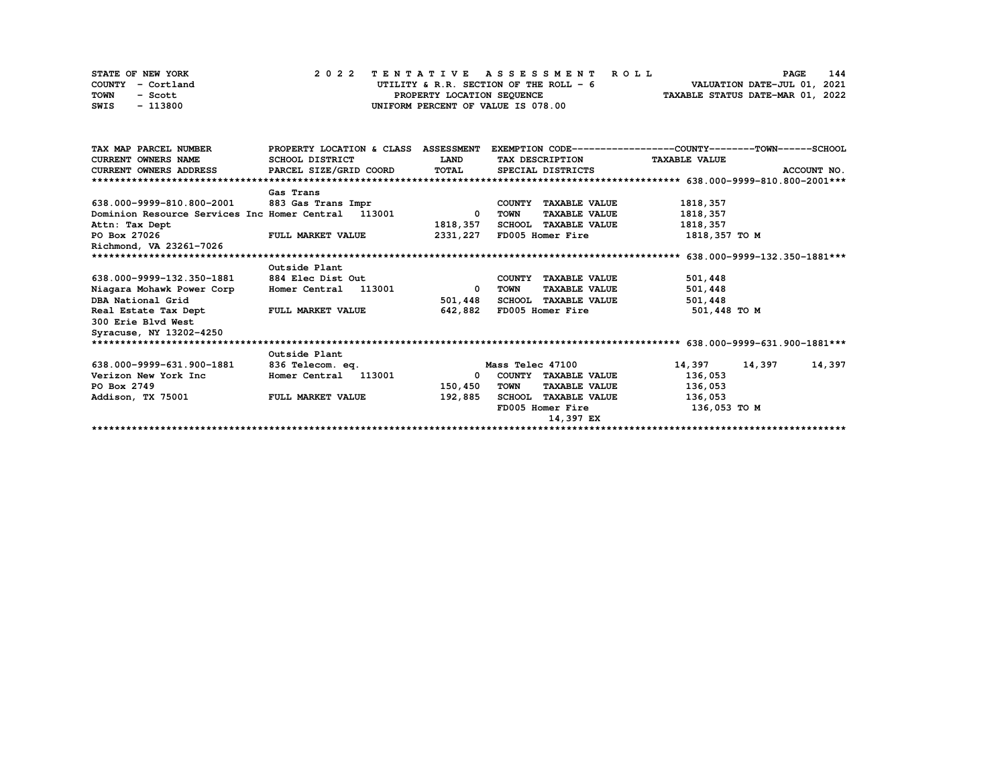|      | STATE OF NEW YORK | 2022 TENTATIVE ASSESSMENT ROLL |  |                                        |  |  |  |  |  |  |  |  |                                  | <b>PAGE</b> | 144 |
|------|-------------------|--------------------------------|--|----------------------------------------|--|--|--|--|--|--|--|--|----------------------------------|-------------|-----|
|      | COUNTY - Cortland |                                |  | UTILITY & R.R. SECTION OF THE ROLL - 6 |  |  |  |  |  |  |  |  | VALUATION DATE-JUL 01, 2021      |             |     |
| TOWN | - Scott           |                                |  | PROPERTY LOCATION SEQUENCE             |  |  |  |  |  |  |  |  | TAXABLE STATUS DATE-MAR 01, 2022 |             |     |
| SWIS | - 113800          |                                |  | UNIFORM PERCENT OF VALUE IS 078.00     |  |  |  |  |  |  |  |  |                                  |             |     |

| TAX MAP PARCEL NUMBER                               | PROPERTY LOCATION & CLASS ASSESSMENT EXEMPTION CODE-----------------COUNTY-------TOWN-----SCHOOL |              |                  |                               |               |        |             |
|-----------------------------------------------------|--------------------------------------------------------------------------------------------------|--------------|------------------|-------------------------------|---------------|--------|-------------|
| <b>CURRENT OWNERS NAME</b>                          | SCHOOL DISTRICT                                                                                  | <b>LAND</b>  |                  | TAX DESCRIPTION TAXABLE VALUE |               |        |             |
| CURRENT OWNERS ADDRESS PARCEL SIZE/GRID COORD       |                                                                                                  | <b>TOTAL</b> |                  | SPECIAL DISTRICTS             |               |        | ACCOUNT NO. |
|                                                     |                                                                                                  |              |                  |                               |               |        |             |
|                                                     | Gas Trans                                                                                        |              |                  |                               |               |        |             |
| 638.000-9999-810.800-2001 883 Gas Trans Impr        |                                                                                                  |              |                  | COUNTY TAXABLE VALUE          | 1818,357      |        |             |
| Dominion Resource Services Inc Homer Central 113001 |                                                                                                  | $^{\circ}$   | <b>TOWN</b>      | <b>TAXABLE VALUE</b>          | 1818, 357     |        |             |
| Attn: Tax Dept                                      |                                                                                                  | 1818, 357    |                  | SCHOOL TAXABLE VALUE          | 1818, 357     |        |             |
| PO Box 27026                                        | FULL MARKET VALUE                                                                                | 2331,227     |                  | FD005 Homer Fire              | 1818,357 TO M |        |             |
| Richmond, VA 23261-7026                             |                                                                                                  |              |                  |                               |               |        |             |
|                                                     |                                                                                                  |              |                  |                               |               |        |             |
|                                                     | Outside Plant                                                                                    |              |                  |                               |               |        |             |
| 638.000-9999-132.350-1881                           | 884 Elec Dist Out                                                                                |              |                  | COUNTY TAXABLE VALUE          | 501,448       |        |             |
| Niagara Mohawk Power Corp                           | Homer Central 113001                                                                             | $^{\circ}$   | TOWN             | <b>TAXABLE VALUE</b>          | 501,448       |        |             |
| DBA National Grid                                   |                                                                                                  | 501,448      |                  | SCHOOL TAXABLE VALUE          | 501,448       |        |             |
| Real Estate Tax Dept FULL MARKET VALUE              |                                                                                                  | 642,882      |                  | FD005 Homer Fire              | 501,448 TO M  |        |             |
| 300 Erie Blyd West                                  |                                                                                                  |              |                  |                               |               |        |             |
| Syracuse, NY 13202-4250                             |                                                                                                  |              |                  |                               |               |        |             |
|                                                     |                                                                                                  |              |                  |                               |               |        |             |
|                                                     | Outside Plant                                                                                    |              |                  |                               |               |        |             |
| 638.000-9999-631.900-1881                           | 836 Telecom. eq.                                                                                 |              | Mass Telec 47100 |                               | 14,397        | 14,397 | 14,397      |
| Verizon New York Inc                                | Homer Central 113001                                                                             |              |                  | 0 COUNTY TAXABLE VALUE        | 136,053       |        |             |
| PO Box 2749                                         |                                                                                                  | 150,450      | TOWN             | <b>TAXABLE VALUE</b>          | 136,053       |        |             |
| Addison, TX 75001                                   | FULL MARKET VALUE                                                                                | 192,885      |                  | SCHOOL TAXABLE VALUE          | 136,053       |        |             |
|                                                     |                                                                                                  |              |                  | FD005 Homer Fire              | 136,053 TO M  |        |             |
|                                                     |                                                                                                  |              |                  | 14,397 EX                     |               |        |             |
|                                                     |                                                                                                  |              |                  |                               |               |        |             |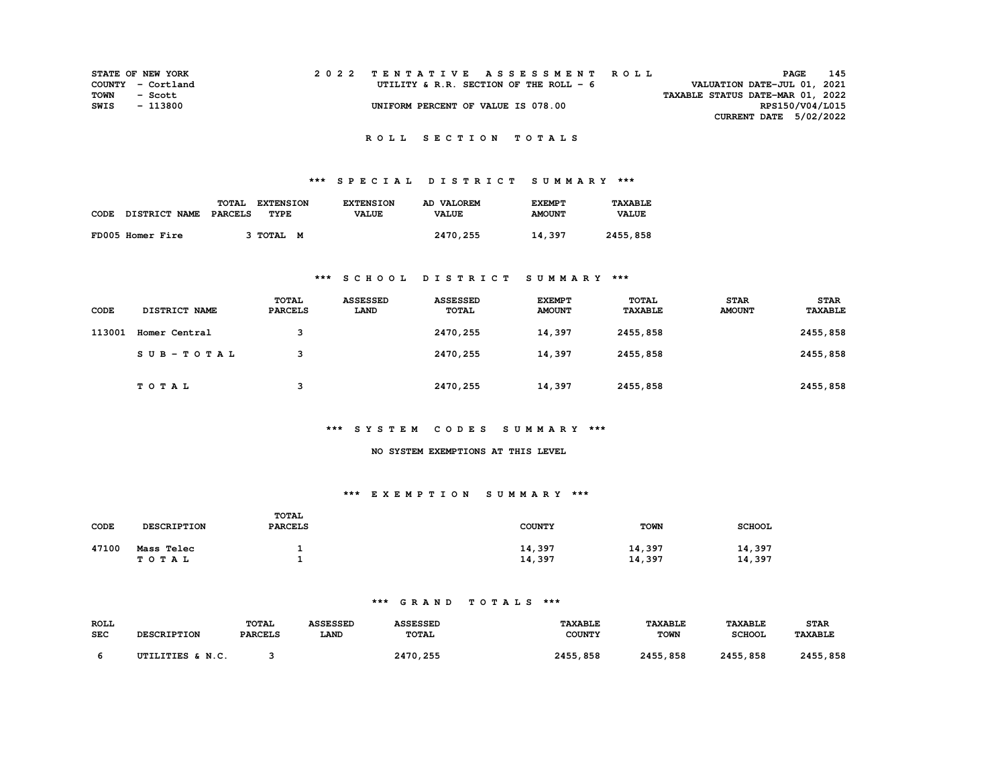| <b>STATE OF NEW YORK</b> |                   |  | 2022 TENTATIVE ASSESSMENT ROLL         |  |  |                                  | PAGE            | 145 |
|--------------------------|-------------------|--|----------------------------------------|--|--|----------------------------------|-----------------|-----|
|                          | COUNTY - Cortland |  | UTILITY & R.R. SECTION OF THE ROLL - 6 |  |  | VALUATION DATE-JUL 01, 2021      |                 |     |
| TOWN                     | - Scott           |  |                                        |  |  | TAXABLE STATUS DATE-MAR 01, 2022 |                 |     |
| SWIS                     | - 113800          |  | UNIFORM PERCENT OF VALUE IS 078.00     |  |  |                                  | RPS150/V04/L015 |     |
|                          |                   |  |                                        |  |  | <b>CURRENT DATE 5/02/2022</b>    |                 |     |

 **R O L L S E C T I O N T O T A L S** 

# **\*\*\* S P E C I A L D I S T R I C T S U M M A R Y \*\*\***

| CODE | <b>DISTRICT NAME</b> | TOTAL<br>PARCELS | <b>EXTENSION</b><br>TYPE | <b>EXTENSION</b><br><b>VALUE</b> | AD VALOREM<br><b>VALUE</b> | <b>EXEMPT</b><br><b>AMOUNT</b> | <b>TAXABLE</b><br><b>VALUE</b> |
|------|----------------------|------------------|--------------------------|----------------------------------|----------------------------|--------------------------------|--------------------------------|
|      | FD005 Homer Fire     |                  | 3 TOTAL M                |                                  | 2470,255                   | 14,397                         | 2455,858                       |

# **\*\*\* S C H O O L D I S T R I C T S U M M A R Y \*\*\***

| CODE   | <b>DISTRICT NAME</b> | <b>TOTAL</b><br><b>PARCELS</b> | <b>ASSESSED</b><br>LAND | <b>ASSESSED</b><br><b>TOTAL</b> | <b>EXEMPT</b><br><b>AMOUNT</b> | TOTAL<br>TAXABLE | <b>STAR</b><br><b>AMOUNT</b> | <b>STAR</b><br><b>TAXABLE</b> |
|--------|----------------------|--------------------------------|-------------------------|---------------------------------|--------------------------------|------------------|------------------------------|-------------------------------|
| 113001 | Homer Central        | 3                              |                         | 2470,255                        | 14,397                         | 2455,858         |                              | 2455,858                      |
|        | SUB-TOTAL            | з                              |                         | 2470,255                        | 14,397                         | 2455,858         |                              | 2455,858                      |
|        | <b>TOTAL</b>         | з                              |                         | 2470,255                        | 14,397                         | 2455,858         |                              | 2455,858                      |

#### **\*\*\* S Y S T E M C O D E S S U M M A R Y \*\*\***

#### **NO SYSTEM EXEMPTIONS AT THIS LEVEL**

#### **\*\*\* E X E M P T I O N S U M M A R Y \*\*\***

| CODE  | <b>DESCRIPTION</b> | <b>TOTAL</b><br><b>PARCELS</b> | <b>COUNTY</b> | <b>TOWN</b> | <b>SCHOOL</b> |
|-------|--------------------|--------------------------------|---------------|-------------|---------------|
| 47100 | Mass Telec         |                                | 14,397        | 14,397      | 14,397        |
|       | TOTAL              |                                | 14,397        | 14,397      | 14,397        |

| <b>ROLL</b> | <b>DESCRIPTION</b> | TOTAL          | <b>ASSESSED</b> | <b>ASSESSED</b> | <b>TAXABLE</b> | <b>TAXABLE</b> | <b>TAXABLE</b> | <b>STAR</b>           |
|-------------|--------------------|----------------|-----------------|-----------------|----------------|----------------|----------------|-----------------------|
| <b>SEC</b>  |                    | <b>PARCELS</b> | <b>LAND</b>     | TOTAL           | <b>COUNTY</b>  | TOWN           | <b>SCHOOL</b>  | <b><i>TAXABLE</i></b> |
|             | UTILITIES & N.C.   |                |                 | 2470,255        | 2455,858       | 2455,858       | 2455,858       | 2455,858              |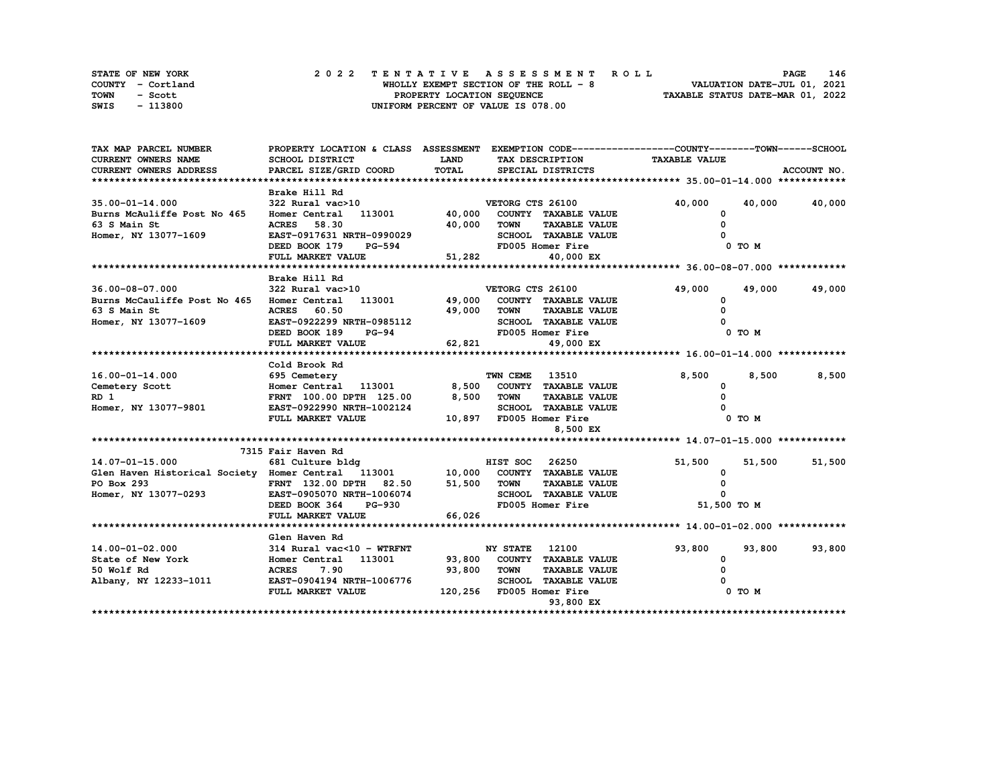| STATE OF NEW YORK      | 2022 TENTATIVE ASSESSMENT ROLL        | 146<br><b>PAGE</b>               |
|------------------------|---------------------------------------|----------------------------------|
| COUNTY - Cortland      | WHOLLY EXEMPT SECTION OF THE ROLL - 8 | VALUATION DATE-JUL 01, 2021      |
| <b>TOWN</b><br>- Scott | PROPERTY LOCATION SEQUENCE            | TAXABLE STATUS DATE-MAR 01, 2022 |
| SWIS<br>- 113800       | UNIFORM PERCENT OF VALUE IS 078.00    |                                  |

| TAX MAP PARCEL NUMBER                                                          | PROPERTY LOCATION & CLASS ASSESSMENT EXEMPTION CODE-----------------COUNTY--------TOWN-----SCHOOL |             |                                     |                      |               |             |
|--------------------------------------------------------------------------------|---------------------------------------------------------------------------------------------------|-------------|-------------------------------------|----------------------|---------------|-------------|
| <b>CURRENT OWNERS NAME</b>                                                     | SCHOOL DISTRICT                                                                                   | <b>LAND</b> | TAX DESCRIPTION                     | <b>TAXABLE VALUE</b> |               |             |
| <b>CURRENT OWNERS ADDRESS</b>                                                  | PARCEL SIZE/GRID COORD                                                                            | TOTAL       | SPECIAL DISTRICTS                   |                      |               | ACCOUNT NO. |
|                                                                                |                                                                                                   |             |                                     |                      |               |             |
|                                                                                | Brake Hill Rd                                                                                     |             |                                     |                      |               |             |
| $35.00 - 01 - 14.000$                                                          | 322 Rural vac>10                                                                                  |             | VETORG CTS 26100                    | 40,000               | 40,000 40,000 |             |
| Burns McAuliffe Post No 465                                                    | Homer Central 113001                                                                              |             | 40,000 COUNTY TAXABLE VALUE         | 0                    |               |             |
| 63 S Main St                                                                   | 58.30<br><b>ACRES</b>                                                                             | 40,000      | TOWN<br><b>TAXABLE VALUE</b>        | $\Omega$             |               |             |
| Homer, NY 13077-1609                                                           | EAST-0917631 NRTH-0990029                                                                         |             | SCHOOL TAXABLE VALUE                |                      |               |             |
|                                                                                | DEED BOOK 179<br>PG-594                                                                           |             | FD005 Homer Fire                    |                      | $0$ TO $M$    |             |
|                                                                                | FULL MARKET VALUE                                                                                 | 51,282      | 40,000 EX                           |                      |               |             |
|                                                                                |                                                                                                   |             |                                     |                      |               |             |
|                                                                                | Brake Hill Rd                                                                                     |             |                                     |                      |               |             |
| 36.00-08-07.000                                                                | 322 Rural vac>10                                                                                  |             | VETORG CTS 26100                    | 49,000               | 49,000        | 49,000      |
| Burns McCauliffe Post No 465 Homer Central 113001 49,000 COUNTY TAXABLE VALUE  |                                                                                                   |             |                                     | $\Omega$             |               |             |
| 63 S Main St                                                                   | ACRES 60.50                                                                                       | 49,000      | <b>TAXABLE VALUE</b><br>TOWN        |                      |               |             |
| Homer, NY 13077-1609                                                           | EAST-0922299 NRTH-0985112                                                                         |             | SCHOOL TAXABLE VALUE                |                      |               |             |
|                                                                                | DEED BOOK 189<br><b>PG-94</b>                                                                     |             | FD005 Homer Fire                    |                      | 0 TO M        |             |
|                                                                                | FULL MARKET VALUE                                                                                 | 62,821      | 49,000 EX                           |                      |               |             |
|                                                                                |                                                                                                   |             |                                     |                      |               |             |
|                                                                                | Cold Brook Rd                                                                                     |             |                                     |                      |               |             |
| $16.00 - 01 - 14.000$                                                          | 695 Cemetery                                                                                      |             | TWN CEME<br>13510                   | 8,500                | 8,500         | 8,500       |
| Cemetery Scott Theory Scott                                                    | Homer Central 113001 8,500                                                                        |             | COUNTY TAXABLE VALUE                | $\Omega$             |               |             |
| RD 1                                                                           | FRNT 100.00 DPTH 125.00 8,500 TOWN                                                                |             | <b>TAXABLE VALUE</b>                | $\Omega$             |               |             |
| Homer, NY 13077-9801                                                           | EAST-0922990 NRTH-1002124                                                                         |             | SCHOOL TAXABLE VALUE                |                      |               |             |
|                                                                                | FULL MARKET VALUE                                                                                 |             | 10,897 FD005 Homer Fire             |                      | 0 TO M        |             |
|                                                                                |                                                                                                   |             | 8,500 EX                            |                      |               |             |
|                                                                                |                                                                                                   |             |                                     |                      |               |             |
|                                                                                | 7315 Fair Haven Rd                                                                                |             |                                     |                      |               |             |
| $14.07 - 01 - 15.000$                                                          | 681 Culture bldg                                                                                  |             | 26250<br>HIST SOC                   | 51,500               | 51,500        | 51,500      |
| Glen Haven Historical Society Homer Central 113001 10,000 COUNTY TAXABLE VALUE |                                                                                                   |             |                                     | $\mathbf 0$          |               |             |
| PO Box 293                                                                     | FRNT 132.00 DPTH 82.50                                                                            | 51,500 TOWN | <b>TAXABLE VALUE</b>                | 0                    |               |             |
| Homer, NY 13077-0293                                                           | EAST-0905070 NRTH-1006074                                                                         |             | SCHOOL TAXABLE VALUE                |                      |               |             |
|                                                                                | DEED BOOK 364<br><b>PG-930</b>                                                                    |             | FD005 Homer Fire                    | 51,500 TO M          |               |             |
|                                                                                | FULL MARKET VALUE                                                                                 | 66,026      |                                     |                      |               |             |
|                                                                                |                                                                                                   |             |                                     |                      |               |             |
|                                                                                | Glen Haven Rd                                                                                     |             |                                     |                      |               |             |
| $14.00 - 01 - 02.000$                                                          | 314 Rural vac<10 - WTRFNT                                                                         |             | <b>NY STATE</b><br>12100            | 93,800               | 93,800        | 93,800      |
| State of New York                                                              | Homer Central 113001                                                                              |             | 93,800 COUNTY TAXABLE VALUE         | 0                    |               |             |
| 50 Wolf Rd                                                                     | 7.90<br><b>ACRES</b>                                                                              | 93,800      | <b>TOWN</b><br><b>TAXABLE VALUE</b> | $\Omega$             |               |             |
| Albany, NY 12233-1011 EAST-0904194 NRTH-1006776                                |                                                                                                   |             | <b>SCHOOL TAXABLE VALUE</b>         |                      |               |             |
|                                                                                | FULL MARKET VALUE                                                                                 |             | 120,256 FD005 Homer Fire            |                      | 0 TO M        |             |
|                                                                                |                                                                                                   |             | 93,800 EX                           |                      |               |             |
|                                                                                |                                                                                                   |             |                                     |                      |               |             |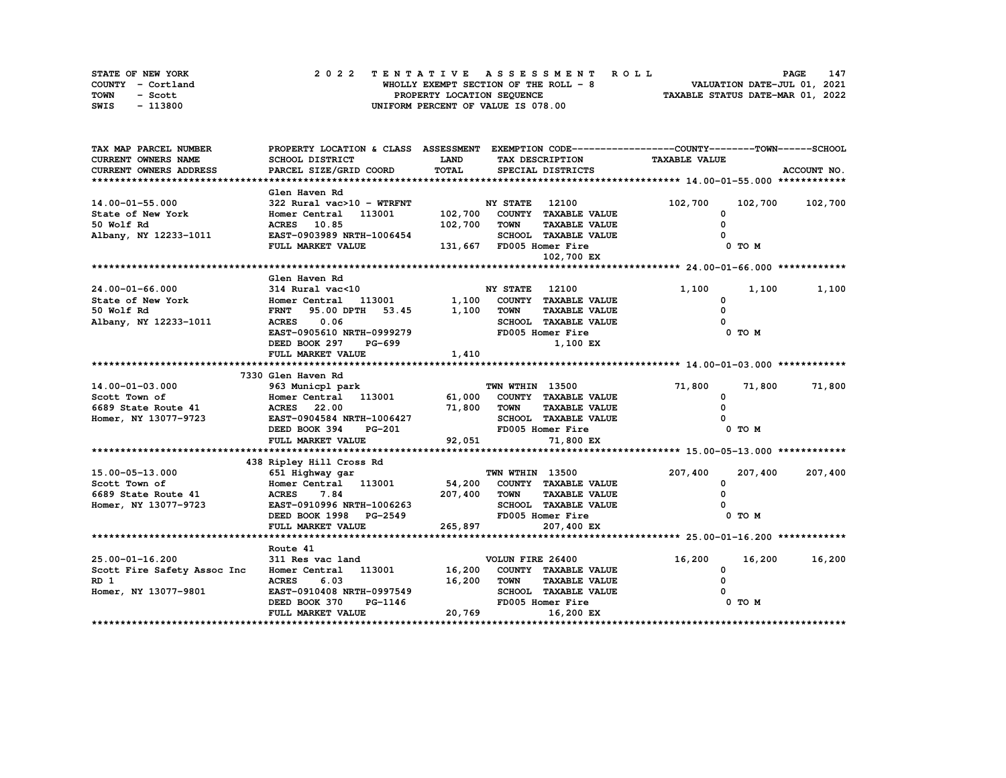| STATE OF NEW YORK | 2022 TENTATIVE ASSESSMENT ROLL        | 147<br>PAGE                      |
|-------------------|---------------------------------------|----------------------------------|
| COUNTY - Cortland | WHOLLY EXEMPT SECTION OF THE ROLL - 8 | VALUATION DATE-JUL 01, 2021      |
| TOWN<br>- Scott   | PROPERTY LOCATION SEQUENCE            | TAXABLE STATUS DATE-MAR 01, 2022 |
| SWIS<br>- 113800  | UNIFORM PERCENT OF VALUE IS 078.00    |                                  |

| TAX MAP PARCEL NUMBER                                                                           | PROPERTY LOCATION & CLASS ASSESSMENT EXEMPTION CODE----------------COUNTY-------TOWN-----SCHOOL          |              |                       |                                                               |                      |                 |             |
|-------------------------------------------------------------------------------------------------|----------------------------------------------------------------------------------------------------------|--------------|-----------------------|---------------------------------------------------------------|----------------------|-----------------|-------------|
| CURRENT OWNERS NAME                                                                             | <b>SCHOOL DISTRICT</b>                                                                                   | <b>LAND</b>  |                       | TAX DESCRIPTION                                               | <b>TAXABLE VALUE</b> |                 |             |
| <b>CURRENT OWNERS ADDRESS</b>                                                                   | PARCEL SIZE/GRID COORD                                                                                   | TOTAL        |                       | SPECIAL DISTRICTS                                             |                      |                 | ACCOUNT NO. |
|                                                                                                 |                                                                                                          |              |                       |                                                               |                      |                 |             |
|                                                                                                 | Glen Haven Rd                                                                                            |              |                       |                                                               |                      |                 |             |
| 14.00-01-55.000                                                                                 | 322 Rural vac>10 - WTRFNT                                                                                |              | <b>NY STATE</b> 12100 |                                                               | 102,700              | 102,700 102,700 |             |
| State of New York                                                                               | Homer Central 113001                                                                                     |              |                       | 102,700 COUNTY TAXABLE VALUE                                  | $\Omega$             |                 |             |
| 50 Wolf Rd                                                                                      | Homer Central<br>ACRES 10.85                                                                             | 102,700      | <b>TOWN</b>           | <b>TAXABLE VALUE</b>                                          |                      |                 |             |
| Albany, NY 12233-1011                                                                           |                                                                                                          |              |                       | SCHOOL TAXABLE VALUE                                          |                      |                 |             |
|                                                                                                 | - سنسمتر ACRES 10.85<br>EAST-0903989 NRTH-1006454 5CHOOL SOMET Fire<br>102.700 102.700 102.700 102.700 1 |              |                       |                                                               |                      | 0 TO M          |             |
|                                                                                                 |                                                                                                          |              |                       | 102,700 EX                                                    |                      |                 |             |
|                                                                                                 |                                                                                                          |              |                       |                                                               |                      |                 |             |
|                                                                                                 | Glen Haven Rd                                                                                            |              |                       |                                                               |                      |                 |             |
| $24.00 - 01 - 66.000$                                                                           | 314 Rural vac<10                                                                                         | NY STATE     |                       | 12100                                                         | 1,100                | 1,100           | 1,100       |
| State of New York [13001 1,100 COUNTY TAXABLE VALUE                                             |                                                                                                          |              |                       |                                                               | 0                    |                 |             |
| 50 Wolf Rd                                                                                      | FRNT 95.00 DPTH 53.45 1,100                                                                              |              | TOWN                  | <b>TAXABLE VALUE</b>                                          |                      |                 |             |
| Albany, NY 12233-1011                                                                           | <b>ACRES</b><br>0.06                                                                                     |              |                       | TOWN Income<br>SCHOOL TAXABLE VALUE                           |                      |                 |             |
|                                                                                                 | EAST-0905610 NRTH-0999279                                                                                |              |                       |                                                               |                      | 0 TO M          |             |
|                                                                                                 | DEED BOOK 297<br>PG-699                                                                                  |              |                       | 1,100 EX                                                      |                      |                 |             |
|                                                                                                 | FULL MARKET VALUE                                                                                        | 1,410        |                       |                                                               |                      |                 |             |
|                                                                                                 |                                                                                                          |              |                       |                                                               |                      |                 |             |
|                                                                                                 | 7330 Glen Haven Rd                                                                                       |              |                       |                                                               |                      |                 |             |
| 14.00-01-03.000                                                                                 |                                                                                                          |              | TWN WTHIN 13500       |                                                               | 71,800               | 71,800          | 71,800      |
| Scott Town of                                                                                   | 963 Municpl park TW<br>Homer Central 113001 61,000                                                       |              |                       | COUNTY TAXABLE VALUE                                          | $\Omega$             |                 |             |
| 6689 State Route 41 <b>ACRES</b> 22.00 71,800<br>Homer, NY 13077-9723 EAST-0904584 NRTH-1006427 |                                                                                                          |              | <b>TOWN</b>           | <b>TAXABLE VALUE</b>                                          | $\mathbf{o}$         |                 |             |
|                                                                                                 |                                                                                                          |              |                       | SCHOOL TAXABLE VALUE                                          |                      |                 |             |
|                                                                                                 | DEED BOOK 394                                                                                            | PG-201       |                       | FD005 Homer Fire                                              |                      | 0 TO M          |             |
|                                                                                                 | FULL MARKET VALUE                                                                                        | 92,051       |                       | 71,800 EX                                                     |                      |                 |             |
|                                                                                                 |                                                                                                          |              |                       |                                                               |                      |                 |             |
|                                                                                                 | 438 Ripley Hill Cross Rd                                                                                 |              |                       |                                                               |                      |                 |             |
| 15.00-05-13.000                                                                                 | 651 Highway gar                                                                                          |              | TWN WTHIN 13500       |                                                               | 207,400              | 207,400         | 207,400     |
| Scott Town of                                                                                   | Homer Central 113001 54,200 COUNTY TAXABLE VALUE                                                         |              |                       |                                                               | $\Omega$             |                 |             |
| 6689 State Route 41                                                                             | <b>ACRES</b><br>7.84                                                                                     | 207,400 TOWN |                       | <b>TAXABLE VALUE</b>                                          |                      |                 |             |
| Homer, NY 13077-9723                                                                            | ACRES 7.04<br>EAST-0910996 NRTH-1006263<br>-- ---- 1000 DG-2549                                          |              |                       | SCHOOL TAXABLE VALUE                                          |                      |                 |             |
|                                                                                                 |                                                                                                          |              |                       | FD005 Homer Fire                                              |                      | 0 TO M          |             |
|                                                                                                 | FULL MARKET VALUE                                                                                        | 265,897      |                       | 207,400 EX                                                    |                      |                 |             |
|                                                                                                 |                                                                                                          |              |                       |                                                               |                      |                 |             |
|                                                                                                 | Route 41                                                                                                 |              |                       |                                                               |                      |                 |             |
| 25.00-01-16.200                                                                                 | 311 Res vac land                                                                                         |              | VOLUN FIRE 26400      |                                                               | 16,200               | 16,200          | 16,200      |
| Scott Fire Safety Assoc Inc                                                                     | Homer Central 113001 16,200                                                                              |              |                       | COUNTY TAXABLE VALUE                                          | 0                    |                 |             |
| RD 1                                                                                            |                                                                                                          |              |                       |                                                               |                      |                 |             |
| Homer, NY 13077-9801                                                                            |                                                                                                          |              |                       |                                                               |                      |                 |             |
|                                                                                                 | DEED BOOK 370                                                                                            | PG-1146      |                       | TOWN TAXABLE VALUE<br>SCHOOL TAXABLE VALUE<br>ALL INTERNATIES |                      | 0 TO M          |             |
|                                                                                                 | FULL MARKET VALUE                                                                                        | 20,769       |                       | 16,200 EX                                                     |                      |                 |             |
|                                                                                                 |                                                                                                          |              |                       |                                                               |                      |                 |             |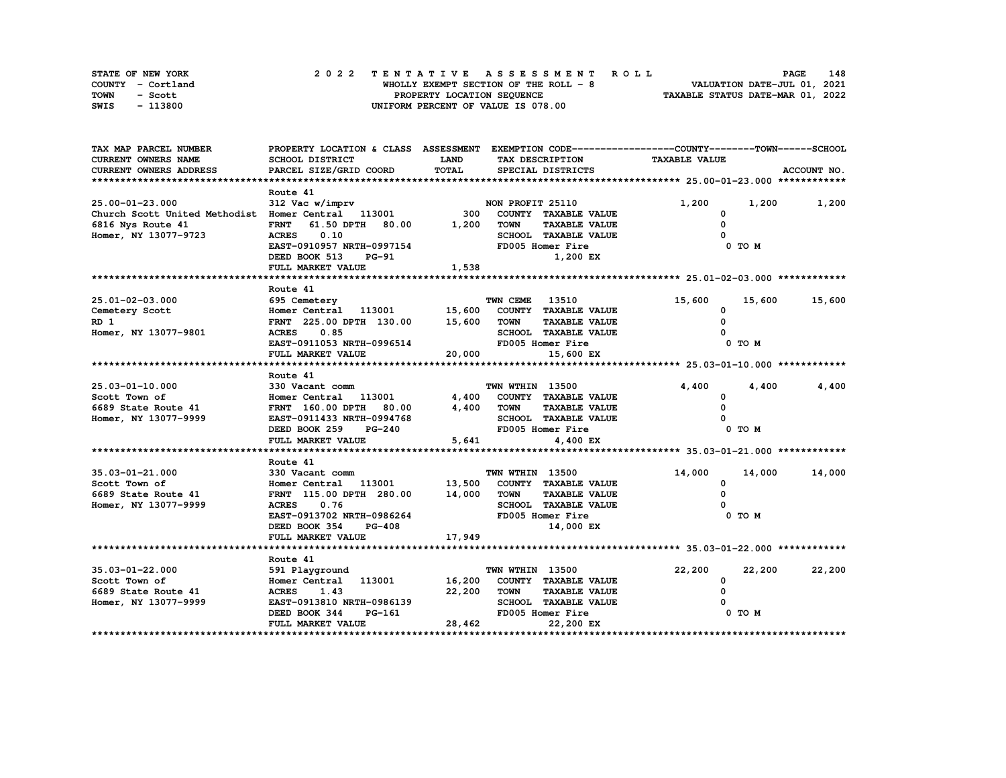| STATE OF NEW YORK | 2022 TENTATIVE ASSESSMENT ROLL        | 148<br><b>PAGE</b>               |
|-------------------|---------------------------------------|----------------------------------|
| COUNTY - Cortland | WHOLLY EXEMPT SECTION OF THE ROLL - 8 | VALUATION DATE-JUL 01, 2021      |
| TOWN<br>- Scott   | PROPERTY LOCATION SEOUENCE            | TAXABLE STATUS DATE-MAR 01, 2022 |
| SWIS<br>- 113800  | UNIFORM PERCENT OF VALUE IS 078.00    |                                  |

| TAX MAP PARCEL NUMBER                              | PROPERTY LOCATION & CLASS ASSESSMENT EXEMPTION CODE----------------COUNTY-------TOWN------SCHOOL |               |                                     |                                                     |        |             |
|----------------------------------------------------|--------------------------------------------------------------------------------------------------|---------------|-------------------------------------|-----------------------------------------------------|--------|-------------|
| CURRENT OWNERS NAME                                | SCHOOL DISTRICT                                                                                  | <b>LAND</b>   | TAX DESCRIPTION                     | <b>TAXABLE VALUE</b>                                |        |             |
| CURRENT OWNERS ADDRESS                             | PARCEL SIZE/GRID COORD                                                                           | TOTAL         | SPECIAL DISTRICTS                   |                                                     |        | ACCOUNT NO. |
|                                                    |                                                                                                  |               |                                     |                                                     |        |             |
|                                                    | Route 41                                                                                         |               |                                     |                                                     |        |             |
| 25.00-01-23.000                                    | 312 Vac w/imprv                                                                                  |               | NON PROFIT 25110                    | 1,200                                               | 1,200  | 1,200       |
| Church Scott United Methodist Homer Central 113001 |                                                                                                  | 300           | COUNTY TAXABLE VALUE                | $\Omega$                                            |        |             |
| 6816 Nys Route 41                                  | FRNT 61.50 DPTH 80.00 1,200                                                                      |               | <b>TOWN</b><br><b>TAXABLE VALUE</b> | $\Omega$                                            |        |             |
| Homer, NY 13077-9723                               | ACRES 0.10                                                                                       |               | SCHOOL TAXABLE VALUE                |                                                     |        |             |
|                                                    | EAST-0910957 NRTH-0997154                                                                        |               | FD005 Homer Fire                    |                                                     | 0 TO M |             |
|                                                    | DEED BOOK 513<br>PG-91                                                                           |               | 1,200 EX                            |                                                     |        |             |
|                                                    | FULL MARKET VALUE                                                                                | 1,538         |                                     |                                                     |        |             |
|                                                    |                                                                                                  |               |                                     |                                                     |        |             |
|                                                    | Route 41                                                                                         |               |                                     |                                                     |        |             |
| 25.01-02-03.000                                    | 695 Cemetery                                                                                     |               | <b>TWN CEME 13510</b>               | 15,600                                              | 15,600 | 15,600      |
| Cemetery Scott                                     | Homer Central 113001 15,600 COUNTY TAXABLE VALUE                                                 |               |                                     | 0                                                   |        |             |
| RD 1                                               | FRNT 225.00 DPTH 130.00 15,600                                                                   |               | <b>TOWN</b><br><b>TAXABLE VALUE</b> | $\mathbf{0}$                                        |        |             |
| Homer, NY 13077-9801                               | <b>ACRES</b><br>0.85                                                                             |               | SCHOOL TAXABLE VALUE                |                                                     |        |             |
|                                                    | EAST-0911053 NRTH-0996514                                                                        |               | FD005 Homer Fire                    |                                                     | 0 TO M |             |
|                                                    | FULL MARKET VALUE                                                                                | 20,000        | 15,600 EX                           |                                                     |        |             |
|                                                    |                                                                                                  |               |                                     |                                                     |        |             |
|                                                    | Route 41                                                                                         |               |                                     |                                                     |        |             |
| 25.03-01-10.000                                    | 330 Vacant comm                                                                                  |               | <b>TWN WTHIN 13500</b>              | 4,400                                               | 4,400  | 4,400       |
| Scott Town of                                      | Homer Central 113001                                                                             |               | 4,400 COUNTY TAXABLE VALUE          | 0                                                   |        |             |
| 6689 State Route 41                                | FRNT 160.00 DPTH 80.00                                                                           |               | 4,400 TOWN<br><b>TAXABLE VALUE</b>  | $^{\circ}$                                          |        |             |
| Homer, NY 13077-9999                               | EAST-0911433 NRTH-0994768                                                                        |               |                                     |                                                     |        |             |
|                                                    | DEED BOOK 259                                                                                    | <b>PG-240</b> |                                     | TOWN TAARDED<br>SCHOOL TAXABLE VALUE<br>-----Fire   | 0 TO M |             |
|                                                    | FULL MARKET VALUE                                                                                |               | 5,641<br>4,400 EX                   |                                                     |        |             |
|                                                    |                                                                                                  |               |                                     |                                                     |        |             |
|                                                    | Route 41                                                                                         |               |                                     |                                                     |        |             |
| 35.03-01-21.000                                    | 330 Vacant comm                                                                                  |               | TWN WTHIN 13500                     | 14,000                                              | 14,000 | 14,000      |
| Scott Town of                                      | Homer Central 113001 13,500 COUNTY TAXABLE VALUE                                                 |               |                                     | 0                                                   |        |             |
| 6689 State Route 41                                | FRNT 115.00 DPTH 280.00                                                                          | 14,000        | <b>TOWN</b><br><b>TAXABLE VALUE</b> | 0                                                   |        |             |
| Homer, NY 13077-9999                               | 0.76<br><b>ACRES</b>                                                                             |               | SCHOOL TAXABLE VALUE                |                                                     |        |             |
|                                                    | EAST-0913702 NRTH-0986264                                                                        |               | FD005 Homer Fire                    |                                                     | 0 TO M |             |
|                                                    | DEED BOOK 354<br><b>PG-408</b>                                                                   |               | 14,000 EX                           |                                                     |        |             |
|                                                    | FULL MARKET VALUE                                                                                | 17,949        |                                     |                                                     |        |             |
|                                                    |                                                                                                  |               |                                     |                                                     |        |             |
|                                                    | Route 41                                                                                         |               |                                     |                                                     |        |             |
| 35.03-01-22.000                                    | 591 Playground<br>--                                                                             |               | TWN WTHIN 13500                     | 22,200                                              | 22,200 | 22,200      |
| Scott Town of                                      | Homer Central 113001 16,200                                                                      |               | COUNTY TAXABLE VALUE                | $\Omega$                                            |        |             |
| 6689 State Route 41                                | <b>ACRES</b><br>1.43                                                                             | 22,200 TOWN   | <b>TAXABLE VALUE</b>                | $\mathbf{o}$                                        |        |             |
| Homer, NY 13077-9999                               | EAST-0913810 NRTH-0986139                                                                        |               |                                     |                                                     |        |             |
|                                                    | DEED BOOK 344                                                                                    | $PG-161$      |                                     | SCHOOL TAXABLE VALUE 0<br>FD005 Homer Fire 0 0 TO M |        |             |
|                                                    | FULL MARKET VALUE                                                                                | 28,462        | 22,200 EX                           |                                                     |        |             |
|                                                    |                                                                                                  |               |                                     |                                                     |        |             |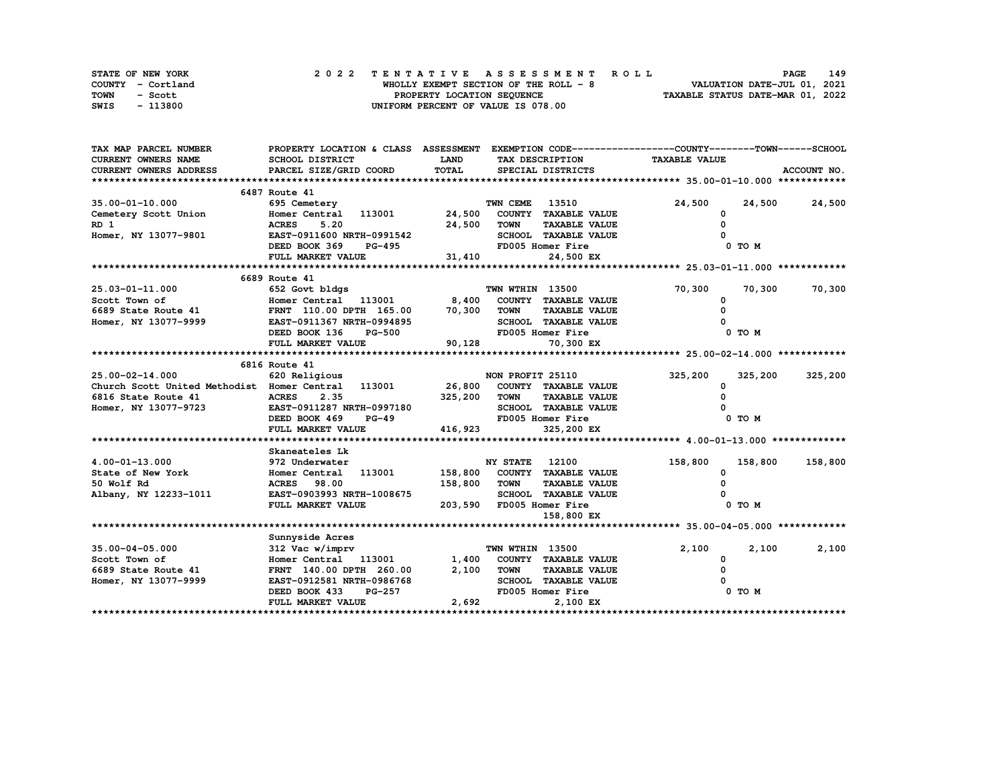| STATE OF NEW YORK | 2022 TENTATIVE ASSESSMENT ROLL        | 149<br><b>PAGE</b>               |
|-------------------|---------------------------------------|----------------------------------|
| COUNTY - Cortland | WHOLLY EXEMPT SECTION OF THE ROLL - 8 | VALUATION DATE-JUL 01, 2021      |
| TOWN<br>- Scott   | PROPERTY LOCATION SEQUENCE            | TAXABLE STATUS DATE-MAR 01, 2022 |
| SWIS<br>- 113800  | UNIFORM PERCENT OF VALUE IS 078.00    |                                  |

| TAX MAP PARCEL NUMBER                                                                                   | PROPERTY LOCATION & CLASS ASSESSMENT EXEMPTION CODE----------------COUNTY-------TOWN------SCHOOL       |                          |                       |                      |                      |                 |               |
|---------------------------------------------------------------------------------------------------------|--------------------------------------------------------------------------------------------------------|--------------------------|-----------------------|----------------------|----------------------|-----------------|---------------|
| CURRENT OWNERS NAME                                                                                     | SCHOOL DISTRICT                                                                                        | <b>LAND</b>              |                       | TAX DESCRIPTION      | <b>TAXABLE VALUE</b> |                 |               |
| CURRENT OWNERS ADDRESS                                                                                  | PARCEL SIZE/GRID COORD                                                                                 | TOTAL                    |                       | SPECIAL DISTRICTS    |                      |                 | ACCOUNT NO.   |
|                                                                                                         |                                                                                                        |                          |                       |                      |                      |                 |               |
|                                                                                                         | 6487 Route 41                                                                                          |                          |                       |                      |                      |                 |               |
| $35.00 - 01 - 10.000$                                                                                   | 695 Cemetery                                                                                           |                          | TWN CEME              | 13510                | 24,500               |                 | 24,500 24,500 |
|                                                                                                         |                                                                                                        |                          |                       |                      | 0                    |                 |               |
| Cemetery Scott Union Momer Central 113001 24,500 COUNTY TAXABLE VALUE<br>RD 1 24,500 TOWN TAXABLE VALUE |                                                                                                        |                          |                       | <b>TAXABLE VALUE</b> | $\Omega$             |                 |               |
| Homer, NY 13077-9801                                                                                    | EAST-0911600 NRTH-0991542                                                                              |                          |                       | SCHOOL TAXABLE VALUE |                      |                 |               |
|                                                                                                         | $PG-495$<br>DEED BOOK 369                                                                              |                          |                       | FD005 Homer Fire     |                      | 0 TO M          |               |
|                                                                                                         | FULL MARKET VALUE                                                                                      | 31,410                   |                       | 24,500 EX            |                      |                 |               |
|                                                                                                         |                                                                                                        |                          |                       |                      |                      |                 |               |
|                                                                                                         | 6689 Route 41                                                                                          |                          |                       |                      |                      |                 |               |
| 25.03-01-11.000                                                                                         | 652 Govt bldgs                                                                                         |                          | TWN WTHIN 13500       |                      | 70,300               |                 | 70,300 70,300 |
| Scott Town of                                                                                           | 652 Govt bldgs<br>Homer Central 113001 8,400 COUNTY TAXABLE VALUE                                      |                          |                       |                      | $\Omega$             |                 |               |
| 6689 State Route 41 FRNT 110.00 DPTH 165.00 70,300 TOWN                                                 |                                                                                                        |                          |                       | <b>TAXABLE VALUE</b> |                      |                 |               |
| Homer, NY 13077-9999 EAST-0911367 NRTH-0994895                                                          |                                                                                                        |                          |                       | SCHOOL TAXABLE VALUE |                      |                 |               |
|                                                                                                         | <b>PG-500</b><br>DEED BOOK 136                                                                         |                          |                       | FD005 Homer Fire     |                      | 0 TO M          |               |
|                                                                                                         | FULL MARKET VALUE                                                                                      | 90,128                   |                       | 70,300 EX            |                      |                 |               |
|                                                                                                         |                                                                                                        |                          |                       |                      |                      |                 |               |
|                                                                                                         | 6816 Route 41                                                                                          |                          |                       |                      |                      |                 |               |
| $25.00 - 02 - 14.000$                                                                                   | 620 Religious                                                                                          |                          | NON PROFIT 25110      |                      | 325,200              | 325,200 325,200 |               |
| Church Scott United Methodist Homer Central 113001 26,800 COUNTY TAXABLE VALUE                          |                                                                                                        |                          |                       |                      | $\Omega$             |                 |               |
| 6816 State Route 41<br><b>ACRES</b>                                                                     | 2.35                                                                                                   | 325,200 TOWN             |                       | <b>TAXABLE VALUE</b> |                      |                 |               |
| Homer, NY 13077-9723                                                                                    | EAST-0911287 NRTH-0997180<br>PG-49<br>PG-49                                                            |                          |                       | SCHOOL TAXABLE VALUE |                      |                 |               |
|                                                                                                         | DEED BOOK 469                                                                                          |                          |                       | FD005 Homer Fire     |                      | 0 TO M          |               |
|                                                                                                         | FULL MARKET VALUE                                                                                      | 416, 923                 |                       | 325,200 EX           |                      |                 |               |
|                                                                                                         |                                                                                                        |                          |                       |                      |                      |                 |               |
|                                                                                                         | Skaneateles Lk<br>972 Underwater                                                                       |                          |                       |                      |                      |                 |               |
| $4.00 - 01 - 13.000$                                                                                    |                                                                                                        |                          | <b>NY STATE</b> 12100 |                      | 158,800              | 158,800         | 158,800       |
| State of New York [60] Homer Central 113001 158,800 COUNTY TAXABLE VALUE                                |                                                                                                        |                          |                       |                      | 0                    |                 |               |
| 50 Wolf Rd                                                                                              | <b>ACRES</b> 98.00                                                                                     | 158,800 TOWN             |                       | <b>TAXABLE VALUE</b> |                      |                 |               |
| Albany, NY 12233-1011                                                                                   | EAST-0903993 NRTH-1008675                                                                              |                          |                       | SCHOOL TAXABLE VALUE |                      |                 |               |
|                                                                                                         | FULL MARKET VALUE                                                                                      | 203,590 FD005 Homer Fire |                       |                      |                      | 0 TO M          |               |
|                                                                                                         |                                                                                                        |                          |                       | 158,800 EX           |                      |                 |               |
|                                                                                                         | Sunnyside Acres                                                                                        |                          |                       |                      |                      |                 |               |
| 35.00-04-05.000                                                                                         | 312 Vac w/imprv                                                                                        |                          | TWN WTHIN 13500       |                      | 2,100                | 2,100           | 2,100         |
| Scott Town of                                                                                           | Homer Central 113001 1,400 COUNTY TAXABLE VALUE<br>41 FRNT 140.00 DPTH 260.00 2.100 TOPS TAXABLE VALUE |                          |                       |                      | 0                    |                 |               |
| 6689 State Route 41                                                                                     | Homer Central 11999-100<br>FRNT 140.00 DPTH 260.00 2,10                                                |                          |                       | <b>TAXABLE VALUE</b> |                      |                 |               |
| Homer, NY 13077-9999                                                                                    |                                                                                                        |                          |                       | SCHOOL TAXABLE VALUE |                      |                 |               |
|                                                                                                         | DEED BOOK 433                                                                                          | $PG-257$                 |                       | FD005 Homer Fire     |                      | 0 TO M          |               |
|                                                                                                         | FULL MARKET VALUE                                                                                      | 2,692                    |                       | 2,100 EX             |                      |                 |               |
|                                                                                                         |                                                                                                        |                          |                       |                      |                      |                 |               |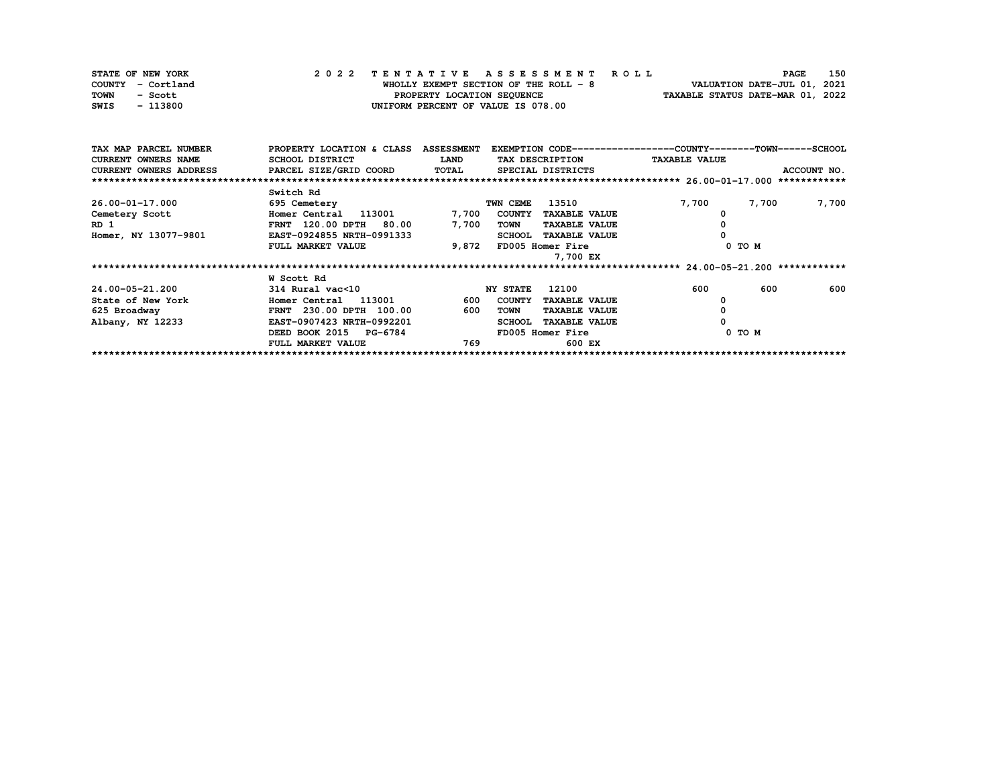| STATE OF NEW YORK | 2022 TENTATIVE ASSESSMENT ROLL        | <b>PAGE</b>                      | 150 |
|-------------------|---------------------------------------|----------------------------------|-----|
| COUNTY - Cortland | WHOLLY EXEMPT SECTION OF THE ROLL - 8 | VALUATION DATE-JUL 01, 2021      |     |
| TOWN<br>- Scott   | PROPERTY LOCATION SEQUENCE            | TAXABLE STATUS DATE-MAR 01, 2022 |     |
| - 113800<br>SWIS  | UNIFORM PERCENT OF VALUE IS 078.00    |                                  |     |

| TAX MAP PARCEL NUMBER         | PROPERTY LOCATION & CLASS        | <b>ASSESSMENT</b> |                  |                      | EXEMPTION CODE-----------------COUNTY-------TOWN------SCHOOL |            |             |
|-------------------------------|----------------------------------|-------------------|------------------|----------------------|--------------------------------------------------------------|------------|-------------|
| <b>CURRENT OWNERS NAME</b>    | SCHOOL DISTRICT                  | <b>LAND</b>       |                  | TAX DESCRIPTION      | <b>TAXABLE VALUE</b>                                         |            |             |
| <b>CURRENT OWNERS ADDRESS</b> | PARCEL SIZE/GRID COORD TOTAL     |                   |                  | SPECIAL DISTRICTS    |                                                              |            | ACCOUNT NO. |
|                               |                                  |                   |                  |                      |                                                              |            |             |
|                               | Switch Rd                        |                   |                  |                      |                                                              |            |             |
| 26.00-01-17.000               | 695 Cemetery                     |                   | TWN CEME         | 13510                | 7,700                                                        | 7,700      | 7,700       |
| Cemetery Scott                | Homer Central 113001             | 7,700             | <b>COUNTY</b>    | <b>TAXABLE VALUE</b> |                                                              |            |             |
| RD 1                          | <b>FRNT 120.00 DPTH</b><br>80.00 | 7,700             | TOWN             | <b>TAXABLE VALUE</b> |                                                              |            |             |
| Homer, NY 13077-9801          | EAST-0924855 NRTH-0991333        |                   | <b>SCHOOL</b>    | <b>TAXABLE VALUE</b> |                                                              |            |             |
|                               | FULL MARKET VALUE                | 9,872             | FD005 Homer Fire |                      |                                                              | $0$ TO $M$ |             |
|                               |                                  |                   |                  | 7,700 EX             |                                                              |            |             |
|                               |                                  |                   |                  |                      |                                                              |            |             |
|                               | W Scott Rd                       |                   |                  |                      |                                                              |            |             |
| 24.00-05-21.200               | 314 Rural vac<10                 |                   | <b>NY STATE</b>  | 12100                | 600                                                          | 600        | 600         |
| State of New York             | Homer Central 113001             | 600               | <b>COUNTY</b>    | <b>TAXABLE VALUE</b> |                                                              |            |             |
| 625 Broadway                  | FRNT 230.00 DPTH 100.00          | 600               | TOWN             | <b>TAXABLE VALUE</b> |                                                              |            |             |
| Albany, NY 12233              | EAST-0907423 NRTH-0992201        |                   | <b>SCHOOL</b>    | <b>TAXABLE VALUE</b> |                                                              |            |             |
|                               | DEED BOOK 2015 PG-6784           |                   | FD005 Homer Fire |                      |                                                              | 0 TO M     |             |
|                               | FULL MARKET VALUE                | 769               |                  | 600 EX               |                                                              |            |             |
|                               |                                  |                   |                  |                      |                                                              |            |             |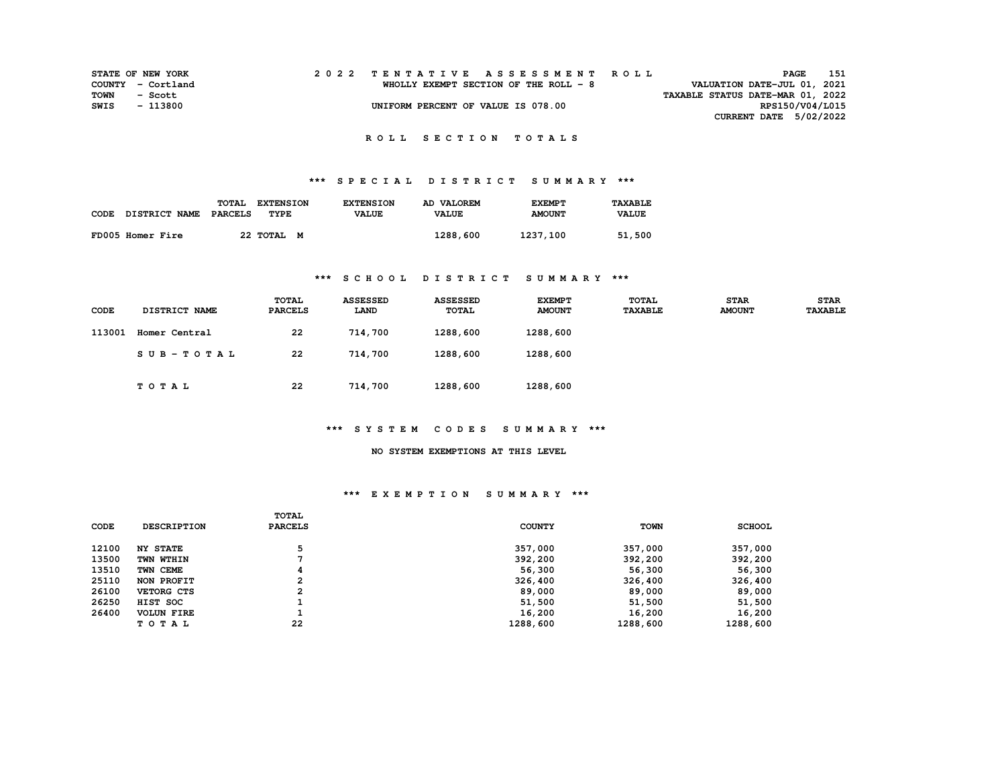| STATE OF NEW YORK |          |  |  |  |  |                                       |  |  |  | 2022 TENTATIVE ASSESSMENT ROLL |                                  | PAGE            | 151 |
|-------------------|----------|--|--|--|--|---------------------------------------|--|--|--|--------------------------------|----------------------------------|-----------------|-----|
| COUNTY - Cortland |          |  |  |  |  | WHOLLY EXEMPT SECTION OF THE ROLL - 8 |  |  |  |                                | VALUATION DATE-JUL 01, 2021      |                 |     |
| TOWN              | - Scott  |  |  |  |  |                                       |  |  |  |                                | TAXABLE STATUS DATE-MAR 01, 2022 |                 |     |
| SWIS              | - 113800 |  |  |  |  | UNIFORM PERCENT OF VALUE IS 078.00    |  |  |  |                                |                                  | RPS150/V04/L015 |     |
|                   |          |  |  |  |  |                                       |  |  |  |                                | CURRENT DATE 5/02/2022           |                 |     |

## **R O L L S E C T I O N T O T A L S**

# **\*\*\* S P E C I A L D I S T R I C T S U M M A R Y \*\*\***

| CODE | <b>DISTRICT NAME</b> | <b>TOTAL</b><br>PARCELS | <b>EXTENSION</b><br>TYPE | <b>EXTENSION</b><br><b>VALUE</b> | AD VALOREM<br><b>VALUE</b> | <b>EXEMPT</b><br><b>AMOUNT</b> | <b>TAXABLE</b><br><b>VALUE</b> |
|------|----------------------|-------------------------|--------------------------|----------------------------------|----------------------------|--------------------------------|--------------------------------|
|      | FD005 Homer Fire     |                         | 22 TOTAL M               |                                  | 1288,600                   | 1237,100                       | 51,500                         |

### **\*\*\* S C H O O L D I S T R I C T S U M M A R Y \*\*\***

| CODE   | <b>DISTRICT NAME</b> | TOTAL<br><b>PARCELS</b> | <b>ASSESSED</b><br>LAND | <b>ASSESSED</b><br><b>TOTAL</b> | <b>EXEMPT</b><br><b>AMOUNT</b> | TOTAL<br><b>TAXABLE</b> | <b>STAR</b><br><b>AMOUNT</b> | <b>STAR</b><br><b>TAXABLE</b> |
|--------|----------------------|-------------------------|-------------------------|---------------------------------|--------------------------------|-------------------------|------------------------------|-------------------------------|
| 113001 | Homer Central        | 22                      | 714,700                 | 1288,600                        | 1288,600                       |                         |                              |                               |
|        | SUB-TOTAL            | 22                      | 714,700                 | 1288,600                        | 1288,600                       |                         |                              |                               |
|        | <b>TOTAL</b>         | 22                      | 714,700                 | 1288,600                        | 1288,600                       |                         |                              |                               |

#### **\*\*\* S Y S T E M C O D E S S U M M A R Y \*\*\***

#### **NO SYSTEM EXEMPTIONS AT THIS LEVEL**

#### **\*\*\* E X E M P T I O N S U M M A R Y \*\*\***

| <b>CODE</b> | <b>DESCRIPTION</b> | <b>TOTAL</b><br><b>PARCELS</b> | <b>COUNTY</b> | <b>TOWN</b> | <b>SCHOOL</b> |
|-------------|--------------------|--------------------------------|---------------|-------------|---------------|
| 12100       | <b>NY STATE</b>    |                                | 357,000       | 357,000     | 357,000       |
| 13500       | TWN WTHIN          |                                | 392,200       | 392,200     | 392,200       |
| 13510       | TWN CEME           | 4                              | 56,300        | 56,300      | 56,300        |
| 25110       | NON PROFIT         | 2                              | 326,400       | 326,400     | 326,400       |
| 26100       | VETORG CTS         | 2                              | 89,000        | 89,000      | 89,000        |
| 26250       | HIST SOC           |                                | 51,500        | 51,500      | 51,500        |
| 26400       | <b>VOLUN FIRE</b>  |                                | 16,200        | 16,200      | 16,200        |
|             | TOTAL              | 22                             | 1288,600      | 1288,600    | 1288,600      |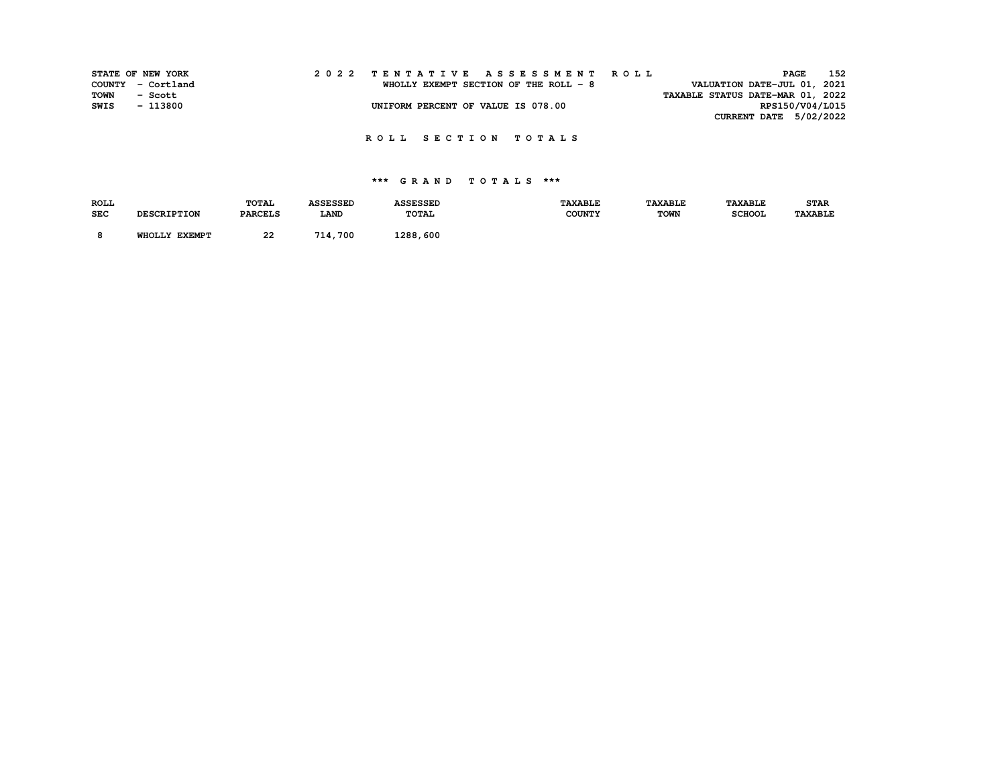|      | STATE OF NEW YORK |  |  |  |  |                                       |  |  |  |  | 2022 TENTATIVE ASSESSMENT ROLL |                                  |                 | PAGE | 152 |
|------|-------------------|--|--|--|--|---------------------------------------|--|--|--|--|--------------------------------|----------------------------------|-----------------|------|-----|
|      | COUNTY - Cortland |  |  |  |  | WHOLLY EXEMPT SECTION OF THE ROLL - 8 |  |  |  |  |                                | VALUATION DATE-JUL 01, 2021      |                 |      |     |
| TOWN | - Scott           |  |  |  |  |                                       |  |  |  |  |                                | TAXABLE STATUS DATE-MAR 01, 2022 |                 |      |     |
| SWIS | - 113800          |  |  |  |  | UNIFORM PERCENT OF VALUE IS 078.00    |  |  |  |  |                                |                                  | RPS150/V04/L015 |      |     |
|      |                   |  |  |  |  |                                       |  |  |  |  |                                | <b>CURRENT DATE 5/02/2022</b>    |                 |      |     |

 **R O L L S E C T I O N T O T A L S** 

| <b>ROLL</b> |                    | <b>TOTAL</b>   | <b>ASSESSED</b> | <b>ASSESSED</b> | <b>TAXABLE</b> | <b><i>TAXABLE</i></b> | <b><i>TAXABLE</i></b> | <b>STAR</b>    |
|-------------|--------------------|----------------|-----------------|-----------------|----------------|-----------------------|-----------------------|----------------|
| <b>SEC</b>  | <b>DESCRIPTION</b> | <b>PARCELS</b> | LAND            | TOTAL           | <b>COUNTY</b>  | <b>TOWN</b>           | <b>SCHOOL</b>         | <b>TAXABLE</b> |
|             | WHOLLY EXEMPT      | 22             | 700<br>714,     | 1288,600        |                |                       |                       |                |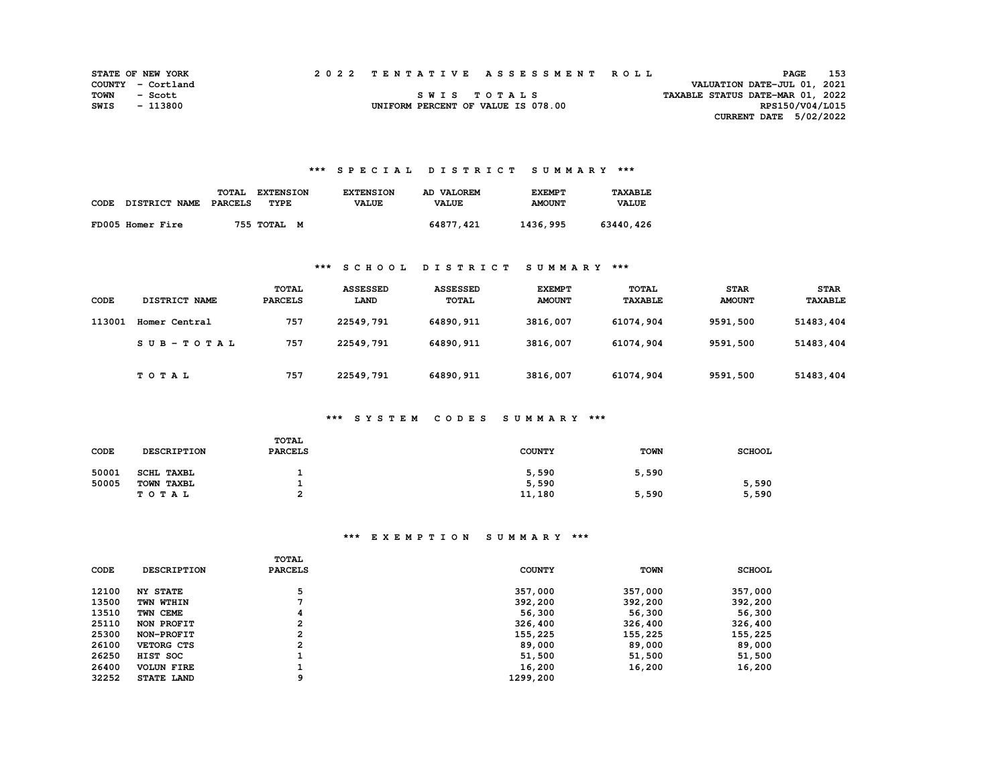|      | <b>STATE OF NEW YORK</b> | 2022 TENTATIVE ASSESSMENT ROLL     |             |  | <b>PAGE</b>                      | 153 |
|------|--------------------------|------------------------------------|-------------|--|----------------------------------|-----|
|      | COUNTY - Cortland        |                                    |             |  | VALUATION DATE-JUL 01, 2021      |     |
| TOWN | - Scott                  |                                    | SWIS TOTALS |  | TAXABLE STATUS DATE-MAR 01, 2022 |     |
| SWIS | - 113800                 | UNIFORM PERCENT OF VALUE IS 078.00 |             |  | RPS150/V04/L015                  |     |
|      |                          |                                    |             |  | CURRENT DATE 5/02/2022           |     |

#### **\*\*\* S P E C I A L D I S T R I C T S U M M A R Y \*\*\***

| CODE | DISTRICT NAME    | TOTAL<br>PARCELS | <b>EXTENSION</b><br>TYPE | <b>EXTENSION</b><br><b>VALUE</b> | AD VALOREM<br><b>VALUE</b> | <b>EXEMPT</b><br><b>AMOUNT</b> | <b>TAXABLE</b><br><b>VALUE</b> |
|------|------------------|------------------|--------------------------|----------------------------------|----------------------------|--------------------------------|--------------------------------|
|      | FD005 Homer Fire |                  | 755 TOTAL<br>M           |                                  | 64877,421                  | 1436,995                       | 63440,426                      |

### **\*\*\* S C H O O L D I S T R I C T S U M M A R Y \*\*\***

| <b>CODE</b> | DISTRICT NAME   | TOTAL<br><b>PARCELS</b> | <b>ASSESSED</b><br>LAND | <b>ASSESSED</b><br><b>TOTAL</b> | <b>EXEMPT</b><br><b>AMOUNT</b> | TOTAL<br><b>TAXABLE</b> | <b>STAR</b><br><b>AMOUNT</b> | <b>STAR</b><br><b>TAXABLE</b> |
|-------------|-----------------|-------------------------|-------------------------|---------------------------------|--------------------------------|-------------------------|------------------------------|-------------------------------|
| 113001      | Homer Central   | 757                     | 22549,791               | 64890, 911                      | 3816,007                       | 61074,904               | 9591,500                     | 51483,404                     |
|             | $SUB - TO T AL$ | 757                     | 22549,791               | 64890, 911                      | 3816,007                       | 61074,904               | 9591,500                     | 51483,404                     |
|             | TOTAL           | 757                     | 22549,791               | 64890,911                       | 3816,007                       | 61074,904               | 9591,500                     | 51483,404                     |

# **\*\*\* S Y S T E M C O D E S S U M M A R Y \*\*\***

| CODE  | <b>DESCRIPTION</b> | <b>TOTAL</b><br><b>PARCELS</b> | <b>COUNTY</b> | <b>TOWN</b> | <b>SCHOOL</b> |
|-------|--------------------|--------------------------------|---------------|-------------|---------------|
| 50001 | <b>SCHL TAXBL</b>  |                                | 5,590         | 5,590       |               |
| 50005 | TOWN TAXBL         |                                | 5,590         |             | 5,590         |
|       | TOTAL              |                                | 11,180        | 5,590       | 5,590         |

#### **\*\*\* E X E M P T I O N S U M M A R Y \*\*\***

| <b>CODE</b> | <b>DESCRIPTION</b> | <b>TOTAL</b><br><b>PARCELS</b> | <b>COUNTY</b> | <b>TOWN</b> | <b>SCHOOL</b> |
|-------------|--------------------|--------------------------------|---------------|-------------|---------------|
| 12100       | <b>NY STATE</b>    |                                | 357,000       | 357,000     | 357,000       |
| 13500       | TWN WTHIN          |                                | 392,200       | 392,200     | 392,200       |
| 13510       | TWN CEME           | 4                              | 56,300        | 56,300      | 56,300        |
| 25110       | NON PROFIT         | 2                              | 326,400       | 326,400     | 326,400       |
| 25300       | NON-PROFIT         | 2                              | 155,225       | 155,225     | 155,225       |
| 26100       | VETORG CTS         | 2                              | 89,000        | 89,000      | 89,000        |
| 26250       | HIST SOC           |                                | 51,500        | 51,500      | 51,500        |
| 26400       | <b>VOLUN FIRE</b>  |                                | 16,200        | 16,200      | 16,200        |
| 32252       | STATE LAND         | 9                              | 1299,200      |             |               |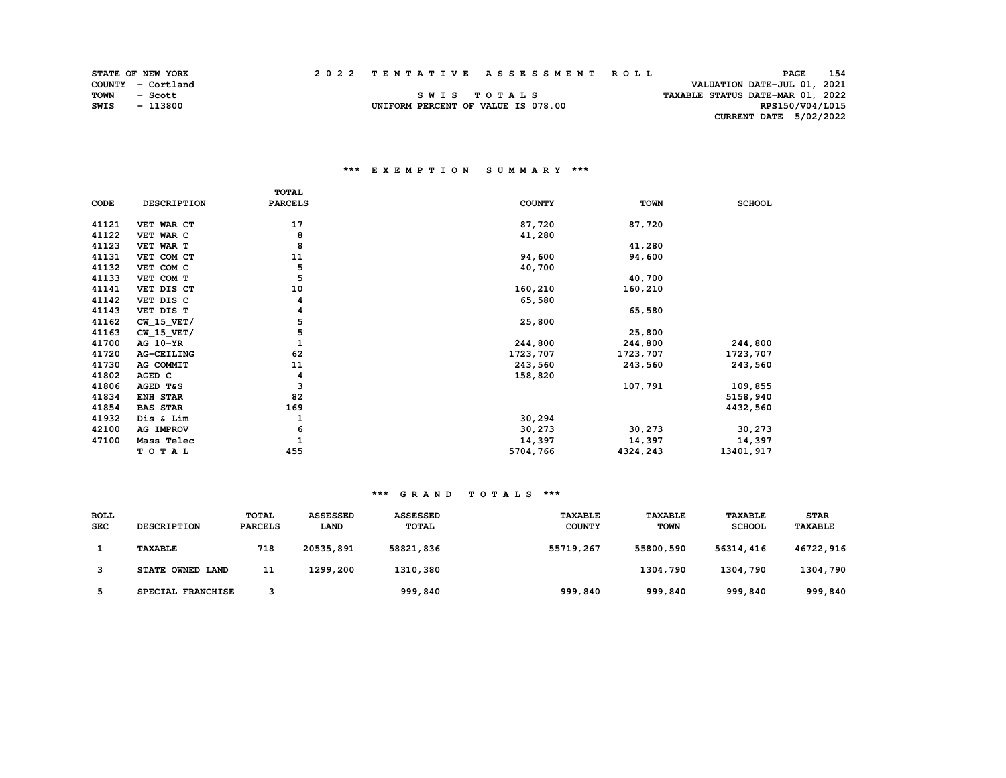| <b>STATE OF NEW YORK</b> |                                    | 2022 TENTATIVE ASSESSMENT ROLL |                                  | PAGE                          | -154 |
|--------------------------|------------------------------------|--------------------------------|----------------------------------|-------------------------------|------|
| COUNTY - Cortland        |                                    |                                | VALUATION DATE-JUL 01, 2021      |                               |      |
| TOWN<br>- Scott          | SWIS TOTALS                        |                                | TAXABLE STATUS DATE-MAR 01, 2022 |                               |      |
| SWIS<br>- 113800         | UNIFORM PERCENT OF VALUE IS 078.00 |                                |                                  | RPS150/V04/L015               |      |
|                          |                                    |                                |                                  | <b>CURRENT DATE 5/02/2022</b> |      |

#### **\*\*\* E X E M P T I O N S U M M A R Y \*\*\***

|       |                    | TOTAL          |               |             |               |
|-------|--------------------|----------------|---------------|-------------|---------------|
| CODE  | <b>DESCRIPTION</b> | <b>PARCELS</b> | <b>COUNTY</b> | <b>TOWN</b> | <b>SCHOOL</b> |
| 41121 | VET WAR CT         | 17             | 87,720        | 87,720      |               |
| 41122 | VET WAR C          | 8              | 41,280        |             |               |
| 41123 | VET WAR T          | 8              |               | 41,280      |               |
| 41131 | VET COM CT         | 11             | 94,600        | 94,600      |               |
| 41132 | VET COM C          | 5              | 40,700        |             |               |
| 41133 | VET COM T          | 5              |               | 40,700      |               |
| 41141 | VET DIS CT         | 10             | 160,210       | 160,210     |               |
| 41142 | VET DIS C          | 4              | 65,580        |             |               |
| 41143 | VET DIS T          | 4              |               | 65,580      |               |
| 41162 | CW 15 VET/         | 5              | 25,800        |             |               |
| 41163 | $CW_15_VET/$       | 5              |               | 25,800      |               |
| 41700 | AG 10-YR           |                | 244,800       | 244,800     | 244,800       |
| 41720 | AG-CEILING         | 62             | 1723, 707     | 1723,707    | 1723,707      |
| 41730 | AG COMMIT          | 11             | 243,560       | 243,560     | 243,560       |
| 41802 | AGED C             | 4              | 158,820       |             |               |
| 41806 | AGED T&S           | 3              |               | 107,791     | 109,855       |
| 41834 | ENH STAR           | 82             |               |             | 5158,940      |
| 41854 | <b>BAS STAR</b>    | 169            |               |             | 4432,560      |
| 41932 | Dis & Lim          |                | 30,294        |             |               |
| 42100 | AG IMPROV          | 6              | 30,273        | 30,273      | 30,273        |
| 47100 | Mass Telec         |                | 14,397        | 14,397      | 14,397        |
|       | TOTAL              | 455            | 5704,766      | 4324,243    | 13401, 917    |

| <b>ROLL</b><br><b>SEC</b> | <b>DESCRIPTION</b> | <b>TOTAL</b><br><b>PARCELS</b> | <b>ASSESSED</b><br><b>LAND</b> | <b>ASSESSED</b><br><b>TOTAL</b> | <b>TAXABLE</b><br><b>COUNTY</b> | <b>TAXABLE</b><br><b>TOWN</b> | <b>TAXABLE</b><br><b>SCHOOL</b> | <b>STAR</b><br><b>TAXABLE</b> |
|---------------------------|--------------------|--------------------------------|--------------------------------|---------------------------------|---------------------------------|-------------------------------|---------------------------------|-------------------------------|
|                           | <b>TAXABLE</b>     | 718                            | 20535,891                      | 58821,836                       | 55719,267                       | 55800,590                     | 56314,416                       | 46722,916                     |
|                           | STATE OWNED LAND   | 11                             | 1299,200                       | 1310,380                        |                                 | 1304,790                      | 1304,790                        | 1304,790                      |
|                           | SPECIAL FRANCHISE  |                                |                                | 999,840                         | 999,840                         | 999,840                       | 999,840                         | 999,840                       |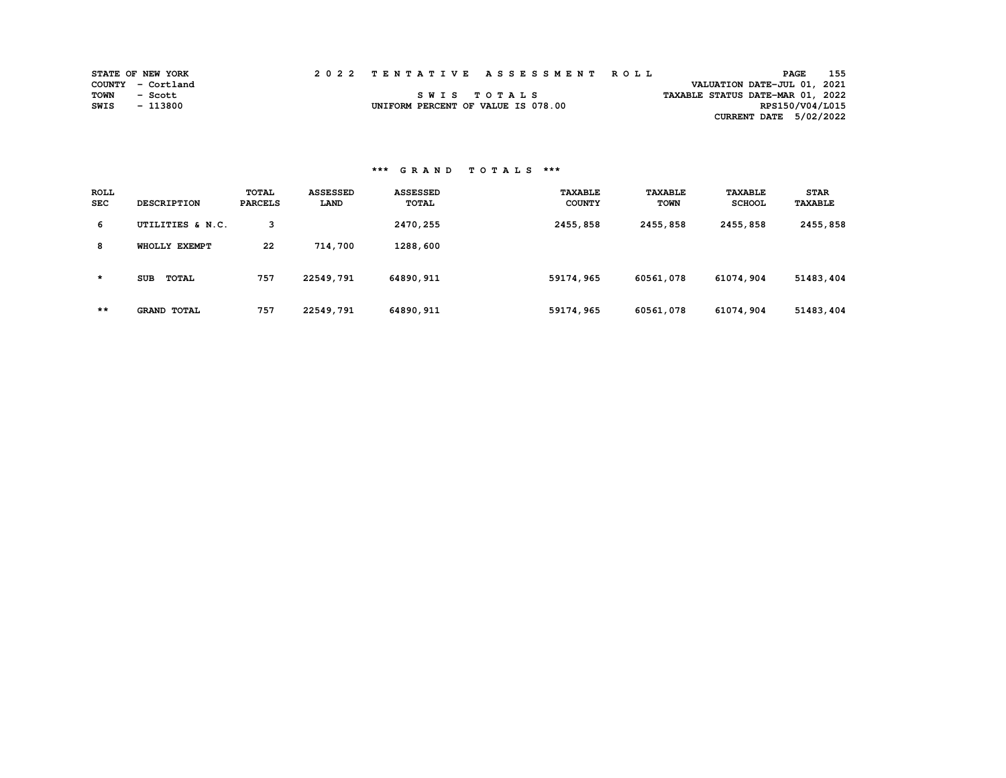|      | <b>STATE OF NEW YORK</b> | 2022 TENTATIVE ASSESSMENT ROLL     |             |  | <b>PAGE</b>                      | 155 |
|------|--------------------------|------------------------------------|-------------|--|----------------------------------|-----|
|      | COUNTY - Cortland        |                                    |             |  | VALUATION DATE-JUL 01, 2021      |     |
| TOWN | - Scott                  |                                    | SWIS TOTALS |  | TAXABLE STATUS DATE-MAR 01, 2022 |     |
| SWIS | - 113800                 | UNIFORM PERCENT OF VALUE IS 078.00 |             |  | RPS150/V04/L015                  |     |
|      |                          |                                    |             |  | CURRENT DATE 5/02/2022           |     |

| <b>ROLL</b><br><b>SEC</b> | <b>DESCRIPTION</b>         | <b>TOTAL</b><br><b>PARCELS</b> | <b>ASSESSED</b><br>LAND | <b>ASSESSED</b><br>TOTAL | <b>TAXABLE</b><br><b>COUNTY</b> | <b>TAXABLE</b><br><b>TOWN</b> | <b>TAXABLE</b><br><b>SCHOOL</b> | <b>STAR</b><br><b>TAXABLE</b> |
|---------------------------|----------------------------|--------------------------------|-------------------------|--------------------------|---------------------------------|-------------------------------|---------------------------------|-------------------------------|
| 6                         | UTILITIES & N.C.           | 3                              |                         | 2470,255                 | 2455,858                        | 2455,858                      | 2455,858                        | 2455,858                      |
| 8                         | WHOLLY EXEMPT              | 22                             | 714,700                 | 1288,600                 |                                 |                               |                                 |                               |
| $\star$                   | <b>SUB</b><br><b>TOTAL</b> | 757                            | 22549,791               | 64890, 911               | 59174,965                       | 60561,078                     | 61074,904                       | 51483,404                     |
| $***$                     | <b>GRAND TOTAL</b>         | 757                            | 22549,791               | 64890, 911               | 59174,965                       | 60561,078                     | 61074,904                       | 51483,404                     |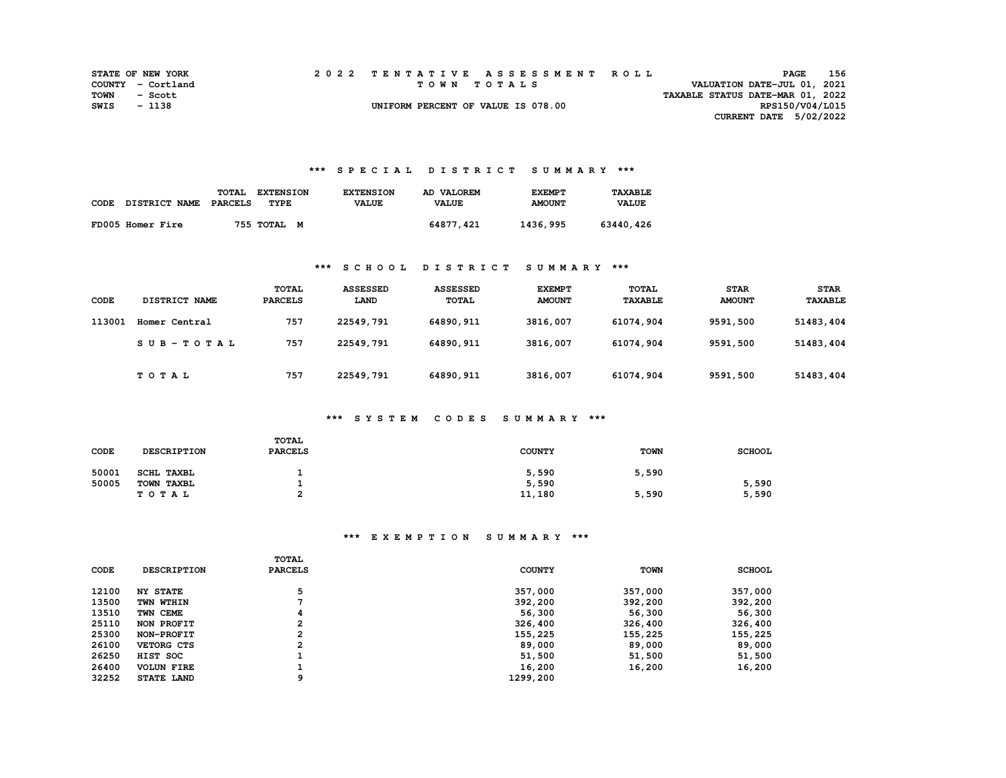|      | <b>STATE OF NEW YORK</b> |                                    | 2022 TENTATIVE ASSESSMENT ROLL | PAGE                             | 156 |
|------|--------------------------|------------------------------------|--------------------------------|----------------------------------|-----|
|      | COUNTY - Cortland        | TOWN TOTALS                        |                                | VALUATION DATE-JUL 01, 2021      |     |
| TOWN | - Scott                  |                                    |                                | TAXABLE STATUS DATE-MAR 01, 2022 |     |
| SWIS | - 1138                   | UNIFORM PERCENT OF VALUE IS 078.00 |                                | RPS150/V04/L015                  |     |
|      |                          |                                    |                                | CURRENT DATE 5/02/2022           |     |

#### **\*\*\* S P E C I A L D I S T R I C T S U M M A R Y \*\*\***

| CODE | DISTRICT NAME    | TOTAL<br>PARCELS | <b>EXTENSION</b><br>TYPE | <b>EXTENSION</b><br><b>VALUE</b> | AD VALOREM<br><b>VALUE</b> | <b>EXEMPT</b><br><b>AMOUNT</b> | TAXABLE<br><b>VALUE</b> |
|------|------------------|------------------|--------------------------|----------------------------------|----------------------------|--------------------------------|-------------------------|
|      | FD005 Homer Fire |                  | 755 TOTAL<br>M           |                                  | 64877,421                  | 1436,995                       | 63440,426               |

## **\*\*\* S C H O O L D I S T R I C T S U M M A R Y \*\*\***

| <b>CODE</b> | DISTRICT NAME   | TOTAL<br><b>PARCELS</b> | <b>ASSESSED</b><br>LAND | <b>ASSESSED</b><br><b>TOTAL</b> | <b>EXEMPT</b><br><b>AMOUNT</b> | TOTAL<br><b>TAXABLE</b> | <b>STAR</b><br><b>AMOUNT</b> | <b>STAR</b><br><b>TAXABLE</b> |
|-------------|-----------------|-------------------------|-------------------------|---------------------------------|--------------------------------|-------------------------|------------------------------|-------------------------------|
| 113001      | Homer Central   | 757                     | 22549,791               | 64890, 911                      | 3816,007                       | 61074,904               | 9591,500                     | 51483,404                     |
|             | $SUB - TO T AL$ | 757                     | 22549,791               | 64890, 911                      | 3816,007                       | 61074,904               | 9591,500                     | 51483,404                     |
|             | TOTAL           | 757                     | 22549,791               | 64890,911                       | 3816,007                       | 61074,904               | 9591,500                     | 51483,404                     |

# **\*\*\* S Y S T E M C O D E S S U M M A R Y \*\*\***

| CODE  | <b>DESCRIPTION</b> | <b>TOTAL</b><br><b>PARCELS</b> | <b>COUNTY</b> | <b>TOWN</b> | <b>SCHOOL</b> |
|-------|--------------------|--------------------------------|---------------|-------------|---------------|
| 50001 | SCHL TAXBL         |                                | 5,590         | 5,590       |               |
| 50005 | TOWN TAXBL         |                                | 5,590         |             | 5,590         |
|       | TOTAL              |                                | 11,180        | 5,590       | 5,590         |

#### **\*\*\* E X E M P T I O N S U M M A R Y \*\*\***

| CODE  | <b>DESCRIPTION</b> | <b>TOTAL</b><br><b>PARCELS</b> | <b>COUNTY</b> | <b>TOWN</b> | <b>SCHOOL</b> |
|-------|--------------------|--------------------------------|---------------|-------------|---------------|
| 12100 | <b>NY STATE</b>    |                                | 357,000       | 357,000     | 357,000       |
| 13500 | TWN WTHIN          |                                | 392,200       | 392,200     | 392,200       |
| 13510 | TWN CEME           | 4                              | 56,300        | 56,300      | 56,300        |
| 25110 | NON PROFIT         | 2                              | 326,400       | 326,400     | 326,400       |
| 25300 | NON-PROFIT         | 2                              | 155,225       | 155,225     | 155,225       |
| 26100 | VETORG CTS         | 2                              | 89,000        | 89,000      | 89,000        |
| 26250 | HIST SOC           |                                | 51,500        | 51,500      | 51,500        |
| 26400 | <b>VOLUN FIRE</b>  |                                | 16,200        | 16,200      | 16,200        |
| 32252 | STATE LAND         | 9                              | 1299,200      |             |               |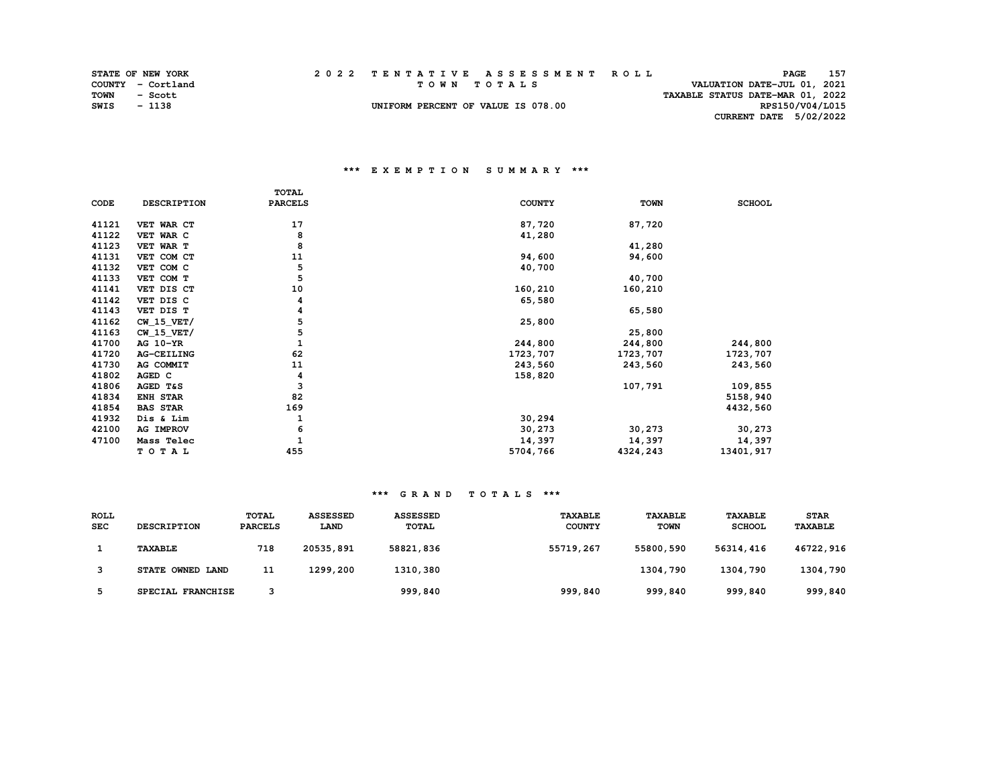|      | <b>STATE OF NEW YORK</b> |  | 2022 TENTATIVE ASSESSMENT ROLL     |                                  | PAGE            | 157 |
|------|--------------------------|--|------------------------------------|----------------------------------|-----------------|-----|
|      | COUNTY - Cortland        |  | TOWN TOTALS                        | VALUATION DATE-JUL 01, 2021      |                 |     |
| TOWN | - Scott                  |  |                                    | TAXABLE STATUS DATE-MAR 01, 2022 |                 |     |
| SWIS | $-1138$                  |  | UNIFORM PERCENT OF VALUE IS 078.00 |                                  | RPS150/V04/L015 |     |
|      |                          |  |                                    | CURRENT DATE 5/02/2022           |                 |     |

### **\*\*\* E X E M P T I O N S U M M A R Y \*\*\***

|       |                    | <b>TOTAL</b>   |               |             |               |
|-------|--------------------|----------------|---------------|-------------|---------------|
| CODE  | <b>DESCRIPTION</b> | <b>PARCELS</b> | <b>COUNTY</b> | <b>TOWN</b> | <b>SCHOOL</b> |
| 41121 | VET WAR CT         | 17             | 87,720        | 87,720      |               |
| 41122 | VET WAR C          | 8              | 41,280        |             |               |
| 41123 | VET WAR T          | 8              |               | 41,280      |               |
| 41131 | VET COM CT         | 11             | 94,600        | 94,600      |               |
| 41132 | VET COM C          | 5              | 40,700        |             |               |
| 41133 | VET COM T          | 5              |               | 40,700      |               |
| 41141 | VET DIS CT         | 10             | 160,210       | 160,210     |               |
| 41142 | VET DIS C          | 4              | 65,580        |             |               |
| 41143 | VET DIS T          | 4              |               | 65,580      |               |
| 41162 | CW 15 VET/         | 5              | 25,800        |             |               |
| 41163 | $CW_15_VET/$       | 5              |               | 25,800      |               |
| 41700 | AG 10-YR           |                | 244,800       | 244,800     | 244,800       |
| 41720 | AG-CEILING         | 62             | 1723,707      | 1723,707    | 1723,707      |
| 41730 | AG COMMIT          | 11             | 243,560       | 243,560     | 243,560       |
| 41802 | AGED C             | 4              | 158,820       |             |               |
| 41806 | AGED T&S           | 3              |               | 107,791     | 109,855       |
| 41834 | ENH STAR           | 82             |               |             | 5158,940      |
| 41854 | <b>BAS STAR</b>    | 169            |               |             | 4432,560      |
| 41932 | Dis & Lim          |                | 30,294        |             |               |
| 42100 | AG IMPROV          | 6              | 30,273        | 30,273      | 30,273        |
| 47100 | Mass Telec         |                | 14,397        | 14,397      | 14,397        |
|       | TOTAL              | 455            | 5704,766      | 4324,243    | 13401, 917    |

| <b>ROLL</b><br><b>SEC</b> | <b>DESCRIPTION</b> | TOTAL<br><b>PARCELS</b> | <b>ASSESSED</b><br><b>LAND</b> | <b>ASSESSED</b><br><b>TOTAL</b> | <b>TAXABLE</b><br><b>COUNTY</b> | <b>TAXABLE</b><br><b>TOWN</b> | <b>TAXABLE</b><br><b>SCHOOL</b> | <b>STAR</b><br>TAXABLE |
|---------------------------|--------------------|-------------------------|--------------------------------|---------------------------------|---------------------------------|-------------------------------|---------------------------------|------------------------|
|                           | <b>TAXABLE</b>     | 718                     | 20535,891                      | 58821,836                       | 55719,267                       | 55800,590                     | 56314,416                       | 46722,916              |
|                           | STATE OWNED LAND   | 11                      | 1299,200                       | 1310,380                        |                                 | 1304,790                      | 1304,790                        | 1304,790               |
|                           | SPECIAL FRANCHISE  |                         |                                | 999,840                         | 999,840                         | 999,840                       | 999,840                         | 999,840                |